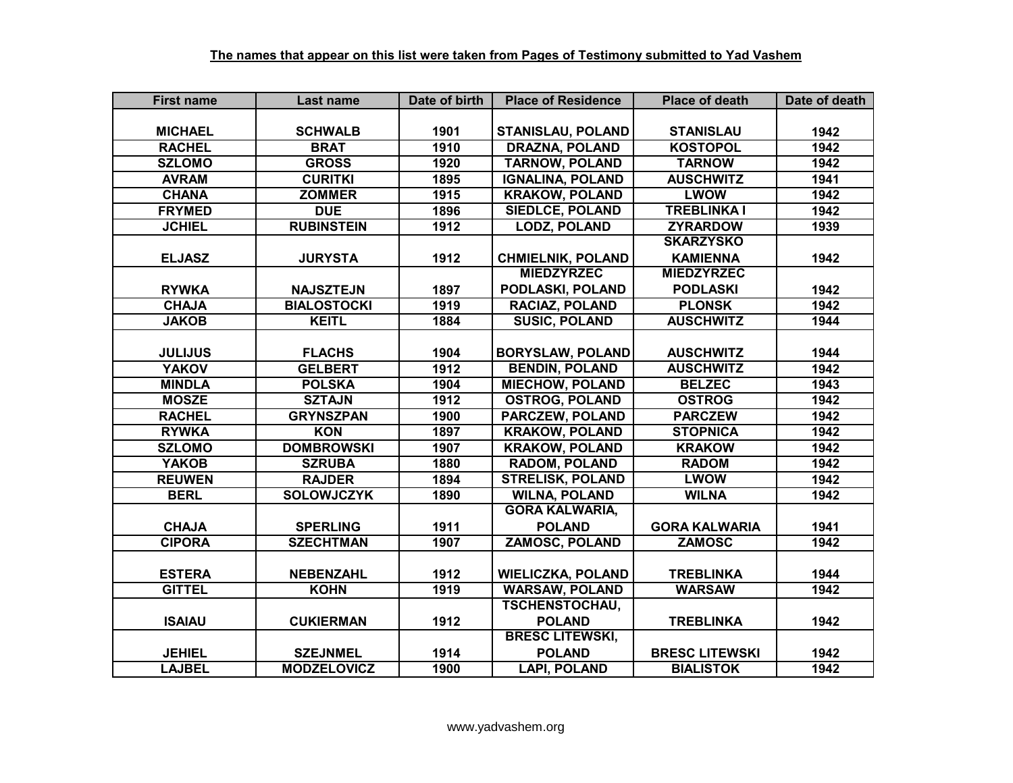| <b>First name</b> | Last name          | Date of birth | <b>Place of Residence</b> | <b>Place of death</b> | Date of death |
|-------------------|--------------------|---------------|---------------------------|-----------------------|---------------|
|                   |                    |               |                           |                       |               |
| <b>MICHAEL</b>    | <b>SCHWALB</b>     | 1901          | <b>STANISLAU, POLAND</b>  | <b>STANISLAU</b>      | 1942          |
| <b>RACHEL</b>     | <b>BRAT</b>        | 1910          | <b>DRAZNA, POLAND</b>     | <b>KOSTOPOL</b>       | 1942          |
| <b>SZLOMO</b>     | <b>GROSS</b>       | 1920          | <b>TARNOW, POLAND</b>     | <b>TARNOW</b>         | 1942          |
| <b>AVRAM</b>      | <b>CURITKI</b>     | 1895          | <b>IGNALINA, POLAND</b>   | <b>AUSCHWITZ</b>      | 1941          |
| <b>CHANA</b>      | <b>ZOMMER</b>      | 1915          | <b>KRAKOW, POLAND</b>     | <b>LWOW</b>           | 1942          |
| <b>FRYMED</b>     | <b>DUE</b>         | 1896          | <b>SIEDLCE, POLAND</b>    | <b>TREBLINKA I</b>    | 1942          |
| <b>JCHIEL</b>     | <b>RUBINSTEIN</b>  | 1912          | <b>LODZ, POLAND</b>       | <b>ZYRARDOW</b>       | 1939          |
|                   |                    |               |                           | <b>SKARZYSKO</b>      |               |
| <b>ELJASZ</b>     | <b>JURYSTA</b>     | 1912          | <b>CHMIELNIK, POLAND</b>  | <b>KAMIENNA</b>       | 1942          |
|                   |                    |               | <b>MIEDZYRZEC</b>         | <b>MIEDZYRZEC</b>     |               |
| <b>RYWKA</b>      | <b>NAJSZTEJN</b>   | 1897          | PODLASKI, POLAND          | <b>PODLASKI</b>       | 1942          |
| <b>CHAJA</b>      | <b>BIALOSTOCKI</b> | 1919          | <b>RACIAZ, POLAND</b>     | <b>PLONSK</b>         | 1942          |
| <b>JAKOB</b>      | <b>KEITL</b>       | 1884          | <b>SUSIC, POLAND</b>      | <b>AUSCHWITZ</b>      | 1944          |
|                   |                    |               |                           |                       |               |
| <b>JULIJUS</b>    | <b>FLACHS</b>      | 1904          | <b>BORYSLAW, POLAND</b>   | <b>AUSCHWITZ</b>      | 1944          |
| <b>YAKOV</b>      | <b>GELBERT</b>     | 1912          | <b>BENDIN, POLAND</b>     | <b>AUSCHWITZ</b>      | 1942          |
| <b>MINDLA</b>     | <b>POLSKA</b>      | 1904          | <b>MIECHOW, POLAND</b>    | <b>BELZEC</b>         | 1943          |
| <b>MOSZE</b>      | <b>SZTAJN</b>      | 1912          | <b>OSTROG, POLAND</b>     | <b>OSTROG</b>         | 1942          |
| <b>RACHEL</b>     | <b>GRYNSZPAN</b>   | 1900          | PARCZEW, POLAND           | <b>PARCZEW</b>        | 1942          |
| <b>RYWKA</b>      | <b>KON</b>         | 1897          | <b>KRAKOW, POLAND</b>     | <b>STOPNICA</b>       | 1942          |
| <b>SZLOMO</b>     | <b>DOMBROWSKI</b>  | 1907          | <b>KRAKOW, POLAND</b>     | <b>KRAKOW</b>         | 1942          |
| <b>YAKOB</b>      | <b>SZRUBA</b>      | 1880          | <b>RADOM, POLAND</b>      | <b>RADOM</b>          | 1942          |
| <b>REUWEN</b>     | <b>RAJDER</b>      | 1894          | <b>STRELISK, POLAND</b>   | <b>LWOW</b>           | 1942          |
| <b>BERL</b>       | <b>SOLOWJCZYK</b>  | 1890          | <b>WILNA, POLAND</b>      | <b>WILNA</b>          | 1942          |
|                   |                    |               | <b>GORA KALWARIA,</b>     |                       |               |
| <b>CHAJA</b>      | <b>SPERLING</b>    | 1911          | <b>POLAND</b>             | <b>GORA KALWARIA</b>  | 1941          |
| <b>CIPORA</b>     | <b>SZECHTMAN</b>   | 1907          | <b>ZAMOSC, POLAND</b>     | <b>ZAMOSC</b>         | 1942          |
|                   |                    |               |                           |                       |               |
| <b>ESTERA</b>     | <b>NEBENZAHL</b>   | 1912          | <b>WIELICZKA, POLAND</b>  | <b>TREBLINKA</b>      | 1944          |
| <b>GITTEL</b>     | <b>KOHN</b>        | 1919          | <b>WARSAW, POLAND</b>     | <b>WARSAW</b>         | 1942          |
|                   |                    |               | <b>TSCHENSTOCHAU,</b>     |                       |               |
| <b>ISAIAU</b>     | <b>CUKIERMAN</b>   | 1912          | <b>POLAND</b>             | <b>TREBLINKA</b>      | 1942          |
|                   |                    |               | <b>BRESC LITEWSKI,</b>    |                       |               |
| <b>JEHIEL</b>     | <b>SZEJNMEL</b>    | 1914          | <b>POLAND</b>             | <b>BRESC LITEWSKI</b> | 1942          |
| <b>LAJBEL</b>     | <b>MODZELOVICZ</b> | 1900          | <b>LAPI, POLAND</b>       | <b>BIALISTOK</b>      | 1942          |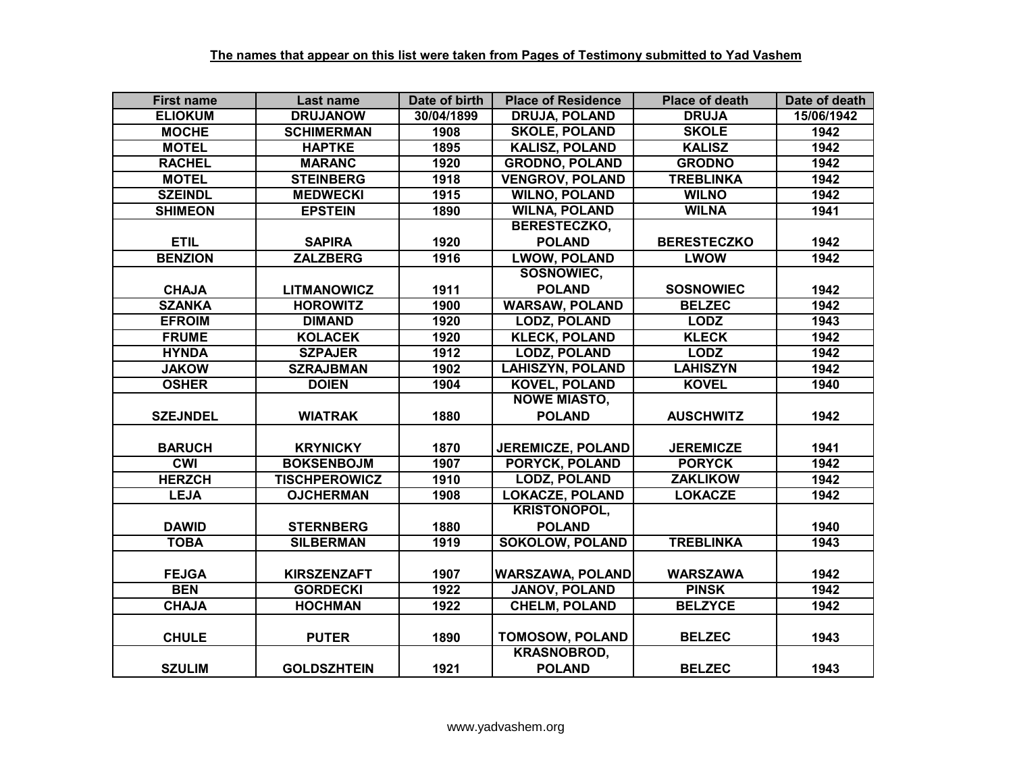| <b>First name</b> | Last name            | Date of birth | <b>Place of Residence</b> | <b>Place of death</b> | Date of death |
|-------------------|----------------------|---------------|---------------------------|-----------------------|---------------|
| <b>ELIOKUM</b>    | <b>DRUJANOW</b>      | 30/04/1899    | <b>DRUJA, POLAND</b>      | <b>DRUJA</b>          | 15/06/1942    |
| <b>MOCHE</b>      | <b>SCHIMERMAN</b>    | 1908          | <b>SKOLE, POLAND</b>      | <b>SKOLE</b>          | 1942          |
| <b>MOTEL</b>      | <b>HAPTKE</b>        | 1895          | <b>KALISZ, POLAND</b>     | <b>KALISZ</b>         | 1942          |
| <b>RACHEL</b>     | <b>MARANC</b>        | 1920          | <b>GRODNO, POLAND</b>     | <b>GRODNO</b>         | 1942          |
| <b>MOTEL</b>      | <b>STEINBERG</b>     | 1918          | <b>VENGROV, POLAND</b>    | <b>TREBLINKA</b>      | 1942          |
| <b>SZEINDL</b>    | <b>MEDWECKI</b>      | 1915          | <b>WILNO, POLAND</b>      | <b>WILNO</b>          | 1942          |
| <b>SHIMEON</b>    | <b>EPSTEIN</b>       | 1890          | <b>WILNA, POLAND</b>      | <b>WILNA</b>          | 1941          |
|                   |                      |               | <b>BERESTECZKO,</b>       |                       |               |
| <b>ETIL</b>       | <b>SAPIRA</b>        | 1920          | <b>POLAND</b>             | <b>BERESTECZKO</b>    | 1942          |
| <b>BENZION</b>    | <b>ZALZBERG</b>      | 1916          | <b>LWOW, POLAND</b>       | <b>LWOW</b>           | 1942          |
|                   |                      |               | SOSNOWIEC,                |                       |               |
| <b>CHAJA</b>      | <b>LITMANOWICZ</b>   | 1911          | <b>POLAND</b>             | <b>SOSNOWIEC</b>      | 1942          |
| <b>SZANKA</b>     | <b>HOROWITZ</b>      | 1900          | <b>WARSAW, POLAND</b>     | <b>BELZEC</b>         | 1942          |
| <b>EFROIM</b>     | <b>DIMAND</b>        | 1920          | <b>LODZ, POLAND</b>       | <b>LODZ</b>           | 1943          |
| <b>FRUME</b>      | <b>KOLACEK</b>       | 1920          | <b>KLECK, POLAND</b>      | <b>KLECK</b>          | 1942          |
| <b>HYNDA</b>      | <b>SZPAJER</b>       | 1912          | <b>LODZ, POLAND</b>       | <b>LODZ</b>           | 1942          |
| <b>JAKOW</b>      | <b>SZRAJBMAN</b>     | 1902          | <b>LAHISZYN, POLAND</b>   | <b>LAHISZYN</b>       | 1942          |
| <b>OSHER</b>      | <b>DOIEN</b>         | 1904          | <b>KOVEL, POLAND</b>      | <b>KOVEL</b>          | 1940          |
|                   |                      |               | <b>NOWE MIASTO,</b>       |                       |               |
| <b>SZEJNDEL</b>   | <b>WIATRAK</b>       | 1880          | <b>POLAND</b>             | <b>AUSCHWITZ</b>      | 1942          |
|                   |                      |               |                           |                       |               |
| <b>BARUCH</b>     | <b>KRYNICKY</b>      | 1870          | <b>JEREMICZE, POLAND</b>  | <b>JEREMICZE</b>      | 1941          |
| <b>CWI</b>        | <b>BOKSENBOJM</b>    | 1907          | <b>PORYCK, POLAND</b>     | <b>PORYCK</b>         | 1942          |
| <b>HERZCH</b>     | <b>TISCHPEROWICZ</b> | 1910          | <b>LODZ, POLAND</b>       | <b>ZAKLIKOW</b>       | 1942          |
| <b>LEJA</b>       | <b>OJCHERMAN</b>     | 1908          | <b>LOKACZE, POLAND</b>    | <b>LOKACZE</b>        | 1942          |
|                   |                      |               | <b>KRISTONOPOL,</b>       |                       |               |
| <b>DAWID</b>      | <b>STERNBERG</b>     | 1880          | <b>POLAND</b>             |                       | 1940          |
| <b>TOBA</b>       | <b>SILBERMAN</b>     | 1919          | <b>SOKOLOW, POLAND</b>    | <b>TREBLINKA</b>      | 1943          |
|                   |                      |               |                           |                       |               |
| <b>FEJGA</b>      | <b>KIRSZENZAFT</b>   | 1907          | <b>WARSZAWA, POLAND</b>   | <b>WARSZAWA</b>       | 1942          |
| <b>BEN</b>        | <b>GORDECKI</b>      | 1922          | <b>JANOV, POLAND</b>      | <b>PINSK</b>          | 1942          |
| <b>CHAJA</b>      | <b>HOCHMAN</b>       | 1922          | <b>CHELM, POLAND</b>      | <b>BELZYCE</b>        | 1942          |
|                   |                      |               |                           |                       |               |
| <b>CHULE</b>      | <b>PUTER</b>         | 1890          | <b>TOMOSOW, POLAND</b>    | <b>BELZEC</b>         | 1943          |
|                   |                      |               | <b>KRASNOBROD,</b>        |                       |               |
| <b>SZULIM</b>     | <b>GOLDSZHTEIN</b>   | 1921          | <b>POLAND</b>             | <b>BELZEC</b>         | 1943          |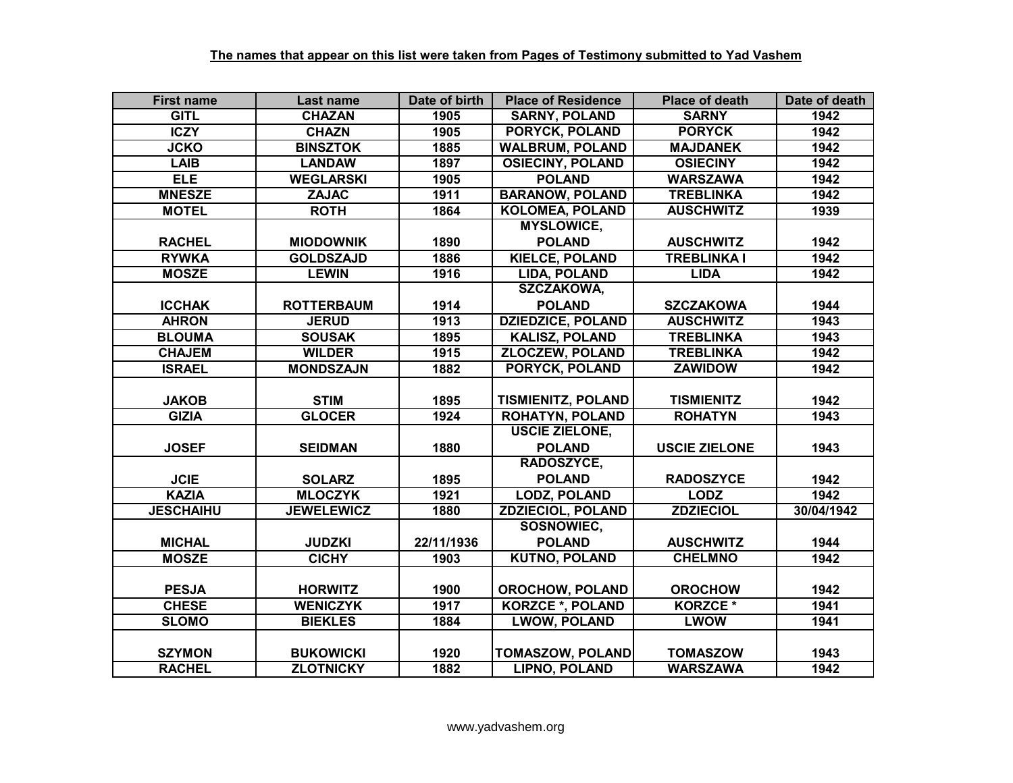| <b>First name</b> | Last name         | Date of birth | <b>Place of Residence</b> | <b>Place of death</b> | Date of death |
|-------------------|-------------------|---------------|---------------------------|-----------------------|---------------|
| <b>GITL</b>       | <b>CHAZAN</b>     | 1905          | <b>SARNY, POLAND</b>      | <b>SARNY</b>          | 1942          |
| <b>ICZY</b>       | <b>CHAZN</b>      | 1905          | <b>PORYCK, POLAND</b>     | <b>PORYCK</b>         | 1942          |
| <b>JCKO</b>       | <b>BINSZTOK</b>   | 1885          | <b>WALBRUM, POLAND</b>    | <b>MAJDANEK</b>       | 1942          |
| <b>LAIB</b>       | <b>LANDAW</b>     | 1897          | <b>OSIECINY, POLAND</b>   | <b>OSIECINY</b>       | 1942          |
| <b>ELE</b>        | <b>WEGLARSKI</b>  | 1905          | <b>POLAND</b>             | <b>WARSZAWA</b>       | 1942          |
| <b>MNESZE</b>     | <b>ZAJAC</b>      | 1911          | <b>BARANOW, POLAND</b>    | <b>TREBLINKA</b>      | 1942          |
| <b>MOTEL</b>      | <b>ROTH</b>       | 1864          | <b>KOLOMEA, POLAND</b>    | <b>AUSCHWITZ</b>      | 1939          |
|                   |                   |               | <b>MYSLOWICE,</b>         |                       |               |
| <b>RACHEL</b>     | <b>MIODOWNIK</b>  | 1890          | <b>POLAND</b>             | <b>AUSCHWITZ</b>      | 1942          |
| <b>RYWKA</b>      | <b>GOLDSZAJD</b>  | 1886          | <b>KIELCE, POLAND</b>     | <b>TREBLINKA I</b>    | 1942          |
| <b>MOSZE</b>      | <b>LEWIN</b>      | 1916          | LIDA, POLAND              | <b>LIDA</b>           | 1942          |
|                   |                   |               | <b>SZCZAKOWA,</b>         |                       |               |
| <b>ICCHAK</b>     | <b>ROTTERBAUM</b> | 1914          | <b>POLAND</b>             | <b>SZCZAKOWA</b>      | 1944          |
| <b>AHRON</b>      | <b>JERUD</b>      | 1913          | <b>DZIEDZICE, POLAND</b>  | <b>AUSCHWITZ</b>      | 1943          |
| <b>BLOUMA</b>     | <b>SOUSAK</b>     | 1895          | <b>KALISZ, POLAND</b>     | <b>TREBLINKA</b>      | 1943          |
| <b>CHAJEM</b>     | <b>WILDER</b>     | 1915          | <b>ZLOCZEW, POLAND</b>    | <b>TREBLINKA</b>      | 1942          |
| <b>ISRAEL</b>     | <b>MONDSZAJN</b>  | 1882          | PORYCK, POLAND            | <b>ZAWIDOW</b>        | 1942          |
|                   |                   |               |                           |                       |               |
| <b>JAKOB</b>      | <b>STIM</b>       | 1895          | <b>TISMIENITZ, POLAND</b> | <b>TISMIENITZ</b>     | 1942          |
| <b>GIZIA</b>      | <b>GLOCER</b>     | 1924          | <b>ROHATYN, POLAND</b>    | <b>ROHATYN</b>        | 1943          |
|                   |                   |               | <b>USCIE ZIELONE,</b>     |                       |               |
| <b>JOSEF</b>      | <b>SEIDMAN</b>    | 1880          | <b>POLAND</b>             | <b>USCIE ZIELONE</b>  | 1943          |
|                   |                   |               | RADOSZYCE,                |                       |               |
| <b>JCIE</b>       | <b>SOLARZ</b>     | 1895          | <b>POLAND</b>             | <b>RADOSZYCE</b>      | 1942          |
| <b>KAZIA</b>      | <b>MLOCZYK</b>    | 1921          | <b>LODZ, POLAND</b>       | <b>LODZ</b>           | 1942          |
| <b>JESCHAIHU</b>  | <b>JEWELEWICZ</b> | 1880          | <b>ZDZIECIOL, POLAND</b>  | <b>ZDZIECIOL</b>      | 30/04/1942    |
|                   |                   |               | <b>SOSNOWIEC,</b>         |                       |               |
| <b>MICHAL</b>     | <b>JUDZKI</b>     | 22/11/1936    | <b>POLAND</b>             | <b>AUSCHWITZ</b>      | 1944          |
| <b>MOSZE</b>      | <b>CICHY</b>      | 1903          | <b>KUTNO, POLAND</b>      | <b>CHELMNO</b>        | 1942          |
|                   |                   |               |                           |                       |               |
| <b>PESJA</b>      | <b>HORWITZ</b>    | 1900          | <b>OROCHOW, POLAND</b>    | <b>OROCHOW</b>        | 1942          |
| <b>CHESE</b>      | <b>WENICZYK</b>   | 1917          | <b>KORZCE *, POLAND</b>   | <b>KORZCE *</b>       | 1941          |
| <b>SLOMO</b>      | <b>BIEKLES</b>    | 1884          | <b>LWOW, POLAND</b>       | <b>LWOW</b>           | 1941          |
|                   |                   |               |                           |                       |               |
| <b>SZYMON</b>     | <b>BUKOWICKI</b>  | 1920          | <b>TOMASZOW, POLAND</b>   | <b>TOMASZOW</b>       | 1943          |
| <b>RACHEL</b>     | <b>ZLOTNICKY</b>  | 1882          | <b>LIPNO, POLAND</b>      | <b>WARSZAWA</b>       | 1942          |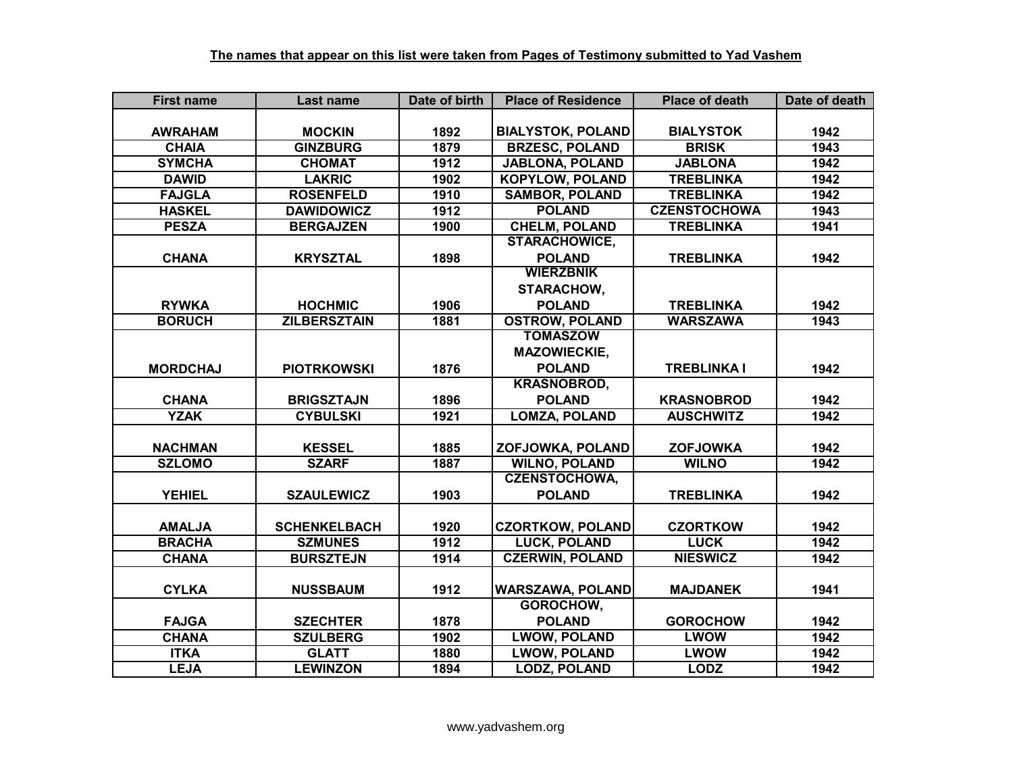| <b>First name</b> | Last name           | Date of birth | <b>Place of Residence</b> | <b>Place of death</b> | Date of death |
|-------------------|---------------------|---------------|---------------------------|-----------------------|---------------|
|                   |                     |               |                           |                       |               |
| <b>AWRAHAM</b>    | <b>MOCKIN</b>       | 1892          | <b>BIALYSTOK, POLAND</b>  | <b>BIALYSTOK</b>      | 1942          |
| <b>CHAIA</b>      | <b>GINZBURG</b>     | 1879          | <b>BRZESC, POLAND</b>     | <b>BRISK</b>          | 1943          |
| <b>SYMCHA</b>     | <b>CHOMAT</b>       | 1912          | <b>JABLONA, POLAND</b>    | <b>JABLONA</b>        | 1942          |
| <b>DAWID</b>      | <b>LAKRIC</b>       | 1902          | <b>KOPYLOW, POLAND</b>    | <b>TREBLINKA</b>      | 1942          |
| <b>FAJGLA</b>     | <b>ROSENFELD</b>    | 1910          | <b>SAMBOR, POLAND</b>     | <b>TREBLINKA</b>      | 1942          |
| <b>HASKEL</b>     | <b>DAWIDOWICZ</b>   | 1912          | <b>POLAND</b>             | <b>CZENSTOCHOWA</b>   | 1943          |
| <b>PESZA</b>      | <b>BERGAJZEN</b>    | 1900          | <b>CHELM, POLAND</b>      | <b>TREBLINKA</b>      | 1941          |
|                   |                     |               | <b>STARACHOWICE,</b>      |                       |               |
| <b>CHANA</b>      | <b>KRYSZTAL</b>     | 1898          | <b>POLAND</b>             | <b>TREBLINKA</b>      | 1942          |
|                   |                     |               | <b>WIERZBNIK</b>          |                       |               |
|                   |                     |               | STARACHOW,                |                       |               |
| <b>RYWKA</b>      | <b>HOCHMIC</b>      | 1906          | <b>POLAND</b>             | <b>TREBLINKA</b>      | 1942          |
| <b>BORUCH</b>     | <b>ZILBERSZTAIN</b> | 1881          | <b>OSTROW, POLAND</b>     | <b>WARSZAWA</b>       | 1943          |
|                   |                     |               | <b>TOMASZOW</b>           |                       |               |
|                   |                     |               | <b>MAZOWIECKIE,</b>       |                       |               |
| <b>MORDCHAJ</b>   | <b>PIOTRKOWSKI</b>  | 1876          | <b>POLAND</b>             | <b>TREBLINKA I</b>    | 1942          |
|                   |                     |               | <b>KRASNOBROD,</b>        |                       |               |
| <b>CHANA</b>      | <b>BRIGSZTAJN</b>   | 1896          | <b>POLAND</b>             | <b>KRASNOBROD</b>     | 1942          |
| <b>YZAK</b>       | <b>CYBULSKI</b>     | 1921          | <b>LOMZA, POLAND</b>      | <b>AUSCHWITZ</b>      | 1942          |
|                   |                     |               |                           |                       |               |
| <b>NACHMAN</b>    | <b>KESSEL</b>       | 1885          | ZOFJOWKA, POLAND          | <b>ZOFJOWKA</b>       | 1942          |
| <b>SZLOMO</b>     | <b>SZARF</b>        | 1887          | <b>WILNO, POLAND</b>      | <b>WILNO</b>          | 1942          |
|                   |                     |               | <b>CZENSTOCHOWA,</b>      |                       |               |
| <b>YEHIEL</b>     | <b>SZAULEWICZ</b>   | 1903          | <b>POLAND</b>             | <b>TREBLINKA</b>      | 1942          |
|                   |                     |               |                           |                       |               |
| <b>AMALJA</b>     | <b>SCHENKELBACH</b> | 1920          | <b>CZORTKOW, POLAND</b>   | <b>CZORTKOW</b>       | 1942          |
| <b>BRACHA</b>     | <b>SZMUNES</b>      | 1912          | <b>LUCK, POLAND</b>       | <b>LUCK</b>           | 1942          |
| <b>CHANA</b>      | <b>BURSZTEJN</b>    | 1914          | <b>CZERWIN, POLAND</b>    | <b>NIESWICZ</b>       | 1942          |
|                   |                     |               |                           |                       |               |
| <b>CYLKA</b>      | <b>NUSSBAUM</b>     | 1912          | <b>WARSZAWA, POLAND</b>   | <b>MAJDANEK</b>       | 1941          |
|                   |                     |               | GOROCHOW,                 |                       |               |
| <b>FAJGA</b>      | <b>SZECHTER</b>     | 1878          | <b>POLAND</b>             | <b>GOROCHOW</b>       | 1942          |
| <b>CHANA</b>      | <b>SZULBERG</b>     | 1902          | <b>LWOW, POLAND</b>       | <b>LWOW</b>           | 1942          |
| <b>ITKA</b>       | <b>GLATT</b>        | 1880          | <b>LWOW, POLAND</b>       | <b>LWOW</b>           | 1942          |
| <b>LEJA</b>       | <b>LEWINZON</b>     | 1894          | <b>LODZ, POLAND</b>       | <b>LODZ</b>           | 1942          |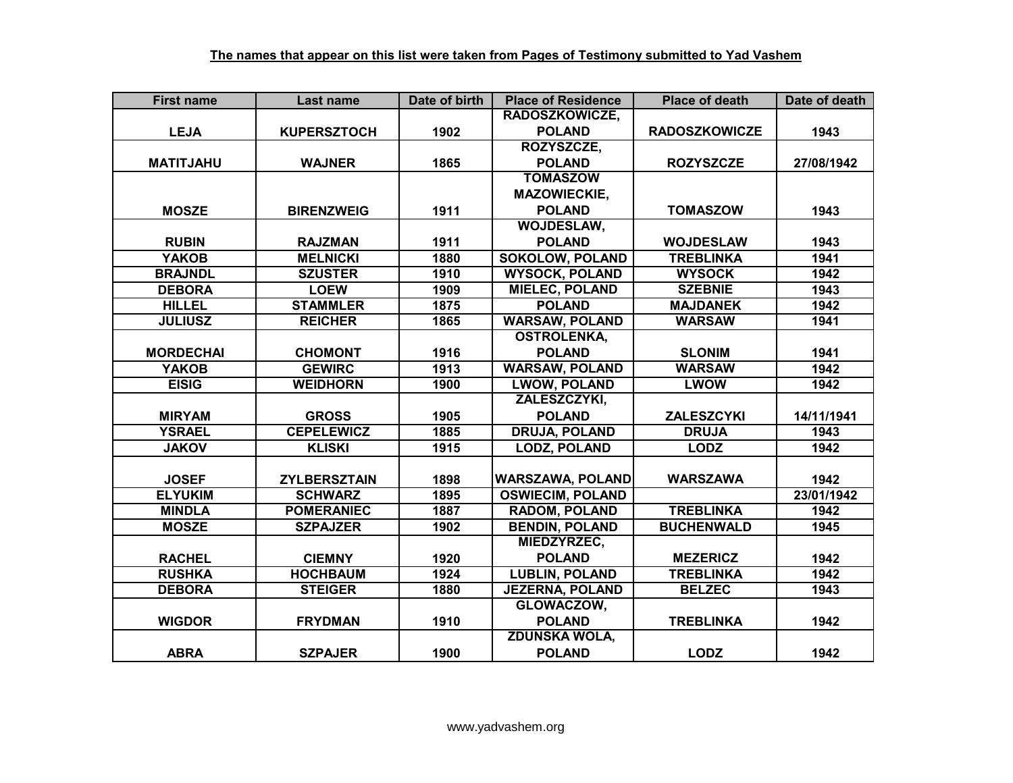| <b>First name</b> | <b>Last name</b>    | Date of birth | <b>Place of Residence</b> | <b>Place of death</b> | Date of death |
|-------------------|---------------------|---------------|---------------------------|-----------------------|---------------|
|                   |                     |               | <b>RADOSZKOWICZE,</b>     |                       |               |
| <b>LEJA</b>       | <b>KUPERSZTOCH</b>  | 1902          | <b>POLAND</b>             | <b>RADOSZKOWICZE</b>  | 1943          |
|                   |                     |               | ROZYSZCZE.                |                       |               |
| <b>MATITJAHU</b>  | <b>WAJNER</b>       | 1865          | <b>POLAND</b>             | <b>ROZYSZCZE</b>      | 27/08/1942    |
|                   |                     |               | <b>TOMASZOW</b>           |                       |               |
|                   |                     |               | <b>MAZOWIECKIE,</b>       |                       |               |
| <b>MOSZE</b>      | <b>BIRENZWEIG</b>   | 1911          | <b>POLAND</b>             | <b>TOMASZOW</b>       | 1943          |
|                   |                     |               | WOJDESLAW,                |                       |               |
| <b>RUBIN</b>      | <b>RAJZMAN</b>      | 1911          | <b>POLAND</b>             | <b>WOJDESLAW</b>      | 1943          |
| <b>YAKOB</b>      | <b>MELNICKI</b>     | 1880          | <b>SOKOLOW, POLAND</b>    | <b>TREBLINKA</b>      | 1941          |
| <b>BRAJNDL</b>    | <b>SZUSTER</b>      | 1910          | <b>WYSOCK, POLAND</b>     | <b>WYSOCK</b>         | 1942          |
| <b>DEBORA</b>     | <b>LOEW</b>         | 1909          | <b>MIELEC, POLAND</b>     | <b>SZEBNIE</b>        | 1943          |
| <b>HILLEL</b>     | <b>STAMMLER</b>     | 1875          | <b>POLAND</b>             | <b>MAJDANEK</b>       | 1942          |
| <b>JULIUSZ</b>    | <b>REICHER</b>      | 1865          | <b>WARSAW, POLAND</b>     | <b>WARSAW</b>         | 1941          |
|                   |                     |               | <b>OSTROLENKA,</b>        |                       |               |
| <b>MORDECHAI</b>  | <b>CHOMONT</b>      | 1916          | <b>POLAND</b>             | <b>SLONIM</b>         | 1941          |
| <b>YAKOB</b>      | <b>GEWIRC</b>       | 1913          | <b>WARSAW, POLAND</b>     | <b>WARSAW</b>         | 1942          |
| <b>EISIG</b>      | <b>WEIDHORN</b>     | 1900          | <b>LWOW, POLAND</b>       | <b>LWOW</b>           | 1942          |
|                   |                     |               | ZALESZCZYKI,              |                       |               |
| <b>MIRYAM</b>     | <b>GROSS</b>        | 1905          | <b>POLAND</b>             | <b>ZALESZCYKI</b>     | 14/11/1941    |
| <b>YSRAEL</b>     | <b>CEPELEWICZ</b>   | 1885          | <b>DRUJA, POLAND</b>      | <b>DRUJA</b>          | 1943          |
| <b>JAKOV</b>      | <b>KLISKI</b>       | 1915          | <b>LODZ, POLAND</b>       | <b>LODZ</b>           | 1942          |
|                   |                     |               |                           |                       |               |
| <b>JOSEF</b>      | <b>ZYLBERSZTAIN</b> | 1898          | <b>WARSZAWA, POLAND</b>   | <b>WARSZAWA</b>       | 1942          |
| <b>ELYUKIM</b>    | <b>SCHWARZ</b>      | 1895          | <b>OSWIECIM, POLAND</b>   |                       | 23/01/1942    |
| <b>MINDLA</b>     | <b>POMERANIEC</b>   | 1887          | <b>RADOM, POLAND</b>      | <b>TREBLINKA</b>      | 1942          |
| <b>MOSZE</b>      | <b>SZPAJZER</b>     | 1902          | <b>BENDIN, POLAND</b>     | <b>BUCHENWALD</b>     | 1945          |
|                   |                     |               | MIEDZYRZEC,               |                       |               |
| <b>RACHEL</b>     | <b>CIEMNY</b>       | 1920          | <b>POLAND</b>             | <b>MEZERICZ</b>       | 1942          |
| <b>RUSHKA</b>     | <b>HOCHBAUM</b>     | 1924          | <b>LUBLIN, POLAND</b>     | <b>TREBLINKA</b>      | 1942          |
| <b>DEBORA</b>     | <b>STEIGER</b>      | 1880          | <b>JEZERNA, POLAND</b>    | <b>BELZEC</b>         | 1943          |
|                   |                     |               | GLOWACZOW,                |                       |               |
| <b>WIGDOR</b>     | <b>FRYDMAN</b>      | 1910          | <b>POLAND</b>             | <b>TREBLINKA</b>      | 1942          |
|                   |                     |               | <b>ZDUNSKA WOLA,</b>      |                       |               |
| <b>ABRA</b>       | <b>SZPAJER</b>      | 1900          | <b>POLAND</b>             | <b>LODZ</b>           | 1942          |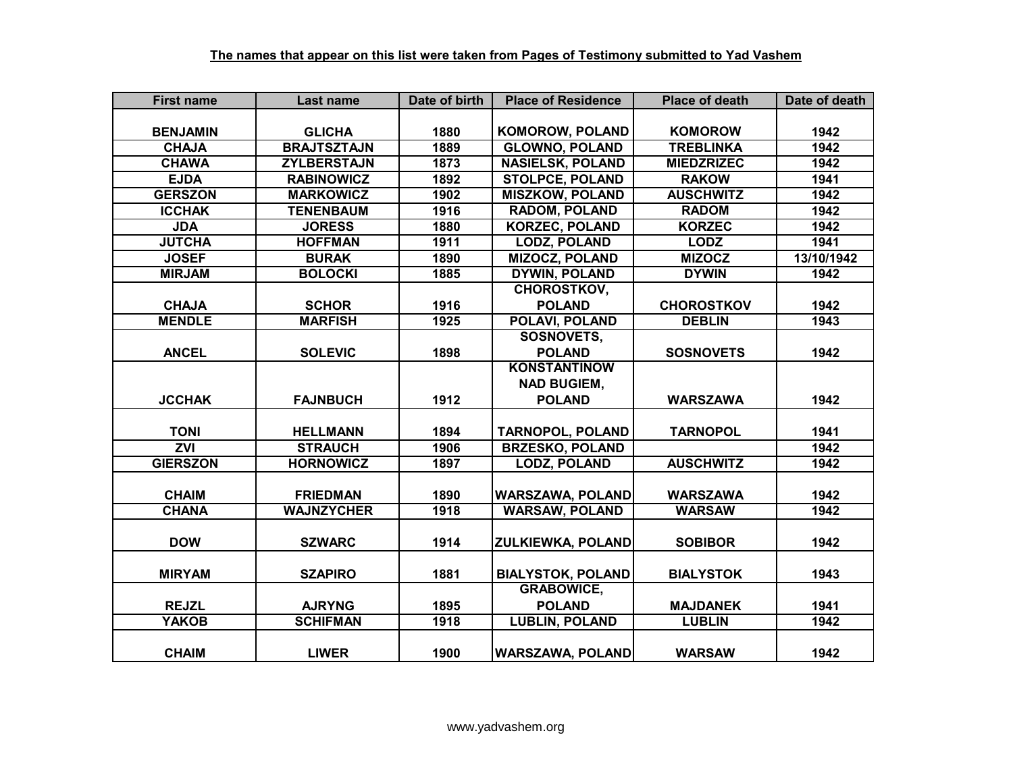| <b>First name</b> | Last name          | Date of birth     | <b>Place of Residence</b> | <b>Place of death</b> | Date of death |
|-------------------|--------------------|-------------------|---------------------------|-----------------------|---------------|
|                   |                    |                   |                           |                       |               |
| <b>BENJAMIN</b>   | <b>GLICHA</b>      | 1880              | <b>KOMOROW, POLAND</b>    | <b>KOMOROW</b>        | 1942          |
| <b>CHAJA</b>      | <b>BRAJTSZTAJN</b> | 1889              | <b>GLOWNO, POLAND</b>     | <b>TREBLINKA</b>      | 1942          |
| <b>CHAWA</b>      | <b>ZYLBERSTAJN</b> | 1873              | <b>NASIELSK, POLAND</b>   | <b>MIEDZRIZEC</b>     | 1942          |
| <b>EJDA</b>       | <b>RABINOWICZ</b>  | 1892              | <b>STOLPCE, POLAND</b>    | <b>RAKOW</b>          | 1941          |
| <b>GERSZON</b>    | <b>MARKOWICZ</b>   | 1902              | <b>MISZKOW, POLAND</b>    | <b>AUSCHWITZ</b>      | 1942          |
| <b>ICCHAK</b>     | <b>TENENBAUM</b>   | 1916              | <b>RADOM, POLAND</b>      | <b>RADOM</b>          | 1942          |
| <b>JDA</b>        | <b>JORESS</b>      | 1880              | <b>KORZEC, POLAND</b>     | <b>KORZEC</b>         | 1942          |
| <b>JUTCHA</b>     | <b>HOFFMAN</b>     | 1911              | <b>LODZ, POLAND</b>       | <b>LODZ</b>           | 1941          |
| <b>JOSEF</b>      | <b>BURAK</b>       | 1890              | <b>MIZOCZ, POLAND</b>     | <b>MIZOCZ</b>         | 13/10/1942    |
| <b>MIRJAM</b>     | <b>BOLOCKI</b>     | 1885              | <b>DYWIN, POLAND</b>      | <b>DYWIN</b>          | 1942          |
|                   |                    |                   | <b>CHOROSTKOV,</b>        |                       |               |
| <b>CHAJA</b>      | <b>SCHOR</b>       | 1916              | <b>POLAND</b>             | <b>CHOROSTKOV</b>     | 1942          |
| <b>MENDLE</b>     | <b>MARFISH</b>     | $\overline{19}25$ | POLAVI, POLAND            | <b>DEBLIN</b>         | 1943          |
|                   |                    |                   | <b>SOSNOVETS,</b>         |                       |               |
| <b>ANCEL</b>      | <b>SOLEVIC</b>     | 1898              | <b>POLAND</b>             | <b>SOSNOVETS</b>      | 1942          |
|                   |                    |                   | <b>KONSTANTINOW</b>       |                       |               |
|                   |                    |                   | <b>NAD BUGIEM,</b>        |                       |               |
| <b>JCCHAK</b>     | <b>FAJNBUCH</b>    | 1912              | <b>POLAND</b>             | <b>WARSZAWA</b>       | 1942          |
|                   |                    |                   |                           |                       |               |
| <b>TONI</b>       | <b>HELLMANN</b>    | 1894              | <b>TARNOPOL, POLAND</b>   | <b>TARNOPOL</b>       | 1941          |
| <b>ZVI</b>        | <b>STRAUCH</b>     | 1906              | <b>BRZESKO, POLAND</b>    |                       | 1942          |
| <b>GIERSZON</b>   | <b>HORNOWICZ</b>   | 1897              | <b>LODZ, POLAND</b>       | <b>AUSCHWITZ</b>      | 1942          |
|                   |                    |                   |                           |                       |               |
| <b>CHAIM</b>      | <b>FRIEDMAN</b>    | 1890              | <b>WARSZAWA, POLAND</b>   | <b>WARSZAWA</b>       | 1942          |
| <b>CHANA</b>      | <b>WAJNZYCHER</b>  | 1918              | <b>WARSAW, POLAND</b>     | <b>WARSAW</b>         | 1942          |
|                   |                    |                   |                           |                       |               |
| <b>DOW</b>        | <b>SZWARC</b>      | 1914              | <b>ZULKIEWKA, POLAND</b>  | <b>SOBIBOR</b>        | 1942          |
|                   |                    |                   |                           |                       |               |
| <b>MIRYAM</b>     | <b>SZAPIRO</b>     | 1881              | <b>BIALYSTOK, POLAND</b>  | <b>BIALYSTOK</b>      | 1943          |
|                   |                    |                   | <b>GRABOWICE,</b>         |                       |               |
| <b>REJZL</b>      | <b>AJRYNG</b>      | 1895              | <b>POLAND</b>             | <b>MAJDANEK</b>       | 1941          |
| <b>YAKOB</b>      | <b>SCHIFMAN</b>    | 1918              | <b>LUBLIN, POLAND</b>     | <b>LUBLIN</b>         | 1942          |
|                   |                    |                   |                           |                       |               |
| <b>CHAIM</b>      | <b>LIWER</b>       | 1900              | <b>WARSZAWA, POLAND</b>   | <b>WARSAW</b>         | 1942          |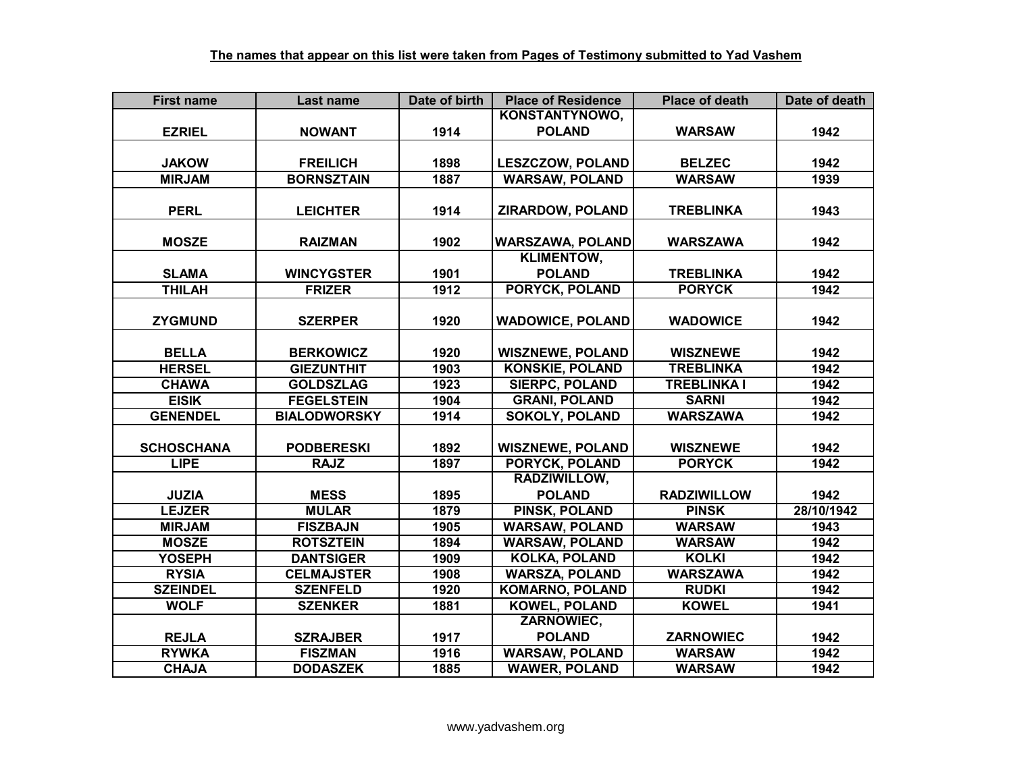| <b>First name</b> | Last name           | Date of birth | <b>Place of Residence</b> | <b>Place of death</b> | Date of death |
|-------------------|---------------------|---------------|---------------------------|-----------------------|---------------|
|                   |                     |               | KONSTANTYNOWO,            |                       |               |
| <b>EZRIEL</b>     | <b>NOWANT</b>       | 1914          | <b>POLAND</b>             | <b>WARSAW</b>         | 1942          |
|                   |                     |               |                           |                       |               |
| <b>JAKOW</b>      | <b>FREILICH</b>     | 1898          | LESZCZOW, POLAND          | <b>BELZEC</b>         | 1942          |
| <b>MIRJAM</b>     | <b>BORNSZTAIN</b>   | 1887          | <b>WARSAW, POLAND</b>     | <b>WARSAW</b>         | 1939          |
|                   |                     |               |                           |                       |               |
| <b>PERL</b>       | <b>LEICHTER</b>     | 1914          | ZIRARDOW, POLAND          | <b>TREBLINKA</b>      | 1943          |
|                   |                     |               |                           |                       |               |
| <b>MOSZE</b>      | <b>RAIZMAN</b>      | 1902          | <b>WARSZAWA, POLAND</b>   | <b>WARSZAWA</b>       | 1942          |
|                   |                     |               | <b>KLIMENTOW,</b>         |                       |               |
| <b>SLAMA</b>      | <b>WINCYGSTER</b>   | 1901          | <b>POLAND</b>             | <b>TREBLINKA</b>      | 1942          |
| <b>THILAH</b>     | <b>FRIZER</b>       | 1912          | PORYCK, POLAND            | <b>PORYCK</b>         | 1942          |
|                   |                     |               |                           |                       |               |
| <b>ZYGMUND</b>    | <b>SZERPER</b>      | 1920          | <b>WADOWICE, POLAND</b>   | <b>WADOWICE</b>       | 1942          |
|                   |                     |               |                           |                       |               |
| <b>BELLA</b>      | <b>BERKOWICZ</b>    | 1920          | <b>WISZNEWE, POLAND</b>   | <b>WISZNEWE</b>       | 1942          |
| <b>HERSEL</b>     | <b>GIEZUNTHIT</b>   | 1903          | <b>KONSKIE, POLAND</b>    | <b>TREBLINKA</b>      | 1942          |
| <b>CHAWA</b>      | <b>GOLDSZLAG</b>    | 1923          | <b>SIERPC, POLAND</b>     | <b>TREBLINKA I</b>    | 1942          |
| <b>EISIK</b>      | <b>FEGELSTEIN</b>   | 1904          | <b>GRANI, POLAND</b>      | <b>SARNI</b>          | 1942          |
| <b>GENENDEL</b>   | <b>BIALODWORSKY</b> | 1914          | <b>SOKOLY, POLAND</b>     | <b>WARSZAWA</b>       | 1942          |
|                   |                     |               |                           |                       |               |
| <b>SCHOSCHANA</b> | <b>PODBERESKI</b>   | 1892          | <b>WISZNEWE, POLAND</b>   | <b>WISZNEWE</b>       | 1942          |
| <b>LIPE</b>       | <b>RAJZ</b>         | 1897          | <b>PORYCK, POLAND</b>     | <b>PORYCK</b>         | 1942          |
|                   |                     |               | RADZIWILLOW,              |                       |               |
| <b>JUZIA</b>      | <b>MESS</b>         | 1895          | <b>POLAND</b>             | <b>RADZIWILLOW</b>    | 1942          |
| <b>LEJZER</b>     | <b>MULAR</b>        | 1879          | <b>PINSK, POLAND</b>      | <b>PINSK</b>          | 28/10/1942    |
| <b>MIRJAM</b>     | <b>FISZBAJN</b>     | 1905          | <b>WARSAW, POLAND</b>     | <b>WARSAW</b>         | 1943          |
| <b>MOSZE</b>      | <b>ROTSZTEIN</b>    | 1894          | <b>WARSAW, POLAND</b>     | <b>WARSAW</b>         | 1942          |
| <b>YOSEPH</b>     | <b>DANTSIGER</b>    | 1909          | <b>KOLKA, POLAND</b>      | <b>KOLKI</b>          | 1942          |
| <b>RYSIA</b>      | <b>CELMAJSTER</b>   | 1908          | <b>WARSZA, POLAND</b>     | <b>WARSZAWA</b>       | 1942          |
| <b>SZEINDEL</b>   | <b>SZENFELD</b>     | 1920          | <b>KOMARNO, POLAND</b>    | <b>RUDKI</b>          | 1942          |
| <b>WOLF</b>       | <b>SZENKER</b>      | 1881          | <b>KOWEL, POLAND</b>      | <b>KOWEL</b>          | 1941          |
|                   |                     |               | ZARNOWIEC,                |                       |               |
| <b>REJLA</b>      | <b>SZRAJBER</b>     | 1917          | <b>POLAND</b>             | <b>ZARNOWIEC</b>      | 1942          |
| <b>RYWKA</b>      | <b>FISZMAN</b>      | 1916          | <b>WARSAW, POLAND</b>     | <b>WARSAW</b>         | 1942          |
| <b>CHAJA</b>      | <b>DODASZEK</b>     | 1885          | <b>WAWER, POLAND</b>      | <b>WARSAW</b>         | 1942          |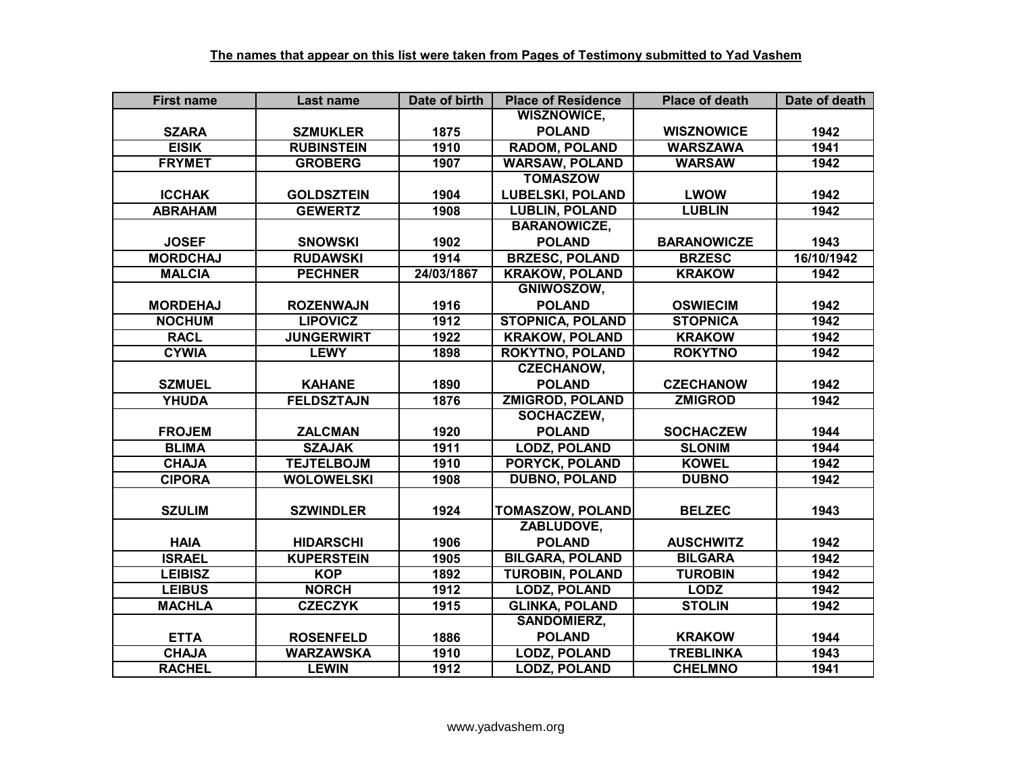| <b>First name</b> | Last name         | Date of birth | <b>Place of Residence</b> | <b>Place of death</b> | Date of death |
|-------------------|-------------------|---------------|---------------------------|-----------------------|---------------|
|                   |                   |               | <b>WISZNOWICE,</b>        |                       |               |
| <b>SZARA</b>      | <b>SZMUKLER</b>   | 1875          | <b>POLAND</b>             | <b>WISZNOWICE</b>     | 1942          |
| <b>EISIK</b>      | <b>RUBINSTEIN</b> | 1910          | <b>RADOM, POLAND</b>      | <b>WARSZAWA</b>       | 1941          |
| <b>FRYMET</b>     | <b>GROBERG</b>    | 1907          | <b>WARSAW, POLAND</b>     | <b>WARSAW</b>         | 1942          |
|                   |                   |               | <b>TOMASZOW</b>           |                       |               |
| <b>ICCHAK</b>     | <b>GOLDSZTEIN</b> | 1904          | <b>LUBELSKI, POLAND</b>   | <b>LWOW</b>           | 1942          |
| <b>ABRAHAM</b>    | <b>GEWERTZ</b>    | 1908          | <b>LUBLIN, POLAND</b>     | <b>LUBLIN</b>         | 1942          |
|                   |                   |               | <b>BARANOWICZE,</b>       |                       |               |
| <b>JOSEF</b>      | <b>SNOWSKI</b>    | 1902          | <b>POLAND</b>             | <b>BARANOWICZE</b>    | 1943          |
| <b>MORDCHAJ</b>   | <b>RUDAWSKI</b>   | 1914          | <b>BRZESC, POLAND</b>     | <b>BRZESC</b>         | 16/10/1942    |
| <b>MALCIA</b>     | <b>PECHNER</b>    | 24/03/1867    | <b>KRAKOW, POLAND</b>     | <b>KRAKOW</b>         | 1942          |
|                   |                   |               | GNIWOSZOW,                |                       |               |
| <b>MORDEHAJ</b>   | <b>ROZENWAJN</b>  | 1916          | <b>POLAND</b>             | <b>OSWIECIM</b>       | 1942          |
| <b>NOCHUM</b>     | <b>LIPOVICZ</b>   | 1912          | <b>STOPNICA, POLAND</b>   | <b>STOPNICA</b>       | 1942          |
| <b>RACL</b>       | <b>JUNGERWIRT</b> | 1922          | <b>KRAKOW, POLAND</b>     | <b>KRAKOW</b>         | 1942          |
| <b>CYWIA</b>      | <b>LEWY</b>       | 1898          | <b>ROKYTNO, POLAND</b>    | <b>ROKYTNO</b>        | 1942          |
|                   |                   |               | <b>CZECHANOW,</b>         |                       |               |
| <b>SZMUEL</b>     | <b>KAHANE</b>     | 1890          | <b>POLAND</b>             | <b>CZECHANOW</b>      | 1942          |
| <b>YHUDA</b>      | <b>FELDSZTAJN</b> | 1876          | <b>ZMIGROD, POLAND</b>    | <b>ZMIGROD</b>        | 1942          |
|                   |                   |               | <b>SOCHACZEW,</b>         |                       |               |
| <b>FROJEM</b>     | <b>ZALCMAN</b>    | 1920          | <b>POLAND</b>             | <b>SOCHACZEW</b>      | 1944          |
| <b>BLIMA</b>      | <b>SZAJAK</b>     | 1911          | <b>LODZ, POLAND</b>       | <b>SLONIM</b>         | 1944          |
| <b>CHAJA</b>      | <b>TEJTELBOJM</b> | 1910          | <b>PORYCK, POLAND</b>     | <b>KOWEL</b>          | 1942          |
| <b>CIPORA</b>     | <b>WOLOWELSKI</b> | 1908          | <b>DUBNO, POLAND</b>      | <b>DUBNO</b>          | 1942          |
|                   |                   |               |                           |                       |               |
| <b>SZULIM</b>     | <b>SZWINDLER</b>  | 1924          | <b>TOMASZOW, POLAND</b>   | <b>BELZEC</b>         | 1943          |
|                   |                   |               | ZABLUDOVE,                |                       |               |
| <b>HAIA</b>       | <b>HIDARSCHI</b>  | 1906          | <b>POLAND</b>             | <b>AUSCHWITZ</b>      | 1942          |
| <b>ISRAEL</b>     | <b>KUPERSTEIN</b> | 1905          | <b>BILGARA, POLAND</b>    | <b>BILGARA</b>        | 1942          |
| <b>LEIBISZ</b>    | <b>KOP</b>        | 1892          | <b>TUROBIN, POLAND</b>    | <b>TUROBIN</b>        | 1942          |
| <b>LEIBUS</b>     | <b>NORCH</b>      | 1912          | <b>LODZ, POLAND</b>       | <b>LODZ</b>           | 1942          |
| <b>MACHLA</b>     | <b>CZECZYK</b>    | 1915          | <b>GLINKA, POLAND</b>     | <b>STOLIN</b>         | 1942          |
|                   |                   |               | <b>SANDOMIERZ,</b>        |                       |               |
| <b>ETTA</b>       | <b>ROSENFELD</b>  | 1886          | <b>POLAND</b>             | <b>KRAKOW</b>         | 1944          |
| <b>CHAJA</b>      | <b>WARZAWSKA</b>  | 1910          | <b>LODZ, POLAND</b>       | <b>TREBLINKA</b>      | 1943          |
| <b>RACHEL</b>     | <b>LEWIN</b>      | 1912          | <b>LODZ, POLAND</b>       | <b>CHELMNO</b>        | 1941          |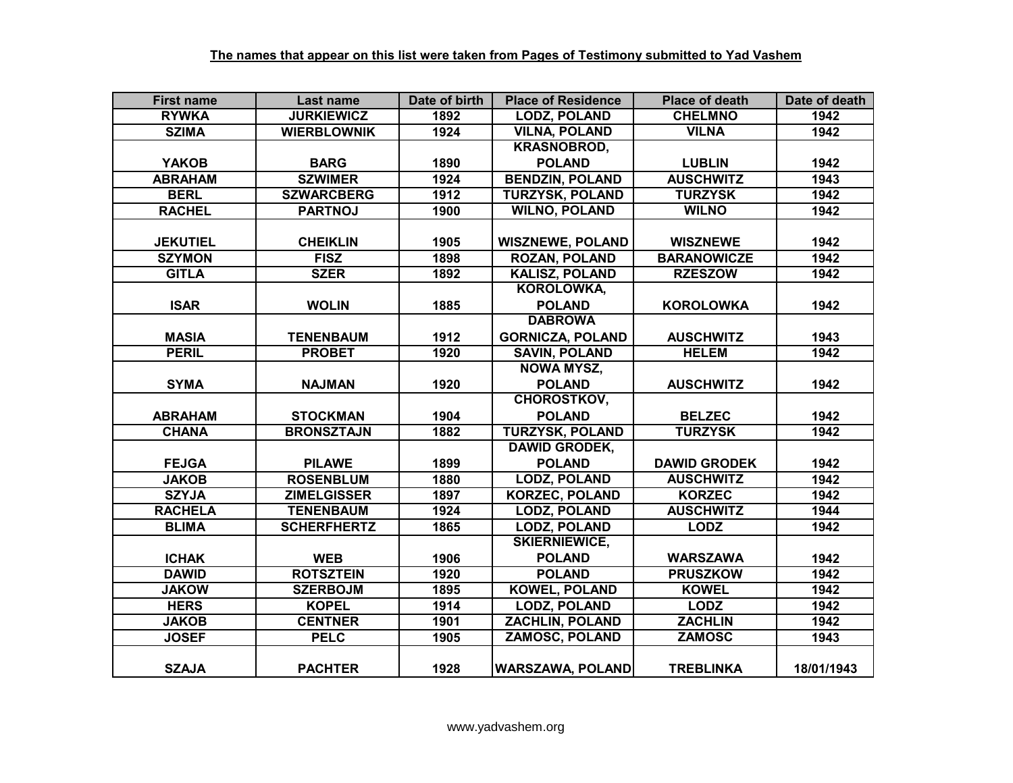| <b>First name</b> | Last name          | Date of birth | <b>Place of Residence</b> | <b>Place of death</b> | Date of death |
|-------------------|--------------------|---------------|---------------------------|-----------------------|---------------|
| <b>RYWKA</b>      | <b>JURKIEWICZ</b>  | 1892          | <b>LODZ, POLAND</b>       | <b>CHELMNO</b>        | 1942          |
| <b>SZIMA</b>      | <b>WIERBLOWNIK</b> | 1924          | <b>VILNA, POLAND</b>      | <b>VILNA</b>          | 1942          |
|                   |                    |               | <b>KRASNOBROD,</b>        |                       |               |
| <b>YAKOB</b>      | <b>BARG</b>        | 1890          | <b>POLAND</b>             | <b>LUBLIN</b>         | 1942          |
| <b>ABRAHAM</b>    | <b>SZWIMER</b>     | 1924          | <b>BENDZIN, POLAND</b>    | <b>AUSCHWITZ</b>      | 1943          |
| <b>BERL</b>       | <b>SZWARCBERG</b>  | 1912          | <b>TURZYSK, POLAND</b>    | <b>TURZYSK</b>        | 1942          |
| <b>RACHEL</b>     | <b>PARTNOJ</b>     | 1900          | <b>WILNO, POLAND</b>      | <b>WILNO</b>          | 1942          |
|                   |                    |               |                           |                       |               |
| <b>JEKUTIEL</b>   | <b>CHEIKLIN</b>    | 1905          | <b>WISZNEWE, POLAND</b>   | <b>WISZNEWE</b>       | 1942          |
| <b>SZYMON</b>     | <b>FISZ</b>        | 1898          | <b>ROZAN, POLAND</b>      | <b>BARANOWICZE</b>    | 1942          |
| <b>GITLA</b>      | <b>SZER</b>        | 1892          | <b>KALISZ, POLAND</b>     | <b>RZESZOW</b>        | 1942          |
|                   |                    |               | <b>KOROLOWKA,</b>         |                       |               |
| <b>ISAR</b>       | <b>WOLIN</b>       | 1885          | <b>POLAND</b>             | <b>KOROLOWKA</b>      | 1942          |
|                   |                    |               | <b>DABROWA</b>            |                       |               |
| <b>MASIA</b>      | <b>TENENBAUM</b>   | 1912          | <b>GORNICZA, POLAND</b>   | <b>AUSCHWITZ</b>      | 1943          |
| <b>PERIL</b>      | <b>PROBET</b>      | 1920          | <b>SAVIN, POLAND</b>      | <b>HELEM</b>          | 1942          |
|                   |                    |               | <b>NOWA MYSZ,</b>         |                       |               |
| <b>SYMA</b>       | <b>NAJMAN</b>      | 1920          | <b>POLAND</b>             | <b>AUSCHWITZ</b>      | 1942          |
|                   |                    |               | <b>CHOROSTKOV,</b>        |                       |               |
| <b>ABRAHAM</b>    | <b>STOCKMAN</b>    | 1904          | <b>POLAND</b>             | <b>BELZEC</b>         | 1942          |
| <b>CHANA</b>      | <b>BRONSZTAJN</b>  | 1882          | <b>TURZYSK, POLAND</b>    | <b>TURZYSK</b>        | 1942          |
|                   |                    |               | <b>DAWID GRODEK,</b>      |                       |               |
| <b>FEJGA</b>      | <b>PILAWE</b>      | 1899          | <b>POLAND</b>             | <b>DAWID GRODEK</b>   | 1942          |
| <b>JAKOB</b>      | <b>ROSENBLUM</b>   | 1880          | <b>LODZ, POLAND</b>       | <b>AUSCHWITZ</b>      | 1942          |
| <b>SZYJA</b>      | <b>ZIMELGISSER</b> | 1897          | <b>KORZEC, POLAND</b>     | <b>KORZEC</b>         | 1942          |
| <b>RACHELA</b>    | <b>TENENBAUM</b>   | 1924          | <b>LODZ, POLAND</b>       | <b>AUSCHWITZ</b>      | 1944          |
| <b>BLIMA</b>      | <b>SCHERFHERTZ</b> | 1865          | <b>LODZ, POLAND</b>       | <b>LODZ</b>           | 1942          |
|                   |                    |               | <b>SKIERNIEWICE,</b>      |                       |               |
| <b>ICHAK</b>      | <b>WEB</b>         | 1906          | <b>POLAND</b>             | <b>WARSZAWA</b>       | 1942          |
| <b>DAWID</b>      | <b>ROTSZTEIN</b>   | 1920          | <b>POLAND</b>             | <b>PRUSZKOW</b>       | 1942          |
| <b>JAKOW</b>      | <b>SZERBOJM</b>    | 1895          | <b>KOWEL, POLAND</b>      | <b>KOWEL</b>          | 1942          |
| <b>HERS</b>       | <b>KOPEL</b>       | 1914          | <b>LODZ, POLAND</b>       | <b>LODZ</b>           | 1942          |
| <b>JAKOB</b>      | <b>CENTNER</b>     | 1901          | <b>ZACHLIN, POLAND</b>    | <b>ZACHLIN</b>        | 1942          |
| <b>JOSEF</b>      | <b>PELC</b>        | 1905          | <b>ZAMOSC, POLAND</b>     | <b>ZAMOSC</b>         | 1943          |
|                   |                    |               |                           |                       |               |
| <b>SZAJA</b>      | <b>PACHTER</b>     | 1928          | <b>WARSZAWA, POLAND</b>   | <b>TREBLINKA</b>      | 18/01/1943    |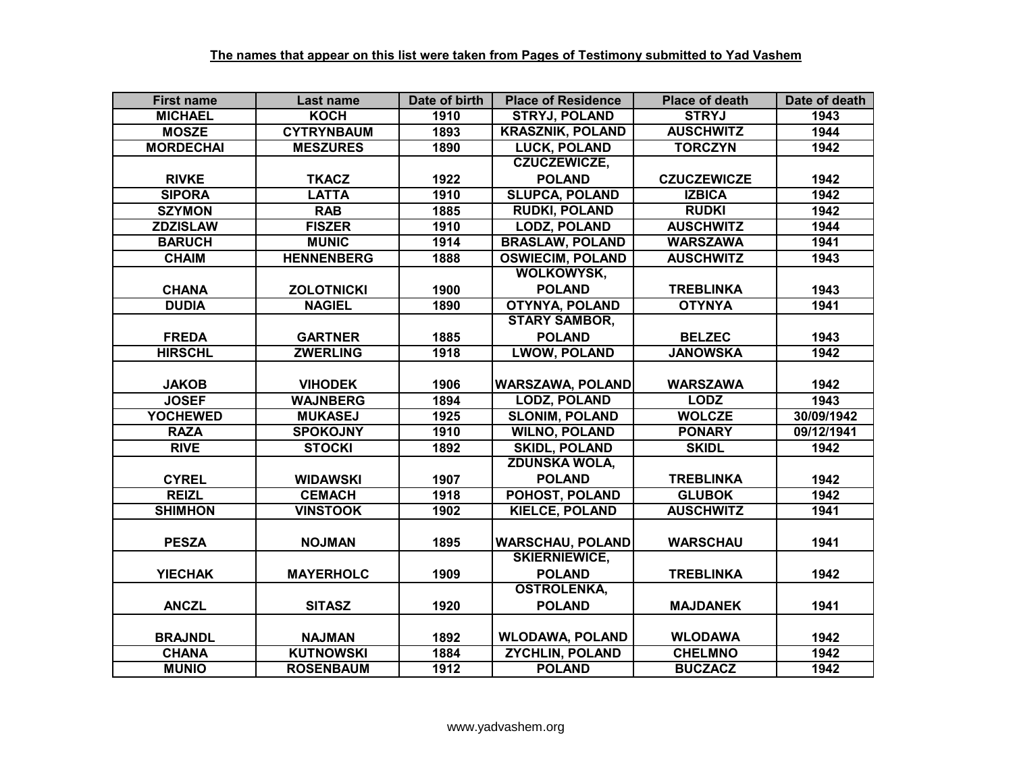| <b>First name</b> | Last name         | Date of birth | <b>Place of Residence</b> | <b>Place of death</b> | Date of death |
|-------------------|-------------------|---------------|---------------------------|-----------------------|---------------|
| <b>MICHAEL</b>    | <b>KOCH</b>       | 1910          | <b>STRYJ, POLAND</b>      | <b>STRYJ</b>          | 1943          |
| <b>MOSZE</b>      | <b>CYTRYNBAUM</b> | 1893          | <b>KRASZNIK, POLAND</b>   | <b>AUSCHWITZ</b>      | 1944          |
| <b>MORDECHAI</b>  | <b>MESZURES</b>   | 1890          | <b>LUCK, POLAND</b>       | <b>TORCZYN</b>        | 1942          |
|                   |                   |               | <b>CZUCZEWICZE,</b>       |                       |               |
| <b>RIVKE</b>      | <b>TKACZ</b>      | 1922          | <b>POLAND</b>             | <b>CZUCZEWICZE</b>    | 1942          |
| <b>SIPORA</b>     | <b>LATTA</b>      | 1910          | <b>SLUPCA, POLAND</b>     | <b>IZBICA</b>         | 1942          |
| <b>SZYMON</b>     | <b>RAB</b>        | 1885          | <b>RUDKI, POLAND</b>      | <b>RUDKI</b>          | 1942          |
| <b>ZDZISLAW</b>   | <b>FISZER</b>     | 1910          | <b>LODZ, POLAND</b>       | <b>AUSCHWITZ</b>      | 1944          |
| <b>BARUCH</b>     | <b>MUNIC</b>      | 1914          | <b>BRASLAW, POLAND</b>    | <b>WARSZAWA</b>       | 1941          |
| <b>CHAIM</b>      | <b>HENNENBERG</b> | 1888          | <b>OSWIECIM, POLAND</b>   | <b>AUSCHWITZ</b>      | 1943          |
|                   |                   |               | <b>WOLKOWYSK,</b>         |                       |               |
| <b>CHANA</b>      | <b>ZOLOTNICKI</b> | 1900          | <b>POLAND</b>             | <b>TREBLINKA</b>      | 1943          |
| <b>DUDIA</b>      | <b>NAGIEL</b>     | 1890          | <b>OTYNYA, POLAND</b>     | <b>OTYNYA</b>         | 1941          |
|                   |                   |               | <b>STARY SAMBOR,</b>      |                       |               |
| <b>FREDA</b>      | <b>GARTNER</b>    | 1885          | <b>POLAND</b>             | <b>BELZEC</b>         | 1943          |
| <b>HIRSCHL</b>    | <b>ZWERLING</b>   | 1918          | <b>LWOW, POLAND</b>       | <b>JANOWSKA</b>       | 1942          |
|                   |                   |               |                           |                       |               |
| <b>JAKOB</b>      | <b>VIHODEK</b>    | 1906          | <b>WARSZAWA, POLAND</b>   | <b>WARSZAWA</b>       | 1942          |
| <b>JOSEF</b>      | <b>WAJNBERG</b>   | 1894          | <b>LODZ, POLAND</b>       | <b>LODZ</b>           | 1943          |
| <b>YOCHEWED</b>   | <b>MUKASEJ</b>    | 1925          | <b>SLONIM, POLAND</b>     | <b>WOLCZE</b>         | 30/09/1942    |
| <b>RAZA</b>       | <b>SPOKOJNY</b>   | 1910          | <b>WILNO, POLAND</b>      | <b>PONARY</b>         | 09/12/1941    |
| <b>RIVE</b>       | <b>STOCKI</b>     | 1892          | <b>SKIDL, POLAND</b>      | <b>SKIDL</b>          | 1942          |
|                   |                   |               | <b>ZDUNSKA WOLA,</b>      |                       |               |
| <b>CYREL</b>      | <b>WIDAWSKI</b>   | 1907          | <b>POLAND</b>             | <b>TREBLINKA</b>      | 1942          |
| <b>REIZL</b>      | <b>CEMACH</b>     | 1918          | POHOST, POLAND            | <b>GLUBOK</b>         | 1942          |
| <b>SHIMHON</b>    | <b>VINSTOOK</b>   | 1902          | <b>KIELCE, POLAND</b>     | <b>AUSCHWITZ</b>      | 1941          |
|                   |                   |               |                           |                       |               |
| <b>PESZA</b>      | <b>NOJMAN</b>     | 1895          | <b>WARSCHAU, POLAND</b>   | <b>WARSCHAU</b>       | 1941          |
|                   |                   |               | <b>SKIERNIEWICE,</b>      |                       |               |
| <b>YIECHAK</b>    | <b>MAYERHOLC</b>  | 1909          | <b>POLAND</b>             | <b>TREBLINKA</b>      | 1942          |
|                   |                   |               | <b>OSTROLENKA,</b>        |                       |               |
| <b>ANCZL</b>      | <b>SITASZ</b>     | 1920          | <b>POLAND</b>             | <b>MAJDANEK</b>       | 1941          |
|                   |                   |               |                           |                       |               |
| <b>BRAJNDL</b>    | <b>NAJMAN</b>     | 1892          | <b>WLODAWA, POLAND</b>    | <b>WLODAWA</b>        | 1942          |
| <b>CHANA</b>      | <b>KUTNOWSKI</b>  | 1884          | <b>ZYCHLIN, POLAND</b>    | <b>CHELMNO</b>        | 1942          |
| <b>MUNIO</b>      | <b>ROSENBAUM</b>  | 1912          | <b>POLAND</b>             | <b>BUCZACZ</b>        | 1942          |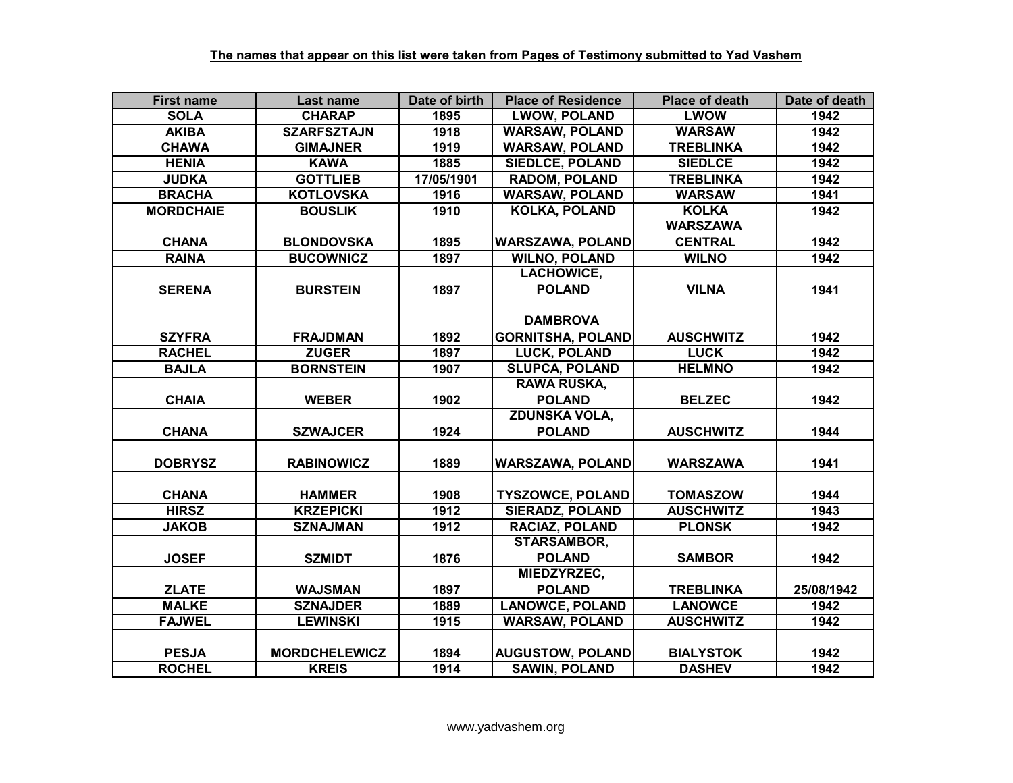| <b>First name</b> | Last name            | Date of birth | <b>Place of Residence</b> | <b>Place of death</b> | Date of death |
|-------------------|----------------------|---------------|---------------------------|-----------------------|---------------|
| <b>SOLA</b>       | <b>CHARAP</b>        | 1895          | <b>LWOW, POLAND</b>       | <b>LWOW</b>           | 1942          |
| <b>AKIBA</b>      | <b>SZARFSZTAJN</b>   | 1918          | <b>WARSAW, POLAND</b>     | <b>WARSAW</b>         | 1942          |
| <b>CHAWA</b>      | <b>GIMAJNER</b>      | 1919          | <b>WARSAW, POLAND</b>     | <b>TREBLINKA</b>      | 1942          |
| <b>HENIA</b>      | <b>KAWA</b>          | 1885          | <b>SIEDLCE, POLAND</b>    | <b>SIEDLCE</b>        | 1942          |
| <b>JUDKA</b>      | <b>GOTTLIEB</b>      | 17/05/1901    | <b>RADOM, POLAND</b>      | <b>TREBLINKA</b>      | 1942          |
| <b>BRACHA</b>     | <b>KOTLOVSKA</b>     | 1916          | <b>WARSAW, POLAND</b>     | <b>WARSAW</b>         | 1941          |
| <b>MORDCHAIE</b>  | <b>BOUSLIK</b>       | 1910          | <b>KOLKA, POLAND</b>      | <b>KOLKA</b>          | 1942          |
|                   |                      |               |                           | <b>WARSZAWA</b>       |               |
| <b>CHANA</b>      | <b>BLONDOVSKA</b>    | 1895          | <b>WARSZAWA, POLAND</b>   | <b>CENTRAL</b>        | 1942          |
| <b>RAINA</b>      | <b>BUCOWNICZ</b>     | 1897          | <b>WILNO, POLAND</b>      | <b>WILNO</b>          | 1942          |
|                   |                      |               | <b>LACHOWICE,</b>         |                       |               |
| <b>SERENA</b>     | <b>BURSTEIN</b>      | 1897          | <b>POLAND</b>             | <b>VILNA</b>          | 1941          |
|                   |                      |               |                           |                       |               |
|                   |                      |               | <b>DAMBROVA</b>           |                       |               |
| <b>SZYFRA</b>     | <b>FRAJDMAN</b>      | 1892          | <b>GORNITSHA, POLAND</b>  | <b>AUSCHWITZ</b>      | 1942          |
| <b>RACHEL</b>     | <b>ZUGER</b>         | 1897          | <b>LUCK, POLAND</b>       | <b>LUCK</b>           | 1942          |
| <b>BAJLA</b>      | <b>BORNSTEIN</b>     | 1907          | <b>SLUPCA, POLAND</b>     | <b>HELMNO</b>         | 1942          |
|                   |                      |               | <b>RAWA RUSKA,</b>        |                       |               |
| <b>CHAIA</b>      | <b>WEBER</b>         | 1902          | <b>POLAND</b>             | <b>BELZEC</b>         | 1942          |
|                   |                      |               | <b>ZDUNSKA VOLA,</b>      |                       |               |
| <b>CHANA</b>      | <b>SZWAJCER</b>      | 1924          | <b>POLAND</b>             | <b>AUSCHWITZ</b>      | 1944          |
|                   |                      |               |                           |                       |               |
| <b>DOBRYSZ</b>    | <b>RABINOWICZ</b>    | 1889          | <b>WARSZAWA, POLAND</b>   | <b>WARSZAWA</b>       | 1941          |
|                   |                      |               |                           |                       |               |
| <b>CHANA</b>      | <b>HAMMER</b>        | 1908          | <b>TYSZOWCE, POLAND</b>   | <b>TOMASZOW</b>       | 1944          |
| <b>HIRSZ</b>      | <b>KRZEPICKI</b>     | 1912          | <b>SIERADZ, POLAND</b>    | <b>AUSCHWITZ</b>      | 1943          |
| <b>JAKOB</b>      | <b>SZNAJMAN</b>      | 1912          | <b>RACIAZ, POLAND</b>     | <b>PLONSK</b>         | 1942          |
|                   |                      |               | <b>STARSAMBOR,</b>        |                       |               |
| <b>JOSEF</b>      | <b>SZMIDT</b>        | 1876          | <b>POLAND</b>             | <b>SAMBOR</b>         | 1942          |
|                   |                      |               | MIEDZYRZEC,               |                       |               |
| <b>ZLATE</b>      | <b>WAJSMAN</b>       | 1897          | <b>POLAND</b>             | <b>TREBLINKA</b>      | 25/08/1942    |
| <b>MALKE</b>      | <b>SZNAJDER</b>      | 1889          | <b>LANOWCE, POLAND</b>    | <b>LANOWCE</b>        | 1942          |
| <b>FAJWEL</b>     | <b>LEWINSKI</b>      | 1915          | <b>WARSAW, POLAND</b>     | <b>AUSCHWITZ</b>      | 1942          |
|                   |                      |               |                           |                       |               |
| <b>PESJA</b>      | <b>MORDCHELEWICZ</b> | 1894          | <b>AUGUSTOW, POLAND</b>   | <b>BIALYSTOK</b>      | 1942          |
| <b>ROCHEL</b>     | <b>KREIS</b>         | 1914          | <b>SAWIN, POLAND</b>      | <b>DASHEV</b>         | 1942          |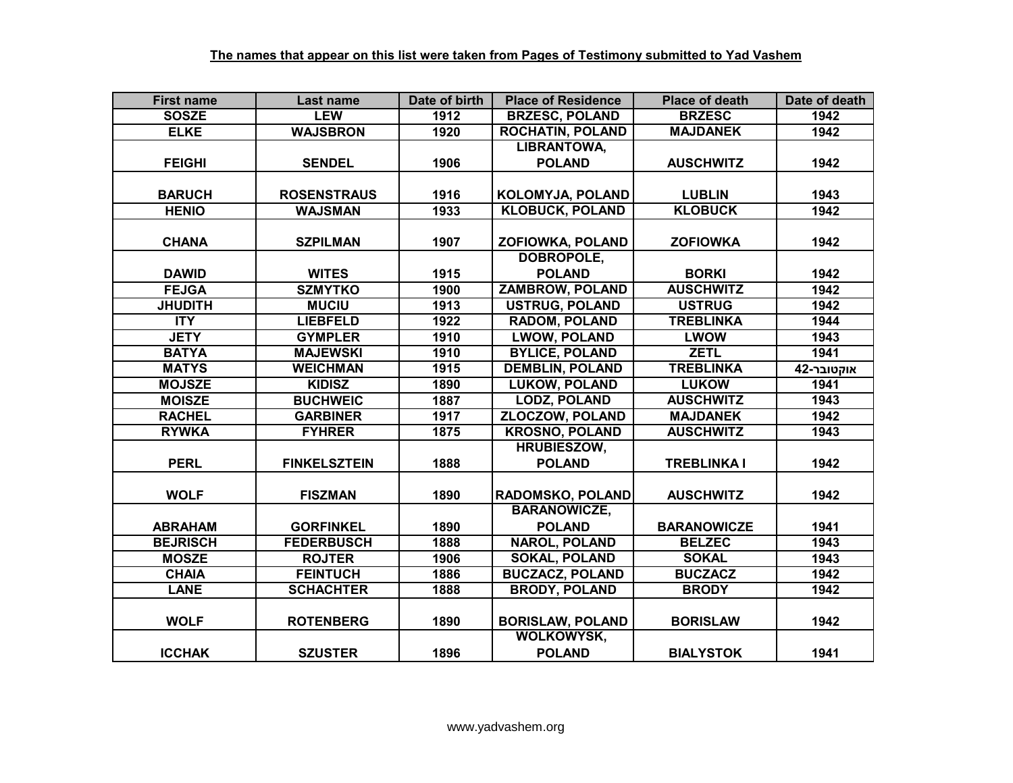| <b>First name</b> | Last name           | Date of birth     | <b>Place of Residence</b> | <b>Place of death</b> | Date of death |
|-------------------|---------------------|-------------------|---------------------------|-----------------------|---------------|
| <b>SOSZE</b>      | <b>LEW</b>          | 1912              | <b>BRZESC, POLAND</b>     | <b>BRZESC</b>         | 1942          |
| <b>ELKE</b>       | <b>WAJSBRON</b>     | 1920              | <b>ROCHATIN, POLAND</b>   | <b>MAJDANEK</b>       | 1942          |
|                   |                     |                   | <b>LIBRANTOWA,</b>        |                       |               |
| <b>FEIGHI</b>     | <b>SENDEL</b>       | 1906              | <b>POLAND</b>             | <b>AUSCHWITZ</b>      | 1942          |
|                   |                     |                   |                           |                       |               |
| <b>BARUCH</b>     | <b>ROSENSTRAUS</b>  | 1916              | KOLOMYJA, POLAND          | <b>LUBLIN</b>         | 1943          |
| <b>HENIO</b>      | <b>WAJSMAN</b>      | 1933              | <b>KLOBUCK, POLAND</b>    | <b>KLOBUCK</b>        | 1942          |
|                   |                     |                   |                           |                       |               |
| <b>CHANA</b>      | <b>SZPILMAN</b>     | 1907              | <b>ZOFIOWKA, POLAND</b>   | <b>ZOFIOWKA</b>       | 1942          |
|                   |                     |                   | <b>DOBROPOLE,</b>         |                       |               |
| <b>DAWID</b>      | <b>WITES</b>        | 1915              | <b>POLAND</b>             | <b>BORKI</b>          | 1942          |
| <b>FEJGA</b>      | <b>SZMYTKO</b>      | $\overline{1900}$ | <b>ZAMBROW, POLAND</b>    | <b>AUSCHWITZ</b>      | 1942          |
| <b>JHUDITH</b>    | <b>MUCIU</b>        | 1913              | <b>USTRUG, POLAND</b>     | <b>USTRUG</b>         | 1942          |
| <b>ITY</b>        | <b>LIEBFELD</b>     | 1922              | <b>RADOM, POLAND</b>      | <b>TREBLINKA</b>      | 1944          |
| <b>JETY</b>       | <b>GYMPLER</b>      | 1910              | <b>LWOW, POLAND</b>       | <b>LWOW</b>           | 1943          |
| <b>BATYA</b>      | <b>MAJEWSKI</b>     | 1910              | <b>BYLICE, POLAND</b>     | <b>ZETL</b>           | 1941          |
| <b>MATYS</b>      | <b>WEICHMAN</b>     | 1915              | <b>DEMBLIN, POLAND</b>    | <b>TREBLINKA</b>      | אוקטובר-42    |
| <b>MOJSZE</b>     | <b>KIDISZ</b>       | 1890              | <b>LUKOW, POLAND</b>      | <b>LUKOW</b>          | 1941          |
| <b>MOISZE</b>     | <b>BUCHWEIC</b>     | 1887              | <b>LODZ, POLAND</b>       | <b>AUSCHWITZ</b>      | 1943          |
| <b>RACHEL</b>     | <b>GARBINER</b>     | 1917              | <b>ZLOCZOW, POLAND</b>    | <b>MAJDANEK</b>       | 1942          |
| <b>RYWKA</b>      | <b>FYHRER</b>       | 1875              | <b>KROSNO, POLAND</b>     | <b>AUSCHWITZ</b>      | 1943          |
|                   |                     |                   | <b>HRUBIESZOW,</b>        |                       |               |
| <b>PERL</b>       | <b>FINKELSZTEIN</b> | 1888              | <b>POLAND</b>             | <b>TREBLINKA I</b>    | 1942          |
|                   |                     |                   |                           |                       |               |
| <b>WOLF</b>       | <b>FISZMAN</b>      | 1890              | <b>RADOMSKO, POLAND</b>   | <b>AUSCHWITZ</b>      | 1942          |
|                   |                     |                   | <b>BARANOWICZE,</b>       |                       |               |
| <b>ABRAHAM</b>    | <b>GORFINKEL</b>    | 1890              | <b>POLAND</b>             | <b>BARANOWICZE</b>    | 1941          |
| <b>BEJRISCH</b>   | <b>FEDERBUSCH</b>   | 1888              | <b>NAROL, POLAND</b>      | <b>BELZEC</b>         | 1943          |
| <b>MOSZE</b>      | <b>ROJTER</b>       | 1906              | <b>SOKAL, POLAND</b>      | <b>SOKAL</b>          | 1943          |
| <b>CHAIA</b>      | <b>FEINTUCH</b>     | 1886              | <b>BUCZACZ, POLAND</b>    | <b>BUCZACZ</b>        | 1942          |
| <b>LANE</b>       | <b>SCHACHTER</b>    | 1888              | <b>BRODY, POLAND</b>      | <b>BRODY</b>          | 1942          |
|                   |                     |                   |                           |                       |               |
| <b>WOLF</b>       | <b>ROTENBERG</b>    | 1890              | <b>BORISLAW, POLAND</b>   | <b>BORISLAW</b>       | 1942          |
|                   |                     |                   | <b>WOLKOWYSK,</b>         |                       |               |
| <b>ICCHAK</b>     | <b>SZUSTER</b>      | 1896              | <b>POLAND</b>             | <b>BIALYSTOK</b>      | 1941          |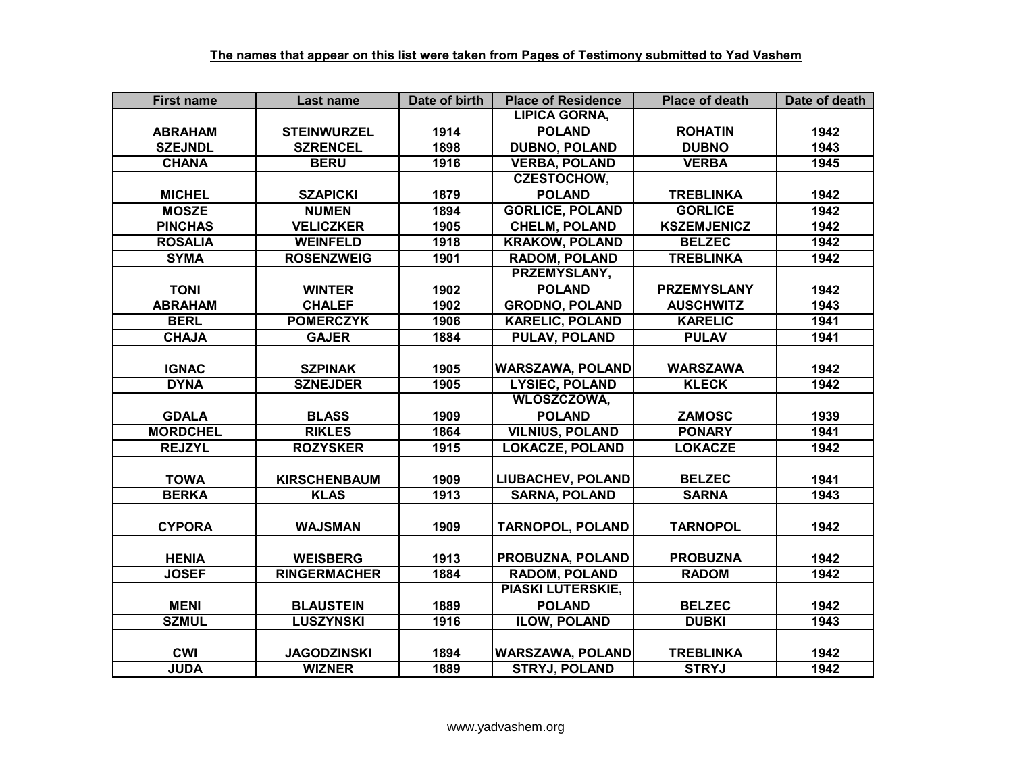| <b>First name</b> | Last name           | Date of birth | <b>Place of Residence</b> | <b>Place of death</b> | Date of death |
|-------------------|---------------------|---------------|---------------------------|-----------------------|---------------|
|                   |                     |               | <b>LIPICA GORNA,</b>      |                       |               |
| <b>ABRAHAM</b>    | <b>STEINWURZEL</b>  | 1914          | <b>POLAND</b>             | <b>ROHATIN</b>        | 1942          |
| <b>SZEJNDL</b>    | <b>SZRENCEL</b>     | 1898          | <b>DUBNO, POLAND</b>      | <b>DUBNO</b>          | 1943          |
| <b>CHANA</b>      | <b>BERU</b>         | 1916          | <b>VERBA, POLAND</b>      | <b>VERBA</b>          | 1945          |
|                   |                     |               | <b>CZESTOCHOW,</b>        |                       |               |
| <b>MICHEL</b>     | <b>SZAPICKI</b>     | 1879          | <b>POLAND</b>             | <b>TREBLINKA</b>      | 1942          |
| <b>MOSZE</b>      | <b>NUMEN</b>        | 1894          | <b>GORLICE, POLAND</b>    | <b>GORLICE</b>        | 1942          |
| <b>PINCHAS</b>    | <b>VELICZKER</b>    | 1905          | <b>CHELM, POLAND</b>      | <b>KSZEMJENICZ</b>    | 1942          |
| <b>ROSALIA</b>    | <b>WEINFELD</b>     | 1918          | <b>KRAKOW, POLAND</b>     | <b>BELZEC</b>         | 1942          |
| <b>SYMA</b>       | <b>ROSENZWEIG</b>   | 1901          | <b>RADOM, POLAND</b>      | <b>TREBLINKA</b>      | 1942          |
|                   |                     |               | PRZEMYSLANY,              |                       |               |
| <b>TONI</b>       | <b>WINTER</b>       | 1902          | <b>POLAND</b>             | <b>PRZEMYSLANY</b>    | 1942          |
| <b>ABRAHAM</b>    | <b>CHALEF</b>       | 1902          | <b>GRODNO, POLAND</b>     | <b>AUSCHWITZ</b>      | 1943          |
| <b>BERL</b>       | <b>POMERCZYK</b>    | 1906          | <b>KARELIC, POLAND</b>    | <b>KARELIC</b>        | 1941          |
| <b>CHAJA</b>      | <b>GAJER</b>        | 1884          | <b>PULAV, POLAND</b>      | <b>PULAV</b>          | 1941          |
|                   |                     |               |                           |                       |               |
| <b>IGNAC</b>      | <b>SZPINAK</b>      | 1905          | <b>WARSZAWA, POLAND</b>   | <b>WARSZAWA</b>       | 1942          |
| <b>DYNA</b>       | <b>SZNEJDER</b>     | 1905          | <b>LYSIEC, POLAND</b>     | <b>KLECK</b>          | 1942          |
|                   |                     |               | <b>WLOSZCZOWA,</b>        |                       |               |
| <b>GDALA</b>      | <b>BLASS</b>        | 1909          | <b>POLAND</b>             | <b>ZAMOSC</b>         | 1939          |
| <b>MORDCHEL</b>   | <b>RIKLES</b>       | 1864          | <b>VILNIUS, POLAND</b>    | <b>PONARY</b>         | 1941          |
| <b>REJZYL</b>     | <b>ROZYSKER</b>     | 1915          | <b>LOKACZE, POLAND</b>    | <b>LOKACZE</b>        | 1942          |
|                   |                     |               |                           |                       |               |
| <b>TOWA</b>       | <b>KIRSCHENBAUM</b> | 1909          | <b>LIUBACHEV, POLAND</b>  | <b>BELZEC</b>         | 1941          |
| <b>BERKA</b>      | <b>KLAS</b>         | 1913          | <b>SARNA, POLAND</b>      | <b>SARNA</b>          | 1943          |
|                   |                     |               |                           |                       |               |
| <b>CYPORA</b>     | <b>WAJSMAN</b>      | 1909          | <b>TARNOPOL, POLAND</b>   | <b>TARNOPOL</b>       | 1942          |
|                   |                     |               |                           |                       |               |
| <b>HENIA</b>      | <b>WEISBERG</b>     | 1913          | PROBUZNA, POLAND          | <b>PROBUZNA</b>       | 1942          |
| <b>JOSEF</b>      | <b>RINGERMACHER</b> | 1884          | <b>RADOM, POLAND</b>      | <b>RADOM</b>          | 1942          |
|                   |                     |               | <b>PIASKI LUTERSKIE,</b>  |                       |               |
| <b>MENI</b>       | <b>BLAUSTEIN</b>    | 1889          | <b>POLAND</b>             | <b>BELZEC</b>         | 1942          |
| <b>SZMUL</b>      | <b>LUSZYNSKI</b>    | 1916          | <b>ILOW, POLAND</b>       | <b>DUBKI</b>          | 1943          |
|                   |                     |               |                           |                       |               |
| <b>CWI</b>        | <b>JAGODZINSKI</b>  | 1894          | <b>WARSZAWA, POLAND</b>   | <b>TREBLINKA</b>      | 1942          |
| <b>JUDA</b>       | <b>WIZNER</b>       | 1889          | <b>STRYJ, POLAND</b>      | <b>STRYJ</b>          | 1942          |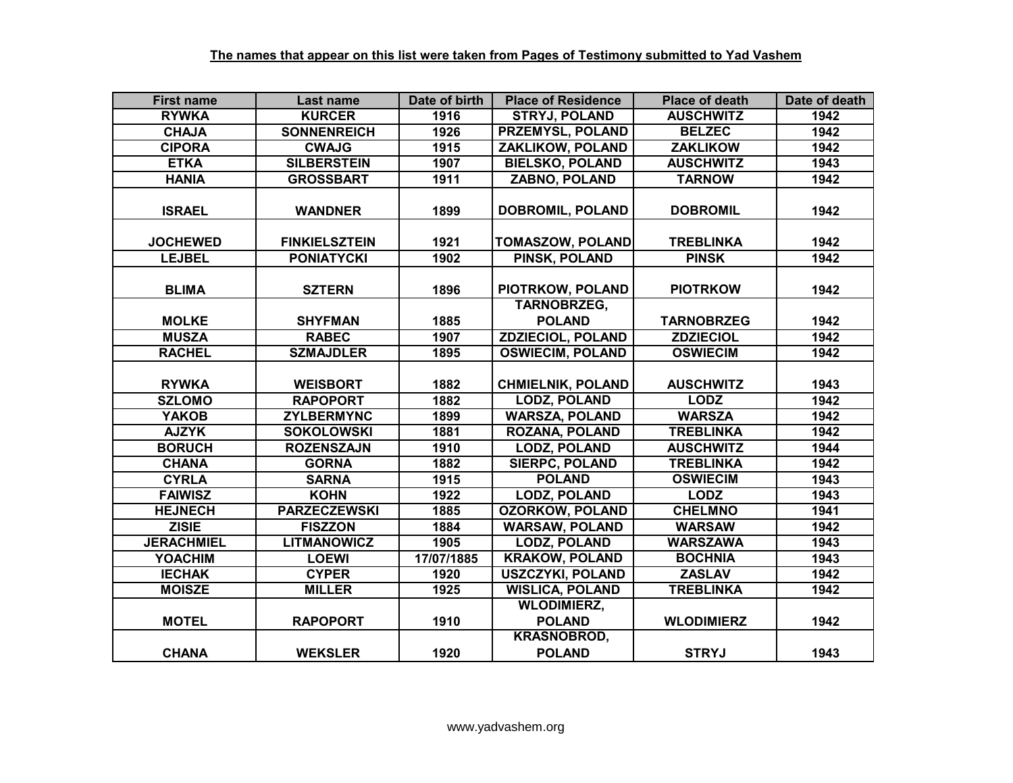| <b>First name</b> | Last name            | Date of birth | <b>Place of Residence</b>              | <b>Place of death</b> | Date of death |
|-------------------|----------------------|---------------|----------------------------------------|-----------------------|---------------|
| <b>RYWKA</b>      | <b>KURCER</b>        | 1916          | <b>STRYJ, POLAND</b>                   | <b>AUSCHWITZ</b>      | 1942          |
| <b>CHAJA</b>      | <b>SONNENREICH</b>   | 1926          | <b>PRZEMYSL, POLAND</b>                | <b>BELZEC</b>         | 1942          |
| <b>CIPORA</b>     | <b>CWAJG</b>         | 1915          | <b>ZAKLIKOW, POLAND</b>                | <b>ZAKLIKOW</b>       | 1942          |
| <b>ETKA</b>       | <b>SILBERSTEIN</b>   | 1907          | <b>BIELSKO, POLAND</b>                 | <b>AUSCHWITZ</b>      | 1943          |
| <b>HANIA</b>      | <b>GROSSBART</b>     | 1911          | <b>ZABNO, POLAND</b>                   | <b>TARNOW</b>         | 1942          |
| <b>ISRAEL</b>     | <b>WANDNER</b>       | 1899          | DOBROMIL, POLAND                       | <b>DOBROMIL</b>       | 1942          |
| <b>JOCHEWED</b>   | <b>FINKIELSZTEIN</b> | 1921          | <b>TOMASZOW, POLAND</b>                | <b>TREBLINKA</b>      | 1942          |
| <b>LEJBEL</b>     | <b>PONIATYCKI</b>    | 1902          | <b>PINSK, POLAND</b>                   | <b>PINSK</b>          | 1942          |
| <b>BLIMA</b>      | <b>SZTERN</b>        | 1896          | PIOTRKOW, POLAND<br><b>TARNOBRZEG,</b> | <b>PIOTRKOW</b>       | 1942          |
| <b>MOLKE</b>      | <b>SHYFMAN</b>       | 1885          | <b>POLAND</b>                          | <b>TARNOBRZEG</b>     | 1942          |
| <b>MUSZA</b>      | <b>RABEC</b>         | 1907          | <b>ZDZIECIOL, POLAND</b>               | <b>ZDZIECIOL</b>      | 1942          |
| <b>RACHEL</b>     | <b>SZMAJDLER</b>     | 1895          | <b>OSWIECIM, POLAND</b>                | <b>OSWIECIM</b>       | 1942          |
| <b>RYWKA</b>      | <b>WEISBORT</b>      | 1882          | <b>CHMIELNIK, POLAND</b>               | <b>AUSCHWITZ</b>      | 1943          |
| <b>SZLOMO</b>     | <b>RAPOPORT</b>      | 1882          | <b>LODZ, POLAND</b>                    | <b>LODZ</b>           | 1942          |
| <b>YAKOB</b>      | <b>ZYLBERMYNC</b>    | 1899          | <b>WARSZA, POLAND</b>                  | <b>WARSZA</b>         | 1942          |
| <b>AJZYK</b>      | <b>SOKOLOWSKI</b>    | 1881          | <b>ROZANA, POLAND</b>                  | <b>TREBLINKA</b>      | 1942          |
| <b>BORUCH</b>     | <b>ROZENSZAJN</b>    | 1910          | <b>LODZ, POLAND</b>                    | <b>AUSCHWITZ</b>      | 1944          |
| <b>CHANA</b>      | <b>GORNA</b>         | 1882          | <b>SIERPC, POLAND</b>                  | <b>TREBLINKA</b>      | 1942          |
| <b>CYRLA</b>      | <b>SARNA</b>         | 1915          | <b>POLAND</b>                          | <b>OSWIECIM</b>       | 1943          |
| <b>FAIWISZ</b>    | <b>KOHN</b>          | 1922          | <b>LODZ, POLAND</b>                    | <b>LODZ</b>           | 1943          |
| <b>HEJNECH</b>    | <b>PARZECZEWSKI</b>  | 1885          | <b>OZORKOW, POLAND</b>                 | <b>CHELMNO</b>        | 1941          |
| <b>ZISIE</b>      | <b>FISZZON</b>       | 1884          | <b>WARSAW, POLAND</b>                  | <b>WARSAW</b>         | 1942          |
| <b>JERACHMIEL</b> | <b>LITMANOWICZ</b>   | 1905          | <b>LODZ, POLAND</b>                    | <b>WARSZAWA</b>       | 1943          |
| <b>YOACHIM</b>    | <b>LOEWI</b>         | 17/07/1885    | <b>KRAKOW, POLAND</b>                  | <b>BOCHNIA</b>        | 1943          |
| <b>IECHAK</b>     | <b>CYPER</b>         | 1920          | <b>USZCZYKI, POLAND</b>                | <b>ZASLAV</b>         | 1942          |
| <b>MOISZE</b>     | <b>MILLER</b>        | 1925          | <b>WISLICA, POLAND</b>                 | <b>TREBLINKA</b>      | 1942          |
| <b>MOTEL</b>      | <b>RAPOPORT</b>      | 1910          | <b>WLODIMIERZ,</b><br><b>POLAND</b>    | <b>WLODIMIERZ</b>     | 1942          |
| <b>CHANA</b>      | <b>WEKSLER</b>       | 1920          | <b>KRASNOBROD,</b><br><b>POLAND</b>    | <b>STRYJ</b>          | 1943          |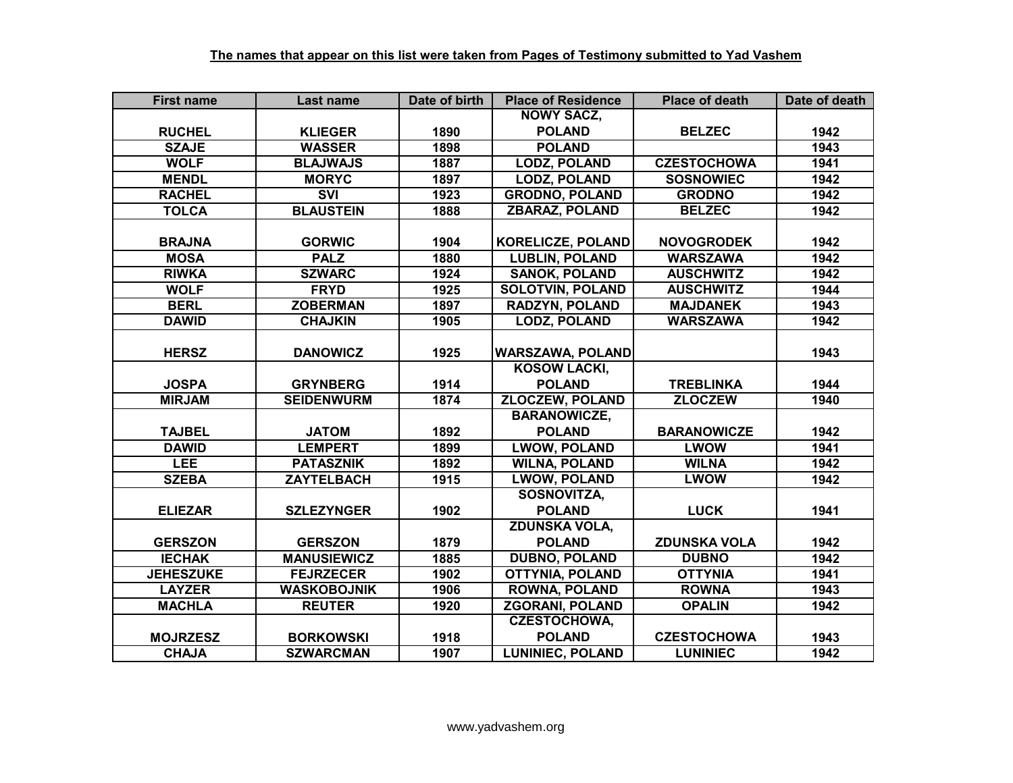| <b>First name</b> | Last name          | Date of birth | <b>Place of Residence</b> | <b>Place of death</b> | Date of death |
|-------------------|--------------------|---------------|---------------------------|-----------------------|---------------|
|                   |                    |               | <b>NOWY SACZ.</b>         |                       |               |
| <b>RUCHEL</b>     | <b>KLIEGER</b>     | 1890          | <b>POLAND</b>             | <b>BELZEC</b>         | 1942          |
| <b>SZAJE</b>      | <b>WASSER</b>      | 1898          | <b>POLAND</b>             |                       | 1943          |
| <b>WOLF</b>       | <b>BLAJWAJS</b>    | 1887          | <b>LODZ, POLAND</b>       | <b>CZESTOCHOWA</b>    | 1941          |
| <b>MENDL</b>      | <b>MORYC</b>       | 1897          | <b>LODZ, POLAND</b>       | <b>SOSNOWIEC</b>      | 1942          |
| <b>RACHEL</b>     | <b>SVI</b>         | 1923          | <b>GRODNO, POLAND</b>     | <b>GRODNO</b>         | 1942          |
| <b>TOLCA</b>      | <b>BLAUSTEIN</b>   | 1888          | <b>ZBARAZ, POLAND</b>     | <b>BELZEC</b>         | 1942          |
|                   |                    |               |                           |                       |               |
| <b>BRAJNA</b>     | <b>GORWIC</b>      | 1904          | <b>KORELICZE, POLAND</b>  | <b>NOVOGRODEK</b>     | 1942          |
| <b>MOSA</b>       | <b>PALZ</b>        | 1880          | <b>LUBLIN, POLAND</b>     | <b>WARSZAWA</b>       | 1942          |
| <b>RIWKA</b>      | <b>SZWARC</b>      | 1924          | <b>SANOK, POLAND</b>      | <b>AUSCHWITZ</b>      | 1942          |
| <b>WOLF</b>       | <b>FRYD</b>        | 1925          | <b>SOLOTVIN, POLAND</b>   | <b>AUSCHWITZ</b>      | 1944          |
| <b>BERL</b>       | <b>ZOBERMAN</b>    | 1897          | <b>RADZYN, POLAND</b>     | <b>MAJDANEK</b>       | 1943          |
| <b>DAWID</b>      | <b>CHAJKIN</b>     | 1905          | <b>LODZ, POLAND</b>       | <b>WARSZAWA</b>       | 1942          |
|                   |                    |               |                           |                       |               |
| <b>HERSZ</b>      | <b>DANOWICZ</b>    | 1925          | <b>WARSZAWA, POLAND</b>   |                       | 1943          |
|                   |                    |               | <b>KOSOW LACKI,</b>       |                       |               |
| <b>JOSPA</b>      | <b>GRYNBERG</b>    | 1914          | <b>POLAND</b>             | <b>TREBLINKA</b>      | 1944          |
| <b>MIRJAM</b>     | <b>SEIDENWURM</b>  | 1874          | <b>ZLOCZEW, POLAND</b>    | <b>ZLOCZEW</b>        | 1940          |
|                   |                    |               | <b>BARANOWICZE,</b>       |                       |               |
| <b>TAJBEL</b>     | <b>JATOM</b>       | 1892          | <b>POLAND</b>             | <b>BARANOWICZE</b>    | 1942          |
| <b>DAWID</b>      | <b>LEMPERT</b>     | 1899          | <b>LWOW, POLAND</b>       | <b>LWOW</b>           | 1941          |
| <b>LEE</b>        | <b>PATASZNIK</b>   | 1892          | <b>WILNA, POLAND</b>      | <b>WILNA</b>          | 1942          |
| <b>SZEBA</b>      | <b>ZAYTELBACH</b>  | 1915          | <b>LWOW, POLAND</b>       | <b>LWOW</b>           | 1942          |
|                   |                    |               | SOSNOVITZA,               |                       |               |
| <b>ELIEZAR</b>    | <b>SZLEZYNGER</b>  | 1902          | <b>POLAND</b>             | <b>LUCK</b>           | 1941          |
|                   |                    |               | <b>ZDUNSKA VOLA,</b>      |                       |               |
| <b>GERSZON</b>    | <b>GERSZON</b>     | 1879          | <b>POLAND</b>             | <b>ZDUNSKA VOLA</b>   | 1942          |
| <b>IECHAK</b>     | <b>MANUSIEWICZ</b> | 1885          | <b>DUBNO, POLAND</b>      | <b>DUBNO</b>          | 1942          |
| <b>JEHESZUKE</b>  | <b>FEJRZECER</b>   | 1902          | <b>OTTYNIA, POLAND</b>    | <b>OTTYNIA</b>        | 1941          |
| <b>LAYZER</b>     | <b>WASKOBOJNIK</b> | 1906          | <b>ROWNA, POLAND</b>      | <b>ROWNA</b>          | 1943          |
| <b>MACHLA</b>     | <b>REUTER</b>      | 1920          | <b>ZGORANI, POLAND</b>    | <b>OPALIN</b>         | 1942          |
|                   |                    |               | <b>CZESTOCHOWA,</b>       |                       |               |
| <b>MOJRZESZ</b>   | <b>BORKOWSKI</b>   | 1918          | <b>POLAND</b>             | <b>CZESTOCHOWA</b>    | 1943          |
| <b>CHAJA</b>      | <b>SZWARCMAN</b>   | 1907          | <b>LUNINIEC, POLAND</b>   | <b>LUNINIEC</b>       | 1942          |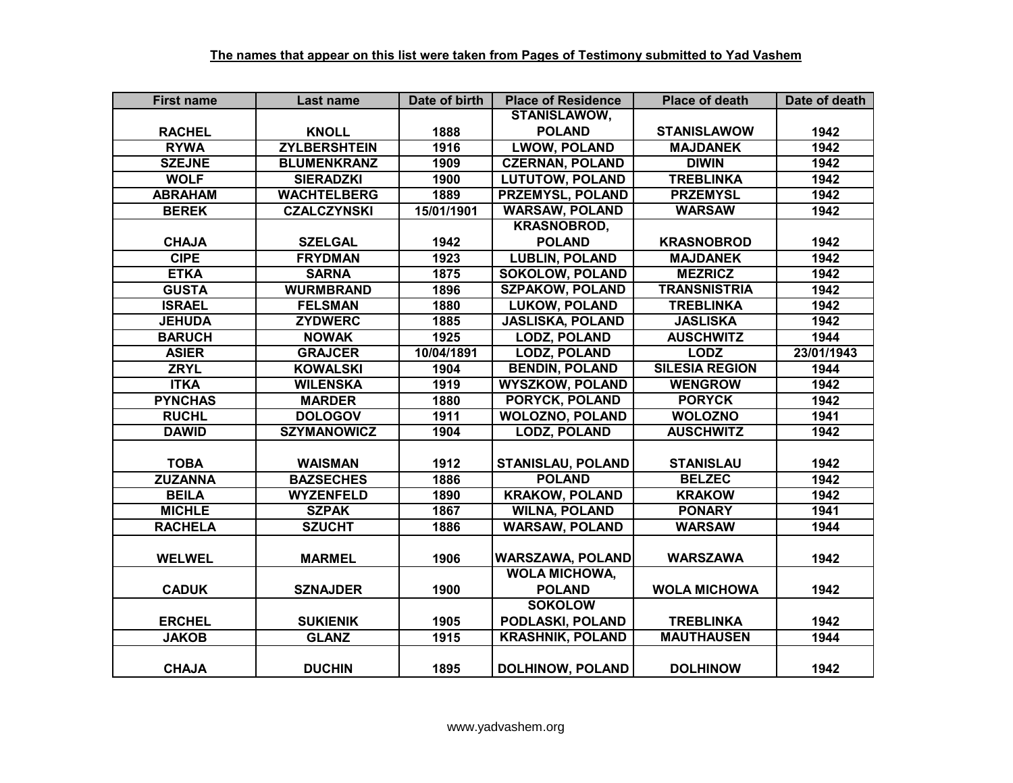| <b>First name</b> | Last name           | Date of birth | <b>Place of Residence</b> | <b>Place of death</b> | Date of death |
|-------------------|---------------------|---------------|---------------------------|-----------------------|---------------|
|                   |                     |               | <b>STANISLAWOW,</b>       |                       |               |
| <b>RACHEL</b>     | <b>KNOLL</b>        | 1888          | <b>POLAND</b>             | <b>STANISLAWOW</b>    | 1942          |
| <b>RYWA</b>       | <b>ZYLBERSHTEIN</b> | 1916          | <b>LWOW, POLAND</b>       | <b>MAJDANEK</b>       | 1942          |
| <b>SZEJNE</b>     | <b>BLUMENKRANZ</b>  | 1909          | <b>CZERNAN, POLAND</b>    | <b>DIWIN</b>          | 1942          |
| <b>WOLF</b>       | <b>SIERADZKI</b>    | 1900          | <b>LUTUTOW, POLAND</b>    | <b>TREBLINKA</b>      | 1942          |
| <b>ABRAHAM</b>    | <b>WACHTELBERG</b>  | 1889          | <b>PRZEMYSL, POLAND</b>   | <b>PRZEMYSL</b>       | 1942          |
| <b>BEREK</b>      | <b>CZALCZYNSKI</b>  | 15/01/1901    | <b>WARSAW, POLAND</b>     | <b>WARSAW</b>         | 1942          |
|                   |                     |               | <b>KRASNOBROD,</b>        |                       |               |
| <b>CHAJA</b>      | <b>SZELGAL</b>      | 1942          | <b>POLAND</b>             | <b>KRASNOBROD</b>     | 1942          |
| <b>CIPE</b>       | <b>FRYDMAN</b>      | 1923          | <b>LUBLIN, POLAND</b>     | <b>MAJDANEK</b>       | 1942          |
| <b>ETKA</b>       | <b>SARNA</b>        | 1875          | <b>SOKOLOW, POLAND</b>    | <b>MEZRICZ</b>        | 1942          |
| <b>GUSTA</b>      | <b>WURMBRAND</b>    | 1896          | <b>SZPAKOW, POLAND</b>    | <b>TRANSNISTRIA</b>   | 1942          |
| <b>ISRAEL</b>     | <b>FELSMAN</b>      | 1880          | <b>LUKOW, POLAND</b>      | <b>TREBLINKA</b>      | 1942          |
| <b>JEHUDA</b>     | <b>ZYDWERC</b>      | 1885          | <b>JASLISKA, POLAND</b>   | <b>JASLISKA</b>       | 1942          |
| <b>BARUCH</b>     | <b>NOWAK</b>        | 1925          | <b>LODZ, POLAND</b>       | <b>AUSCHWITZ</b>      | 1944          |
| <b>ASIER</b>      | <b>GRAJCER</b>      | 10/04/1891    | <b>LODZ, POLAND</b>       | <b>LODZ</b>           | 23/01/1943    |
| <b>ZRYL</b>       | <b>KOWALSKI</b>     | 1904          | <b>BENDIN, POLAND</b>     | <b>SILESIA REGION</b> | 1944          |
| <b>ITKA</b>       | <b>WILENSKA</b>     | 1919          | <b>WYSZKOW, POLAND</b>    | <b>WENGROW</b>        | 1942          |
| <b>PYNCHAS</b>    | <b>MARDER</b>       | 1880          | PORYCK, POLAND            | <b>PORYCK</b>         | 1942          |
| <b>RUCHL</b>      | <b>DOLOGOV</b>      | 1911          | <b>WOLOZNO, POLAND</b>    | <b>WOLOZNO</b>        | 1941          |
| <b>DAWID</b>      | <b>SZYMANOWICZ</b>  | 1904          | <b>LODZ, POLAND</b>       | <b>AUSCHWITZ</b>      | 1942          |
|                   |                     |               |                           |                       |               |
| <b>TOBA</b>       | <b>WAISMAN</b>      | 1912          | <b>STANISLAU, POLAND</b>  | <b>STANISLAU</b>      | 1942          |
| <b>ZUZANNA</b>    | <b>BAZSECHES</b>    | 1886          | <b>POLAND</b>             | <b>BELZEC</b>         | 1942          |
| <b>BEILA</b>      | <b>WYZENFELD</b>    | 1890          | <b>KRAKOW, POLAND</b>     | <b>KRAKOW</b>         | 1942          |
| <b>MICHLE</b>     | <b>SZPAK</b>        | 1867          | <b>WILNA, POLAND</b>      | <b>PONARY</b>         | 1941          |
| <b>RACHELA</b>    | <b>SZUCHT</b>       | 1886          | <b>WARSAW, POLAND</b>     | <b>WARSAW</b>         | 1944          |
|                   |                     |               |                           |                       |               |
| <b>WELWEL</b>     | <b>MARMEL</b>       | 1906          | <b>WARSZAWA, POLAND</b>   | <b>WARSZAWA</b>       | 1942          |
|                   |                     |               | <b>WOLA MICHOWA,</b>      |                       |               |
| <b>CADUK</b>      | <b>SZNAJDER</b>     | 1900          | <b>POLAND</b>             | <b>WOLA MICHOWA</b>   | 1942          |
|                   |                     |               | <b>SOKOLOW</b>            |                       |               |
| <b>ERCHEL</b>     | <b>SUKIENIK</b>     | 1905          | PODLASKI, POLAND          | <b>TREBLINKA</b>      | 1942          |
| <b>JAKOB</b>      | <b>GLANZ</b>        | 1915          | <b>KRASHNIK, POLAND</b>   | <b>MAUTHAUSEN</b>     | 1944          |
|                   |                     |               |                           |                       |               |
| <b>CHAJA</b>      | <b>DUCHIN</b>       | 1895          | <b>DOLHINOW, POLAND</b>   | <b>DOLHINOW</b>       | 1942          |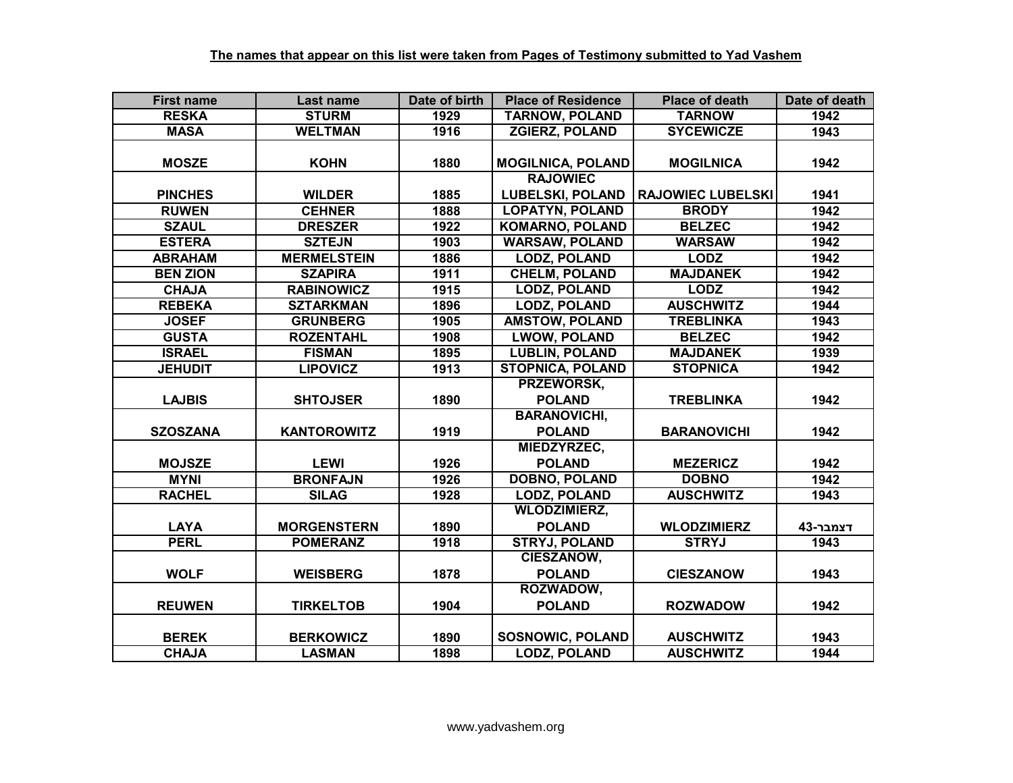| <b>First name</b> | <b>Last name</b>   | Date of birth     | <b>Place of Residence</b> | <b>Place of death</b>    | Date of death |
|-------------------|--------------------|-------------------|---------------------------|--------------------------|---------------|
| <b>RESKA</b>      | <b>STURM</b>       | 1929              | <b>TARNOW, POLAND</b>     | <b>TARNOW</b>            | 1942          |
| <b>MASA</b>       | <b>WELTMAN</b>     | 1916              | <b>ZGIERZ, POLAND</b>     | <b>SYCEWICZE</b>         | 1943          |
|                   |                    |                   |                           |                          |               |
| <b>MOSZE</b>      | <b>KOHN</b>        | 1880              | <b>MOGILNICA, POLAND</b>  | <b>MOGILNICA</b>         | 1942          |
|                   |                    |                   | <b>RAJOWIEC</b>           |                          |               |
| <b>PINCHES</b>    | <b>WILDER</b>      | 1885              | <b>LUBELSKI, POLAND</b>   | <b>RAJOWIEC LUBELSKI</b> | 1941          |
| <b>RUWEN</b>      | <b>CEHNER</b>      | 1888              | <b>LOPATYN, POLAND</b>    | <b>BRODY</b>             | 1942          |
| <b>SZAUL</b>      | <b>DRESZER</b>     | 1922              | <b>KOMARNO, POLAND</b>    | <b>BELZEC</b>            | 1942          |
| <b>ESTERA</b>     | <b>SZTEJN</b>      | 1903              | <b>WARSAW, POLAND</b>     | <b>WARSAW</b>            | 1942          |
| <b>ABRAHAM</b>    | <b>MERMELSTEIN</b> | 1886              | <b>LODZ, POLAND</b>       | <b>LODZ</b>              | 1942          |
| <b>BEN ZION</b>   | <b>SZAPIRA</b>     | 1911              | <b>CHELM, POLAND</b>      | <b>MAJDANEK</b>          | 1942          |
| <b>CHAJA</b>      | <b>RABINOWICZ</b>  | 1915              | <b>LODZ, POLAND</b>       | <b>LODZ</b>              | 1942          |
| <b>REBEKA</b>     | <b>SZTARKMAN</b>   | 1896              | <b>LODZ, POLAND</b>       | <b>AUSCHWITZ</b>         | 1944          |
| <b>JOSEF</b>      | <b>GRUNBERG</b>    | 1905              | <b>AMSTOW, POLAND</b>     | <b>TREBLINKA</b>         | 1943          |
| <b>GUSTA</b>      | <b>ROZENTAHL</b>   | 1908              | <b>LWOW, POLAND</b>       | <b>BELZEC</b>            | 1942          |
| <b>ISRAEL</b>     | <b>FISMAN</b>      | 1895              | <b>LUBLIN, POLAND</b>     | <b>MAJDANEK</b>          | 1939          |
| <b>JEHUDIT</b>    | <b>LIPOVICZ</b>    | 1913              | <b>STOPNICA, POLAND</b>   | <b>STOPNICA</b>          | 1942          |
|                   |                    |                   | PRZEWORSK,                |                          |               |
| <b>LAJBIS</b>     | <b>SHTOJSER</b>    | 1890              | <b>POLAND</b>             | <b>TREBLINKA</b>         | 1942          |
|                   |                    |                   | <b>BARANOVICHI,</b>       |                          |               |
| <b>SZOSZANA</b>   | <b>KANTOROWITZ</b> | 1919              | <b>POLAND</b>             | <b>BARANOVICHI</b>       | 1942          |
|                   |                    |                   | MIEDZYRZEC,               |                          |               |
| <b>MOJSZE</b>     | <b>LEWI</b>        | 1926              | <b>POLAND</b>             | <b>MEZERICZ</b>          | 1942          |
| <b>MYNI</b>       | <b>BRONFAJN</b>    | 1926              | <b>DOBNO, POLAND</b>      | <b>DOBNO</b>             | 1942          |
| <b>RACHEL</b>     | <b>SILAG</b>       | 1928              | <b>LODZ, POLAND</b>       | <b>AUSCHWITZ</b>         | 1943          |
|                   |                    |                   | <b>WLODZIMIERZ,</b>       |                          |               |
| <b>LAYA</b>       | <b>MORGENSTERN</b> | 1890              | <b>POLAND</b>             | <b>WLODZIMIERZ</b>       | דצמבר-43      |
| <b>PERL</b>       | <b>POMERANZ</b>    | $\overline{19}18$ | <b>STRYJ, POLAND</b>      | <b>STRYJ</b>             | 1943          |
|                   |                    |                   | <b>CIESZANOW,</b>         |                          |               |
| <b>WOLF</b>       | <b>WEISBERG</b>    | 1878              | <b>POLAND</b>             | <b>CIESZANOW</b>         | 1943          |
|                   |                    |                   | ROZWADOW,                 |                          |               |
| <b>REUWEN</b>     | <b>TIRKELTOB</b>   | 1904              | <b>POLAND</b>             | <b>ROZWADOW</b>          | 1942          |
|                   |                    |                   |                           |                          |               |
| <b>BEREK</b>      | <b>BERKOWICZ</b>   | 1890              | <b>SOSNOWIC, POLAND</b>   | <b>AUSCHWITZ</b>         | 1943          |
| <b>CHAJA</b>      | <b>LASMAN</b>      | 1898              | <b>LODZ, POLAND</b>       | <b>AUSCHWITZ</b>         | 1944          |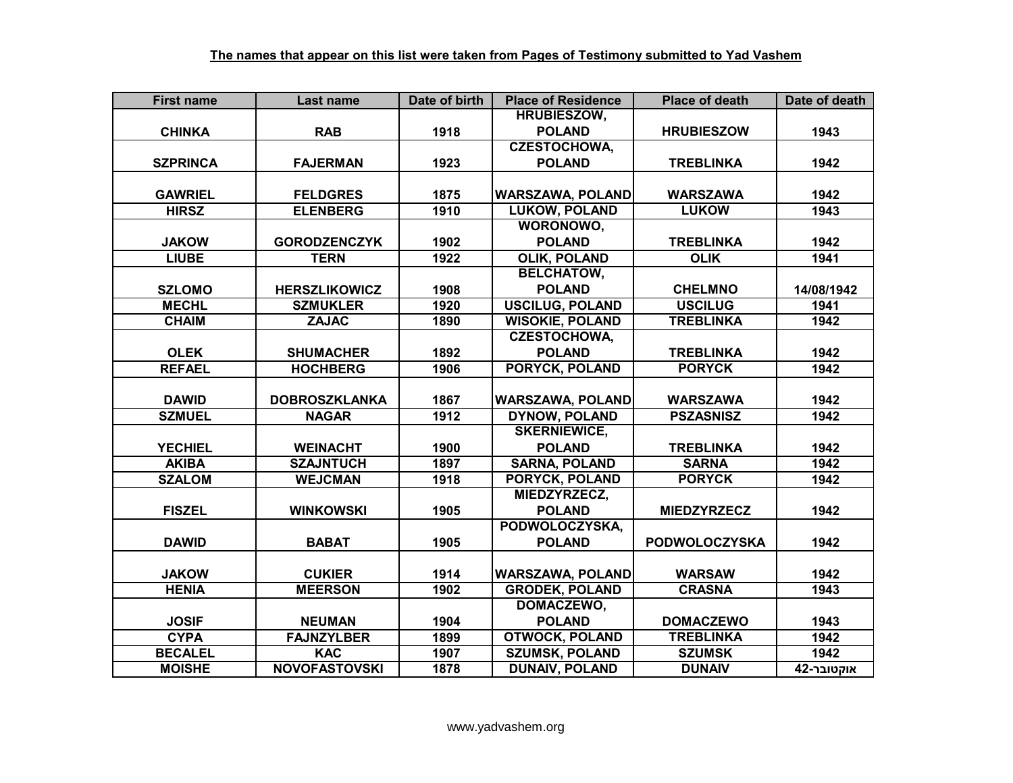| <b>First name</b> | Last name            | Date of birth | <b>Place of Residence</b> | <b>Place of death</b> | Date of death |
|-------------------|----------------------|---------------|---------------------------|-----------------------|---------------|
|                   |                      |               | <b>HRUBIESZOW,</b>        |                       |               |
| <b>CHINKA</b>     | <b>RAB</b>           | 1918          | <b>POLAND</b>             | <b>HRUBIESZOW</b>     | 1943          |
|                   |                      |               | <b>CZESTOCHOWA,</b>       |                       |               |
| <b>SZPRINCA</b>   | <b>FAJERMAN</b>      | 1923          | <b>POLAND</b>             | <b>TREBLINKA</b>      | 1942          |
|                   |                      |               |                           |                       |               |
| <b>GAWRIEL</b>    | <b>FELDGRES</b>      | 1875          | <b>WARSZAWA, POLAND</b>   | <b>WARSZAWA</b>       | 1942          |
| <b>HIRSZ</b>      | <b>ELENBERG</b>      | 1910          | <b>LUKOW, POLAND</b>      | <b>LUKOW</b>          | 1943          |
|                   |                      |               | WORONOWO,                 |                       |               |
| <b>JAKOW</b>      | <b>GORODZENCZYK</b>  | 1902          | <b>POLAND</b>             | <b>TREBLINKA</b>      | 1942          |
| <b>LIUBE</b>      | <b>TERN</b>          | 1922          | <b>OLIK, POLAND</b>       | <b>OLIK</b>           | 1941          |
|                   |                      |               | <b>BELCHATOW,</b>         |                       |               |
| <b>SZLOMO</b>     | <b>HERSZLIKOWICZ</b> | 1908          | <b>POLAND</b>             | <b>CHELMNO</b>        | 14/08/1942    |
| <b>MECHL</b>      | <b>SZMUKLER</b>      | 1920          | <b>USCILUG, POLAND</b>    | <b>USCILUG</b>        | 1941          |
| <b>CHAIM</b>      | <b>ZAJAC</b>         | 1890          | <b>WISOKIE, POLAND</b>    | <b>TREBLINKA</b>      | 1942          |
|                   |                      |               | <b>CZESTOCHOWA,</b>       |                       |               |
| <b>OLEK</b>       | <b>SHUMACHER</b>     | 1892          | <b>POLAND</b>             | <b>TREBLINKA</b>      | 1942          |
| <b>REFAEL</b>     | <b>HOCHBERG</b>      | 1906          | <b>PORYCK, POLAND</b>     | <b>PORYCK</b>         | 1942          |
|                   |                      |               |                           |                       |               |
| <b>DAWID</b>      | <b>DOBROSZKLANKA</b> | 1867          | <b>WARSZAWA, POLAND</b>   | <b>WARSZAWA</b>       | 1942          |
| <b>SZMUEL</b>     | <b>NAGAR</b>         | 1912          | <b>DYNOW, POLAND</b>      | <b>PSZASNISZ</b>      | 1942          |
|                   |                      |               | <b>SKERNIEWICE,</b>       |                       |               |
| <b>YECHIEL</b>    | <b>WEINACHT</b>      | 1900          | <b>POLAND</b>             | <b>TREBLINKA</b>      | 1942          |
| <b>AKIBA</b>      | <b>SZAJNTUCH</b>     | 1897          | <b>SARNA, POLAND</b>      | <b>SARNA</b>          | 1942          |
| <b>SZALOM</b>     | <b>WEJCMAN</b>       | 1918          | <b>PORYCK, POLAND</b>     | <b>PORYCK</b>         | 1942          |
|                   |                      |               | MIEDZYRZECZ,              |                       |               |
| <b>FISZEL</b>     | <b>WINKOWSKI</b>     | 1905          | <b>POLAND</b>             | <b>MIEDZYRZECZ</b>    | 1942          |
|                   |                      |               | PODWOLOCZYSKA,            |                       |               |
| <b>DAWID</b>      | <b>BABAT</b>         | 1905          | <b>POLAND</b>             | <b>PODWOLOCZYSKA</b>  | 1942          |
|                   |                      |               |                           |                       |               |
| <b>JAKOW</b>      | <b>CUKIER</b>        | 1914          | <b>WARSZAWA, POLAND</b>   | <b>WARSAW</b>         | 1942          |
| <b>HENIA</b>      | <b>MEERSON</b>       | 1902          | <b>GRODEK, POLAND</b>     | <b>CRASNA</b>         | 1943          |
|                   |                      |               | DOMACZEWO,                |                       |               |
| <b>JOSIF</b>      | <b>NEUMAN</b>        | 1904          | <b>POLAND</b>             | <b>DOMACZEWO</b>      | 1943          |
| <b>CYPA</b>       | <b>FAJNZYLBER</b>    | 1899          | <b>OTWOCK, POLAND</b>     | <b>TREBLINKA</b>      | 1942          |
| <b>BECALEL</b>    | <b>KAC</b>           | 1907          | <b>SZUMSK, POLAND</b>     | <b>SZUMSK</b>         | 1942          |
| <b>MOISHE</b>     | <b>NOVOFASTOVSKI</b> | 1878          | <b>DUNAIV, POLAND</b>     | <b>DUNAIV</b>         | אוקטובר-42    |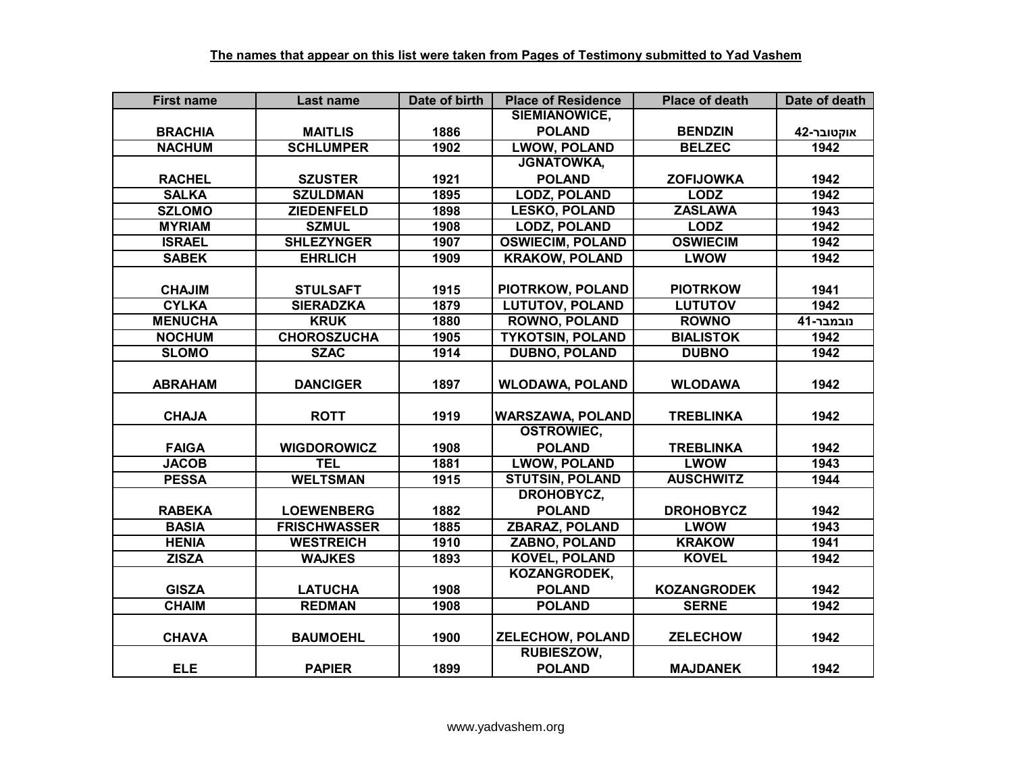| <b>First name</b> | Last name           | Date of birth | <b>Place of Residence</b> | <b>Place of death</b> | Date of death |
|-------------------|---------------------|---------------|---------------------------|-----------------------|---------------|
|                   |                     |               | SIEMIANOWICE,             |                       |               |
| <b>BRACHIA</b>    | <b>MAITLIS</b>      | 1886          | <b>POLAND</b>             | <b>BENDZIN</b>        | אוקטובר-42    |
| <b>NACHUM</b>     | <b>SCHLUMPER</b>    | 1902          | <b>LWOW, POLAND</b>       | <b>BELZEC</b>         | 1942          |
|                   |                     |               | <b>JGNATOWKA,</b>         |                       |               |
| <b>RACHEL</b>     | <b>SZUSTER</b>      | 1921          | <b>POLAND</b>             | <b>ZOFIJOWKA</b>      | 1942          |
| <b>SALKA</b>      | <b>SZULDMAN</b>     | 1895          | <b>LODZ, POLAND</b>       | <b>LODZ</b>           | 1942          |
| <b>SZLOMO</b>     | <b>ZIEDENFELD</b>   | 1898          | <b>LESKO, POLAND</b>      | <b>ZASLAWA</b>        | 1943          |
| <b>MYRIAM</b>     | <b>SZMUL</b>        | 1908          | <b>LODZ, POLAND</b>       | <b>LODZ</b>           | 1942          |
| <b>ISRAEL</b>     | <b>SHLEZYNGER</b>   | 1907          | <b>OSWIECIM, POLAND</b>   | <b>OSWIECIM</b>       | 1942          |
| <b>SABEK</b>      | <b>EHRLICH</b>      | 1909          | <b>KRAKOW, POLAND</b>     | <b>LWOW</b>           | 1942          |
|                   |                     |               |                           |                       |               |
| <b>CHAJIM</b>     | <b>STULSAFT</b>     | 1915          | PIOTRKOW, POLAND          | <b>PIOTRKOW</b>       | 1941          |
| <b>CYLKA</b>      | <b>SIERADZKA</b>    | 1879          | <b>LUTUTOV, POLAND</b>    | <b>LUTUTOV</b>        | 1942          |
| <b>MENUCHA</b>    | <b>KRUK</b>         | 1880          | <b>ROWNO, POLAND</b>      | <b>ROWNO</b>          | נובמבר-41     |
| <b>NOCHUM</b>     | <b>CHOROSZUCHA</b>  | 1905          | <b>TYKOTSIN, POLAND</b>   | <b>BIALISTOK</b>      | 1942          |
| <b>SLOMO</b>      | <b>SZAC</b>         | 1914          | <b>DUBNO, POLAND</b>      | <b>DUBNO</b>          | 1942          |
|                   |                     |               |                           |                       |               |
| <b>ABRAHAM</b>    | <b>DANCIGER</b>     | 1897          | <b>WLODAWA, POLAND</b>    | <b>WLODAWA</b>        | 1942          |
|                   |                     |               |                           |                       |               |
| <b>CHAJA</b>      | <b>ROTT</b>         | 1919          | <b>WARSZAWA, POLAND</b>   | <b>TREBLINKA</b>      | 1942          |
|                   |                     |               | <b>OSTROWIEC.</b>         |                       |               |
| <b>FAIGA</b>      | <b>WIGDOROWICZ</b>  | 1908          | <b>POLAND</b>             | <b>TREBLINKA</b>      | 1942          |
| <b>JACOB</b>      | <b>TEL</b>          | 1881          | <b>LWOW, POLAND</b>       | <b>LWOW</b>           | 1943          |
| <b>PESSA</b>      | <b>WELTSMAN</b>     | 1915          | <b>STUTSIN, POLAND</b>    | <b>AUSCHWITZ</b>      | 1944          |
|                   |                     |               | DROHOBYCZ,                |                       |               |
| <b>RABEKA</b>     | <b>LOEWENBERG</b>   | 1882          | <b>POLAND</b>             | <b>DROHOBYCZ</b>      | 1942          |
| <b>BASIA</b>      | <b>FRISCHWASSER</b> | 1885          | <b>ZBARAZ, POLAND</b>     | <b>LWOW</b>           | 1943          |
| <b>HENIA</b>      | <b>WESTREICH</b>    | 1910          | <b>ZABNO, POLAND</b>      | <b>KRAKOW</b>         | 1941          |
| <b>ZISZA</b>      | <b>WAJKES</b>       | 1893          | <b>KOVEL, POLAND</b>      | <b>KOVEL</b>          | 1942          |
|                   |                     |               | KOZANGRODEK,              |                       |               |
| <b>GISZA</b>      | <b>LATUCHA</b>      | 1908          | <b>POLAND</b>             | <b>KOZANGRODEK</b>    | 1942          |
| <b>CHAIM</b>      | <b>REDMAN</b>       | 1908          | <b>POLAND</b>             | <b>SERNE</b>          | 1942          |
|                   |                     |               |                           |                       |               |
| <b>CHAVA</b>      | <b>BAUMOEHL</b>     | 1900          | <b>ZELECHOW, POLAND</b>   | <b>ZELECHOW</b>       | 1942          |
|                   |                     |               | <b>RUBIESZOW,</b>         |                       |               |
| <b>ELE</b>        | <b>PAPIER</b>       | 1899          | <b>POLAND</b>             | <b>MAJDANEK</b>       | 1942          |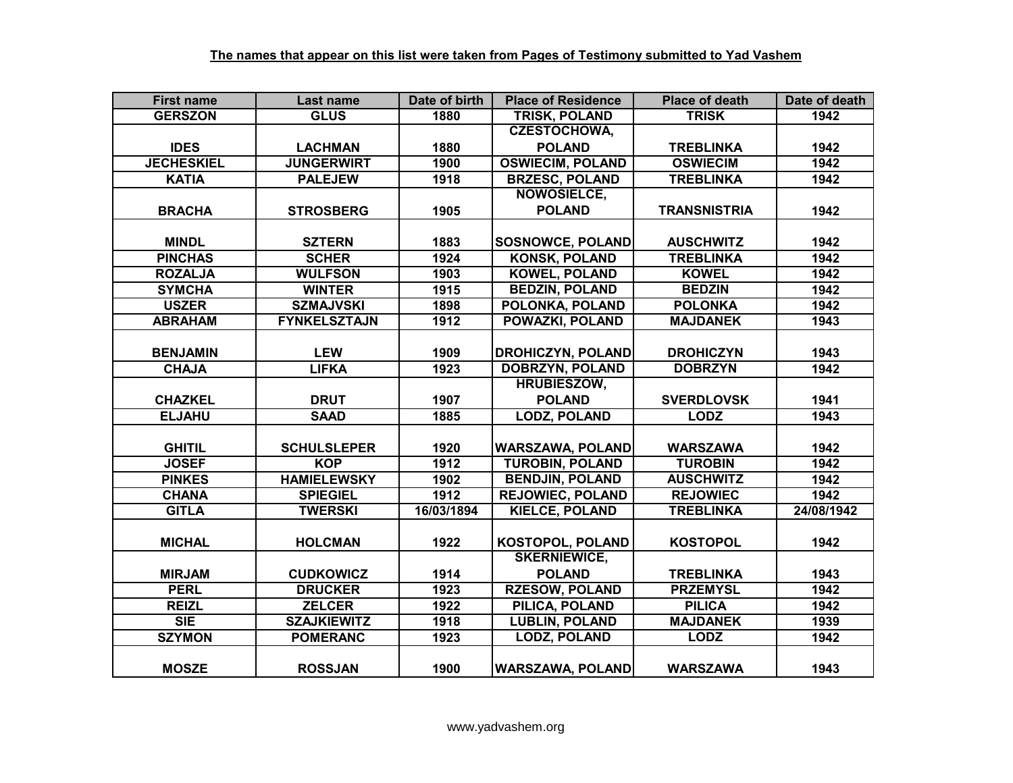| <b>First name</b> | Last name           | Date of birth | <b>Place of Residence</b> | <b>Place of death</b> | Date of death |
|-------------------|---------------------|---------------|---------------------------|-----------------------|---------------|
| <b>GERSZON</b>    | <b>GLUS</b>         | 1880          | <b>TRISK, POLAND</b>      | <b>TRISK</b>          | 1942          |
|                   |                     |               | <b>CZESTOCHOWA,</b>       |                       |               |
| <b>IDES</b>       | <b>LACHMAN</b>      | 1880          | <b>POLAND</b>             | <b>TREBLINKA</b>      | 1942          |
| <b>JECHESKIEL</b> | <b>JUNGERWIRT</b>   | 1900          | <b>OSWIECIM, POLAND</b>   | <b>OSWIECIM</b>       | 1942          |
| <b>KATIA</b>      | <b>PALEJEW</b>      | 1918          | <b>BRZESC, POLAND</b>     | <b>TREBLINKA</b>      | 1942          |
|                   |                     |               | <b>NOWOSIELCE,</b>        |                       |               |
| <b>BRACHA</b>     | <b>STROSBERG</b>    | 1905          | <b>POLAND</b>             | <b>TRANSNISTRIA</b>   | 1942          |
|                   |                     |               |                           |                       |               |
| <b>MINDL</b>      | <b>SZTERN</b>       | 1883          | <b>SOSNOWCE, POLAND</b>   | <b>AUSCHWITZ</b>      | 1942          |
| <b>PINCHAS</b>    | <b>SCHER</b>        | 1924          | <b>KONSK, POLAND</b>      | <b>TREBLINKA</b>      | 1942          |
| <b>ROZALJA</b>    | <b>WULFSON</b>      | 1903          | <b>KOWEL, POLAND</b>      | <b>KOWEL</b>          | 1942          |
| <b>SYMCHA</b>     | <b>WINTER</b>       | 1915          | <b>BEDZIN, POLAND</b>     | <b>BEDZIN</b>         | 1942          |
| <b>USZER</b>      | <b>SZMAJVSKI</b>    | 1898          | POLONKA, POLAND           | <b>POLONKA</b>        | 1942          |
| <b>ABRAHAM</b>    | <b>FYNKELSZTAJN</b> | 1912          | POWAZKI, POLAND           | <b>MAJDANEK</b>       | 1943          |
|                   |                     |               |                           |                       |               |
| <b>BENJAMIN</b>   | <b>LEW</b>          | 1909          | <b>DROHICZYN, POLAND</b>  | <b>DROHICZYN</b>      | 1943          |
| <b>CHAJA</b>      | <b>LIFKA</b>        | 1923          | <b>DOBRZYN, POLAND</b>    | <b>DOBRZYN</b>        | 1942          |
|                   |                     |               | <b>HRUBIESZOW,</b>        |                       |               |
| <b>CHAZKEL</b>    | <b>DRUT</b>         | 1907          | <b>POLAND</b>             | <b>SVERDLOVSK</b>     | 1941          |
| <b>ELJAHU</b>     | <b>SAAD</b>         | 1885          | <b>LODZ, POLAND</b>       | <b>LODZ</b>           | 1943          |
|                   |                     |               |                           |                       |               |
| <b>GHITIL</b>     | <b>SCHULSLEPER</b>  | 1920          | <b>WARSZAWA, POLAND</b>   | <b>WARSZAWA</b>       | 1942          |
| <b>JOSEF</b>      | <b>KOP</b>          | 1912          | <b>TUROBIN, POLAND</b>    | <b>TUROBIN</b>        | 1942          |
| <b>PINKES</b>     | <b>HAMIELEWSKY</b>  | 1902          | <b>BENDJIN, POLAND</b>    | <b>AUSCHWITZ</b>      | 1942          |
| <b>CHANA</b>      | <b>SPIEGIEL</b>     | 1912          | <b>REJOWIEC, POLAND</b>   | <b>REJOWIEC</b>       | 1942          |
| <b>GITLA</b>      | <b>TWERSKI</b>      | 16/03/1894    | <b>KIELCE, POLAND</b>     | <b>TREBLINKA</b>      | 24/08/1942    |
|                   |                     |               |                           |                       |               |
| <b>MICHAL</b>     | <b>HOLCMAN</b>      | 1922          | <b>KOSTOPOL, POLAND</b>   | <b>KOSTOPOL</b>       | 1942          |
|                   |                     |               | <b>SKERNIEWICE,</b>       |                       |               |
| <b>MIRJAM</b>     | <b>CUDKOWICZ</b>    | 1914          | <b>POLAND</b>             | <b>TREBLINKA</b>      | 1943          |
| <b>PERL</b>       | <b>DRUCKER</b>      | 1923          | <b>RZESOW, POLAND</b>     | <b>PRZEMYSL</b>       | 1942          |
| <b>REIZL</b>      | <b>ZELCER</b>       | 1922          | PILICA, POLAND            | <b>PILICA</b>         | 1942          |
| <b>SIE</b>        | <b>SZAJKIEWITZ</b>  | 1918          | <b>LUBLIN, POLAND</b>     | <b>MAJDANEK</b>       | 1939          |
| <b>SZYMON</b>     | <b>POMERANC</b>     | 1923          | <b>LODZ, POLAND</b>       | <b>LODZ</b>           | 1942          |
|                   |                     |               |                           |                       |               |
| <b>MOSZE</b>      | <b>ROSSJAN</b>      | 1900          | <b>WARSZAWA, POLAND</b>   | <b>WARSZAWA</b>       | 1943          |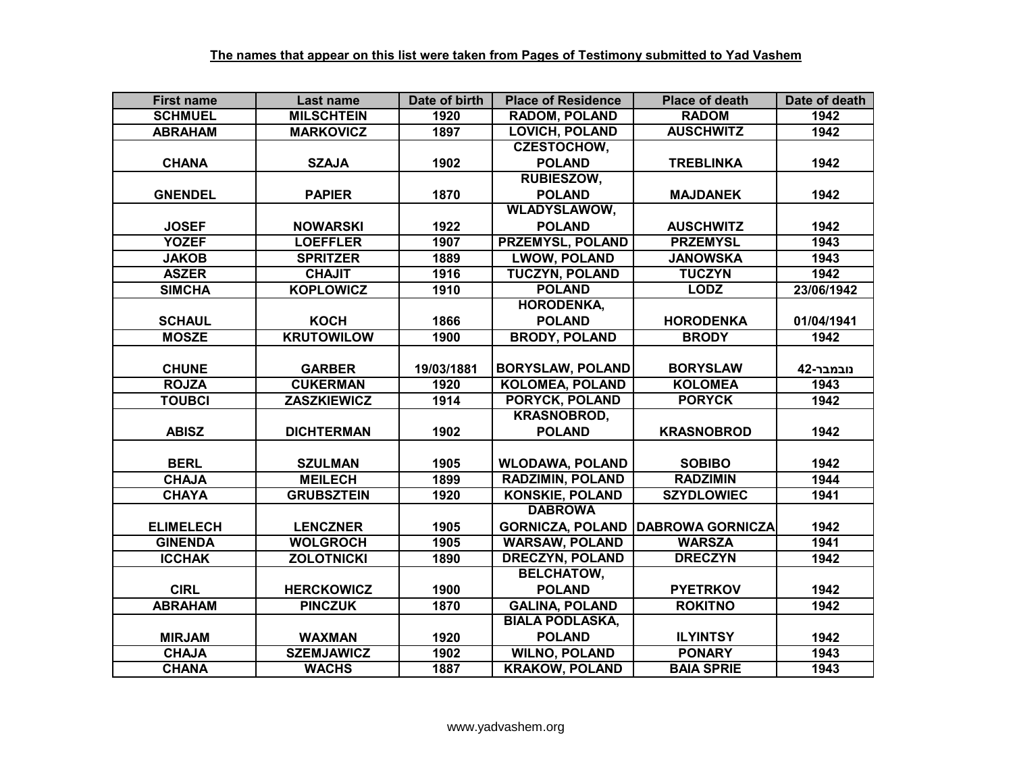| <b>First name</b> | Last name          | Date of birth | <b>Place of Residence</b> | <b>Place of death</b>   | Date of death |
|-------------------|--------------------|---------------|---------------------------|-------------------------|---------------|
| <b>SCHMUEL</b>    | <b>MILSCHTEIN</b>  | 1920          | <b>RADOM, POLAND</b>      | <b>RADOM</b>            | 1942          |
| <b>ABRAHAM</b>    | <b>MARKOVICZ</b>   | 1897          | <b>LOVICH, POLAND</b>     | <b>AUSCHWITZ</b>        | 1942          |
|                   |                    |               | <b>CZESTOCHOW,</b>        |                         |               |
| <b>CHANA</b>      | <b>SZAJA</b>       | 1902          | <b>POLAND</b>             | <b>TREBLINKA</b>        | 1942          |
|                   |                    |               | <b>RUBIESZOW,</b>         |                         |               |
| <b>GNENDEL</b>    | <b>PAPIER</b>      | 1870          | <b>POLAND</b>             | <b>MAJDANEK</b>         | 1942          |
|                   |                    |               | <b>WLADYSLAWOW,</b>       |                         |               |
| <b>JOSEF</b>      | <b>NOWARSKI</b>    | 1922          | <b>POLAND</b>             | <b>AUSCHWITZ</b>        | 1942          |
| <b>YOZEF</b>      | <b>LOEFFLER</b>    | 1907          | PRZEMYSL, POLAND          | <b>PRZEMYSL</b>         | 1943          |
| <b>JAKOB</b>      | <b>SPRITZER</b>    | 1889          | <b>LWOW, POLAND</b>       | <b>JANOWSKA</b>         | 1943          |
| <b>ASZER</b>      | <b>CHAJIT</b>      | 1916          | <b>TUCZYN, POLAND</b>     | <b>TUCZYN</b>           | 1942          |
| <b>SIMCHA</b>     | <b>KOPLOWICZ</b>   | 1910          | <b>POLAND</b>             | <b>LODZ</b>             | 23/06/1942    |
|                   |                    |               | <b>HORODENKA,</b>         |                         |               |
| <b>SCHAUL</b>     | <b>KOCH</b>        | 1866          | <b>POLAND</b>             | <b>HORODENKA</b>        | 01/04/1941    |
| <b>MOSZE</b>      | <b>KRUTOWILOW</b>  | 1900          | <b>BRODY, POLAND</b>      | <b>BRODY</b>            | 1942          |
|                   |                    |               |                           |                         |               |
| <b>CHUNE</b>      | <b>GARBER</b>      | 19/03/1881    | <b>BORYSLAW, POLAND</b>   | <b>BORYSLAW</b>         | נובמבר-42     |
| <b>ROJZA</b>      | <b>CUKERMAN</b>    | 1920          | <b>KOLOMEA, POLAND</b>    | <b>KOLOMEA</b>          | 1943          |
| <b>TOUBCI</b>     | <b>ZASZKIEWICZ</b> | 1914          | PORYCK, POLAND            | <b>PORYCK</b>           | 1942          |
|                   |                    |               | <b>KRASNOBROD,</b>        |                         |               |
| <b>ABISZ</b>      | <b>DICHTERMAN</b>  | 1902          | <b>POLAND</b>             | <b>KRASNOBROD</b>       | 1942          |
|                   |                    |               |                           |                         |               |
| <b>BERL</b>       | <b>SZULMAN</b>     | 1905          | <b>WLODAWA, POLAND</b>    | <b>SOBIBO</b>           | 1942          |
| <b>CHAJA</b>      | <b>MEILECH</b>     | 1899          | <b>RADZIMIN, POLAND</b>   | <b>RADZIMIN</b>         | 1944          |
| <b>CHAYA</b>      | <b>GRUBSZTEIN</b>  | 1920          | <b>KONSKIE, POLAND</b>    | <b>SZYDLOWIEC</b>       | 1941          |
|                   |                    |               | <b>DABROWA</b>            |                         |               |
| <b>ELIMELECH</b>  | <b>LENCZNER</b>    | 1905          | <b>GORNICZA, POLAND</b>   | <b>DABROWA GORNICZA</b> | 1942          |
| <b>GINENDA</b>    | <b>WOLGROCH</b>    | 1905          | <b>WARSAW, POLAND</b>     | <b>WARSZA</b>           | 1941          |
| <b>ICCHAK</b>     | <b>ZOLOTNICKI</b>  | 1890          | <b>DRECZYN, POLAND</b>    | <b>DRECZYN</b>          | 1942          |
|                   |                    |               | <b>BELCHATOW,</b>         |                         |               |
| <b>CIRL</b>       | <b>HERCKOWICZ</b>  | 1900          | <b>POLAND</b>             | <b>PYETRKOV</b>         | 1942          |
| <b>ABRAHAM</b>    | <b>PINCZUK</b>     | 1870          | <b>GALINA, POLAND</b>     | <b>ROKITNO</b>          | 1942          |
|                   |                    |               | <b>BIALA PODLASKA,</b>    |                         |               |
| <b>MIRJAM</b>     | <b>WAXMAN</b>      | 1920          | <b>POLAND</b>             | <b>ILYINTSY</b>         | 1942          |
| <b>CHAJA</b>      | <b>SZEMJAWICZ</b>  | 1902          | <b>WILNO, POLAND</b>      | <b>PONARY</b>           | 1943          |
| <b>CHANA</b>      | <b>WACHS</b>       | 1887          | <b>KRAKOW, POLAND</b>     | <b>BAIA SPRIE</b>       | 1943          |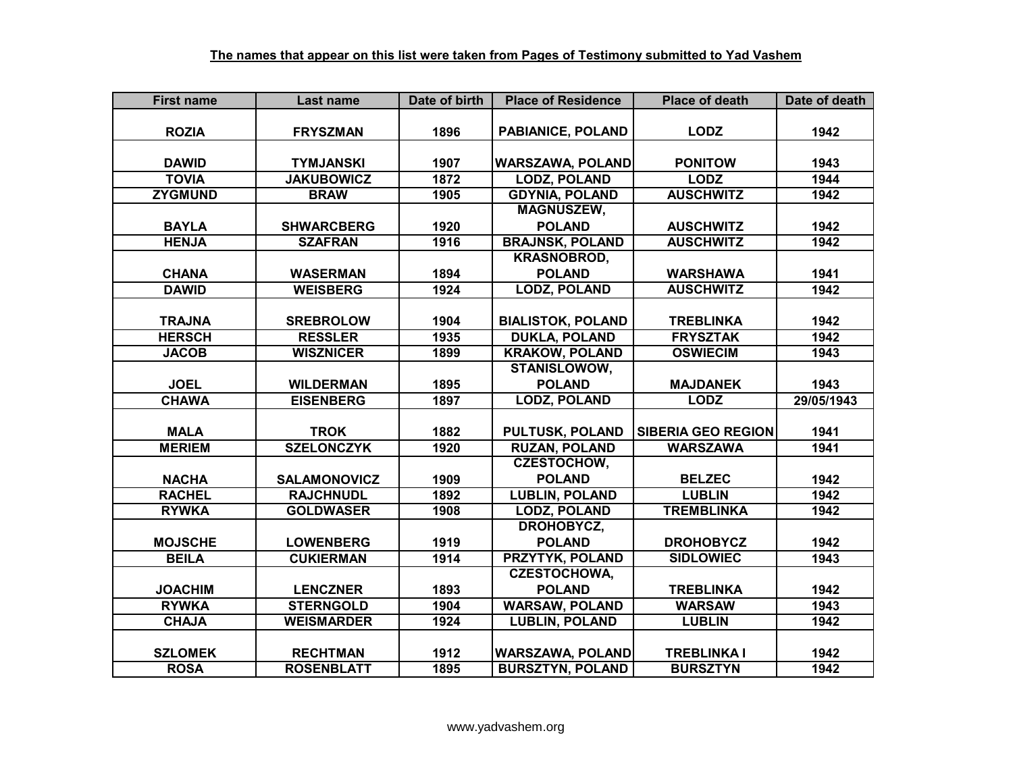| <b>First name</b> | Last name           | Date of birth | <b>Place of Residence</b> | <b>Place of death</b>     | Date of death |
|-------------------|---------------------|---------------|---------------------------|---------------------------|---------------|
|                   |                     |               |                           |                           |               |
| <b>ROZIA</b>      | <b>FRYSZMAN</b>     | 1896          | PABIANICE, POLAND         | <b>LODZ</b>               | 1942          |
|                   |                     |               |                           |                           |               |
| <b>DAWID</b>      | <b>TYMJANSKI</b>    | 1907          | <b>WARSZAWA, POLAND</b>   | <b>PONITOW</b>            | 1943          |
| <b>TOVIA</b>      | <b>JAKUBOWICZ</b>   | 1872          | <b>LODZ, POLAND</b>       | <b>LODZ</b>               | 1944          |
| <b>ZYGMUND</b>    | <b>BRAW</b>         | 1905          | <b>GDYNIA, POLAND</b>     | <b>AUSCHWITZ</b>          | 1942          |
|                   |                     |               | <b>MAGNUSZEW,</b>         |                           |               |
| <b>BAYLA</b>      | <b>SHWARCBERG</b>   | 1920          | <b>POLAND</b>             | <b>AUSCHWITZ</b>          | 1942          |
| <b>HENJA</b>      | <b>SZAFRAN</b>      | 1916          | <b>BRAJNSK, POLAND</b>    | <b>AUSCHWITZ</b>          | 1942          |
|                   |                     |               | <b>KRASNOBROD,</b>        |                           |               |
| <b>CHANA</b>      | <b>WASERMAN</b>     | 1894          | <b>POLAND</b>             | <b>WARSHAWA</b>           | 1941          |
| <b>DAWID</b>      | <b>WEISBERG</b>     | 1924          | <b>LODZ, POLAND</b>       | <b>AUSCHWITZ</b>          | 1942          |
|                   |                     |               |                           |                           |               |
| <b>TRAJNA</b>     | <b>SREBROLOW</b>    | 1904          | <b>BIALISTOK, POLAND</b>  | <b>TREBLINKA</b>          | 1942          |
| <b>HERSCH</b>     | <b>RESSLER</b>      | 1935          | <b>DUKLA, POLAND</b>      | <b>FRYSZTAK</b>           | 1942          |
| <b>JACOB</b>      | <b>WISZNICER</b>    | 1899          | <b>KRAKOW, POLAND</b>     | <b>OSWIECIM</b>           | 1943          |
|                   |                     |               | STANISLOWOW,              |                           |               |
| <b>JOEL</b>       | <b>WILDERMAN</b>    | 1895          | <b>POLAND</b>             | <b>MAJDANEK</b>           | 1943          |
| <b>CHAWA</b>      | <b>EISENBERG</b>    | 1897          | <b>LODZ, POLAND</b>       | <b>LODZ</b>               | 29/05/1943    |
|                   |                     |               |                           |                           |               |
| <b>MALA</b>       | <b>TROK</b>         | 1882          | <b>PULTUSK, POLAND</b>    | <b>SIBERIA GEO REGION</b> | 1941          |
| <b>MERIEM</b>     | <b>SZELONCZYK</b>   | 1920          | <b>RUZAN, POLAND</b>      | <b>WARSZAWA</b>           | 1941          |
|                   |                     |               | <b>CZESTOCHOW,</b>        |                           |               |
| <b>NACHA</b>      | <b>SALAMONOVICZ</b> | 1909          | <b>POLAND</b>             | <b>BELZEC</b>             | 1942          |
| <b>RACHEL</b>     | <b>RAJCHNUDL</b>    | 1892          | <b>LUBLIN, POLAND</b>     | <b>LUBLIN</b>             | 1942          |
| <b>RYWKA</b>      | <b>GOLDWASER</b>    | 1908          | <b>LODZ, POLAND</b>       | <b>TREMBLINKA</b>         | 1942          |
|                   |                     |               | DROHOBYCZ,                |                           |               |
| <b>MOJSCHE</b>    | <b>LOWENBERG</b>    | 1919          | <b>POLAND</b>             | <b>DROHOBYCZ</b>          | 1942          |
| <b>BEILA</b>      | <b>CUKIERMAN</b>    | 1914          | <b>PRZYTYK, POLAND</b>    | <b>SIDLOWIEC</b>          | 1943          |
|                   |                     |               | <b>CZESTOCHOWA,</b>       |                           |               |
| <b>JOACHIM</b>    | <b>LENCZNER</b>     | 1893          | <b>POLAND</b>             | <b>TREBLINKA</b>          | 1942          |
| <b>RYWKA</b>      | <b>STERNGOLD</b>    | 1904          | <b>WARSAW, POLAND</b>     | <b>WARSAW</b>             | 1943          |
| <b>CHAJA</b>      | <b>WEISMARDER</b>   | 1924          | <b>LUBLIN, POLAND</b>     | <b>LUBLIN</b>             | 1942          |
|                   |                     |               |                           |                           |               |
| <b>SZLOMEK</b>    | <b>RECHTMAN</b>     | 1912          | <b>WARSZAWA, POLAND</b>   | <b>TREBLINKAI</b>         | 1942          |
| <b>ROSA</b>       | <b>ROSENBLATT</b>   | 1895          | <b>BURSZTYN, POLAND</b>   | <b>BURSZTYN</b>           | 1942          |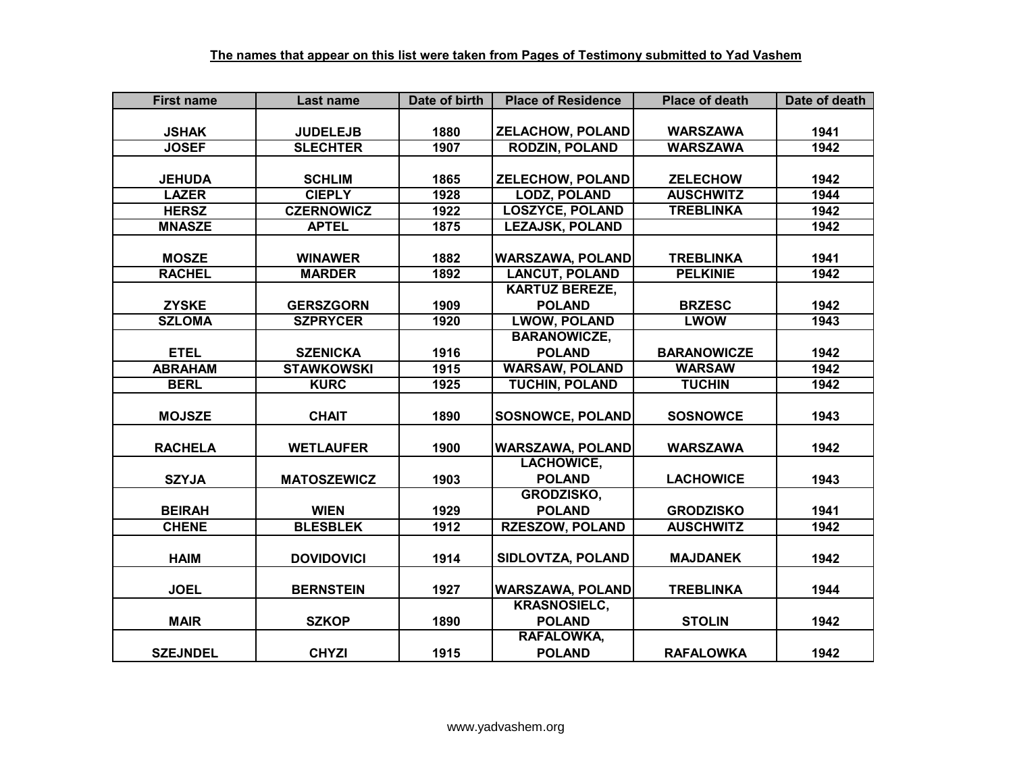| <b>First name</b> | Last name          | Date of birth | <b>Place of Residence</b> | <b>Place of death</b> | Date of death |
|-------------------|--------------------|---------------|---------------------------|-----------------------|---------------|
|                   |                    |               |                           |                       |               |
| <b>JSHAK</b>      | <b>JUDELEJB</b>    | 1880          | <b>ZELACHOW, POLAND</b>   | <b>WARSZAWA</b>       | 1941          |
| <b>JOSEF</b>      | <b>SLECHTER</b>    | 1907          | <b>RODZIN, POLAND</b>     | <b>WARSZAWA</b>       | 1942          |
|                   |                    |               |                           |                       |               |
| <b>JEHUDA</b>     | <b>SCHLIM</b>      | 1865          | <b>ZELECHOW, POLAND</b>   | <b>ZELECHOW</b>       | 1942          |
| <b>LAZER</b>      | <b>CIEPLY</b>      | 1928          | <b>LODZ, POLAND</b>       | <b>AUSCHWITZ</b>      | 1944          |
| <b>HERSZ</b>      | <b>CZERNOWICZ</b>  | 1922          | <b>LOSZYCE, POLAND</b>    | <b>TREBLINKA</b>      | 1942          |
| <b>MNASZE</b>     | <b>APTEL</b>       | 1875          | <b>LEZAJSK, POLAND</b>    |                       | 1942          |
|                   |                    |               |                           |                       |               |
| <b>MOSZE</b>      | <b>WINAWER</b>     | 1882          | <b>WARSZAWA, POLAND</b>   | <b>TREBLINKA</b>      | 1941          |
| <b>RACHEL</b>     | <b>MARDER</b>      | 1892          | <b>LANCUT, POLAND</b>     | <b>PELKINIE</b>       | 1942          |
|                   |                    |               | <b>KARTUZ BEREZE,</b>     |                       |               |
| <b>ZYSKE</b>      | <b>GERSZGORN</b>   | 1909          | <b>POLAND</b>             | <b>BRZESC</b>         | 1942          |
| <b>SZLOMA</b>     | <b>SZPRYCER</b>    | 1920          | <b>LWOW, POLAND</b>       | <b>LWOW</b>           | 1943          |
|                   |                    |               | <b>BARANOWICZE,</b>       |                       |               |
| <b>ETEL</b>       | <b>SZENICKA</b>    | 1916          | <b>POLAND</b>             | <b>BARANOWICZE</b>    | 1942          |
| <b>ABRAHAM</b>    | <b>STAWKOWSKI</b>  | 1915          | <b>WARSAW, POLAND</b>     | <b>WARSAW</b>         | 1942          |
| <b>BERL</b>       | <b>KURC</b>        | 1925          | <b>TUCHIN, POLAND</b>     | <b>TUCHIN</b>         | 1942          |
|                   |                    |               |                           |                       |               |
| <b>MOJSZE</b>     | <b>CHAIT</b>       | 1890          | <b>SOSNOWCE, POLAND</b>   | <b>SOSNOWCE</b>       | 1943          |
|                   |                    |               |                           |                       |               |
| <b>RACHELA</b>    | <b>WETLAUFER</b>   | 1900          | <b>WARSZAWA, POLAND</b>   | <b>WARSZAWA</b>       | 1942          |
|                   |                    |               | <b>LACHOWICE,</b>         |                       |               |
| <b>SZYJA</b>      | <b>MATOSZEWICZ</b> | 1903          | <b>POLAND</b>             | <b>LACHOWICE</b>      | 1943          |
|                   |                    |               | GRODZISKO,                |                       |               |
| <b>BEIRAH</b>     | <b>WIEN</b>        | 1929          | <b>POLAND</b>             | <b>GRODZISKO</b>      | 1941          |
| <b>CHENE</b>      | <b>BLESBLEK</b>    | 1912          | <b>RZESZOW, POLAND</b>    | <b>AUSCHWITZ</b>      | 1942          |
|                   |                    |               |                           |                       |               |
| <b>HAIM</b>       | <b>DOVIDOVICI</b>  | 1914          | SIDLOVTZA, POLAND         | <b>MAJDANEK</b>       | 1942          |
|                   |                    |               |                           |                       |               |
| <b>JOEL</b>       | <b>BERNSTEIN</b>   | 1927          | <b>WARSZAWA, POLAND</b>   | <b>TREBLINKA</b>      | 1944          |
|                   |                    |               | <b>KRASNOSIELC,</b>       |                       |               |
| <b>MAIR</b>       | <b>SZKOP</b>       | 1890          | <b>POLAND</b>             | <b>STOLIN</b>         | 1942          |
|                   |                    |               | RAFALOWKA,                |                       |               |
| <b>SZEJNDEL</b>   | <b>CHYZI</b>       | 1915          | <b>POLAND</b>             | <b>RAFALOWKA</b>      | 1942          |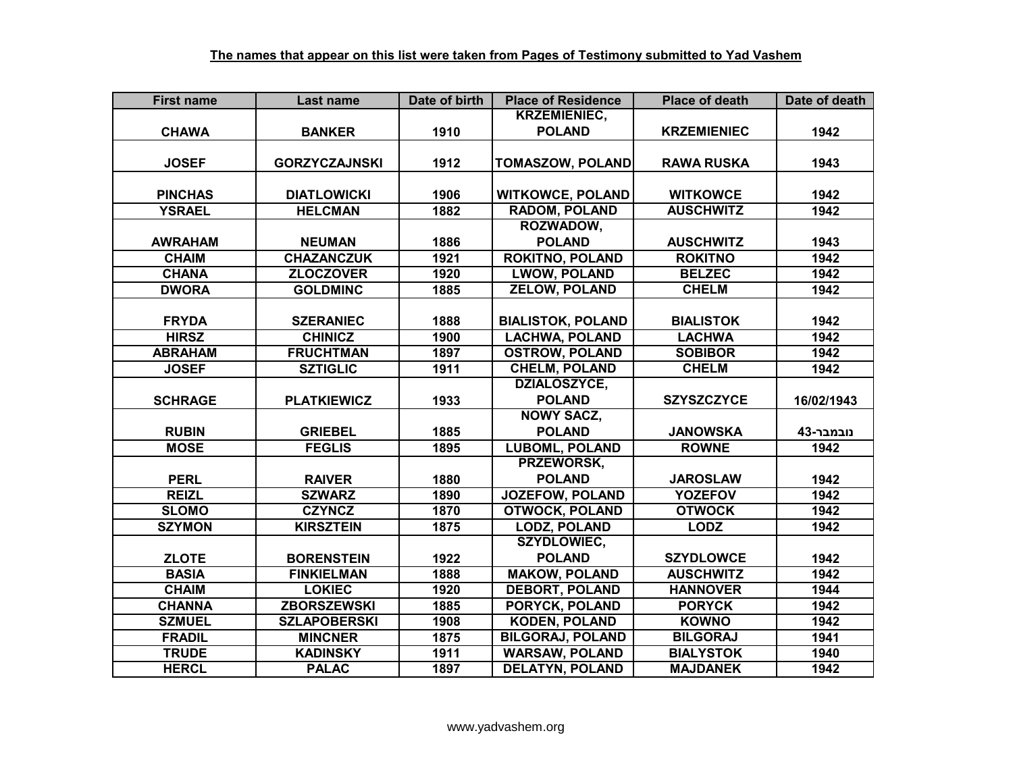| <b>First name</b> | Last name            | Date of birth | <b>Place of Residence</b> | <b>Place of death</b> | Date of death |
|-------------------|----------------------|---------------|---------------------------|-----------------------|---------------|
|                   |                      |               | <b>KRZEMIENIEC,</b>       |                       |               |
| <b>CHAWA</b>      | <b>BANKER</b>        | 1910          | <b>POLAND</b>             | <b>KRZEMIENIEC</b>    | 1942          |
|                   |                      |               |                           |                       |               |
| <b>JOSEF</b>      | <b>GORZYCZAJNSKI</b> | 1912          | <b>TOMASZOW, POLAND</b>   | <b>RAWA RUSKA</b>     | 1943          |
|                   |                      |               |                           |                       |               |
| <b>PINCHAS</b>    | <b>DIATLOWICKI</b>   | 1906          | <b>WITKOWCE, POLAND</b>   | <b>WITKOWCE</b>       | 1942          |
| <b>YSRAEL</b>     | <b>HELCMAN</b>       | 1882          | <b>RADOM, POLAND</b>      | <b>AUSCHWITZ</b>      | 1942          |
|                   |                      |               | ROZWADOW,                 |                       |               |
| <b>AWRAHAM</b>    | <b>NEUMAN</b>        | 1886          | <b>POLAND</b>             | <b>AUSCHWITZ</b>      | 1943          |
| <b>CHAIM</b>      | <b>CHAZANCZUK</b>    | 1921          | <b>ROKITNO, POLAND</b>    | <b>ROKITNO</b>        | 1942          |
| <b>CHANA</b>      | <b>ZLOCZOVER</b>     | 1920          | <b>LWOW, POLAND</b>       | <b>BELZEC</b>         | 1942          |
| <b>DWORA</b>      | <b>GOLDMINC</b>      | 1885          | <b>ZELOW, POLAND</b>      | <b>CHELM</b>          | 1942          |
|                   |                      |               |                           |                       |               |
| <b>FRYDA</b>      | <b>SZERANIEC</b>     | 1888          | <b>BIALISTOK, POLAND</b>  | <b>BIALISTOK</b>      | 1942          |
| <b>HIRSZ</b>      | <b>CHINICZ</b>       | 1900          | <b>LACHWA, POLAND</b>     | <b>LACHWA</b>         | 1942          |
| <b>ABRAHAM</b>    | <b>FRUCHTMAN</b>     | 1897          | <b>OSTROW, POLAND</b>     | <b>SOBIBOR</b>        | 1942          |
| <b>JOSEF</b>      | <b>SZTIGLIC</b>      | 1911          | <b>CHELM, POLAND</b>      | <b>CHELM</b>          | 1942          |
|                   |                      |               | DZIALOSZYCE,              |                       |               |
| <b>SCHRAGE</b>    | <b>PLATKIEWICZ</b>   | 1933          | <b>POLAND</b>             | <b>SZYSZCZYCE</b>     | 16/02/1943    |
|                   |                      |               | <b>NOWY SACZ,</b>         |                       |               |
| <b>RUBIN</b>      | <b>GRIEBEL</b>       | 1885          | <b>POLAND</b>             | <b>JANOWSKA</b>       | נובמבר-43     |
| <b>MOSE</b>       | <b>FEGLIS</b>        | 1895          | <b>LUBOML, POLAND</b>     | <b>ROWNE</b>          | 1942          |
|                   |                      |               | PRZEWORSK,                |                       |               |
| <b>PERL</b>       | <b>RAIVER</b>        | 1880          | <b>POLAND</b>             | <b>JAROSLAW</b>       | 1942          |
| <b>REIZL</b>      | <b>SZWARZ</b>        | 1890          | <b>JOZEFOW, POLAND</b>    | <b>YOZEFOV</b>        | 1942          |
| <b>SLOMO</b>      | <b>CZYNCZ</b>        | 1870          | <b>OTWOCK, POLAND</b>     | <b>OTWOCK</b>         | 1942          |
| <b>SZYMON</b>     | <b>KIRSZTEIN</b>     | 1875          | <b>LODZ, POLAND</b>       | <b>LODZ</b>           | 1942          |
|                   |                      |               | <b>SZYDLOWIEC,</b>        |                       |               |
| <b>ZLOTE</b>      | <b>BORENSTEIN</b>    | 1922          | <b>POLAND</b>             | <b>SZYDLOWCE</b>      | 1942          |
| <b>BASIA</b>      | <b>FINKIELMAN</b>    | 1888          | <b>MAKOW, POLAND</b>      | <b>AUSCHWITZ</b>      | 1942          |
| <b>CHAIM</b>      | <b>LOKIEC</b>        | 1920          | <b>DEBORT, POLAND</b>     | <b>HANNOVER</b>       | 1944          |
| <b>CHANNA</b>     | <b>ZBORSZEWSKI</b>   | 1885          | PORYCK, POLAND            | <b>PORYCK</b>         | 1942          |
| <b>SZMUEL</b>     | <b>SZLAPOBERSKI</b>  | 1908          | <b>KODEN, POLAND</b>      | <b>KOWNO</b>          | 1942          |
| <b>FRADIL</b>     | <b>MINCNER</b>       | 1875          | <b>BILGORAJ, POLAND</b>   | <b>BILGORAJ</b>       | 1941          |
| <b>TRUDE</b>      | <b>KADINSKY</b>      | 1911          | <b>WARSAW, POLAND</b>     | <b>BIALYSTOK</b>      | 1940          |
| <b>HERCL</b>      | <b>PALAC</b>         | 1897          | <b>DELATYN, POLAND</b>    | <b>MAJDANEK</b>       | 1942          |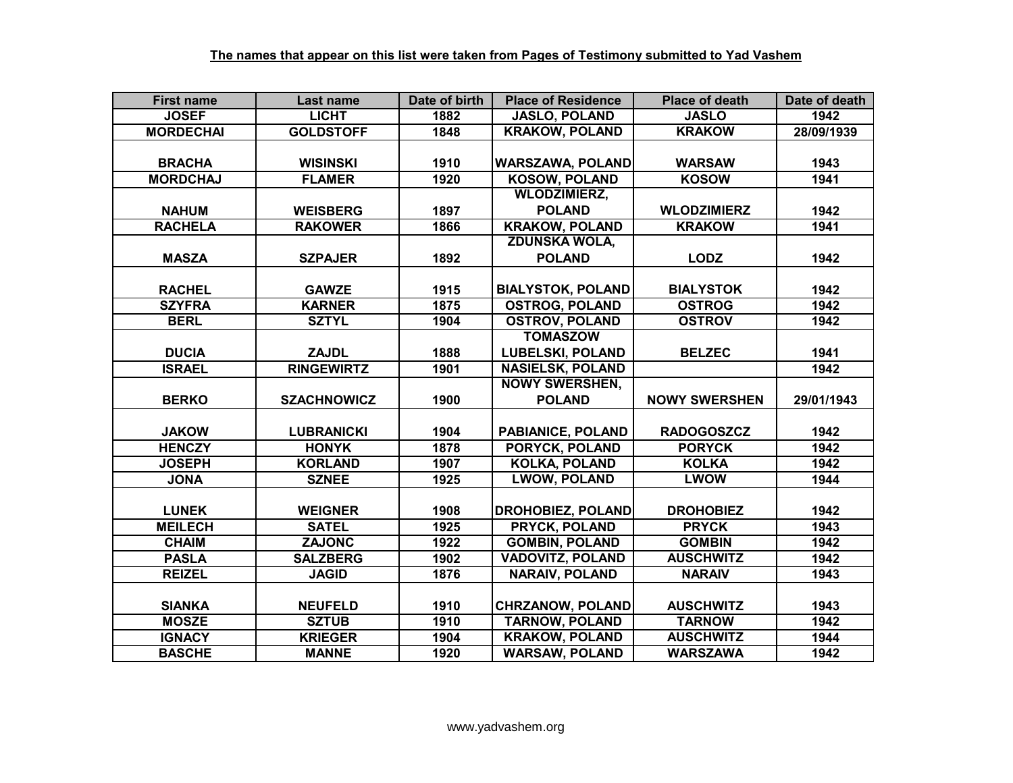| <b>First name</b> | Last name          | Date of birth | <b>Place of Residence</b> | <b>Place of death</b> | Date of death |
|-------------------|--------------------|---------------|---------------------------|-----------------------|---------------|
| <b>JOSEF</b>      | <b>LICHT</b>       | 1882          | <b>JASLO, POLAND</b>      | <b>JASLO</b>          | 1942          |
| <b>MORDECHAI</b>  | <b>GOLDSTOFF</b>   | 1848          | <b>KRAKOW, POLAND</b>     | <b>KRAKOW</b>         | 28/09/1939    |
|                   |                    |               |                           |                       |               |
| <b>BRACHA</b>     | <b>WISINSKI</b>    | 1910          | <b>WARSZAWA, POLAND</b>   | <b>WARSAW</b>         | 1943          |
| <b>MORDCHAJ</b>   | <b>FLAMER</b>      | 1920          | <b>KOSOW, POLAND</b>      | <b>KOSOW</b>          | 1941          |
|                   |                    |               | <b>WLODZIMIERZ,</b>       |                       |               |
| <b>NAHUM</b>      | <b>WEISBERG</b>    | 1897          | <b>POLAND</b>             | <b>WLODZIMIERZ</b>    | 1942          |
| <b>RACHELA</b>    | <b>RAKOWER</b>     | 1866          | <b>KRAKOW, POLAND</b>     | <b>KRAKOW</b>         | 1941          |
|                   |                    |               | <b>ZDUNSKA WOLA,</b>      |                       |               |
| <b>MASZA</b>      | <b>SZPAJER</b>     | 1892          | <b>POLAND</b>             | <b>LODZ</b>           | 1942          |
|                   |                    |               |                           |                       |               |
| <b>RACHEL</b>     | <b>GAWZE</b>       | 1915          | <b>BIALYSTOK, POLAND</b>  | <b>BIALYSTOK</b>      | 1942          |
| <b>SZYFRA</b>     | <b>KARNER</b>      | 1875          | <b>OSTROG, POLAND</b>     | <b>OSTROG</b>         | 1942          |
| <b>BERL</b>       | <b>SZTYL</b>       | 1904          | <b>OSTROV, POLAND</b>     | <b>OSTROV</b>         | 1942          |
|                   |                    |               | <b>TOMASZOW</b>           |                       |               |
| <b>DUCIA</b>      | <b>ZAJDL</b>       | 1888          | <b>LUBELSKI, POLAND</b>   | <b>BELZEC</b>         | 1941          |
| <b>ISRAEL</b>     | <b>RINGEWIRTZ</b>  | 1901          | <b>NASIELSK, POLAND</b>   |                       | 1942          |
|                   |                    |               | <b>NOWY SWERSHEN,</b>     |                       |               |
| <b>BERKO</b>      | <b>SZACHNOWICZ</b> | 1900          | <b>POLAND</b>             | <b>NOWY SWERSHEN</b>  | 29/01/1943    |
|                   |                    |               |                           |                       |               |
| <b>JAKOW</b>      | <b>LUBRANICKI</b>  | 1904          | <b>PABIANICE, POLAND</b>  | <b>RADOGOSZCZ</b>     | 1942          |
| <b>HENCZY</b>     | <b>HONYK</b>       | 1878          | <b>PORYCK, POLAND</b>     | <b>PORYCK</b>         | 1942          |
| <b>JOSEPH</b>     | <b>KORLAND</b>     | 1907          | <b>KOLKA, POLAND</b>      | <b>KOLKA</b>          | 1942          |
| <b>JONA</b>       | <b>SZNEE</b>       | 1925          | <b>LWOW, POLAND</b>       | <b>LWOW</b>           | 1944          |
|                   |                    |               |                           |                       |               |
| <b>LUNEK</b>      | <b>WEIGNER</b>     | 1908          | <b>DROHOBIEZ, POLAND</b>  | <b>DROHOBIEZ</b>      | 1942          |
| <b>MEILECH</b>    | <b>SATEL</b>       | 1925          | <b>PRYCK, POLAND</b>      | <b>PRYCK</b>          | 1943          |
| <b>CHAIM</b>      | <b>ZAJONC</b>      | 1922          | <b>GOMBIN, POLAND</b>     | <b>GOMBIN</b>         | 1942          |
| <b>PASLA</b>      | <b>SALZBERG</b>    | 1902          | <b>VADOVITZ, POLAND</b>   | <b>AUSCHWITZ</b>      | 1942          |
| <b>REIZEL</b>     | <b>JAGID</b>       | 1876          | <b>NARAIV, POLAND</b>     | <b>NARAIV</b>         | 1943          |
|                   |                    |               |                           |                       |               |
| <b>SIANKA</b>     | <b>NEUFELD</b>     | 1910          | <b>CHRZANOW, POLAND</b>   | <b>AUSCHWITZ</b>      | 1943          |
| <b>MOSZE</b>      | <b>SZTUB</b>       | 1910          | <b>TARNOW, POLAND</b>     | <b>TARNOW</b>         | 1942          |
| <b>IGNACY</b>     | <b>KRIEGER</b>     | 1904          | <b>KRAKOW, POLAND</b>     | <b>AUSCHWITZ</b>      | 1944          |
|                   | <b>MANNE</b>       |               |                           |                       |               |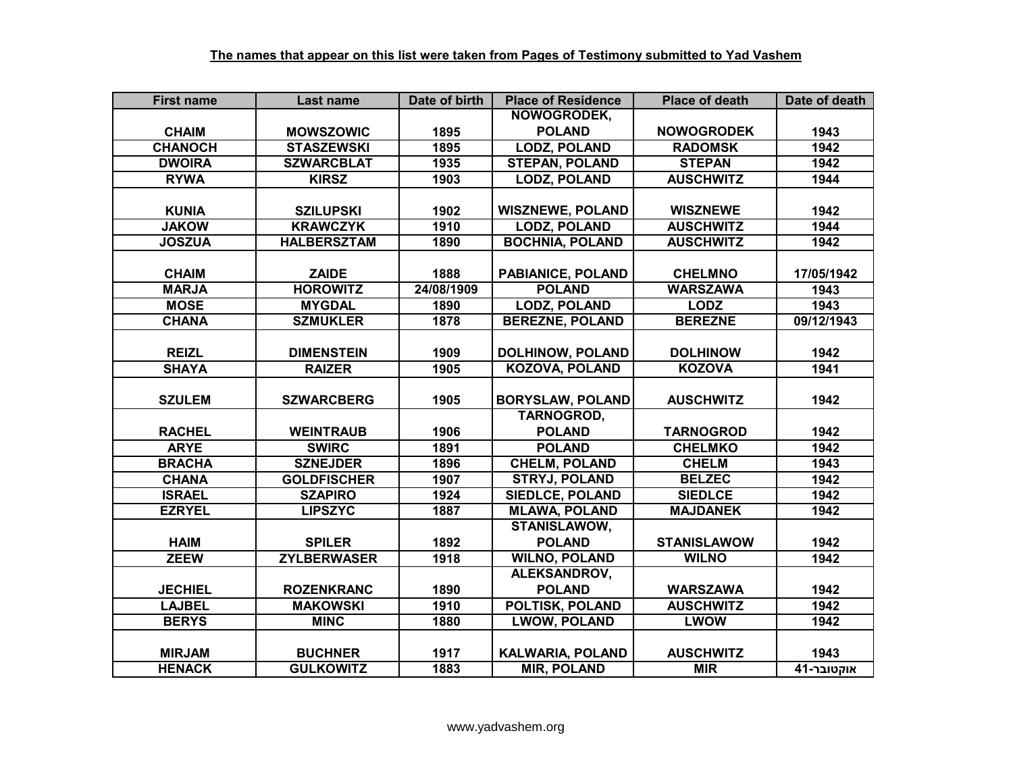| <b>First name</b> | Last name          | Date of birth | <b>Place of Residence</b> | <b>Place of death</b> | Date of death |
|-------------------|--------------------|---------------|---------------------------|-----------------------|---------------|
|                   |                    |               | NOWOGRODEK,               |                       |               |
| <b>CHAIM</b>      | <b>MOWSZOWIC</b>   | 1895          | <b>POLAND</b>             | <b>NOWOGRODEK</b>     | 1943          |
| <b>CHANOCH</b>    | <b>STASZEWSKI</b>  | 1895          | <b>LODZ, POLAND</b>       | <b>RADOMSK</b>        | 1942          |
| <b>DWOIRA</b>     | <b>SZWARCBLAT</b>  | 1935          | <b>STEPAN, POLAND</b>     | <b>STEPAN</b>         | 1942          |
| <b>RYWA</b>       | <b>KIRSZ</b>       | 1903          | <b>LODZ, POLAND</b>       | <b>AUSCHWITZ</b>      | 1944          |
|                   |                    |               |                           |                       |               |
| <b>KUNIA</b>      | <b>SZILUPSKI</b>   | 1902          | <b>WISZNEWE, POLAND</b>   | <b>WISZNEWE</b>       | 1942          |
| <b>JAKOW</b>      | <b>KRAWCZYK</b>    | 1910          | <b>LODZ, POLAND</b>       | <b>AUSCHWITZ</b>      | 1944          |
| <b>JOSZUA</b>     | <b>HALBERSZTAM</b> | 1890          | <b>BOCHNIA, POLAND</b>    | <b>AUSCHWITZ</b>      | 1942          |
|                   |                    |               |                           |                       |               |
| <b>CHAIM</b>      | <b>ZAIDE</b>       | 1888          | PABIANICE, POLAND         | <b>CHELMNO</b>        | 17/05/1942    |
| <b>MARJA</b>      | <b>HOROWITZ</b>    | 24/08/1909    | <b>POLAND</b>             | <b>WARSZAWA</b>       | 1943          |
| <b>MOSE</b>       | <b>MYGDAL</b>      | 1890          | <b>LODZ, POLAND</b>       | <b>LODZ</b>           | 1943          |
| <b>CHANA</b>      | <b>SZMUKLER</b>    | 1878          | <b>BEREZNE, POLAND</b>    | <b>BEREZNE</b>        | 09/12/1943    |
|                   |                    |               |                           |                       |               |
| <b>REIZL</b>      | <b>DIMENSTEIN</b>  | 1909          | <b>DOLHINOW, POLAND</b>   | <b>DOLHINOW</b>       | 1942          |
| <b>SHAYA</b>      | <b>RAIZER</b>      | 1905          | <b>KOZOVA, POLAND</b>     | <b>KOZOVA</b>         | 1941          |
|                   |                    |               |                           |                       |               |
| <b>SZULEM</b>     | <b>SZWARCBERG</b>  | 1905          | <b>BORYSLAW, POLAND</b>   | <b>AUSCHWITZ</b>      | 1942          |
|                   |                    |               | <b>TARNOGROD,</b>         |                       |               |
| <b>RACHEL</b>     | <b>WEINTRAUB</b>   | 1906          | <b>POLAND</b>             | <b>TARNOGROD</b>      | 1942          |
| <b>ARYE</b>       | <b>SWIRC</b>       | 1891          | <b>POLAND</b>             | <b>CHELMKO</b>        | 1942          |
| <b>BRACHA</b>     | <b>SZNEJDER</b>    | 1896          | <b>CHELM, POLAND</b>      | <b>CHELM</b>          | 1943          |
| <b>CHANA</b>      | <b>GOLDFISCHER</b> | 1907          | <b>STRYJ, POLAND</b>      | <b>BELZEC</b>         | 1942          |
| <b>ISRAEL</b>     | <b>SZAPIRO</b>     | 1924          | <b>SIEDLCE, POLAND</b>    | <b>SIEDLCE</b>        | 1942          |
| <b>EZRYEL</b>     | <b>LIPSZYC</b>     | 1887          | <b>MLAWA, POLAND</b>      | <b>MAJDANEK</b>       | 1942          |
|                   |                    |               | <b>STANISLAWOW,</b>       |                       |               |
| <b>HAIM</b>       | <b>SPILER</b>      | 1892          | <b>POLAND</b>             | <b>STANISLAWOW</b>    | 1942          |
| <b>ZEEW</b>       | <b>ZYLBERWASER</b> | 1918          | <b>WILNO, POLAND</b>      | <b>WILNO</b>          | 1942          |
|                   |                    |               | ALEKSANDROV,              |                       |               |
| <b>JECHIEL</b>    | <b>ROZENKRANC</b>  | 1890          | <b>POLAND</b>             | <b>WARSZAWA</b>       | 1942          |
| <b>LAJBEL</b>     | <b>MAKOWSKI</b>    | 1910          | POLTISK, POLAND           | <b>AUSCHWITZ</b>      | 1942          |
| <b>BERYS</b>      | <b>MINC</b>        | 1880          | <b>LWOW, POLAND</b>       | <b>LWOW</b>           | 1942          |
|                   |                    |               |                           |                       |               |
| <b>MIRJAM</b>     | <b>BUCHNER</b>     | 1917          | <b>KALWARIA, POLAND</b>   | <b>AUSCHWITZ</b>      | 1943          |
| <b>HENACK</b>     | <b>GULKOWITZ</b>   | 1883          | <b>MIR, POLAND</b>        | <b>MIR</b>            | אוקטובר-41    |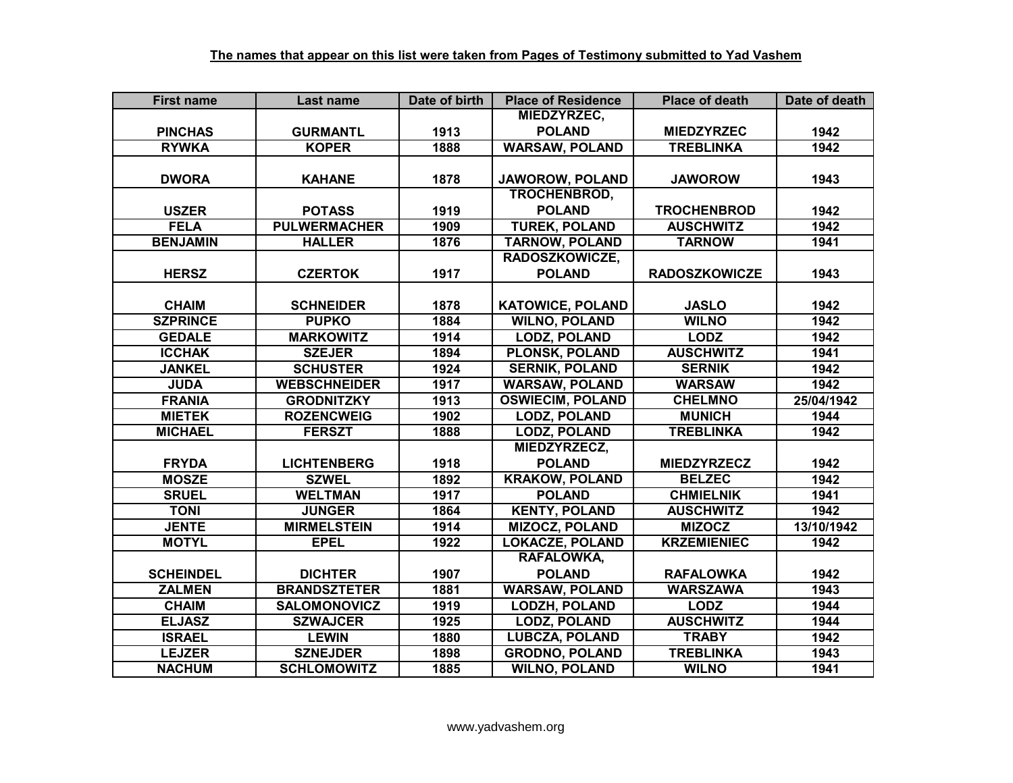| <b>First name</b> | Last name           | Date of birth | <b>Place of Residence</b> | <b>Place of death</b> | Date of death |
|-------------------|---------------------|---------------|---------------------------|-----------------------|---------------|
|                   |                     |               | MIEDZYRZEC,               |                       |               |
| <b>PINCHAS</b>    | <b>GURMANTL</b>     | 1913          | <b>POLAND</b>             | <b>MIEDZYRZEC</b>     | 1942          |
| <b>RYWKA</b>      | <b>KOPER</b>        | 1888          | <b>WARSAW, POLAND</b>     | <b>TREBLINKA</b>      | 1942          |
|                   |                     |               |                           |                       |               |
| <b>DWORA</b>      | <b>KAHANE</b>       | 1878          | JAWOROW, POLAND           | <b>JAWOROW</b>        | 1943          |
|                   |                     |               | <b>TROCHENBROD,</b>       |                       |               |
| <b>USZER</b>      | <b>POTASS</b>       | 1919          | <b>POLAND</b>             | <b>TROCHENBROD</b>    | 1942          |
| <b>FELA</b>       | <b>PULWERMACHER</b> | 1909          | <b>TUREK, POLAND</b>      | <b>AUSCHWITZ</b>      | 1942          |
| <b>BENJAMIN</b>   | <b>HALLER</b>       | 1876          | <b>TARNOW, POLAND</b>     | <b>TARNOW</b>         | 1941          |
|                   |                     |               | RADOSZKOWICZE,            |                       |               |
| <b>HERSZ</b>      | <b>CZERTOK</b>      | 1917          | <b>POLAND</b>             | <b>RADOSZKOWICZE</b>  | 1943          |
|                   |                     |               |                           |                       |               |
| <b>CHAIM</b>      | <b>SCHNEIDER</b>    | 1878          | <b>KATOWICE, POLAND</b>   | <b>JASLO</b>          | 1942          |
| <b>SZPRINCE</b>   | <b>PUPKO</b>        | 1884          | <b>WILNO, POLAND</b>      | <b>WILNO</b>          | 1942          |
| <b>GEDALE</b>     | <b>MARKOWITZ</b>    | 1914          | <b>LODZ, POLAND</b>       | <b>LODZ</b>           | 1942          |
| <b>ICCHAK</b>     | <b>SZEJER</b>       | 1894          | <b>PLONSK, POLAND</b>     | <b>AUSCHWITZ</b>      | 1941          |
| <b>JANKEL</b>     | <b>SCHUSTER</b>     | 1924          | <b>SERNIK, POLAND</b>     | <b>SERNIK</b>         | 1942          |
| <b>JUDA</b>       | <b>WEBSCHNEIDER</b> | 1917          | <b>WARSAW, POLAND</b>     | <b>WARSAW</b>         | 1942          |
| <b>FRANIA</b>     | <b>GRODNITZKY</b>   | 1913          | <b>OSWIECIM, POLAND</b>   | <b>CHELMNO</b>        | 25/04/1942    |
| <b>MIETEK</b>     | <b>ROZENCWEIG</b>   | 1902          | <b>LODZ, POLAND</b>       | <b>MUNICH</b>         | 1944          |
| <b>MICHAEL</b>    | <b>FERSZT</b>       | 1888          | <b>LODZ, POLAND</b>       | <b>TREBLINKA</b>      | 1942          |
|                   |                     |               | MIEDZYRZECZ,              |                       |               |
| <b>FRYDA</b>      | <b>LICHTENBERG</b>  | 1918          | <b>POLAND</b>             | <b>MIEDZYRZECZ</b>    | 1942          |
| <b>MOSZE</b>      | <b>SZWEL</b>        | 1892          | <b>KRAKOW, POLAND</b>     | <b>BELZEC</b>         | 1942          |
| <b>SRUEL</b>      | <b>WELTMAN</b>      | 1917          | <b>POLAND</b>             | <b>CHMIELNIK</b>      | 1941          |
| <b>TONI</b>       | <b>JUNGER</b>       | 1864          | <b>KENTY, POLAND</b>      | <b>AUSCHWITZ</b>      | 1942          |
| <b>JENTE</b>      | <b>MIRMELSTEIN</b>  | 1914          | <b>MIZOCZ, POLAND</b>     | <b>MIZOCZ</b>         | 13/10/1942    |
| <b>MOTYL</b>      | <b>EPEL</b>         | 1922          | <b>LOKACZE, POLAND</b>    | <b>KRZEMIENIEC</b>    | 1942          |
|                   |                     |               | RAFALOWKA,                |                       |               |
| <b>SCHEINDEL</b>  | <b>DICHTER</b>      | 1907          | <b>POLAND</b>             | <b>RAFALOWKA</b>      | 1942          |
| <b>ZALMEN</b>     | <b>BRANDSZTETER</b> | 1881          | <b>WARSAW, POLAND</b>     | <b>WARSZAWA</b>       | 1943          |
| <b>CHAIM</b>      | <b>SALOMONOVICZ</b> | 1919          | <b>LODZH, POLAND</b>      | <b>LODZ</b>           | 1944          |
| <b>ELJASZ</b>     | <b>SZWAJCER</b>     | 1925          | <b>LODZ, POLAND</b>       | <b>AUSCHWITZ</b>      | 1944          |
| <b>ISRAEL</b>     | <b>LEWIN</b>        | 1880          | <b>LUBCZA, POLAND</b>     | <b>TRABY</b>          | 1942          |
| <b>LEJZER</b>     | <b>SZNEJDER</b>     | 1898          | <b>GRODNO, POLAND</b>     | <b>TREBLINKA</b>      | 1943          |
| <b>NACHUM</b>     | <b>SCHLOMOWITZ</b>  | 1885          | <b>WILNO, POLAND</b>      | <b>WILNO</b>          | 1941          |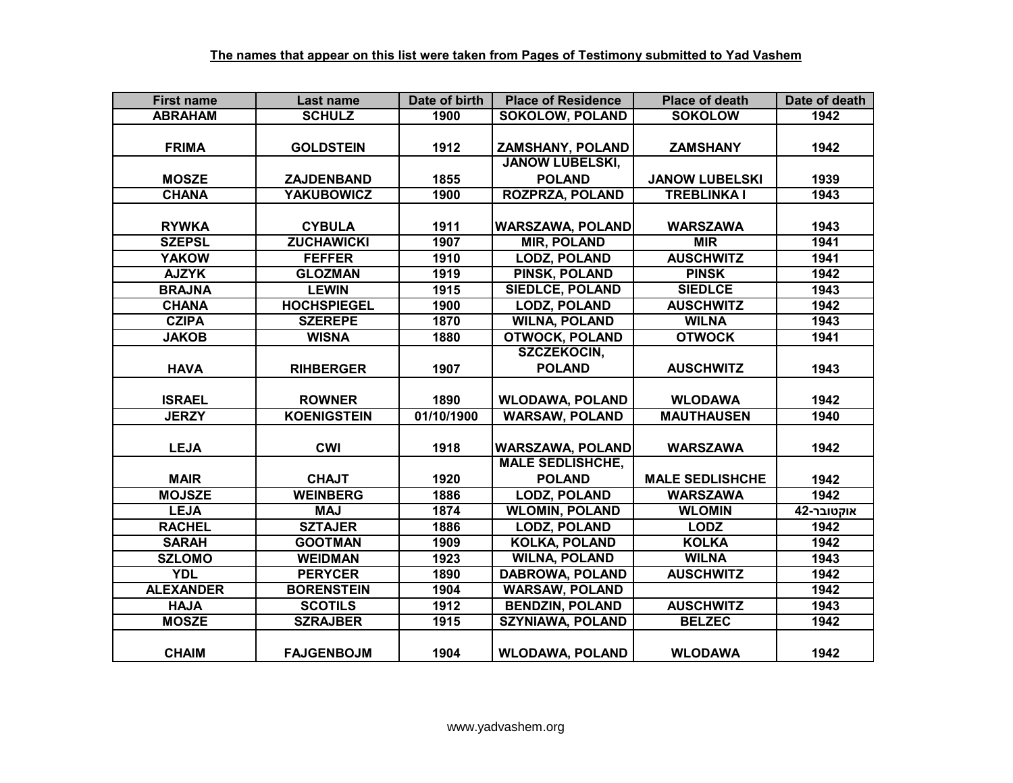| <b>First name</b> | Last name          | Date of birth | <b>Place of Residence</b> | <b>Place of death</b>  | Date of death |
|-------------------|--------------------|---------------|---------------------------|------------------------|---------------|
| <b>ABRAHAM</b>    | <b>SCHULZ</b>      | 1900          | <b>SOKOLOW, POLAND</b>    | <b>SOKOLOW</b>         | 1942          |
|                   |                    |               |                           |                        |               |
| <b>FRIMA</b>      | <b>GOLDSTEIN</b>   | 1912          | ZAMSHANY, POLAND          | <b>ZAMSHANY</b>        | 1942          |
|                   |                    |               | <b>JANOW LUBELSKI,</b>    |                        |               |
| <b>MOSZE</b>      | ZAJDENBAND         | 1855          | <b>POLAND</b>             | <b>JANOW LUBELSKI</b>  | 1939          |
| <b>CHANA</b>      | <b>YAKUBOWICZ</b>  | 1900          | <b>ROZPRZA, POLAND</b>    | <b>TREBLINKA I</b>     | 1943          |
|                   |                    |               |                           |                        |               |
| <b>RYWKA</b>      | <b>CYBULA</b>      | 1911          | <b>WARSZAWA, POLAND</b>   | <b>WARSZAWA</b>        | 1943          |
| <b>SZEPSL</b>     | <b>ZUCHAWICKI</b>  | 1907          | <b>MIR, POLAND</b>        | <b>MIR</b>             | 1941          |
| <b>YAKOW</b>      | <b>FEFFER</b>      | 1910          | <b>LODZ, POLAND</b>       | <b>AUSCHWITZ</b>       | 1941          |
| <b>AJZYK</b>      | <b>GLOZMAN</b>     | 1919          | PINSK, POLAND             | <b>PINSK</b>           | 1942          |
| <b>BRAJNA</b>     | <b>LEWIN</b>       | 1915          | <b>SIEDLCE, POLAND</b>    | <b>SIEDLCE</b>         | 1943          |
| <b>CHANA</b>      | <b>HOCHSPIEGEL</b> | 1900          | <b>LODZ, POLAND</b>       | <b>AUSCHWITZ</b>       | 1942          |
| <b>CZIPA</b>      | <b>SZEREPE</b>     | 1870          | <b>WILNA, POLAND</b>      | <b>WILNA</b>           | 1943          |
| <b>JAKOB</b>      | <b>WISNA</b>       | 1880          | <b>OTWOCK, POLAND</b>     | <b>OTWOCK</b>          | 1941          |
|                   |                    |               | SZCZEKOCIN,               |                        |               |
| <b>HAVA</b>       | <b>RIHBERGER</b>   | 1907          | <b>POLAND</b>             | <b>AUSCHWITZ</b>       | 1943          |
|                   |                    |               |                           |                        |               |
| <b>ISRAEL</b>     | <b>ROWNER</b>      | 1890          | <b>WLODAWA, POLAND</b>    | <b>WLODAWA</b>         | 1942          |
| <b>JERZY</b>      | <b>KOENIGSTEIN</b> | 01/10/1900    | <b>WARSAW, POLAND</b>     | <b>MAUTHAUSEN</b>      | 1940          |
|                   |                    |               |                           |                        |               |
| <b>LEJA</b>       | <b>CWI</b>         | 1918          | <b>WARSZAWA, POLAND</b>   | <b>WARSZAWA</b>        | 1942          |
|                   |                    |               | <b>MALE SEDLISHCHE,</b>   |                        |               |
| <b>MAIR</b>       | <b>CHAJT</b>       | 1920          | <b>POLAND</b>             | <b>MALE SEDLISHCHE</b> | 1942          |
| <b>MOJSZE</b>     | <b>WEINBERG</b>    | 1886          | <b>LODZ, POLAND</b>       | <b>WARSZAWA</b>        | 1942          |
| <b>LEJA</b>       | <b>MAJ</b>         | 1874          | <b>WLOMIN, POLAND</b>     | <b>WLOMIN</b>          | אוקטובר-42    |
| <b>RACHEL</b>     | <b>SZTAJER</b>     | 1886          | <b>LODZ, POLAND</b>       | <b>LODZ</b>            | 1942          |
| <b>SARAH</b>      | <b>GOOTMAN</b>     | 1909          | <b>KOLKA, POLAND</b>      | <b>KOLKA</b>           | 1942          |
| <b>SZLOMO</b>     | <b>WEIDMAN</b>     | 1923          | <b>WILNA, POLAND</b>      | <b>WILNA</b>           | 1943          |
| <b>YDL</b>        | <b>PERYCER</b>     | 1890          | <b>DABROWA, POLAND</b>    | <b>AUSCHWITZ</b>       | 1942          |
| <b>ALEXANDER</b>  | <b>BORENSTEIN</b>  | 1904          | <b>WARSAW, POLAND</b>     |                        | 1942          |
| <b>HAJA</b>       | <b>SCOTILS</b>     | 1912          | <b>BENDZIN, POLAND</b>    | <b>AUSCHWITZ</b>       | 1943          |
| <b>MOSZE</b>      | <b>SZRAJBER</b>    | 1915          | <b>SZYNIAWA, POLAND</b>   | <b>BELZEC</b>          | 1942          |
|                   |                    |               |                           |                        |               |
| <b>CHAIM</b>      | <b>FAJGENBOJM</b>  | 1904          | <b>WLODAWA, POLAND</b>    | <b>WLODAWA</b>         | 1942          |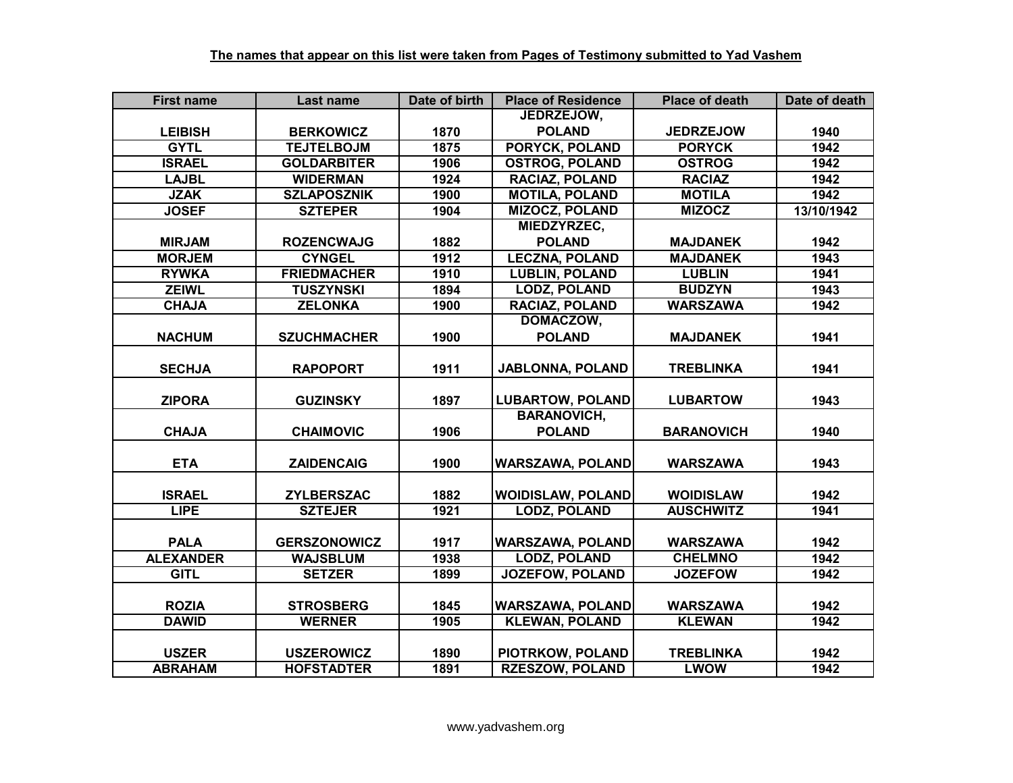| <b>First name</b> | Last name           | Date of birth | <b>Place of Residence</b> | <b>Place of death</b> | Date of death |
|-------------------|---------------------|---------------|---------------------------|-----------------------|---------------|
|                   |                     |               | JEDRZEJOW,                |                       |               |
| <b>LEIBISH</b>    | <b>BERKOWICZ</b>    | 1870          | <b>POLAND</b>             | <b>JEDRZEJOW</b>      | 1940          |
| <b>GYTL</b>       | <b>TEJTELBOJM</b>   | 1875          | <b>PORYCK, POLAND</b>     | <b>PORYCK</b>         | 1942          |
| <b>ISRAEL</b>     | <b>GOLDARBITER</b>  | 1906          | <b>OSTROG, POLAND</b>     | <b>OSTROG</b>         | 1942          |
| <b>LAJBL</b>      | <b>WIDERMAN</b>     | 1924          | <b>RACIAZ, POLAND</b>     | <b>RACIAZ</b>         | 1942          |
| <b>JZAK</b>       | <b>SZLAPOSZNIK</b>  | 1900          | <b>MOTILA, POLAND</b>     | <b>MOTILA</b>         | 1942          |
| <b>JOSEF</b>      | <b>SZTEPER</b>      | 1904          | <b>MIZOCZ, POLAND</b>     | <b>MIZOCZ</b>         | 13/10/1942    |
|                   |                     |               | MIEDZYRZEC,               |                       |               |
| <b>MIRJAM</b>     | <b>ROZENCWAJG</b>   | 1882          | <b>POLAND</b>             | <b>MAJDANEK</b>       | 1942          |
| <b>MORJEM</b>     | <b>CYNGEL</b>       | 1912          | <b>LECZNA, POLAND</b>     | <b>MAJDANEK</b>       | 1943          |
| <b>RYWKA</b>      | <b>FRIEDMACHER</b>  | 1910          | <b>LUBLIN, POLAND</b>     | <b>LUBLIN</b>         | 1941          |
| <b>ZEIWL</b>      | <b>TUSZYNSKI</b>    | 1894          | <b>LODZ, POLAND</b>       | <b>BUDZYN</b>         | 1943          |
| <b>CHAJA</b>      | <b>ZELONKA</b>      | 1900          | RACIAZ, POLAND            | <b>WARSZAWA</b>       | 1942          |
|                   |                     |               | DOMACZOW,                 |                       |               |
| <b>NACHUM</b>     | <b>SZUCHMACHER</b>  | 1900          | <b>POLAND</b>             | <b>MAJDANEK</b>       | 1941          |
|                   |                     |               |                           |                       |               |
| <b>SECHJA</b>     | <b>RAPOPORT</b>     | 1911          | <b>JABLONNA, POLAND</b>   | <b>TREBLINKA</b>      | 1941          |
|                   |                     |               |                           |                       |               |
| <b>ZIPORA</b>     | <b>GUZINSKY</b>     | 1897          | <b>LUBARTOW, POLAND</b>   | <b>LUBARTOW</b>       | 1943          |
|                   |                     |               | <b>BARANOVICH,</b>        |                       |               |
| <b>CHAJA</b>      | <b>CHAIMOVIC</b>    | 1906          | <b>POLAND</b>             | <b>BARANOVICH</b>     | 1940          |
|                   |                     |               |                           |                       |               |
| <b>ETA</b>        | <b>ZAIDENCAIG</b>   | 1900          | <b>WARSZAWA, POLAND</b>   | <b>WARSZAWA</b>       | 1943          |
|                   |                     |               |                           |                       |               |
| <b>ISRAEL</b>     | <b>ZYLBERSZAC</b>   | 1882          | <b>WOIDISLAW, POLAND</b>  | <b>WOIDISLAW</b>      | 1942          |
| <b>LIPE</b>       | <b>SZTEJER</b>      | 1921          | <b>LODZ, POLAND</b>       | <b>AUSCHWITZ</b>      | 1941          |
|                   |                     |               |                           |                       |               |
| <b>PALA</b>       | <b>GERSZONOWICZ</b> | 1917          | <b>WARSZAWA, POLAND</b>   | <b>WARSZAWA</b>       | 1942          |
| <b>ALEXANDER</b>  | <b>WAJSBLUM</b>     | 1938          | <b>LODZ, POLAND</b>       | <b>CHELMNO</b>        | 1942          |
| <b>GITL</b>       | <b>SETZER</b>       | 1899          | <b>JOZEFOW, POLAND</b>    | <b>JOZEFOW</b>        | 1942          |
|                   |                     |               |                           |                       |               |
| <b>ROZIA</b>      | <b>STROSBERG</b>    | 1845          | <b>WARSZAWA, POLAND</b>   | <b>WARSZAWA</b>       | 1942          |
| <b>DAWID</b>      | <b>WERNER</b>       | 1905          | <b>KLEWAN, POLAND</b>     | <b>KLEWAN</b>         | 1942          |
|                   |                     |               |                           |                       |               |
| <b>USZER</b>      | <b>USZEROWICZ</b>   | 1890          | PIOTRKOW, POLAND          | <b>TREBLINKA</b>      | 1942          |
| <b>ABRAHAM</b>    | <b>HOFSTADTER</b>   | 1891          | <b>RZESZOW, POLAND</b>    | <b>LWOW</b>           | 1942          |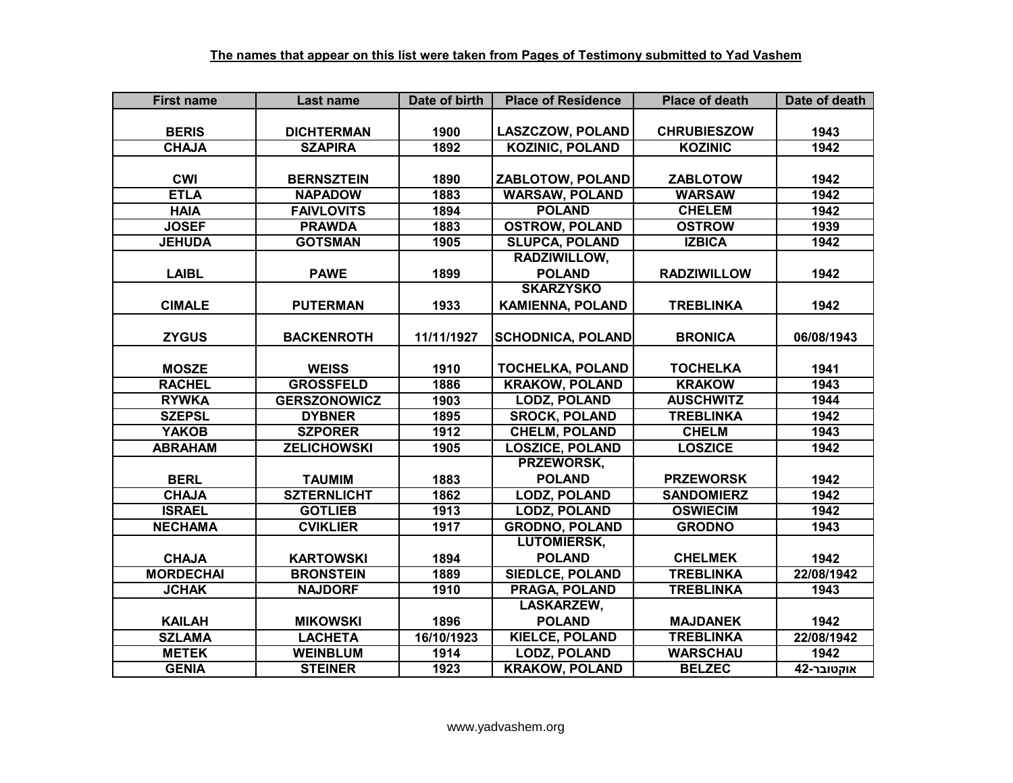| <b>First name</b> | Last name           | Date of birth | <b>Place of Residence</b> | <b>Place of death</b> | Date of death |
|-------------------|---------------------|---------------|---------------------------|-----------------------|---------------|
|                   |                     |               |                           |                       |               |
| <b>BERIS</b>      | <b>DICHTERMAN</b>   | 1900          | <b>LASZCZOW, POLAND</b>   | <b>CHRUBIESZOW</b>    | 1943          |
| <b>CHAJA</b>      | <b>SZAPIRA</b>      | 1892          | <b>KOZINIC, POLAND</b>    | <b>KOZINIC</b>        | 1942          |
|                   |                     |               |                           |                       |               |
| <b>CWI</b>        | <b>BERNSZTEIN</b>   | 1890          | ZABLOTOW, POLAND          | <b>ZABLOTOW</b>       | 1942          |
| <b>ETLA</b>       | <b>NAPADOW</b>      | 1883          | <b>WARSAW, POLAND</b>     | <b>WARSAW</b>         | 1942          |
| <b>HAIA</b>       | <b>FAIVLOVITS</b>   | 1894          | <b>POLAND</b>             | <b>CHELEM</b>         | 1942          |
| <b>JOSEF</b>      | <b>PRAWDA</b>       | 1883          | <b>OSTROW, POLAND</b>     | <b>OSTROW</b>         | 1939          |
| <b>JEHUDA</b>     | <b>GOTSMAN</b>      | 1905          | <b>SLUPCA, POLAND</b>     | <b>IZBICA</b>         | 1942          |
|                   |                     |               | RADZIWILLOW,              |                       |               |
| <b>LAIBL</b>      | <b>PAWE</b>         | 1899          | <b>POLAND</b>             | <b>RADZIWILLOW</b>    | 1942          |
|                   |                     |               | <b>SKARZYSKO</b>          |                       |               |
| <b>CIMALE</b>     | <b>PUTERMAN</b>     | 1933          | <b>KAMIENNA, POLAND</b>   | <b>TREBLINKA</b>      | 1942          |
|                   |                     |               |                           |                       |               |
| <b>ZYGUS</b>      | <b>BACKENROTH</b>   | 11/11/1927    | <b>SCHODNICA, POLAND</b>  | <b>BRONICA</b>        | 06/08/1943    |
|                   |                     |               |                           |                       |               |
| <b>MOSZE</b>      | <b>WEISS</b>        | 1910          | <b>TOCHELKA, POLAND</b>   | <b>TOCHELKA</b>       | 1941          |
| <b>RACHEL</b>     | <b>GROSSFELD</b>    | 1886          | <b>KRAKOW, POLAND</b>     | <b>KRAKOW</b>         | 1943          |
| <b>RYWKA</b>      | <b>GERSZONOWICZ</b> | 1903          | <b>LODZ, POLAND</b>       | <b>AUSCHWITZ</b>      | 1944          |
| <b>SZEPSL</b>     | <b>DYBNER</b>       | 1895          | <b>SROCK, POLAND</b>      | <b>TREBLINKA</b>      | 1942          |
| <b>YAKOB</b>      | <b>SZPORER</b>      | 1912          | <b>CHELM, POLAND</b>      | <b>CHELM</b>          | 1943          |
| <b>ABRAHAM</b>    | <b>ZELICHOWSKI</b>  | 1905          | <b>LOSZICE, POLAND</b>    | <b>LOSZICE</b>        | 1942          |
|                   |                     |               | <b>PRZEWORSK.</b>         |                       |               |
| <b>BERL</b>       | <b>TAUMIM</b>       | 1883          | <b>POLAND</b>             | <b>PRZEWORSK</b>      | 1942          |
| <b>CHAJA</b>      | <b>SZTERNLICHT</b>  | 1862          | <b>LODZ, POLAND</b>       | <b>SANDOMIERZ</b>     | 1942          |
| <b>ISRAEL</b>     | <b>GOTLIEB</b>      | 1913          | <b>LODZ, POLAND</b>       | <b>OSWIECIM</b>       | 1942          |
| <b>NECHAMA</b>    | <b>CVIKLIER</b>     | 1917          | <b>GRODNO, POLAND</b>     | <b>GRODNO</b>         | 1943          |
|                   |                     |               | <b>LUTOMIERSK,</b>        |                       |               |
| <b>CHAJA</b>      | <b>KARTOWSKI</b>    | 1894          | <b>POLAND</b>             | <b>CHELMEK</b>        | 1942          |
| <b>MORDECHAI</b>  | <b>BRONSTEIN</b>    | 1889          | <b>SIEDLCE, POLAND</b>    | <b>TREBLINKA</b>      | 22/08/1942    |
| <b>JCHAK</b>      | <b>NAJDORF</b>      | 1910          | <b>PRAGA, POLAND</b>      | <b>TREBLINKA</b>      | 1943          |
|                   |                     |               | LASKARZEW,                |                       |               |
| <b>KAILAH</b>     | <b>MIKOWSKI</b>     | 1896          | <b>POLAND</b>             | <b>MAJDANEK</b>       | 1942          |
| <b>SZLAMA</b>     | <b>LACHETA</b>      | 16/10/1923    | <b>KIELCE, POLAND</b>     | <b>TREBLINKA</b>      | 22/08/1942    |
| <b>METEK</b>      | <b>WEINBLUM</b>     | 1914          | <b>LODZ, POLAND</b>       | <b>WARSCHAU</b>       | 1942          |
| <b>GENIA</b>      | <b>STEINER</b>      | 1923          | <b>KRAKOW, POLAND</b>     | <b>BELZEC</b>         | אוקטובר-42    |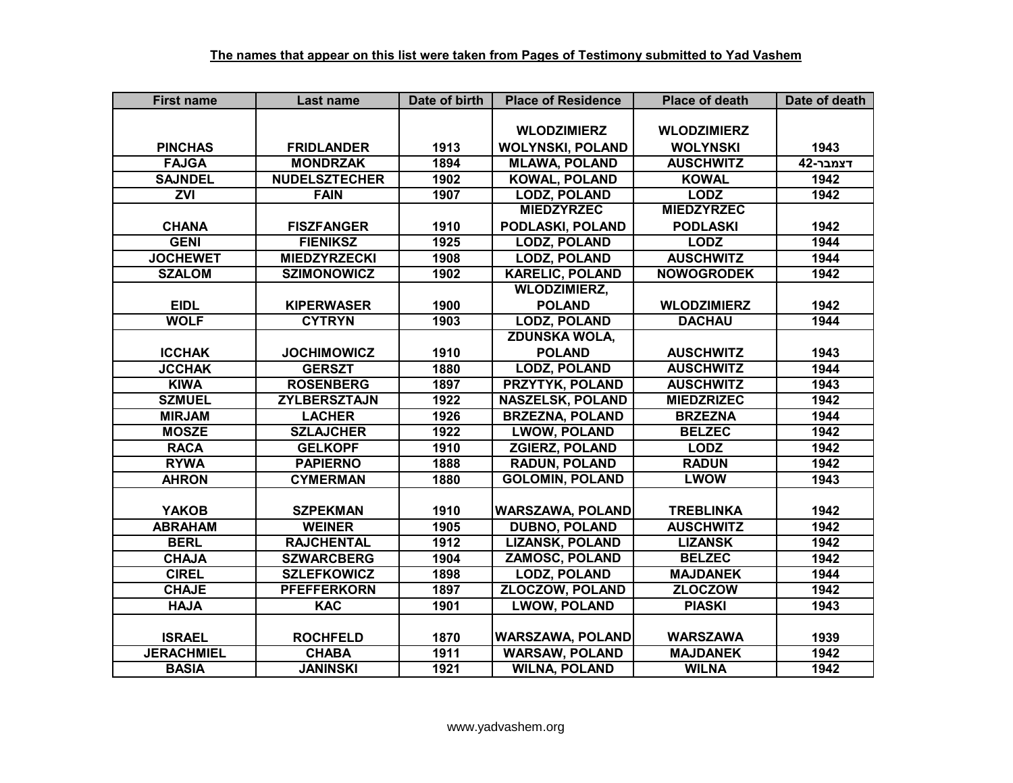| <b>First name</b> | Last name            | Date of birth | <b>Place of Residence</b> | <b>Place of death</b> | Date of death |
|-------------------|----------------------|---------------|---------------------------|-----------------------|---------------|
|                   |                      |               |                           |                       |               |
|                   |                      |               | <b>WLODZIMIERZ</b>        | <b>WLODZIMIERZ</b>    |               |
| <b>PINCHAS</b>    | <b>FRIDLANDER</b>    | 1913          | <b>WOLYNSKI, POLAND</b>   | <b>WOLYNSKI</b>       | 1943          |
| <b>FAJGA</b>      | <b>MONDRZAK</b>      | 1894          | <b>MLAWA, POLAND</b>      | <b>AUSCHWITZ</b>      | דצמבר-42      |
| <b>SAJNDEL</b>    | <b>NUDELSZTECHER</b> | 1902          | <b>KOWAL, POLAND</b>      | <b>KOWAL</b>          | 1942          |
| $\overline{ZVI}$  | <b>FAIN</b>          | 1907          | <b>LODZ, POLAND</b>       | <b>LODZ</b>           | 1942          |
|                   |                      |               | <b>MIEDZYRZEC</b>         | <b>MIEDZYRZEC</b>     |               |
| <b>CHANA</b>      | <b>FISZFANGER</b>    | 1910          | PODLASKI, POLAND          | <b>PODLASKI</b>       | 1942          |
| <b>GENI</b>       | <b>FIENIKSZ</b>      | 1925          | <b>LODZ, POLAND</b>       | <b>LODZ</b>           | 1944          |
| <b>JOCHEWET</b>   | <b>MIEDZYRZECKI</b>  | 1908          | <b>LODZ, POLAND</b>       | <b>AUSCHWITZ</b>      | 1944          |
| <b>SZALOM</b>     | <b>SZIMONOWICZ</b>   | 1902          | <b>KARELIC, POLAND</b>    | <b>NOWOGRODEK</b>     | 1942          |
|                   |                      |               | <b>WLODZIMIERZ,</b>       |                       |               |
| <b>EIDL</b>       | <b>KIPERWASER</b>    | 1900          | <b>POLAND</b>             | <b>WLODZIMIERZ</b>    | 1942          |
| <b>WOLF</b>       | <b>CYTRYN</b>        | 1903          | <b>LODZ, POLAND</b>       | <b>DACHAU</b>         | 1944          |
|                   |                      |               | <b>ZDUNSKA WOLA,</b>      |                       |               |
| <b>ICCHAK</b>     | <b>JOCHIMOWICZ</b>   | 1910          | <b>POLAND</b>             | <b>AUSCHWITZ</b>      | 1943          |
| <b>JCCHAK</b>     | <b>GERSZT</b>        | 1880          | <b>LODZ, POLAND</b>       | <b>AUSCHWITZ</b>      | 1944          |
| <b>KIWA</b>       | <b>ROSENBERG</b>     | 1897          | PRZYTYK, POLAND           | <b>AUSCHWITZ</b>      | 1943          |
| <b>SZMUEL</b>     | <b>ZYLBERSZTAJN</b>  | 1922          | <b>NASZELSK, POLAND</b>   | <b>MIEDZRIZEC</b>     | 1942          |
| <b>MIRJAM</b>     | <b>LACHER</b>        | 1926          | <b>BRZEZNA, POLAND</b>    | <b>BRZEZNA</b>        | 1944          |
| <b>MOSZE</b>      | <b>SZLAJCHER</b>     | 1922          | <b>LWOW, POLAND</b>       | <b>BELZEC</b>         | 1942          |
| <b>RACA</b>       | <b>GELKOPF</b>       | 1910          | <b>ZGIERZ, POLAND</b>     | <b>LODZ</b>           | 1942          |
| <b>RYWA</b>       | <b>PAPIERNO</b>      | 1888          | <b>RADUN, POLAND</b>      | <b>RADUN</b>          | 1942          |
| <b>AHRON</b>      | <b>CYMERMAN</b>      | 1880          | <b>GOLOMIN, POLAND</b>    | <b>LWOW</b>           | 1943          |
|                   |                      |               |                           |                       |               |
| <b>YAKOB</b>      | <b>SZPEKMAN</b>      | 1910          | <b>WARSZAWA, POLAND</b>   | <b>TREBLINKA</b>      | 1942          |
| <b>ABRAHAM</b>    | <b>WEINER</b>        | 1905          | <b>DUBNO, POLAND</b>      | <b>AUSCHWITZ</b>      | 1942          |
| <b>BERL</b>       | <b>RAJCHENTAL</b>    | 1912          | <b>LIZANSK, POLAND</b>    | <b>LIZANSK</b>        | 1942          |
| <b>CHAJA</b>      | <b>SZWARCBERG</b>    | 1904          | <b>ZAMOSC, POLAND</b>     | <b>BELZEC</b>         | 1942          |
| <b>CIREL</b>      | <b>SZLEFKOWICZ</b>   | 1898          | <b>LODZ, POLAND</b>       | <b>MAJDANEK</b>       | 1944          |
| <b>CHAJE</b>      | <b>PFEFFERKORN</b>   | 1897          | <b>ZLOCZOW, POLAND</b>    | <b>ZLOCZOW</b>        | 1942          |
| <b>HAJA</b>       | <b>KAC</b>           | 1901          | <b>LWOW, POLAND</b>       | <b>PIASKI</b>         | 1943          |
|                   |                      |               |                           |                       |               |
| <b>ISRAEL</b>     | <b>ROCHFELD</b>      | 1870          | <b>WARSZAWA, POLAND</b>   | <b>WARSZAWA</b>       | 1939          |
| <b>JERACHMIEL</b> | <b>CHABA</b>         | 1911          | <b>WARSAW, POLAND</b>     | <b>MAJDANEK</b>       | 1942          |
| <b>BASIA</b>      | <b>JANINSKI</b>      | 1921          | <b>WILNA, POLAND</b>      | <b>WILNA</b>          | 1942          |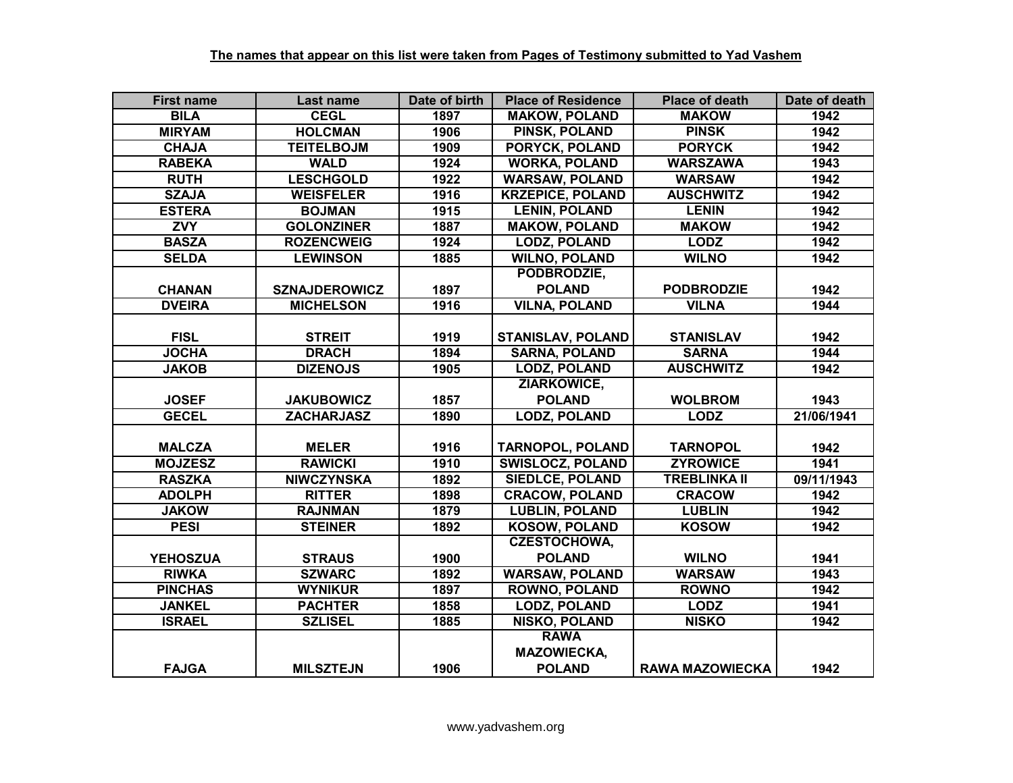| <b>First name</b> | Last name            | Date of birth | <b>Place of Residence</b> | <b>Place of death</b>  | Date of death |
|-------------------|----------------------|---------------|---------------------------|------------------------|---------------|
| <b>BILA</b>       | <b>CEGL</b>          | 1897          | <b>MAKOW, POLAND</b>      | <b>MAKOW</b>           | 1942          |
| <b>MIRYAM</b>     | <b>HOLCMAN</b>       | 1906          | <b>PINSK, POLAND</b>      | <b>PINSK</b>           | 1942          |
| <b>CHAJA</b>      | <b>TEITELBOJM</b>    | 1909          | <b>PORYCK, POLAND</b>     | <b>PORYCK</b>          | 1942          |
| <b>RABEKA</b>     | <b>WALD</b>          | 1924          | <b>WORKA, POLAND</b>      | <b>WARSZAWA</b>        | 1943          |
| <b>RUTH</b>       | <b>LESCHGOLD</b>     | 1922          | <b>WARSAW, POLAND</b>     | <b>WARSAW</b>          | 1942          |
| <b>SZAJA</b>      | <b>WEISFELER</b>     | 1916          | <b>KRZEPICE, POLAND</b>   | <b>AUSCHWITZ</b>       | 1942          |
| <b>ESTERA</b>     | <b>BOJMAN</b>        | 1915          | <b>LENIN, POLAND</b>      | <b>LENIN</b>           | 1942          |
| <b>ZVY</b>        | <b>GOLONZINER</b>    | 1887          | <b>MAKOW, POLAND</b>      | <b>MAKOW</b>           | 1942          |
| <b>BASZA</b>      | <b>ROZENCWEIG</b>    | 1924          | <b>LODZ, POLAND</b>       | <b>LODZ</b>            | 1942          |
| <b>SELDA</b>      | <b>LEWINSON</b>      | 1885          | <b>WILNO, POLAND</b>      | <b>WILNO</b>           | 1942          |
|                   |                      |               | PODBRODZIE,               |                        |               |
| <b>CHANAN</b>     | <b>SZNAJDEROWICZ</b> | 1897          | <b>POLAND</b>             | <b>PODBRODZIE</b>      | 1942          |
| <b>DVEIRA</b>     | <b>MICHELSON</b>     | 1916          | <b>VILNA, POLAND</b>      | <b>VILNA</b>           | 1944          |
|                   |                      |               |                           |                        |               |
| <b>FISL</b>       | <b>STREIT</b>        | 1919          | <b>STANISLAV, POLAND</b>  | <b>STANISLAV</b>       | 1942          |
| <b>JOCHA</b>      | <b>DRACH</b>         | 1894          | <b>SARNA, POLAND</b>      | <b>SARNA</b>           | 1944          |
| <b>JAKOB</b>      | <b>DIZENOJS</b>      | 1905          | <b>LODZ, POLAND</b>       | <b>AUSCHWITZ</b>       | 1942          |
|                   |                      |               | ZIARKOWICE,               |                        |               |
| <b>JOSEF</b>      | <b>JAKUBOWICZ</b>    | 1857          | <b>POLAND</b>             | <b>WOLBROM</b>         | 1943          |
| <b>GECEL</b>      | <b>ZACHARJASZ</b>    | 1890          | <b>LODZ, POLAND</b>       | <b>LODZ</b>            | 21/06/1941    |
|                   |                      |               |                           |                        |               |
| <b>MALCZA</b>     | <b>MELER</b>         | 1916          | <b>TARNOPOL, POLAND</b>   | <b>TARNOPOL</b>        | 1942          |
| <b>MOJZESZ</b>    | <b>RAWICKI</b>       | 1910          | <b>SWISLOCZ, POLAND</b>   | <b>ZYROWICE</b>        | 1941          |
| <b>RASZKA</b>     | <b>NIWCZYNSKA</b>    | 1892          | <b>SIEDLCE, POLAND</b>    | <b>TREBLINKA II</b>    | 09/11/1943    |
| <b>ADOLPH</b>     | <b>RITTER</b>        | 1898          | <b>CRACOW, POLAND</b>     | <b>CRACOW</b>          | 1942          |
| <b>JAKOW</b>      | <b>RAJNMAN</b>       | 1879          | <b>LUBLIN, POLAND</b>     | <b>LUBLIN</b>          | 1942          |
| <b>PESI</b>       | <b>STEINER</b>       | 1892          | <b>KOSOW, POLAND</b>      | <b>KOSOW</b>           | 1942          |
|                   |                      |               | <b>CZESTOCHOWA,</b>       |                        |               |
| <b>YEHOSZUA</b>   | <b>STRAUS</b>        | 1900          | <b>POLAND</b>             | <b>WILNO</b>           | 1941          |
| <b>RIWKA</b>      | <b>SZWARC</b>        | 1892          | <b>WARSAW, POLAND</b>     | <b>WARSAW</b>          | 1943          |
| <b>PINCHAS</b>    | <b>WYNIKUR</b>       | 1897          | <b>ROWNO, POLAND</b>      | <b>ROWNO</b>           | 1942          |
| <b>JANKEL</b>     | <b>PACHTER</b>       | 1858          | <b>LODZ, POLAND</b>       | <b>LODZ</b>            | 1941          |
| <b>ISRAEL</b>     | <b>SZLISEL</b>       | 1885          | <b>NISKO, POLAND</b>      | <b>NISKO</b>           | 1942          |
|                   |                      |               | <b>RAWA</b>               |                        |               |
|                   |                      |               | <b>MAZOWIECKA,</b>        |                        |               |
| <b>FAJGA</b>      | <b>MILSZTEJN</b>     | 1906          | <b>POLAND</b>             | <b>RAWA MAZOWIECKA</b> | 1942          |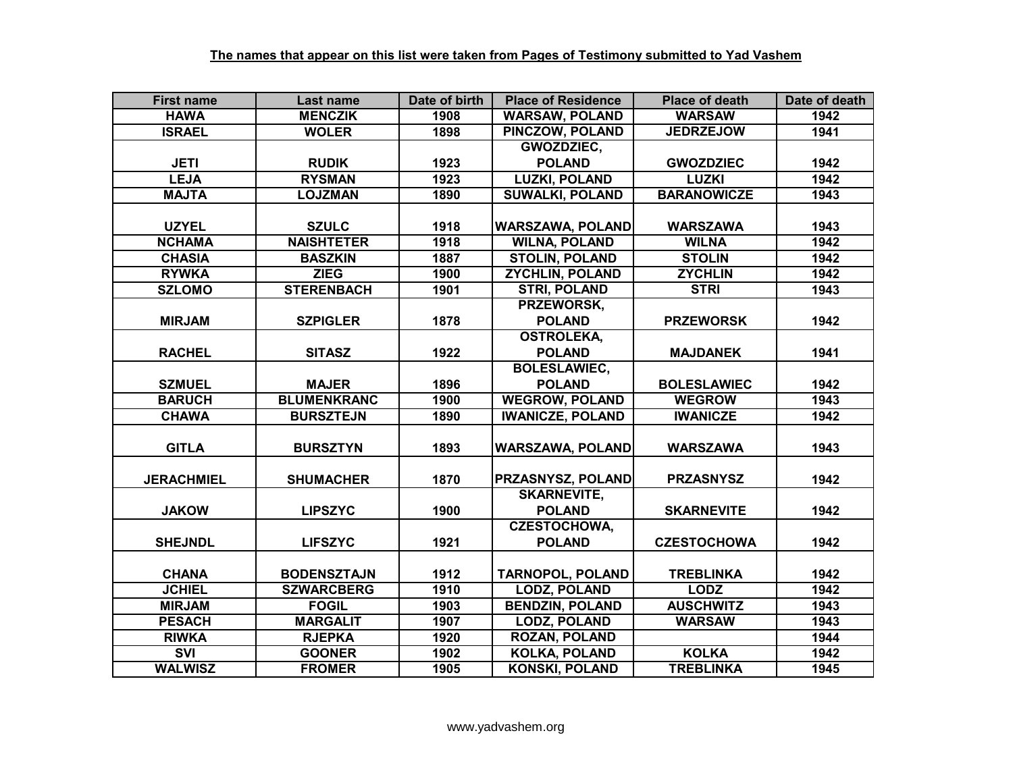| <b>First name</b> | Last name          | Date of birth | <b>Place of Residence</b> | <b>Place of death</b> | Date of death |
|-------------------|--------------------|---------------|---------------------------|-----------------------|---------------|
| <b>HAWA</b>       | <b>MENCZIK</b>     | 1908          | <b>WARSAW, POLAND</b>     | <b>WARSAW</b>         | 1942          |
| <b>ISRAEL</b>     | <b>WOLER</b>       | 1898          | PINCZOW, POLAND           | <b>JEDRZEJOW</b>      | 1941          |
|                   |                    |               | <b>GWOZDZIEC.</b>         |                       |               |
| <b>JETI</b>       | <b>RUDIK</b>       | 1923          | <b>POLAND</b>             | <b>GWOZDZIEC</b>      | 1942          |
| <b>LEJA</b>       | <b>RYSMAN</b>      | 1923          | <b>LUZKI, POLAND</b>      | <b>LUZKI</b>          | 1942          |
| <b>MAJTA</b>      | <b>LOJZMAN</b>     | 1890          | <b>SUWALKI, POLAND</b>    | <b>BARANOWICZE</b>    | 1943          |
|                   |                    |               |                           |                       |               |
| <b>UZYEL</b>      | <b>SZULC</b>       | 1918          | WARSZAWA, POLAND          | <b>WARSZAWA</b>       | 1943          |
| <b>NCHAMA</b>     | <b>NAISHTETER</b>  | 1918          | <b>WILNA, POLAND</b>      | <b>WILNA</b>          | 1942          |
| <b>CHASIA</b>     | <b>BASZKIN</b>     | 1887          | <b>STOLIN, POLAND</b>     | <b>STOLIN</b>         | 1942          |
| <b>RYWKA</b>      | <b>ZIEG</b>        | 1900          | <b>ZYCHLIN, POLAND</b>    | <b>ZYCHLIN</b>        | 1942          |
| <b>SZLOMO</b>     | <b>STERENBACH</b>  | 1901          | <b>STRI, POLAND</b>       | <b>STRI</b>           | 1943          |
|                   |                    |               | PRZEWORSK,                |                       |               |
| <b>MIRJAM</b>     | <b>SZPIGLER</b>    | 1878          | <b>POLAND</b>             | <b>PRZEWORSK</b>      | 1942          |
|                   |                    |               | <b>OSTROLEKA,</b>         |                       |               |
| <b>RACHEL</b>     | <b>SITASZ</b>      | 1922          | <b>POLAND</b>             | <b>MAJDANEK</b>       | 1941          |
|                   |                    |               | <b>BOLESLAWIEC,</b>       |                       |               |
| <b>SZMUEL</b>     | <b>MAJER</b>       | 1896          | <b>POLAND</b>             | <b>BOLESLAWIEC</b>    | 1942          |
| <b>BARUCH</b>     | <b>BLUMENKRANC</b> | 1900          | <b>WEGROW, POLAND</b>     | <b>WEGROW</b>         | 1943          |
| <b>CHAWA</b>      | <b>BURSZTEJN</b>   | 1890          | <b>IWANICZE, POLAND</b>   | <b>IWANICZE</b>       | 1942          |
|                   |                    |               |                           |                       |               |
| <b>GITLA</b>      | <b>BURSZTYN</b>    | 1893          | <b>WARSZAWA, POLAND</b>   | <b>WARSZAWA</b>       | 1943          |
|                   |                    |               |                           |                       |               |
| <b>JERACHMIEL</b> | <b>SHUMACHER</b>   | 1870          | PRZASNYSZ, POLAND         | <b>PRZASNYSZ</b>      | 1942          |
|                   |                    |               | <b>SKARNEVITE,</b>        |                       |               |
| <b>JAKOW</b>      | <b>LIPSZYC</b>     | 1900          | <b>POLAND</b>             | <b>SKARNEVITE</b>     | 1942          |
|                   |                    |               | <b>CZESTOCHOWA,</b>       |                       |               |
| <b>SHEJNDL</b>    | <b>LIFSZYC</b>     | 1921          | <b>POLAND</b>             | <b>CZESTOCHOWA</b>    | 1942          |
|                   |                    |               |                           |                       |               |
| <b>CHANA</b>      | <b>BODENSZTAJN</b> | 1912          | <b>TARNOPOL, POLAND</b>   | <b>TREBLINKA</b>      | 1942          |
| <b>JCHIEL</b>     | <b>SZWARCBERG</b>  | 1910          | <b>LODZ, POLAND</b>       | <b>LODZ</b>           | 1942          |
| <b>MIRJAM</b>     | <b>FOGIL</b>       | 1903          | <b>BENDZIN, POLAND</b>    | <b>AUSCHWITZ</b>      | 1943          |
| <b>PESACH</b>     | <b>MARGALIT</b>    | 1907          | <b>LODZ, POLAND</b>       | <b>WARSAW</b>         | 1943          |
| <b>RIWKA</b>      | <b>RJEPKA</b>      | 1920          | <b>ROZAN, POLAND</b>      |                       | 1944          |
| <b>SVI</b>        | <b>GOONER</b>      | 1902          | <b>KOLKA, POLAND</b>      | <b>KOLKA</b>          | 1942          |
| <b>WALWISZ</b>    | <b>FROMER</b>      | 1905          | <b>KONSKI, POLAND</b>     | <b>TREBLINKA</b>      | 1945          |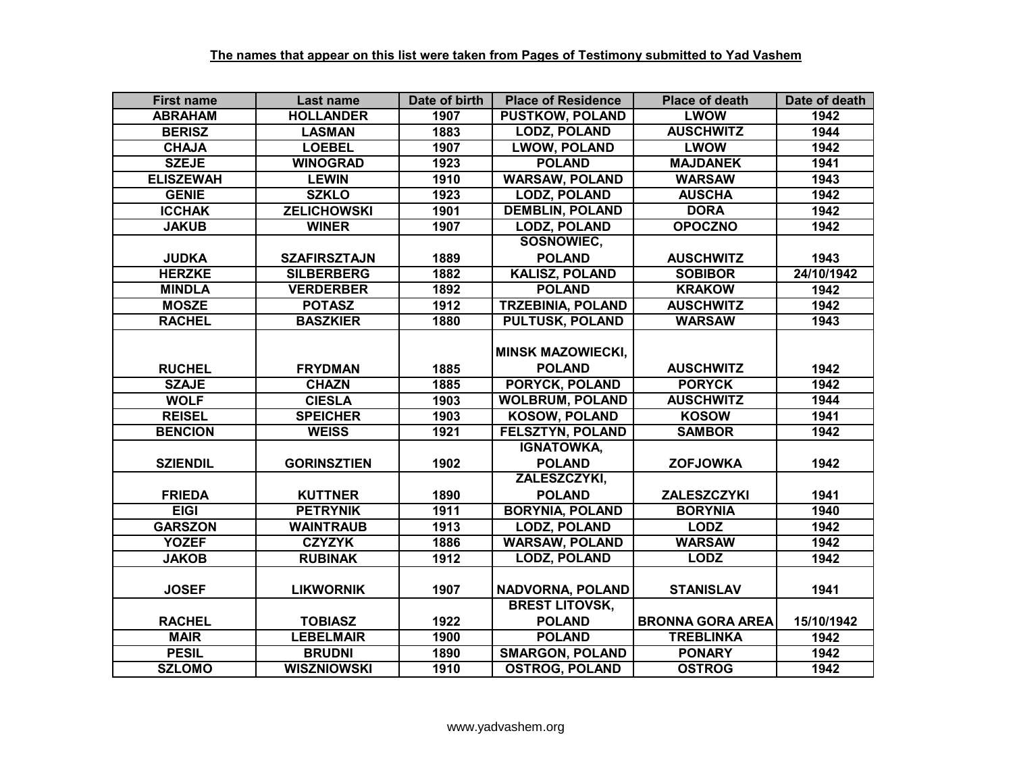| <b>First name</b> | Last name           | Date of birth | <b>Place of Residence</b> | <b>Place of death</b>   | Date of death |
|-------------------|---------------------|---------------|---------------------------|-------------------------|---------------|
| <b>ABRAHAM</b>    | <b>HOLLANDER</b>    | 1907          | <b>PUSTKOW, POLAND</b>    | <b>LWOW</b>             | 1942          |
| <b>BERISZ</b>     | <b>LASMAN</b>       | 1883          | <b>LODZ, POLAND</b>       | <b>AUSCHWITZ</b>        | 1944          |
| <b>CHAJA</b>      | <b>LOEBEL</b>       | 1907          | <b>LWOW, POLAND</b>       | <b>LWOW</b>             | 1942          |
| <b>SZEJE</b>      | <b>WINOGRAD</b>     | 1923          | <b>POLAND</b>             | <b>MAJDANEK</b>         | 1941          |
| <b>ELISZEWAH</b>  | <b>LEWIN</b>        | 1910          | <b>WARSAW, POLAND</b>     | <b>WARSAW</b>           | 1943          |
| <b>GENIE</b>      | <b>SZKLO</b>        | 1923          | <b>LODZ, POLAND</b>       | <b>AUSCHA</b>           | 1942          |
| <b>ICCHAK</b>     | <b>ZELICHOWSKI</b>  | 1901          | <b>DEMBLIN, POLAND</b>    | <b>DORA</b>             | 1942          |
| <b>JAKUB</b>      | <b>WINER</b>        | 1907          | <b>LODZ, POLAND</b>       | <b>OPOCZNO</b>          | 1942          |
|                   |                     |               | SOSNOWIEC,                |                         |               |
| <b>JUDKA</b>      | <b>SZAFIRSZTAJN</b> | 1889          | <b>POLAND</b>             | <b>AUSCHWITZ</b>        | 1943          |
| <b>HERZKE</b>     | <b>SILBERBERG</b>   | 1882          | <b>KALISZ, POLAND</b>     | <b>SOBIBOR</b>          | 24/10/1942    |
| <b>MINDLA</b>     | <b>VERDERBER</b>    | 1892          | <b>POLAND</b>             | <b>KRAKOW</b>           | 1942          |
| <b>MOSZE</b>      | <b>POTASZ</b>       | 1912          | <b>TRZEBINIA, POLAND</b>  | <b>AUSCHWITZ</b>        | 1942          |
| <b>RACHEL</b>     | <b>BASZKIER</b>     | 1880          | <b>PULTUSK, POLAND</b>    | <b>WARSAW</b>           | 1943          |
|                   |                     |               |                           |                         |               |
|                   |                     |               | <b>MINSK MAZOWIECKI,</b>  |                         |               |
| <b>RUCHEL</b>     | <b>FRYDMAN</b>      | 1885          | <b>POLAND</b>             | <b>AUSCHWITZ</b>        | 1942          |
| <b>SZAJE</b>      | <b>CHAZN</b>        | 1885          | <b>PORYCK, POLAND</b>     | <b>PORYCK</b>           | 1942          |
| <b>WOLF</b>       | <b>CIESLA</b>       | 1903          | <b>WOLBRUM, POLAND</b>    | <b>AUSCHWITZ</b>        | 1944          |
| <b>REISEL</b>     | <b>SPEICHER</b>     | 1903          | <b>KOSOW, POLAND</b>      | <b>KOSOW</b>            | 1941          |
| <b>BENCION</b>    | <b>WEISS</b>        | 1921          | <b>FELSZTYN, POLAND</b>   | <b>SAMBOR</b>           | 1942          |
|                   |                     |               | <b>IGNATOWKA,</b>         |                         |               |
| <b>SZIENDIL</b>   | <b>GORINSZTIEN</b>  | 1902          | <b>POLAND</b>             | <b>ZOFJOWKA</b>         | 1942          |
|                   |                     |               | ZALESZCZYKI,              |                         |               |
| <b>FRIEDA</b>     | <b>KUTTNER</b>      | 1890          | <b>POLAND</b>             | <b>ZALESZCZYKI</b>      | 1941          |
| <b>EIGI</b>       | <b>PETRYNIK</b>     | 1911          | <b>BORYNIA, POLAND</b>    | <b>BORYNIA</b>          | 1940          |
| <b>GARSZON</b>    | <b>WAINTRAUB</b>    | 1913          | <b>LODZ, POLAND</b>       | <b>LODZ</b>             | 1942          |
| <b>YOZEF</b>      | <b>CZYZYK</b>       | 1886          | <b>WARSAW, POLAND</b>     | <b>WARSAW</b>           | 1942          |
| <b>JAKOB</b>      | <b>RUBINAK</b>      | 1912          | <b>LODZ, POLAND</b>       | <b>LODZ</b>             | 1942          |
|                   |                     |               |                           |                         |               |
| <b>JOSEF</b>      | <b>LIKWORNIK</b>    | 1907          | NADVORNA, POLAND          | <b>STANISLAV</b>        | 1941          |
|                   |                     |               | <b>BREST LITOVSK,</b>     |                         |               |
| <b>RACHEL</b>     | <b>TOBIASZ</b>      | 1922          | <b>POLAND</b>             | <b>BRONNA GORA AREA</b> | 15/10/1942    |
| <b>MAIR</b>       | <b>LEBELMAIR</b>    | 1900          | <b>POLAND</b>             | <b>TREBLINKA</b>        | 1942          |
| <b>PESIL</b>      | <b>BRUDNI</b>       | 1890          | <b>SMARGON, POLAND</b>    | <b>PONARY</b>           | 1942          |
| <b>SZLOMO</b>     | <b>WISZNIOWSKI</b>  | 1910          | <b>OSTROG, POLAND</b>     | <b>OSTROG</b>           | 1942          |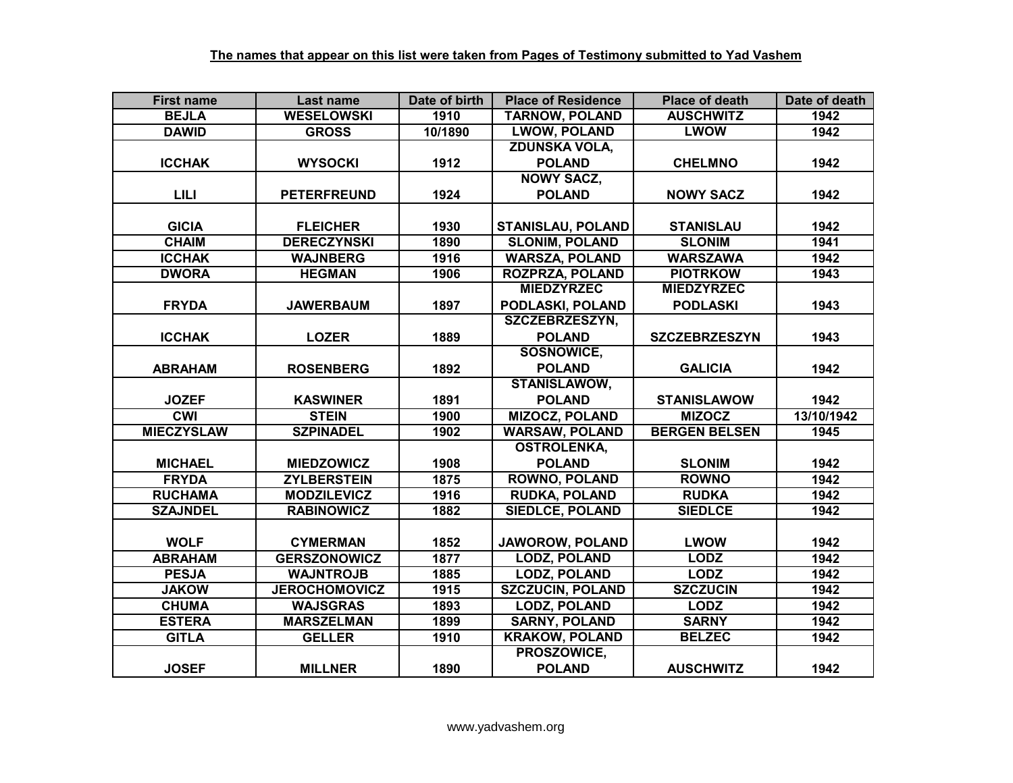| <b>First name</b> | Last name            | Date of birth     | <b>Place of Residence</b> | <b>Place of death</b> | Date of death |
|-------------------|----------------------|-------------------|---------------------------|-----------------------|---------------|
| <b>BEJLA</b>      | <b>WESELOWSKI</b>    | 1910              | <b>TARNOW, POLAND</b>     | <b>AUSCHWITZ</b>      | 1942          |
| <b>DAWID</b>      | <b>GROSS</b>         | 10/1890           | <b>LWOW, POLAND</b>       | <b>LWOW</b>           | 1942          |
|                   |                      |                   | <b>ZDUNSKA VOLA,</b>      |                       |               |
| <b>ICCHAK</b>     | <b>WYSOCKI</b>       | 1912              | <b>POLAND</b>             | <b>CHELMNO</b>        | 1942          |
|                   |                      |                   | <b>NOWY SACZ,</b>         |                       |               |
| <b>LILI</b>       | <b>PETERFREUND</b>   | 1924              | <b>POLAND</b>             | <b>NOWY SACZ</b>      | 1942          |
|                   |                      |                   |                           |                       |               |
| <b>GICIA</b>      | <b>FLEICHER</b>      | 1930              | <b>STANISLAU, POLAND</b>  | <b>STANISLAU</b>      | 1942          |
| <b>CHAIM</b>      | <b>DERECZYNSKI</b>   | 1890              | <b>SLONIM, POLAND</b>     | <b>SLONIM</b>         | 1941          |
| <b>ICCHAK</b>     | <b>WAJNBERG</b>      | 1916              | <b>WARSZA, POLAND</b>     | <b>WARSZAWA</b>       | 1942          |
| <b>DWORA</b>      | <b>HEGMAN</b>        | 1906              | <b>ROZPRZA, POLAND</b>    | <b>PIOTRKOW</b>       | 1943          |
|                   |                      |                   | <b>MIEDZYRZEC</b>         | <b>MIEDZYRZEC</b>     |               |
| <b>FRYDA</b>      | <b>JAWERBAUM</b>     | 1897              | PODLASKI, POLAND          | <b>PODLASKI</b>       | 1943          |
|                   |                      |                   | SZCZEBRZESZYN,            |                       |               |
| <b>ICCHAK</b>     | <b>LOZER</b>         | 1889              | <b>POLAND</b>             | <b>SZCZEBRZESZYN</b>  | 1943          |
|                   |                      |                   | <b>SOSNOWICE.</b>         |                       |               |
| <b>ABRAHAM</b>    | <b>ROSENBERG</b>     | 1892              | <b>POLAND</b>             | <b>GALICIA</b>        | 1942          |
|                   |                      |                   | <b>STANISLAWOW,</b>       |                       |               |
| <b>JOZEF</b>      | <b>KASWINER</b>      | 1891              | <b>POLAND</b>             | <b>STANISLAWOW</b>    | 1942          |
| <b>CWI</b>        | <b>STEIN</b>         | 1900              | <b>MIZOCZ, POLAND</b>     | <b>MIZOCZ</b>         | 13/10/1942    |
| <b>MIECZYSLAW</b> | <b>SZPINADEL</b>     | 1902              | <b>WARSAW, POLAND</b>     | <b>BERGEN BELSEN</b>  | 1945          |
|                   |                      |                   | <b>OSTROLENKA,</b>        |                       |               |
| <b>MICHAEL</b>    | <b>MIEDZOWICZ</b>    | 1908              | <b>POLAND</b>             | <b>SLONIM</b>         | 1942          |
| <b>FRYDA</b>      | <b>ZYLBERSTEIN</b>   | $18\overline{75}$ | <b>ROWNO, POLAND</b>      | <b>ROWNO</b>          | 1942          |
| <b>RUCHAMA</b>    | <b>MODZILEVICZ</b>   | 1916              | <b>RUDKA, POLAND</b>      | <b>RUDKA</b>          | 1942          |
| <b>SZAJNDEL</b>   | <b>RABINOWICZ</b>    | 1882              | <b>SIEDLCE, POLAND</b>    | <b>SIEDLCE</b>        | 1942          |
|                   |                      |                   |                           |                       |               |
| <b>WOLF</b>       | <b>CYMERMAN</b>      | 1852              | <b>JAWOROW, POLAND</b>    | <b>LWOW</b>           | 1942          |
| <b>ABRAHAM</b>    | <b>GERSZONOWICZ</b>  | 1877              | <b>LODZ, POLAND</b>       | <b>LODZ</b>           | 1942          |
| <b>PESJA</b>      | <b>WAJNTROJB</b>     | 1885              | <b>LODZ, POLAND</b>       | <b>LODZ</b>           | 1942          |
| <b>JAKOW</b>      | <b>JEROCHOMOVICZ</b> | 1915              | <b>SZCZUCIN, POLAND</b>   | <b>SZCZUCIN</b>       | 1942          |
| <b>CHUMA</b>      | <b>WAJSGRAS</b>      | 1893              | <b>LODZ, POLAND</b>       | <b>LODZ</b>           | 1942          |
| <b>ESTERA</b>     | <b>MARSZELMAN</b>    | 1899              | <b>SARNY, POLAND</b>      | <b>SARNY</b>          | 1942          |
| <b>GITLA</b>      | <b>GELLER</b>        | 1910              | <b>KRAKOW, POLAND</b>     | <b>BELZEC</b>         | 1942          |
|                   |                      |                   | PROSZOWICE,               |                       |               |
| <b>JOSEF</b>      | <b>MILLNER</b>       | 1890              | <b>POLAND</b>             | <b>AUSCHWITZ</b>      | 1942          |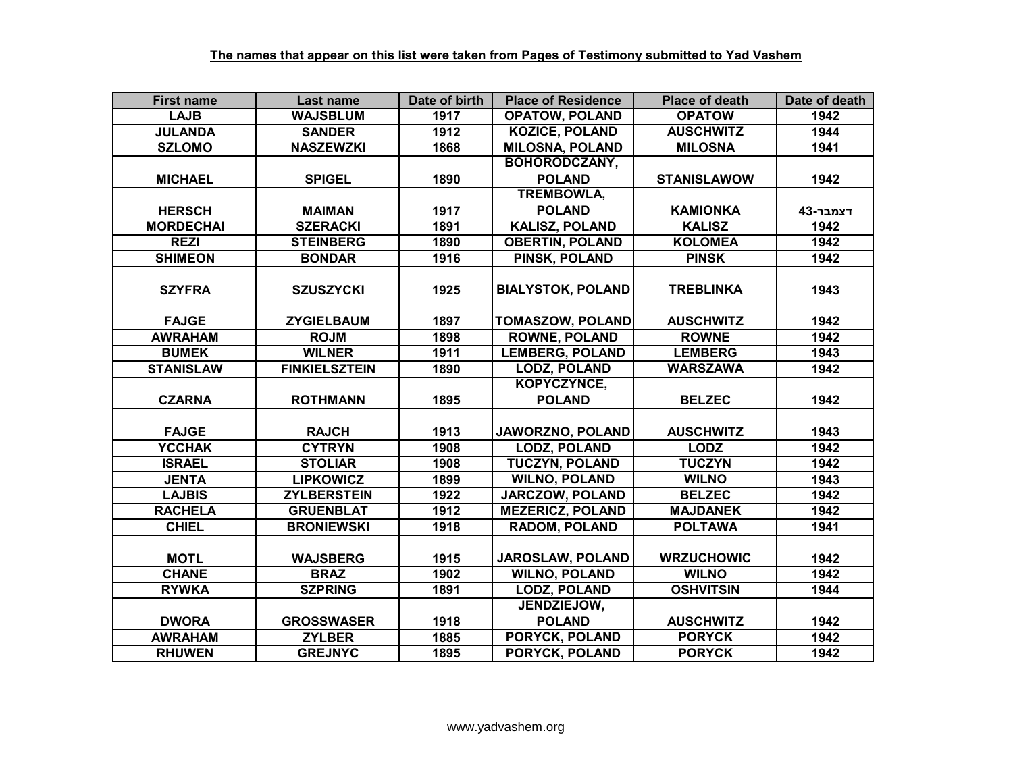| <b>First name</b> | <b>Last name</b>     | Date of birth | <b>Place of Residence</b> | <b>Place of death</b> | Date of death |
|-------------------|----------------------|---------------|---------------------------|-----------------------|---------------|
| <b>LAJB</b>       | <b>WAJSBLUM</b>      | 1917          | <b>OPATOW, POLAND</b>     | <b>OPATOW</b>         | 1942          |
| <b>JULANDA</b>    | <b>SANDER</b>        | 1912          | <b>KOZICE, POLAND</b>     | <b>AUSCHWITZ</b>      | 1944          |
| <b>SZLOMO</b>     | <b>NASZEWZKI</b>     | 1868          | <b>MILOSNA, POLAND</b>    | <b>MILOSNA</b>        | 1941          |
|                   |                      |               | <b>BOHORODCZANY,</b>      |                       |               |
| <b>MICHAEL</b>    | <b>SPIGEL</b>        | 1890          | <b>POLAND</b>             | <b>STANISLAWOW</b>    | 1942          |
|                   |                      |               | <b>TREMBOWLA,</b>         |                       |               |
| <b>HERSCH</b>     | <b>MAIMAN</b>        | 1917          | <b>POLAND</b>             | <b>KAMIONKA</b>       | דצמבר-43      |
| <b>MORDECHAI</b>  | <b>SZERACKI</b>      | 1891          | <b>KALISZ, POLAND</b>     | <b>KALISZ</b>         | 1942          |
| <b>REZI</b>       | <b>STEINBERG</b>     | 1890          | <b>OBERTIN, POLAND</b>    | <b>KOLOMEA</b>        | 1942          |
| <b>SHIMEON</b>    | <b>BONDAR</b>        | 1916          | PINSK, POLAND             | <b>PINSK</b>          | 1942          |
|                   |                      |               |                           |                       |               |
| <b>SZYFRA</b>     | <b>SZUSZYCKI</b>     | 1925          | <b>BIALYSTOK, POLAND</b>  | <b>TREBLINKA</b>      | 1943          |
|                   |                      |               |                           |                       |               |
| <b>FAJGE</b>      | <b>ZYGIELBAUM</b>    | 1897          | <b>TOMASZOW, POLAND</b>   | <b>AUSCHWITZ</b>      | 1942          |
| <b>AWRAHAM</b>    | <b>ROJM</b>          | 1898          | <b>ROWNE, POLAND</b>      | <b>ROWNE</b>          | 1942          |
| <b>BUMEK</b>      | <b>WILNER</b>        | 1911          | <b>LEMBERG, POLAND</b>    | <b>LEMBERG</b>        | 1943          |
| <b>STANISLAW</b>  | <b>FINKIELSZTEIN</b> | 1890          | <b>LODZ, POLAND</b>       | <b>WARSZAWA</b>       | 1942          |
|                   |                      |               | KOPYCZYNCE,               |                       |               |
| <b>CZARNA</b>     | <b>ROTHMANN</b>      | 1895          | <b>POLAND</b>             | <b>BELZEC</b>         | 1942          |
|                   |                      |               |                           |                       |               |
| <b>FAJGE</b>      | <b>RAJCH</b>         | 1913          | JAWORZNO, POLAND          | <b>AUSCHWITZ</b>      | 1943          |
| <b>YCCHAK</b>     | <b>CYTRYN</b>        | 1908          | <b>LODZ, POLAND</b>       | <b>LODZ</b>           | 1942          |
| <b>ISRAEL</b>     | <b>STOLIAR</b>       | 1908          | <b>TUCZYN, POLAND</b>     | <b>TUCZYN</b>         | 1942          |
| <b>JENTA</b>      | <b>LIPKOWICZ</b>     | 1899          | <b>WILNO, POLAND</b>      | <b>WILNO</b>          | 1943          |
| <b>LAJBIS</b>     | <b>ZYLBERSTEIN</b>   | 1922          | <b>JARCZOW, POLAND</b>    | <b>BELZEC</b>         | 1942          |
| <b>RACHELA</b>    | <b>GRUENBLAT</b>     | 1912          | <b>MEZERICZ, POLAND</b>   | <b>MAJDANEK</b>       | 1942          |
| <b>CHIEL</b>      | <b>BRONIEWSKI</b>    | 1918          | <b>RADOM, POLAND</b>      | <b>POLTAWA</b>        | 1941          |
|                   |                      |               |                           |                       |               |
| <b>MOTL</b>       | <b>WAJSBERG</b>      | 1915          | JAROSLAW, POLAND          | <b>WRZUCHOWIC</b>     | 1942          |
| <b>CHANE</b>      | <b>BRAZ</b>          | 1902          | <b>WILNO, POLAND</b>      | <b>WILNO</b>          | 1942          |
| <b>RYWKA</b>      | <b>SZPRING</b>       | 1891          | <b>LODZ, POLAND</b>       | <b>OSHVITSIN</b>      | 1944          |
|                   |                      |               | JENDZIEJOW,               |                       |               |
| <b>DWORA</b>      | <b>GROSSWASER</b>    | 1918          | <b>POLAND</b>             | <b>AUSCHWITZ</b>      | 1942          |
| <b>AWRAHAM</b>    | <b>ZYLBER</b>        | 1885          | PORYCK, POLAND            | <b>PORYCK</b>         | 1942          |
| <b>RHUWEN</b>     | <b>GREJNYC</b>       | 1895          | PORYCK, POLAND            | <b>PORYCK</b>         | 1942          |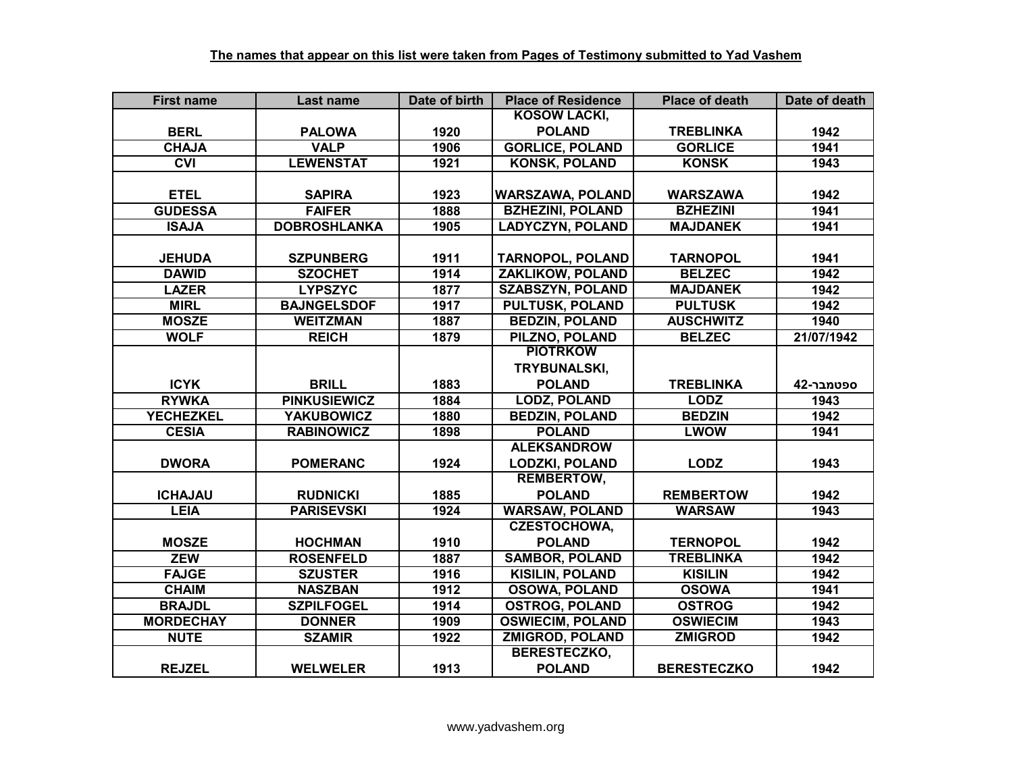| <b>First name</b> | Last name           | Date of birth | <b>Place of Residence</b> | <b>Place of death</b> | Date of death |
|-------------------|---------------------|---------------|---------------------------|-----------------------|---------------|
|                   |                     |               | <b>KOSOW LACKI,</b>       |                       |               |
| <b>BERL</b>       | <b>PALOWA</b>       | 1920          | <b>POLAND</b>             | <b>TREBLINKA</b>      | 1942          |
| <b>CHAJA</b>      | <b>VALP</b>         | 1906          | <b>GORLICE, POLAND</b>    | <b>GORLICE</b>        | 1941          |
| CVI               | <b>LEWENSTAT</b>    | 1921          | <b>KONSK, POLAND</b>      | <b>KONSK</b>          | 1943          |
|                   |                     |               |                           |                       |               |
| <b>ETEL</b>       | <b>SAPIRA</b>       | 1923          | <b>WARSZAWA, POLAND</b>   | <b>WARSZAWA</b>       | 1942          |
| <b>GUDESSA</b>    | <b>FAIFER</b>       | 1888          | <b>BZHEZINI, POLAND</b>   | <b>BZHEZINI</b>       | 1941          |
| <b>ISAJA</b>      | <b>DOBROSHLANKA</b> | 1905          | <b>LADYCZYN, POLAND</b>   | <b>MAJDANEK</b>       | 1941          |
|                   |                     |               |                           |                       |               |
| <b>JEHUDA</b>     | <b>SZPUNBERG</b>    | 1911          | <b>TARNOPOL, POLAND</b>   | <b>TARNOPOL</b>       | 1941          |
| <b>DAWID</b>      | <b>SZOCHET</b>      | 1914          | ZAKLIKOW, POLAND          | <b>BELZEC</b>         | 1942          |
| <b>LAZER</b>      | <b>LYPSZYC</b>      | 1877          | <b>SZABSZYN, POLAND</b>   | <b>MAJDANEK</b>       | 1942          |
| <b>MIRL</b>       | <b>BAJNGELSDOF</b>  | 1917          | <b>PULTUSK, POLAND</b>    | <b>PULTUSK</b>        | 1942          |
| <b>MOSZE</b>      | <b>WEITZMAN</b>     | 1887          | <b>BEDZIN, POLAND</b>     | <b>AUSCHWITZ</b>      | 1940          |
| <b>WOLF</b>       | <b>REICH</b>        | 1879          | PILZNO, POLAND            | <b>BELZEC</b>         | 21/07/1942    |
|                   |                     |               | <b>PIOTRKOW</b>           |                       |               |
|                   |                     |               | TRYBUNALSKI,              |                       |               |
| <b>ICYK</b>       | <b>BRILL</b>        | 1883          | <b>POLAND</b>             | <b>TREBLINKA</b>      | 42-ספטמבר     |
| <b>RYWKA</b>      | <b>PINKUSIEWICZ</b> | 1884          | <b>LODZ, POLAND</b>       | <b>LODZ</b>           | 1943          |
| <b>YECHEZKEL</b>  | <b>YAKUBOWICZ</b>   | 1880          | <b>BEDZIN, POLAND</b>     | <b>BEDZIN</b>         | 1942          |
| <b>CESIA</b>      | <b>RABINOWICZ</b>   | 1898          | <b>POLAND</b>             | <b>LWOW</b>           | 1941          |
|                   |                     |               | <b>ALEKSANDROW</b>        |                       |               |
| <b>DWORA</b>      | <b>POMERANC</b>     | 1924          | <b>LODZKI, POLAND</b>     | <b>LODZ</b>           | 1943          |
|                   |                     |               | <b>REMBERTOW,</b>         |                       |               |
| <b>ICHAJAU</b>    | <b>RUDNICKI</b>     | 1885          | <b>POLAND</b>             | <b>REMBERTOW</b>      | 1942          |
| <b>LEIA</b>       | <b>PARISEVSKI</b>   | 1924          | <b>WARSAW, POLAND</b>     | <b>WARSAW</b>         | 1943          |
|                   |                     |               | <b>CZESTOCHOWA,</b>       |                       |               |
| <b>MOSZE</b>      | <b>HOCHMAN</b>      | 1910          | <b>POLAND</b>             | <b>TERNOPOL</b>       | 1942          |
| <b>ZEW</b>        | <b>ROSENFELD</b>    | 1887          | <b>SAMBOR, POLAND</b>     | <b>TREBLINKA</b>      | 1942          |
| <b>FAJGE</b>      | <b>SZUSTER</b>      | 1916          | <b>KISILIN, POLAND</b>    | <b>KISILIN</b>        | 1942          |
| <b>CHAIM</b>      | <b>NASZBAN</b>      | 1912          | <b>OSOWA, POLAND</b>      | <b>OSOWA</b>          | 1941          |
| <b>BRAJDL</b>     | <b>SZPILFOGEL</b>   | 1914          | <b>OSTROG, POLAND</b>     | <b>OSTROG</b>         | 1942          |
| <b>MORDECHAY</b>  | <b>DONNER</b>       | 1909          | <b>OSWIECIM, POLAND</b>   | <b>OSWIECIM</b>       | 1943          |
| <b>NUTE</b>       | <b>SZAMIR</b>       | 1922          | <b>ZMIGROD, POLAND</b>    | <b>ZMIGROD</b>        | 1942          |
|                   |                     |               | <b>BERESTECZKO,</b>       |                       |               |
| <b>REJZEL</b>     | <b>WELWELER</b>     | 1913          | <b>POLAND</b>             | <b>BERESTECZKO</b>    | 1942          |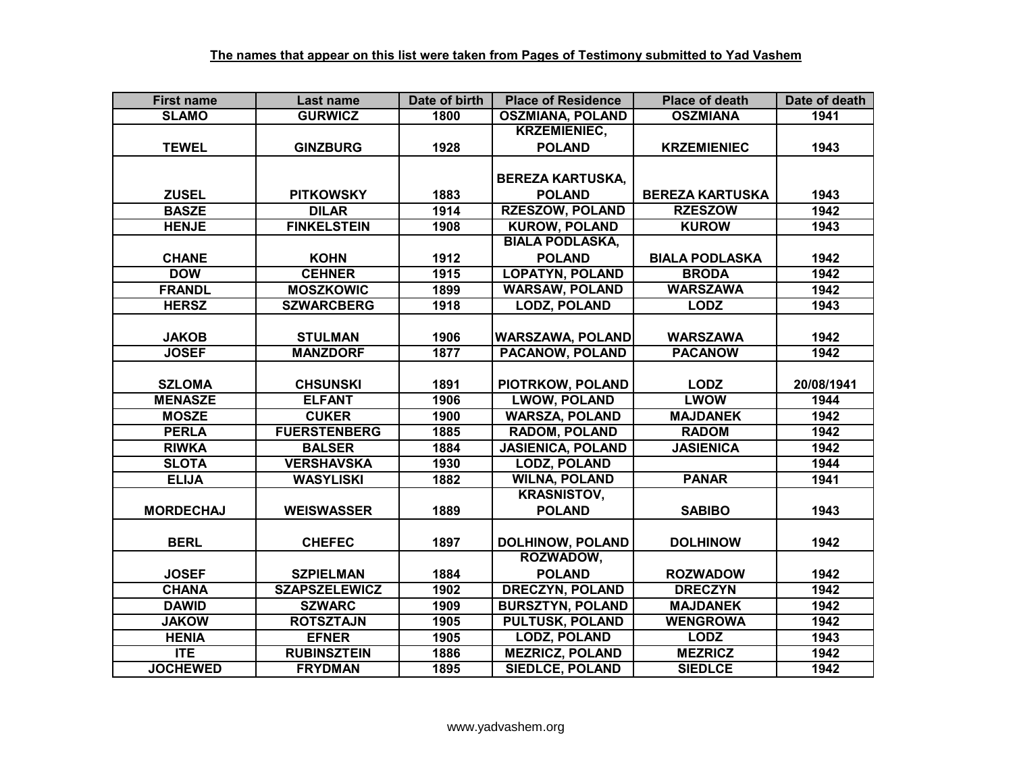| <b>First name</b> | Last name            | Date of birth | <b>Place of Residence</b> | <b>Place of death</b>  | Date of death |
|-------------------|----------------------|---------------|---------------------------|------------------------|---------------|
| <b>SLAMO</b>      | <b>GURWICZ</b>       | 1800          | <b>OSZMIANA, POLAND</b>   | <b>OSZMIANA</b>        | 1941          |
|                   |                      |               | <b>KRZEMIENIEC,</b>       |                        |               |
| <b>TEWEL</b>      | <b>GINZBURG</b>      | 1928          | <b>POLAND</b>             | <b>KRZEMIENIEC</b>     | 1943          |
|                   |                      |               |                           |                        |               |
|                   |                      |               | <b>BEREZA KARTUSKA,</b>   |                        |               |
| <b>ZUSEL</b>      | <b>PITKOWSKY</b>     | 1883          | <b>POLAND</b>             | <b>BEREZA KARTUSKA</b> | 1943          |
| <b>BASZE</b>      | <b>DILAR</b>         | 1914          | <b>RZESZOW, POLAND</b>    | <b>RZESZOW</b>         | 1942          |
| <b>HENJE</b>      | <b>FINKELSTEIN</b>   | 1908          | <b>KUROW, POLAND</b>      | <b>KUROW</b>           | 1943          |
|                   |                      |               | <b>BIALA PODLASKA,</b>    |                        |               |
| <b>CHANE</b>      | <b>KOHN</b>          | 1912          | <b>POLAND</b>             | <b>BIALA PODLASKA</b>  | 1942          |
| <b>DOW</b>        | <b>CEHNER</b>        | 1915          | <b>LOPATYN, POLAND</b>    | <b>BRODA</b>           | 1942          |
| <b>FRANDL</b>     | <b>MOSZKOWIC</b>     | 1899          | <b>WARSAW, POLAND</b>     | <b>WARSZAWA</b>        | 1942          |
| <b>HERSZ</b>      | <b>SZWARCBERG</b>    | 1918          | <b>LODZ, POLAND</b>       | <b>LODZ</b>            | 1943          |
|                   |                      |               |                           |                        |               |
| <b>JAKOB</b>      | <b>STULMAN</b>       | 1906          | <b>WARSZAWA, POLAND</b>   | <b>WARSZAWA</b>        | 1942          |
| <b>JOSEF</b>      | <b>MANZDORF</b>      | 1877          | <b>PACANOW, POLAND</b>    | <b>PACANOW</b>         | 1942          |
|                   |                      |               |                           |                        |               |
| <b>SZLOMA</b>     | <b>CHSUNSKI</b>      | 1891          | PIOTRKOW, POLAND          | <b>LODZ</b>            | 20/08/1941    |
| <b>MENASZE</b>    | <b>ELFANT</b>        | 1906          | <b>LWOW, POLAND</b>       | <b>LWOW</b>            | 1944          |
| <b>MOSZE</b>      | <b>CUKER</b>         | 1900          | <b>WARSZA, POLAND</b>     | <b>MAJDANEK</b>        | 1942          |
| <b>PERLA</b>      | <b>FUERSTENBERG</b>  | 1885          | <b>RADOM, POLAND</b>      | <b>RADOM</b>           | 1942          |
| <b>RIWKA</b>      | <b>BALSER</b>        | 1884          | <b>JASIENICA, POLAND</b>  | <b>JASIENICA</b>       | 1942          |
| <b>SLOTA</b>      | <b>VERSHAVSKA</b>    | 1930          | <b>LODZ, POLAND</b>       |                        | 1944          |
| <b>ELIJA</b>      | <b>WASYLISKI</b>     | 1882          | <b>WILNA, POLAND</b>      | <b>PANAR</b>           | 1941          |
|                   |                      |               | <b>KRASNISTOV,</b>        |                        |               |
| <b>MORDECHAJ</b>  | <b>WEISWASSER</b>    | 1889          | <b>POLAND</b>             | <b>SABIBO</b>          | 1943          |
|                   |                      |               |                           |                        |               |
| <b>BERL</b>       | <b>CHEFEC</b>        | 1897          | <b>DOLHINOW, POLAND</b>   | <b>DOLHINOW</b>        | 1942          |
|                   |                      |               | ROZWADOW,                 |                        |               |
| <b>JOSEF</b>      | <b>SZPIELMAN</b>     | 1884          | <b>POLAND</b>             | <b>ROZWADOW</b>        | 1942          |
| <b>CHANA</b>      | <b>SZAPSZELEWICZ</b> | 1902          | <b>DRECZYN, POLAND</b>    | <b>DRECZYN</b>         | 1942          |
| <b>DAWID</b>      | <b>SZWARC</b>        | 1909          | <b>BURSZTYN, POLAND</b>   | <b>MAJDANEK</b>        | 1942          |
| <b>JAKOW</b>      | <b>ROTSZTAJN</b>     | 1905          | <b>PULTUSK, POLAND</b>    | <b>WENGROWA</b>        | 1942          |
| <b>HENIA</b>      | <b>EFNER</b>         | 1905          | <b>LODZ, POLAND</b>       | <b>LODZ</b>            | 1943          |
| ITE               | <b>RUBINSZTEIN</b>   | 1886          | <b>MEZRICZ, POLAND</b>    | <b>MEZRICZ</b>         | 1942          |
| <b>JOCHEWED</b>   | <b>FRYDMAN</b>       | 1895          | <b>SIEDLCE, POLAND</b>    | <b>SIEDLCE</b>         | 1942          |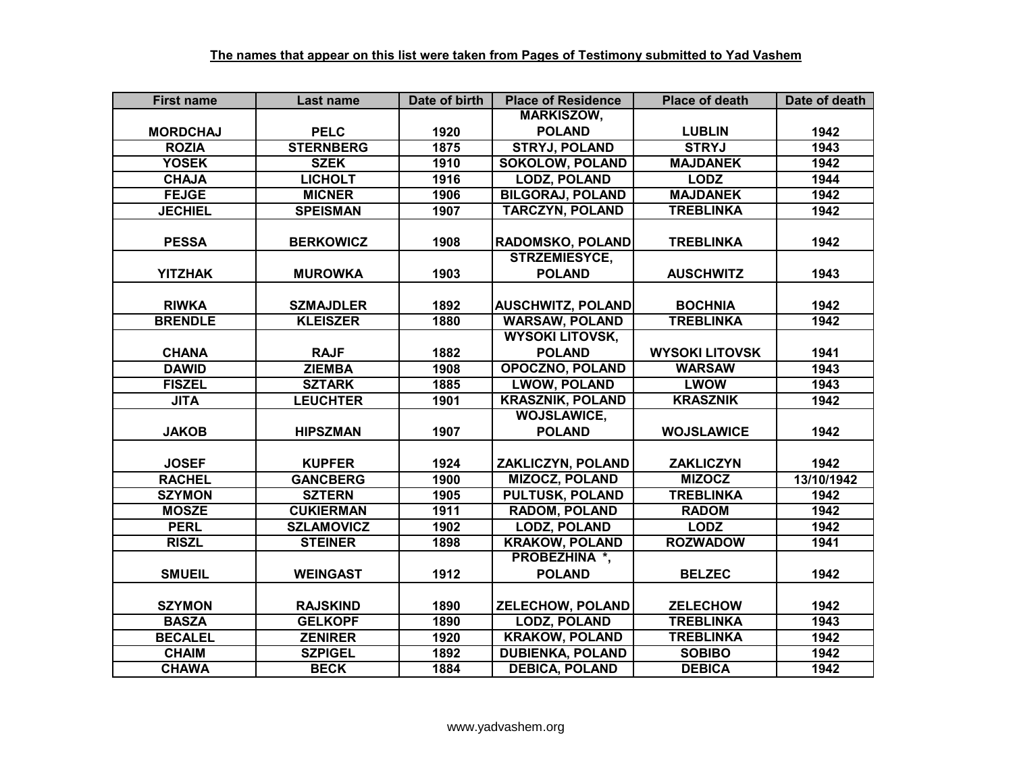| <b>First name</b> | Last name         | Date of birth    | <b>Place of Residence</b> | <b>Place of death</b> | Date of death |
|-------------------|-------------------|------------------|---------------------------|-----------------------|---------------|
|                   |                   |                  | <b>MARKISZOW,</b>         |                       |               |
| <b>MORDCHAJ</b>   | <b>PELC</b>       | 1920             | <b>POLAND</b>             | <b>LUBLIN</b>         | 1942          |
| <b>ROZIA</b>      | <b>STERNBERG</b>  | 1875             | <b>STRYJ, POLAND</b>      | <b>STRYJ</b>          | 1943          |
| <b>YOSEK</b>      | <b>SZEK</b>       | 1910             | <b>SOKOLOW, POLAND</b>    | <b>MAJDANEK</b>       | 1942          |
| <b>CHAJA</b>      | <b>LICHOLT</b>    | 1916             | <b>LODZ, POLAND</b>       | <b>LODZ</b>           | 1944          |
| <b>FEJGE</b>      | <b>MICNER</b>     | 1906             | <b>BILGORAJ, POLAND</b>   | <b>MAJDANEK</b>       | 1942          |
| <b>JECHIEL</b>    | <b>SPEISMAN</b>   | 1907             | <b>TARCZYN, POLAND</b>    | <b>TREBLINKA</b>      | 1942          |
|                   |                   |                  |                           |                       |               |
| <b>PESSA</b>      | <b>BERKOWICZ</b>  | 1908             | <b>RADOMSKO, POLAND</b>   | <b>TREBLINKA</b>      | 1942          |
|                   |                   |                  | <b>STRZEMIESYCE,</b>      |                       |               |
| <b>YITZHAK</b>    | <b>MUROWKA</b>    | 1903             | <b>POLAND</b>             | <b>AUSCHWITZ</b>      | 1943          |
|                   |                   |                  |                           |                       |               |
| <b>RIWKA</b>      | <b>SZMAJDLER</b>  | 1892             | <b>AUSCHWITZ, POLAND</b>  | <b>BOCHNIA</b>        | 1942          |
| <b>BRENDLE</b>    | <b>KLEISZER</b>   | 1880             | <b>WARSAW, POLAND</b>     | <b>TREBLINKA</b>      | 1942          |
|                   |                   |                  | <b>WYSOKI LITOVSK,</b>    |                       |               |
| <b>CHANA</b>      | <b>RAJF</b>       | 1882             | <b>POLAND</b>             | <b>WYSOKI LITOVSK</b> | 1941          |
| <b>DAWID</b>      | <b>ZIEMBA</b>     | 1908             | <b>OPOCZNO, POLAND</b>    | <b>WARSAW</b>         | 1943          |
| <b>FISZEL</b>     | <b>SZTARK</b>     | 1885             | <b>LWOW, POLAND</b>       | <b>LWOW</b>           | 1943          |
| <b>JITA</b>       | <b>LEUCHTER</b>   | 1901             | <b>KRASZNIK, POLAND</b>   | <b>KRASZNIK</b>       | 1942          |
|                   |                   |                  | <b>WOJSLAWICE,</b>        |                       |               |
| <b>JAKOB</b>      | <b>HIPSZMAN</b>   | 1907             | <b>POLAND</b>             | <b>WOJSLAWICE</b>     | 1942          |
|                   |                   |                  |                           |                       |               |
| <b>JOSEF</b>      | <b>KUPFER</b>     | 1924             | ZAKLICZYN, POLAND         | <b>ZAKLICZYN</b>      | 1942          |
| <b>RACHEL</b>     | <b>GANCBERG</b>   | 1900             | <b>MIZOCZ, POLAND</b>     | <b>MIZOCZ</b>         | 13/10/1942    |
| <b>SZYMON</b>     | <b>SZTERN</b>     | 1905             | <b>PULTUSK, POLAND</b>    | <b>TREBLINKA</b>      | 1942          |
| <b>MOSZE</b>      | <b>CUKIERMAN</b>  | 1911             | <b>RADOM, POLAND</b>      | <b>RADOM</b>          | 1942          |
| <b>PERL</b>       | <b>SZLAMOVICZ</b> | $\frac{1}{1902}$ | <b>LODZ, POLAND</b>       | <b>LODZ</b>           | 1942          |
| <b>RISZL</b>      | <b>STEINER</b>    | 1898             | <b>KRAKOW, POLAND</b>     | <b>ROZWADOW</b>       | 1941          |
|                   |                   |                  | PROBEZHINA *,             |                       |               |
| <b>SMUEIL</b>     | <b>WEINGAST</b>   | 1912             | <b>POLAND</b>             | <b>BELZEC</b>         | 1942          |
|                   |                   |                  |                           |                       |               |
| <b>SZYMON</b>     | <b>RAJSKIND</b>   | 1890             | <b>ZELECHOW, POLAND</b>   | <b>ZELECHOW</b>       | 1942          |
| <b>BASZA</b>      | <b>GELKOPF</b>    | 1890             | <b>LODZ, POLAND</b>       | <b>TREBLINKA</b>      | 1943          |
| <b>BECALEL</b>    | <b>ZENIRER</b>    | 1920             | <b>KRAKOW, POLAND</b>     | <b>TREBLINKA</b>      | 1942          |
| <b>CHAIM</b>      | <b>SZPIGEL</b>    | 1892             | <b>DUBIENKA, POLAND</b>   | <b>SOBIBO</b>         | 1942          |
| <b>CHAWA</b>      | <b>BECK</b>       | 1884             | <b>DEBICA, POLAND</b>     | <b>DEBICA</b>         | 1942          |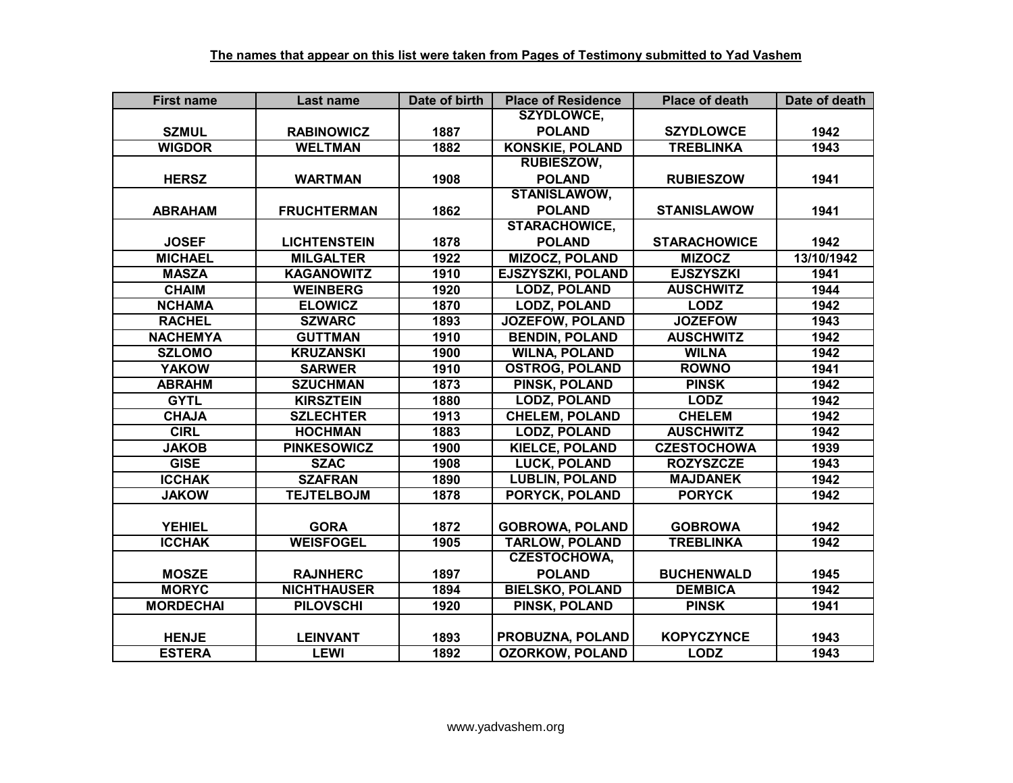| <b>First name</b> | Last name           | Date of birth | <b>Place of Residence</b> | <b>Place of death</b> | Date of death |
|-------------------|---------------------|---------------|---------------------------|-----------------------|---------------|
|                   |                     |               | <b>SZYDLOWCE,</b>         |                       |               |
| <b>SZMUL</b>      | <b>RABINOWICZ</b>   | 1887          | <b>POLAND</b>             | <b>SZYDLOWCE</b>      | 1942          |
| <b>WIGDOR</b>     | <b>WELTMAN</b>      | 1882          | <b>KONSKIE, POLAND</b>    | <b>TREBLINKA</b>      | 1943          |
|                   |                     |               | <b>RUBIESZOW,</b>         |                       |               |
| <b>HERSZ</b>      | <b>WARTMAN</b>      | 1908          | <b>POLAND</b>             | <b>RUBIESZOW</b>      | 1941          |
|                   |                     |               | <b>STANISLAWOW,</b>       |                       |               |
| <b>ABRAHAM</b>    | <b>FRUCHTERMAN</b>  | 1862          | <b>POLAND</b>             | <b>STANISLAWOW</b>    | 1941          |
|                   |                     |               | <b>STARACHOWICE,</b>      |                       |               |
| <b>JOSEF</b>      | <b>LICHTENSTEIN</b> | 1878          | <b>POLAND</b>             | <b>STARACHOWICE</b>   | 1942          |
| <b>MICHAEL</b>    | <b>MILGALTER</b>    | 1922          | <b>MIZOCZ, POLAND</b>     | <b>MIZOCZ</b>         | 13/10/1942    |
| <b>MASZA</b>      | <b>KAGANOWITZ</b>   | 1910          | EJSZYSZKI, POLAND         | <b>EJSZYSZKI</b>      | 1941          |
| <b>CHAIM</b>      | <b>WEINBERG</b>     | 1920          | <b>LODZ, POLAND</b>       | <b>AUSCHWITZ</b>      | 1944          |
| <b>NCHAMA</b>     | <b>ELOWICZ</b>      | 1870          | <b>LODZ, POLAND</b>       | <b>LODZ</b>           | 1942          |
| <b>RACHEL</b>     | <b>SZWARC</b>       | 1893          | <b>JOZEFOW, POLAND</b>    | <b>JOZEFOW</b>        | 1943          |
| <b>NACHEMYA</b>   | <b>GUTTMAN</b>      | 1910          | <b>BENDIN, POLAND</b>     | <b>AUSCHWITZ</b>      | 1942          |
| <b>SZLOMO</b>     | <b>KRUZANSKI</b>    | 1900          | <b>WILNA, POLAND</b>      | <b>WILNA</b>          | 1942          |
| <b>YAKOW</b>      | <b>SARWER</b>       | 1910          | <b>OSTROG, POLAND</b>     | <b>ROWNO</b>          | 1941          |
| <b>ABRAHM</b>     | <b>SZUCHMAN</b>     | 1873          | PINSK, POLAND             | <b>PINSK</b>          | 1942          |
| <b>GYTL</b>       | <b>KIRSZTEIN</b>    | 1880          | <b>LODZ, POLAND</b>       | <b>LODZ</b>           | 1942          |
| <b>CHAJA</b>      | <b>SZLECHTER</b>    | 1913          | <b>CHELEM, POLAND</b>     | <b>CHELEM</b>         | 1942          |
| <b>CIRL</b>       | <b>HOCHMAN</b>      | 1883          | <b>LODZ, POLAND</b>       | <b>AUSCHWITZ</b>      | 1942          |
| <b>JAKOB</b>      | <b>PINKESOWICZ</b>  | 1900          | <b>KIELCE, POLAND</b>     | <b>CZESTOCHOWA</b>    | 1939          |
| <b>GISE</b>       | <b>SZAC</b>         | 1908          | <b>LUCK, POLAND</b>       | <b>ROZYSZCZE</b>      | 1943          |
| <b>ICCHAK</b>     | <b>SZAFRAN</b>      | 1890          | <b>LUBLIN, POLAND</b>     | <b>MAJDANEK</b>       | 1942          |
| <b>JAKOW</b>      | <b>TEJTELBOJM</b>   | 1878          | <b>PORYCK, POLAND</b>     | <b>PORYCK</b>         | 1942          |
|                   |                     |               |                           |                       |               |
| <b>YEHIEL</b>     | <b>GORA</b>         | 1872          | <b>GOBROWA, POLAND</b>    | <b>GOBROWA</b>        | 1942          |
| <b>ICCHAK</b>     | <b>WEISFOGEL</b>    | 1905          | <b>TARLOW, POLAND</b>     | <b>TREBLINKA</b>      | 1942          |
|                   |                     |               | <b>CZESTOCHOWA,</b>       |                       |               |
| <b>MOSZE</b>      | <b>RAJNHERC</b>     | 1897          | <b>POLAND</b>             | <b>BUCHENWALD</b>     | 1945          |
| <b>MORYC</b>      | <b>NICHTHAUSER</b>  | 1894          | <b>BIELSKO, POLAND</b>    | <b>DEMBICA</b>        | 1942          |
| <b>MORDECHAI</b>  | <b>PILOVSCHI</b>    | 1920          | PINSK, POLAND             | <b>PINSK</b>          | 1941          |
|                   |                     |               |                           |                       |               |
| <b>HENJE</b>      | <b>LEINVANT</b>     | 1893          | PROBUZNA, POLAND          | <b>KOPYCZYNCE</b>     | 1943          |
| <b>ESTERA</b>     | <b>LEWI</b>         | 1892          | <b>OZORKOW, POLAND</b>    | <b>LODZ</b>           | 1943          |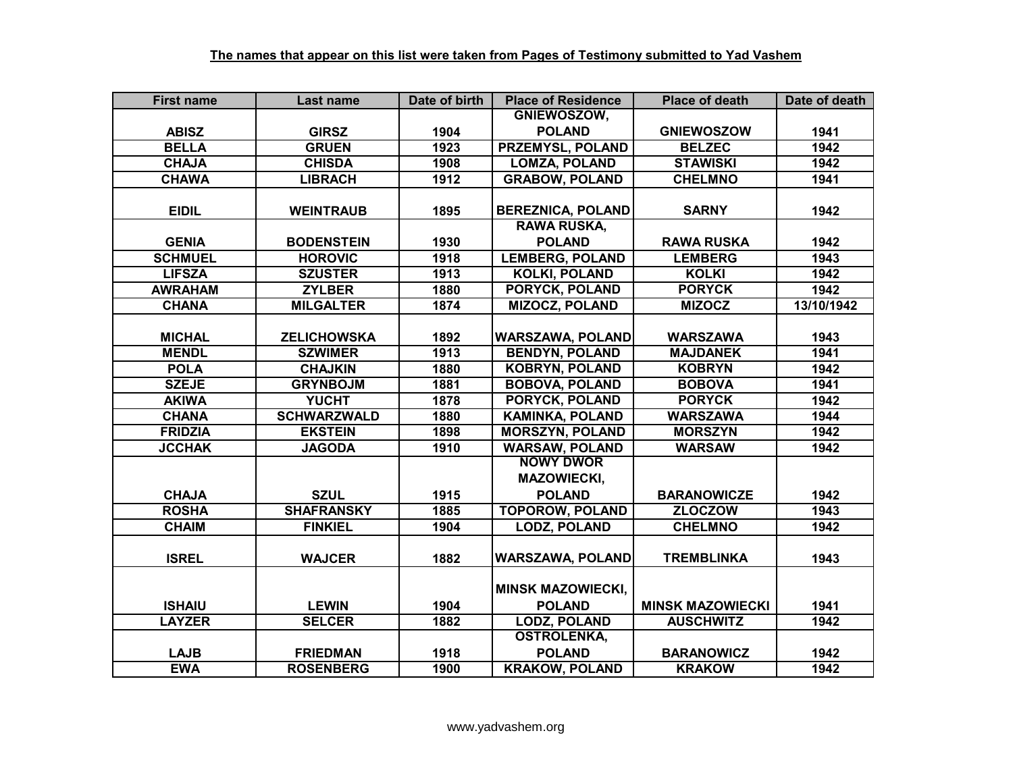| <b>First name</b> | Last name          | Date of birth | <b>Place of Residence</b> | <b>Place of death</b>   | Date of death |
|-------------------|--------------------|---------------|---------------------------|-------------------------|---------------|
|                   |                    |               | GNIEWOSZOW,               |                         |               |
| <b>ABISZ</b>      | <b>GIRSZ</b>       | 1904          | <b>POLAND</b>             | <b>GNIEWOSZOW</b>       | 1941          |
| <b>BELLA</b>      | <b>GRUEN</b>       | 1923          | <b>PRZEMYSL, POLAND</b>   | <b>BELZEC</b>           | 1942          |
| <b>CHAJA</b>      | <b>CHISDA</b>      | 1908          | <b>LOMZA, POLAND</b>      | <b>STAWISKI</b>         | 1942          |
| <b>CHAWA</b>      | <b>LIBRACH</b>     | 1912          | <b>GRABOW, POLAND</b>     | <b>CHELMNO</b>          | 1941          |
|                   |                    |               |                           |                         |               |
| <b>EIDIL</b>      | <b>WEINTRAUB</b>   | 1895          | <b>BEREZNICA, POLAND</b>  | <b>SARNY</b>            | 1942          |
|                   |                    |               | <b>RAWA RUSKA,</b>        |                         |               |
| <b>GENIA</b>      | <b>BODENSTEIN</b>  | 1930          | <b>POLAND</b>             | <b>RAWA RUSKA</b>       | 1942          |
| <b>SCHMUEL</b>    | <b>HOROVIC</b>     | 1918          | <b>LEMBERG, POLAND</b>    | <b>LEMBERG</b>          | 1943          |
| <b>LIFSZA</b>     | <b>SZUSTER</b>     | 1913          | <b>KOLKI, POLAND</b>      | <b>KOLKI</b>            | 1942          |
| <b>AWRAHAM</b>    | <b>ZYLBER</b>      | 1880          | PORYCK, POLAND            | <b>PORYCK</b>           | 1942          |
| <b>CHANA</b>      | <b>MILGALTER</b>   | 1874          | <b>MIZOCZ, POLAND</b>     | <b>MIZOCZ</b>           | 13/10/1942    |
|                   |                    |               |                           |                         |               |
| <b>MICHAL</b>     | <b>ZELICHOWSKA</b> | 1892          | <b>WARSZAWA, POLAND</b>   | <b>WARSZAWA</b>         | 1943          |
| <b>MENDL</b>      | <b>SZWIMER</b>     | 1913          | <b>BENDYN, POLAND</b>     | <b>MAJDANEK</b>         | 1941          |
| <b>POLA</b>       | <b>CHAJKIN</b>     | 1880          | <b>KOBRYN, POLAND</b>     | <b>KOBRYN</b>           | 1942          |
| <b>SZEJE</b>      | <b>GRYNBOJM</b>    | 1881          | <b>BOBOVA, POLAND</b>     | <b>BOBOVA</b>           | 1941          |
| <b>AKIWA</b>      | <b>YUCHT</b>       | 1878          | <b>PORYCK, POLAND</b>     | <b>PORYCK</b>           | 1942          |
| <b>CHANA</b>      | <b>SCHWARZWALD</b> | 1880          | <b>KAMINKA, POLAND</b>    | <b>WARSZAWA</b>         | 1944          |
| <b>FRIDZIA</b>    | <b>EKSTEIN</b>     | 1898          | <b>MORSZYN, POLAND</b>    | <b>MORSZYN</b>          | 1942          |
| <b>JCCHAK</b>     | <b>JAGODA</b>      | 1910          | <b>WARSAW, POLAND</b>     | <b>WARSAW</b>           | 1942          |
|                   |                    |               | <b>NOWY DWOR</b>          |                         |               |
|                   |                    |               | <b>MAZOWIECKI,</b>        |                         |               |
| <b>CHAJA</b>      | <b>SZUL</b>        | 1915          | <b>POLAND</b>             | <b>BARANOWICZE</b>      | 1942          |
| <b>ROSHA</b>      | <b>SHAFRANSKY</b>  | 1885          | <b>TOPOROW, POLAND</b>    | <b>ZLOCZOW</b>          | 1943          |
| <b>CHAIM</b>      | <b>FINKIEL</b>     | 1904          | <b>LODZ, POLAND</b>       | <b>CHELMNO</b>          | 1942          |
|                   |                    |               |                           |                         |               |
| <b>ISREL</b>      | <b>WAJCER</b>      | 1882          | <b>WARSZAWA, POLAND</b>   | <b>TREMBLINKA</b>       | 1943          |
|                   |                    |               |                           |                         |               |
|                   |                    |               | <b>MINSK MAZOWIECKI,</b>  |                         |               |
| <b>ISHAIU</b>     | <b>LEWIN</b>       | 1904          | <b>POLAND</b>             | <b>MINSK MAZOWIECKI</b> | 1941          |
| <b>LAYZER</b>     | <b>SELCER</b>      | 1882          | <b>LODZ, POLAND</b>       | <b>AUSCHWITZ</b>        | 1942          |
|                   |                    |               | <b>OSTROLENKA,</b>        |                         |               |
| <b>LAJB</b>       | <b>FRIEDMAN</b>    | 1918          | <b>POLAND</b>             | <b>BARANOWICZ</b>       | 1942          |
| <b>EWA</b>        | <b>ROSENBERG</b>   | 1900          | <b>KRAKOW, POLAND</b>     | <b>KRAKOW</b>           | 1942          |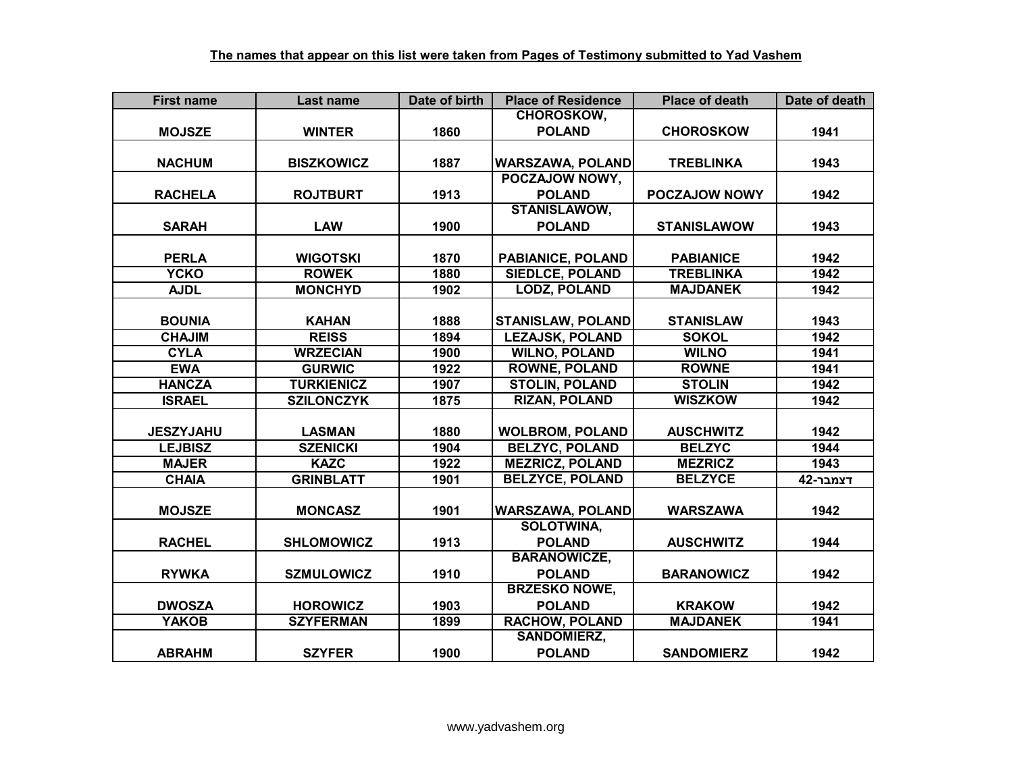| <b>First name</b> | Last name         | Date of birth | <b>Place of Residence</b> | <b>Place of death</b> | Date of death |
|-------------------|-------------------|---------------|---------------------------|-----------------------|---------------|
|                   |                   |               | <b>CHOROSKOW,</b>         |                       |               |
| <b>MOJSZE</b>     | <b>WINTER</b>     | 1860          | <b>POLAND</b>             | <b>CHOROSKOW</b>      | 1941          |
|                   |                   |               |                           |                       |               |
| <b>NACHUM</b>     | <b>BISZKOWICZ</b> | 1887          | <b>WARSZAWA, POLAND</b>   | <b>TREBLINKA</b>      | 1943          |
|                   |                   |               | POCZAJOW NOWY,            |                       |               |
| <b>RACHELA</b>    | <b>ROJTBURT</b>   | 1913          | <b>POLAND</b>             | POCZAJOW NOWY         | 1942          |
|                   |                   |               | <b>STANISLAWOW,</b>       |                       |               |
| <b>SARAH</b>      | <b>LAW</b>        | 1900          | <b>POLAND</b>             | <b>STANISLAWOW</b>    | 1943          |
|                   |                   |               |                           |                       |               |
| <b>PERLA</b>      | <b>WIGOTSKI</b>   | 1870          | PABIANICE, POLAND         | <b>PABIANICE</b>      | 1942          |
| <b>YCKO</b>       | <b>ROWEK</b>      | 1880          | <b>SIEDLCE, POLAND</b>    | <b>TREBLINKA</b>      | 1942          |
| <b>AJDL</b>       | <b>MONCHYD</b>    | 1902          | <b>LODZ, POLAND</b>       | <b>MAJDANEK</b>       | 1942          |
|                   |                   |               |                           |                       |               |
| <b>BOUNIA</b>     | <b>KAHAN</b>      | 1888          | <b>STANISLAW, POLAND</b>  | <b>STANISLAW</b>      | 1943          |
| <b>CHAJIM</b>     | <b>REISS</b>      | 1894          | <b>LEZAJSK, POLAND</b>    | <b>SOKOL</b>          | 1942          |
| <b>CYLA</b>       | <b>WRZECIAN</b>   | 1900          | <b>WILNO, POLAND</b>      | <b>WILNO</b>          | 1941          |
| <b>EWA</b>        | <b>GURWIC</b>     | 1922          | <b>ROWNE, POLAND</b>      | <b>ROWNE</b>          | 1941          |
| <b>HANCZA</b>     | <b>TURKIENICZ</b> | 1907          | <b>STOLIN, POLAND</b>     | <b>STOLIN</b>         | 1942          |
| <b>ISRAEL</b>     | <b>SZILONCZYK</b> | 1875          | <b>RIZAN, POLAND</b>      | <b>WISZKOW</b>        | 1942          |
|                   |                   |               |                           |                       |               |
| <b>JESZYJAHU</b>  | <b>LASMAN</b>     | 1880          | <b>WOLBROM, POLAND</b>    | <b>AUSCHWITZ</b>      | 1942          |
| <b>LEJBISZ</b>    | <b>SZENICKI</b>   | 1904          | <b>BELZYC, POLAND</b>     | <b>BELZYC</b>         | 1944          |
| <b>MAJER</b>      | <b>KAZC</b>       | 1922          | <b>MEZRICZ, POLAND</b>    | <b>MEZRICZ</b>        | 1943          |
| <b>CHAIA</b>      | <b>GRINBLATT</b>  | 1901          | <b>BELZYCE, POLAND</b>    | <b>BELZYCE</b>        | דצמבר-42      |
|                   |                   |               |                           |                       |               |
| <b>MOJSZE</b>     | <b>MONCASZ</b>    | 1901          | <b>WARSZAWA, POLAND</b>   | <b>WARSZAWA</b>       | 1942          |
|                   |                   |               | <b>SOLOTWINA,</b>         |                       |               |
| <b>RACHEL</b>     | <b>SHLOMOWICZ</b> | 1913          | <b>POLAND</b>             | <b>AUSCHWITZ</b>      | 1944          |
|                   |                   |               | <b>BARANOWICZE,</b>       |                       |               |
| <b>RYWKA</b>      | <b>SZMULOWICZ</b> | 1910          | <b>POLAND</b>             | <b>BARANOWICZ</b>     | 1942          |
|                   |                   |               | <b>BRZESKO NOWE,</b>      |                       |               |
| <b>DWOSZA</b>     | <b>HOROWICZ</b>   | 1903          | <b>POLAND</b>             | <b>KRAKOW</b>         | 1942          |
| <b>YAKOB</b>      | <b>SZYFERMAN</b>  | 1899          | <b>RACHOW, POLAND</b>     | <b>MAJDANEK</b>       | 1941          |
|                   |                   |               | <b>SANDOMIERZ,</b>        |                       |               |
| <b>ABRAHM</b>     | <b>SZYFER</b>     | 1900          | <b>POLAND</b>             | <b>SANDOMIERZ</b>     | 1942          |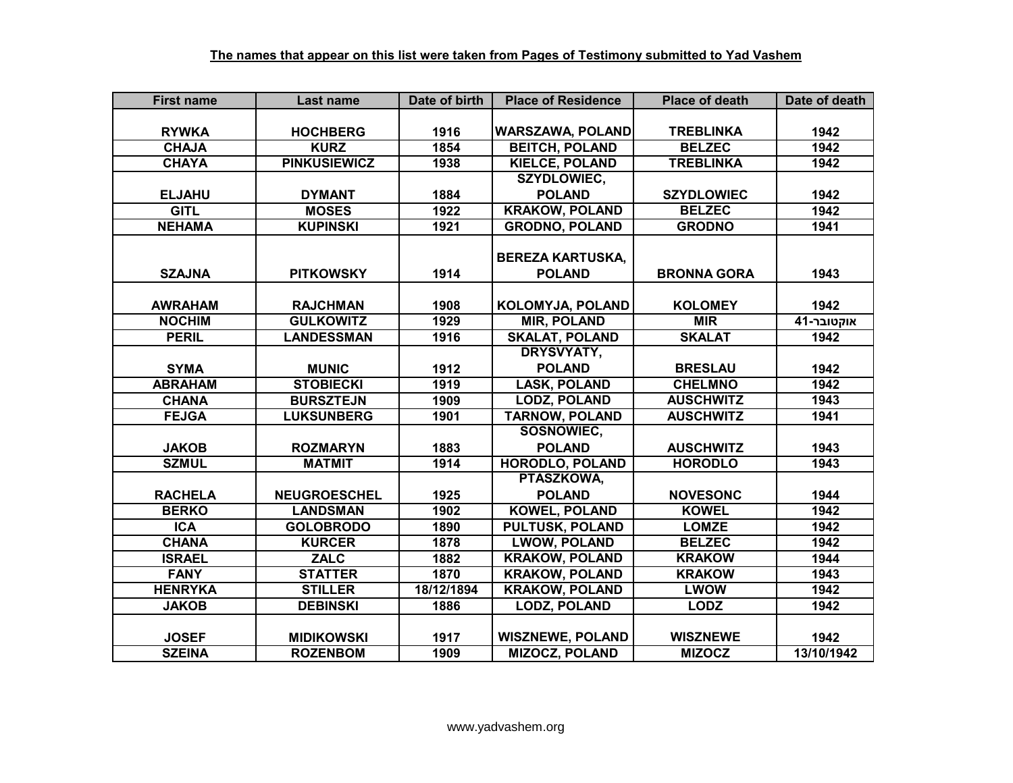| <b>First name</b> | Last name           | Date of birth | <b>Place of Residence</b> | <b>Place of death</b> | Date of death |
|-------------------|---------------------|---------------|---------------------------|-----------------------|---------------|
|                   |                     |               |                           |                       |               |
| <b>RYWKA</b>      | <b>HOCHBERG</b>     | 1916          | <b>WARSZAWA, POLAND</b>   | <b>TREBLINKA</b>      | 1942          |
| <b>CHAJA</b>      | <b>KURZ</b>         | 1854          | <b>BEITCH, POLAND</b>     | <b>BELZEC</b>         | 1942          |
| <b>CHAYA</b>      | <b>PINKUSIEWICZ</b> | 1938          | <b>KIELCE, POLAND</b>     | <b>TREBLINKA</b>      | 1942          |
|                   |                     |               | <b>SZYDLOWIEC,</b>        |                       |               |
| <b>ELJAHU</b>     | <b>DYMANT</b>       | 1884          | <b>POLAND</b>             | <b>SZYDLOWIEC</b>     | 1942          |
| <b>GITL</b>       | <b>MOSES</b>        | 1922          | <b>KRAKOW, POLAND</b>     | <b>BELZEC</b>         | 1942          |
| <b>NEHAMA</b>     | <b>KUPINSKI</b>     | 1921          | <b>GRODNO, POLAND</b>     | <b>GRODNO</b>         | 1941          |
|                   |                     |               |                           |                       |               |
|                   |                     |               | <b>BEREZA KARTUSKA,</b>   |                       |               |
| <b>SZAJNA</b>     | <b>PITKOWSKY</b>    | 1914          | <b>POLAND</b>             | <b>BRONNA GORA</b>    | 1943          |
|                   |                     |               |                           |                       |               |
| <b>AWRAHAM</b>    | <b>RAJCHMAN</b>     | 1908          | <b>KOLOMYJA, POLAND</b>   | <b>KOLOMEY</b>        | 1942          |
| <b>NOCHIM</b>     | <b>GULKOWITZ</b>    | 1929          | <b>MIR, POLAND</b>        | <b>MIR</b>            | אוקטובר-41    |
| <b>PERIL</b>      | <b>LANDESSMAN</b>   | 1916          | <b>SKALAT, POLAND</b>     | <b>SKALAT</b>         | 1942          |
|                   |                     |               | <b>DRYSVYATY,</b>         |                       |               |
| <b>SYMA</b>       | <b>MUNIC</b>        | 1912          | <b>POLAND</b>             | <b>BRESLAU</b>        | 1942          |
| <b>ABRAHAM</b>    | <b>STOBIECKI</b>    | 1919          | <b>LASK, POLAND</b>       | <b>CHELMNO</b>        | 1942          |
| <b>CHANA</b>      | <b>BURSZTEJN</b>    | 1909          | <b>LODZ, POLAND</b>       | <b>AUSCHWITZ</b>      | 1943          |
| <b>FEJGA</b>      | <b>LUKSUNBERG</b>   | 1901          | <b>TARNOW, POLAND</b>     | <b>AUSCHWITZ</b>      | 1941          |
|                   |                     |               | SOSNOWIEC,                |                       |               |
| <b>JAKOB</b>      | <b>ROZMARYN</b>     | 1883          | <b>POLAND</b>             | <b>AUSCHWITZ</b>      | 1943          |
| <b>SZMUL</b>      | <b>MATMIT</b>       | 1914          | <b>HORODLO, POLAND</b>    | <b>HORODLO</b>        | 1943          |
|                   |                     |               | PTASZKOWA,                |                       |               |
| <b>RACHELA</b>    | <b>NEUGROESCHEL</b> | 1925          | <b>POLAND</b>             | <b>NOVESONC</b>       | 1944          |
| <b>BERKO</b>      | <b>LANDSMAN</b>     | 1902          | <b>KOWEL, POLAND</b>      | <b>KOWEL</b>          | 1942          |
| <b>ICA</b>        | <b>GOLOBRODO</b>    | 1890          | <b>PULTUSK, POLAND</b>    | <b>LOMZE</b>          | 1942          |
| <b>CHANA</b>      | <b>KURCER</b>       | 1878          | <b>LWOW, POLAND</b>       | <b>BELZEC</b>         | 1942          |
| <b>ISRAEL</b>     | <b>ZALC</b>         | 1882          | <b>KRAKOW, POLAND</b>     | <b>KRAKOW</b>         | 1944          |
| <b>FANY</b>       | <b>STATTER</b>      | 1870          | <b>KRAKOW, POLAND</b>     | <b>KRAKOW</b>         | 1943          |
| <b>HENRYKA</b>    | <b>STILLER</b>      | 18/12/1894    | <b>KRAKOW, POLAND</b>     | <b>LWOW</b>           | 1942          |
| <b>JAKOB</b>      | <b>DEBINSKI</b>     | 1886          | <b>LODZ, POLAND</b>       | <b>LODZ</b>           | 1942          |
|                   |                     |               |                           |                       |               |
| <b>JOSEF</b>      | <b>MIDIKOWSKI</b>   | 1917          | <b>WISZNEWE, POLAND</b>   | <b>WISZNEWE</b>       | 1942          |
| <b>SZEINA</b>     | <b>ROZENBOM</b>     | 1909          | <b>MIZOCZ, POLAND</b>     | <b>MIZOCZ</b>         | 13/10/1942    |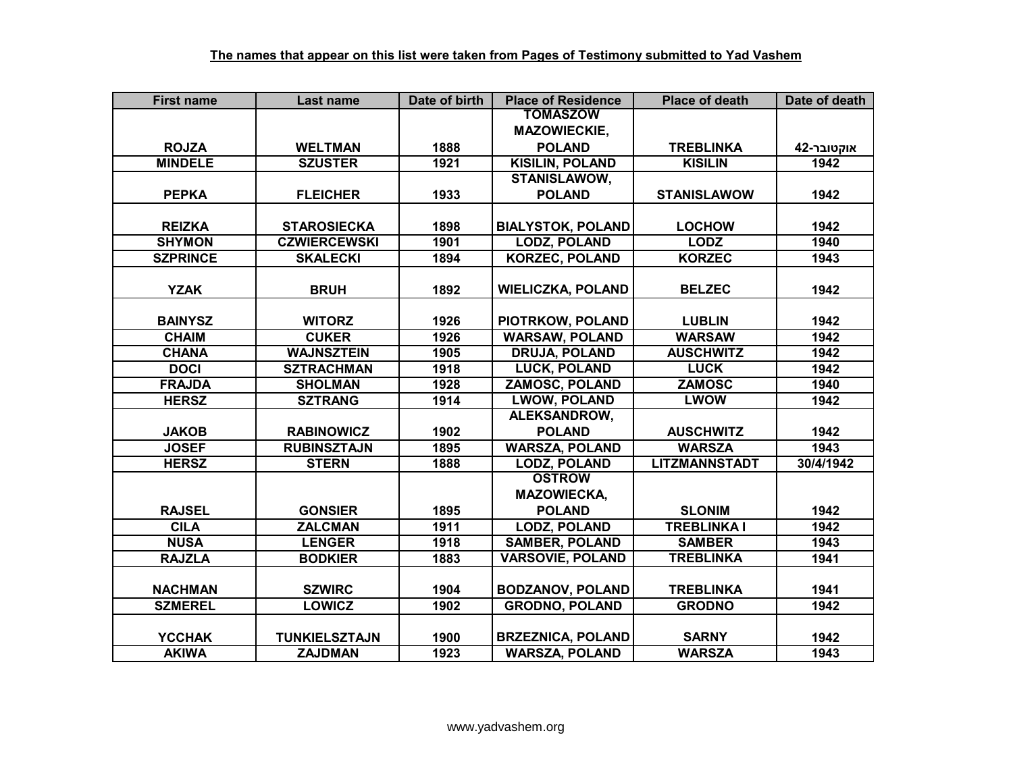| <b>First name</b> | <b>Last name</b>     | Date of birth | <b>Place of Residence</b> | <b>Place of death</b> | Date of death |
|-------------------|----------------------|---------------|---------------------------|-----------------------|---------------|
|                   |                      |               | <b>TOMASZOW</b>           |                       |               |
|                   |                      |               | <b>MAZOWIECKIE,</b>       |                       |               |
| <b>ROJZA</b>      | <b>WELTMAN</b>       | 1888          | <b>POLAND</b>             | <b>TREBLINKA</b>      | אוקטובר-42    |
| <b>MINDELE</b>    | <b>SZUSTER</b>       | 1921          | <b>KISILIN, POLAND</b>    | <b>KISILIN</b>        | 1942          |
|                   |                      |               | <b>STANISLAWOW,</b>       |                       |               |
| <b>PEPKA</b>      | <b>FLEICHER</b>      | 1933          | <b>POLAND</b>             | <b>STANISLAWOW</b>    | 1942          |
|                   |                      |               |                           |                       |               |
| <b>REIZKA</b>     | <b>STAROSIECKA</b>   | 1898          | <b>BIALYSTOK, POLAND</b>  | <b>LOCHOW</b>         | 1942          |
| <b>SHYMON</b>     | <b>CZWIERCEWSKI</b>  | 1901          | <b>LODZ, POLAND</b>       | <b>LODZ</b>           | 1940          |
| <b>SZPRINCE</b>   | <b>SKALECKI</b>      | 1894          | <b>KORZEC, POLAND</b>     | <b>KORZEC</b>         | 1943          |
|                   |                      |               |                           |                       |               |
| <b>YZAK</b>       | <b>BRUH</b>          | 1892          | <b>WIELICZKA, POLAND</b>  | <b>BELZEC</b>         | 1942          |
|                   |                      |               |                           |                       |               |
| <b>BAINYSZ</b>    | <b>WITORZ</b>        | 1926          | PIOTRKOW, POLAND          | <b>LUBLIN</b>         | 1942          |
| <b>CHAIM</b>      | <b>CUKER</b>         | 1926          | <b>WARSAW, POLAND</b>     | <b>WARSAW</b>         | 1942          |
| <b>CHANA</b>      | <b>WAJNSZTEIN</b>    | 1905          | <b>DRUJA, POLAND</b>      | <b>AUSCHWITZ</b>      | 1942          |
| <b>DOCI</b>       | <b>SZTRACHMAN</b>    | 1918          | <b>LUCK, POLAND</b>       | <b>LUCK</b>           | 1942          |
| <b>FRAJDA</b>     | <b>SHOLMAN</b>       | 1928          | <b>ZAMOSC, POLAND</b>     | <b>ZAMOSC</b>         | 1940          |
| <b>HERSZ</b>      | <b>SZTRANG</b>       | 1914          | <b>LWOW, POLAND</b>       | <b>LWOW</b>           | 1942          |
|                   |                      |               | ALEKSANDROW,              |                       |               |
| <b>JAKOB</b>      | <b>RABINOWICZ</b>    | 1902          | <b>POLAND</b>             | <b>AUSCHWITZ</b>      | 1942          |
| <b>JOSEF</b>      | <b>RUBINSZTAJN</b>   | 1895          | <b>WARSZA, POLAND</b>     | <b>WARSZA</b>         | 1943          |
| <b>HERSZ</b>      | <b>STERN</b>         | 1888          | <b>LODZ, POLAND</b>       | <b>LITZMANNSTADT</b>  | 30/4/1942     |
|                   |                      |               | <b>OSTROW</b>             |                       |               |
|                   |                      |               | <b>MAZOWIECKA,</b>        |                       |               |
| <b>RAJSEL</b>     | <b>GONSIER</b>       | 1895          | <b>POLAND</b>             | <b>SLONIM</b>         | 1942          |
| <b>CILA</b>       | <b>ZALCMAN</b>       | 1911          | <b>LODZ, POLAND</b>       | <b>TREBLINKA I</b>    | 1942          |
| <b>NUSA</b>       | <b>LENGER</b>        | 1918          | <b>SAMBER, POLAND</b>     | <b>SAMBER</b>         | 1943          |
| <b>RAJZLA</b>     | <b>BODKIER</b>       | 1883          | <b>VARSOVIE, POLAND</b>   | <b>TREBLINKA</b>      | 1941          |
|                   |                      |               |                           |                       |               |
| <b>NACHMAN</b>    | <b>SZWIRC</b>        | 1904          | <b>BODZANOV, POLAND</b>   | <b>TREBLINKA</b>      | 1941          |
| <b>SZMEREL</b>    | <b>LOWICZ</b>        | 1902          | <b>GRODNO, POLAND</b>     | <b>GRODNO</b>         | 1942          |
|                   |                      |               |                           |                       |               |
| <b>YCCHAK</b>     | <b>TUNKIELSZTAJN</b> | 1900          | <b>BRZEZNICA, POLAND</b>  | <b>SARNY</b>          | 1942          |
| <b>AKIWA</b>      | <b>ZAJDMAN</b>       | 1923          | <b>WARSZA, POLAND</b>     | <b>WARSZA</b>         | 1943          |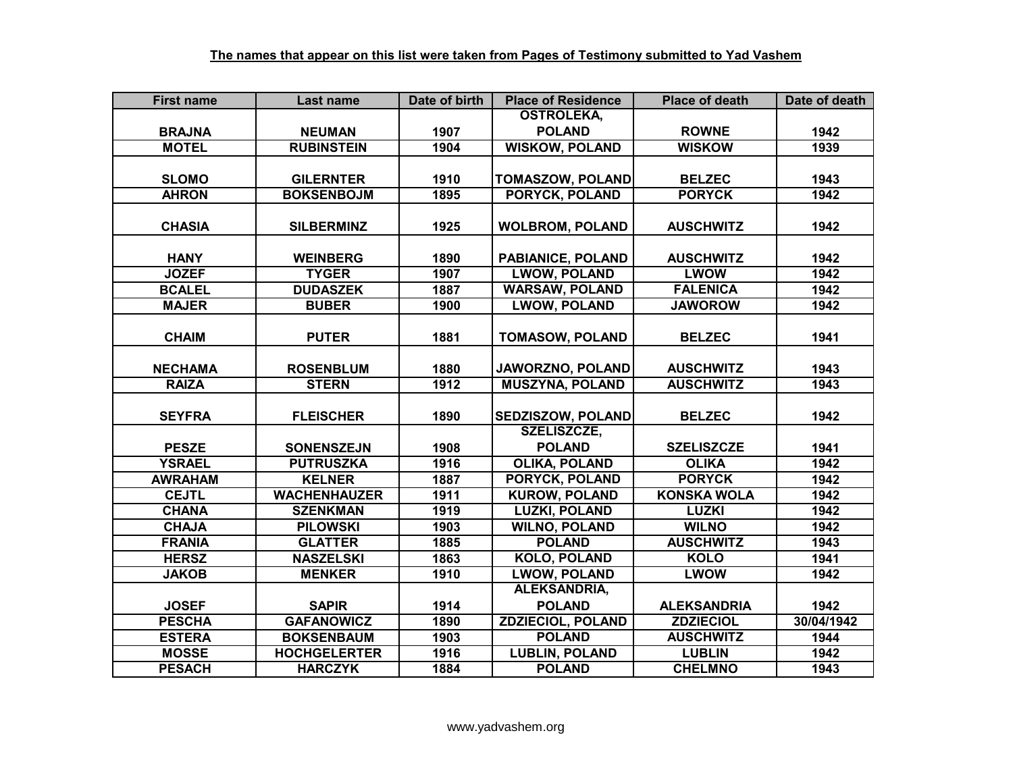| <b>First name</b> | Last name           | Date of birth | <b>Place of Residence</b> | <b>Place of death</b> | Date of death |
|-------------------|---------------------|---------------|---------------------------|-----------------------|---------------|
|                   |                     |               | <b>OSTROLEKA,</b>         |                       |               |
| <b>BRAJNA</b>     | <b>NEUMAN</b>       | 1907          | <b>POLAND</b>             | <b>ROWNE</b>          | 1942          |
| <b>MOTEL</b>      | <b>RUBINSTEIN</b>   | 1904          | <b>WISKOW, POLAND</b>     | <b>WISKOW</b>         | 1939          |
|                   |                     |               |                           |                       |               |
| <b>SLOMO</b>      | <b>GILERNTER</b>    | 1910          | <b>TOMASZOW, POLAND</b>   | <b>BELZEC</b>         | 1943          |
| <b>AHRON</b>      | <b>BOKSENBOJM</b>   | 1895          | <b>PORYCK, POLAND</b>     | <b>PORYCK</b>         | 1942          |
|                   |                     |               |                           |                       |               |
| <b>CHASIA</b>     | <b>SILBERMINZ</b>   | 1925          | <b>WOLBROM, POLAND</b>    | <b>AUSCHWITZ</b>      | 1942          |
|                   |                     |               |                           |                       |               |
| <b>HANY</b>       | <b>WEINBERG</b>     | 1890          | <b>PABIANICE, POLAND</b>  | <b>AUSCHWITZ</b>      | 1942          |
| <b>JOZEF</b>      | <b>TYGER</b>        | 1907          | <b>LWOW, POLAND</b>       | <b>LWOW</b>           | 1942          |
| <b>BCALEL</b>     | <b>DUDASZEK</b>     | 1887          | <b>WARSAW, POLAND</b>     | <b>FALENICA</b>       | 1942          |
| <b>MAJER</b>      | <b>BUBER</b>        | 1900          | <b>LWOW, POLAND</b>       | <b>JAWOROW</b>        | 1942          |
|                   |                     |               |                           |                       |               |
| <b>CHAIM</b>      | <b>PUTER</b>        | 1881          | <b>TOMASOW, POLAND</b>    | <b>BELZEC</b>         | 1941          |
|                   |                     |               |                           |                       |               |
| <b>NECHAMA</b>    | <b>ROSENBLUM</b>    | 1880          | JAWORZNO, POLAND          | <b>AUSCHWITZ</b>      | 1943          |
| <b>RAIZA</b>      | <b>STERN</b>        | 1912          | <b>MUSZYNA, POLAND</b>    | <b>AUSCHWITZ</b>      | 1943          |
|                   |                     |               |                           |                       |               |
| <b>SEYFRA</b>     | <b>FLEISCHER</b>    | 1890          | SEDZISZOW, POLAND         | <b>BELZEC</b>         | 1942          |
|                   |                     |               | SZELISZCZE,               |                       |               |
| <b>PESZE</b>      | <b>SONENSZEJN</b>   | 1908          | <b>POLAND</b>             | <b>SZELISZCZE</b>     | 1941          |
| <b>YSRAEL</b>     | <b>PUTRUSZKA</b>    | 1916          | <b>OLIKA, POLAND</b>      | <b>OLIKA</b>          | 1942          |
| <b>AWRAHAM</b>    | <b>KELNER</b>       | 1887          | <b>PORYCK, POLAND</b>     | <b>PORYCK</b>         | 1942          |
| <b>CEJTL</b>      | <b>WACHENHAUZER</b> | 1911          | <b>KUROW, POLAND</b>      | <b>KONSKA WOLA</b>    | 1942          |
| <b>CHANA</b>      | <b>SZENKMAN</b>     | 1919          | <b>LUZKI, POLAND</b>      | <b>LUZKI</b>          | 1942          |
| <b>CHAJA</b>      | <b>PILOWSKI</b>     | 1903          | <b>WILNO, POLAND</b>      | <b>WILNO</b>          | 1942          |
| <b>FRANIA</b>     | <b>GLATTER</b>      | 1885          | <b>POLAND</b>             | <b>AUSCHWITZ</b>      | 1943          |
| <b>HERSZ</b>      | <b>NASZELSKI</b>    | 1863          | <b>KOLO, POLAND</b>       | <b>KOLO</b>           | 1941          |
| <b>JAKOB</b>      | <b>MENKER</b>       | 1910          | <b>LWOW, POLAND</b>       | <b>LWOW</b>           | 1942          |
|                   |                     |               | ALEKSANDRIA,              |                       |               |
| <b>JOSEF</b>      | <b>SAPIR</b>        | 1914          | <b>POLAND</b>             | <b>ALEKSANDRIA</b>    | 1942          |
| <b>PESCHA</b>     | <b>GAFANOWICZ</b>   | 1890          | <b>ZDZIECIOL, POLAND</b>  | <b>ZDZIECIOL</b>      | 30/04/1942    |
| <b>ESTERA</b>     | <b>BOKSENBAUM</b>   | 1903          | <b>POLAND</b>             | <b>AUSCHWITZ</b>      | 1944          |
| <b>MOSSE</b>      | <b>HOCHGELERTER</b> | 1916          | <b>LUBLIN, POLAND</b>     | <b>LUBLIN</b>         | 1942          |
| <b>PESACH</b>     | <b>HARCZYK</b>      | 1884          | <b>POLAND</b>             | <b>CHELMNO</b>        | 1943          |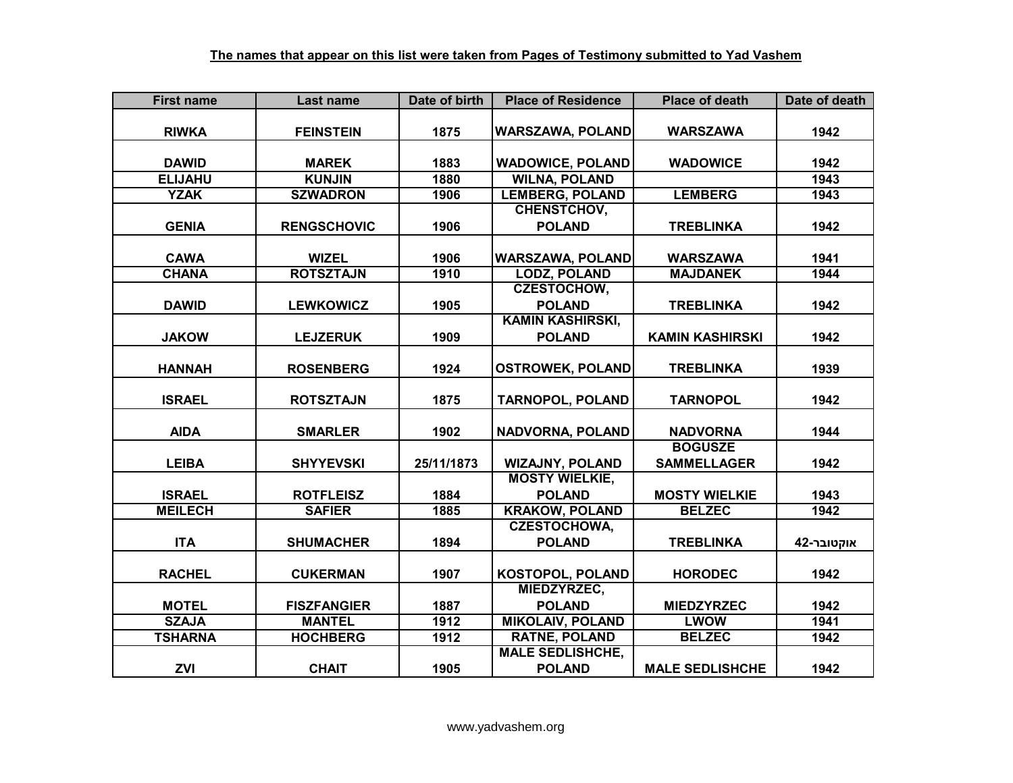| <b>First name</b> | Last name          | Date of birth | <b>Place of Residence</b> | <b>Place of death</b>  | Date of death |
|-------------------|--------------------|---------------|---------------------------|------------------------|---------------|
|                   |                    |               |                           |                        |               |
| <b>RIWKA</b>      | <b>FEINSTEIN</b>   | 1875          | <b>WARSZAWA, POLAND</b>   | <b>WARSZAWA</b>        | 1942          |
|                   |                    |               |                           |                        |               |
| <b>DAWID</b>      | <b>MAREK</b>       | 1883          | <b>WADOWICE, POLAND</b>   | <b>WADOWICE</b>        | 1942          |
| <b>ELIJAHU</b>    | <b>KUNJIN</b>      | 1880          | <b>WILNA, POLAND</b>      |                        | 1943          |
| <b>YZAK</b>       | <b>SZWADRON</b>    | 1906          | <b>LEMBERG, POLAND</b>    | <b>LEMBERG</b>         | 1943          |
|                   |                    |               | <b>CHENSTCHOV,</b>        |                        |               |
| <b>GENIA</b>      | <b>RENGSCHOVIC</b> | 1906          | <b>POLAND</b>             | <b>TREBLINKA</b>       | 1942          |
|                   |                    |               |                           |                        |               |
| <b>CAWA</b>       | <b>WIZEL</b>       | 1906          | <b>WARSZAWA, POLAND</b>   | <b>WARSZAWA</b>        | 1941          |
| <b>CHANA</b>      | <b>ROTSZTAJN</b>   | 1910          | <b>LODZ, POLAND</b>       | <b>MAJDANEK</b>        | 1944          |
|                   |                    |               | <b>CZESTOCHOW,</b>        |                        |               |
| <b>DAWID</b>      | <b>LEWKOWICZ</b>   | 1905          | <b>POLAND</b>             | <b>TREBLINKA</b>       | 1942          |
|                   |                    |               | <b>KAMIN KASHIRSKI,</b>   |                        |               |
| <b>JAKOW</b>      | <b>LEJZERUK</b>    | 1909          | <b>POLAND</b>             | <b>KAMIN KASHIRSKI</b> | 1942          |
|                   |                    |               |                           |                        |               |
| <b>HANNAH</b>     | <b>ROSENBERG</b>   | 1924          | <b>OSTROWEK, POLAND</b>   | <b>TREBLINKA</b>       | 1939          |
| <b>ISRAEL</b>     | <b>ROTSZTAJN</b>   | 1875          | <b>TARNOPOL, POLAND</b>   | <b>TARNOPOL</b>        | 1942          |
|                   |                    |               |                           |                        |               |
| <b>AIDA</b>       | <b>SMARLER</b>     | 1902          | NADVORNA, POLAND          | <b>NADVORNA</b>        | 1944          |
|                   |                    |               |                           | <b>BOGUSZE</b>         |               |
| <b>LEIBA</b>      | <b>SHYYEVSKI</b>   | 25/11/1873    | <b>WIZAJNY, POLAND</b>    | <b>SAMMELLAGER</b>     | 1942          |
|                   |                    |               | <b>MOSTY WIELKIE,</b>     |                        |               |
| <b>ISRAEL</b>     | <b>ROTFLEISZ</b>   | 1884          | <b>POLAND</b>             | <b>MOSTY WIELKIE</b>   | 1943          |
| <b>MEILECH</b>    | <b>SAFIER</b>      | 1885          | <b>KRAKOW, POLAND</b>     | <b>BELZEC</b>          | 1942          |
|                   |                    |               | <b>CZESTOCHOWA,</b>       |                        |               |
| <b>ITA</b>        | <b>SHUMACHER</b>   | 1894          | <b>POLAND</b>             | <b>TREBLINKA</b>       | אוקטובר-42    |
|                   |                    |               |                           |                        |               |
| <b>RACHEL</b>     | <b>CUKERMAN</b>    | 1907          | KOSTOPOL, POLAND          | <b>HORODEC</b>         | 1942          |
|                   |                    |               | MIEDZYRZEC,               |                        |               |
| <b>MOTEL</b>      | <b>FISZFANGIER</b> | 1887          | <b>POLAND</b>             | <b>MIEDZYRZEC</b>      | 1942          |
| <b>SZAJA</b>      | <b>MANTEL</b>      | 1912          | <b>MIKOLAIV, POLAND</b>   | <b>LWOW</b>            | 1941          |
| <b>TSHARNA</b>    | <b>HOCHBERG</b>    | 1912          | <b>RATNE, POLAND</b>      | <b>BELZEC</b>          | 1942          |
|                   |                    |               | <b>MALE SEDLISHCHE,</b>   |                        |               |
| <b>ZVI</b>        | <b>CHAIT</b>       | 1905          | <b>POLAND</b>             | <b>MALE SEDLISHCHE</b> | 1942          |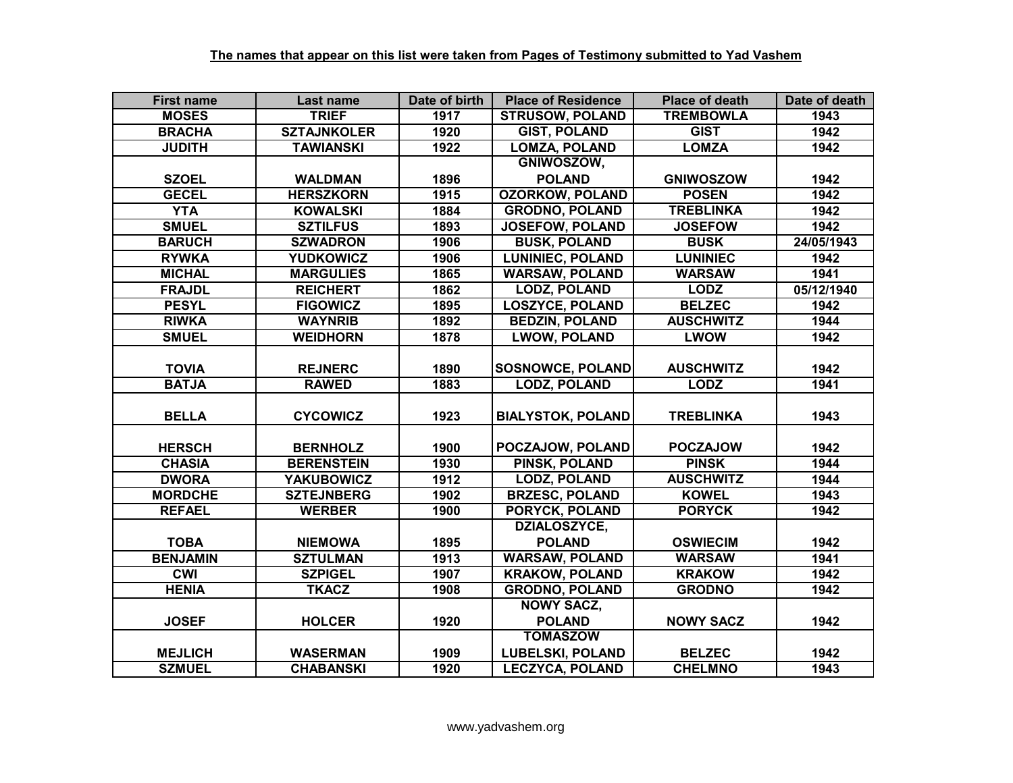| <b>First name</b> | Last name          | Date of birth | <b>Place of Residence</b> | <b>Place of death</b> | Date of death |
|-------------------|--------------------|---------------|---------------------------|-----------------------|---------------|
| <b>MOSES</b>      | <b>TRIEF</b>       | 1917          | <b>STRUSOW, POLAND</b>    | <b>TREMBOWLA</b>      | 1943          |
| <b>BRACHA</b>     | <b>SZTAJNKOLER</b> | 1920          | <b>GIST, POLAND</b>       | <b>GIST</b>           | 1942          |
| <b>JUDITH</b>     | <b>TAWIANSKI</b>   | 1922          | <b>LOMZA, POLAND</b>      | <b>LOMZA</b>          | 1942          |
|                   |                    |               | GNIWOSZOW,                |                       |               |
| <b>SZOEL</b>      | <b>WALDMAN</b>     | 1896          | <b>POLAND</b>             | <b>GNIWOSZOW</b>      | 1942          |
| <b>GECEL</b>      | <b>HERSZKORN</b>   | 1915          | <b>OZORKOW, POLAND</b>    | <b>POSEN</b>          | 1942          |
| <b>YTA</b>        | <b>KOWALSKI</b>    | 1884          | <b>GRODNO, POLAND</b>     | <b>TREBLINKA</b>      | 1942          |
| <b>SMUEL</b>      | <b>SZTILFUS</b>    | 1893          | <b>JOSEFOW, POLAND</b>    | <b>JOSEFOW</b>        | 1942          |
| <b>BARUCH</b>     | <b>SZWADRON</b>    | 1906          | <b>BUSK, POLAND</b>       | <b>BUSK</b>           | 24/05/1943    |
| <b>RYWKA</b>      | <b>YUDKOWICZ</b>   | 1906          | <b>LUNINIEC, POLAND</b>   | <b>LUNINIEC</b>       | 1942          |
| <b>MICHAL</b>     | <b>MARGULIES</b>   | 1865          | <b>WARSAW, POLAND</b>     | <b>WARSAW</b>         | 1941          |
| <b>FRAJDL</b>     | <b>REICHERT</b>    | 1862          | <b>LODZ, POLAND</b>       | <b>LODZ</b>           | 05/12/1940    |
| <b>PESYL</b>      | <b>FIGOWICZ</b>    | 1895          | <b>LOSZYCE, POLAND</b>    | <b>BELZEC</b>         | 1942          |
| <b>RIWKA</b>      | <b>WAYNRIB</b>     | 1892          | <b>BEDZIN, POLAND</b>     | <b>AUSCHWITZ</b>      | 1944          |
| <b>SMUEL</b>      | <b>WEIDHORN</b>    | 1878          | <b>LWOW, POLAND</b>       | <b>LWOW</b>           | 1942          |
|                   |                    |               |                           |                       |               |
| <b>TOVIA</b>      | <b>REJNERC</b>     | 1890          | <b>SOSNOWCE, POLAND</b>   | <b>AUSCHWITZ</b>      | 1942          |
| <b>BATJA</b>      | <b>RAWED</b>       | 1883          | <b>LODZ, POLAND</b>       | <b>LODZ</b>           | 1941          |
|                   |                    |               |                           |                       |               |
| <b>BELLA</b>      | <b>CYCOWICZ</b>    | 1923          | <b>BIALYSTOK, POLAND</b>  | <b>TREBLINKA</b>      | 1943          |
|                   |                    |               |                           |                       |               |
| <b>HERSCH</b>     | <b>BERNHOLZ</b>    | 1900          | POCZAJOW, POLAND          | <b>POCZAJOW</b>       | 1942          |
| <b>CHASIA</b>     | <b>BERENSTEIN</b>  | 1930          | <b>PINSK, POLAND</b>      | <b>PINSK</b>          | 1944          |
| <b>DWORA</b>      | <b>YAKUBOWICZ</b>  | 1912          | <b>LODZ, POLAND</b>       | <b>AUSCHWITZ</b>      | 1944          |
| <b>MORDCHE</b>    | <b>SZTEJNBERG</b>  | 1902          | <b>BRZESC, POLAND</b>     | <b>KOWEL</b>          | 1943          |
| <b>REFAEL</b>     | <b>WERBER</b>      | 1900          | <b>PORYCK, POLAND</b>     | <b>PORYCK</b>         | 1942          |
|                   |                    |               | <b>DZIALOSZYCE,</b>       |                       |               |
| <b>TOBA</b>       | <b>NIEMOWA</b>     | 1895          | <b>POLAND</b>             | <b>OSWIECIM</b>       | 1942          |
| <b>BENJAMIN</b>   | <b>SZTULMAN</b>    | 1913          | <b>WARSAW, POLAND</b>     | <b>WARSAW</b>         | 1941          |
| <b>CMI</b>        | <b>SZPIGEL</b>     | 1907          | <b>KRAKOW, POLAND</b>     | <b>KRAKOW</b>         | 1942          |
| <b>HENIA</b>      | <b>TKACZ</b>       | 1908          | <b>GRODNO, POLAND</b>     | <b>GRODNO</b>         | 1942          |
|                   |                    |               | <b>NOWY SACZ,</b>         |                       |               |
| <b>JOSEF</b>      | <b>HOLCER</b>      | 1920          | <b>POLAND</b>             | <b>NOWY SACZ</b>      | 1942          |
|                   |                    |               | <b>TOMASZOW</b>           |                       |               |
| <b>MEJLICH</b>    | <b>WASERMAN</b>    | 1909          | <b>LUBELSKI, POLAND</b>   | <b>BELZEC</b>         | 1942          |
| <b>SZMUEL</b>     | <b>CHABANSKI</b>   | 1920          | <b>LECZYCA, POLAND</b>    | <b>CHELMNO</b>        | 1943          |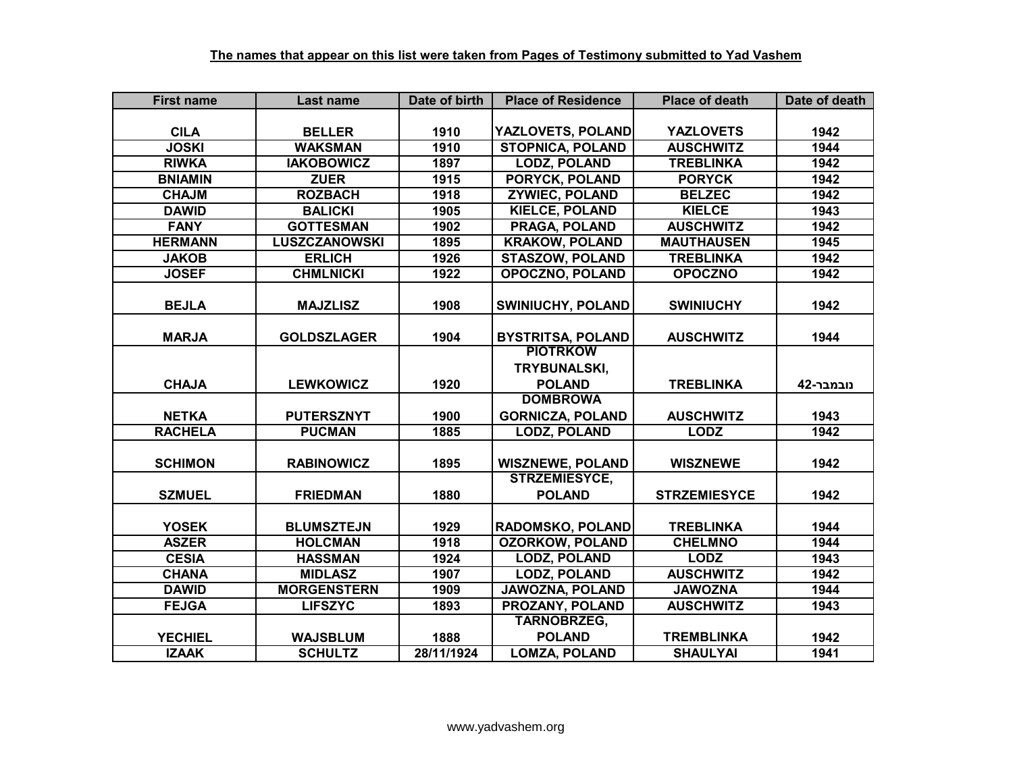| <b>First name</b> | Last name            | Date of birth | <b>Place of Residence</b> | <b>Place of death</b> | Date of death |
|-------------------|----------------------|---------------|---------------------------|-----------------------|---------------|
|                   |                      |               |                           |                       |               |
| <b>CILA</b>       | <b>BELLER</b>        | 1910          | <b>YAZLOVETS, POLAND</b>  | <b>YAZLOVETS</b>      | 1942          |
| <b>JOSKI</b>      | <b>WAKSMAN</b>       | 1910          | <b>STOPNICA, POLAND</b>   | <b>AUSCHWITZ</b>      | 1944          |
| <b>RIWKA</b>      | <b>IAKOBOWICZ</b>    | 1897          | <b>LODZ, POLAND</b>       | <b>TREBLINKA</b>      | 1942          |
| <b>BNIAMIN</b>    | <b>ZUER</b>          | 1915          | <b>PORYCK, POLAND</b>     | <b>PORYCK</b>         | 1942          |
| <b>CHAJM</b>      | <b>ROZBACH</b>       | 1918          | <b>ZYWIEC, POLAND</b>     | <b>BELZEC</b>         | 1942          |
| <b>DAWID</b>      | <b>BALICKI</b>       | 1905          | <b>KIELCE, POLAND</b>     | <b>KIELCE</b>         | 1943          |
| <b>FANY</b>       | <b>GOTTESMAN</b>     | 1902          | <b>PRAGA, POLAND</b>      | <b>AUSCHWITZ</b>      | 1942          |
| <b>HERMANN</b>    | <b>LUSZCZANOWSKI</b> | 1895          | <b>KRAKOW, POLAND</b>     | <b>MAUTHAUSEN</b>     | 1945          |
| <b>JAKOB</b>      | <b>ERLICH</b>        | 1926          | <b>STASZOW, POLAND</b>    | <b>TREBLINKA</b>      | 1942          |
| <b>JOSEF</b>      | <b>CHMLNICKI</b>     | 1922          | <b>OPOCZNO, POLAND</b>    | <b>OPOCZNO</b>        | 1942          |
|                   |                      |               |                           |                       |               |
| <b>BEJLA</b>      | <b>MAJZLISZ</b>      | 1908          | SWINIUCHY, POLAND         | <b>SWINIUCHY</b>      | 1942          |
|                   |                      |               |                           |                       |               |
| <b>MARJA</b>      | <b>GOLDSZLAGER</b>   | 1904          | <b>BYSTRITSA, POLAND</b>  | <b>AUSCHWITZ</b>      | 1944          |
|                   |                      |               | <b>PIOTRKOW</b>           |                       |               |
|                   |                      |               | TRYBUNALSKI,              |                       |               |
| <b>CHAJA</b>      | <b>LEWKOWICZ</b>     | 1920          | <b>POLAND</b>             | <b>TREBLINKA</b>      | נובמבר-42     |
|                   |                      |               | <b>DOMBROWA</b>           |                       |               |
| <b>NETKA</b>      | <b>PUTERSZNYT</b>    | 1900          | <b>GORNICZA, POLAND</b>   | <b>AUSCHWITZ</b>      | 1943          |
| <b>RACHELA</b>    | <b>PUCMAN</b>        | 1885          | <b>LODZ, POLAND</b>       | <b>LODZ</b>           | 1942          |
| <b>SCHIMON</b>    |                      | 1895          | <b>WISZNEWE, POLAND</b>   | <b>WISZNEWE</b>       | 1942          |
|                   | <b>RABINOWICZ</b>    |               | <b>STRZEMIESYCE,</b>      |                       |               |
| <b>SZMUEL</b>     | <b>FRIEDMAN</b>      | 1880          | <b>POLAND</b>             | <b>STRZEMIESYCE</b>   | 1942          |
|                   |                      |               |                           |                       |               |
| <b>YOSEK</b>      | <b>BLUMSZTEJN</b>    | 1929          | <b>RADOMSKO, POLAND</b>   | <b>TREBLINKA</b>      | 1944          |
| <b>ASZER</b>      | <b>HOLCMAN</b>       | 1918          | <b>OZORKOW, POLAND</b>    | <b>CHELMNO</b>        | 1944          |
| <b>CESIA</b>      | <b>HASSMAN</b>       | 1924          | <b>LODZ, POLAND</b>       | <b>LODZ</b>           | 1943          |
| <b>CHANA</b>      | <b>MIDLASZ</b>       | 1907          | <b>LODZ, POLAND</b>       | <b>AUSCHWITZ</b>      | 1942          |
| <b>DAWID</b>      | <b>MORGENSTERN</b>   | 1909          | <b>JAWOZNA, POLAND</b>    | <b>JAWOZNA</b>        | 1944          |
| <b>FEJGA</b>      | <b>LIFSZYC</b>       | 1893          | PROZANY, POLAND           | <b>AUSCHWITZ</b>      | 1943          |
|                   |                      |               | TARNOBRZEG,               |                       |               |
| <b>YECHIEL</b>    | <b>WAJSBLUM</b>      | 1888          | <b>POLAND</b>             | <b>TREMBLINKA</b>     | 1942          |
| <b>IZAAK</b>      | <b>SCHULTZ</b>       | 28/11/1924    | <b>LOMZA, POLAND</b>      | <b>SHAULYAI</b>       | 1941          |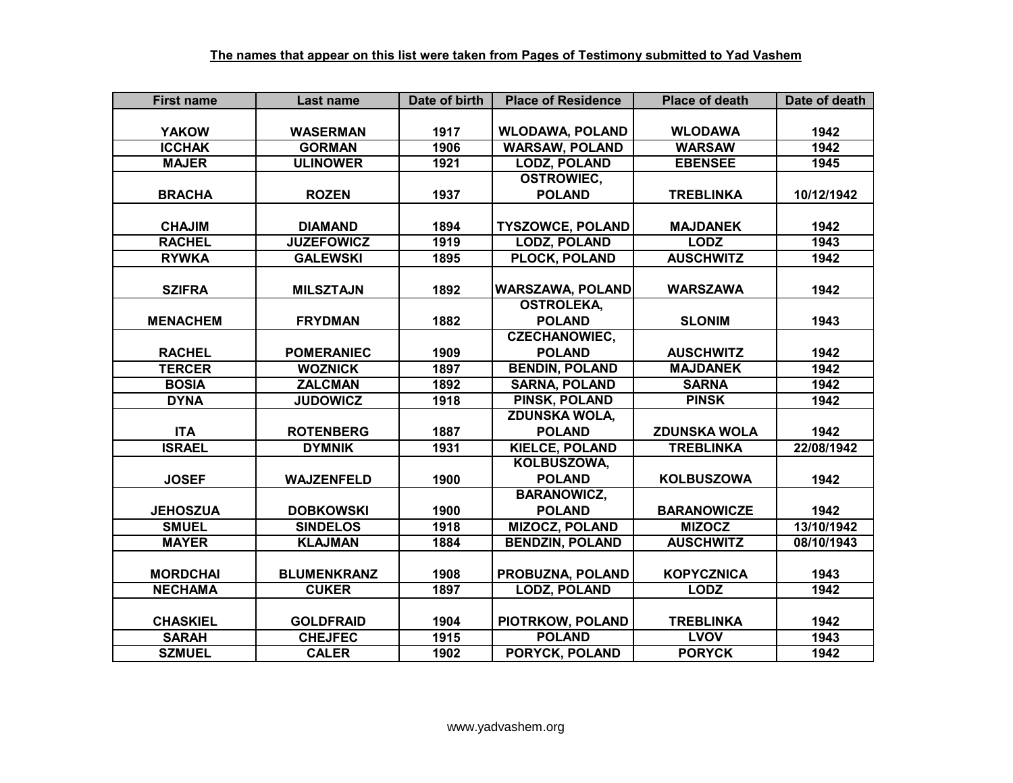| <b>First name</b> | Last name          | Date of birth | <b>Place of Residence</b> | <b>Place of death</b> | Date of death |
|-------------------|--------------------|---------------|---------------------------|-----------------------|---------------|
|                   |                    |               |                           |                       |               |
| <b>YAKOW</b>      | <b>WASERMAN</b>    | 1917          | <b>WLODAWA, POLAND</b>    | <b>WLODAWA</b>        | 1942          |
| <b>ICCHAK</b>     | <b>GORMAN</b>      | 1906          | <b>WARSAW, POLAND</b>     | <b>WARSAW</b>         | 1942          |
| <b>MAJER</b>      | <b>ULINOWER</b>    | 1921          | <b>LODZ, POLAND</b>       | <b>EBENSEE</b>        | 1945          |
|                   |                    |               | <b>OSTROWIEC,</b>         |                       |               |
| <b>BRACHA</b>     | <b>ROZEN</b>       | 1937          | <b>POLAND</b>             | <b>TREBLINKA</b>      | 10/12/1942    |
|                   |                    |               |                           |                       |               |
| <b>CHAJIM</b>     | <b>DIAMAND</b>     | 1894          | <b>TYSZOWCE, POLAND</b>   | <b>MAJDANEK</b>       | 1942          |
| <b>RACHEL</b>     | <b>JUZEFOWICZ</b>  | 1919          | <b>LODZ, POLAND</b>       | <b>LODZ</b>           | 1943          |
| <b>RYWKA</b>      | <b>GALEWSKI</b>    | 1895          | PLOCK, POLAND             | <b>AUSCHWITZ</b>      | 1942          |
|                   |                    |               |                           |                       |               |
| <b>SZIFRA</b>     | <b>MILSZTAJN</b>   | 1892          | <b>WARSZAWA, POLAND</b>   | <b>WARSZAWA</b>       | 1942          |
|                   |                    |               | <b>OSTROLEKA,</b>         |                       |               |
| <b>MENACHEM</b>   | <b>FRYDMAN</b>     | 1882          | <b>POLAND</b>             | <b>SLONIM</b>         | 1943          |
|                   |                    |               | <b>CZECHANOWIEC,</b>      |                       |               |
| <b>RACHEL</b>     | <b>POMERANIEC</b>  | 1909          | <b>POLAND</b>             | <b>AUSCHWITZ</b>      | 1942          |
| <b>TERCER</b>     | <b>WOZNICK</b>     | 1897          | <b>BENDIN, POLAND</b>     | <b>MAJDANEK</b>       | 1942          |
| <b>BOSIA</b>      | <b>ZALCMAN</b>     | 1892          | <b>SARNA, POLAND</b>      | <b>SARNA</b>          | 1942          |
| <b>DYNA</b>       | <b>JUDOWICZ</b>    | 1918          | <b>PINSK, POLAND</b>      | <b>PINSK</b>          | 1942          |
|                   |                    |               | <b>ZDUNSKA WOLA,</b>      |                       |               |
| <b>ITA</b>        | <b>ROTENBERG</b>   | 1887          | <b>POLAND</b>             | <b>ZDUNSKA WOLA</b>   | 1942          |
| <b>ISRAEL</b>     | <b>DYMNIK</b>      | 1931          | <b>KIELCE, POLAND</b>     | <b>TREBLINKA</b>      | 22/08/1942    |
|                   |                    |               | KOLBUSZOWA,               |                       |               |
| <b>JOSEF</b>      | <b>WAJZENFELD</b>  | 1900          | <b>POLAND</b>             | <b>KOLBUSZOWA</b>     | 1942          |
|                   |                    |               | <b>BARANOWICZ,</b>        |                       |               |
| <b>JEHOSZUA</b>   | <b>DOBKOWSKI</b>   | 1900          | <b>POLAND</b>             | <b>BARANOWICZE</b>    | 1942          |
| <b>SMUEL</b>      | <b>SINDELOS</b>    | 1918          | <b>MIZOCZ, POLAND</b>     | <b>MIZOCZ</b>         | 13/10/1942    |
| <b>MAYER</b>      | <b>KLAJMAN</b>     | 1884          | <b>BENDZIN, POLAND</b>    | <b>AUSCHWITZ</b>      | 08/10/1943    |
|                   |                    |               |                           |                       |               |
| <b>MORDCHAI</b>   | <b>BLUMENKRANZ</b> | 1908          | PROBUZNA, POLAND          | <b>KOPYCZNICA</b>     | 1943          |
| <b>NECHAMA</b>    | <b>CUKER</b>       | 1897          | <b>LODZ, POLAND</b>       | <b>LODZ</b>           | 1942          |
|                   |                    |               |                           |                       |               |
| <b>CHASKIEL</b>   | <b>GOLDFRAID</b>   | 1904          | PIOTRKOW, POLAND          | <b>TREBLINKA</b>      | 1942          |
| <b>SARAH</b>      | <b>CHEJFEC</b>     | 1915          | <b>POLAND</b>             | <b>LVOV</b>           | 1943          |
| <b>SZMUEL</b>     | <b>CALER</b>       | 1902          | PORYCK, POLAND            | <b>PORYCK</b>         | 1942          |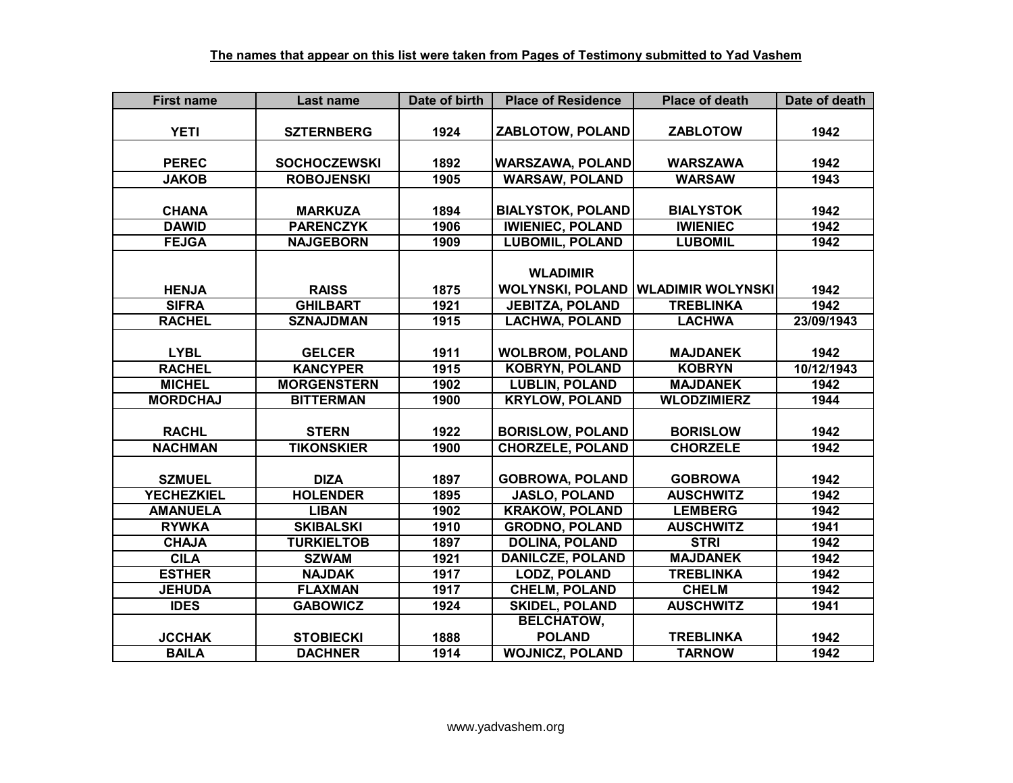| <b>First name</b> | Last name           | Date of birth | <b>Place of Residence</b> | <b>Place of death</b>    | Date of death |
|-------------------|---------------------|---------------|---------------------------|--------------------------|---------------|
|                   |                     |               |                           |                          |               |
| <b>YETI</b>       | <b>SZTERNBERG</b>   | 1924          | ZABLOTOW, POLAND          | <b>ZABLOTOW</b>          | 1942          |
|                   |                     |               |                           |                          |               |
| <b>PEREC</b>      | <b>SOCHOCZEWSKI</b> | 1892          | <b>WARSZAWA, POLAND</b>   | <b>WARSZAWA</b>          | 1942          |
| <b>JAKOB</b>      | <b>ROBOJENSKI</b>   | 1905          | <b>WARSAW, POLAND</b>     | <b>WARSAW</b>            | 1943          |
|                   |                     |               |                           |                          |               |
| <b>CHANA</b>      | <b>MARKUZA</b>      | 1894          | <b>BIALYSTOK, POLAND</b>  | <b>BIALYSTOK</b>         | 1942          |
| <b>DAWID</b>      | <b>PARENCZYK</b>    | 1906          | <b>IWIENIEC, POLAND</b>   | <b>IWIENIEC</b>          | 1942          |
| <b>FEJGA</b>      | <b>NAJGEBORN</b>    | 1909          | <b>LUBOMIL, POLAND</b>    | <b>LUBOMIL</b>           | 1942          |
|                   |                     |               |                           |                          |               |
|                   |                     |               | <b>WLADIMIR</b>           |                          |               |
| <b>HENJA</b>      | <b>RAISS</b>        | 1875          | <b>WOLYNSKI, POLAND</b>   | <b>WLADIMIR WOLYNSKI</b> | 1942          |
| <b>SIFRA</b>      | <b>GHILBART</b>     | 1921          | <b>JEBITZA, POLAND</b>    | <b>TREBLINKA</b>         | 1942          |
| <b>RACHEL</b>     | <b>SZNAJDMAN</b>    | 1915          | <b>LACHWA, POLAND</b>     | <b>LACHWA</b>            | 23/09/1943    |
|                   |                     |               |                           |                          |               |
| <b>LYBL</b>       | <b>GELCER</b>       | 1911          | <b>WOLBROM, POLAND</b>    | <b>MAJDANEK</b>          | 1942          |
| <b>RACHEL</b>     | <b>KANCYPER</b>     | 1915          | <b>KOBRYN, POLAND</b>     | <b>KOBRYN</b>            | 10/12/1943    |
| <b>MICHEL</b>     | <b>MORGENSTERN</b>  | 1902          | <b>LUBLIN, POLAND</b>     | <b>MAJDANEK</b>          | 1942          |
| <b>MORDCHAJ</b>   | <b>BITTERMAN</b>    | 1900          | <b>KRYLOW, POLAND</b>     | <b>WLODZIMIERZ</b>       | 1944          |
|                   |                     |               |                           |                          |               |
| <b>RACHL</b>      | <b>STERN</b>        | 1922          | <b>BORISLOW, POLAND</b>   | <b>BORISLOW</b>          | 1942          |
| <b>NACHMAN</b>    | <b>TIKONSKIER</b>   | 1900          | <b>CHORZELE, POLAND</b>   | <b>CHORZELE</b>          | 1942          |
|                   |                     |               |                           |                          |               |
| <b>SZMUEL</b>     | <b>DIZA</b>         | 1897          | <b>GOBROWA, POLAND</b>    | <b>GOBROWA</b>           | 1942          |
| <b>YECHEZKIEL</b> | <b>HOLENDER</b>     | 1895          | <b>JASLO, POLAND</b>      | <b>AUSCHWITZ</b>         | 1942          |
| <b>AMANUELA</b>   | <b>LIBAN</b>        | 1902          | <b>KRAKOW, POLAND</b>     | <b>LEMBERG</b>           | 1942          |
| <b>RYWKA</b>      | <b>SKIBALSKI</b>    | 1910          | <b>GRODNO, POLAND</b>     | <b>AUSCHWITZ</b>         | 1941          |
| <b>CHAJA</b>      | <b>TURKIELTOB</b>   | 1897          | <b>DOLINA, POLAND</b>     | <b>STRI</b>              | 1942          |
| <b>CILA</b>       | <b>SZWAM</b>        | 1921          | <b>DANILCZE, POLAND</b>   | <b>MAJDANEK</b>          | 1942          |
| <b>ESTHER</b>     | <b>NAJDAK</b>       | 1917          | <b>LODZ, POLAND</b>       | <b>TREBLINKA</b>         | 1942          |
| <b>JEHUDA</b>     | <b>FLAXMAN</b>      | 1917          | <b>CHELM, POLAND</b>      | <b>CHELM</b>             | 1942          |
| <b>IDES</b>       | <b>GABOWICZ</b>     | 1924          | <b>SKIDEL, POLAND</b>     | <b>AUSCHWITZ</b>         | 1941          |
|                   |                     |               | <b>BELCHATOW,</b>         |                          |               |
| <b>JCCHAK</b>     | <b>STOBIECKI</b>    | 1888          | <b>POLAND</b>             | <b>TREBLINKA</b>         | 1942          |
| <b>BAILA</b>      | <b>DACHNER</b>      | 1914          | <b>WOJNICZ, POLAND</b>    | <b>TARNOW</b>            | 1942          |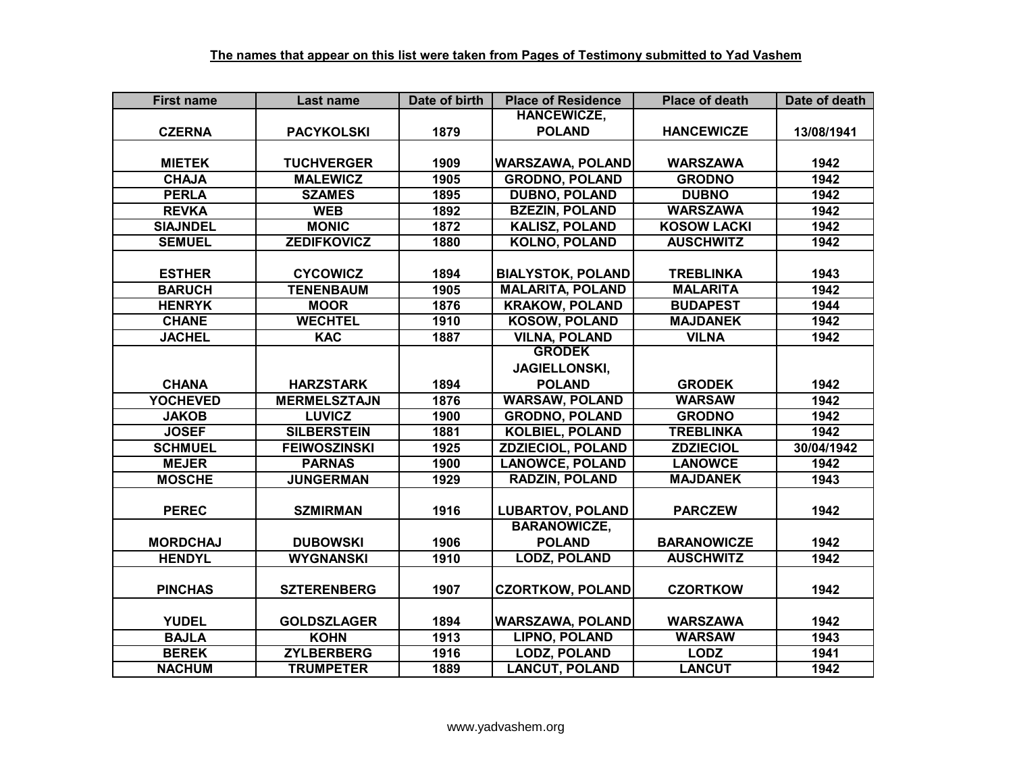| <b>First name</b> | Last name           | Date of birth | <b>Place of Residence</b> | <b>Place of death</b> | Date of death |
|-------------------|---------------------|---------------|---------------------------|-----------------------|---------------|
|                   |                     |               | <b>HANCEWICZE,</b>        |                       |               |
| <b>CZERNA</b>     | <b>PACYKOLSKI</b>   | 1879          | <b>POLAND</b>             | <b>HANCEWICZE</b>     | 13/08/1941    |
|                   |                     |               |                           |                       |               |
| <b>MIETEK</b>     | <b>TUCHVERGER</b>   | 1909          | <b>WARSZAWA, POLAND</b>   | <b>WARSZAWA</b>       | 1942          |
| <b>CHAJA</b>      | <b>MALEWICZ</b>     | 1905          | <b>GRODNO, POLAND</b>     | <b>GRODNO</b>         | 1942          |
| <b>PERLA</b>      | <b>SZAMES</b>       | 1895          | <b>DUBNO, POLAND</b>      | <b>DUBNO</b>          | 1942          |
| <b>REVKA</b>      | <b>WEB</b>          | 1892          | <b>BZEZIN, POLAND</b>     | <b>WARSZAWA</b>       | 1942          |
| <b>SIAJNDEL</b>   | <b>MONIC</b>        | 1872          | <b>KALISZ, POLAND</b>     | <b>KOSOW LACKI</b>    | 1942          |
| <b>SEMUEL</b>     | <b>ZEDIFKOVICZ</b>  | 1880          | <b>KOLNO, POLAND</b>      | <b>AUSCHWITZ</b>      | 1942          |
|                   |                     |               |                           |                       |               |
| <b>ESTHER</b>     | <b>CYCOWICZ</b>     | 1894          | <b>BIALYSTOK, POLAND</b>  | <b>TREBLINKA</b>      | 1943          |
| <b>BARUCH</b>     | <b>TENENBAUM</b>    | 1905          | <b>MALARITA, POLAND</b>   | <b>MALARITA</b>       | 1942          |
| <b>HENRYK</b>     | <b>MOOR</b>         | 1876          | <b>KRAKOW, POLAND</b>     | <b>BUDAPEST</b>       | 1944          |
| <b>CHANE</b>      | <b>WECHTEL</b>      | 1910          | <b>KOSOW, POLAND</b>      | <b>MAJDANEK</b>       | 1942          |
| <b>JACHEL</b>     | <b>KAC</b>          | 1887          | <b>VILNA, POLAND</b>      | <b>VILNA</b>          | 1942          |
|                   |                     |               | <b>GRODEK</b>             |                       |               |
|                   |                     |               | JAGIELLONSKI,             |                       |               |
| <b>CHANA</b>      | <b>HARZSTARK</b>    | 1894          | <b>POLAND</b>             | <b>GRODEK</b>         | 1942          |
| <b>YOCHEVED</b>   | <b>MERMELSZTAJN</b> | 1876          | <b>WARSAW, POLAND</b>     | <b>WARSAW</b>         | 1942          |
| <b>JAKOB</b>      | <b>LUVICZ</b>       | 1900          | <b>GRODNO, POLAND</b>     | <b>GRODNO</b>         | 1942          |
| <b>JOSEF</b>      | <b>SILBERSTEIN</b>  | 1881          | <b>KOLBIEL, POLAND</b>    | <b>TREBLINKA</b>      | 1942          |
| <b>SCHMUEL</b>    | <b>FEIWOSZINSKI</b> | 1925          | <b>ZDZIECIOL, POLAND</b>  | <b>ZDZIECIOL</b>      | 30/04/1942    |
| <b>MEJER</b>      | <b>PARNAS</b>       | 1900          | <b>LANOWCE, POLAND</b>    | <b>LANOWCE</b>        | 1942          |
| <b>MOSCHE</b>     | <b>JUNGERMAN</b>    | 1929          | <b>RADZIN, POLAND</b>     | <b>MAJDANEK</b>       | 1943          |
|                   |                     |               |                           |                       |               |
| <b>PEREC</b>      | <b>SZMIRMAN</b>     | 1916          | <b>LUBARTOV, POLAND</b>   | <b>PARCZEW</b>        | 1942          |
|                   |                     |               | <b>BARANOWICZE,</b>       |                       |               |
| <b>MORDCHAJ</b>   | <b>DUBOWSKI</b>     | 1906          | <b>POLAND</b>             | <b>BARANOWICZE</b>    | 1942          |
| <b>HENDYL</b>     | <b>WYGNANSKI</b>    | 1910          | <b>LODZ, POLAND</b>       | <b>AUSCHWITZ</b>      | 1942          |
|                   |                     |               |                           |                       |               |
| <b>PINCHAS</b>    | <b>SZTERENBERG</b>  | 1907          | <b>CZORTKOW, POLAND</b>   | <b>CZORTKOW</b>       | 1942          |
|                   |                     |               |                           |                       |               |
| <b>YUDEL</b>      | <b>GOLDSZLAGER</b>  | 1894          | <b>WARSZAWA, POLAND</b>   | <b>WARSZAWA</b>       | 1942          |
| <b>BAJLA</b>      | <b>KOHN</b>         | 1913          | <b>LIPNO, POLAND</b>      | <b>WARSAW</b>         | 1943          |
| <b>BEREK</b>      | <b>ZYLBERBERG</b>   | 1916          | <b>LODZ, POLAND</b>       | <b>LODZ</b>           | 1941          |
| <b>NACHUM</b>     | <b>TRUMPETER</b>    | 1889          | <b>LANCUT, POLAND</b>     | <b>LANCUT</b>         | 1942          |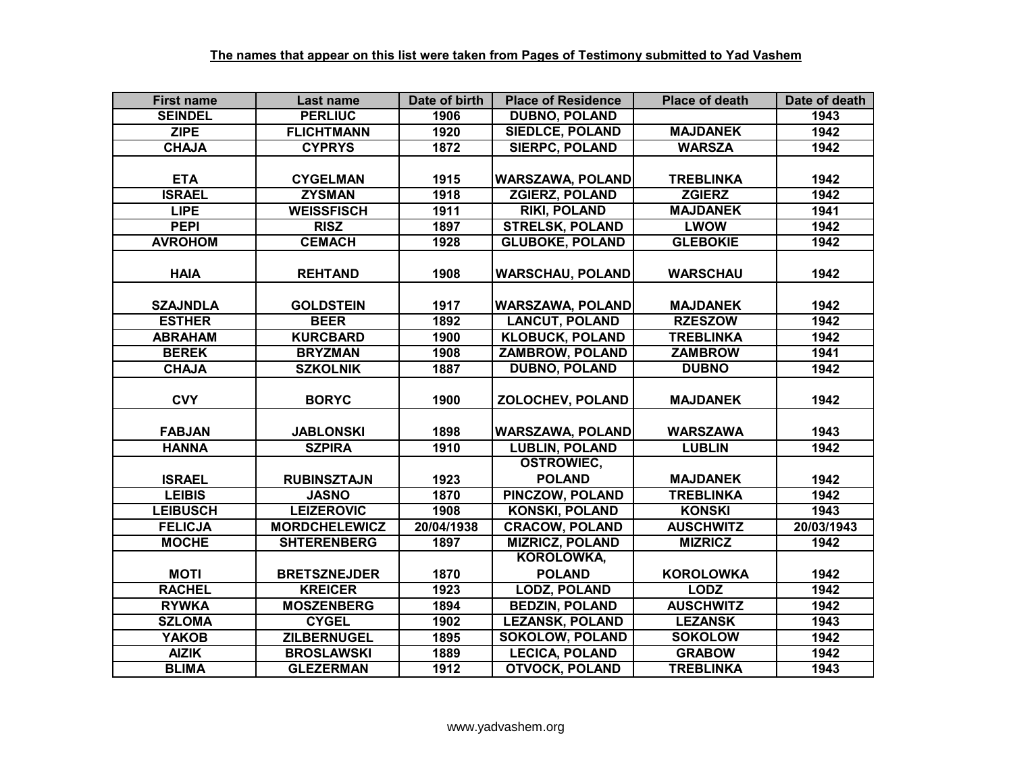| <b>First name</b> | Last name            | Date of birth | <b>Place of Residence</b> | <b>Place of death</b> | Date of death |
|-------------------|----------------------|---------------|---------------------------|-----------------------|---------------|
| <b>SEINDEL</b>    | <b>PERLIUC</b>       | 1906          | <b>DUBNO, POLAND</b>      |                       | 1943          |
| <b>ZIPE</b>       | <b>FLICHTMANN</b>    | 1920          | <b>SIEDLCE, POLAND</b>    | <b>MAJDANEK</b>       | 1942          |
| <b>CHAJA</b>      | <b>CYPRYS</b>        | 1872          | <b>SIERPC, POLAND</b>     | <b>WARSZA</b>         | 1942          |
|                   |                      |               |                           |                       |               |
| <b>ETA</b>        | <b>CYGELMAN</b>      | 1915          | <b>WARSZAWA, POLAND</b>   | <b>TREBLINKA</b>      | 1942          |
| <b>ISRAEL</b>     | <b>ZYSMAN</b>        | 1918          | <b>ZGIERZ, POLAND</b>     | <b>ZGIERZ</b>         | 1942          |
| <b>LIPE</b>       | <b>WEISSFISCH</b>    | 1911          | <b>RIKI, POLAND</b>       | <b>MAJDANEK</b>       | 1941          |
| <b>PEPI</b>       | <b>RISZ</b>          | 1897          | <b>STRELSK, POLAND</b>    | <b>LWOW</b>           | 1942          |
| <b>AVROHOM</b>    | <b>CEMACH</b>        | 1928          | <b>GLUBOKE, POLAND</b>    | <b>GLEBOKIE</b>       | 1942          |
| <b>HAIA</b>       | <b>REHTAND</b>       | 1908          | <b>WARSCHAU, POLAND</b>   | <b>WARSCHAU</b>       | 1942          |
| <b>SZAJNDLA</b>   | <b>GOLDSTEIN</b>     | 1917          | <b>WARSZAWA, POLAND</b>   | <b>MAJDANEK</b>       | 1942          |
| <b>ESTHER</b>     | <b>BEER</b>          | 1892          | <b>LANCUT, POLAND</b>     | <b>RZESZOW</b>        | 1942          |
| <b>ABRAHAM</b>    | <b>KURCBARD</b>      | 1900          | <b>KLOBUCK, POLAND</b>    | <b>TREBLINKA</b>      | 1942          |
| <b>BEREK</b>      | <b>BRYZMAN</b>       | 1908          | ZAMBROW, POLAND           | <b>ZAMBROW</b>        | 1941          |
| <b>CHAJA</b>      | <b>SZKOLNIK</b>      | 1887          | <b>DUBNO, POLAND</b>      | <b>DUBNO</b>          | 1942          |
| <b>CVY</b>        | <b>BORYC</b>         | 1900          | ZOLOCHEV, POLAND          | <b>MAJDANEK</b>       | 1942          |
| <b>FABJAN</b>     | <b>JABLONSKI</b>     | 1898          | <b>WARSZAWA, POLAND</b>   | <b>WARSZAWA</b>       | 1943          |
| <b>HANNA</b>      | <b>SZPIRA</b>        | 1910          | <b>LUBLIN, POLAND</b>     | <b>LUBLIN</b>         | 1942          |
|                   |                      |               | <b>OSTROWIEC,</b>         |                       |               |
| <b>ISRAEL</b>     | <b>RUBINSZTAJN</b>   | 1923          | <b>POLAND</b>             | <b>MAJDANEK</b>       | 1942          |
| <b>LEIBIS</b>     | <b>JASNO</b>         | 1870          | <b>PINCZOW, POLAND</b>    | <b>TREBLINKA</b>      | 1942          |
| <b>LEIBUSCH</b>   | <b>LEIZEROVIC</b>    | 1908          | <b>KONSKI, POLAND</b>     | <b>KONSKI</b>         | 1943          |
| <b>FELICJA</b>    | <b>MORDCHELEWICZ</b> | 20/04/1938    | <b>CRACOW, POLAND</b>     | <b>AUSCHWITZ</b>      | 20/03/1943    |
| <b>MOCHE</b>      | <b>SHTERENBERG</b>   | 1897          | <b>MIZRICZ, POLAND</b>    | <b>MIZRICZ</b>        | 1942          |
|                   |                      |               | <b>KOROLOWKA,</b>         |                       |               |
| <b>MOTI</b>       | <b>BRETSZNEJDER</b>  | 1870          | <b>POLAND</b>             | <b>KOROLOWKA</b>      | 1942          |
| <b>RACHEL</b>     | <b>KREICER</b>       | 1923          | <b>LODZ, POLAND</b>       | <b>LODZ</b>           | 1942          |
| <b>RYWKA</b>      | <b>MOSZENBERG</b>    | 1894          | <b>BEDZIN, POLAND</b>     | <b>AUSCHWITZ</b>      | 1942          |
| <b>SZLOMA</b>     | <b>CYGEL</b>         | 1902          | <b>LEZANSK, POLAND</b>    | <b>LEZANSK</b>        | 1943          |
| <b>YAKOB</b>      | <b>ZILBERNUGEL</b>   | 1895          | <b>SOKOLOW, POLAND</b>    | <b>SOKOLOW</b>        | 1942          |
| <b>AIZIK</b>      | <b>BROSLAWSKI</b>    | 1889          | <b>LECICA, POLAND</b>     | <b>GRABOW</b>         | 1942          |
| <b>BLIMA</b>      | <b>GLEZERMAN</b>     | 1912          | <b>OTVOCK, POLAND</b>     | <b>TREBLINKA</b>      | 1943          |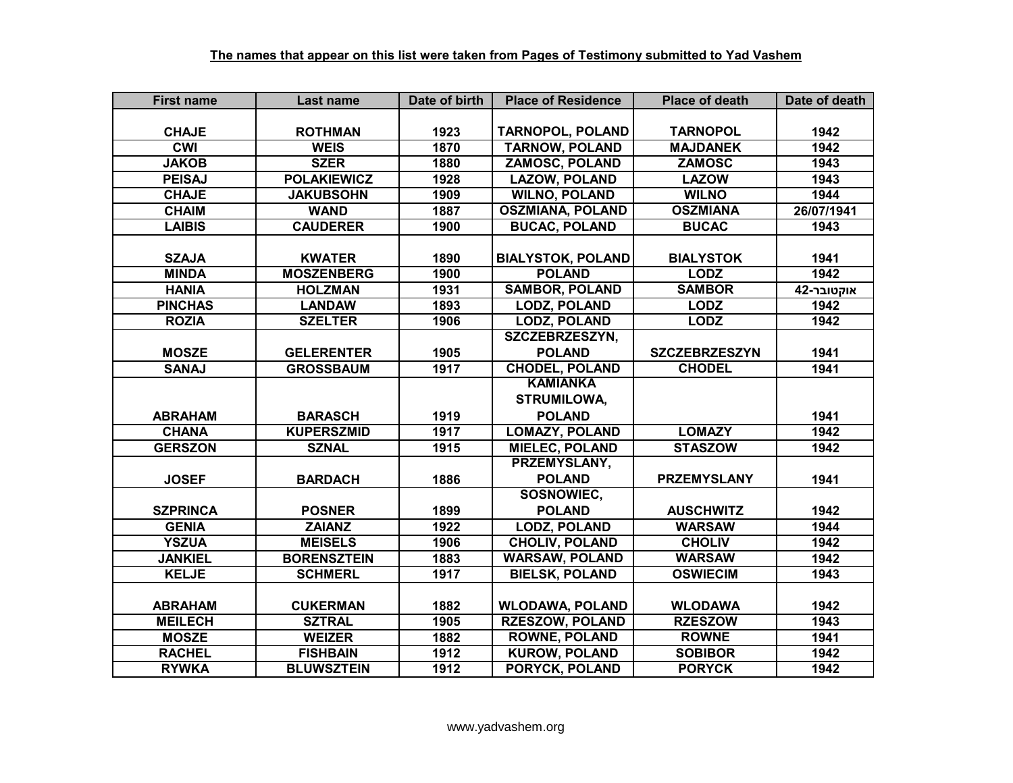| <b>First name</b> | Last name          | Date of birth | <b>Place of Residence</b> | <b>Place of death</b> | Date of death |
|-------------------|--------------------|---------------|---------------------------|-----------------------|---------------|
|                   |                    |               |                           |                       |               |
| <b>CHAJE</b>      | <b>ROTHMAN</b>     | 1923          | <b>TARNOPOL, POLAND</b>   | <b>TARNOPOL</b>       | 1942          |
| <b>CWI</b>        | <b>WEIS</b>        | 1870          | <b>TARNOW, POLAND</b>     | <b>MAJDANEK</b>       | 1942          |
| <b>JAKOB</b>      | <b>SZER</b>        | 1880          | <b>ZAMOSC, POLAND</b>     | <b>ZAMOSC</b>         | 1943          |
| <b>PEISAJ</b>     | <b>POLAKIEWICZ</b> | 1928          | <b>LAZOW, POLAND</b>      | <b>LAZOW</b>          | 1943          |
| <b>CHAJE</b>      | <b>JAKUBSOHN</b>   | 1909          | <b>WILNO, POLAND</b>      | <b>WILNO</b>          | 1944          |
| <b>CHAIM</b>      | <b>WAND</b>        | 1887          | <b>OSZMIANA, POLAND</b>   | <b>OSZMIANA</b>       | 26/07/1941    |
| <b>LAIBIS</b>     | <b>CAUDERER</b>    | 1900          | <b>BUCAC, POLAND</b>      | <b>BUCAC</b>          | 1943          |
|                   |                    |               |                           |                       |               |
| <b>SZAJA</b>      | <b>KWATER</b>      | 1890          | <b>BIALYSTOK, POLAND</b>  | <b>BIALYSTOK</b>      | 1941          |
| <b>MINDA</b>      | <b>MOSZENBERG</b>  | 1900          | <b>POLAND</b>             | <b>LODZ</b>           | 1942          |
| <b>HANIA</b>      | <b>HOLZMAN</b>     | 1931          | <b>SAMBOR, POLAND</b>     | <b>SAMBOR</b>         | אוקטובר-42    |
| <b>PINCHAS</b>    | <b>LANDAW</b>      | 1893          | <b>LODZ, POLAND</b>       | <b>LODZ</b>           | 1942          |
| <b>ROZIA</b>      | <b>SZELTER</b>     | 1906          | <b>LODZ, POLAND</b>       | <b>LODZ</b>           | 1942          |
|                   |                    |               | SZCZEBRZESZYN,            |                       |               |
| <b>MOSZE</b>      | <b>GELERENTER</b>  | 1905          | <b>POLAND</b>             | <b>SZCZEBRZESZYN</b>  | 1941          |
| <b>SANAJ</b>      | <b>GROSSBAUM</b>   | 1917          | <b>CHODEL, POLAND</b>     | <b>CHODEL</b>         | 1941          |
|                   |                    |               | <b>KAMIANKA</b>           |                       |               |
|                   |                    |               | STRUMILOWA,               |                       |               |
| <b>ABRAHAM</b>    | <b>BARASCH</b>     | 1919          | <b>POLAND</b>             |                       | 1941          |
| <b>CHANA</b>      | <b>KUPERSZMID</b>  | 1917          | <b>LOMAZY, POLAND</b>     | <b>LOMAZY</b>         | 1942          |
| <b>GERSZON</b>    | <b>SZNAL</b>       | 1915          | <b>MIELEC, POLAND</b>     | <b>STASZOW</b>        | 1942          |
|                   |                    |               | PRZEMYSLANY,              |                       |               |
| <b>JOSEF</b>      | <b>BARDACH</b>     | 1886          | <b>POLAND</b>             | <b>PRZEMYSLANY</b>    | 1941          |
|                   |                    |               | SOSNOWIEC,                |                       |               |
| <b>SZPRINCA</b>   | <b>POSNER</b>      | 1899          | <b>POLAND</b>             | <b>AUSCHWITZ</b>      | 1942          |
| <b>GENIA</b>      | <b>ZAIANZ</b>      | 1922          | <b>LODZ, POLAND</b>       | <b>WARSAW</b>         | 1944          |
| <b>YSZUA</b>      | <b>MEISELS</b>     | 1906          | <b>CHOLIV, POLAND</b>     | <b>CHOLIV</b>         | 1942          |
| <b>JANKIEL</b>    | <b>BORENSZTEIN</b> | 1883          | <b>WARSAW, POLAND</b>     | <b>WARSAW</b>         | 1942          |
| <b>KELJE</b>      | <b>SCHMERL</b>     | 1917          | <b>BIELSK, POLAND</b>     | <b>OSWIECIM</b>       | 1943          |
|                   |                    |               |                           |                       |               |
| <b>ABRAHAM</b>    | <b>CUKERMAN</b>    | 1882          | <b>WLODAWA, POLAND</b>    | <b>WLODAWA</b>        | 1942          |
| <b>MEILECH</b>    | <b>SZTRAL</b>      | 1905          | <b>RZESZOW, POLAND</b>    | <b>RZESZOW</b>        | 1943          |
| <b>MOSZE</b>      | <b>WEIZER</b>      | 1882          | <b>ROWNE, POLAND</b>      | <b>ROWNE</b>          | 1941          |
| <b>RACHEL</b>     | <b>FISHBAIN</b>    | 1912          | <b>KUROW, POLAND</b>      | <b>SOBIBOR</b>        | 1942          |
| <b>RYWKA</b>      | <b>BLUWSZTEIN</b>  | 1912          | PORYCK, POLAND            | <b>PORYCK</b>         | 1942          |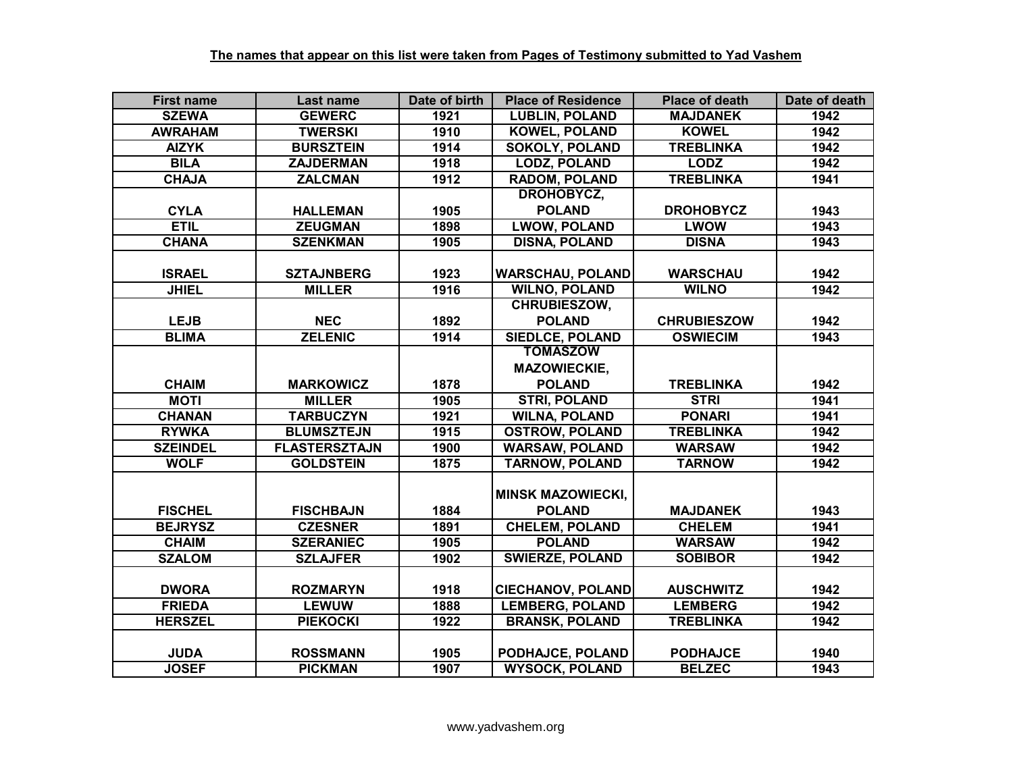| <b>First name</b> | Last name            | Date of birth | <b>Place of Residence</b> | <b>Place of death</b> | Date of death |
|-------------------|----------------------|---------------|---------------------------|-----------------------|---------------|
| <b>SZEWA</b>      | <b>GEWERC</b>        | 1921          | <b>LUBLIN, POLAND</b>     | <b>MAJDANEK</b>       | 1942          |
| <b>AWRAHAM</b>    | <b>TWERSKI</b>       | 1910          | <b>KOWEL, POLAND</b>      | <b>KOWEL</b>          | 1942          |
| <b>AIZYK</b>      | <b>BURSZTEIN</b>     | 1914          | <b>SOKOLY, POLAND</b>     | <b>TREBLINKA</b>      | 1942          |
| <b>BILA</b>       | <b>ZAJDERMAN</b>     | 1918          | <b>LODZ, POLAND</b>       | <b>LODZ</b>           | 1942          |
| <b>CHAJA</b>      | <b>ZALCMAN</b>       | 1912          | <b>RADOM, POLAND</b>      | <b>TREBLINKA</b>      | 1941          |
|                   |                      |               | DROHOBYCZ,                |                       |               |
| <b>CYLA</b>       | <b>HALLEMAN</b>      | 1905          | <b>POLAND</b>             | <b>DROHOBYCZ</b>      | 1943          |
| <b>ETIL</b>       | <b>ZEUGMAN</b>       | 1898          | <b>LWOW, POLAND</b>       | <b>LWOW</b>           | 1943          |
| <b>CHANA</b>      | <b>SZENKMAN</b>      | 1905          | <b>DISNA, POLAND</b>      | <b>DISNA</b>          | 1943          |
|                   |                      |               |                           |                       |               |
| <b>ISRAEL</b>     | <b>SZTAJNBERG</b>    | 1923          | <b>WARSCHAU, POLAND</b>   | <b>WARSCHAU</b>       | 1942          |
| <b>JHIEL</b>      | <b>MILLER</b>        | 1916          | <b>WILNO, POLAND</b>      | <b>WILNO</b>          | 1942          |
|                   |                      |               | <b>CHRUBIESZOW,</b>       |                       |               |
| <b>LEJB</b>       | <b>NEC</b>           | 1892          | <b>POLAND</b>             | <b>CHRUBIESZOW</b>    | 1942          |
| <b>BLIMA</b>      | <b>ZELENIC</b>       | 1914          | <b>SIEDLCE, POLAND</b>    | <b>OSWIECIM</b>       | 1943          |
|                   |                      |               | <b>TOMASZOW</b>           |                       |               |
|                   |                      |               | <b>MAZOWIECKIE,</b>       |                       |               |
| <b>CHAIM</b>      | <b>MARKOWICZ</b>     | 1878          | <b>POLAND</b>             | <b>TREBLINKA</b>      | 1942          |
| <b>MOTI</b>       | <b>MILLER</b>        | 1905          | <b>STRI, POLAND</b>       | <b>STRI</b>           | 1941          |
| <b>CHANAN</b>     | <b>TARBUCZYN</b>     | 1921          | <b>WILNA, POLAND</b>      | <b>PONARI</b>         | 1941          |
| <b>RYWKA</b>      | <b>BLUMSZTEJN</b>    | 1915          | <b>OSTROW, POLAND</b>     | <b>TREBLINKA</b>      | 1942          |
| <b>SZEINDEL</b>   | <b>FLASTERSZTAJN</b> | 1900          | <b>WARSAW, POLAND</b>     | <b>WARSAW</b>         | 1942          |
| <b>WOLF</b>       | <b>GOLDSTEIN</b>     | 1875          | <b>TARNOW, POLAND</b>     | <b>TARNOW</b>         | 1942          |
|                   |                      |               |                           |                       |               |
|                   |                      |               | <b>MINSK MAZOWIECKI,</b>  |                       |               |
| <b>FISCHEL</b>    | <b>FISCHBAJN</b>     | 1884          | <b>POLAND</b>             | <b>MAJDANEK</b>       | 1943          |
| <b>BEJRYSZ</b>    | <b>CZESNER</b>       | 1891          | <b>CHELEM, POLAND</b>     | <b>CHELEM</b>         | 1941          |
| <b>CHAIM</b>      | <b>SZERANIEC</b>     | 1905          | <b>POLAND</b>             | <b>WARSAW</b>         | 1942          |
| <b>SZALOM</b>     | <b>SZLAJFER</b>      | 1902          | <b>SWIERZE, POLAND</b>    | <b>SOBIBOR</b>        | 1942          |
|                   |                      |               |                           |                       |               |
| <b>DWORA</b>      | <b>ROZMARYN</b>      | 1918          | <b>CIECHANOV, POLAND</b>  | <b>AUSCHWITZ</b>      | 1942          |
| <b>FRIEDA</b>     | <b>LEWUW</b>         | 1888          | <b>LEMBERG, POLAND</b>    | <b>LEMBERG</b>        | 1942          |
| <b>HERSZEL</b>    | <b>PIEKOCKI</b>      | 1922          | <b>BRANSK, POLAND</b>     | <b>TREBLINKA</b>      | 1942          |
|                   |                      |               |                           |                       |               |
| <b>JUDA</b>       | <b>ROSSMANN</b>      | 1905          | PODHAJCE, POLAND          | <b>PODHAJCE</b>       | 1940          |
| <b>JOSEF</b>      | <b>PICKMAN</b>       | 1907          | <b>WYSOCK, POLAND</b>     | <b>BELZEC</b>         | 1943          |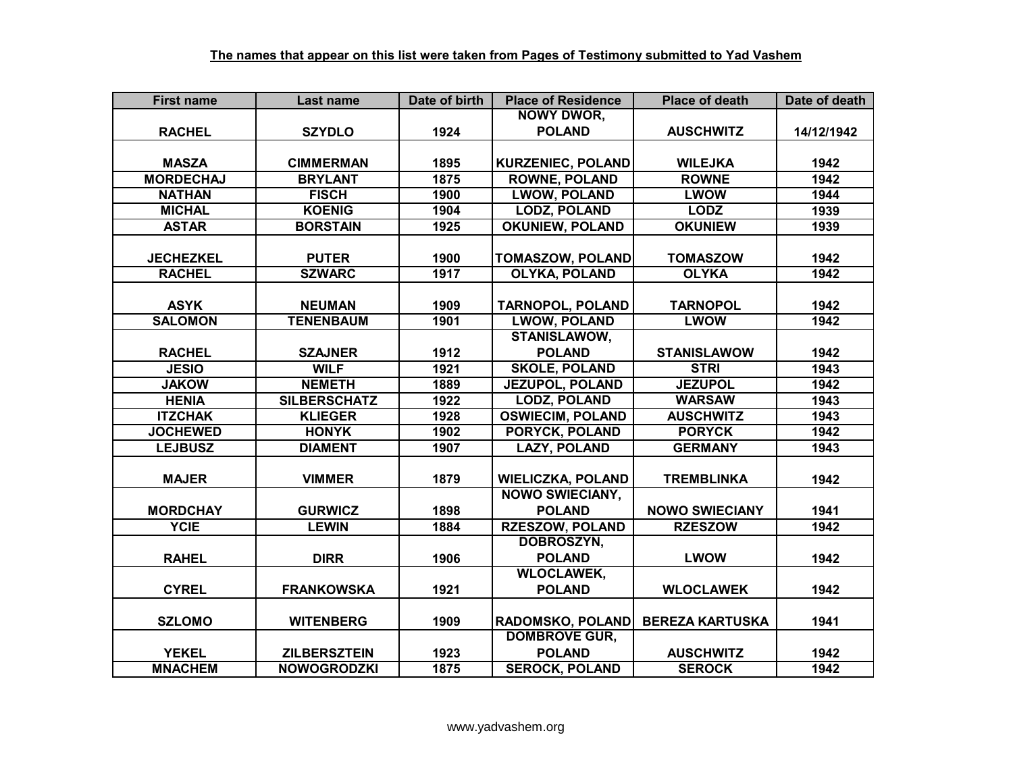| <b>First name</b> | Last name           | Date of birth | <b>Place of Residence</b> | <b>Place of death</b>  | Date of death |
|-------------------|---------------------|---------------|---------------------------|------------------------|---------------|
|                   |                     |               | <b>NOWY DWOR,</b>         |                        |               |
| <b>RACHEL</b>     | <b>SZYDLO</b>       | 1924          | <b>POLAND</b>             | <b>AUSCHWITZ</b>       | 14/12/1942    |
|                   |                     |               |                           |                        |               |
| <b>MASZA</b>      | <b>CIMMERMAN</b>    | 1895          | <b>KURZENIEC, POLAND</b>  | <b>WILEJKA</b>         | 1942          |
| <b>MORDECHAJ</b>  | <b>BRYLANT</b>      | 1875          | <b>ROWNE, POLAND</b>      | <b>ROWNE</b>           | 1942          |
| <b>NATHAN</b>     | <b>FISCH</b>        | 1900          | <b>LWOW, POLAND</b>       | <b>LWOW</b>            | 1944          |
| <b>MICHAL</b>     | <b>KOENIG</b>       | 1904          | <b>LODZ, POLAND</b>       | <b>LODZ</b>            | 1939          |
| <b>ASTAR</b>      | <b>BORSTAIN</b>     | 1925          | <b>OKUNIEW, POLAND</b>    | <b>OKUNIEW</b>         | 1939          |
|                   |                     |               |                           |                        |               |
| <b>JECHEZKEL</b>  | <b>PUTER</b>        | 1900          | <b>TOMASZOW, POLAND</b>   | <b>TOMASZOW</b>        | 1942          |
| <b>RACHEL</b>     | <b>SZWARC</b>       | 1917          | <b>OLYKA, POLAND</b>      | <b>OLYKA</b>           | 1942          |
|                   |                     |               |                           |                        |               |
| <b>ASYK</b>       | <b>NEUMAN</b>       | 1909          | <b>TARNOPOL, POLAND</b>   | <b>TARNOPOL</b>        | 1942          |
| <b>SALOMON</b>    | <b>TENENBAUM</b>    | 1901          | <b>LWOW, POLAND</b>       | <b>LWOW</b>            | 1942          |
|                   |                     |               | STANISLAWOW,              |                        |               |
| <b>RACHEL</b>     | <b>SZAJNER</b>      | 1912          | <b>POLAND</b>             | <b>STANISLAWOW</b>     | 1942          |
| <b>JESIO</b>      | <b>WILF</b>         | 1921          | <b>SKOLE, POLAND</b>      | <b>STRI</b>            | 1943          |
| <b>JAKOW</b>      | <b>NEMETH</b>       | 1889          | <b>JEZUPOL, POLAND</b>    | <b>JEZUPOL</b>         | 1942          |
| <b>HENIA</b>      | <b>SILBERSCHATZ</b> | 1922          | <b>LODZ, POLAND</b>       | <b>WARSAW</b>          | 1943          |
| <b>ITZCHAK</b>    | <b>KLIEGER</b>      | 1928          | <b>OSWIECIM, POLAND</b>   | <b>AUSCHWITZ</b>       | 1943          |
| <b>JOCHEWED</b>   | <b>HONYK</b>        | 1902          | <b>PORYCK, POLAND</b>     | <b>PORYCK</b>          | 1942          |
| <b>LEJBUSZ</b>    | <b>DIAMENT</b>      | 1907          | <b>LAZY, POLAND</b>       | <b>GERMANY</b>         | 1943          |
|                   |                     |               |                           |                        |               |
| <b>MAJER</b>      | <b>VIMMER</b>       | 1879          | <b>WIELICZKA, POLAND</b>  | <b>TREMBLINKA</b>      | 1942          |
|                   |                     |               | <b>NOWO SWIECIANY,</b>    |                        |               |
| <b>MORDCHAY</b>   | <b>GURWICZ</b>      | 1898          | <b>POLAND</b>             | <b>NOWO SWIECIANY</b>  | 1941          |
| <b>YCIE</b>       | <b>LEWIN</b>        | 1884          | <b>RZESZOW, POLAND</b>    | <b>RZESZOW</b>         | 1942          |
|                   |                     |               | DOBROSZYN,                |                        |               |
| <b>RAHEL</b>      | <b>DIRR</b>         | 1906          | <b>POLAND</b>             | <b>LWOW</b>            | 1942          |
|                   |                     |               | <b>WLOCLAWEK,</b>         |                        |               |
| <b>CYREL</b>      | <b>FRANKOWSKA</b>   | 1921          | <b>POLAND</b>             | <b>WLOCLAWEK</b>       | 1942          |
|                   |                     |               |                           |                        |               |
| <b>SZLOMO</b>     | <b>WITENBERG</b>    | 1909          | <b>RADOMSKO, POLAND</b>   | <b>BEREZA KARTUSKA</b> | 1941          |
|                   |                     |               | <b>DOMBROVE GUR,</b>      |                        |               |
| <b>YEKEL</b>      | <b>ZILBERSZTEIN</b> | 1923          | <b>POLAND</b>             | <b>AUSCHWITZ</b>       | 1942          |
| <b>MNACHEM</b>    | <b>NOWOGRODZKI</b>  | 1875          | <b>SEROCK, POLAND</b>     | <b>SEROCK</b>          | 1942          |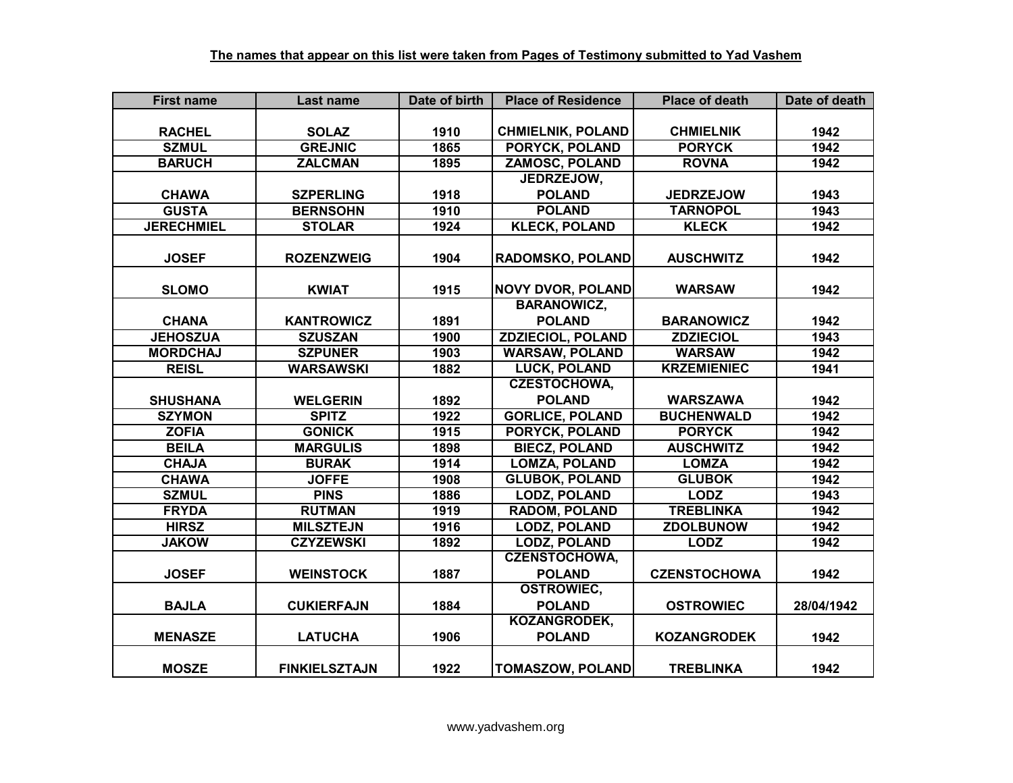| <b>First name</b> | Last name            | Date of birth | <b>Place of Residence</b> | <b>Place of death</b> | Date of death |
|-------------------|----------------------|---------------|---------------------------|-----------------------|---------------|
|                   |                      |               |                           |                       |               |
| <b>RACHEL</b>     | <b>SOLAZ</b>         | 1910          | <b>CHMIELNIK, POLAND</b>  | <b>CHMIELNIK</b>      | 1942          |
| <b>SZMUL</b>      | <b>GREJNIC</b>       | 1865          | <b>PORYCK, POLAND</b>     | <b>PORYCK</b>         | 1942          |
| <b>BARUCH</b>     | <b>ZALCMAN</b>       | 1895          | <b>ZAMOSC, POLAND</b>     | <b>ROVNA</b>          | 1942          |
|                   |                      |               | JEDRZEJOW,                |                       |               |
| <b>CHAWA</b>      | <b>SZPERLING</b>     | 1918          | <b>POLAND</b>             | <b>JEDRZEJOW</b>      | 1943          |
| <b>GUSTA</b>      | <b>BERNSOHN</b>      | 1910          | <b>POLAND</b>             | <b>TARNOPOL</b>       | 1943          |
| <b>JERECHMIEL</b> | <b>STOLAR</b>        | 1924          | <b>KLECK, POLAND</b>      | <b>KLECK</b>          | 1942          |
|                   |                      |               |                           |                       |               |
| <b>JOSEF</b>      | <b>ROZENZWEIG</b>    | 1904          | <b>RADOMSKO, POLAND</b>   | <b>AUSCHWITZ</b>      | 1942          |
|                   |                      |               |                           |                       |               |
| <b>SLOMO</b>      | <b>KWIAT</b>         | 1915          | <b>NOVY DVOR, POLAND</b>  | <b>WARSAW</b>         | 1942          |
|                   |                      |               | <b>BARANOWICZ,</b>        |                       |               |
| <b>CHANA</b>      | <b>KANTROWICZ</b>    | 1891          | <b>POLAND</b>             | <b>BARANOWICZ</b>     | 1942          |
| <b>JEHOSZUA</b>   | <b>SZUSZAN</b>       | 1900          | <b>ZDZIECIOL, POLAND</b>  | <b>ZDZIECIOL</b>      | 1943          |
| <b>MORDCHAJ</b>   | <b>SZPUNER</b>       | 1903          | <b>WARSAW, POLAND</b>     | <b>WARSAW</b>         | 1942          |
| <b>REISL</b>      | <b>WARSAWSKI</b>     | 1882          | <b>LUCK, POLAND</b>       | <b>KRZEMIENIEC</b>    | 1941          |
|                   |                      |               | <b>CZESTOCHOWA,</b>       |                       |               |
| <b>SHUSHANA</b>   | <b>WELGERIN</b>      | 1892          | <b>POLAND</b>             | <b>WARSZAWA</b>       | 1942          |
| <b>SZYMON</b>     | <b>SPITZ</b>         | 1922          | <b>GORLICE, POLAND</b>    | <b>BUCHENWALD</b>     | 1942          |
| <b>ZOFIA</b>      | <b>GONICK</b>        | 1915          | PORYCK, POLAND            | <b>PORYCK</b>         | 1942          |
| <b>BEILA</b>      | <b>MARGULIS</b>      | 1898          | <b>BIECZ, POLAND</b>      | <b>AUSCHWITZ</b>      | 1942          |
| <b>CHAJA</b>      | <b>BURAK</b>         | 1914          | <b>LOMZA, POLAND</b>      | <b>LOMZA</b>          | 1942          |
| <b>CHAWA</b>      | <b>JOFFE</b>         | 1908          | <b>GLUBOK, POLAND</b>     | <b>GLUBOK</b>         | 1942          |
| <b>SZMUL</b>      | <b>PINS</b>          | 1886          | <b>LODZ, POLAND</b>       | <b>LODZ</b>           | 1943          |
| <b>FRYDA</b>      | <b>RUTMAN</b>        | 1919          | <b>RADOM, POLAND</b>      | <b>TREBLINKA</b>      | 1942          |
| <b>HIRSZ</b>      | <b>MILSZTEJN</b>     | 1916          | <b>LODZ, POLAND</b>       | <b>ZDOLBUNOW</b>      | 1942          |
| <b>JAKOW</b>      | <b>CZYZEWSKI</b>     | 1892          | <b>LODZ, POLAND</b>       | <b>LODZ</b>           | 1942          |
|                   |                      |               | <b>CZENSTOCHOWA,</b>      |                       |               |
| <b>JOSEF</b>      | <b>WEINSTOCK</b>     | 1887          | <b>POLAND</b>             | <b>CZENSTOCHOWA</b>   | 1942          |
|                   |                      |               | <b>OSTROWIEC,</b>         |                       |               |
| <b>BAJLA</b>      | <b>CUKIERFAJN</b>    | 1884          | <b>POLAND</b>             | <b>OSTROWIEC</b>      | 28/04/1942    |
|                   |                      |               | KOZANGRODEK,              |                       |               |
| <b>MENASZE</b>    | <b>LATUCHA</b>       | 1906          | <b>POLAND</b>             | <b>KOZANGRODEK</b>    | 1942          |
|                   |                      |               |                           |                       |               |
| <b>MOSZE</b>      | <b>FINKIELSZTAJN</b> | 1922          | <b>TOMASZOW, POLAND</b>   | <b>TREBLINKA</b>      | 1942          |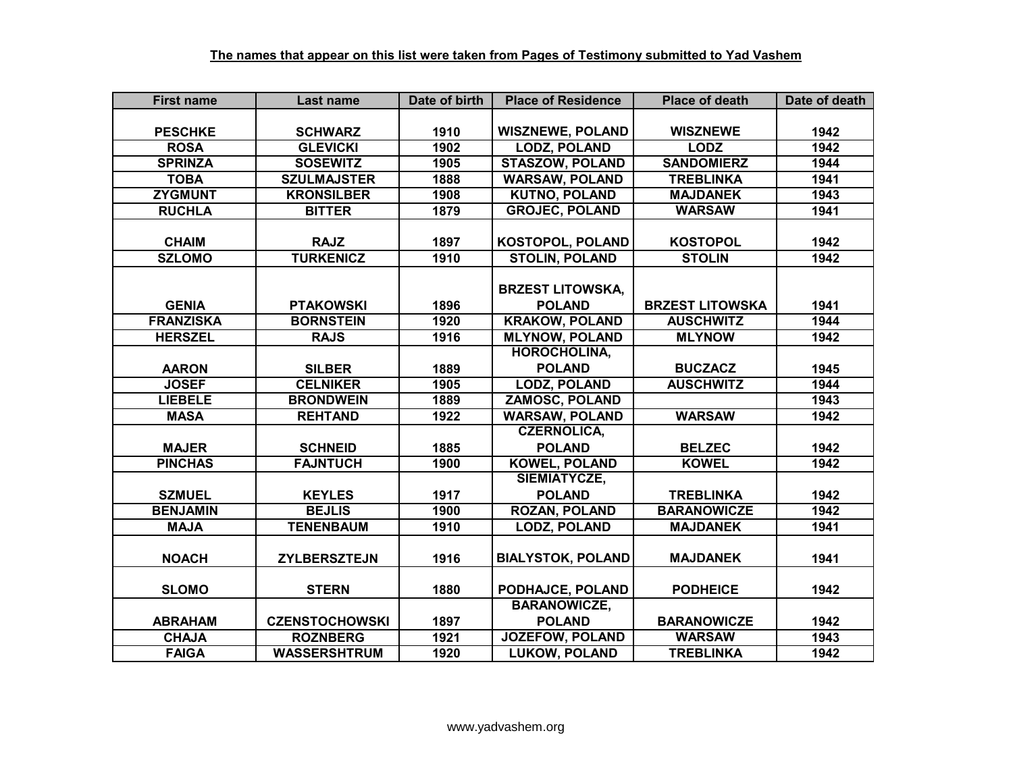| <b>First name</b> | Last name             | Date of birth | <b>Place of Residence</b> | <b>Place of death</b>  | Date of death |
|-------------------|-----------------------|---------------|---------------------------|------------------------|---------------|
|                   |                       |               |                           |                        |               |
| <b>PESCHKE</b>    | <b>SCHWARZ</b>        | 1910          | <b>WISZNEWE, POLAND</b>   | <b>WISZNEWE</b>        | 1942          |
| <b>ROSA</b>       | <b>GLEVICKI</b>       | 1902          | <b>LODZ, POLAND</b>       | <b>LODZ</b>            | 1942          |
| <b>SPRINZA</b>    | <b>SOSEWITZ</b>       | 1905          | <b>STASZOW, POLAND</b>    | <b>SANDOMIERZ</b>      | 1944          |
| <b>TOBA</b>       | <b>SZULMAJSTER</b>    | 1888          | <b>WARSAW, POLAND</b>     | <b>TREBLINKA</b>       | 1941          |
| <b>ZYGMUNT</b>    | <b>KRONSILBER</b>     | 1908          | <b>KUTNO, POLAND</b>      | <b>MAJDANEK</b>        | 1943          |
| <b>RUCHLA</b>     | <b>BITTER</b>         | 1879          | <b>GROJEC, POLAND</b>     | <b>WARSAW</b>          | 1941          |
|                   |                       |               |                           |                        |               |
| <b>CHAIM</b>      | <b>RAJZ</b>           | 1897          | <b>KOSTOPOL, POLAND</b>   | <b>KOSTOPOL</b>        | 1942          |
| <b>SZLOMO</b>     | <b>TURKENICZ</b>      | 1910          | <b>STOLIN, POLAND</b>     | <b>STOLIN</b>          | 1942          |
|                   |                       |               |                           |                        |               |
|                   |                       |               | <b>BRZEST LITOWSKA,</b>   |                        |               |
| <b>GENIA</b>      | <b>PTAKOWSKI</b>      | 1896          | <b>POLAND</b>             | <b>BRZEST LITOWSKA</b> | 1941          |
| <b>FRANZISKA</b>  | <b>BORNSTEIN</b>      | 1920          | <b>KRAKOW, POLAND</b>     | <b>AUSCHWITZ</b>       | 1944          |
| <b>HERSZEL</b>    | <b>RAJS</b>           | 1916          | <b>MLYNOW, POLAND</b>     | <b>MLYNOW</b>          | 1942          |
|                   |                       |               | <b>HOROCHOLINA,</b>       |                        |               |
| <b>AARON</b>      | <b>SILBER</b>         | 1889          | <b>POLAND</b>             | <b>BUCZACZ</b>         | 1945          |
| <b>JOSEF</b>      | <b>CELNIKER</b>       | 1905          | <b>LODZ, POLAND</b>       | <b>AUSCHWITZ</b>       | 1944          |
| <b>LIEBELE</b>    | <b>BRONDWEIN</b>      | 1889          | <b>ZAMOSC, POLAND</b>     |                        | 1943          |
| <b>MASA</b>       | <b>REHTAND</b>        | 1922          | <b>WARSAW, POLAND</b>     | <b>WARSAW</b>          | 1942          |
|                   |                       |               | <b>CZERNOLICA,</b>        |                        |               |
| <b>MAJER</b>      | <b>SCHNEID</b>        | 1885          | <b>POLAND</b>             | <b>BELZEC</b>          | 1942          |
| <b>PINCHAS</b>    | <b>FAJNTUCH</b>       | 1900          | <b>KOWEL, POLAND</b>      | <b>KOWEL</b>           | 1942          |
|                   |                       |               | SIEMIATYCZE,              |                        |               |
| <b>SZMUEL</b>     | <b>KEYLES</b>         | 1917          | <b>POLAND</b>             | <b>TREBLINKA</b>       | 1942          |
| <b>BENJAMIN</b>   | <b>BEJLIS</b>         | 1900          | <b>ROZAN, POLAND</b>      | <b>BARANOWICZE</b>     | 1942          |
| <b>MAJA</b>       | <b>TENENBAUM</b>      | 1910          | <b>LODZ, POLAND</b>       | <b>MAJDANEK</b>        | 1941          |
|                   |                       |               |                           |                        |               |
| <b>NOACH</b>      | <b>ZYLBERSZTEJN</b>   | 1916          | <b>BIALYSTOK, POLAND</b>  | <b>MAJDANEK</b>        | 1941          |
|                   |                       |               |                           |                        |               |
| <b>SLOMO</b>      | <b>STERN</b>          | 1880          | PODHAJCE, POLAND          | <b>PODHEICE</b>        | 1942          |
|                   |                       |               | <b>BARANOWICZE,</b>       |                        |               |
| <b>ABRAHAM</b>    | <b>CZENSTOCHOWSKI</b> | 1897          | <b>POLAND</b>             | <b>BARANOWICZE</b>     | 1942          |
| <b>CHAJA</b>      | <b>ROZNBERG</b>       | 1921          | <b>JOZEFOW, POLAND</b>    | <b>WARSAW</b>          | 1943          |
| <b>FAIGA</b>      | <b>WASSERSHTRUM</b>   | 1920          | <b>LUKOW, POLAND</b>      | <b>TREBLINKA</b>       | 1942          |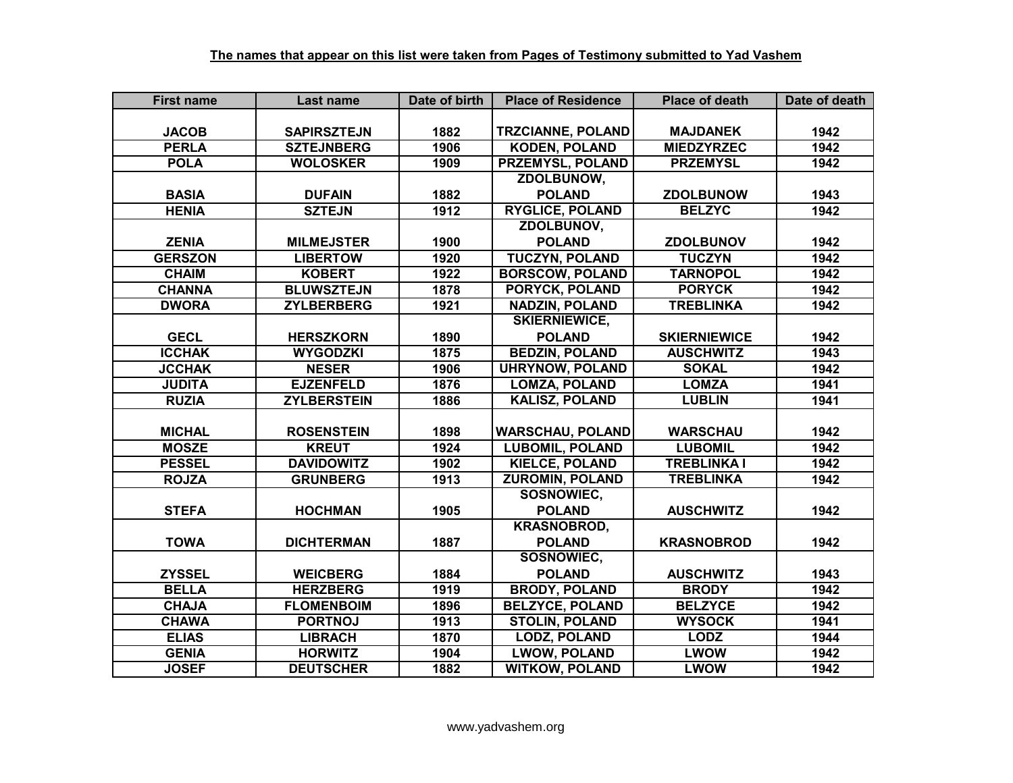| <b>First name</b> | Last name          | Date of birth | <b>Place of Residence</b> | <b>Place of death</b> | Date of death |
|-------------------|--------------------|---------------|---------------------------|-----------------------|---------------|
|                   |                    |               |                           |                       |               |
| <b>JACOB</b>      | <b>SAPIRSZTEJN</b> | 1882          | <b>TRZCIANNE, POLAND</b>  | <b>MAJDANEK</b>       | 1942          |
| <b>PERLA</b>      | <b>SZTEJNBERG</b>  | 1906          | <b>KODEN, POLAND</b>      | <b>MIEDZYRZEC</b>     | 1942          |
| <b>POLA</b>       | <b>WOLOSKER</b>    | 1909          | <b>PRZEMYSL, POLAND</b>   | <b>PRZEMYSL</b>       | 1942          |
|                   |                    |               | ZDOLBUNOW,                |                       |               |
| <b>BASIA</b>      | <b>DUFAIN</b>      | 1882          | <b>POLAND</b>             | <b>ZDOLBUNOW</b>      | 1943          |
| <b>HENIA</b>      | <b>SZTEJN</b>      | 1912          | <b>RYGLICE, POLAND</b>    | <b>BELZYC</b>         | 1942          |
|                   |                    |               | ZDOLBUNOV,                |                       |               |
| <b>ZENIA</b>      | <b>MILMEJSTER</b>  | 1900          | <b>POLAND</b>             | <b>ZDOLBUNOV</b>      | 1942          |
| <b>GERSZON</b>    | <b>LIBERTOW</b>    | 1920          | <b>TUCZYN, POLAND</b>     | <b>TUCZYN</b>         | 1942          |
| <b>CHAIM</b>      | <b>KOBERT</b>      | 1922          | <b>BORSCOW, POLAND</b>    | <b>TARNOPOL</b>       | 1942          |
| <b>CHANNA</b>     | <b>BLUWSZTEJN</b>  | 1878          | PORYCK, POLAND            | <b>PORYCK</b>         | 1942          |
| <b>DWORA</b>      | <b>ZYLBERBERG</b>  | 1921          | <b>NADZIN, POLAND</b>     | <b>TREBLINKA</b>      | 1942          |
|                   |                    |               | <b>SKIERNIEWICE,</b>      |                       |               |
| <b>GECL</b>       | <b>HERSZKORN</b>   | 1890          | <b>POLAND</b>             | <b>SKIERNIEWICE</b>   | 1942          |
| <b>ICCHAK</b>     | <b>WYGODZKI</b>    | 1875          | <b>BEDZIN, POLAND</b>     | <b>AUSCHWITZ</b>      | 1943          |
| <b>JCCHAK</b>     | <b>NESER</b>       | 1906          | <b>UHRYNOW, POLAND</b>    | <b>SOKAL</b>          | 1942          |
| <b>JUDITA</b>     | <b>EJZENFELD</b>   | 1876          | <b>LOMZA, POLAND</b>      | <b>LOMZA</b>          | 1941          |
| <b>RUZIA</b>      | <b>ZYLBERSTEIN</b> | 1886          | <b>KALISZ, POLAND</b>     | <b>LUBLIN</b>         | 1941          |
|                   |                    |               |                           |                       |               |
| <b>MICHAL</b>     | <b>ROSENSTEIN</b>  | 1898          | <b>WARSCHAU, POLAND</b>   | <b>WARSCHAU</b>       | 1942          |
| <b>MOSZE</b>      | <b>KREUT</b>       | 1924          | <b>LUBOMIL, POLAND</b>    | <b>LUBOMIL</b>        | 1942          |
| <b>PESSEL</b>     | <b>DAVIDOWITZ</b>  | 1902          | <b>KIELCE, POLAND</b>     | <b>TREBLINKA I</b>    | 1942          |
| <b>ROJZA</b>      | <b>GRUNBERG</b>    | 1913          | <b>ZUROMIN, POLAND</b>    | <b>TREBLINKA</b>      | 1942          |
|                   |                    |               | SOSNOWIEC,                |                       |               |
| <b>STEFA</b>      | <b>HOCHMAN</b>     | 1905          | <b>POLAND</b>             | <b>AUSCHWITZ</b>      | 1942          |
|                   |                    |               | <b>KRASNOBROD,</b>        |                       |               |
| <b>TOWA</b>       | <b>DICHTERMAN</b>  | 1887          | <b>POLAND</b>             | <b>KRASNOBROD</b>     | 1942          |
|                   |                    |               | SOSNOWIEC,                |                       |               |
| <b>ZYSSEL</b>     | <b>WEICBERG</b>    | 1884          | <b>POLAND</b>             | <b>AUSCHWITZ</b>      | 1943          |
| <b>BELLA</b>      | <b>HERZBERG</b>    | 1919          | <b>BRODY, POLAND</b>      | <b>BRODY</b>          | 1942          |
| <b>CHAJA</b>      | <b>FLOMENBOIM</b>  | 1896          | <b>BELZYCE, POLAND</b>    | <b>BELZYCE</b>        | 1942          |
| <b>CHAWA</b>      | <b>PORTNOJ</b>     | 1913          | <b>STOLIN, POLAND</b>     | <b>WYSOCK</b>         | 1941          |
| <b>ELIAS</b>      | <b>LIBRACH</b>     | 1870          | <b>LODZ, POLAND</b>       | <b>LODZ</b>           | 1944          |
| <b>GENIA</b>      | <b>HORWITZ</b>     | 1904          | <b>LWOW, POLAND</b>       | <b>LWOW</b>           | 1942          |
| <b>JOSEF</b>      | <b>DEUTSCHER</b>   | 1882          | <b>WITKOW, POLAND</b>     | <b>LWOW</b>           | 1942          |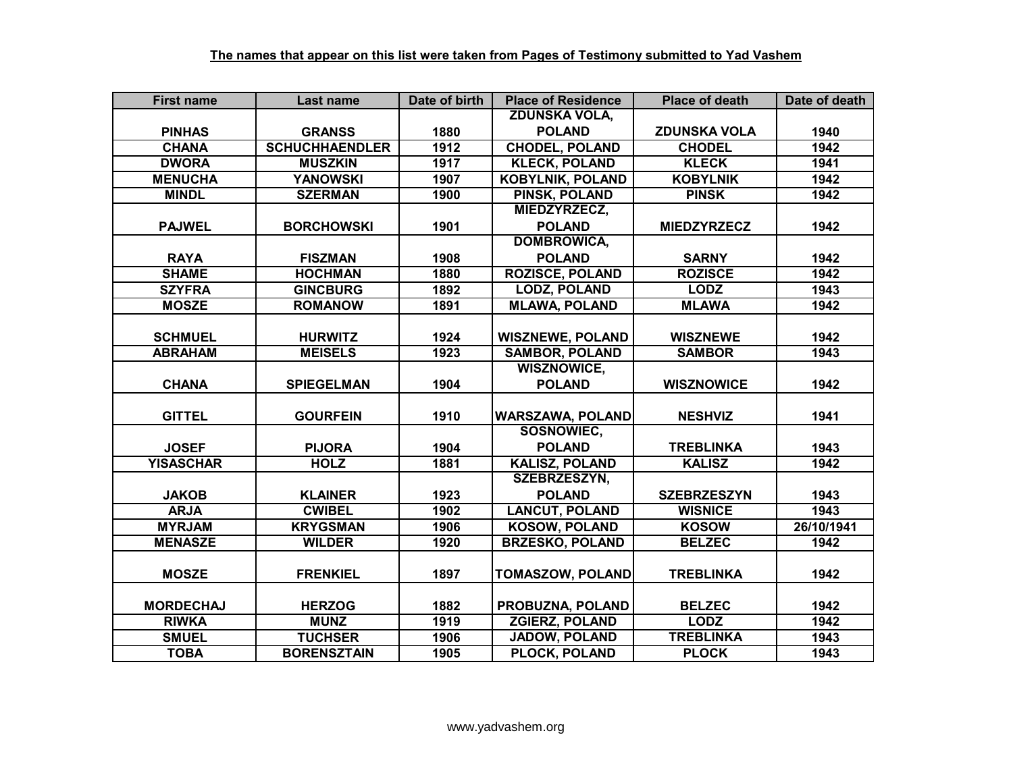| <b>First name</b> | Last name             | Date of birth | <b>Place of Residence</b> | <b>Place of death</b> | Date of death |
|-------------------|-----------------------|---------------|---------------------------|-----------------------|---------------|
|                   |                       |               | <b>ZDUNSKA VOLA,</b>      |                       |               |
| <b>PINHAS</b>     | <b>GRANSS</b>         | 1880          | <b>POLAND</b>             | <b>ZDUNSKA VOLA</b>   | 1940          |
| <b>CHANA</b>      | <b>SCHUCHHAENDLER</b> | 1912          | <b>CHODEL, POLAND</b>     | <b>CHODEL</b>         | 1942          |
| <b>DWORA</b>      | <b>MUSZKIN</b>        | 1917          | <b>KLECK, POLAND</b>      | <b>KLECK</b>          | 1941          |
| <b>MENUCHA</b>    | <b>YANOWSKI</b>       | 1907          | <b>KOBYLNIK, POLAND</b>   | <b>KOBYLNIK</b>       | 1942          |
| <b>MINDL</b>      | <b>SZERMAN</b>        | 1900          | <b>PINSK, POLAND</b>      | <b>PINSK</b>          | 1942          |
|                   |                       |               | MIEDZYRZECZ,              |                       |               |
| <b>PAJWEL</b>     | <b>BORCHOWSKI</b>     | 1901          | <b>POLAND</b>             | <b>MIEDZYRZECZ</b>    | 1942          |
|                   |                       |               | <b>DOMBROWICA,</b>        |                       |               |
| <b>RAYA</b>       | <b>FISZMAN</b>        | 1908          | <b>POLAND</b>             | <b>SARNY</b>          | 1942          |
| <b>SHAME</b>      | <b>HOCHMAN</b>        | 1880          | <b>ROZISCE, POLAND</b>    | <b>ROZISCE</b>        | 1942          |
| <b>SZYFRA</b>     | <b>GINCBURG</b>       | 1892          | <b>LODZ, POLAND</b>       | <b>LODZ</b>           | 1943          |
| <b>MOSZE</b>      | <b>ROMANOW</b>        | 1891          | <b>MLAWA, POLAND</b>      | <b>MLAWA</b>          | 1942          |
|                   |                       |               |                           |                       |               |
| <b>SCHMUEL</b>    | <b>HURWITZ</b>        | 1924          | <b>WISZNEWE, POLAND</b>   | <b>WISZNEWE</b>       | 1942          |
| <b>ABRAHAM</b>    | <b>MEISELS</b>        | 1923          | <b>SAMBOR, POLAND</b>     | <b>SAMBOR</b>         | 1943          |
|                   |                       |               | <b>WISZNOWICE,</b>        |                       |               |
| <b>CHANA</b>      | <b>SPIEGELMAN</b>     | 1904          | <b>POLAND</b>             | <b>WISZNOWICE</b>     | 1942          |
|                   |                       |               |                           |                       |               |
| <b>GITTEL</b>     | <b>GOURFEIN</b>       | 1910          | <b>WARSZAWA, POLAND</b>   | <b>NESHVIZ</b>        | 1941          |
|                   |                       |               | SOSNOWIEC,                |                       |               |
| <b>JOSEF</b>      | <b>PIJORA</b>         | 1904          | <b>POLAND</b>             | <b>TREBLINKA</b>      | 1943          |
| <b>YISASCHAR</b>  | <b>HOLZ</b>           | 1881          | KALISZ, POLAND            | <b>KALISZ</b>         | 1942          |
|                   |                       |               | SZEBRZESZYN,              |                       |               |
| <b>JAKOB</b>      | <b>KLAINER</b>        | 1923          | <b>POLAND</b>             | <b>SZEBRZESZYN</b>    | 1943          |
| <b>ARJA</b>       | <b>CWIBEL</b>         | 1902          | <b>LANCUT, POLAND</b>     | <b>WISNICE</b>        | 1943          |
| <b>MYRJAM</b>     | <b>KRYGSMAN</b>       | 1906          | <b>KOSOW, POLAND</b>      | <b>KOSOW</b>          | 26/10/1941    |
| <b>MENASZE</b>    | <b>WILDER</b>         | 1920          | <b>BRZESKO, POLAND</b>    | <b>BELZEC</b>         | 1942          |
|                   |                       |               |                           |                       |               |
| <b>MOSZE</b>      | <b>FRENKIEL</b>       | 1897          | <b>TOMASZOW, POLAND</b>   | <b>TREBLINKA</b>      | 1942          |
|                   |                       |               |                           |                       |               |
| <b>MORDECHAJ</b>  | <b>HERZOG</b>         | 1882          | PROBUZNA, POLAND          | <b>BELZEC</b>         | 1942          |
| <b>RIWKA</b>      | <b>MUNZ</b>           | 1919          | <b>ZGIERZ, POLAND</b>     | <b>LODZ</b>           | 1942          |
| <b>SMUEL</b>      | <b>TUCHSER</b>        | 1906          | JADOW, POLAND             | <b>TREBLINKA</b>      | 1943          |
| <b>TOBA</b>       | <b>BORENSZTAIN</b>    | 1905          | PLOCK, POLAND             | <b>PLOCK</b>          | 1943          |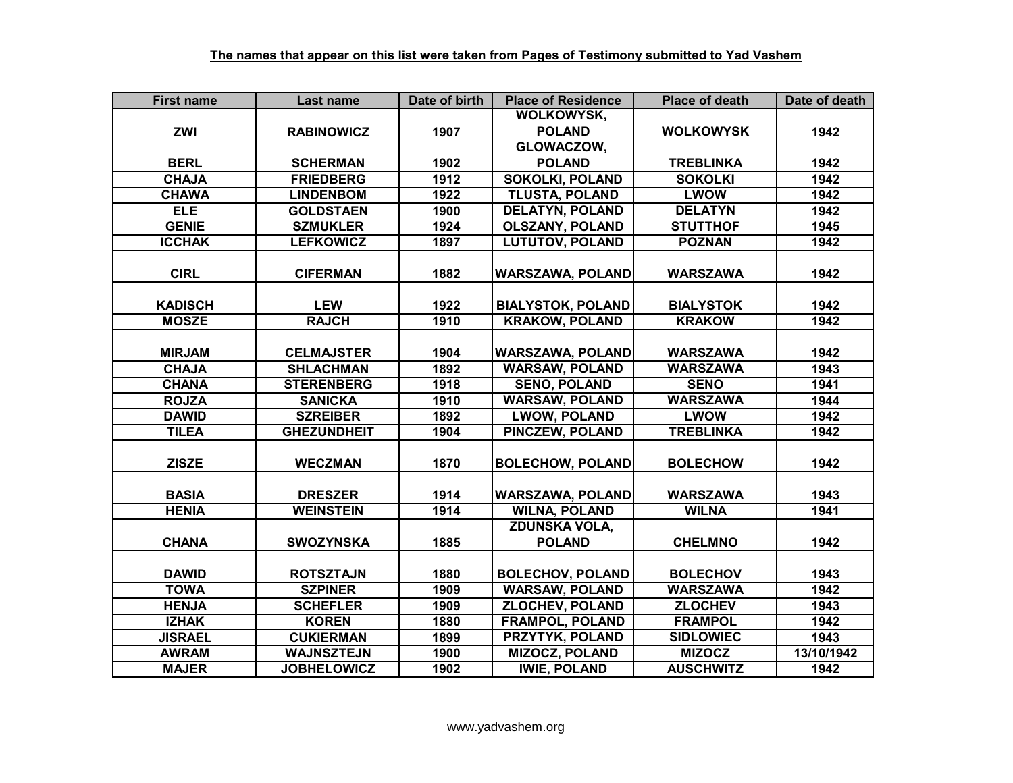| <b>First name</b> | Last name          | Date of birth | <b>Place of Residence</b> | <b>Place of death</b> | Date of death |
|-------------------|--------------------|---------------|---------------------------|-----------------------|---------------|
|                   |                    |               | <b>WOLKOWYSK,</b>         |                       |               |
| <b>ZWI</b>        | <b>RABINOWICZ</b>  | 1907          | <b>POLAND</b>             | <b>WOLKOWYSK</b>      | 1942          |
|                   |                    |               | GLOWACZOW,                |                       |               |
| <b>BERL</b>       | <b>SCHERMAN</b>    | 1902          | <b>POLAND</b>             | <b>TREBLINKA</b>      | 1942          |
| <b>CHAJA</b>      | <b>FRIEDBERG</b>   | 1912          | <b>SOKOLKI, POLAND</b>    | <b>SOKOLKI</b>        | 1942          |
| <b>CHAWA</b>      | <b>LINDENBOM</b>   | 1922          | <b>TLUSTA, POLAND</b>     | <b>LWOW</b>           | 1942          |
| <b>ELE</b>        | <b>GOLDSTAEN</b>   | 1900          | <b>DELATYN, POLAND</b>    | <b>DELATYN</b>        | 1942          |
| <b>GENIE</b>      | <b>SZMUKLER</b>    | 1924          | <b>OLSZANY, POLAND</b>    | <b>STUTTHOF</b>       | 1945          |
| <b>ICCHAK</b>     | <b>LEFKOWICZ</b>   | 1897          | <b>LUTUTOV, POLAND</b>    | <b>POZNAN</b>         | 1942          |
|                   |                    |               |                           |                       |               |
| <b>CIRL</b>       | <b>CIFERMAN</b>    | 1882          | <b>WARSZAWA, POLAND</b>   | <b>WARSZAWA</b>       | 1942          |
|                   |                    |               |                           |                       |               |
| <b>KADISCH</b>    | <b>LEW</b>         | 1922          | <b>BIALYSTOK, POLAND</b>  | <b>BIALYSTOK</b>      | 1942          |
| <b>MOSZE</b>      | <b>RAJCH</b>       | 1910          | <b>KRAKOW, POLAND</b>     | <b>KRAKOW</b>         | 1942          |
|                   |                    |               |                           |                       |               |
| <b>MIRJAM</b>     | <b>CELMAJSTER</b>  | 1904          | <b>WARSZAWA, POLAND</b>   | <b>WARSZAWA</b>       | 1942          |
| <b>CHAJA</b>      | <b>SHLACHMAN</b>   | 1892          | <b>WARSAW, POLAND</b>     | <b>WARSZAWA</b>       | 1943          |
| <b>CHANA</b>      | <b>STERENBERG</b>  | 1918          | <b>SENO, POLAND</b>       | <b>SENO</b>           | 1941          |
| <b>ROJZA</b>      | <b>SANICKA</b>     | 1910          | <b>WARSAW, POLAND</b>     | <b>WARSZAWA</b>       | 1944          |
| <b>DAWID</b>      | <b>SZREIBER</b>    | 1892          | <b>LWOW, POLAND</b>       | <b>LWOW</b>           | 1942          |
| <b>TILEA</b>      | <b>GHEZUNDHEIT</b> | 1904          | <b>PINCZEW, POLAND</b>    | <b>TREBLINKA</b>      | 1942          |
|                   |                    |               |                           |                       |               |
| <b>ZISZE</b>      | <b>WECZMAN</b>     | 1870          | <b>BOLECHOW, POLAND</b>   | <b>BOLECHOW</b>       | 1942          |
|                   |                    |               |                           |                       |               |
| <b>BASIA</b>      | <b>DRESZER</b>     | 1914          | <b>WARSZAWA, POLAND</b>   | <b>WARSZAWA</b>       | 1943          |
| <b>HENIA</b>      | <b>WEINSTEIN</b>   | 1914          | <b>WILNA, POLAND</b>      | <b>WILNA</b>          | 1941          |
|                   |                    |               | <b>ZDUNSKA VOLA,</b>      |                       |               |
| <b>CHANA</b>      | <b>SWOZYNSKA</b>   | 1885          | <b>POLAND</b>             | <b>CHELMNO</b>        | 1942          |
|                   |                    |               |                           |                       |               |
| <b>DAWID</b>      | <b>ROTSZTAJN</b>   | 1880          | <b>BOLECHOV, POLAND</b>   | <b>BOLECHOV</b>       | 1943          |
| <b>TOWA</b>       | <b>SZPINER</b>     | 1909          | <b>WARSAW, POLAND</b>     | <b>WARSZAWA</b>       | 1942          |
| <b>HENJA</b>      | <b>SCHEFLER</b>    | 1909          | <b>ZLOCHEV, POLAND</b>    | <b>ZLOCHEV</b>        | 1943          |
| <b>IZHAK</b>      | <b>KOREN</b>       | 1880          | <b>FRAMPOL, POLAND</b>    | <b>FRAMPOL</b>        | 1942          |
| <b>JISRAEL</b>    | <b>CUKIERMAN</b>   | 1899          | PRZYTYK, POLAND           | <b>SIDLOWIEC</b>      | 1943          |
| <b>AWRAM</b>      | <b>WAJNSZTEJN</b>  | 1900          | <b>MIZOCZ, POLAND</b>     | <b>MIZOCZ</b>         | 13/10/1942    |
| <b>MAJER</b>      | <b>JOBHELOWICZ</b> | 1902          | <b>IWIE, POLAND</b>       | <b>AUSCHWITZ</b>      | 1942          |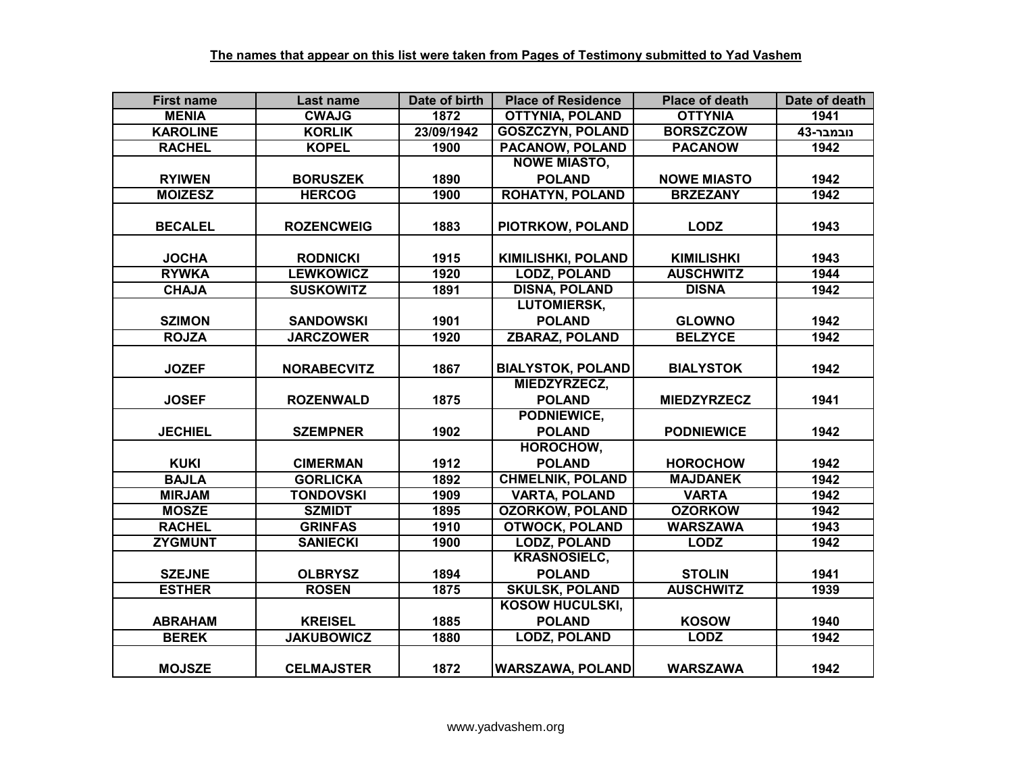| <b>First name</b> | Last name          | Date of birth | <b>Place of Residence</b> | <b>Place of death</b> | Date of death |
|-------------------|--------------------|---------------|---------------------------|-----------------------|---------------|
| <b>MENIA</b>      | <b>CWAJG</b>       | 1872          | <b>OTTYNIA, POLAND</b>    | <b>OTTYNIA</b>        | 1941          |
| <b>KAROLINE</b>   | <b>KORLIK</b>      | 23/09/1942    | <b>GOSZCZYN, POLAND</b>   | <b>BORSZCZOW</b>      | נובמבר-43     |
| <b>RACHEL</b>     | <b>KOPEL</b>       | 1900          | <b>PACANOW, POLAND</b>    | <b>PACANOW</b>        | 1942          |
|                   |                    |               | <b>NOWE MIASTO,</b>       |                       |               |
| <b>RYIWEN</b>     | <b>BORUSZEK</b>    | 1890          | <b>POLAND</b>             | <b>NOWE MIASTO</b>    | 1942          |
| <b>MOIZESZ</b>    | <b>HERCOG</b>      | 1900          | <b>ROHATYN, POLAND</b>    | <b>BRZEZANY</b>       | 1942          |
| <b>BECALEL</b>    | <b>ROZENCWEIG</b>  | 1883          | PIOTRKOW, POLAND          | <b>LODZ</b>           | 1943          |
|                   |                    |               |                           |                       |               |
| <b>JOCHA</b>      | <b>RODNICKI</b>    | 1915          | <b>KIMILISHKI, POLAND</b> | <b>KIMILISHKI</b>     | 1943          |
| <b>RYWKA</b>      | <b>LEWKOWICZ</b>   | 1920          | <b>LODZ, POLAND</b>       | <b>AUSCHWITZ</b>      | 1944          |
| <b>CHAJA</b>      | <b>SUSKOWITZ</b>   | 1891          | <b>DISNA, POLAND</b>      | <b>DISNA</b>          | 1942          |
|                   |                    |               | <b>LUTOMIERSK,</b>        |                       |               |
| <b>SZIMON</b>     | <b>SANDOWSKI</b>   | 1901          | <b>POLAND</b>             | <b>GLOWNO</b>         | 1942          |
| <b>ROJZA</b>      | <b>JARCZOWER</b>   | 1920          | <b>ZBARAZ, POLAND</b>     | <b>BELZYCE</b>        | 1942          |
|                   |                    |               |                           |                       |               |
| <b>JOZEF</b>      | <b>NORABECVITZ</b> | 1867          | <b>BIALYSTOK, POLAND</b>  | <b>BIALYSTOK</b>      | 1942          |
|                   |                    |               | MIEDZYRZECZ,              |                       |               |
| <b>JOSEF</b>      | <b>ROZENWALD</b>   | 1875          | <b>POLAND</b>             | <b>MIEDZYRZECZ</b>    | 1941          |
|                   |                    |               | PODNIEWICE,               |                       |               |
| <b>JECHIEL</b>    | <b>SZEMPNER</b>    | 1902          | <b>POLAND</b>             | <b>PODNIEWICE</b>     | 1942          |
|                   |                    |               | HOROCHOW,                 |                       |               |
| <b>KUKI</b>       | <b>CIMERMAN</b>    | 1912          | <b>POLAND</b>             | <b>HOROCHOW</b>       | 1942          |
| <b>BAJLA</b>      | <b>GORLICKA</b>    | 1892          | <b>CHMELNIK, POLAND</b>   | <b>MAJDANEK</b>       | 1942          |
| <b>MIRJAM</b>     | <b>TONDOVSKI</b>   | 1909          | <b>VARTA, POLAND</b>      | <b>VARTA</b>          | 1942          |
| <b>MOSZE</b>      | <b>SZMIDT</b>      | 1895          | <b>OZORKOW, POLAND</b>    | <b>OZORKOW</b>        | 1942          |
| <b>RACHEL</b>     | <b>GRINFAS</b>     | 1910          | <b>OTWOCK, POLAND</b>     | <b>WARSZAWA</b>       | 1943          |
| <b>ZYGMUNT</b>    | <b>SANIECKI</b>    | 1900          | <b>LODZ, POLAND</b>       | <b>LODZ</b>           | 1942          |
|                   |                    |               | <b>KRASNOSIELC,</b>       |                       |               |
| <b>SZEJNE</b>     | <b>OLBRYSZ</b>     | 1894          | <b>POLAND</b>             | <b>STOLIN</b>         | 1941          |
| <b>ESTHER</b>     | <b>ROSEN</b>       | 1875          | <b>SKULSK, POLAND</b>     | <b>AUSCHWITZ</b>      | 1939          |
|                   |                    |               | <b>KOSOW HUCULSKI,</b>    |                       |               |
| <b>ABRAHAM</b>    | <b>KREISEL</b>     | 1885          | <b>POLAND</b>             | <b>KOSOW</b>          | 1940          |
| <b>BEREK</b>      | <b>JAKUBOWICZ</b>  | 1880          | <b>LODZ, POLAND</b>       | <b>LODZ</b>           | 1942          |
| <b>MOJSZE</b>     | <b>CELMAJSTER</b>  | 1872          | <b>WARSZAWA, POLAND</b>   | <b>WARSZAWA</b>       | 1942          |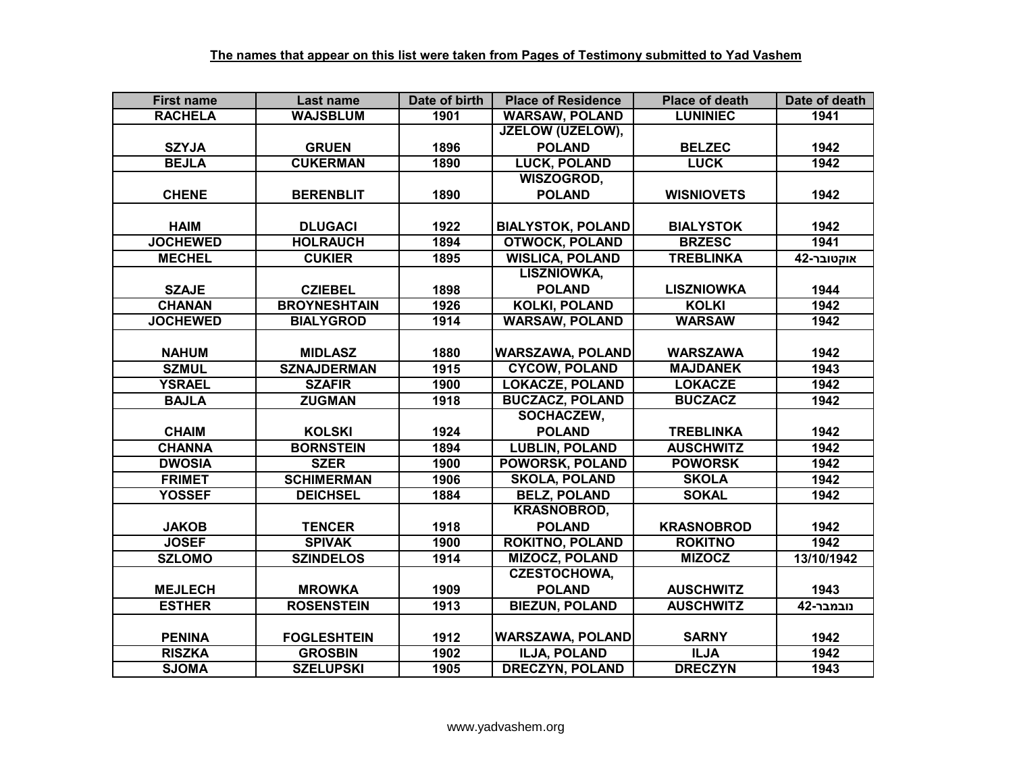| <b>First name</b> | Last name           | Date of birth | <b>Place of Residence</b> | <b>Place of death</b> | Date of death |
|-------------------|---------------------|---------------|---------------------------|-----------------------|---------------|
| <b>RACHELA</b>    | <b>WAJSBLUM</b>     | 1901          | <b>WARSAW, POLAND</b>     | <b>LUNINIEC</b>       | 1941          |
|                   |                     |               | <b>JZELOW (UZELOW),</b>   |                       |               |
| <b>SZYJA</b>      | <b>GRUEN</b>        | 1896          | <b>POLAND</b>             | <b>BELZEC</b>         | 1942          |
| <b>BEJLA</b>      | <b>CUKERMAN</b>     | 1890          | <b>LUCK, POLAND</b>       | <b>LUCK</b>           | 1942          |
|                   |                     |               | WISZOGROD,                |                       |               |
| <b>CHENE</b>      | <b>BERENBLIT</b>    | 1890          | <b>POLAND</b>             | <b>WISNIOVETS</b>     | 1942          |
|                   |                     |               |                           |                       |               |
| <b>HAIM</b>       | <b>DLUGACI</b>      | 1922          | <b>BIALYSTOK, POLAND</b>  | <b>BIALYSTOK</b>      | 1942          |
| <b>JOCHEWED</b>   | <b>HOLRAUCH</b>     | 1894          | <b>OTWOCK, POLAND</b>     | <b>BRZESC</b>         | 1941          |
| <b>MECHEL</b>     | <b>CUKIER</b>       | 1895          | <b>WISLICA, POLAND</b>    | <b>TREBLINKA</b>      | אוקטובר-42    |
|                   |                     |               | <b>LISZNIOWKA,</b>        |                       |               |
| <b>SZAJE</b>      | <b>CZIEBEL</b>      | 1898          | <b>POLAND</b>             | <b>LISZNIOWKA</b>     | 1944          |
| <b>CHANAN</b>     | <b>BROYNESHTAIN</b> | 1926          | <b>KOLKI, POLAND</b>      | <b>KOLKI</b>          | 1942          |
| <b>JOCHEWED</b>   | <b>BIALYGROD</b>    | 1914          | <b>WARSAW, POLAND</b>     | <b>WARSAW</b>         | 1942          |
|                   |                     |               |                           |                       |               |
| <b>NAHUM</b>      | <b>MIDLASZ</b>      | 1880          | WARSZAWA, POLAND          | <b>WARSZAWA</b>       | 1942          |
| <b>SZMUL</b>      | <b>SZNAJDERMAN</b>  | 1915          | <b>CYCOW, POLAND</b>      | <b>MAJDANEK</b>       | 1943          |
| <b>YSRAEL</b>     | <b>SZAFIR</b>       | 1900          | <b>LOKACZE, POLAND</b>    | <b>LOKACZE</b>        | 1942          |
| <b>BAJLA</b>      | <b>ZUGMAN</b>       | 1918          | <b>BUCZACZ, POLAND</b>    | <b>BUCZACZ</b>        | 1942          |
|                   |                     |               | SOCHACZEW,                |                       |               |
| <b>CHAIM</b>      | <b>KOLSKI</b>       | 1924          | <b>POLAND</b>             | <b>TREBLINKA</b>      | 1942          |
| <b>CHANNA</b>     | <b>BORNSTEIN</b>    | 1894          | <b>LUBLIN, POLAND</b>     | <b>AUSCHWITZ</b>      | 1942          |
| <b>DWOSIA</b>     | <b>SZER</b>         | 1900          | <b>POWORSK, POLAND</b>    | <b>POWORSK</b>        | 1942          |
| <b>FRIMET</b>     | <b>SCHIMERMAN</b>   | 1906          | <b>SKOLA, POLAND</b>      | <b>SKOLA</b>          | 1942          |
| <b>YOSSEF</b>     | <b>DEICHSEL</b>     | 1884          | <b>BELZ, POLAND</b>       | <b>SOKAL</b>          | 1942          |
|                   |                     |               | <b>KRASNOBROD,</b>        |                       |               |
| <b>JAKOB</b>      | <b>TENCER</b>       | 1918          | <b>POLAND</b>             | <b>KRASNOBROD</b>     | 1942          |
| <b>JOSEF</b>      | <b>SPIVAK</b>       | 1900          | <b>ROKITNO, POLAND</b>    | <b>ROKITNO</b>        | 1942          |
| <b>SZLOMO</b>     | <b>SZINDELOS</b>    | 1914          | <b>MIZOCZ, POLAND</b>     | <b>MIZOCZ</b>         | 13/10/1942    |
|                   |                     |               | <b>CZESTOCHOWA,</b>       |                       |               |
| <b>MEJLECH</b>    | <b>MROWKA</b>       | 1909          | <b>POLAND</b>             | <b>AUSCHWITZ</b>      | 1943          |
| <b>ESTHER</b>     | <b>ROSENSTEIN</b>   | 1913          | <b>BIEZUN, POLAND</b>     | <b>AUSCHWITZ</b>      | נובמבר-42     |
|                   |                     |               |                           |                       |               |
| <b>PENINA</b>     | <b>FOGLESHTEIN</b>  | 1912          | <b>WARSZAWA, POLAND</b>   | <b>SARNY</b>          | 1942          |
| <b>RISZKA</b>     | <b>GROSBIN</b>      | 1902          | ILJA, POLAND              | <b>ILJA</b>           | 1942          |
| <b>SJOMA</b>      | <b>SZELUPSKI</b>    | 1905          | <b>DRECZYN, POLAND</b>    | <b>DRECZYN</b>        | 1943          |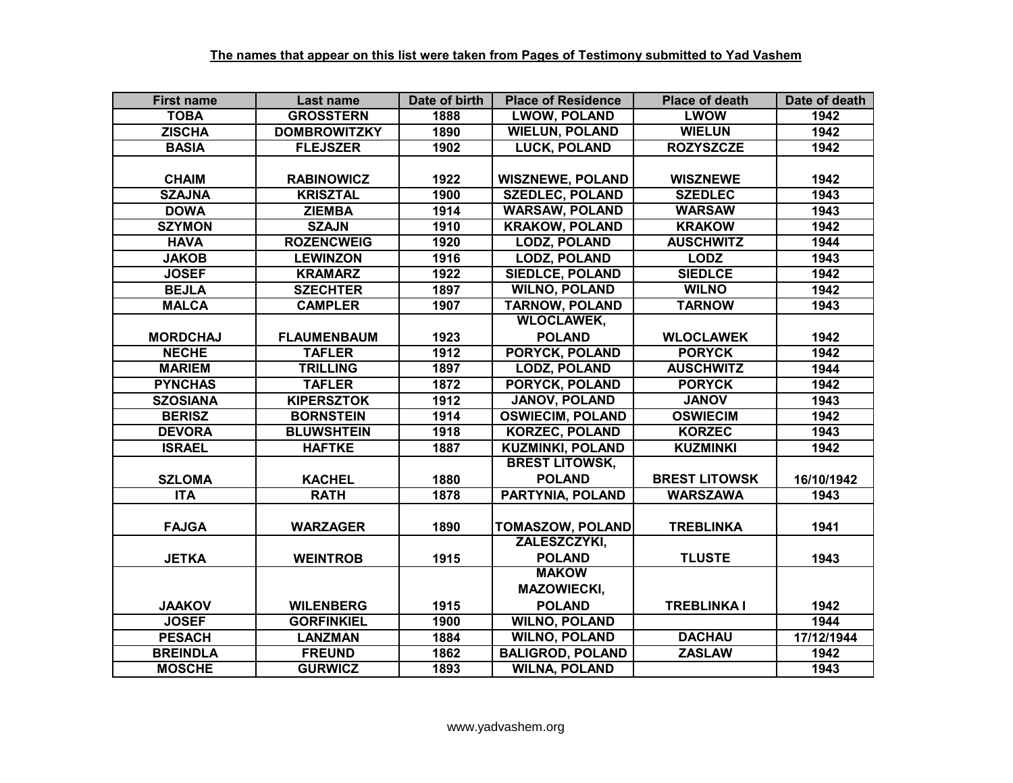| <b>First name</b> | Last name           | Date of birth | <b>Place of Residence</b> | <b>Place of death</b> | Date of death |
|-------------------|---------------------|---------------|---------------------------|-----------------------|---------------|
| <b>TOBA</b>       | <b>GROSSTERN</b>    | 1888          | <b>LWOW, POLAND</b>       | <b>LWOW</b>           | 1942          |
| <b>ZISCHA</b>     | <b>DOMBROWITZKY</b> | 1890          | <b>WIELUN, POLAND</b>     | <b>WIELUN</b>         | 1942          |
| <b>BASIA</b>      | <b>FLEJSZER</b>     | 1902          | <b>LUCK, POLAND</b>       | <b>ROZYSZCZE</b>      | 1942          |
|                   |                     |               |                           |                       |               |
| <b>CHAIM</b>      | <b>RABINOWICZ</b>   | 1922          | <b>WISZNEWE, POLAND</b>   | <b>WISZNEWE</b>       | 1942          |
| <b>SZAJNA</b>     | <b>KRISZTAL</b>     | 1900          | <b>SZEDLEC, POLAND</b>    | <b>SZEDLEC</b>        | 1943          |
| <b>DOWA</b>       | <b>ZIEMBA</b>       | 1914          | <b>WARSAW, POLAND</b>     | <b>WARSAW</b>         | 1943          |
| <b>SZYMON</b>     | <b>SZAJN</b>        | 1910          | <b>KRAKOW, POLAND</b>     | <b>KRAKOW</b>         | 1942          |
| <b>HAVA</b>       | <b>ROZENCWEIG</b>   | 1920          | <b>LODZ, POLAND</b>       | <b>AUSCHWITZ</b>      | 1944          |
| <b>JAKOB</b>      | <b>LEWINZON</b>     | 1916          | <b>LODZ, POLAND</b>       | <b>LODZ</b>           | 1943          |
| <b>JOSEF</b>      | <b>KRAMARZ</b>      | 1922          | <b>SIEDLCE, POLAND</b>    | <b>SIEDLCE</b>        | 1942          |
| <b>BEJLA</b>      | <b>SZECHTER</b>     | 1897          | <b>WILNO, POLAND</b>      | <b>WILNO</b>          | 1942          |
| <b>MALCA</b>      | <b>CAMPLER</b>      | 1907          | <b>TARNOW, POLAND</b>     | <b>TARNOW</b>         | 1943          |
|                   |                     |               | <b>WLOCLAWEK,</b>         |                       |               |
| <b>MORDCHAJ</b>   | <b>FLAUMENBAUM</b>  | 1923          | <b>POLAND</b>             | <b>WLOCLAWEK</b>      | 1942          |
| <b>NECHE</b>      | <b>TAFLER</b>       | 1912          | <b>PORYCK, POLAND</b>     | <b>PORYCK</b>         | 1942          |
| <b>MARIEM</b>     | <b>TRILLING</b>     | 1897          | <b>LODZ, POLAND</b>       | <b>AUSCHWITZ</b>      | 1944          |
| <b>PYNCHAS</b>    | <b>TAFLER</b>       | 1872          | <b>PORYCK, POLAND</b>     | <b>PORYCK</b>         | 1942          |
| <b>SZOSIANA</b>   | <b>KIPERSZTOK</b>   | 1912          | <b>JANOV, POLAND</b>      | <b>JANOV</b>          | 1943          |
| <b>BERISZ</b>     | <b>BORNSTEIN</b>    | 1914          | <b>OSWIECIM, POLAND</b>   | <b>OSWIECIM</b>       | 1942          |
| <b>DEVORA</b>     | <b>BLUWSHTEIN</b>   | 1918          | <b>KORZEC, POLAND</b>     | <b>KORZEC</b>         | 1943          |
| <b>ISRAEL</b>     | <b>HAFTKE</b>       | 1887          | <b>KUZMINKI, POLAND</b>   | <b>KUZMINKI</b>       | 1942          |
|                   |                     |               | <b>BREST LITOWSK,</b>     |                       |               |
| <b>SZLOMA</b>     | <b>KACHEL</b>       | 1880          | <b>POLAND</b>             | <b>BREST LITOWSK</b>  | 16/10/1942    |
| $\overline{ITA}$  | <b>RATH</b>         | 1878          | <b>PARTYNIA, POLAND</b>   | <b>WARSZAWA</b>       | 1943          |
|                   |                     |               |                           |                       |               |
| <b>FAJGA</b>      | <b>WARZAGER</b>     | 1890          | <b>TOMASZOW, POLAND</b>   | <b>TREBLINKA</b>      | 1941          |
|                   |                     |               | ZALESZCZYKI,              |                       |               |
| <b>JETKA</b>      | <b>WEINTROB</b>     | 1915          | <b>POLAND</b>             | <b>TLUSTE</b>         | 1943          |
|                   |                     |               | <b>MAKOW</b>              |                       |               |
|                   |                     |               | <b>MAZOWIECKI,</b>        |                       |               |
| <b>JAAKOV</b>     | <b>WILENBERG</b>    | 1915          | <b>POLAND</b>             | <b>TREBLINKA I</b>    | 1942          |
| <b>JOSEF</b>      | <b>GORFINKIEL</b>   | 1900          | <b>WILNO, POLAND</b>      |                       | 1944          |
| <b>PESACH</b>     | <b>LANZMAN</b>      | 1884          | <b>WILNO, POLAND</b>      | <b>DACHAU</b>         | 17/12/1944    |
| <b>BREINDLA</b>   | <b>FREUND</b>       | 1862          | <b>BALIGROD, POLAND</b>   | <b>ZASLAW</b>         | 1942          |
| <b>MOSCHE</b>     | <b>GURWICZ</b>      | 1893          | <b>WILNA, POLAND</b>      |                       | 1943          |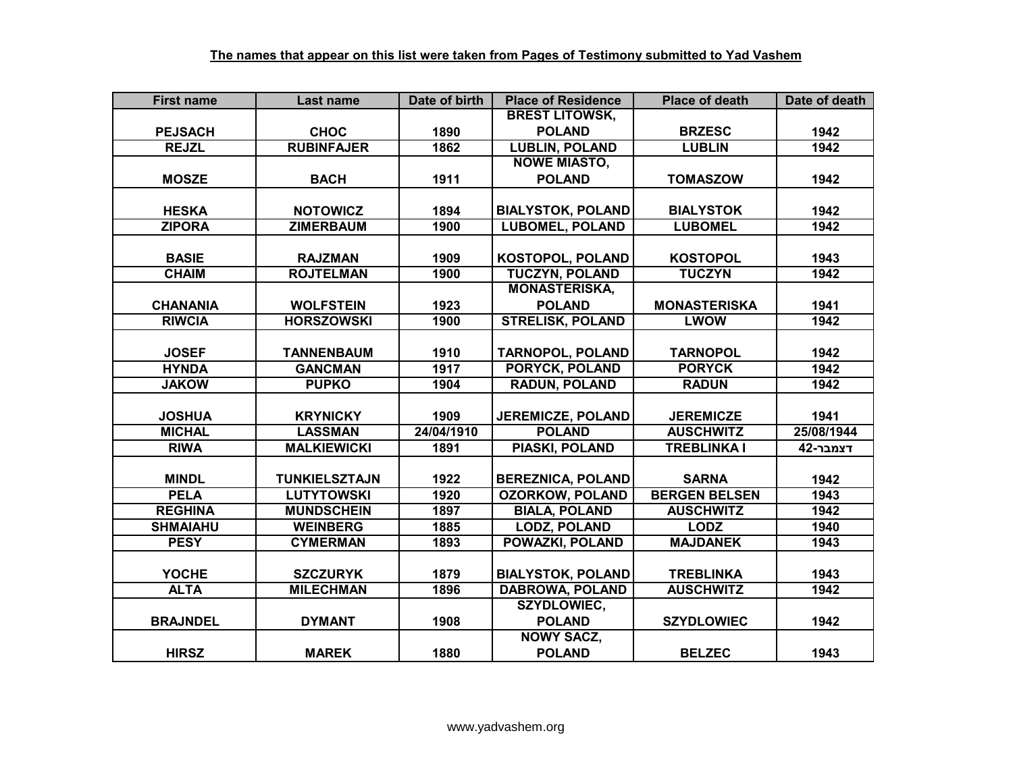| <b>First name</b> | <b>Last name</b>     | Date of birth | <b>Place of Residence</b> | <b>Place of death</b> | Date of death |
|-------------------|----------------------|---------------|---------------------------|-----------------------|---------------|
|                   |                      |               | <b>BREST LITOWSK,</b>     |                       |               |
| <b>PEJSACH</b>    | <b>CHOC</b>          | 1890          | <b>POLAND</b>             | <b>BRZESC</b>         | 1942          |
| <b>REJZL</b>      | <b>RUBINFAJER</b>    | 1862          | <b>LUBLIN, POLAND</b>     | <b>LUBLIN</b>         | 1942          |
|                   |                      |               | <b>NOWE MIASTO,</b>       |                       |               |
| <b>MOSZE</b>      | <b>BACH</b>          | 1911          | <b>POLAND</b>             | <b>TOMASZOW</b>       | 1942          |
|                   |                      |               |                           |                       |               |
| <b>HESKA</b>      | <b>NOTOWICZ</b>      | 1894          | <b>BIALYSTOK, POLAND</b>  | <b>BIALYSTOK</b>      | 1942          |
| <b>ZIPORA</b>     | <b>ZIMERBAUM</b>     | 1900          | <b>LUBOMEL, POLAND</b>    | <b>LUBOMEL</b>        | 1942          |
|                   |                      |               |                           |                       |               |
| <b>BASIE</b>      | <b>RAJZMAN</b>       | 1909          | <b>KOSTOPOL, POLAND</b>   | <b>KOSTOPOL</b>       | 1943          |
| <b>CHAIM</b>      | <b>ROJTELMAN</b>     | 1900          | <b>TUCZYN, POLAND</b>     | <b>TUCZYN</b>         | 1942          |
|                   |                      |               | <b>MONASTERISKA,</b>      |                       |               |
| <b>CHANANIA</b>   | <b>WOLFSTEIN</b>     | 1923          | <b>POLAND</b>             | <b>MONASTERISKA</b>   | 1941          |
| <b>RIWCIA</b>     | <b>HORSZOWSKI</b>    | 1900          | <b>STRELISK, POLAND</b>   | <b>LWOW</b>           | 1942          |
|                   |                      |               |                           |                       |               |
| <b>JOSEF</b>      | <b>TANNENBAUM</b>    | 1910          | <b>TARNOPOL, POLAND</b>   | <b>TARNOPOL</b>       | 1942          |
| <b>HYNDA</b>      | <b>GANCMAN</b>       | 1917          | PORYCK, POLAND            | <b>PORYCK</b>         | 1942          |
| <b>JAKOW</b>      | <b>PUPKO</b>         | 1904          | <b>RADUN, POLAND</b>      | <b>RADUN</b>          | 1942          |
|                   |                      |               |                           |                       |               |
| <b>JOSHUA</b>     | <b>KRYNICKY</b>      | 1909          | <b>JEREMICZE, POLAND</b>  | <b>JEREMICZE</b>      | 1941          |
| <b>MICHAL</b>     | <b>LASSMAN</b>       | 24/04/1910    | <b>POLAND</b>             | <b>AUSCHWITZ</b>      | 25/08/1944    |
| <b>RIWA</b>       | <b>MALKIEWICKI</b>   | 1891          | <b>PIASKI, POLAND</b>     | <b>TREBLINKA I</b>    | דצמבר-42      |
|                   |                      |               |                           |                       |               |
| <b>MINDL</b>      | <b>TUNKIELSZTAJN</b> | 1922          | <b>BEREZNICA, POLAND</b>  | <b>SARNA</b>          | 1942          |
| <b>PELA</b>       | <b>LUTYTOWSKI</b>    | 1920          | <b>OZORKOW, POLAND</b>    | <b>BERGEN BELSEN</b>  | 1943          |
| <b>REGHINA</b>    | <b>MUNDSCHEIN</b>    | 1897          | <b>BIALA, POLAND</b>      | <b>AUSCHWITZ</b>      | 1942          |
| <b>SHMAIAHU</b>   | <b>WEINBERG</b>      | 1885          | <b>LODZ, POLAND</b>       | <b>LODZ</b>           | 1940          |
| <b>PESY</b>       | <b>CYMERMAN</b>      | 1893          | POWAZKI, POLAND           | <b>MAJDANEK</b>       | 1943          |
|                   |                      |               |                           |                       |               |
| <b>YOCHE</b>      | <b>SZCZURYK</b>      | 1879          | <b>BIALYSTOK, POLAND</b>  | <b>TREBLINKA</b>      | 1943          |
| <b>ALTA</b>       | <b>MILECHMAN</b>     | 1896          | <b>DABROWA, POLAND</b>    | <b>AUSCHWITZ</b>      | 1942          |
|                   |                      |               | <b>SZYDLOWIEC,</b>        |                       |               |
| <b>BRAJNDEL</b>   | <b>DYMANT</b>        | 1908          | <b>POLAND</b>             | <b>SZYDLOWIEC</b>     | 1942          |
|                   |                      |               | <b>NOWY SACZ,</b>         |                       |               |
| <b>HIRSZ</b>      | <b>MAREK</b>         | 1880          | <b>POLAND</b>             | <b>BELZEC</b>         | 1943          |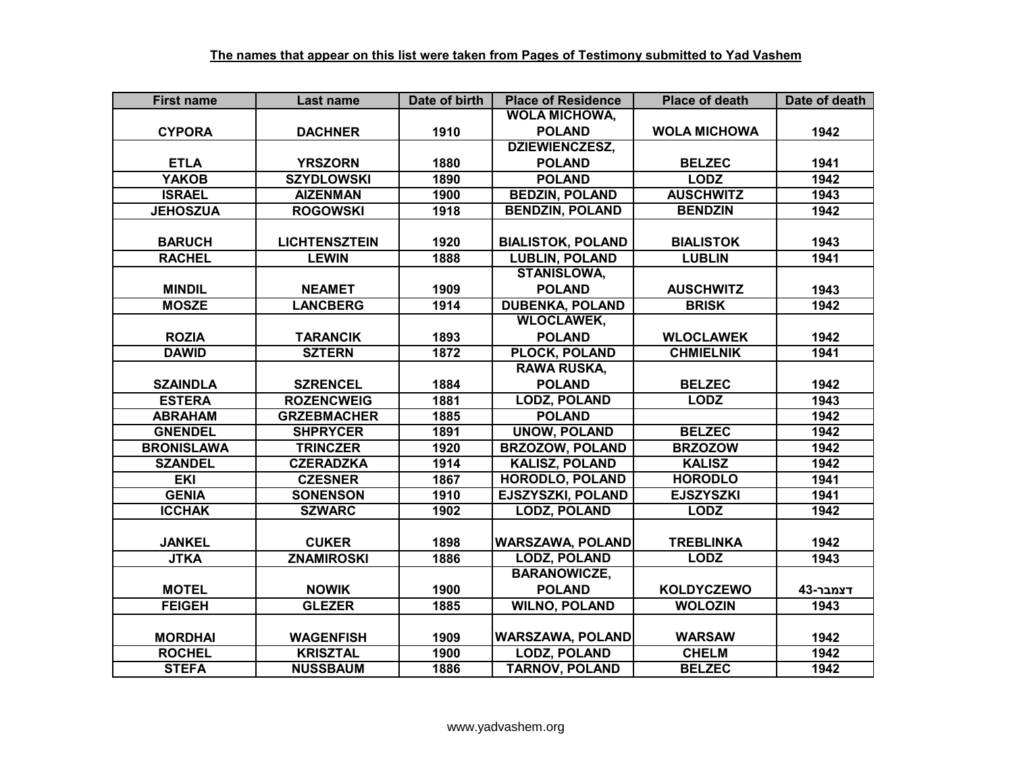| <b>First name</b> | Last name            | Date of birth | <b>Place of Residence</b> | <b>Place of death</b> | Date of death |
|-------------------|----------------------|---------------|---------------------------|-----------------------|---------------|
|                   |                      |               | <b>WOLA MICHOWA,</b>      |                       |               |
| <b>CYPORA</b>     | <b>DACHNER</b>       | 1910          | <b>POLAND</b>             | <b>WOLA MICHOWA</b>   | 1942          |
|                   |                      |               | <b>DZIEWIENCZESZ,</b>     |                       |               |
| <b>ETLA</b>       | <b>YRSZORN</b>       | 1880          | <b>POLAND</b>             | <b>BELZEC</b>         | 1941          |
| <b>YAKOB</b>      | <b>SZYDLOWSKI</b>    | 1890          | <b>POLAND</b>             | <b>LODZ</b>           | 1942          |
| <b>ISRAEL</b>     | <b>AIZENMAN</b>      | 1900          | <b>BEDZIN, POLAND</b>     | <b>AUSCHWITZ</b>      | 1943          |
| <b>JEHOSZUA</b>   | <b>ROGOWSKI</b>      | 1918          | <b>BENDZIN, POLAND</b>    | <b>BENDZIN</b>        | 1942          |
|                   |                      |               |                           |                       |               |
| <b>BARUCH</b>     | <b>LICHTENSZTEIN</b> | 1920          | <b>BIALISTOK, POLAND</b>  | <b>BIALISTOK</b>      | 1943          |
| <b>RACHEL</b>     | <b>LEWIN</b>         | 1888          | <b>LUBLIN, POLAND</b>     | <b>LUBLIN</b>         | 1941          |
|                   |                      |               | <b>STANISLOWA,</b>        |                       |               |
| <b>MINDIL</b>     | <b>NEAMET</b>        | 1909          | <b>POLAND</b>             | <b>AUSCHWITZ</b>      | 1943          |
| <b>MOSZE</b>      | <b>LANCBERG</b>      | 1914          | <b>DUBENKA, POLAND</b>    | <b>BRISK</b>          | 1942          |
|                   |                      |               | <b>WLOCLAWEK,</b>         |                       |               |
| <b>ROZIA</b>      | <b>TARANCIK</b>      | 1893          | <b>POLAND</b>             | <b>WLOCLAWEK</b>      | 1942          |
| <b>DAWID</b>      | <b>SZTERN</b>        | 1872          | <b>PLOCK, POLAND</b>      | <b>CHMIELNIK</b>      | 1941          |
|                   |                      |               | <b>RAWA RUSKA,</b>        |                       |               |
| <b>SZAINDLA</b>   | <b>SZRENCEL</b>      | 1884          | <b>POLAND</b>             | <b>BELZEC</b>         | 1942          |
| <b>ESTERA</b>     | <b>ROZENCWEIG</b>    | 1881          | <b>LODZ, POLAND</b>       | <b>LODZ</b>           | 1943          |
| <b>ABRAHAM</b>    | <b>GRZEBMACHER</b>   | 1885          | <b>POLAND</b>             |                       | 1942          |
| <b>GNENDEL</b>    | <b>SHPRYCER</b>      | 1891          | <b>UNOW, POLAND</b>       | <b>BELZEC</b>         | 1942          |
| <b>BRONISLAWA</b> | <b>TRINCZER</b>      | 1920          | <b>BRZOZOW, POLAND</b>    | <b>BRZOZOW</b>        | 1942          |
| <b>SZANDEL</b>    | <b>CZERADZKA</b>     | 1914          | <b>KALISZ, POLAND</b>     | <b>KALISZ</b>         | 1942          |
| <b>EKI</b>        | <b>CZESNER</b>       | 1867          | <b>HORODLO, POLAND</b>    | <b>HORODLO</b>        | 1941          |
| <b>GENIA</b>      | <b>SONENSON</b>      | 1910          | <b>EJSZYSZKI, POLAND</b>  | <b>EJSZYSZKI</b>      | 1941          |
| <b>ICCHAK</b>     | <b>SZWARC</b>        | 1902          | <b>LODZ, POLAND</b>       | <b>LODZ</b>           | 1942          |
|                   |                      |               |                           |                       |               |
| <b>JANKEL</b>     | <b>CUKER</b>         | 1898          | <b>WARSZAWA, POLAND</b>   | <b>TREBLINKA</b>      | 1942          |
| <b>JTKA</b>       | <b>ZNAMIROSKI</b>    | 1886          | <b>LODZ, POLAND</b>       | <b>LODZ</b>           | 1943          |
|                   |                      |               | <b>BARANOWICZE,</b>       |                       |               |
| <b>MOTEL</b>      | <b>NOWIK</b>         | 1900          | <b>POLAND</b>             | <b>KOLDYCZEWO</b>     | דצמבר-43      |
| <b>FEIGEH</b>     | <b>GLEZER</b>        | 1885          | <b>WILNO, POLAND</b>      | <b>WOLOZIN</b>        | 1943          |
|                   |                      |               |                           |                       |               |
| <b>MORDHAI</b>    | <b>WAGENFISH</b>     | 1909          | <b>WARSZAWA, POLAND</b>   | <b>WARSAW</b>         | 1942          |
| <b>ROCHEL</b>     | <b>KRISZTAL</b>      | 1900          | <b>LODZ, POLAND</b>       | <b>CHELM</b>          | 1942          |
| <b>STEFA</b>      | <b>NUSSBAUM</b>      | 1886          | <b>TARNOV, POLAND</b>     | <b>BELZEC</b>         | 1942          |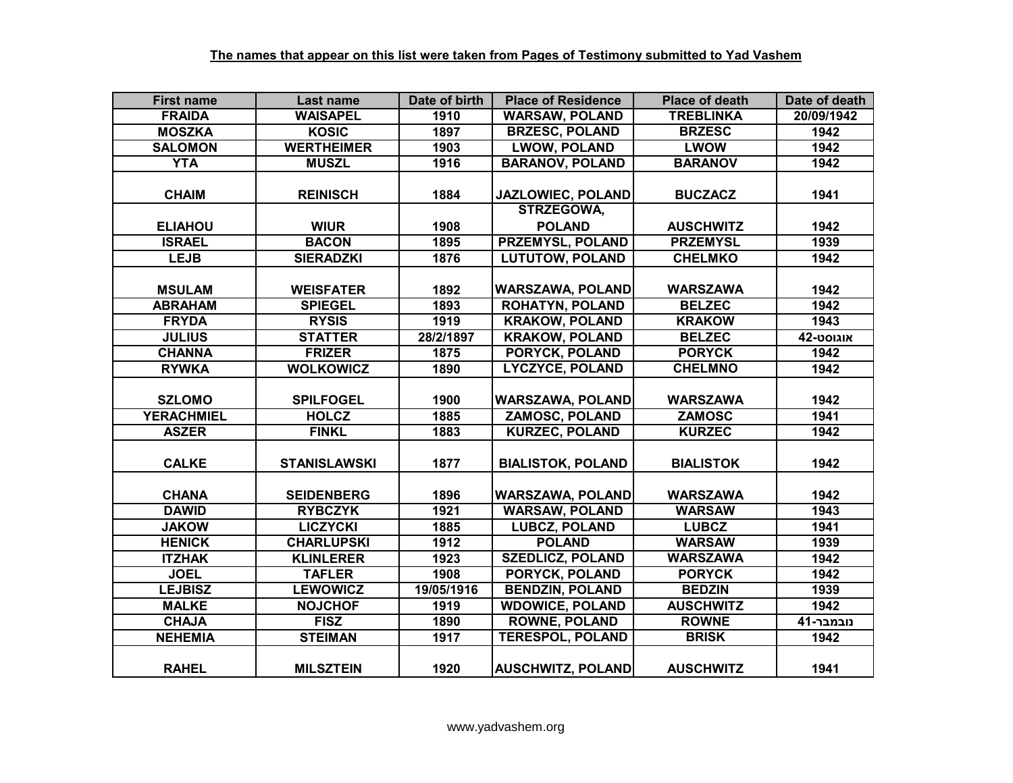| <b>First name</b> | Last name           | Date of birth | <b>Place of Residence</b> | <b>Place of death</b> | Date of death |
|-------------------|---------------------|---------------|---------------------------|-----------------------|---------------|
| <b>FRAIDA</b>     | <b>WAISAPEL</b>     | 1910          | <b>WARSAW, POLAND</b>     | <b>TREBLINKA</b>      | 20/09/1942    |
| <b>MOSZKA</b>     | <b>KOSIC</b>        | 1897          | <b>BRZESC, POLAND</b>     | <b>BRZESC</b>         | 1942          |
| <b>SALOMON</b>    | <b>WERTHEIMER</b>   | 1903          | <b>LWOW, POLAND</b>       | <b>LWOW</b>           | 1942          |
| <b>YTA</b>        | <b>MUSZL</b>        | 1916          | <b>BARANOV, POLAND</b>    | <b>BARANOV</b>        | 1942          |
|                   |                     |               |                           |                       |               |
| <b>CHAIM</b>      | <b>REINISCH</b>     | 1884          | JAZLOWIEC, POLAND         | <b>BUCZACZ</b>        | 1941          |
|                   |                     |               | <b>STRZEGOWA,</b>         |                       |               |
| <b>ELIAHOU</b>    | <b>WIUR</b>         | 1908          | <b>POLAND</b>             | <b>AUSCHWITZ</b>      | 1942          |
| <b>ISRAEL</b>     | <b>BACON</b>        | 1895          | <b>PRZEMYSL, POLAND</b>   | <b>PRZEMYSL</b>       | 1939          |
| <b>LEJB</b>       | <b>SIERADZKI</b>    | 1876          | <b>LUTUTOW, POLAND</b>    | <b>CHELMKO</b>        | 1942          |
|                   |                     |               |                           |                       |               |
| <b>MSULAM</b>     | <b>WEISFATER</b>    | 1892          | <b>WARSZAWA, POLAND</b>   | <b>WARSZAWA</b>       | 1942          |
| <b>ABRAHAM</b>    | <b>SPIEGEL</b>      | 1893          | <b>ROHATYN, POLAND</b>    | <b>BELZEC</b>         | 1942          |
| <b>FRYDA</b>      | <b>RYSIS</b>        | 1919          | <b>KRAKOW, POLAND</b>     | <b>KRAKOW</b>         | 1943          |
| <b>JULIUS</b>     | <b>STATTER</b>      | 28/2/1897     | <b>KRAKOW, POLAND</b>     | <b>BELZEC</b>         | <b>42-טסט</b> |
| <b>CHANNA</b>     | <b>FRIZER</b>       | 1875          | PORYCK, POLAND            | <b>PORYCK</b>         | 1942          |
| <b>RYWKA</b>      | <b>WOLKOWICZ</b>    | 1890          | <b>LYCZYCE, POLAND</b>    | <b>CHELMNO</b>        | 1942          |
|                   |                     |               |                           |                       |               |
| <b>SZLOMO</b>     | <b>SPILFOGEL</b>    | 1900          | <b>WARSZAWA, POLAND</b>   | <b>WARSZAWA</b>       | 1942          |
| <b>YERACHMIEL</b> | <b>HOLCZ</b>        | 1885          | <b>ZAMOSC, POLAND</b>     | <b>ZAMOSC</b>         | 1941          |
| <b>ASZER</b>      | <b>FINKL</b>        | 1883          | <b>KURZEC, POLAND</b>     | <b>KURZEC</b>         | 1942          |
|                   |                     |               |                           |                       |               |
| <b>CALKE</b>      | <b>STANISLAWSKI</b> | 1877          | <b>BIALISTOK, POLAND</b>  | <b>BIALISTOK</b>      | 1942          |
|                   |                     |               |                           |                       |               |
| <b>CHANA</b>      | <b>SEIDENBERG</b>   | 1896          | <b>WARSZAWA, POLAND</b>   | <b>WARSZAWA</b>       | 1942          |
| <b>DAWID</b>      | <b>RYBCZYK</b>      | 1921          | <b>WARSAW, POLAND</b>     | <b>WARSAW</b>         | 1943          |
| <b>JAKOW</b>      | <b>LICZYCKI</b>     | 1885          | <b>LUBCZ, POLAND</b>      | <b>LUBCZ</b>          | 1941          |
| <b>HENICK</b>     | <b>CHARLUPSKI</b>   | 1912          | <b>POLAND</b>             | <b>WARSAW</b>         | 1939          |
| <b>ITZHAK</b>     | <b>KLINLERER</b>    | 1923          | <b>SZEDLICZ, POLAND</b>   | <b>WARSZAWA</b>       | 1942          |
| <b>JOEL</b>       | <b>TAFLER</b>       | 1908          | <b>PORYCK, POLAND</b>     | <b>PORYCK</b>         | 1942          |
| <b>LEJBISZ</b>    | <b>LEWOWICZ</b>     | 19/05/1916    | <b>BENDZIN, POLAND</b>    | <b>BEDZIN</b>         | 1939          |
| <b>MALKE</b>      | <b>NOJCHOF</b>      | 1919          | <b>WDOWICE, POLAND</b>    | <b>AUSCHWITZ</b>      | 1942          |
| <b>CHAJA</b>      | <b>FISZ</b>         | 1890          | <b>ROWNE, POLAND</b>      | <b>ROWNE</b>          | נובמבר-41     |
| <b>NEHEMIA</b>    | <b>STEIMAN</b>      | 1917          | <b>TERESPOL, POLAND</b>   | <b>BRISK</b>          | 1942          |
|                   |                     |               |                           |                       |               |
| <b>RAHEL</b>      | <b>MILSZTEIN</b>    | 1920          | <b>AUSCHWITZ, POLAND</b>  | <b>AUSCHWITZ</b>      | 1941          |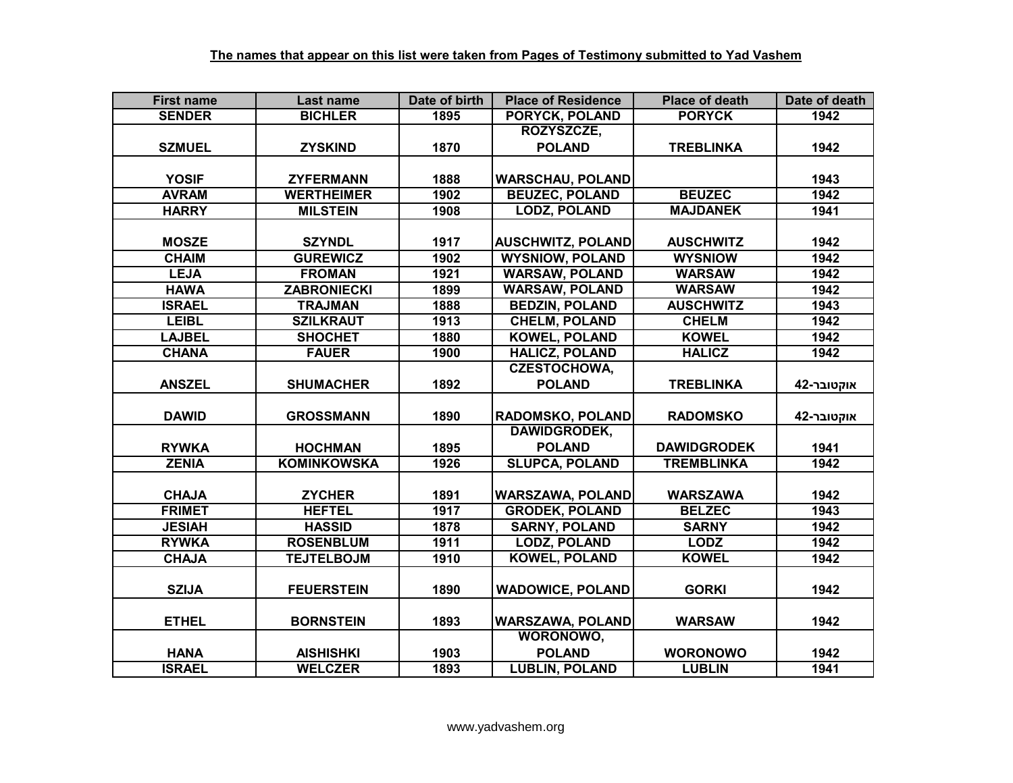| <b>First name</b> | Last name          | Date of birth | <b>Place of Residence</b> | <b>Place of death</b> | Date of death |
|-------------------|--------------------|---------------|---------------------------|-----------------------|---------------|
| <b>SENDER</b>     | <b>BICHLER</b>     | 1895          | <b>PORYCK, POLAND</b>     | <b>PORYCK</b>         | 1942          |
|                   |                    |               | ROZYSZCZE,                |                       |               |
| <b>SZMUEL</b>     | <b>ZYSKIND</b>     | 1870          | <b>POLAND</b>             | <b>TREBLINKA</b>      | 1942          |
|                   |                    |               |                           |                       |               |
| <b>YOSIF</b>      | <b>ZYFERMANN</b>   | 1888          | <b>WARSCHAU, POLAND</b>   |                       | 1943          |
| <b>AVRAM</b>      | <b>WERTHEIMER</b>  | 1902          | <b>BEUZEC, POLAND</b>     | <b>BEUZEC</b>         | 1942          |
| <b>HARRY</b>      | <b>MILSTEIN</b>    | 1908          | <b>LODZ, POLAND</b>       | <b>MAJDANEK</b>       | 1941          |
|                   |                    |               |                           |                       |               |
| <b>MOSZE</b>      | <b>SZYNDL</b>      | 1917          | <b>AUSCHWITZ, POLAND</b>  | <b>AUSCHWITZ</b>      | 1942          |
| <b>CHAIM</b>      | <b>GUREWICZ</b>    | 1902          | <b>WYSNIOW, POLAND</b>    | <b>WYSNIOW</b>        | 1942          |
| <b>LEJA</b>       | <b>FROMAN</b>      | 1921          | <b>WARSAW, POLAND</b>     | <b>WARSAW</b>         | 1942          |
| <b>HAWA</b>       | <b>ZABRONIECKI</b> | 1899          | <b>WARSAW, POLAND</b>     | <b>WARSAW</b>         | 1942          |
| <b>ISRAEL</b>     | <b>TRAJMAN</b>     | 1888          | <b>BEDZIN, POLAND</b>     | <b>AUSCHWITZ</b>      | 1943          |
| <b>LEIBL</b>      | <b>SZILKRAUT</b>   | 1913          | <b>CHELM, POLAND</b>      | <b>CHELM</b>          | 1942          |
| <b>LAJBEL</b>     | <b>SHOCHET</b>     | 1880          | <b>KOWEL, POLAND</b>      | <b>KOWEL</b>          | 1942          |
| <b>CHANA</b>      | <b>FAUER</b>       | 1900          | <b>HALICZ, POLAND</b>     | <b>HALICZ</b>         | 1942          |
|                   |                    |               | <b>CZESTOCHOWA,</b>       |                       |               |
| <b>ANSZEL</b>     | <b>SHUMACHER</b>   | 1892          | <b>POLAND</b>             | <b>TREBLINKA</b>      | אוקטובר-42    |
|                   |                    |               |                           |                       |               |
| <b>DAWID</b>      | <b>GROSSMANN</b>   | 1890          | <b>RADOMSKO, POLAND</b>   | <b>RADOMSKO</b>       | אוקטובר-42    |
|                   |                    |               | <b>DAWIDGRODEK,</b>       |                       |               |
| <b>RYWKA</b>      | <b>HOCHMAN</b>     | 1895          | <b>POLAND</b>             | <b>DAWIDGRODEK</b>    | 1941          |
| <b>ZENIA</b>      | <b>KOMINKOWSKA</b> | 1926          | <b>SLUPCA, POLAND</b>     | <b>TREMBLINKA</b>     | 1942          |
|                   |                    |               |                           |                       |               |
| <b>CHAJA</b>      | <b>ZYCHER</b>      | 1891          | <b>WARSZAWA, POLAND</b>   | <b>WARSZAWA</b>       | 1942          |
| <b>FRIMET</b>     | <b>HEFTEL</b>      | 1917          | <b>GRODEK, POLAND</b>     | <b>BELZEC</b>         | 1943          |
| <b>JESIAH</b>     | <b>HASSID</b>      | 1878          | <b>SARNY, POLAND</b>      | <b>SARNY</b>          | 1942          |
| <b>RYWKA</b>      | <b>ROSENBLUM</b>   | 1911          | <b>LODZ, POLAND</b>       | <b>LODZ</b>           | 1942          |
| <b>CHAJA</b>      | <b>TEJTELBOJM</b>  | 1910          | <b>KOWEL, POLAND</b>      | <b>KOWEL</b>          | 1942          |
|                   |                    |               |                           |                       |               |
| <b>SZIJA</b>      | <b>FEUERSTEIN</b>  | 1890          | <b>WADOWICE, POLAND</b>   | <b>GORKI</b>          | 1942          |
|                   |                    |               |                           |                       |               |
| <b>ETHEL</b>      | <b>BORNSTEIN</b>   | 1893          | <b>WARSZAWA, POLAND</b>   | <b>WARSAW</b>         | 1942          |
|                   |                    |               | WORONOWO,                 |                       |               |
| <b>HANA</b>       | <b>AISHISHKI</b>   | 1903          | <b>POLAND</b>             | <b>WORONOWO</b>       | 1942          |
| <b>ISRAEL</b>     | <b>WELCZER</b>     | 1893          | <b>LUBLIN, POLAND</b>     | <b>LUBLIN</b>         | 1941          |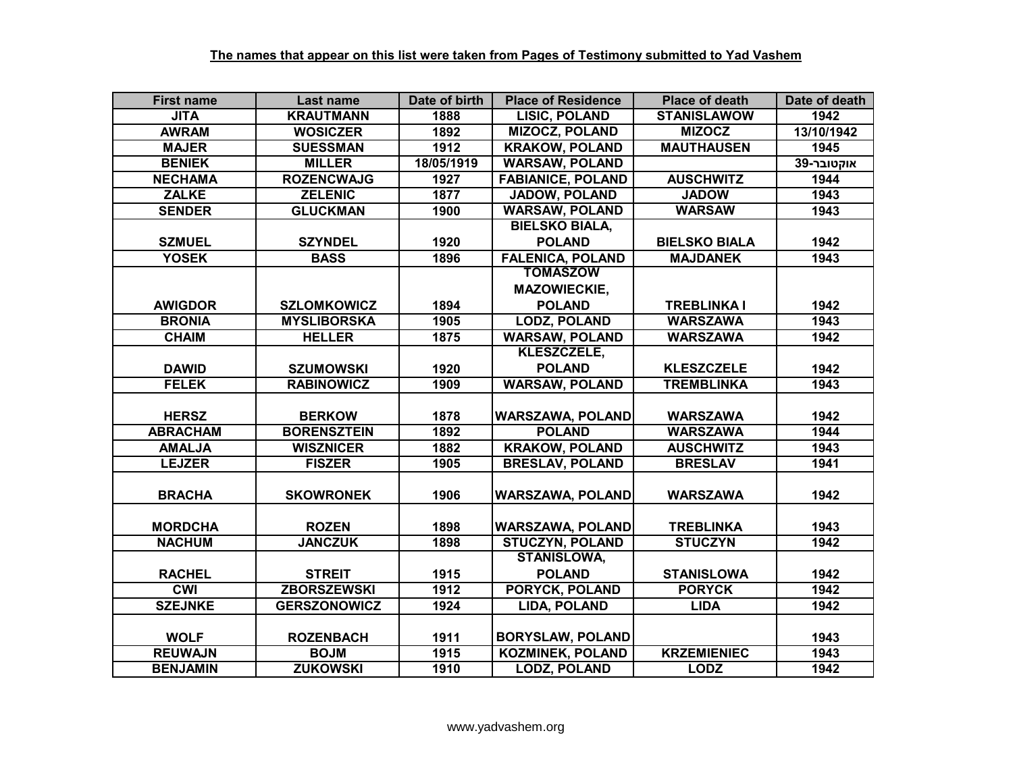| <b>First name</b> | Last name           | Date of birth | <b>Place of Residence</b> | <b>Place of death</b> | Date of death |
|-------------------|---------------------|---------------|---------------------------|-----------------------|---------------|
| <b>JITA</b>       | <b>KRAUTMANN</b>    | 1888          | <b>LISIC, POLAND</b>      | <b>STANISLAWOW</b>    | 1942          |
| <b>AWRAM</b>      | <b>WOSICZER</b>     | 1892          | <b>MIZOCZ, POLAND</b>     | <b>MIZOCZ</b>         | 13/10/1942    |
| <b>MAJER</b>      | <b>SUESSMAN</b>     | 1912          | <b>KRAKOW, POLAND</b>     | <b>MAUTHAUSEN</b>     | 1945          |
| <b>BENIEK</b>     | <b>MILLER</b>       | 18/05/1919    | <b>WARSAW, POLAND</b>     |                       | אוקטובר-39    |
| <b>NECHAMA</b>    | <b>ROZENCWAJG</b>   | 1927          | <b>FABIANICE, POLAND</b>  | <b>AUSCHWITZ</b>      | 1944          |
| <b>ZALKE</b>      | <b>ZELENIC</b>      | 1877          | <b>JADOW, POLAND</b>      | <b>JADOW</b>          | 1943          |
| <b>SENDER</b>     | <b>GLUCKMAN</b>     | 1900          | <b>WARSAW, POLAND</b>     | <b>WARSAW</b>         | 1943          |
|                   |                     |               | <b>BIELSKO BIALA,</b>     |                       |               |
| <b>SZMUEL</b>     | <b>SZYNDEL</b>      | 1920          | <b>POLAND</b>             | <b>BIELSKO BIALA</b>  | 1942          |
| <b>YOSEK</b>      | <b>BASS</b>         | 1896          | <b>FALENICA, POLAND</b>   | <b>MAJDANEK</b>       | 1943          |
|                   |                     |               | <b>TOMASZOW</b>           |                       |               |
|                   |                     |               | <b>MAZOWIECKIE,</b>       |                       |               |
| <b>AWIGDOR</b>    | <b>SZLOMKOWICZ</b>  | 1894          | <b>POLAND</b>             | <b>TREBLINKA I</b>    | 1942          |
| <b>BRONIA</b>     | <b>MYSLIBORSKA</b>  | 1905          | <b>LODZ, POLAND</b>       | <b>WARSZAWA</b>       | 1943          |
| <b>CHAIM</b>      | <b>HELLER</b>       | 1875          | <b>WARSAW, POLAND</b>     | <b>WARSZAWA</b>       | 1942          |
|                   |                     |               | KLESZCZELE,               |                       |               |
| <b>DAWID</b>      | <b>SZUMOWSKI</b>    | 1920          | <b>POLAND</b>             | <b>KLESZCZELE</b>     | 1942          |
| <b>FELEK</b>      | <b>RABINOWICZ</b>   | 1909          | <b>WARSAW, POLAND</b>     | <b>TREMBLINKA</b>     | 1943          |
|                   |                     |               |                           |                       |               |
| <b>HERSZ</b>      | <b>BERKOW</b>       | 1878          | <b>WARSZAWA, POLAND</b>   | <b>WARSZAWA</b>       | 1942          |
| <b>ABRACHAM</b>   | <b>BORENSZTEIN</b>  | 1892          | <b>POLAND</b>             | <b>WARSZAWA</b>       | 1944          |
| <b>AMALJA</b>     | <b>WISZNICER</b>    | 1882          | <b>KRAKOW, POLAND</b>     | <b>AUSCHWITZ</b>      | 1943          |
| <b>LEJZER</b>     | <b>FISZER</b>       | 1905          | <b>BRESLAV, POLAND</b>    | <b>BRESLAV</b>        | 1941          |
|                   |                     |               |                           |                       |               |
| <b>BRACHA</b>     | <b>SKOWRONEK</b>    | 1906          | <b>WARSZAWA, POLAND</b>   | <b>WARSZAWA</b>       | 1942          |
|                   |                     |               |                           |                       |               |
| <b>MORDCHA</b>    | <b>ROZEN</b>        | 1898          | <b>WARSZAWA, POLAND</b>   | <b>TREBLINKA</b>      | 1943          |
| <b>NACHUM</b>     | <b>JANCZUK</b>      | 1898          | <b>STUCZYN, POLAND</b>    | <b>STUCZYN</b>        | 1942          |
|                   |                     |               | <b>STANISLOWA,</b>        |                       |               |
| <b>RACHEL</b>     | <b>STREIT</b>       | 1915          | <b>POLAND</b>             | <b>STANISLOWA</b>     | 1942          |
| <b>CWI</b>        | <b>ZBORSZEWSKI</b>  | 1912          | <b>PORYCK, POLAND</b>     | <b>PORYCK</b>         | 1942          |
| <b>SZEJNKE</b>    | <b>GERSZONOWICZ</b> | 1924          | LIDA, POLAND              | <b>LIDA</b>           | 1942          |
|                   |                     |               |                           |                       |               |
| <b>WOLF</b>       | <b>ROZENBACH</b>    | 1911          | <b>BORYSLAW, POLAND</b>   |                       | 1943          |
| <b>REUWAJN</b>    | <b>BOJM</b>         | 1915          | <b>KOZMINEK, POLAND</b>   | <b>KRZEMIENIEC</b>    | 1943          |
| <b>BENJAMIN</b>   | <b>ZUKOWSKI</b>     | 1910          | <b>LODZ, POLAND</b>       | <b>LODZ</b>           | 1942          |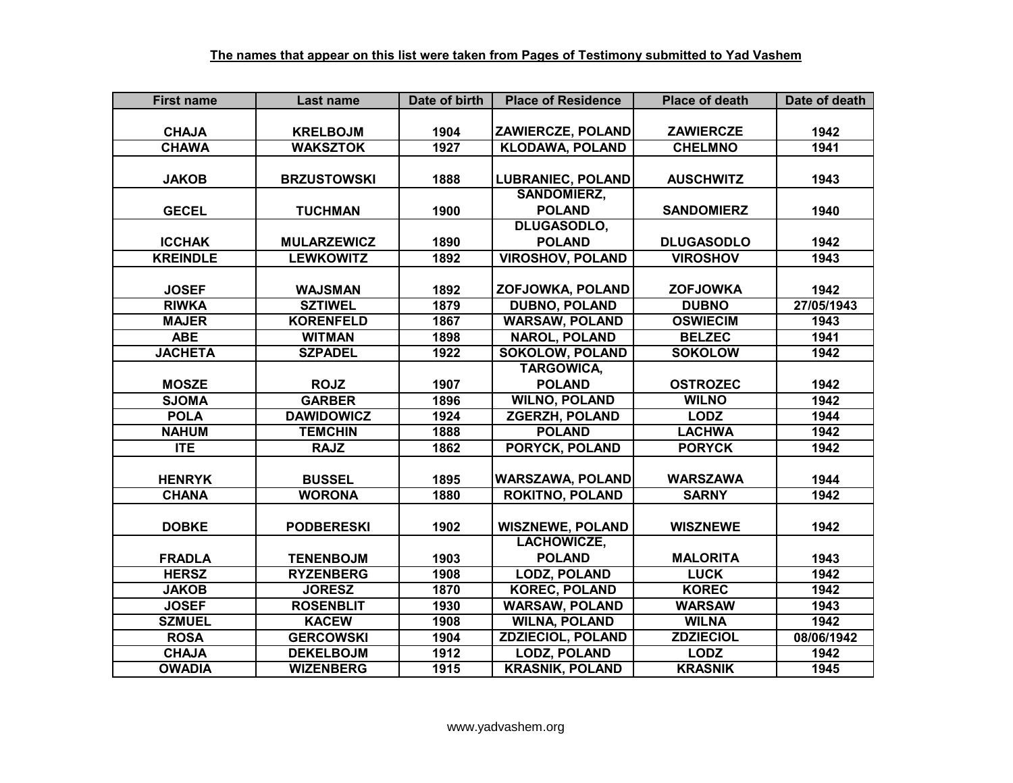| <b>First name</b> | Last name          | Date of birth | <b>Place of Residence</b> | <b>Place of death</b> | Date of death |
|-------------------|--------------------|---------------|---------------------------|-----------------------|---------------|
|                   |                    |               |                           |                       |               |
| <b>CHAJA</b>      | <b>KRELBOJM</b>    | 1904          | ZAWIERCZE, POLAND         | <b>ZAWIERCZE</b>      | 1942          |
| <b>CHAWA</b>      | <b>WAKSZTOK</b>    | 1927          | <b>KLODAWA, POLAND</b>    | <b>CHELMNO</b>        | 1941          |
|                   |                    |               |                           |                       |               |
| <b>JAKOB</b>      | <b>BRZUSTOWSKI</b> | 1888          | <b>LUBRANIEC, POLAND</b>  | <b>AUSCHWITZ</b>      | 1943          |
|                   |                    |               | <b>SANDOMIERZ,</b>        |                       |               |
| <b>GECEL</b>      | <b>TUCHMAN</b>     | 1900          | <b>POLAND</b>             | <b>SANDOMIERZ</b>     | 1940          |
|                   |                    |               | DLUGASODLO,               |                       |               |
| <b>ICCHAK</b>     | <b>MULARZEWICZ</b> | 1890          | <b>POLAND</b>             | <b>DLUGASODLO</b>     | 1942          |
| <b>KREINDLE</b>   | <b>LEWKOWITZ</b>   | 1892          | <b>VIROSHOV, POLAND</b>   | <b>VIROSHOV</b>       | 1943          |
|                   |                    |               |                           |                       |               |
| <b>JOSEF</b>      | <b>WAJSMAN</b>     | 1892          | ZOFJOWKA, POLAND          | <b>ZOFJOWKA</b>       | 1942          |
| <b>RIWKA</b>      | <b>SZTIWEL</b>     | 1879          | <b>DUBNO, POLAND</b>      | <b>DUBNO</b>          | 27/05/1943    |
| <b>MAJER</b>      | <b>KORENFELD</b>   | 1867          | <b>WARSAW, POLAND</b>     | <b>OSWIECIM</b>       | 1943          |
| <b>ABE</b>        | <b>WITMAN</b>      | 1898          | <b>NAROL, POLAND</b>      | <b>BELZEC</b>         | 1941          |
| <b>JACHETA</b>    | <b>SZPADEL</b>     | 1922          | <b>SOKOLOW, POLAND</b>    | <b>SOKOLOW</b>        | 1942          |
|                   |                    |               | <b>TARGOWICA,</b>         |                       |               |
| <b>MOSZE</b>      | <b>ROJZ</b>        | 1907          | <b>POLAND</b>             | <b>OSTROZEC</b>       | 1942          |
| <b>SJOMA</b>      | <b>GARBER</b>      | 1896          | <b>WILNO, POLAND</b>      | <b>WILNO</b>          | 1942          |
| <b>POLA</b>       | <b>DAWIDOWICZ</b>  | 1924          | <b>ZGERZH, POLAND</b>     | <b>LODZ</b>           | 1944          |
| <b>NAHUM</b>      | <b>TEMCHIN</b>     | 1888          | <b>POLAND</b>             | <b>LACHWA</b>         | 1942          |
| $\Pi$ E           | <b>RAJZ</b>        | 1862          | <b>PORYCK, POLAND</b>     | <b>PORYCK</b>         | 1942          |
|                   |                    |               |                           |                       |               |
| <b>HENRYK</b>     | <b>BUSSEL</b>      | 1895          | <b>WARSZAWA, POLAND</b>   | <b>WARSZAWA</b>       | 1944          |
| <b>CHANA</b>      | <b>WORONA</b>      | 1880          | <b>ROKITNO, POLAND</b>    | <b>SARNY</b>          | 1942          |
|                   |                    |               |                           |                       |               |
| <b>DOBKE</b>      | <b>PODBERESKI</b>  | 1902          | <b>WISZNEWE, POLAND</b>   | <b>WISZNEWE</b>       | 1942          |
|                   |                    |               | LACHOWICZE,               |                       |               |
| <b>FRADLA</b>     | <b>TENENBOJM</b>   | 1903          | <b>POLAND</b>             | <b>MALORITA</b>       | 1943          |
| <b>HERSZ</b>      | <b>RYZENBERG</b>   | 1908          | <b>LODZ, POLAND</b>       | <b>LUCK</b>           | 1942          |
| <b>JAKOB</b>      | <b>JORESZ</b>      | 1870          | <b>KOREC, POLAND</b>      | <b>KOREC</b>          | 1942          |
| <b>JOSEF</b>      | <b>ROSENBLIT</b>   | 1930          | <b>WARSAW, POLAND</b>     | <b>WARSAW</b>         | 1943          |
| <b>SZMUEL</b>     | <b>KACEW</b>       | 1908          | <b>WILNA, POLAND</b>      | <b>WILNA</b>          | 1942          |
| <b>ROSA</b>       | <b>GERCOWSKI</b>   | 1904          | ZDZIECIOL, POLAND         | <b>ZDZIECIOL</b>      | 08/06/1942    |
| <b>CHAJA</b>      | <b>DEKELBOJM</b>   | 1912          | <b>LODZ, POLAND</b>       | <b>LODZ</b>           | 1942          |
| <b>OWADIA</b>     | <b>WIZENBERG</b>   | 1915          | <b>KRASNIK, POLAND</b>    | <b>KRASNIK</b>        | 1945          |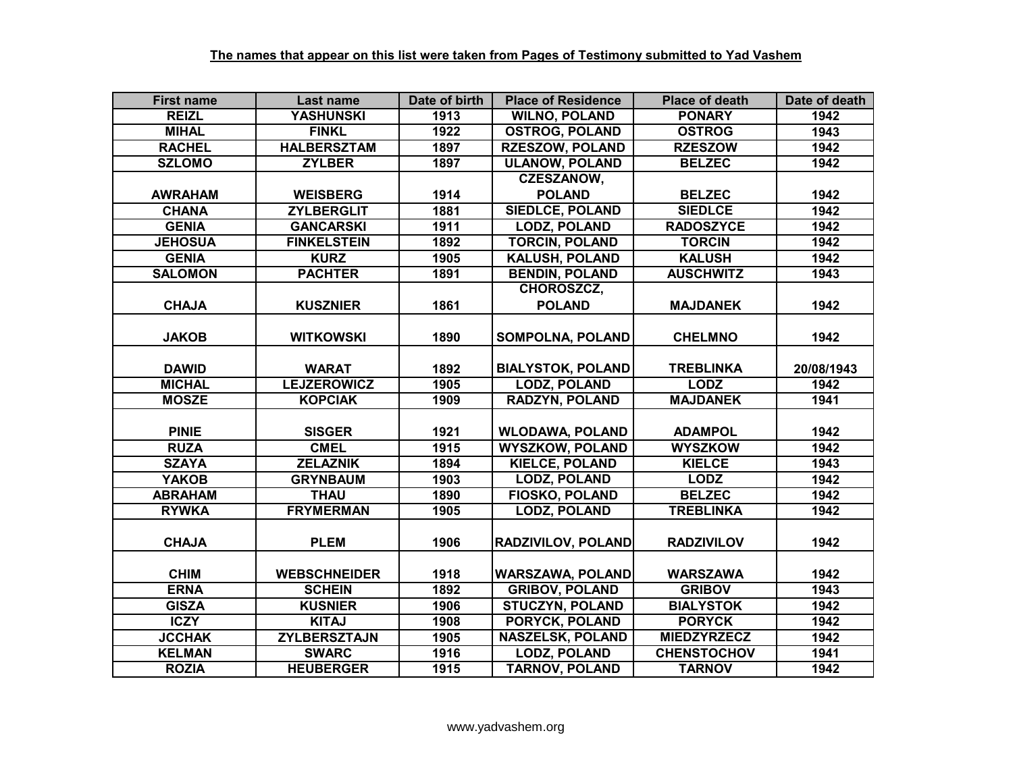| <b>First name</b> | Last name           | Date of birth | <b>Place of Residence</b> | <b>Place of death</b> | Date of death |
|-------------------|---------------------|---------------|---------------------------|-----------------------|---------------|
| <b>REIZL</b>      | <b>YASHUNSKI</b>    | 1913          | <b>WILNO, POLAND</b>      | <b>PONARY</b>         | 1942          |
| <b>MIHAL</b>      | <b>FINKL</b>        | 1922          | <b>OSTROG, POLAND</b>     | <b>OSTROG</b>         | 1943          |
| <b>RACHEL</b>     | <b>HALBERSZTAM</b>  | 1897          | <b>RZESZOW, POLAND</b>    | <b>RZESZOW</b>        | 1942          |
| <b>SZLOMO</b>     | <b>ZYLBER</b>       | 1897          | <b>ULANOW, POLAND</b>     | <b>BELZEC</b>         | 1942          |
|                   |                     |               | <b>CZESZANOW,</b>         |                       |               |
| <b>AWRAHAM</b>    | <b>WEISBERG</b>     | 1914          | <b>POLAND</b>             | <b>BELZEC</b>         | 1942          |
| <b>CHANA</b>      | <b>ZYLBERGLIT</b>   | 1881          | <b>SIEDLCE, POLAND</b>    | <b>SIEDLCE</b>        | 1942          |
| <b>GENIA</b>      | <b>GANCARSKI</b>    | 1911          | <b>LODZ, POLAND</b>       | <b>RADOSZYCE</b>      | 1942          |
| <b>JEHOSUA</b>    | <b>FINKELSTEIN</b>  | 1892          | <b>TORCIN, POLAND</b>     | <b>TORCIN</b>         | 1942          |
| <b>GENIA</b>      | <b>KURZ</b>         | 1905          | <b>KALUSH, POLAND</b>     | <b>KALUSH</b>         | 1942          |
| <b>SALOMON</b>    | <b>PACHTER</b>      | 1891          | <b>BENDIN, POLAND</b>     | <b>AUSCHWITZ</b>      | 1943          |
|                   |                     |               | CHOROSZCZ,                |                       |               |
| <b>CHAJA</b>      | <b>KUSZNIER</b>     | 1861          | <b>POLAND</b>             | <b>MAJDANEK</b>       | 1942          |
|                   |                     |               |                           |                       |               |
| <b>JAKOB</b>      | <b>WITKOWSKI</b>    | 1890          | <b>SOMPOLNA, POLAND</b>   | <b>CHELMNO</b>        | 1942          |
|                   |                     |               |                           |                       |               |
| <b>DAWID</b>      | <b>WARAT</b>        | 1892          | <b>BIALYSTOK, POLAND</b>  | <b>TREBLINKA</b>      | 20/08/1943    |
| <b>MICHAL</b>     | <b>LEJZEROWICZ</b>  | 1905          | <b>LODZ, POLAND</b>       | <b>LODZ</b>           | 1942          |
| <b>MOSZE</b>      | <b>KOPCIAK</b>      | 1909          | <b>RADZYN, POLAND</b>     | <b>MAJDANEK</b>       | 1941          |
|                   |                     |               |                           |                       |               |
| <b>PINIE</b>      | <b>SISGER</b>       | 1921          | <b>WLODAWA, POLAND</b>    | <b>ADAMPOL</b>        | 1942          |
| <b>RUZA</b>       | <b>CMEL</b>         | 1915          | <b>WYSZKOW, POLAND</b>    | <b>WYSZKOW</b>        | 1942          |
| <b>SZAYA</b>      | <b>ZELAZNIK</b>     | 1894          | <b>KIELCE, POLAND</b>     | <b>KIELCE</b>         | 1943          |
| <b>YAKOB</b>      | <b>GRYNBAUM</b>     | 1903          | <b>LODZ, POLAND</b>       | <b>LODZ</b>           | 1942          |
| <b>ABRAHAM</b>    | <b>THAU</b>         | 1890          | <b>FIOSKO, POLAND</b>     | <b>BELZEC</b>         | 1942          |
| <b>RYWKA</b>      | <b>FRYMERMAN</b>    | 1905          | <b>LODZ, POLAND</b>       | <b>TREBLINKA</b>      | 1942          |
|                   |                     |               |                           |                       |               |
| <b>CHAJA</b>      | <b>PLEM</b>         | 1906          | RADZIVILOV, POLAND        | <b>RADZIVILOV</b>     | 1942          |
|                   |                     |               |                           |                       |               |
| <b>CHIM</b>       | <b>WEBSCHNEIDER</b> | 1918          | <b>WARSZAWA, POLAND</b>   | <b>WARSZAWA</b>       | 1942          |
| <b>ERNA</b>       | <b>SCHEIN</b>       | 1892          | <b>GRIBOV, POLAND</b>     | <b>GRIBOV</b>         | 1943          |
| <b>GISZA</b>      | <b>KUSNIER</b>      | 1906          | <b>STUCZYN, POLAND</b>    | <b>BIALYSTOK</b>      | 1942          |
| <b>ICZY</b>       | <b>KITAJ</b>        | 1908          | PORYCK, POLAND            | <b>PORYCK</b>         | 1942          |
| <b>JCCHAK</b>     | <b>ZYLBERSZTAJN</b> | 1905          | <b>NASZELSK, POLAND</b>   | <b>MIEDZYRZECZ</b>    | 1942          |
| <b>KELMAN</b>     | <b>SWARC</b>        | 1916          | <b>LODZ, POLAND</b>       | <b>CHENSTOCHOV</b>    | 1941          |
| <b>ROZIA</b>      | <b>HEUBERGER</b>    | 1915          | <b>TARNOV, POLAND</b>     | <b>TARNOV</b>         | 1942          |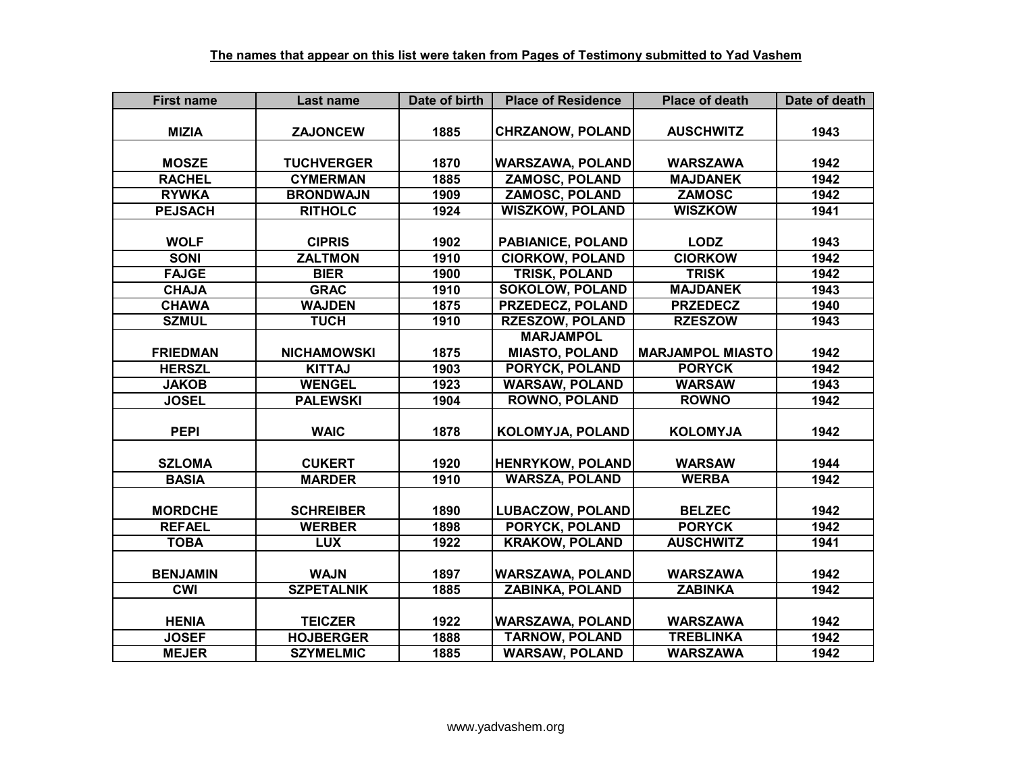| <b>First name</b> | Last name          | Date of birth | <b>Place of Residence</b> | <b>Place of death</b>   | Date of death |
|-------------------|--------------------|---------------|---------------------------|-------------------------|---------------|
|                   |                    |               |                           |                         |               |
| <b>MIZIA</b>      | <b>ZAJONCEW</b>    | 1885          | <b>CHRZANOW, POLAND</b>   | <b>AUSCHWITZ</b>        | 1943          |
|                   |                    |               |                           |                         |               |
| <b>MOSZE</b>      | <b>TUCHVERGER</b>  | 1870          | <b>WARSZAWA, POLAND</b>   | <b>WARSZAWA</b>         | 1942          |
| <b>RACHEL</b>     | <b>CYMERMAN</b>    | 1885          | <b>ZAMOSC, POLAND</b>     | <b>MAJDANEK</b>         | 1942          |
| <b>RYWKA</b>      | <b>BRONDWAJN</b>   | 1909          | <b>ZAMOSC, POLAND</b>     | <b>ZAMOSC</b>           | 1942          |
| <b>PEJSACH</b>    | <b>RITHOLC</b>     | 1924          | <b>WISZKOW, POLAND</b>    | <b>WISZKOW</b>          | 1941          |
|                   |                    |               |                           |                         |               |
| <b>WOLF</b>       | <b>CIPRIS</b>      | 1902          | <b>PABIANICE, POLAND</b>  | <b>LODZ</b>             | 1943          |
| <b>SONI</b>       | <b>ZALTMON</b>     | 1910          | <b>CIORKOW, POLAND</b>    | <b>CIORKOW</b>          | 1942          |
| <b>FAJGE</b>      | <b>BIER</b>        | 1900          | <b>TRISK, POLAND</b>      | <b>TRISK</b>            | 1942          |
| <b>CHAJA</b>      | <b>GRAC</b>        | 1910          | <b>SOKOLOW, POLAND</b>    | <b>MAJDANEK</b>         | 1943          |
| <b>CHAWA</b>      | <b>WAJDEN</b>      | 1875          | PRZEDECZ, POLAND          | <b>PRZEDECZ</b>         | 1940          |
| <b>SZMUL</b>      | <b>TUCH</b>        | 1910          | <b>RZESZOW, POLAND</b>    | <b>RZESZOW</b>          | 1943          |
|                   |                    |               | <b>MARJAMPOL</b>          |                         |               |
| <b>FRIEDMAN</b>   | <b>NICHAMOWSKI</b> | 1875          | <b>MIASTO, POLAND</b>     | <b>MARJAMPOL MIASTO</b> | 1942          |
| <b>HERSZL</b>     | <b>KITTAJ</b>      | 1903          | PORYCK, POLAND            | <b>PORYCK</b>           | 1942          |
| <b>JAKOB</b>      | <b>WENGEL</b>      | 1923          | <b>WARSAW, POLAND</b>     | <b>WARSAW</b>           | 1943          |
| <b>JOSEL</b>      | <b>PALEWSKI</b>    | 1904          | <b>ROWNO, POLAND</b>      | <b>ROWNO</b>            | 1942          |
|                   |                    |               |                           |                         |               |
| <b>PEPI</b>       | <b>WAIC</b>        | 1878          | KOLOMYJA, POLAND          | <b>KOLOMYJA</b>         | 1942          |
|                   |                    |               |                           |                         |               |
| <b>SZLOMA</b>     | <b>CUKERT</b>      | 1920          | <b>HENRYKOW, POLAND</b>   | <b>WARSAW</b>           | 1944          |
| <b>BASIA</b>      | <b>MARDER</b>      | 1910          | <b>WARSZA, POLAND</b>     | <b>WERBA</b>            | 1942          |
|                   |                    |               |                           |                         |               |
| <b>MORDCHE</b>    | <b>SCHREIBER</b>   | 1890          | <b>LUBACZOW, POLAND</b>   | <b>BELZEC</b>           | 1942          |
| <b>REFAEL</b>     | <b>WERBER</b>      | 1898          | <b>PORYCK, POLAND</b>     | <b>PORYCK</b>           | 1942          |
| <b>TOBA</b>       | <b>LUX</b>         | 1922          | <b>KRAKOW, POLAND</b>     | <b>AUSCHWITZ</b>        | 1941          |
|                   |                    |               |                           |                         |               |
| <b>BENJAMIN</b>   | <b>WAJN</b>        | 1897          | <b>WARSZAWA, POLAND</b>   | <b>WARSZAWA</b>         | 1942          |
| CWI               | <b>SZPETALNIK</b>  | 1885          | <b>ZABINKA, POLAND</b>    | <b>ZABINKA</b>          | 1942          |
|                   |                    |               |                           |                         |               |
| <b>HENIA</b>      | <b>TEICZER</b>     | 1922          | <b>WARSZAWA, POLAND</b>   | <b>WARSZAWA</b>         | 1942          |
| <b>JOSEF</b>      | <b>HOJBERGER</b>   | 1888          | <b>TARNOW, POLAND</b>     | <b>TREBLINKA</b>        | 1942          |
| <b>MEJER</b>      | <b>SZYMELMIC</b>   | 1885          | <b>WARSAW, POLAND</b>     | <b>WARSZAWA</b>         | 1942          |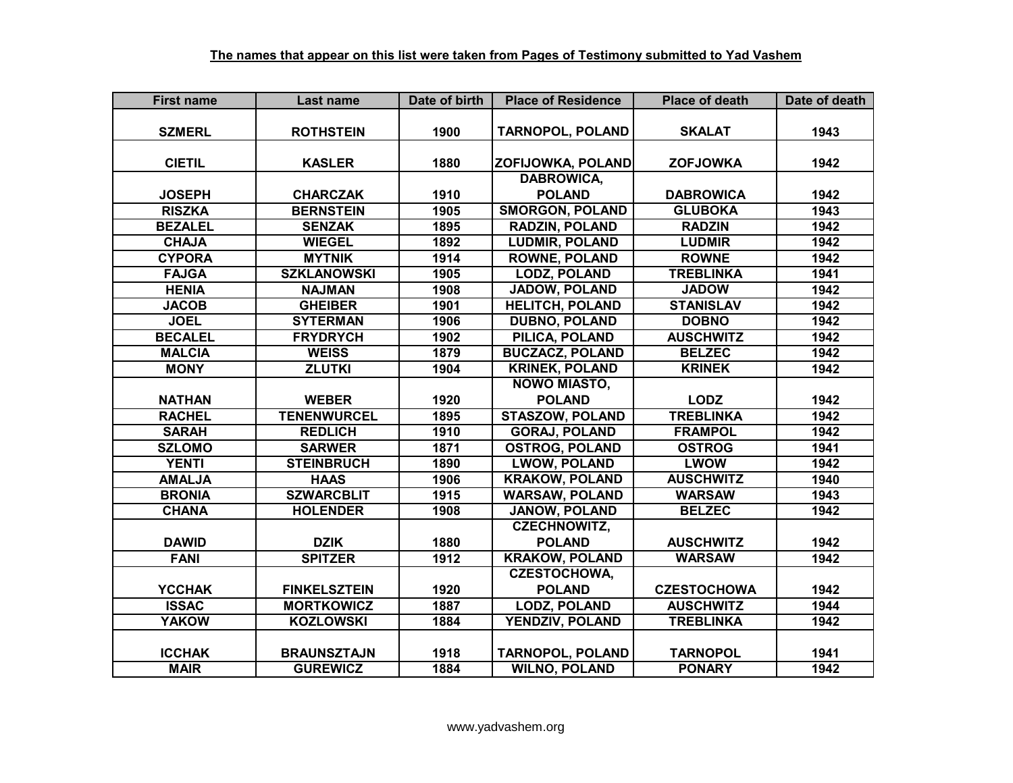| <b>First name</b> | Last name           | Date of birth | <b>Place of Residence</b> | <b>Place of death</b> | Date of death |
|-------------------|---------------------|---------------|---------------------------|-----------------------|---------------|
|                   |                     |               |                           |                       |               |
| <b>SZMERL</b>     | <b>ROTHSTEIN</b>    | 1900          | <b>TARNOPOL, POLAND</b>   | <b>SKALAT</b>         | 1943          |
|                   |                     |               |                           |                       |               |
| <b>CIETIL</b>     | <b>KASLER</b>       | 1880          | ZOFIJOWKA, POLAND         | <b>ZOFJOWKA</b>       | 1942          |
|                   |                     |               | <b>DABROWICA,</b>         |                       |               |
| <b>JOSEPH</b>     | <b>CHARCZAK</b>     | 1910          | <b>POLAND</b>             | <b>DABROWICA</b>      | 1942          |
| <b>RISZKA</b>     | <b>BERNSTEIN</b>    | 1905          | <b>SMORGON, POLAND</b>    | <b>GLUBOKA</b>        | 1943          |
| <b>BEZALEL</b>    | <b>SENZAK</b>       | 1895          | RADZIN, POLAND            | <b>RADZIN</b>         | 1942          |
| <b>CHAJA</b>      | <b>WIEGEL</b>       | 1892          | <b>LUDMIR, POLAND</b>     | <b>LUDMIR</b>         | 1942          |
| <b>CYPORA</b>     | <b>MYTNIK</b>       | 1914          | <b>ROWNE, POLAND</b>      | <b>ROWNE</b>          | 1942          |
| <b>FAJGA</b>      | <b>SZKLANOWSKI</b>  | 1905          | <b>LODZ, POLAND</b>       | <b>TREBLINKA</b>      | 1941          |
| <b>HENIA</b>      | <b>NAJMAN</b>       | 1908          | JADOW, POLAND             | <b>JADOW</b>          | 1942          |
| <b>JACOB</b>      | <b>GHEIBER</b>      | 1901          | <b>HELITCH, POLAND</b>    | <b>STANISLAV</b>      | 1942          |
| <b>JOEL</b>       | <b>SYTERMAN</b>     | 1906          | <b>DUBNO, POLAND</b>      | <b>DOBNO</b>          | 1942          |
| <b>BECALEL</b>    | <b>FRYDRYCH</b>     | 1902          | PILICA, POLAND            | <b>AUSCHWITZ</b>      | 1942          |
| <b>MALCIA</b>     | <b>WEISS</b>        | 1879          | <b>BUCZACZ, POLAND</b>    | <b>BELZEC</b>         | 1942          |
| <b>MONY</b>       | <b>ZLUTKI</b>       | 1904          | <b>KRINEK, POLAND</b>     | <b>KRINEK</b>         | 1942          |
|                   |                     |               | <b>NOWO MIASTO,</b>       |                       |               |
| <b>NATHAN</b>     | <b>WEBER</b>        | 1920          | <b>POLAND</b>             | <b>LODZ</b>           | 1942          |
| <b>RACHEL</b>     | <b>TENENWURCEL</b>  | 1895          | <b>STASZOW, POLAND</b>    | <b>TREBLINKA</b>      | 1942          |
| <b>SARAH</b>      | <b>REDLICH</b>      | 1910          | <b>GORAJ, POLAND</b>      | <b>FRAMPOL</b>        | 1942          |
| <b>SZLOMO</b>     | <b>SARWER</b>       | 1871          | <b>OSTROG, POLAND</b>     | <b>OSTROG</b>         | 1941          |
| <b>YENTI</b>      | <b>STEINBRUCH</b>   | 1890          | <b>LWOW, POLAND</b>       | <b>LWOW</b>           | 1942          |
| <b>AMALJA</b>     | <b>HAAS</b>         | 1906          | <b>KRAKOW, POLAND</b>     | <b>AUSCHWITZ</b>      | 1940          |
| <b>BRONIA</b>     | <b>SZWARCBLIT</b>   | 1915          | <b>WARSAW, POLAND</b>     | <b>WARSAW</b>         | 1943          |
| <b>CHANA</b>      | <b>HOLENDER</b>     | 1908          | <b>JANOW, POLAND</b>      | <b>BELZEC</b>         | 1942          |
|                   |                     |               | <b>CZECHNOWITZ,</b>       |                       |               |
| <b>DAWID</b>      | <b>DZIK</b>         | 1880          | <b>POLAND</b>             | <b>AUSCHWITZ</b>      | 1942          |
| <b>FANI</b>       | <b>SPITZER</b>      | 1912          | <b>KRAKOW, POLAND</b>     | <b>WARSAW</b>         | 1942          |
|                   |                     |               | <b>CZESTOCHOWA,</b>       |                       |               |
| <b>YCCHAK</b>     | <b>FINKELSZTEIN</b> | 1920          | <b>POLAND</b>             | <b>CZESTOCHOWA</b>    | 1942          |
| <b>ISSAC</b>      | <b>MORTKOWICZ</b>   | 1887          | <b>LODZ, POLAND</b>       | <b>AUSCHWITZ</b>      | 1944          |
| <b>YAKOW</b>      | <b>KOZLOWSKI</b>    | 1884          | YENDZIV, POLAND           | <b>TREBLINKA</b>      | 1942          |
|                   |                     |               |                           |                       |               |
| <b>ICCHAK</b>     | <b>BRAUNSZTAJN</b>  | 1918          | <b>TARNOPOL, POLAND</b>   | <b>TARNOPOL</b>       | 1941          |
| <b>MAIR</b>       | <b>GUREWICZ</b>     | 1884          | <b>WILNO, POLAND</b>      | <b>PONARY</b>         | 1942          |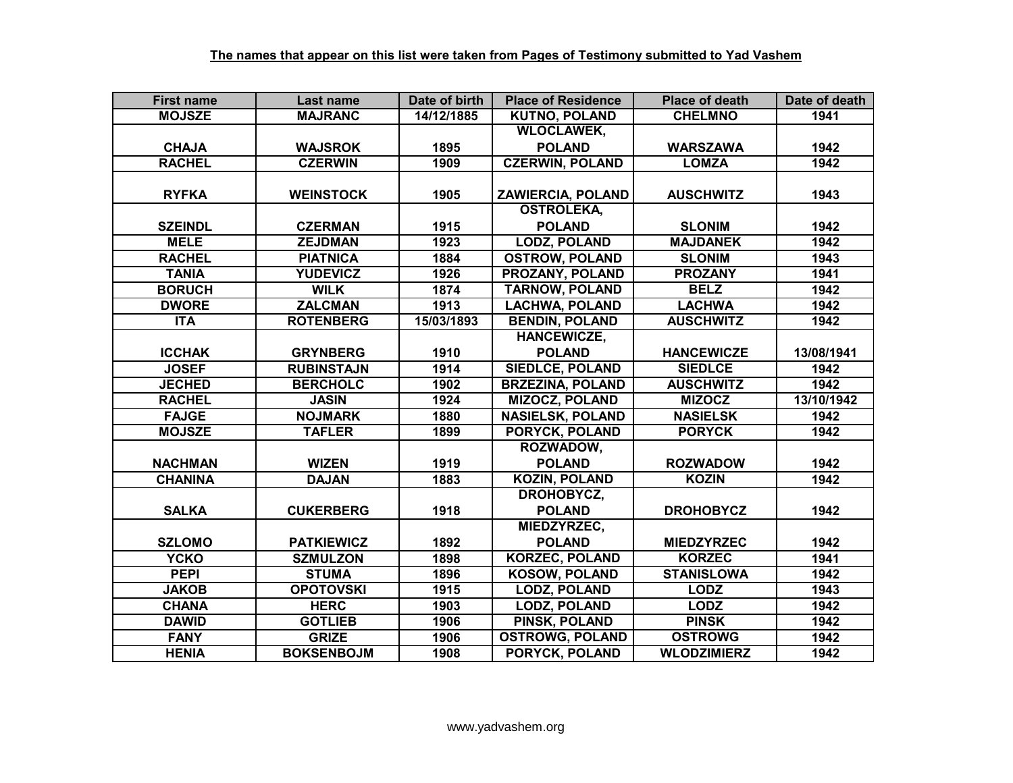| <b>First name</b> | Last name         | Date of birth | <b>Place of Residence</b> | <b>Place of death</b> | Date of death |
|-------------------|-------------------|---------------|---------------------------|-----------------------|---------------|
| <b>MOJSZE</b>     | <b>MAJRANC</b>    | 14/12/1885    | <b>KUTNO, POLAND</b>      | <b>CHELMNO</b>        | 1941          |
|                   |                   |               | <b>WLOCLAWEK,</b>         |                       |               |
| <b>CHAJA</b>      | <b>WAJSROK</b>    | 1895          | <b>POLAND</b>             | <b>WARSZAWA</b>       | 1942          |
| <b>RACHEL</b>     | <b>CZERWIN</b>    | 1909          | <b>CZERWIN, POLAND</b>    | <b>LOMZA</b>          | 1942          |
|                   |                   |               |                           |                       |               |
| <b>RYFKA</b>      | <b>WEINSTOCK</b>  | 1905          | <b>ZAWIERCIA, POLAND</b>  | <b>AUSCHWITZ</b>      | 1943          |
|                   |                   |               | <b>OSTROLEKA,</b>         |                       |               |
| <b>SZEINDL</b>    | <b>CZERMAN</b>    | 1915          | <b>POLAND</b>             | <b>SLONIM</b>         | 1942          |
| <b>MELE</b>       | <b>ZEJDMAN</b>    | 1923          | <b>LODZ, POLAND</b>       | <b>MAJDANEK</b>       | 1942          |
| <b>RACHEL</b>     | <b>PIATNICA</b>   | 1884          | <b>OSTROW, POLAND</b>     | <b>SLONIM</b>         | 1943          |
| <b>TANIA</b>      | <b>YUDEVICZ</b>   | 1926          | PROZANY, POLAND           | <b>PROZANY</b>        | 1941          |
| <b>BORUCH</b>     | <b>WILK</b>       | 1874          | <b>TARNOW, POLAND</b>     | <b>BELZ</b>           | 1942          |
| <b>DWORE</b>      | <b>ZALCMAN</b>    | 1913          | <b>LACHWA, POLAND</b>     | <b>LACHWA</b>         | 1942          |
| <b>ITA</b>        | <b>ROTENBERG</b>  | 15/03/1893    | <b>BENDIN, POLAND</b>     | <b>AUSCHWITZ</b>      | 1942          |
|                   |                   |               | <b>HANCEWICZE,</b>        |                       |               |
| <b>ICCHAK</b>     | <b>GRYNBERG</b>   | 1910          | <b>POLAND</b>             | <b>HANCEWICZE</b>     | 13/08/1941    |
| <b>JOSEF</b>      | <b>RUBINSTAJN</b> | 1914          | <b>SIEDLCE, POLAND</b>    | <b>SIEDLCE</b>        | 1942          |
| <b>JECHED</b>     | <b>BERCHOLC</b>   | 1902          | <b>BRZEZINA, POLAND</b>   | <b>AUSCHWITZ</b>      | 1942          |
| <b>RACHEL</b>     | <b>JASIN</b>      | 1924          | <b>MIZOCZ, POLAND</b>     | <b>MIZOCZ</b>         | 13/10/1942    |
| <b>FAJGE</b>      | <b>NOJMARK</b>    | 1880          | <b>NASIELSK, POLAND</b>   | <b>NASIELSK</b>       | 1942          |
| <b>MOJSZE</b>     | <b>TAFLER</b>     | 1899          | <b>PORYCK, POLAND</b>     | <b>PORYCK</b>         | 1942          |
|                   |                   |               | ROZWADOW,                 |                       |               |
| <b>NACHMAN</b>    | <b>WIZEN</b>      | 1919          | <b>POLAND</b>             | <b>ROZWADOW</b>       | 1942          |
| <b>CHANINA</b>    | <b>DAJAN</b>      | 1883          | <b>KOZIN, POLAND</b>      | <b>KOZIN</b>          | 1942          |
|                   |                   |               | DROHOBYCZ,                |                       |               |
| <b>SALKA</b>      | <b>CUKERBERG</b>  | 1918          | <b>POLAND</b>             | <b>DROHOBYCZ</b>      | 1942          |
|                   |                   |               | MIEDZYRZEC,               |                       |               |
| <b>SZLOMO</b>     | <b>PATKIEWICZ</b> | 1892          | <b>POLAND</b>             | <b>MIEDZYRZEC</b>     | 1942          |
| <b>YCKO</b>       | <b>SZMULZON</b>   | 1898          | <b>KORZEC, POLAND</b>     | <b>KORZEC</b>         | 1941          |
| <b>PEPI</b>       | <b>STUMA</b>      | 1896          | <b>KOSOW, POLAND</b>      | <b>STANISLOWA</b>     | 1942          |
| <b>JAKOB</b>      | <b>OPOTOVSKI</b>  | 1915          | <b>LODZ, POLAND</b>       | <b>LODZ</b>           | 1943          |
| <b>CHANA</b>      | <b>HERC</b>       | 1903          | <b>LODZ, POLAND</b>       | <b>LODZ</b>           | 1942          |
| <b>DAWID</b>      | <b>GOTLIEB</b>    | 1906          | PINSK, POLAND             | <b>PINSK</b>          | 1942          |
| <b>FANY</b>       | <b>GRIZE</b>      | 1906          | <b>OSTROWG, POLAND</b>    | <b>OSTROWG</b>        | 1942          |
| <b>HENIA</b>      | <b>BOKSENBOJM</b> | 1908          | PORYCK, POLAND            | <b>WLODZIMIERZ</b>    | 1942          |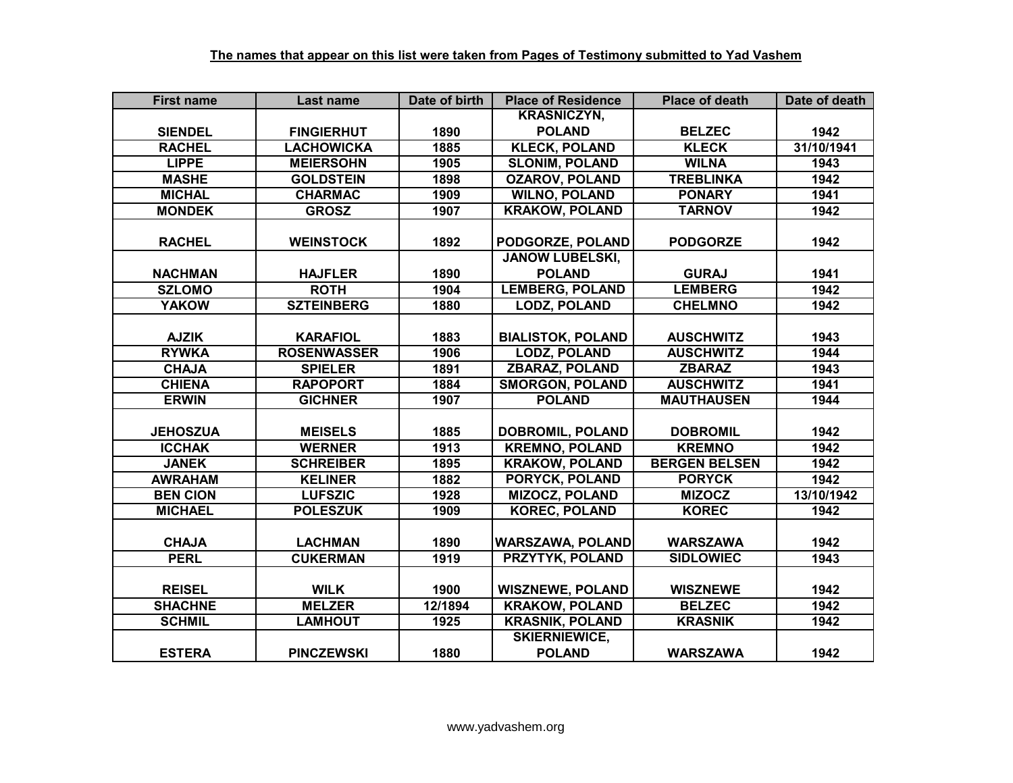| <b>First name</b> | Last name          | Date of birth | <b>Place of Residence</b> | <b>Place of death</b> | Date of death |
|-------------------|--------------------|---------------|---------------------------|-----------------------|---------------|
|                   |                    |               | <b>KRASNICZYN,</b>        |                       |               |
| <b>SIENDEL</b>    | <b>FINGIERHUT</b>  | 1890          | <b>POLAND</b>             | <b>BELZEC</b>         | 1942          |
| <b>RACHEL</b>     | <b>LACHOWICKA</b>  | 1885          | <b>KLECK, POLAND</b>      | <b>KLECK</b>          | 31/10/1941    |
| <b>LIPPE</b>      | <b>MEIERSOHN</b>   | 1905          | <b>SLONIM, POLAND</b>     | <b>WILNA</b>          | 1943          |
| <b>MASHE</b>      | <b>GOLDSTEIN</b>   | 1898          | <b>OZAROV, POLAND</b>     | <b>TREBLINKA</b>      | 1942          |
| <b>MICHAL</b>     | <b>CHARMAC</b>     | 1909          | <b>WILNO, POLAND</b>      | <b>PONARY</b>         | 1941          |
| <b>MONDEK</b>     | <b>GROSZ</b>       | 1907          | <b>KRAKOW, POLAND</b>     | <b>TARNOV</b>         | 1942          |
|                   |                    |               |                           |                       |               |
| <b>RACHEL</b>     | <b>WEINSTOCK</b>   | 1892          | PODGORZE, POLAND          | <b>PODGORZE</b>       | 1942          |
|                   |                    |               | <b>JANOW LUBELSKI,</b>    |                       |               |
| <b>NACHMAN</b>    | <b>HAJFLER</b>     | 1890          | <b>POLAND</b>             | <b>GURAJ</b>          | 1941          |
| <b>SZLOMO</b>     | <b>ROTH</b>        | 1904          | <b>LEMBERG, POLAND</b>    | <b>LEMBERG</b>        | 1942          |
| <b>YAKOW</b>      | <b>SZTEINBERG</b>  | 1880          | <b>LODZ, POLAND</b>       | <b>CHELMNO</b>        | 1942          |
|                   |                    |               |                           |                       |               |
| <b>AJZIK</b>      | <b>KARAFIOL</b>    | 1883          | <b>BIALISTOK, POLAND</b>  | <b>AUSCHWITZ</b>      | 1943          |
| <b>RYWKA</b>      | <b>ROSENWASSER</b> | 1906          | <b>LODZ, POLAND</b>       | <b>AUSCHWITZ</b>      | 1944          |
| <b>CHAJA</b>      | <b>SPIELER</b>     | 1891          | <b>ZBARAZ, POLAND</b>     | <b>ZBARAZ</b>         | 1943          |
| <b>CHIENA</b>     | <b>RAPOPORT</b>    | 1884          | <b>SMORGON, POLAND</b>    | <b>AUSCHWITZ</b>      | 1941          |
| <b>ERWIN</b>      | <b>GICHNER</b>     | 1907          | <b>POLAND</b>             | <b>MAUTHAUSEN</b>     | 1944          |
|                   |                    |               |                           |                       |               |
| <b>JEHOSZUA</b>   | <b>MEISELS</b>     | 1885          | <b>DOBROMIL, POLAND</b>   | <b>DOBROMIL</b>       | 1942          |
| <b>ICCHAK</b>     | <b>WERNER</b>      | 1913          | <b>KREMNO, POLAND</b>     | <b>KREMNO</b>         | 1942          |
| <b>JANEK</b>      | <b>SCHREIBER</b>   | 1895          | <b>KRAKOW, POLAND</b>     | <b>BERGEN BELSEN</b>  | 1942          |
| <b>AWRAHAM</b>    | <b>KELINER</b>     | 1882          | <b>PORYCK, POLAND</b>     | <b>PORYCK</b>         | 1942          |
| <b>BEN CION</b>   | <b>LUFSZIC</b>     | 1928          | <b>MIZOCZ, POLAND</b>     | <b>MIZOCZ</b>         | 13/10/1942    |
| <b>MICHAEL</b>    | <b>POLESZUK</b>    | 1909          | <b>KOREC, POLAND</b>      | <b>KOREC</b>          | 1942          |
|                   |                    |               |                           |                       |               |
| <b>CHAJA</b>      | <b>LACHMAN</b>     | 1890          | <b>WARSZAWA, POLAND</b>   | <b>WARSZAWA</b>       | 1942          |
| <b>PERL</b>       | <b>CUKERMAN</b>    | 1919          | <b>PRZYTYK, POLAND</b>    | <b>SIDLOWIEC</b>      | 1943          |
|                   |                    |               |                           |                       |               |
| <b>REISEL</b>     | <b>WILK</b>        | 1900          | <b>WISZNEWE, POLAND</b>   | <b>WISZNEWE</b>       | 1942          |
| <b>SHACHNE</b>    | <b>MELZER</b>      | 12/1894       | <b>KRAKOW, POLAND</b>     | <b>BELZEC</b>         | 1942          |
| <b>SCHMIL</b>     | <b>LAMHOUT</b>     | 1925          | <b>KRASNIK, POLAND</b>    | <b>KRASNIK</b>        | 1942          |
|                   |                    |               | <b>SKIERNIEWICE,</b>      |                       |               |
| <b>ESTERA</b>     | <b>PINCZEWSKI</b>  | 1880          | <b>POLAND</b>             | <b>WARSZAWA</b>       | 1942          |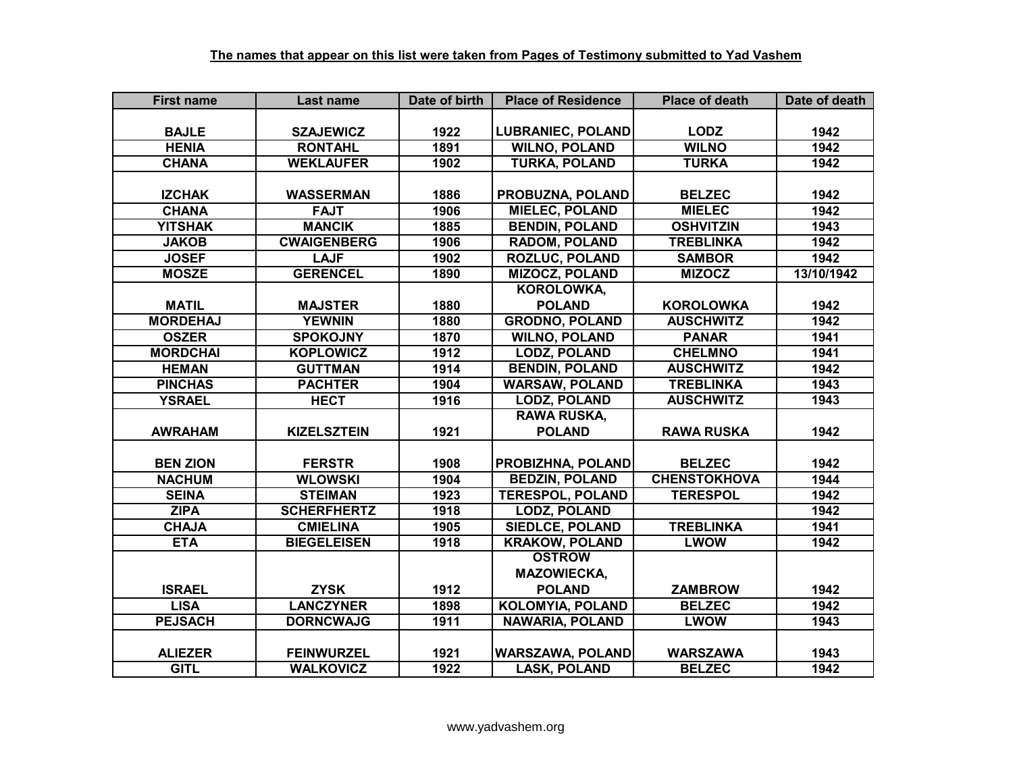| <b>First name</b> | Last name          | Date of birth | <b>Place of Residence</b> | <b>Place of death</b> | Date of death |
|-------------------|--------------------|---------------|---------------------------|-----------------------|---------------|
|                   |                    |               |                           |                       |               |
| <b>BAJLE</b>      | <b>SZAJEWICZ</b>   | 1922          | <b>LUBRANIEC, POLAND</b>  | <b>LODZ</b>           | 1942          |
| <b>HENIA</b>      | <b>RONTAHL</b>     | 1891          | <b>WILNO, POLAND</b>      | <b>WILNO</b>          | 1942          |
| <b>CHANA</b>      | <b>WEKLAUFER</b>   | 1902          | <b>TURKA, POLAND</b>      | <b>TURKA</b>          | 1942          |
|                   |                    |               |                           |                       |               |
| <b>IZCHAK</b>     | <b>WASSERMAN</b>   | 1886          | PROBUZNA, POLAND          | <b>BELZEC</b>         | 1942          |
| <b>CHANA</b>      | <b>FAJT</b>        | 1906          | <b>MIELEC, POLAND</b>     | <b>MIELEC</b>         | 1942          |
| <b>YITSHAK</b>    | <b>MANCIK</b>      | 1885          | <b>BENDIN, POLAND</b>     | <b>OSHVITZIN</b>      | 1943          |
| <b>JAKOB</b>      | <b>CWAIGENBERG</b> | 1906          | <b>RADOM, POLAND</b>      | <b>TREBLINKA</b>      | 1942          |
| <b>JOSEF</b>      | <b>LAJF</b>        | 1902          | <b>ROZLUC, POLAND</b>     | <b>SAMBOR</b>         | 1942          |
| <b>MOSZE</b>      | <b>GERENCEL</b>    | 1890          | <b>MIZOCZ, POLAND</b>     | <b>MIZOCZ</b>         | 13/10/1942    |
|                   |                    |               | <b>KOROLOWKA,</b>         |                       |               |
| <b>MATIL</b>      | <b>MAJSTER</b>     | 1880          | <b>POLAND</b>             | <b>KOROLOWKA</b>      | 1942          |
| <b>MORDEHAJ</b>   | <b>YEWNIN</b>      | 1880          | <b>GRODNO, POLAND</b>     | <b>AUSCHWITZ</b>      | 1942          |
| <b>OSZER</b>      | <b>SPOKOJNY</b>    | 1870          | <b>WILNO, POLAND</b>      | <b>PANAR</b>          | 1941          |
| <b>MORDCHAI</b>   | <b>KOPLOWICZ</b>   | 1912          | <b>LODZ, POLAND</b>       | <b>CHELMNO</b>        | 1941          |
| <b>HEMAN</b>      | <b>GUTTMAN</b>     | 1914          | <b>BENDIN, POLAND</b>     | <b>AUSCHWITZ</b>      | 1942          |
| <b>PINCHAS</b>    | <b>PACHTER</b>     | 1904          | <b>WARSAW, POLAND</b>     | <b>TREBLINKA</b>      | 1943          |
| <b>YSRAEL</b>     | <b>HECT</b>        | 1916          | <b>LODZ, POLAND</b>       | <b>AUSCHWITZ</b>      | 1943          |
|                   |                    |               | <b>RAWA RUSKA,</b>        |                       |               |
| <b>AWRAHAM</b>    | <b>KIZELSZTEIN</b> | 1921          | <b>POLAND</b>             | <b>RAWA RUSKA</b>     | 1942          |
|                   |                    |               |                           |                       |               |
| <b>BEN ZION</b>   | <b>FERSTR</b>      | 1908          | PROBIZHNA, POLAND         | <b>BELZEC</b>         | 1942          |
| <b>NACHUM</b>     | <b>WLOWSKI</b>     | 1904          | <b>BEDZIN, POLAND</b>     | <b>CHENSTOKHOVA</b>   | 1944          |
| <b>SEINA</b>      | <b>STEIMAN</b>     | 1923          | <b>TERESPOL, POLAND</b>   | <b>TERESPOL</b>       | 1942          |
| <b>ZIPA</b>       | <b>SCHERFHERTZ</b> | 1918          | <b>LODZ, POLAND</b>       |                       | 1942          |
| <b>CHAJA</b>      | <b>CMIELINA</b>    | 1905          | <b>SIEDLCE, POLAND</b>    | <b>TREBLINKA</b>      | 1941          |
| <b>ETA</b>        | <b>BIEGELEISEN</b> | 1918          | <b>KRAKOW, POLAND</b>     | <b>LWOW</b>           | 1942          |
|                   |                    |               | <b>OSTROW</b>             |                       |               |
|                   |                    |               | <b>MAZOWIECKA,</b>        |                       |               |
| <b>ISRAEL</b>     | <b>ZYSK</b>        | 1912          | <b>POLAND</b>             | <b>ZAMBROW</b>        | 1942          |
| <b>LISA</b>       | <b>LANCZYNER</b>   | 1898          | <b>KOLOMYIA, POLAND</b>   | <b>BELZEC</b>         | 1942          |
| <b>PEJSACH</b>    | <b>DORNCWAJG</b>   | 1911          | <b>NAWARIA, POLAND</b>    | <b>LWOW</b>           | 1943          |
|                   |                    |               |                           |                       |               |
| <b>ALIEZER</b>    | <b>FEINWURZEL</b>  | 1921          | <b>WARSZAWA, POLAND</b>   | <b>WARSZAWA</b>       | 1943          |
| <b>GITL</b>       | <b>WALKOVICZ</b>   | 1922          | <b>LASK, POLAND</b>       | <b>BELZEC</b>         | 1942          |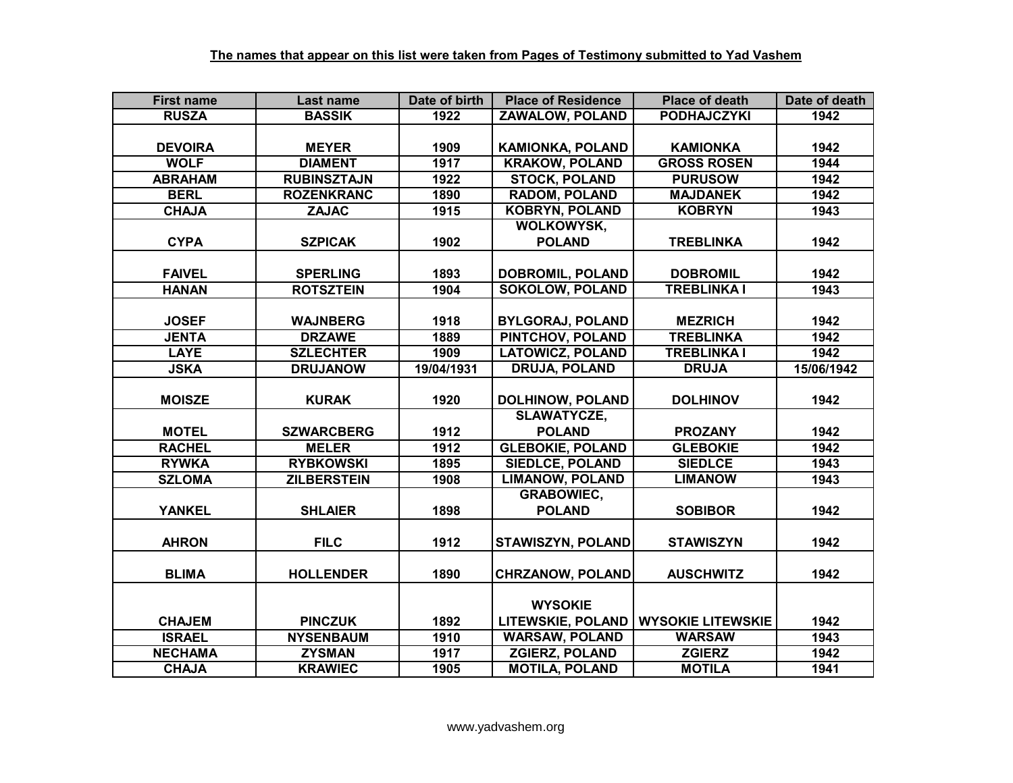| <b>First name</b> | Last name          | Date of birth | <b>Place of Residence</b> | <b>Place of death</b>    | Date of death |
|-------------------|--------------------|---------------|---------------------------|--------------------------|---------------|
| <b>RUSZA</b>      | <b>BASSIK</b>      | 1922          | <b>ZAWALOW, POLAND</b>    | <b>PODHAJCZYKI</b>       | 1942          |
|                   |                    |               |                           |                          |               |
| <b>DEVOIRA</b>    | <b>MEYER</b>       | 1909          | <b>KAMIONKA, POLAND</b>   | <b>KAMIONKA</b>          | 1942          |
| <b>WOLF</b>       | <b>DIAMENT</b>     | 1917          | <b>KRAKOW, POLAND</b>     | <b>GROSS ROSEN</b>       | 1944          |
| <b>ABRAHAM</b>    | <b>RUBINSZTAJN</b> | 1922          | <b>STOCK, POLAND</b>      | <b>PURUSOW</b>           | 1942          |
| <b>BERL</b>       | <b>ROZENKRANC</b>  | 1890          | <b>RADOM, POLAND</b>      | <b>MAJDANEK</b>          | 1942          |
| <b>CHAJA</b>      | <b>ZAJAC</b>       | 1915          | <b>KOBRYN, POLAND</b>     | <b>KOBRYN</b>            | 1943          |
|                   |                    |               | <b>WOLKOWYSK,</b>         |                          |               |
| <b>CYPA</b>       | <b>SZPICAK</b>     | 1902          | <b>POLAND</b>             | <b>TREBLINKA</b>         | 1942          |
|                   |                    |               |                           |                          |               |
| <b>FAIVEL</b>     | <b>SPERLING</b>    | 1893          | <b>DOBROMIL, POLAND</b>   | <b>DOBROMIL</b>          | 1942          |
| <b>HANAN</b>      | <b>ROTSZTEIN</b>   | 1904          | <b>SOKOLOW, POLAND</b>    | <b>TREBLINKA I</b>       | 1943          |
|                   |                    |               |                           |                          |               |
| <b>JOSEF</b>      | <b>WAJNBERG</b>    | 1918          | <b>BYLGORAJ, POLAND</b>   | <b>MEZRICH</b>           | 1942          |
| <b>JENTA</b>      | <b>DRZAWE</b>      | 1889          | PINTCHOV, POLAND          | <b>TREBLINKA</b>         | 1942          |
| <b>LAYE</b>       | <b>SZLECHTER</b>   | 1909          | <b>LATOWICZ, POLAND</b>   | <b>TREBLINKA I</b>       | 1942          |
| <b>JSKA</b>       | <b>DRUJANOW</b>    | 19/04/1931    | <b>DRUJA, POLAND</b>      | <b>DRUJA</b>             | 15/06/1942    |
|                   |                    |               |                           |                          |               |
| <b>MOISZE</b>     | <b>KURAK</b>       | 1920          | <b>DOLHINOW, POLAND</b>   | <b>DOLHINOV</b>          | 1942          |
|                   |                    |               | <b>SLAWATYCZE,</b>        |                          |               |
| <b>MOTEL</b>      | <b>SZWARCBERG</b>  | 1912          | <b>POLAND</b>             | <b>PROZANY</b>           | 1942          |
| <b>RACHEL</b>     | <b>MELER</b>       | 1912          | <b>GLEBOKIE, POLAND</b>   | <b>GLEBOKIE</b>          | 1942          |
| <b>RYWKA</b>      | <b>RYBKOWSKI</b>   | 1895          | <b>SIEDLCE, POLAND</b>    | <b>SIEDLCE</b>           | 1943          |
| <b>SZLOMA</b>     | <b>ZILBERSTEIN</b> | 1908          | <b>LIMANOW, POLAND</b>    | <b>LIMANOW</b>           | 1943          |
|                   |                    |               | <b>GRABOWIEC,</b>         |                          |               |
| <b>YANKEL</b>     | <b>SHLAIER</b>     | 1898          | <b>POLAND</b>             | <b>SOBIBOR</b>           | 1942          |
|                   |                    |               |                           |                          |               |
| <b>AHRON</b>      | <b>FILC</b>        | 1912          | STAWISZYN, POLAND         | <b>STAWISZYN</b>         | 1942          |
|                   |                    |               |                           |                          |               |
| <b>BLIMA</b>      | <b>HOLLENDER</b>   | 1890          | <b>CHRZANOW, POLAND</b>   | <b>AUSCHWITZ</b>         | 1942          |
|                   |                    |               |                           |                          |               |
|                   |                    |               | <b>WYSOKIE</b>            |                          |               |
| <b>CHAJEM</b>     | <b>PINCZUK</b>     | 1892          | <b>LITEWSKIE, POLAND</b>  | <b>WYSOKIE LITEWSKIE</b> | 1942          |
| <b>ISRAEL</b>     | <b>NYSENBAUM</b>   | 1910          | <b>WARSAW, POLAND</b>     | <b>WARSAW</b>            | 1943          |
| <b>NECHAMA</b>    | <b>ZYSMAN</b>      | 1917          | <b>ZGIERZ, POLAND</b>     | <b>ZGIERZ</b>            | 1942          |
| <b>CHAJA</b>      | <b>KRAWIEC</b>     | 1905          | <b>MOTILA, POLAND</b>     | <b>MOTILA</b>            | 1941          |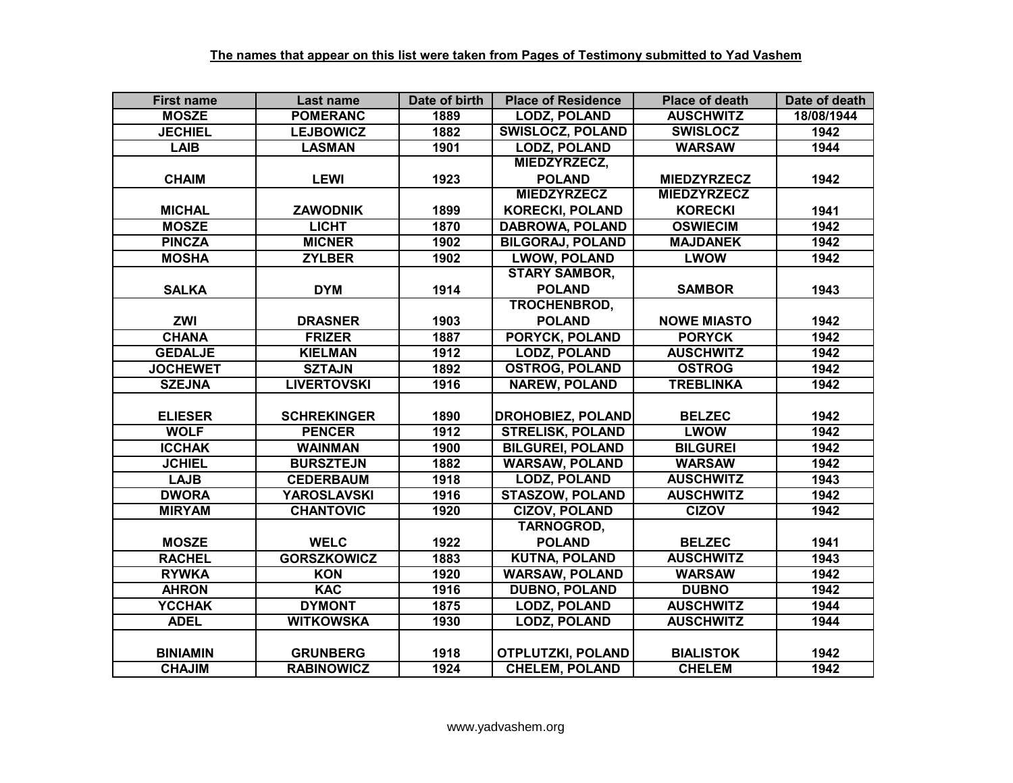| <b>First name</b> | Last name          | Date of birth | <b>Place of Residence</b> | <b>Place of death</b> | Date of death |
|-------------------|--------------------|---------------|---------------------------|-----------------------|---------------|
| <b>MOSZE</b>      | <b>POMERANC</b>    | 1889          | <b>LODZ, POLAND</b>       | <b>AUSCHWITZ</b>      | 18/08/1944    |
| <b>JECHIEL</b>    | <b>LEJBOWICZ</b>   | 1882          | <b>SWISLOCZ, POLAND</b>   | <b>SWISLOCZ</b>       | 1942          |
| <b>LAIB</b>       | <b>LASMAN</b>      | 1901          | <b>LODZ, POLAND</b>       | <b>WARSAW</b>         | 1944          |
|                   |                    |               | MIEDZYRZECZ,              |                       |               |
| <b>CHAIM</b>      | <b>LEWI</b>        | 1923          | <b>POLAND</b>             | <b>MIEDZYRZECZ</b>    | 1942          |
|                   |                    |               | <b>MIEDZYRZECZ</b>        | <b>MIEDZYRZECZ</b>    |               |
| <b>MICHAL</b>     | <b>ZAWODNIK</b>    | 1899          | <b>KORECKI, POLAND</b>    | <b>KORECKI</b>        | 1941          |
| <b>MOSZE</b>      | <b>LICHT</b>       | 1870          | <b>DABROWA, POLAND</b>    | <b>OSWIECIM</b>       | 1942          |
| <b>PINCZA</b>     | <b>MICNER</b>      | 1902          | <b>BILGORAJ, POLAND</b>   | <b>MAJDANEK</b>       | 1942          |
| <b>MOSHA</b>      | <b>ZYLBER</b>      | 1902          | <b>LWOW, POLAND</b>       | <b>LWOW</b>           | 1942          |
|                   |                    |               | <b>STARY SAMBOR,</b>      |                       |               |
| <b>SALKA</b>      | <b>DYM</b>         | 1914          | <b>POLAND</b>             | <b>SAMBOR</b>         | 1943          |
|                   |                    |               | TROCHENBROD,              |                       |               |
| <b>ZWI</b>        | <b>DRASNER</b>     | 1903          | <b>POLAND</b>             | <b>NOWE MIASTO</b>    | 1942          |
| <b>CHANA</b>      | <b>FRIZER</b>      | 1887          | PORYCK, POLAND            | <b>PORYCK</b>         | 1942          |
| <b>GEDALJE</b>    | <b>KIELMAN</b>     | 1912          | <b>LODZ, POLAND</b>       | <b>AUSCHWITZ</b>      | 1942          |
| <b>JOCHEWET</b>   | <b>SZTAJN</b>      | 1892          | <b>OSTROG, POLAND</b>     | <b>OSTROG</b>         | 1942          |
| <b>SZEJNA</b>     | <b>LIVERTOVSKI</b> | 1916          | <b>NAREW, POLAND</b>      | <b>TREBLINKA</b>      | 1942          |
|                   |                    |               |                           |                       |               |
| <b>ELIESER</b>    | <b>SCHREKINGER</b> | 1890          | <b>DROHOBIEZ, POLAND</b>  | <b>BELZEC</b>         | 1942          |
| <b>WOLF</b>       | <b>PENCER</b>      | 1912          | <b>STRELISK, POLAND</b>   | <b>LWOW</b>           | 1942          |
| <b>ICCHAK</b>     | <b>WAINMAN</b>     | 1900          | <b>BILGUREI, POLAND</b>   | <b>BILGUREI</b>       | 1942          |
| <b>JCHIEL</b>     | <b>BURSZTEJN</b>   | 1882          | <b>WARSAW, POLAND</b>     | <b>WARSAW</b>         | 1942          |
| <b>LAJB</b>       | <b>CEDERBAUM</b>   | 1918          | <b>LODZ, POLAND</b>       | <b>AUSCHWITZ</b>      | 1943          |
| <b>DWORA</b>      | <b>YAROSLAVSKI</b> | 1916          | <b>STASZOW, POLAND</b>    | <b>AUSCHWITZ</b>      | 1942          |
| <b>MIRYAM</b>     | <b>CHANTOVIC</b>   | 1920          | <b>CIZOV, POLAND</b>      | <b>CIZOV</b>          | 1942          |
|                   |                    |               | <b>TARNOGROD,</b>         |                       |               |
| <b>MOSZE</b>      | <b>WELC</b>        | 1922          | <b>POLAND</b>             | <b>BELZEC</b>         | 1941          |
| <b>RACHEL</b>     | <b>GORSZKOWICZ</b> | 1883          | <b>KUTNA, POLAND</b>      | <b>AUSCHWITZ</b>      | 1943          |
| <b>RYWKA</b>      | <b>KON</b>         | 1920          | <b>WARSAW, POLAND</b>     | <b>WARSAW</b>         | 1942          |
| <b>AHRON</b>      | <b>KAC</b>         | 1916          | <b>DUBNO, POLAND</b>      | <b>DUBNO</b>          | 1942          |
| <b>YCCHAK</b>     | <b>DYMONT</b>      | 1875          | LODZ, POLAND              | <b>AUSCHWITZ</b>      | 1944          |
| <b>ADEL</b>       | <b>WITKOWSKA</b>   | 1930          | <b>LODZ, POLAND</b>       | <b>AUSCHWITZ</b>      | 1944          |
|                   |                    |               |                           |                       |               |
| <b>BINIAMIN</b>   | <b>GRUNBERG</b>    | 1918          | <b>OTPLUTZKI, POLAND</b>  | <b>BIALISTOK</b>      | 1942          |
| <b>CHAJIM</b>     | <b>RABINOWICZ</b>  | 1924          | <b>CHELEM, POLAND</b>     | <b>CHELEM</b>         | 1942          |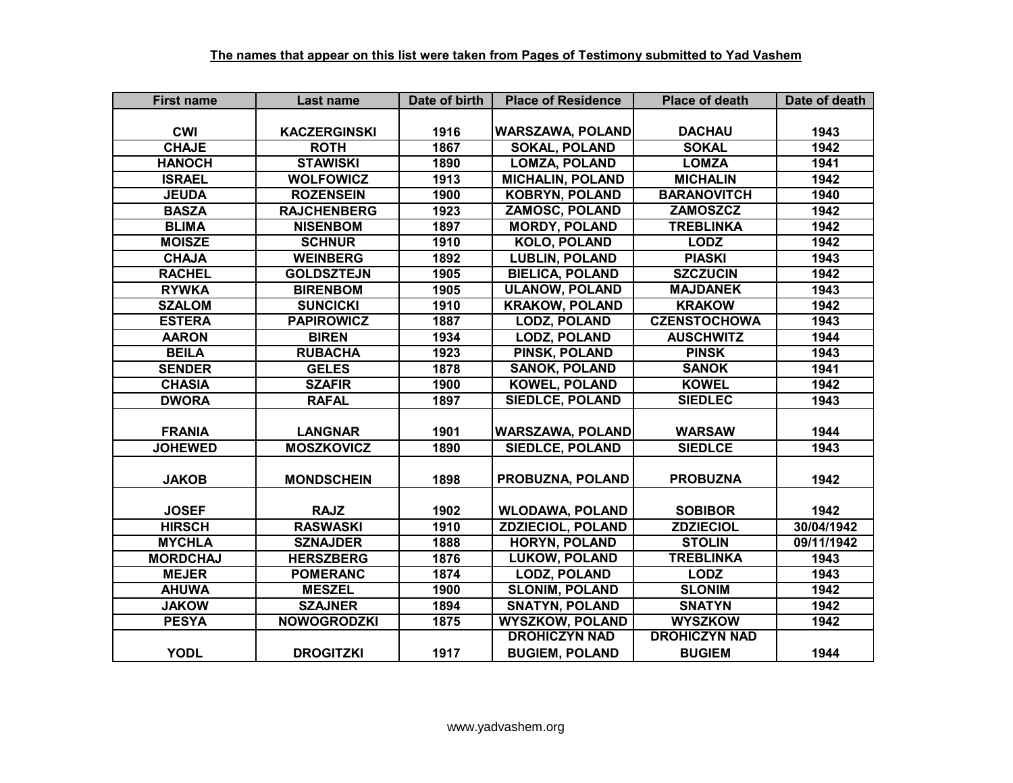| <b>First name</b> | Last name           | Date of birth | <b>Place of Residence</b> | <b>Place of death</b> | Date of death |
|-------------------|---------------------|---------------|---------------------------|-----------------------|---------------|
|                   |                     |               |                           |                       |               |
| <b>CWI</b>        | <b>KACZERGINSKI</b> | 1916          | <b>WARSZAWA, POLAND</b>   | <b>DACHAU</b>         | 1943          |
| <b>CHAJE</b>      | <b>ROTH</b>         | 1867          | <b>SOKAL, POLAND</b>      | <b>SOKAL</b>          | 1942          |
| <b>HANOCH</b>     | <b>STAWISKI</b>     | 1890          | <b>LOMZA, POLAND</b>      | <b>LOMZA</b>          | 1941          |
| <b>ISRAEL</b>     | <b>WOLFOWICZ</b>    | 1913          | <b>MICHALIN, POLAND</b>   | <b>MICHALIN</b>       | 1942          |
| <b>JEUDA</b>      | <b>ROZENSEIN</b>    | 1900          | <b>KOBRYN, POLAND</b>     | <b>BARANOVITCH</b>    | 1940          |
| <b>BASZA</b>      | <b>RAJCHENBERG</b>  | 1923          | <b>ZAMOSC, POLAND</b>     | <b>ZAMOSZCZ</b>       | 1942          |
| <b>BLIMA</b>      | <b>NISENBOM</b>     | 1897          | <b>MORDY, POLAND</b>      | <b>TREBLINKA</b>      | 1942          |
| <b>MOISZE</b>     | <b>SCHNUR</b>       | 1910          | <b>KOLO, POLAND</b>       | <b>LODZ</b>           | 1942          |
| <b>CHAJA</b>      | <b>WEINBERG</b>     | 1892          | <b>LUBLIN, POLAND</b>     | <b>PIASKI</b>         | 1943          |
| <b>RACHEL</b>     | <b>GOLDSZTEJN</b>   | 1905          | <b>BIELICA, POLAND</b>    | <b>SZCZUCIN</b>       | 1942          |
| <b>RYWKA</b>      | <b>BIRENBOM</b>     | 1905          | <b>ULANOW, POLAND</b>     | <b>MAJDANEK</b>       | 1943          |
| <b>SZALOM</b>     | <b>SUNCICKI</b>     | 1910          | <b>KRAKOW, POLAND</b>     | <b>KRAKOW</b>         | 1942          |
| <b>ESTERA</b>     | <b>PAPIROWICZ</b>   | 1887          | <b>LODZ, POLAND</b>       | <b>CZENSTOCHOWA</b>   | 1943          |
| <b>AARON</b>      | <b>BIREN</b>        | 1934          | <b>LODZ, POLAND</b>       | <b>AUSCHWITZ</b>      | 1944          |
| <b>BEILA</b>      | <b>RUBACHA</b>      | 1923          | PINSK, POLAND             | <b>PINSK</b>          | 1943          |
| <b>SENDER</b>     | <b>GELES</b>        | 1878          | <b>SANOK, POLAND</b>      | <b>SANOK</b>          | 1941          |
| <b>CHASIA</b>     | <b>SZAFIR</b>       | 1900          | <b>KOWEL, POLAND</b>      | <b>KOWEL</b>          | 1942          |
| <b>DWORA</b>      | <b>RAFAL</b>        | 1897          | <b>SIEDLCE, POLAND</b>    | <b>SIEDLEC</b>        | 1943          |
|                   |                     |               |                           |                       |               |
| <b>FRANIA</b>     | <b>LANGNAR</b>      | 1901          | <b>WARSZAWA, POLAND</b>   | <b>WARSAW</b>         | 1944          |
| <b>JOHEWED</b>    | <b>MOSZKOVICZ</b>   | 1890          | <b>SIEDLCE, POLAND</b>    | <b>SIEDLCE</b>        | 1943          |
|                   |                     |               |                           |                       |               |
| <b>JAKOB</b>      | <b>MONDSCHEIN</b>   | 1898          | PROBUZNA, POLAND          | <b>PROBUZNA</b>       | 1942          |
|                   |                     |               |                           |                       |               |
| <b>JOSEF</b>      | <b>RAJZ</b>         | 1902          | <b>WLODAWA, POLAND</b>    | <b>SOBIBOR</b>        | 1942          |
| <b>HIRSCH</b>     | <b>RASWASKI</b>     | 1910          | <b>ZDZIECIOL, POLAND</b>  | <b>ZDZIECIOL</b>      | 30/04/1942    |
| <b>MYCHLA</b>     | <b>SZNAJDER</b>     | 1888          | <b>HORYN, POLAND</b>      | <b>STOLIN</b>         | 09/11/1942    |
| <b>MORDCHAJ</b>   | <b>HERSZBERG</b>    | 1876          | <b>LUKOW, POLAND</b>      | <b>TREBLINKA</b>      | 1943          |
| <b>MEJER</b>      | <b>POMERANC</b>     | 1874          | <b>LODZ, POLAND</b>       | <b>LODZ</b>           | 1943          |
| <b>AHUWA</b>      | <b>MESZEL</b>       | 1900          | <b>SLONIM, POLAND</b>     | <b>SLONIM</b>         | 1942          |
| <b>JAKOW</b>      | <b>SZAJNER</b>      | 1894          | <b>SNATYN, POLAND</b>     | <b>SNATYN</b>         | 1942          |
| <b>PESYA</b>      | <b>NOWOGRODZKI</b>  | 1875          | <b>WYSZKOW, POLAND</b>    | <b>WYSZKOW</b>        | 1942          |
|                   |                     |               | <b>DROHICZYN NAD</b>      | <b>DROHICZYN NAD</b>  |               |
| <b>YODL</b>       | <b>DROGITZKI</b>    | 1917          | <b>BUGIEM, POLAND</b>     | <b>BUGIEM</b>         | 1944          |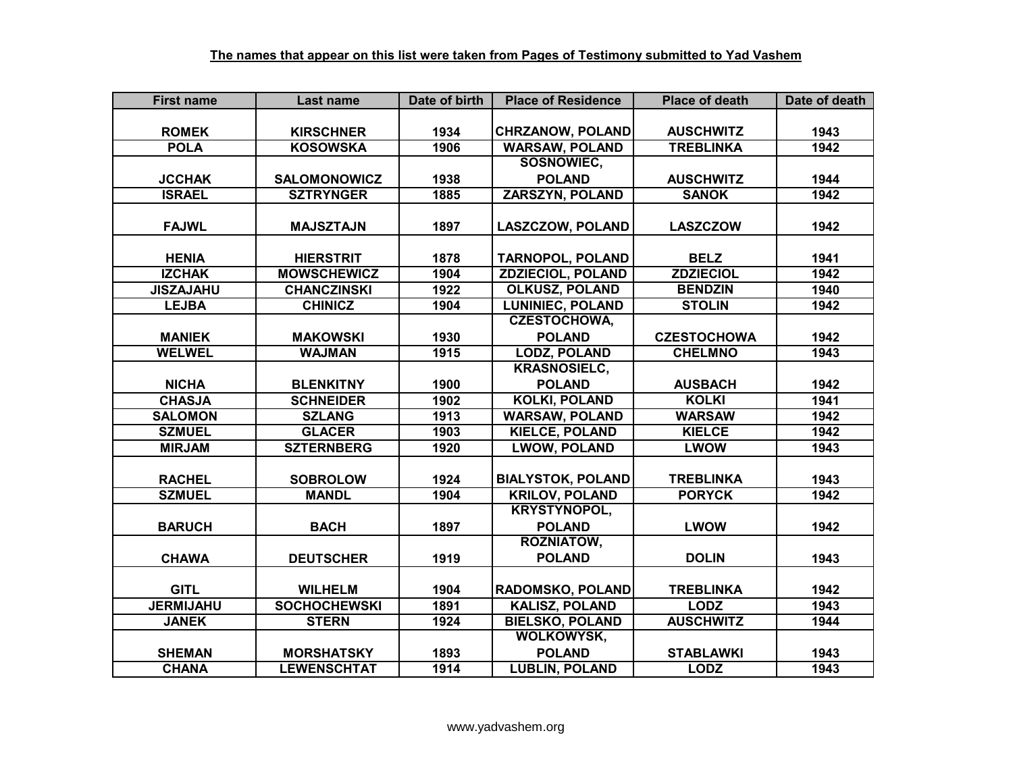| <b>First name</b> | Last name           | Date of birth     | <b>Place of Residence</b> | <b>Place of death</b> | Date of death |
|-------------------|---------------------|-------------------|---------------------------|-----------------------|---------------|
|                   |                     |                   |                           |                       |               |
| <b>ROMEK</b>      | <b>KIRSCHNER</b>    | 1934              | <b>CHRZANOW, POLAND</b>   | <b>AUSCHWITZ</b>      | 1943          |
| <b>POLA</b>       | <b>KOSOWSKA</b>     | 1906              | <b>WARSAW, POLAND</b>     | <b>TREBLINKA</b>      | 1942          |
|                   |                     |                   | SOSNOWIEC,                |                       |               |
| <b>JCCHAK</b>     | <b>SALOMONOWICZ</b> | 1938              | <b>POLAND</b>             | <b>AUSCHWITZ</b>      | 1944          |
| <b>ISRAEL</b>     | <b>SZTRYNGER</b>    | 1885              | <b>ZARSZYN, POLAND</b>    | <b>SANOK</b>          | 1942          |
|                   |                     |                   |                           |                       |               |
| <b>FAJWL</b>      | <b>MAJSZTAJN</b>    | 1897              | <b>LASZCZOW, POLAND</b>   | <b>LASZCZOW</b>       | 1942          |
|                   |                     |                   |                           |                       |               |
| <b>HENIA</b>      | <b>HIERSTRIT</b>    | 1878              | <b>TARNOPOL, POLAND</b>   | <b>BELZ</b>           | 1941          |
| <b>IZCHAK</b>     | <b>MOWSCHEWICZ</b>  | 1904              | <b>ZDZIECIOL, POLAND</b>  | <b>ZDZIECIOL</b>      | 1942          |
| <b>JISZAJAHU</b>  | <b>CHANCZINSKI</b>  | 1922              | <b>OLKUSZ, POLAND</b>     | <b>BENDZIN</b>        | 1940          |
| <b>LEJBA</b>      | <b>CHINICZ</b>      | 1904              | <b>LUNINIEC, POLAND</b>   | <b>STOLIN</b>         | 1942          |
|                   |                     |                   | <b>CZESTOCHOWA,</b>       |                       |               |
| <b>MANIEK</b>     | <b>MAKOWSKI</b>     | 1930              | <b>POLAND</b>             | <b>CZESTOCHOWA</b>    | 1942          |
| <b>WELWEL</b>     | <b>WAJMAN</b>       | 1915              | <b>LODZ, POLAND</b>       | <b>CHELMNO</b>        | 1943          |
|                   |                     |                   | <b>KRASNOSIELC,</b>       |                       |               |
| <b>NICHA</b>      | <b>BLENKITNY</b>    | 1900              | <b>POLAND</b>             | <b>AUSBACH</b>        | 1942          |
| <b>CHASJA</b>     | <b>SCHNEIDER</b>    | 1902              | <b>KOLKI, POLAND</b>      | <b>KOLKI</b>          | 1941          |
| <b>SALOMON</b>    | <b>SZLANG</b>       | 1913              | <b>WARSAW, POLAND</b>     | <b>WARSAW</b>         | 1942          |
| <b>SZMUEL</b>     | <b>GLACER</b>       | 1903              | <b>KIELCE, POLAND</b>     | <b>KIELCE</b>         | 1942          |
| <b>MIRJAM</b>     | <b>SZTERNBERG</b>   | 1920              | <b>LWOW, POLAND</b>       | <b>LWOW</b>           | 1943          |
|                   |                     |                   |                           |                       |               |
| <b>RACHEL</b>     | <b>SOBROLOW</b>     | 1924              | <b>BIALYSTOK, POLAND</b>  | <b>TREBLINKA</b>      | 1943          |
| <b>SZMUEL</b>     | <b>MANDL</b>        | 1904              | <b>KRILOV, POLAND</b>     | <b>PORYCK</b>         | 1942          |
|                   |                     |                   | <b>KRYSTYNOPOL,</b>       |                       |               |
| <b>BARUCH</b>     | <b>BACH</b>         | 1897              | <b>POLAND</b>             | <b>LWOW</b>           | 1942          |
|                   |                     |                   | <b>ROZNIATOW,</b>         |                       |               |
| <b>CHAWA</b>      | <b>DEUTSCHER</b>    | 1919              | <b>POLAND</b>             | <b>DOLIN</b>          | 1943          |
|                   |                     |                   |                           |                       |               |
| <b>GITL</b>       | <b>WILHELM</b>      | 1904              | RADOMSKO, POLAND          | <b>TREBLINKA</b>      | 1942          |
| <b>JERMIJAHU</b>  | <b>SOCHOCHEWSKI</b> | $\overline{1891}$ | <b>KALISZ, POLAND</b>     | <b>LODZ</b>           | 1943          |
| <b>JANEK</b>      | <b>STERN</b>        | 1924              | <b>BIELSKO, POLAND</b>    | <b>AUSCHWITZ</b>      | 1944          |
|                   |                     |                   | <b>WOLKOWYSK,</b>         |                       |               |
| <b>SHEMAN</b>     | <b>MORSHATSKY</b>   | 1893              | <b>POLAND</b>             | <b>STABLAWKI</b>      | 1943          |
| <b>CHANA</b>      | <b>LEWENSCHTAT</b>  | 1914              | <b>LUBLIN, POLAND</b>     | <b>LODZ</b>           | 1943          |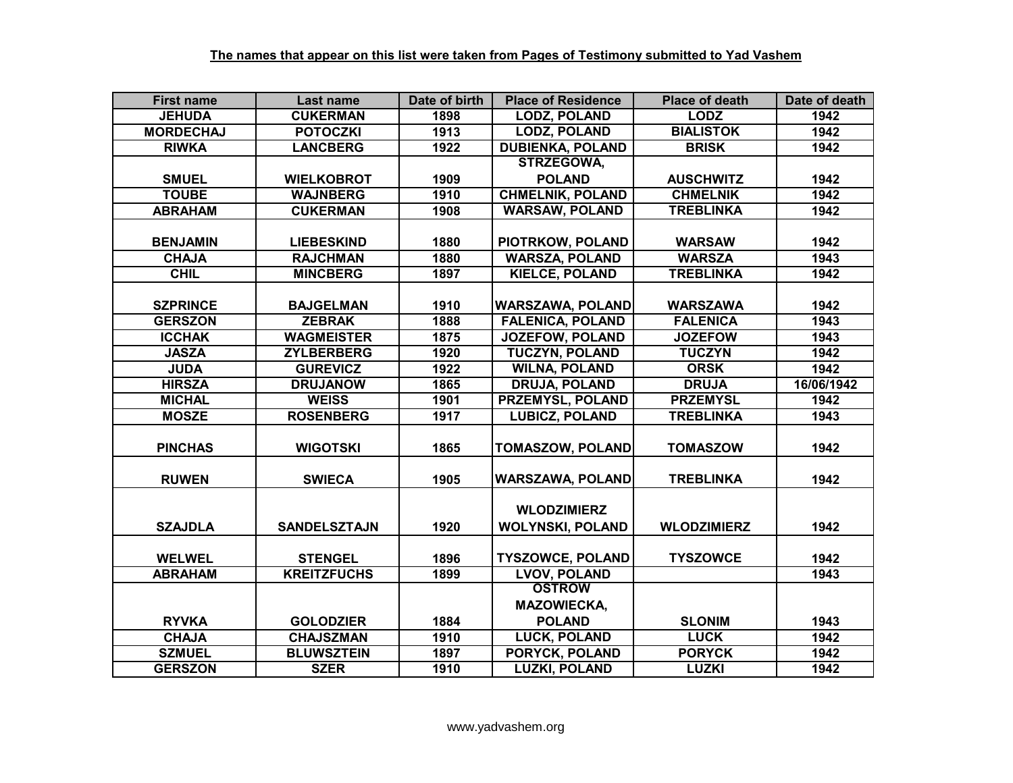| <b>First name</b> | Last name           | Date of birth | <b>Place of Residence</b> | <b>Place of death</b> | Date of death |
|-------------------|---------------------|---------------|---------------------------|-----------------------|---------------|
| <b>JEHUDA</b>     | <b>CUKERMAN</b>     | 1898          | <b>LODZ, POLAND</b>       | <b>LODZ</b>           | 1942          |
| <b>MORDECHAJ</b>  | <b>POTOCZKI</b>     | 1913          | <b>LODZ, POLAND</b>       | <b>BIALISTOK</b>      | 1942          |
| <b>RIWKA</b>      | <b>LANCBERG</b>     | 1922          | <b>DUBIENKA, POLAND</b>   | <b>BRISK</b>          | 1942          |
|                   |                     |               | <b>STRZEGOWA,</b>         |                       |               |
| <b>SMUEL</b>      | <b>WIELKOBROT</b>   | 1909          | <b>POLAND</b>             | <b>AUSCHWITZ</b>      | 1942          |
| <b>TOUBE</b>      | <b>WAJNBERG</b>     | 1910          | <b>CHMELNIK, POLAND</b>   | <b>CHMELNIK</b>       | 1942          |
| <b>ABRAHAM</b>    | <b>CUKERMAN</b>     | 1908          | <b>WARSAW, POLAND</b>     | <b>TREBLINKA</b>      | 1942          |
|                   |                     |               |                           |                       |               |
| <b>BENJAMIN</b>   | <b>LIEBESKIND</b>   | 1880          | PIOTRKOW, POLAND          | <b>WARSAW</b>         | 1942          |
| <b>CHAJA</b>      | <b>RAJCHMAN</b>     | 1880          | <b>WARSZA, POLAND</b>     | <b>WARSZA</b>         | 1943          |
| <b>CHIL</b>       | <b>MINCBERG</b>     | 1897          | <b>KIELCE, POLAND</b>     | <b>TREBLINKA</b>      | 1942          |
|                   |                     |               |                           |                       |               |
| <b>SZPRINCE</b>   | <b>BAJGELMAN</b>    | 1910          | <b>WARSZAWA, POLAND</b>   | <b>WARSZAWA</b>       | 1942          |
| <b>GERSZON</b>    | <b>ZEBRAK</b>       | 1888          | <b>FALENICA, POLAND</b>   | <b>FALENICA</b>       | 1943          |
| <b>ICCHAK</b>     | <b>WAGMEISTER</b>   | 1875          | <b>JOZEFOW, POLAND</b>    | <b>JOZEFOW</b>        | 1943          |
| <b>JASZA</b>      | <b>ZYLBERBERG</b>   | 1920          | <b>TUCZYN, POLAND</b>     | <b>TUCZYN</b>         | 1942          |
| <b>JUDA</b>       | <b>GUREVICZ</b>     | 1922          | <b>WILNA, POLAND</b>      | <b>ORSK</b>           | 1942          |
| <b>HIRSZA</b>     | <b>DRUJANOW</b>     | 1865          | <b>DRUJA, POLAND</b>      | <b>DRUJA</b>          | 16/06/1942    |
| <b>MICHAL</b>     | <b>WEISS</b>        | 1901          | <b>PRZEMYSL, POLAND</b>   | <b>PRZEMYSL</b>       | 1942          |
| <b>MOSZE</b>      | <b>ROSENBERG</b>    | 1917          | <b>LUBICZ, POLAND</b>     | <b>TREBLINKA</b>      | 1943          |
|                   |                     |               |                           |                       |               |
| <b>PINCHAS</b>    | <b>WIGOTSKI</b>     | 1865          | <b>TOMASZOW, POLAND</b>   | <b>TOMASZOW</b>       | 1942          |
|                   |                     |               |                           |                       |               |
| <b>RUWEN</b>      | <b>SWIECA</b>       | 1905          | <b>WARSZAWA, POLAND</b>   | <b>TREBLINKA</b>      | 1942          |
|                   |                     |               |                           |                       |               |
|                   |                     |               | <b>WLODZIMIERZ</b>        |                       |               |
| <b>SZAJDLA</b>    | <b>SANDELSZTAJN</b> | 1920          | <b>WOLYNSKI, POLAND</b>   | <b>WLODZIMIERZ</b>    | 1942          |
|                   |                     |               |                           |                       |               |
| <b>WELWEL</b>     | <b>STENGEL</b>      | 1896          | <b>TYSZOWCE, POLAND</b>   | <b>TYSZOWCE</b>       | 1942          |
| <b>ABRAHAM</b>    | <b>KREITZFUCHS</b>  | 1899          | <b>LVOV, POLAND</b>       |                       | 1943          |
|                   |                     |               | <b>OSTROW</b>             |                       |               |
|                   |                     |               | <b>MAZOWIECKA,</b>        |                       |               |
| <b>RYVKA</b>      | <b>GOLODZIER</b>    | 1884          | <b>POLAND</b>             | <b>SLONIM</b>         | 1943          |
| <b>CHAJA</b>      | <b>CHAJSZMAN</b>    | 1910          | <b>LUCK, POLAND</b>       | <b>LUCK</b>           | 1942          |
| <b>SZMUEL</b>     | <b>BLUWSZTEIN</b>   | 1897          | PORYCK, POLAND            | <b>PORYCK</b>         | 1942          |
| <b>GERSZON</b>    | <b>SZER</b>         | 1910          | <b>LUZKI, POLAND</b>      | <b>LUZKI</b>          | 1942          |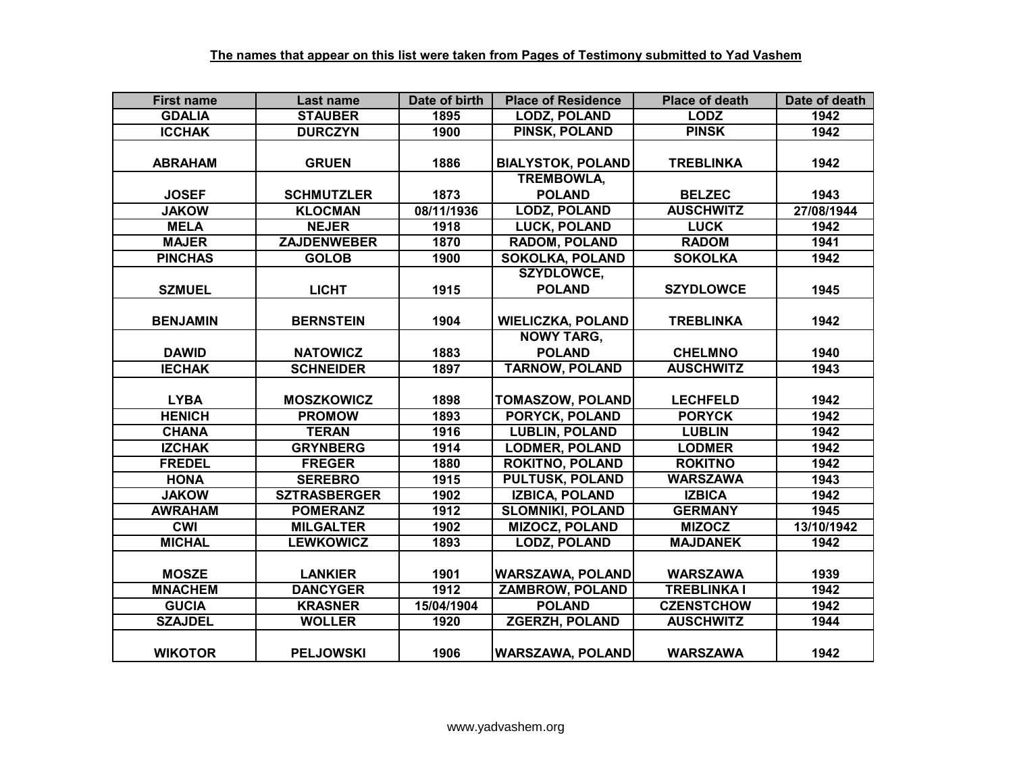| <b>First name</b> | <b>Last name</b>    | Date of birth | <b>Place of Residence</b> | <b>Place of death</b> | Date of death |
|-------------------|---------------------|---------------|---------------------------|-----------------------|---------------|
| <b>GDALIA</b>     | <b>STAUBER</b>      | 1895          | <b>LODZ, POLAND</b>       | <b>LODZ</b>           | 1942          |
| <b>ICCHAK</b>     | <b>DURCZYN</b>      | 1900          | <b>PINSK, POLAND</b>      | <b>PINSK</b>          | 1942          |
|                   |                     |               |                           |                       |               |
| <b>ABRAHAM</b>    | <b>GRUEN</b>        | 1886          | <b>BIALYSTOK, POLAND</b>  | <b>TREBLINKA</b>      | 1942          |
|                   |                     |               | <b>TREMBOWLA,</b>         |                       |               |
| <b>JOSEF</b>      | <b>SCHMUTZLER</b>   | 1873          | <b>POLAND</b>             | <b>BELZEC</b>         | 1943          |
| <b>JAKOW</b>      | <b>KLOCMAN</b>      | 08/11/1936    | <b>LODZ, POLAND</b>       | <b>AUSCHWITZ</b>      | 27/08/1944    |
| <b>MELA</b>       | <b>NEJER</b>        | 1918          | LUCK, POLAND              | <b>LUCK</b>           | 1942          |
| <b>MAJER</b>      | <b>ZAJDENWEBER</b>  | 1870          | <b>RADOM, POLAND</b>      | <b>RADOM</b>          | 1941          |
| <b>PINCHAS</b>    | <b>GOLOB</b>        | 1900          | <b>SOKOLKA, POLAND</b>    | <b>SOKOLKA</b>        | 1942          |
|                   |                     |               | <b>SZYDLOWCE,</b>         |                       |               |
| <b>SZMUEL</b>     | <b>LICHT</b>        | 1915          | <b>POLAND</b>             | <b>SZYDLOWCE</b>      | 1945          |
|                   |                     |               |                           |                       |               |
| <b>BENJAMIN</b>   | <b>BERNSTEIN</b>    | 1904          | <b>WIELICZKA, POLAND</b>  | <b>TREBLINKA</b>      | 1942          |
|                   |                     |               | <b>NOWY TARG,</b>         |                       |               |
| <b>DAWID</b>      | <b>NATOWICZ</b>     | 1883          | <b>POLAND</b>             | <b>CHELMNO</b>        | 1940          |
| <b>IECHAK</b>     | <b>SCHNEIDER</b>    | 1897          | <b>TARNOW, POLAND</b>     | <b>AUSCHWITZ</b>      | 1943          |
|                   |                     |               |                           |                       |               |
| <b>LYBA</b>       | <b>MOSZKOWICZ</b>   | 1898          | <b>TOMASZOW, POLAND</b>   | <b>LECHFELD</b>       | 1942          |
| <b>HENICH</b>     | <b>PROMOW</b>       | 1893          | <b>PORYCK, POLAND</b>     | <b>PORYCK</b>         | 1942          |
| <b>CHANA</b>      | <b>TERAN</b>        | 1916          | <b>LUBLIN, POLAND</b>     | <b>LUBLIN</b>         | 1942          |
| <b>IZCHAK</b>     | <b>GRYNBERG</b>     | 1914          | <b>LODMER, POLAND</b>     | <b>LODMER</b>         | 1942          |
| <b>FREDEL</b>     | <b>FREGER</b>       | 1880          | <b>ROKITNO, POLAND</b>    | <b>ROKITNO</b>        | 1942          |
| <b>HONA</b>       | <b>SEREBRO</b>      | 1915          | <b>PULTUSK, POLAND</b>    | <b>WARSZAWA</b>       | 1943          |
| <b>JAKOW</b>      | <b>SZTRASBERGER</b> | 1902          | <b>IZBICA, POLAND</b>     | <b>IZBICA</b>         | 1942          |
| <b>AWRAHAM</b>    | <b>POMERANZ</b>     | 1912          | <b>SLOMNIKI, POLAND</b>   | <b>GERMANY</b>        | 1945          |
| <b>CWI</b>        | <b>MILGALTER</b>    | 1902          | <b>MIZOCZ, POLAND</b>     | <b>MIZOCZ</b>         | 13/10/1942    |
| <b>MICHAL</b>     | <b>LEWKOWICZ</b>    | 1893          | <b>LODZ, POLAND</b>       | <b>MAJDANEK</b>       | 1942          |
|                   |                     |               |                           |                       |               |
| <b>MOSZE</b>      | <b>LANKIER</b>      | 1901          | <b>WARSZAWA, POLAND</b>   | <b>WARSZAWA</b>       | 1939          |
| <b>MNACHEM</b>    | <b>DANCYGER</b>     | 1912          | <b>ZAMBROW, POLAND</b>    | <b>TREBLINKA I</b>    | 1942          |
| <b>GUCIA</b>      | <b>KRASNER</b>      | 15/04/1904    | <b>POLAND</b>             | <b>CZENSTCHOW</b>     | 1942          |
| <b>SZAJDEL</b>    | <b>WOLLER</b>       | 1920          | <b>ZGERZH, POLAND</b>     | <b>AUSCHWITZ</b>      | 1944          |
|                   |                     |               |                           |                       |               |
| <b>WIKOTOR</b>    | <b>PELJOWSKI</b>    | 1906          | <b>WARSZAWA, POLAND</b>   | <b>WARSZAWA</b>       | 1942          |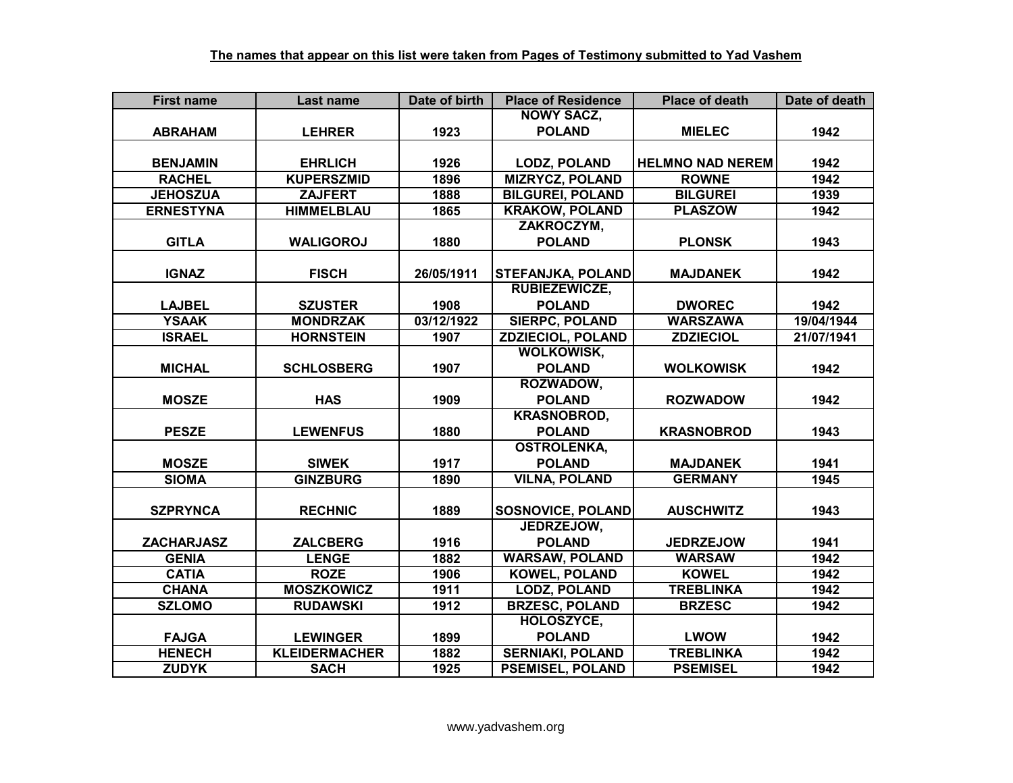| <b>First name</b> | Last name            | Date of birth | <b>Place of Residence</b> | <b>Place of death</b>   | Date of death |
|-------------------|----------------------|---------------|---------------------------|-------------------------|---------------|
|                   |                      |               | <b>NOWY SACZ,</b>         |                         |               |
| <b>ABRAHAM</b>    | <b>LEHRER</b>        | 1923          | <b>POLAND</b>             | <b>MIELEC</b>           | 1942          |
|                   |                      |               |                           |                         |               |
| <b>BENJAMIN</b>   | <b>EHRLICH</b>       | 1926          | <b>LODZ, POLAND</b>       | <b>HELMNO NAD NEREM</b> | 1942          |
| <b>RACHEL</b>     | <b>KUPERSZMID</b>    | 1896          | <b>MIZRYCZ, POLAND</b>    | <b>ROWNE</b>            | 1942          |
| <b>JEHOSZUA</b>   | <b>ZAJFERT</b>       | 1888          | <b>BILGUREI, POLAND</b>   | <b>BILGUREI</b>         | 1939          |
| <b>ERNESTYNA</b>  | <b>HIMMELBLAU</b>    | 1865          | <b>KRAKOW, POLAND</b>     | <b>PLASZOW</b>          | 1942          |
|                   |                      |               | ZAKROCZYM,                |                         |               |
| <b>GITLA</b>      | <b>WALIGOROJ</b>     | 1880          | <b>POLAND</b>             | <b>PLONSK</b>           | 1943          |
|                   |                      |               |                           |                         |               |
| <b>IGNAZ</b>      | <b>FISCH</b>         | 26/05/1911    | <b>STEFANJKA, POLAND</b>  | <b>MAJDANEK</b>         | 1942          |
|                   |                      |               | <b>RUBIEZEWICZE,</b>      |                         |               |
| <b>LAJBEL</b>     | <b>SZUSTER</b>       | 1908          | <b>POLAND</b>             | <b>DWOREC</b>           | 1942          |
| <b>YSAAK</b>      | <b>MONDRZAK</b>      | 03/12/1922    | <b>SIERPC, POLAND</b>     | <b>WARSZAWA</b>         | 19/04/1944    |
| <b>ISRAEL</b>     | <b>HORNSTEIN</b>     | 1907          | <b>ZDZIECIOL, POLAND</b>  | <b>ZDZIECIOL</b>        | 21/07/1941    |
|                   |                      |               | <b>WOLKOWISK,</b>         |                         |               |
| <b>MICHAL</b>     | <b>SCHLOSBERG</b>    | 1907          | <b>POLAND</b>             | <b>WOLKOWISK</b>        | 1942          |
|                   |                      |               | ROZWADOW,                 |                         |               |
| <b>MOSZE</b>      | <b>HAS</b>           | 1909          | <b>POLAND</b>             | <b>ROZWADOW</b>         | 1942          |
|                   |                      |               | <b>KRASNOBROD,</b>        |                         |               |
| <b>PESZE</b>      | <b>LEWENFUS</b>      | 1880          | <b>POLAND</b>             | <b>KRASNOBROD</b>       | 1943          |
|                   |                      |               | <b>OSTROLENKA,</b>        |                         |               |
| <b>MOSZE</b>      | <b>SIWEK</b>         | 1917          | <b>POLAND</b>             | <b>MAJDANEK</b>         | 1941          |
| <b>SIOMA</b>      | <b>GINZBURG</b>      | 1890          | <b>VILNA, POLAND</b>      | <b>GERMANY</b>          | 1945          |
|                   |                      |               |                           |                         |               |
| <b>SZPRYNCA</b>   | <b>RECHNIC</b>       | 1889          | <b>SOSNOVICE, POLAND</b>  | <b>AUSCHWITZ</b>        | 1943          |
|                   |                      |               | JEDRZEJOW,                |                         |               |
| <b>ZACHARJASZ</b> | <b>ZALCBERG</b>      | 1916          | <b>POLAND</b>             | <b>JEDRZEJOW</b>        | 1941          |
| <b>GENIA</b>      | <b>LENGE</b>         | 1882          | <b>WARSAW, POLAND</b>     | <b>WARSAW</b>           | 1942          |
| <b>CATIA</b>      | <b>ROZE</b>          | 1906          | <b>KOWEL, POLAND</b>      | <b>KOWEL</b>            | 1942          |
| <b>CHANA</b>      | <b>MOSZKOWICZ</b>    | 1911          | <b>LODZ, POLAND</b>       | <b>TREBLINKA</b>        | 1942          |
| <b>SZLOMO</b>     | <b>RUDAWSKI</b>      | 1912          | <b>BRZESC, POLAND</b>     | <b>BRZESC</b>           | 1942          |
|                   |                      |               | HOLOSZYCE,                |                         |               |
| <b>FAJGA</b>      | <b>LEWINGER</b>      | 1899          | <b>POLAND</b>             | <b>LWOW</b>             | 1942          |
| <b>HENECH</b>     | <b>KLEIDERMACHER</b> | 1882          | <b>SERNIAKI, POLAND</b>   | <b>TREBLINKA</b>        | 1942          |
| <b>ZUDYK</b>      | <b>SACH</b>          | 1925          | <b>PSEMISEL, POLAND</b>   | <b>PSEMISEL</b>         | 1942          |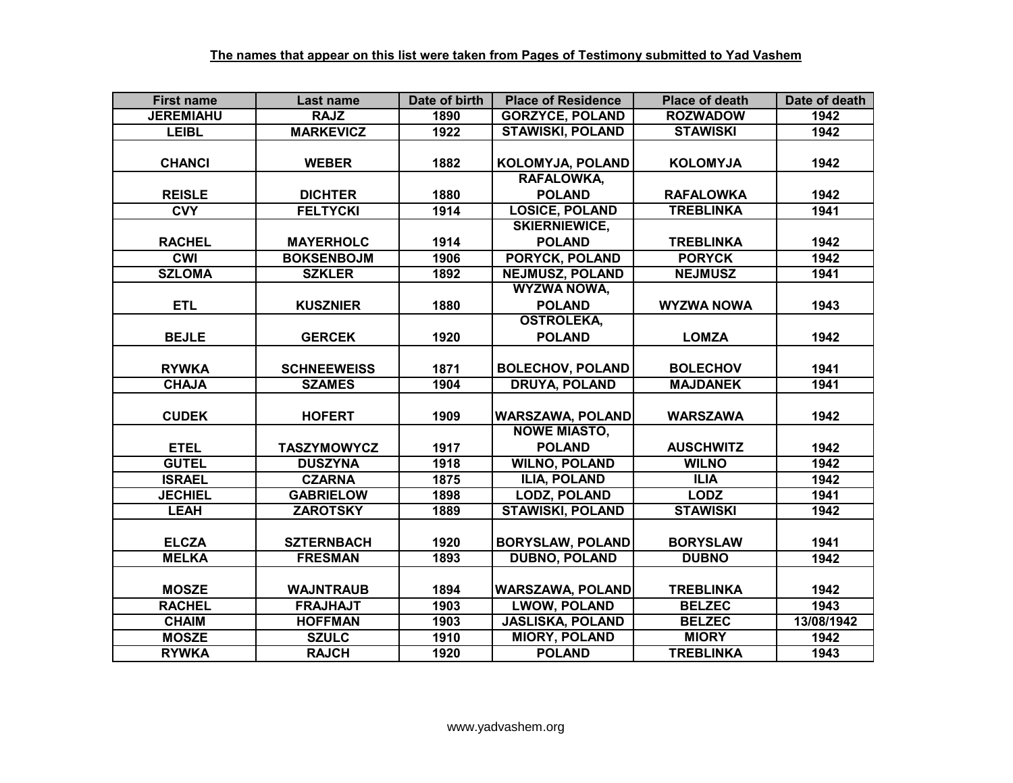| <b>First name</b> | Last name          | Date of birth | <b>Place of Residence</b> | <b>Place of death</b> | Date of death |
|-------------------|--------------------|---------------|---------------------------|-----------------------|---------------|
| <b>JEREMIAHU</b>  | <b>RAJZ</b>        | 1890          | <b>GORZYCE, POLAND</b>    | <b>ROZWADOW</b>       | 1942          |
| <b>LEIBL</b>      | <b>MARKEVICZ</b>   | 1922          | <b>STAWISKI, POLAND</b>   | <b>STAWISKI</b>       | 1942          |
|                   |                    |               |                           |                       |               |
| <b>CHANCI</b>     | <b>WEBER</b>       | 1882          | KOLOMYJA, POLAND          | <b>KOLOMYJA</b>       | 1942          |
|                   |                    |               | <b>RAFALOWKA,</b>         |                       |               |
| <b>REISLE</b>     | <b>DICHTER</b>     | 1880          | <b>POLAND</b>             | <b>RAFALOWKA</b>      | 1942          |
| <b>CVY</b>        | <b>FELTYCKI</b>    | 1914          | <b>LOSICE, POLAND</b>     | <b>TREBLINKA</b>      | 1941          |
|                   |                    |               | <b>SKIERNIEWICE,</b>      |                       |               |
| <b>RACHEL</b>     | <b>MAYERHOLC</b>   | 1914          | <b>POLAND</b>             | <b>TREBLINKA</b>      | 1942          |
| <b>CWI</b>        | <b>BOKSENBOJM</b>  | 1906          | <b>PORYCK, POLAND</b>     | <b>PORYCK</b>         | 1942          |
| <b>SZLOMA</b>     | <b>SZKLER</b>      | 1892          | <b>NEJMUSZ, POLAND</b>    | <b>NEJMUSZ</b>        | 1941          |
|                   |                    |               | <b>WYZWA NOWA,</b>        |                       |               |
| <b>ETL</b>        | <b>KUSZNIER</b>    | 1880          | <b>POLAND</b>             | <b>WYZWA NOWA</b>     | 1943          |
|                   |                    |               | <b>OSTROLEKA,</b>         |                       |               |
| <b>BEJLE</b>      | <b>GERCEK</b>      | 1920          | <b>POLAND</b>             | <b>LOMZA</b>          | 1942          |
|                   |                    |               |                           |                       |               |
| <b>RYWKA</b>      | <b>SCHNEEWEISS</b> | 1871          | <b>BOLECHOV, POLAND</b>   | <b>BOLECHOV</b>       | 1941          |
| <b>CHAJA</b>      | <b>SZAMES</b>      | 1904          | <b>DRUYA, POLAND</b>      | <b>MAJDANEK</b>       | 1941          |
|                   |                    |               |                           |                       |               |
| <b>CUDEK</b>      | <b>HOFERT</b>      | 1909          | <b>WARSZAWA, POLAND</b>   | <b>WARSZAWA</b>       | 1942          |
|                   |                    |               | <b>NOWE MIASTO,</b>       |                       |               |
| <b>ETEL</b>       | <b>TASZYMOWYCZ</b> | 1917          | <b>POLAND</b>             | <b>AUSCHWITZ</b>      | 1942          |
| <b>GUTEL</b>      | <b>DUSZYNA</b>     | 1918          | <b>WILNO, POLAND</b>      | <b>WILNO</b>          | 1942          |
| <b>ISRAEL</b>     | <b>CZARNA</b>      | 1875          | <b>ILIA, POLAND</b>       | <b>ILIA</b>           | 1942          |
| <b>JECHIEL</b>    | <b>GABRIELOW</b>   | 1898          | <b>LODZ, POLAND</b>       | <b>LODZ</b>           | 1941          |
| <b>LEAH</b>       | <b>ZAROTSKY</b>    | 1889          | <b>STAWISKI, POLAND</b>   | <b>STAWISKI</b>       | 1942          |
|                   |                    |               |                           |                       |               |
| <b>ELCZA</b>      | <b>SZTERNBACH</b>  | 1920          | <b>BORYSLAW, POLAND</b>   | <b>BORYSLAW</b>       | 1941          |
| <b>MELKA</b>      | <b>FRESMAN</b>     | 1893          | <b>DUBNO, POLAND</b>      | <b>DUBNO</b>          | 1942          |
|                   |                    |               |                           |                       |               |
| <b>MOSZE</b>      | <b>WAJNTRAUB</b>   | 1894          | <b>WARSZAWA, POLAND</b>   | <b>TREBLINKA</b>      | 1942          |
| <b>RACHEL</b>     | <b>FRAJHAJT</b>    | 1903          | <b>LWOW, POLAND</b>       | <b>BELZEC</b>         | 1943          |
| <b>CHAIM</b>      | <b>HOFFMAN</b>     | 1903          | <b>JASLISKA, POLAND</b>   | <b>BELZEC</b>         | 13/08/1942    |
| <b>MOSZE</b>      | <b>SZULC</b>       | 1910          | <b>MIORY, POLAND</b>      | <b>MIORY</b>          | 1942          |
| <b>RYWKA</b>      | <b>RAJCH</b>       | 1920          | <b>POLAND</b>             | <b>TREBLINKA</b>      | 1943          |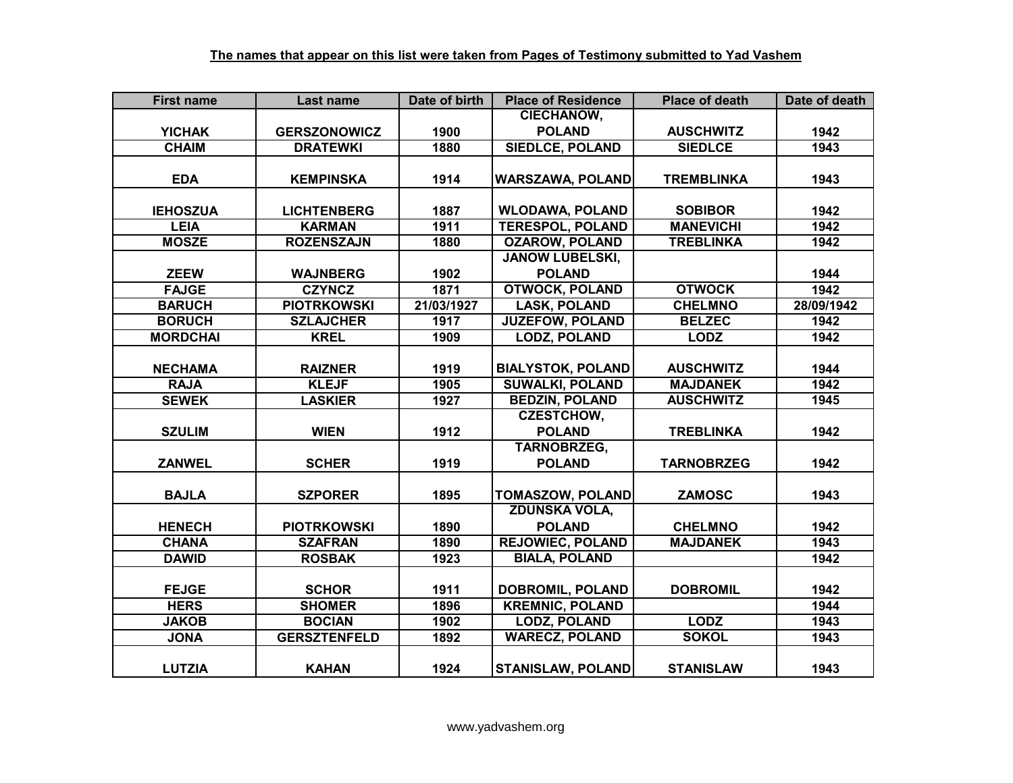| <b>First name</b> | Last name           | Date of birth | <b>Place of Residence</b> | <b>Place of death</b> | Date of death |
|-------------------|---------------------|---------------|---------------------------|-----------------------|---------------|
|                   |                     |               | <b>CIECHANOW,</b>         |                       |               |
| <b>YICHAK</b>     | <b>GERSZONOWICZ</b> | 1900          | <b>POLAND</b>             | <b>AUSCHWITZ</b>      | 1942          |
| <b>CHAIM</b>      | <b>DRATEWKI</b>     | 1880          | <b>SIEDLCE, POLAND</b>    | <b>SIEDLCE</b>        | 1943          |
|                   |                     |               |                           |                       |               |
| <b>EDA</b>        | <b>KEMPINSKA</b>    | 1914          | <b>WARSZAWA, POLAND</b>   | <b>TREMBLINKA</b>     | 1943          |
|                   |                     |               |                           |                       |               |
| <b>IEHOSZUA</b>   | <b>LICHTENBERG</b>  | 1887          | <b>WLODAWA, POLAND</b>    | <b>SOBIBOR</b>        | 1942          |
| <b>LEIA</b>       | <b>KARMAN</b>       | 1911          | <b>TERESPOL, POLAND</b>   | <b>MANEVICHI</b>      | 1942          |
| <b>MOSZE</b>      | <b>ROZENSZAJN</b>   | 1880          | <b>OZAROW, POLAND</b>     | <b>TREBLINKA</b>      | 1942          |
|                   |                     |               | <b>JANOW LUBELSKI,</b>    |                       |               |
| <b>ZEEW</b>       | <b>WAJNBERG</b>     | 1902          | <b>POLAND</b>             |                       | 1944          |
| <b>FAJGE</b>      | <b>CZYNCZ</b>       | 1871          | <b>OTWOCK, POLAND</b>     | <b>OTWOCK</b>         | 1942          |
| <b>BARUCH</b>     | <b>PIOTRKOWSKI</b>  | 21/03/1927    | <b>LASK, POLAND</b>       | <b>CHELMNO</b>        | 28/09/1942    |
| <b>BORUCH</b>     | <b>SZLAJCHER</b>    | 1917          | <b>JUZEFOW, POLAND</b>    | <b>BELZEC</b>         | 1942          |
| <b>MORDCHAI</b>   | <b>KREL</b>         | 1909          | <b>LODZ, POLAND</b>       | <b>LODZ</b>           | 1942          |
|                   |                     |               |                           |                       |               |
| <b>NECHAMA</b>    | <b>RAIZNER</b>      | 1919          | <b>BIALYSTOK, POLAND</b>  | <b>AUSCHWITZ</b>      | 1944          |
| <b>RAJA</b>       | <b>KLEJF</b>        | 1905          | <b>SUWALKI, POLAND</b>    | <b>MAJDANEK</b>       | 1942          |
| <b>SEWEK</b>      | <b>LASKIER</b>      | 1927          | <b>BEDZIN, POLAND</b>     | <b>AUSCHWITZ</b>      | 1945          |
|                   |                     |               | <b>CZESTCHOW,</b>         |                       |               |
| <b>SZULIM</b>     | <b>WIEN</b>         | 1912          | <b>POLAND</b>             | <b>TREBLINKA</b>      | 1942          |
|                   |                     |               | <b>TARNOBRZEG,</b>        |                       |               |
| <b>ZANWEL</b>     | <b>SCHER</b>        | 1919          | <b>POLAND</b>             | <b>TARNOBRZEG</b>     | 1942          |
|                   |                     |               |                           |                       |               |
| <b>BAJLA</b>      | <b>SZPORER</b>      | 1895          | <b>TOMASZOW, POLAND</b>   | <b>ZAMOSC</b>         | 1943          |
|                   |                     |               | <b>ZDUNSKA VOLA,</b>      |                       |               |
| <b>HENECH</b>     | <b>PIOTRKOWSKI</b>  | 1890          | <b>POLAND</b>             | <b>CHELMNO</b>        | 1942          |
| <b>CHANA</b>      | <b>SZAFRAN</b>      | 1890          | <b>REJOWIEC, POLAND</b>   | <b>MAJDANEK</b>       | 1943          |
| <b>DAWID</b>      | <b>ROSBAK</b>       | 1923          | <b>BIALA, POLAND</b>      |                       | 1942          |
|                   |                     |               |                           |                       |               |
| <b>FEJGE</b>      | <b>SCHOR</b>        | 1911          | <b>DOBROMIL, POLAND</b>   | <b>DOBROMIL</b>       | 1942          |
| <b>HERS</b>       | <b>SHOMER</b>       | 1896          | <b>KREMNIC, POLAND</b>    |                       | 1944          |
| <b>JAKOB</b>      | <b>BOCIAN</b>       | 1902          | <b>LODZ, POLAND</b>       | <b>LODZ</b>           | 1943          |
| <b>JONA</b>       | <b>GERSZTENFELD</b> | 1892          | <b>WARECZ, POLAND</b>     | <b>SOKOL</b>          | 1943          |
|                   |                     |               |                           |                       |               |
| <b>LUTZIA</b>     | <b>KAHAN</b>        | 1924          | <b>STANISLAW, POLAND</b>  | <b>STANISLAW</b>      | 1943          |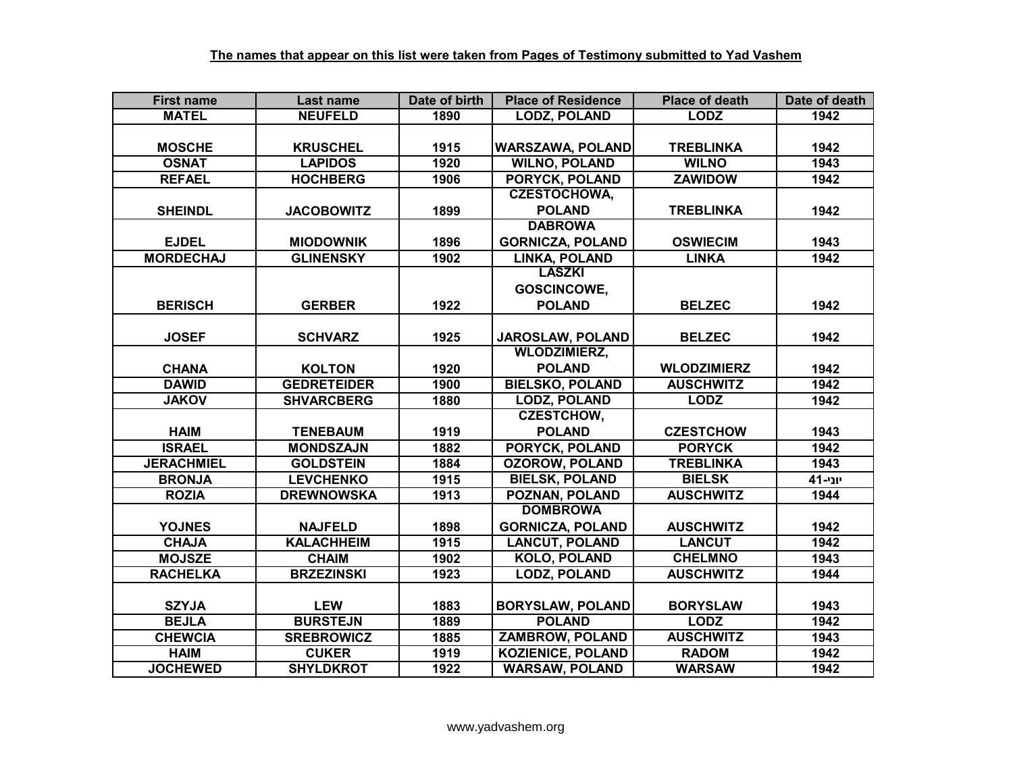| <b>First name</b> | Last name          | Date of birth | <b>Place of Residence</b> | <b>Place of death</b> | Date of death |
|-------------------|--------------------|---------------|---------------------------|-----------------------|---------------|
| <b>MATEL</b>      | <b>NEUFELD</b>     | 1890          | <b>LODZ, POLAND</b>       | <b>LODZ</b>           | 1942          |
|                   |                    |               |                           |                       |               |
| <b>MOSCHE</b>     | <b>KRUSCHEL</b>    | 1915          | <b>WARSZAWA, POLAND</b>   | <b>TREBLINKA</b>      | 1942          |
| <b>OSNAT</b>      | <b>LAPIDOS</b>     | 1920          | <b>WILNO, POLAND</b>      | <b>WILNO</b>          | 1943          |
| <b>REFAEL</b>     | <b>HOCHBERG</b>    | 1906          | <b>PORYCK, POLAND</b>     | <b>ZAWIDOW</b>        | 1942          |
|                   |                    |               | <b>CZESTOCHOWA,</b>       |                       |               |
| <b>SHEINDL</b>    | <b>JACOBOWITZ</b>  | 1899          | <b>POLAND</b>             | <b>TREBLINKA</b>      | 1942          |
|                   |                    |               | <b>DABROWA</b>            |                       |               |
| <b>EJDEL</b>      | <b>MIODOWNIK</b>   | 1896          | <b>GORNICZA, POLAND</b>   | <b>OSWIECIM</b>       | 1943          |
| <b>MORDECHAJ</b>  | <b>GLINENSKY</b>   | 1902          | <b>LINKA, POLAND</b>      | <b>LINKA</b>          | 1942          |
|                   |                    |               | <b>LASZKI</b>             |                       |               |
|                   |                    |               | <b>GOSCINCOWE,</b>        |                       |               |
| <b>BERISCH</b>    | <b>GERBER</b>      | 1922          | <b>POLAND</b>             | <b>BELZEC</b>         | 1942          |
|                   |                    |               |                           |                       |               |
| <b>JOSEF</b>      | <b>SCHVARZ</b>     | 1925          | JAROSLAW, POLAND          | <b>BELZEC</b>         | 1942          |
|                   |                    |               | <b>WLODZIMIERZ,</b>       |                       |               |
| <b>CHANA</b>      | <b>KOLTON</b>      | 1920          | <b>POLAND</b>             | <b>WLODZIMIERZ</b>    | 1942          |
| <b>DAWID</b>      | <b>GEDRETEIDER</b> | 1900          | <b>BIELSKO, POLAND</b>    | <b>AUSCHWITZ</b>      | 1942          |
| <b>JAKOV</b>      | <b>SHVARCBERG</b>  | 1880          | <b>LODZ, POLAND</b>       | <b>LODZ</b>           | 1942          |
|                   |                    |               | <b>CZESTCHOW.</b>         |                       |               |
| <b>HAIM</b>       | <b>TENEBAUM</b>    | 1919          | <b>POLAND</b>             | <b>CZESTCHOW</b>      | 1943          |
| <b>ISRAEL</b>     | <b>MONDSZAJN</b>   | 1882          | <b>PORYCK, POLAND</b>     | <b>PORYCK</b>         | 1942          |
| <b>JERACHMIEL</b> | <b>GOLDSTEIN</b>   | 1884          | <b>OZOROW, POLAND</b>     | <b>TREBLINKA</b>      | 1943          |
| <b>BRONJA</b>     | <b>LEVCHENKO</b>   | 1915          | <b>BIELSK, POLAND</b>     | <b>BIELSK</b>         | יוני-41       |
| <b>ROZIA</b>      | <b>DREWNOWSKA</b>  | 1913          | <b>POZNAN, POLAND</b>     | <b>AUSCHWITZ</b>      | 1944          |
|                   |                    |               | <b>DOMBROWA</b>           |                       |               |
| <b>YOJNES</b>     | <b>NAJFELD</b>     | 1898          | <b>GORNICZA, POLAND</b>   | <b>AUSCHWITZ</b>      | 1942          |
| <b>CHAJA</b>      | <b>KALACHHEIM</b>  | 1915          | <b>LANCUT, POLAND</b>     | <b>LANCUT</b>         | 1942          |
| <b>MOJSZE</b>     | <b>CHAIM</b>       | 1902          | <b>KOLO, POLAND</b>       | <b>CHELMNO</b>        | 1943          |
| <b>RACHELKA</b>   | <b>BRZEZINSKI</b>  | 1923          | <b>LODZ, POLAND</b>       | <b>AUSCHWITZ</b>      | 1944          |
|                   |                    |               |                           |                       |               |
| <b>SZYJA</b>      | <b>LEW</b>         | 1883          | <b>BORYSLAW, POLAND</b>   | <b>BORYSLAW</b>       | 1943          |
| <b>BEJLA</b>      | <b>BURSTEJN</b>    | 1889          | <b>POLAND</b>             | <b>LODZ</b>           | 1942          |
| <b>CHEWCIA</b>    | <b>SREBROWICZ</b>  | 1885          | <b>ZAMBROW, POLAND</b>    | <b>AUSCHWITZ</b>      | 1943          |
| <b>HAIM</b>       | <b>CUKER</b>       | 1919          | <b>KOZIENICE, POLAND</b>  | <b>RADOM</b>          | 1942          |
| <b>JOCHEWED</b>   | <b>SHYLDKROT</b>   | 1922          | <b>WARSAW, POLAND</b>     | <b>WARSAW</b>         | 1942          |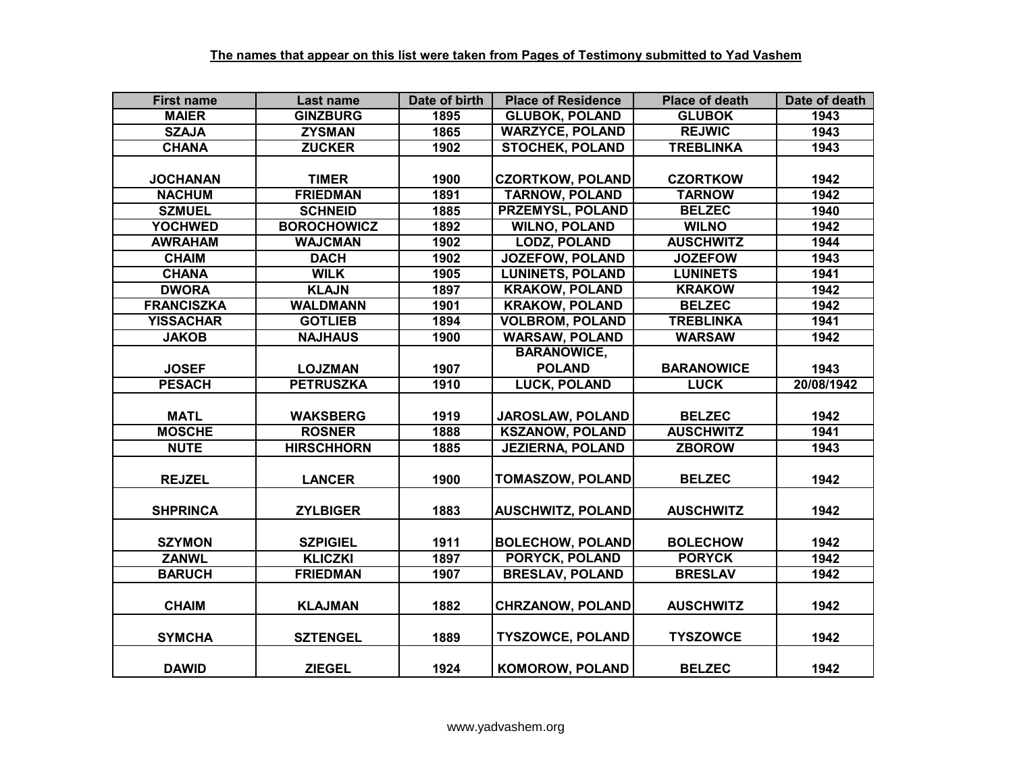| <b>First name</b> | Last name          | Date of birth | <b>Place of Residence</b> | <b>Place of death</b> | Date of death |
|-------------------|--------------------|---------------|---------------------------|-----------------------|---------------|
| <b>MAIER</b>      | <b>GINZBURG</b>    | 1895          | <b>GLUBOK, POLAND</b>     | <b>GLUBOK</b>         | 1943          |
| <b>SZAJA</b>      | <b>ZYSMAN</b>      | 1865          | <b>WARZYCE, POLAND</b>    | <b>REJWIC</b>         | 1943          |
| <b>CHANA</b>      | <b>ZUCKER</b>      | 1902          | <b>STOCHEK, POLAND</b>    | <b>TREBLINKA</b>      | 1943          |
|                   |                    |               |                           |                       |               |
| <b>JOCHANAN</b>   | <b>TIMER</b>       | 1900          | <b>CZORTKOW, POLAND</b>   | <b>CZORTKOW</b>       | 1942          |
| <b>NACHUM</b>     | <b>FRIEDMAN</b>    | 1891          | <b>TARNOW, POLAND</b>     | <b>TARNOW</b>         | 1942          |
| <b>SZMUEL</b>     | <b>SCHNEID</b>     | 1885          | <b>PRZEMYSL, POLAND</b>   | <b>BELZEC</b>         | 1940          |
| <b>YOCHWED</b>    | <b>BOROCHOWICZ</b> | 1892          | <b>WILNO, POLAND</b>      | <b>WILNO</b>          | 1942          |
| <b>AWRAHAM</b>    | <b>WAJCMAN</b>     | 1902          | <b>LODZ, POLAND</b>       | <b>AUSCHWITZ</b>      | 1944          |
| <b>CHAIM</b>      | <b>DACH</b>        | 1902          | <b>JOZEFOW, POLAND</b>    | <b>JOZEFOW</b>        | 1943          |
| <b>CHANA</b>      | <b>WILK</b>        | 1905          | <b>LUNINETS, POLAND</b>   | <b>LUNINETS</b>       | 1941          |
| <b>DWORA</b>      | <b>KLAJN</b>       | 1897          | <b>KRAKOW, POLAND</b>     | <b>KRAKOW</b>         | 1942          |
| <b>FRANCISZKA</b> | <b>WALDMANN</b>    | 1901          | <b>KRAKOW, POLAND</b>     | <b>BELZEC</b>         | 1942          |
| <b>YISSACHAR</b>  | <b>GOTLIEB</b>     | 1894          | <b>VOLBROM, POLAND</b>    | <b>TREBLINKA</b>      | 1941          |
| <b>JAKOB</b>      | <b>NAJHAUS</b>     | 1900          | <b>WARSAW, POLAND</b>     | <b>WARSAW</b>         | 1942          |
|                   |                    |               | <b>BARANOWICE,</b>        |                       |               |
| <b>JOSEF</b>      | <b>LOJZMAN</b>     | 1907          | <b>POLAND</b>             | <b>BARANOWICE</b>     | 1943          |
| <b>PESACH</b>     | <b>PETRUSZKA</b>   | 1910          | <b>LUCK, POLAND</b>       | <b>LUCK</b>           | 20/08/1942    |
|                   |                    |               |                           |                       |               |
| <b>MATL</b>       | <b>WAKSBERG</b>    | 1919          | JAROSLAW, POLAND          | <b>BELZEC</b>         | 1942          |
| <b>MOSCHE</b>     | <b>ROSNER</b>      | 1888          | <b>KSZANOW, POLAND</b>    | <b>AUSCHWITZ</b>      | 1941          |
| <b>NUTE</b>       | <b>HIRSCHHORN</b>  | 1885          | <b>JEZIERNA, POLAND</b>   | <b>ZBOROW</b>         | 1943          |
|                   |                    |               |                           |                       |               |
| <b>REJZEL</b>     | <b>LANCER</b>      | 1900          | <b>TOMASZOW, POLAND</b>   | <b>BELZEC</b>         | 1942          |
|                   |                    |               |                           |                       |               |
| <b>SHPRINCA</b>   | <b>ZYLBIGER</b>    | 1883          | <b>AUSCHWITZ, POLAND</b>  | <b>AUSCHWITZ</b>      | 1942          |
|                   |                    |               |                           |                       |               |
| <b>SZYMON</b>     | <b>SZPIGIEL</b>    | 1911          | <b>BOLECHOW, POLAND</b>   | <b>BOLECHOW</b>       | 1942          |
| <b>ZANWL</b>      | <b>KLICZKI</b>     | 1897          | <b>PORYCK, POLAND</b>     | <b>PORYCK</b>         | 1942          |
| <b>BARUCH</b>     | <b>FRIEDMAN</b>    | 1907          | <b>BRESLAV, POLAND</b>    | <b>BRESLAV</b>        | 1942          |
|                   |                    |               |                           |                       |               |
| <b>CHAIM</b>      | <b>KLAJMAN</b>     | 1882          | <b>CHRZANOW, POLAND</b>   | <b>AUSCHWITZ</b>      | 1942          |
|                   |                    |               |                           |                       |               |
| <b>SYMCHA</b>     | <b>SZTENGEL</b>    | 1889          | <b>TYSZOWCE, POLAND</b>   | <b>TYSZOWCE</b>       | 1942          |
|                   |                    |               |                           |                       |               |
| <b>DAWID</b>      | <b>ZIEGEL</b>      | 1924          | <b>KOMOROW, POLAND</b>    | <b>BELZEC</b>         | 1942          |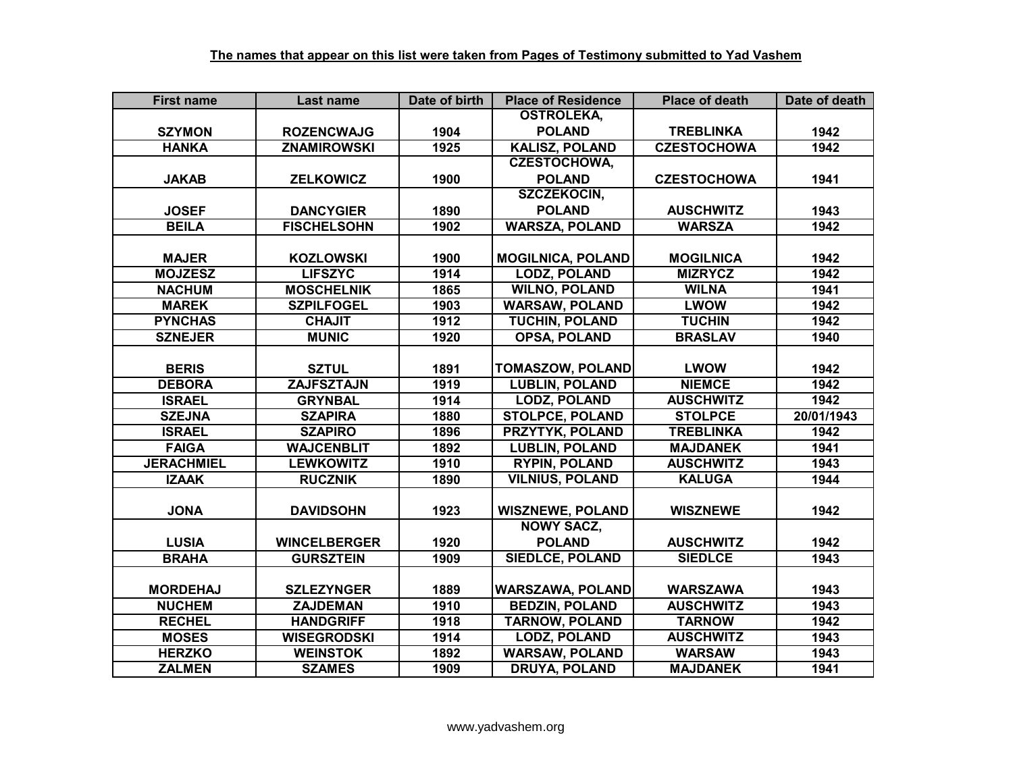| <b>First name</b> | Last name           | Date of birth | <b>Place of Residence</b> | <b>Place of death</b> | Date of death |
|-------------------|---------------------|---------------|---------------------------|-----------------------|---------------|
|                   |                     |               | <b>OSTROLEKA,</b>         |                       |               |
| <b>SZYMON</b>     | <b>ROZENCWAJG</b>   | 1904          | <b>POLAND</b>             | <b>TREBLINKA</b>      | 1942          |
| <b>HANKA</b>      | <b>ZNAMIROWSKI</b>  | 1925          | <b>KALISZ, POLAND</b>     | <b>CZESTOCHOWA</b>    | 1942          |
|                   |                     |               | <b>CZESTOCHOWA,</b>       |                       |               |
| <b>JAKAB</b>      | <b>ZELKOWICZ</b>    | 1900          | <b>POLAND</b>             | <b>CZESTOCHOWA</b>    | 1941          |
|                   |                     |               | <b>SZCZEKOCIN,</b>        |                       |               |
| <b>JOSEF</b>      | <b>DANCYGIER</b>    | 1890          | <b>POLAND</b>             | <b>AUSCHWITZ</b>      | 1943          |
| <b>BEILA</b>      | <b>FISCHELSOHN</b>  | 1902          | <b>WARSZA, POLAND</b>     | <b>WARSZA</b>         | 1942          |
|                   |                     |               |                           |                       |               |
| <b>MAJER</b>      | <b>KOZLOWSKI</b>    | 1900          | <b>MOGILNICA, POLAND</b>  | <b>MOGILNICA</b>      | 1942          |
| <b>MOJZESZ</b>    | <b>LIFSZYC</b>      | 1914          | <b>LODZ, POLAND</b>       | <b>MIZRYCZ</b>        | 1942          |
| <b>NACHUM</b>     | <b>MOSCHELNIK</b>   | 1865          | <b>WILNO, POLAND</b>      | <b>WILNA</b>          | 1941          |
| <b>MAREK</b>      | <b>SZPILFOGEL</b>   | 1903          | <b>WARSAW, POLAND</b>     | <b>LWOW</b>           | 1942          |
| <b>PYNCHAS</b>    | <b>CHAJIT</b>       | 1912          | <b>TUCHIN, POLAND</b>     | <b>TUCHIN</b>         | 1942          |
| <b>SZNEJER</b>    | <b>MUNIC</b>        | 1920          | <b>OPSA, POLAND</b>       | <b>BRASLAV</b>        | 1940          |
|                   |                     |               |                           |                       |               |
| <b>BERIS</b>      | <b>SZTUL</b>        | 1891          | <b>TOMASZOW, POLAND</b>   | <b>LWOW</b>           | 1942          |
| <b>DEBORA</b>     | <b>ZAJFSZTAJN</b>   | 1919          | <b>LUBLIN, POLAND</b>     | <b>NIEMCE</b>         | 1942          |
| <b>ISRAEL</b>     | <b>GRYNBAL</b>      | 1914          | <b>LODZ, POLAND</b>       | <b>AUSCHWITZ</b>      | 1942          |
| <b>SZEJNA</b>     | <b>SZAPIRA</b>      | 1880          | <b>STOLPCE, POLAND</b>    | <b>STOLPCE</b>        | 20/01/1943    |
| <b>ISRAEL</b>     | <b>SZAPIRO</b>      | 1896          | <b>PRZYTYK, POLAND</b>    | <b>TREBLINKA</b>      | 1942          |
| <b>FAIGA</b>      | <b>WAJCENBLIT</b>   | 1892          | <b>LUBLIN, POLAND</b>     | <b>MAJDANEK</b>       | 1941          |
| <b>JERACHMIEL</b> | <b>LEWKOWITZ</b>    | 1910          | <b>RYPIN, POLAND</b>      | <b>AUSCHWITZ</b>      | 1943          |
| <b>IZAAK</b>      | <b>RUCZNIK</b>      | 1890          | <b>VILNIUS, POLAND</b>    | <b>KALUGA</b>         | 1944          |
|                   |                     |               |                           |                       |               |
| <b>JONA</b>       | <b>DAVIDSOHN</b>    | 1923          | <b>WISZNEWE, POLAND</b>   | <b>WISZNEWE</b>       | 1942          |
|                   |                     |               | <b>NOWY SACZ,</b>         |                       |               |
| <b>LUSIA</b>      | <b>WINCELBERGER</b> | 1920          | <b>POLAND</b>             | <b>AUSCHWITZ</b>      | 1942          |
| <b>BRAHA</b>      | <b>GURSZTEIN</b>    | 1909          | <b>SIEDLCE, POLAND</b>    | <b>SIEDLCE</b>        | 1943          |
|                   |                     |               |                           |                       |               |
| <b>MORDEHAJ</b>   | <b>SZLEZYNGER</b>   | 1889          | <b>WARSZAWA, POLAND</b>   | <b>WARSZAWA</b>       | 1943          |
| <b>NUCHEM</b>     | <b>ZAJDEMAN</b>     | 1910          | <b>BEDZIN, POLAND</b>     | <b>AUSCHWITZ</b>      | 1943          |
| <b>RECHEL</b>     | <b>HANDGRIFF</b>    | 1918          | <b>TARNOW, POLAND</b>     | <b>TARNOW</b>         | 1942          |
| <b>MOSES</b>      | <b>WISEGRODSKI</b>  | 1914          | <b>LODZ, POLAND</b>       | <b>AUSCHWITZ</b>      | 1943          |
| <b>HERZKO</b>     | <b>WEINSTOK</b>     | 1892          | <b>WARSAW, POLAND</b>     | <b>WARSAW</b>         | 1943          |
| <b>ZALMEN</b>     | <b>SZAMES</b>       | 1909          | <b>DRUYA, POLAND</b>      | <b>MAJDANEK</b>       | 1941          |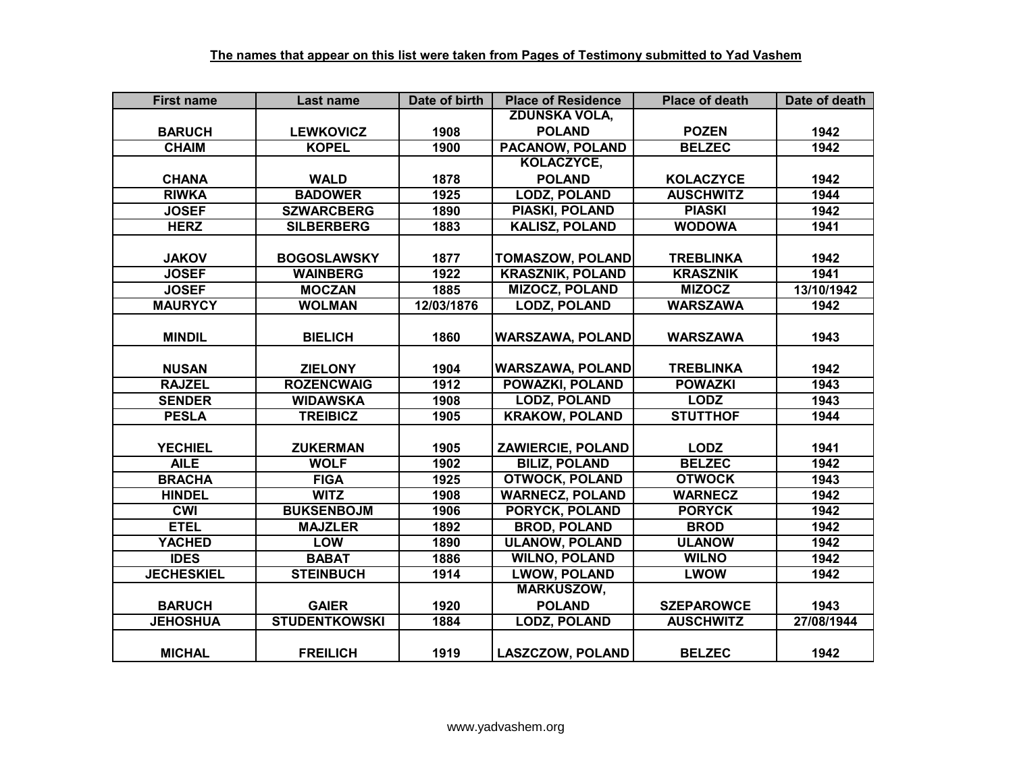| <b>First name</b> | Last name            | Date of birth | <b>Place of Residence</b> | <b>Place of death</b> | Date of death |
|-------------------|----------------------|---------------|---------------------------|-----------------------|---------------|
|                   |                      |               | <b>ZDUNSKA VOLA,</b>      |                       |               |
| <b>BARUCH</b>     | <b>LEWKOVICZ</b>     | 1908          | <b>POLAND</b>             | <b>POZEN</b>          | 1942          |
| <b>CHAIM</b>      | <b>KOPEL</b>         | 1900          | <b>PACANOW, POLAND</b>    | <b>BELZEC</b>         | 1942          |
|                   |                      |               | KOLACZYCE,                |                       |               |
| <b>CHANA</b>      | <b>WALD</b>          | 1878          | <b>POLAND</b>             | <b>KOLACZYCE</b>      | 1942          |
| <b>RIWKA</b>      | <b>BADOWER</b>       | 1925          | <b>LODZ, POLAND</b>       | <b>AUSCHWITZ</b>      | 1944          |
| <b>JOSEF</b>      | <b>SZWARCBERG</b>    | 1890          | <b>PIASKI, POLAND</b>     | <b>PIASKI</b>         | 1942          |
| <b>HERZ</b>       | <b>SILBERBERG</b>    | 1883          | <b>KALISZ, POLAND</b>     | <b>WODOWA</b>         | 1941          |
|                   |                      |               |                           |                       |               |
| <b>JAKOV</b>      | <b>BOGOSLAWSKY</b>   | 1877          | <b>TOMASZOW, POLAND</b>   | <b>TREBLINKA</b>      | 1942          |
| <b>JOSEF</b>      | <b>WAINBERG</b>      | 1922          | <b>KRASZNIK, POLAND</b>   | <b>KRASZNIK</b>       | 1941          |
| <b>JOSEF</b>      | <b>MOCZAN</b>        | 1885          | <b>MIZOCZ, POLAND</b>     | <b>MIZOCZ</b>         | 13/10/1942    |
| <b>MAURYCY</b>    | <b>WOLMAN</b>        | 12/03/1876    | <b>LODZ, POLAND</b>       | <b>WARSZAWA</b>       | 1942          |
|                   |                      |               |                           |                       |               |
| <b>MINDIL</b>     | <b>BIELICH</b>       | 1860          | <b>WARSZAWA, POLAND</b>   | <b>WARSZAWA</b>       | 1943          |
|                   |                      |               |                           |                       |               |
| <b>NUSAN</b>      | <b>ZIELONY</b>       | 1904          | <b>WARSZAWA, POLAND</b>   | <b>TREBLINKA</b>      | 1942          |
| <b>RAJZEL</b>     | <b>ROZENCWAIG</b>    | 1912          | <b>POWAZKI, POLAND</b>    | <b>POWAZKI</b>        | 1943          |
| <b>SENDER</b>     | <b>WIDAWSKA</b>      | 1908          | <b>LODZ, POLAND</b>       | <b>LODZ</b>           | 1943          |
| <b>PESLA</b>      | <b>TREIBICZ</b>      | 1905          | <b>KRAKOW, POLAND</b>     | <b>STUTTHOF</b>       | 1944          |
|                   |                      |               |                           |                       |               |
| <b>YECHIEL</b>    | <b>ZUKERMAN</b>      | 1905          | <b>ZAWIERCIE, POLAND</b>  | <b>LODZ</b>           | 1941          |
| <b>AILE</b>       | <b>WOLF</b>          | 1902          | <b>BILIZ, POLAND</b>      | <b>BELZEC</b>         | 1942          |
| <b>BRACHA</b>     | <b>FIGA</b>          | 1925          | <b>OTWOCK, POLAND</b>     | <b>OTWOCK</b>         | 1943          |
| <b>HINDEL</b>     | <b>WITZ</b>          | 1908          | <b>WARNECZ, POLAND</b>    | <b>WARNECZ</b>        | 1942          |
| <b>CWI</b>        | <b>BUKSENBOJM</b>    | 1906          | <b>PORYCK, POLAND</b>     | <b>PORYCK</b>         | 1942          |
| <b>ETEL</b>       | <b>MAJZLER</b>       | 1892          | <b>BROD, POLAND</b>       | <b>BROD</b>           | 1942          |
| <b>YACHED</b>     | <b>LOW</b>           | 1890          | <b>ULANOW, POLAND</b>     | <b>ULANOW</b>         | 1942          |
| <b>IDES</b>       | <b>BABAT</b>         | 1886          | <b>WILNO, POLAND</b>      | <b>WILNO</b>          | 1942          |
| <b>JECHESKIEL</b> | <b>STEINBUCH</b>     | 1914          | <b>LWOW, POLAND</b>       | <b>LWOW</b>           | 1942          |
|                   |                      |               | <b>MARKUSZOW,</b>         |                       |               |
| <b>BARUCH</b>     | <b>GAIER</b>         | 1920          | <b>POLAND</b>             | <b>SZEPAROWCE</b>     | 1943          |
| <b>JEHOSHUA</b>   | <b>STUDENTKOWSKI</b> | 1884          | <b>LODZ, POLAND</b>       | <b>AUSCHWITZ</b>      | 27/08/1944    |
|                   |                      |               |                           |                       |               |
| <b>MICHAL</b>     | <b>FREILICH</b>      | 1919          | <b>LASZCZOW, POLAND</b>   | <b>BELZEC</b>         | 1942          |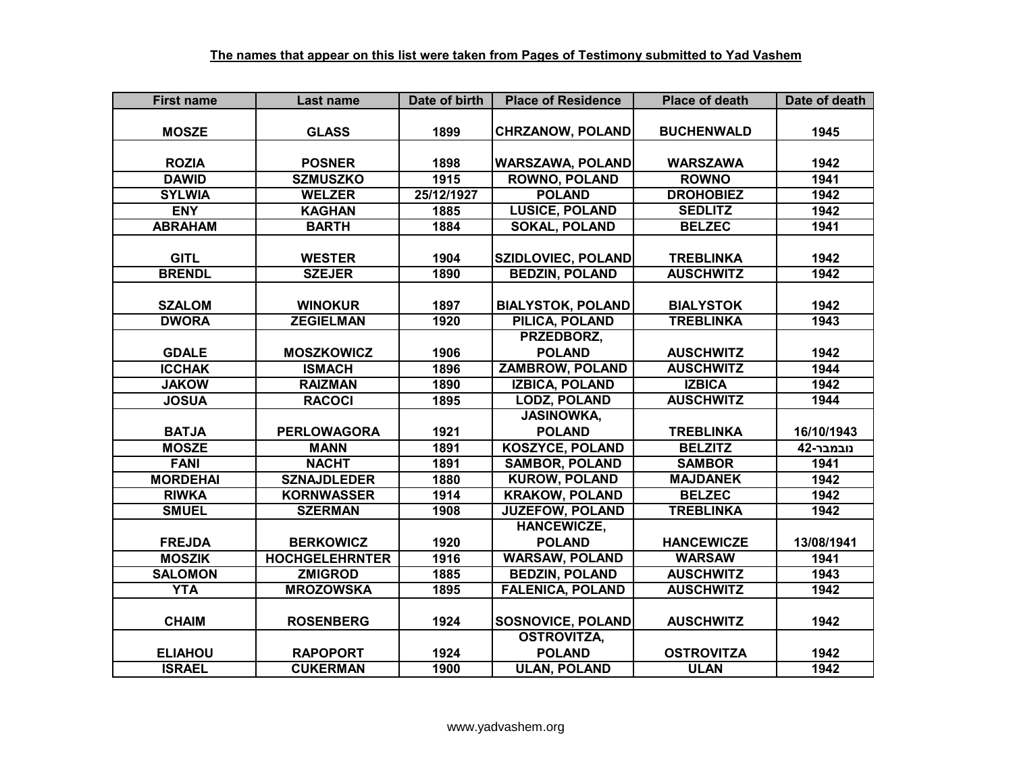| <b>First name</b> | Last name             | Date of birth | <b>Place of Residence</b> | <b>Place of death</b> | Date of death |
|-------------------|-----------------------|---------------|---------------------------|-----------------------|---------------|
|                   |                       |               |                           |                       |               |
| <b>MOSZE</b>      | <b>GLASS</b>          | 1899          | <b>CHRZANOW, POLAND</b>   | <b>BUCHENWALD</b>     | 1945          |
|                   |                       |               |                           |                       |               |
| <b>ROZIA</b>      | <b>POSNER</b>         | 1898          | <b>WARSZAWA, POLAND</b>   | <b>WARSZAWA</b>       | 1942          |
| <b>DAWID</b>      | <b>SZMUSZKO</b>       | 1915          | <b>ROWNO, POLAND</b>      | <b>ROWNO</b>          | 1941          |
| <b>SYLWIA</b>     | <b>WELZER</b>         | 25/12/1927    | <b>POLAND</b>             | <b>DROHOBIEZ</b>      | 1942          |
| <b>ENY</b>        | <b>KAGHAN</b>         | 1885          | <b>LUSICE, POLAND</b>     | <b>SEDLITZ</b>        | 1942          |
| <b>ABRAHAM</b>    | <b>BARTH</b>          | 1884          | <b>SOKAL, POLAND</b>      | <b>BELZEC</b>         | 1941          |
|                   |                       |               |                           |                       |               |
| <b>GITL</b>       | <b>WESTER</b>         | 1904          | <b>SZIDLOVIEC, POLAND</b> | <b>TREBLINKA</b>      | 1942          |
| <b>BRENDL</b>     | <b>SZEJER</b>         | 1890          | <b>BEDZIN, POLAND</b>     | <b>AUSCHWITZ</b>      | 1942          |
|                   |                       |               |                           |                       |               |
| <b>SZALOM</b>     | <b>WINOKUR</b>        | 1897          | <b>BIALYSTOK, POLAND</b>  | <b>BIALYSTOK</b>      | 1942          |
| <b>DWORA</b>      | <b>ZEGIELMAN</b>      | 1920          | PILICA, POLAND            | <b>TREBLINKA</b>      | 1943          |
|                   |                       |               | PRZEDBORZ,                |                       |               |
| <b>GDALE</b>      | <b>MOSZKOWICZ</b>     | 1906          | <b>POLAND</b>             | <b>AUSCHWITZ</b>      | 1942          |
| <b>ICCHAK</b>     | <b>ISMACH</b>         | 1896          | <b>ZAMBROW, POLAND</b>    | <b>AUSCHWITZ</b>      | 1944          |
| <b>JAKOW</b>      | <b>RAIZMAN</b>        | 1890          | <b>IZBICA, POLAND</b>     | <b>IZBICA</b>         | 1942          |
| <b>JOSUA</b>      | <b>RACOCI</b>         | 1895          | <b>LODZ, POLAND</b>       | <b>AUSCHWITZ</b>      | 1944          |
|                   |                       |               | <b>JASINOWKA.</b>         |                       |               |
| <b>BATJA</b>      | <b>PERLOWAGORA</b>    | 1921          | <b>POLAND</b>             | <b>TREBLINKA</b>      | 16/10/1943    |
| <b>MOSZE</b>      | <b>MANN</b>           | 1891          | <b>KOSZYCE, POLAND</b>    | <b>BELZITZ</b>        | נובמבר-42     |
| <b>FANI</b>       | <b>NACHT</b>          | 1891          | <b>SAMBOR, POLAND</b>     | <b>SAMBOR</b>         | 1941          |
| <b>MORDEHAI</b>   | <b>SZNAJDLEDER</b>    | 1880          | <b>KUROW, POLAND</b>      | <b>MAJDANEK</b>       | 1942          |
| <b>RIWKA</b>      | <b>KORNWASSER</b>     | 1914          | <b>KRAKOW, POLAND</b>     | <b>BELZEC</b>         | 1942          |
| <b>SMUEL</b>      | <b>SZERMAN</b>        | 1908          | <b>JUZEFOW, POLAND</b>    | <b>TREBLINKA</b>      | 1942          |
|                   |                       |               | <b>HANCEWICZE,</b>        |                       |               |
| <b>FREJDA</b>     | <b>BERKOWICZ</b>      | 1920          | <b>POLAND</b>             | <b>HANCEWICZE</b>     | 13/08/1941    |
| <b>MOSZIK</b>     | <b>HOCHGELEHRNTER</b> | 1916          | <b>WARSAW, POLAND</b>     | <b>WARSAW</b>         | 1941          |
| <b>SALOMON</b>    | <b>ZMIGROD</b>        | 1885          | <b>BEDZIN, POLAND</b>     | <b>AUSCHWITZ</b>      | 1943          |
| <b>YTA</b>        | <b>MROZOWSKA</b>      | 1895          | <b>FALENICA, POLAND</b>   | <b>AUSCHWITZ</b>      | 1942          |
|                   |                       |               |                           |                       |               |
| <b>CHAIM</b>      | <b>ROSENBERG</b>      | 1924          | <b>SOSNOVICE, POLAND</b>  | <b>AUSCHWITZ</b>      | 1942          |
|                   |                       |               | <b>OSTROVITZA,</b>        |                       |               |
| <b>ELIAHOU</b>    | <b>RAPOPORT</b>       | 1924          | <b>POLAND</b>             | <b>OSTROVITZA</b>     | 1942          |
| <b>ISRAEL</b>     | <b>CUKERMAN</b>       | 1900          | <b>ULAN, POLAND</b>       | <b>ULAN</b>           | 1942          |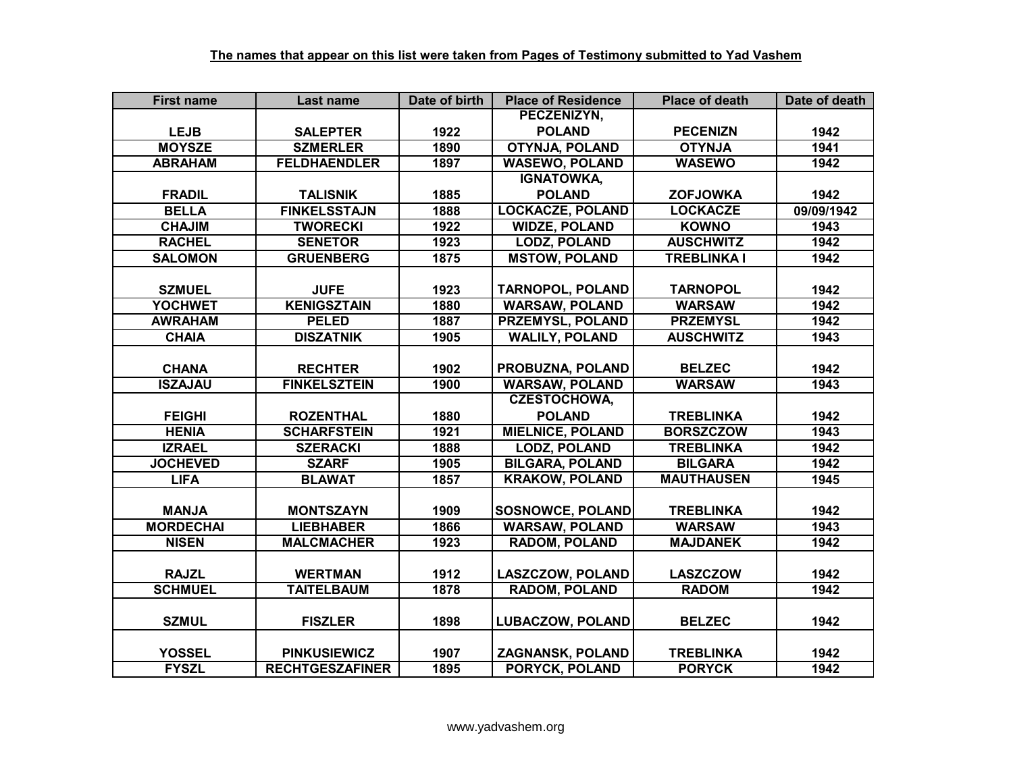| <b>First name</b> | Last name              | Date of birth | <b>Place of Residence</b> | <b>Place of death</b> | Date of death |
|-------------------|------------------------|---------------|---------------------------|-----------------------|---------------|
|                   |                        |               | PECZENIZYN,               |                       |               |
| <b>LEJB</b>       | <b>SALEPTER</b>        | 1922          | <b>POLAND</b>             | <b>PECENIZN</b>       | 1942          |
| <b>MOYSZE</b>     | <b>SZMERLER</b>        | 1890          | <b>OTYNJA, POLAND</b>     | <b>ALNYTO</b>         | 1941          |
| <b>ABRAHAM</b>    | <b>FELDHAENDLER</b>    | 1897          | <b>WASEWO, POLAND</b>     | <b>WASEWO</b>         | 1942          |
|                   |                        |               | <b>IGNATOWKA,</b>         |                       |               |
| <b>FRADIL</b>     | <b>TALISNIK</b>        | 1885          | <b>POLAND</b>             | <b>ZOFJOWKA</b>       | 1942          |
| <b>BELLA</b>      | <b>FINKELSSTAJN</b>    | 1888          | <b>LOCKACZE, POLAND</b>   | <b>LOCKACZE</b>       | 09/09/1942    |
| <b>CHAJIM</b>     | <b>TWORECKI</b>        | 1922          | <b>WIDZE, POLAND</b>      | <b>KOWNO</b>          | 1943          |
| <b>RACHEL</b>     | <b>SENETOR</b>         | 1923          | <b>LODZ, POLAND</b>       | <b>AUSCHWITZ</b>      | 1942          |
| <b>SALOMON</b>    | <b>GRUENBERG</b>       | 1875          | <b>MSTOW, POLAND</b>      | <b>TREBLINKA I</b>    | 1942          |
|                   |                        |               |                           |                       |               |
| <b>SZMUEL</b>     | <b>JUFE</b>            | 1923          | <b>TARNOPOL, POLAND</b>   | <b>TARNOPOL</b>       | 1942          |
| <b>YOCHWET</b>    | <b>KENIGSZTAIN</b>     | 1880          | <b>WARSAW, POLAND</b>     | <b>WARSAW</b>         | 1942          |
| <b>AWRAHAM</b>    | <b>PELED</b>           | 1887          | <b>PRZEMYSL, POLAND</b>   | <b>PRZEMYSL</b>       | 1942          |
| <b>CHAIA</b>      | <b>DISZATNIK</b>       | 1905          | <b>WALILY, POLAND</b>     | <b>AUSCHWITZ</b>      | 1943          |
|                   |                        |               |                           |                       |               |
| <b>CHANA</b>      | <b>RECHTER</b>         | 1902          | PROBUZNA, POLAND          | <b>BELZEC</b>         | 1942          |
| <b>ISZAJAU</b>    | <b>FINKELSZTEIN</b>    | 1900          | <b>WARSAW, POLAND</b>     | <b>WARSAW</b>         | 1943          |
|                   |                        |               | <b>CZESTOCHOWA,</b>       |                       |               |
| <b>FEIGHI</b>     | <b>ROZENTHAL</b>       | 1880          | <b>POLAND</b>             | <b>TREBLINKA</b>      | 1942          |
| <b>HENIA</b>      | <b>SCHARFSTEIN</b>     | 1921          | <b>MIELNICE, POLAND</b>   | <b>BORSZCZOW</b>      | 1943          |
| <b>IZRAEL</b>     | <b>SZERACKI</b>        | 1888          | <b>LODZ, POLAND</b>       | <b>TREBLINKA</b>      | 1942          |
| <b>JOCHEVED</b>   | <b>SZARF</b>           | 1905          | <b>BILGARA, POLAND</b>    | <b>BILGARA</b>        | 1942          |
| <b>LIFA</b>       | <b>BLAWAT</b>          | 1857          | <b>KRAKOW, POLAND</b>     | <b>MAUTHAUSEN</b>     | 1945          |
|                   |                        |               |                           |                       |               |
| <b>MANJA</b>      | <b>MONTSZAYN</b>       | 1909          | <b>SOSNOWCE, POLAND</b>   | <b>TREBLINKA</b>      | 1942          |
| <b>MORDECHAI</b>  | <b>LIEBHABER</b>       | 1866          | <b>WARSAW, POLAND</b>     | <b>WARSAW</b>         | 1943          |
| <b>NISEN</b>      | <b>MALCMACHER</b>      | 1923          | <b>RADOM, POLAND</b>      | <b>MAJDANEK</b>       | 1942          |
|                   |                        |               |                           |                       |               |
| <b>RAJZL</b>      | <b>WERTMAN</b>         | 1912          | <b>LASZCZOW, POLAND</b>   | <b>LASZCZOW</b>       | 1942          |
| <b>SCHMUEL</b>    | <b>TAITELBAUM</b>      | 1878          | <b>RADOM, POLAND</b>      | <b>RADOM</b>          | 1942          |
|                   |                        |               |                           |                       |               |
| <b>SZMUL</b>      | <b>FISZLER</b>         | 1898          | <b>LUBACZOW, POLAND</b>   | <b>BELZEC</b>         | 1942          |
|                   |                        |               |                           |                       |               |
| <b>YOSSEL</b>     | <b>PINKUSIEWICZ</b>    | 1907          | ZAGNANSK, POLAND          | <b>TREBLINKA</b>      | 1942          |
| <b>FYSZL</b>      | <b>RECHTGESZAFINER</b> | 1895          | <b>PORYCK, POLAND</b>     | <b>PORYCK</b>         | 1942          |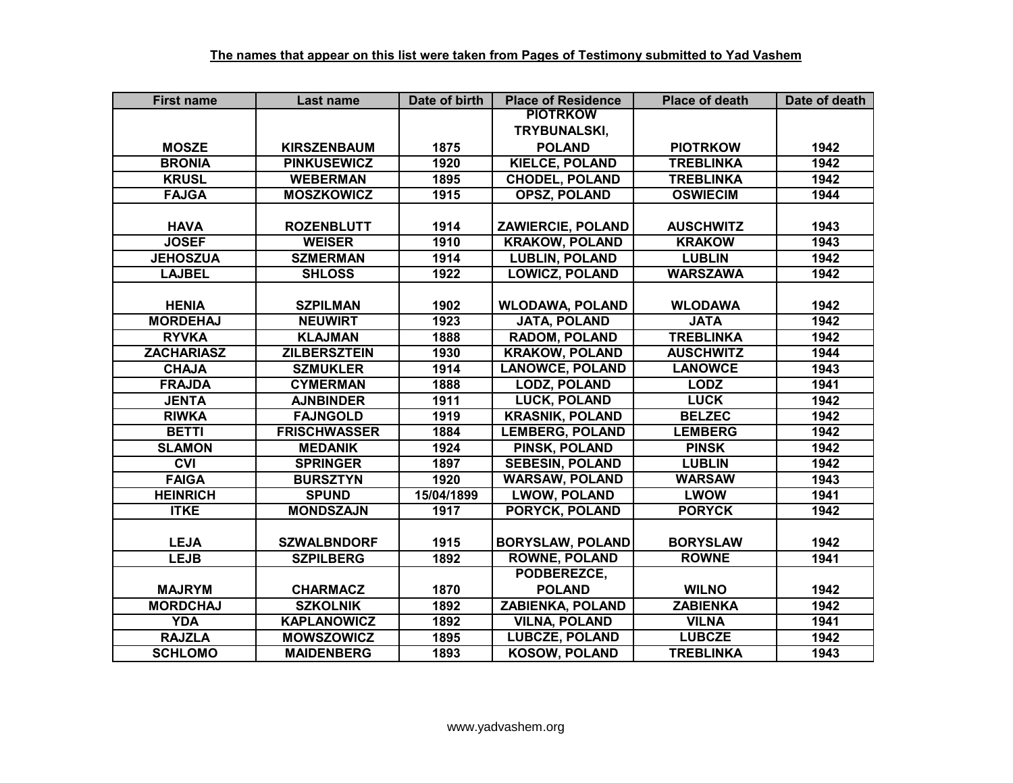| <b>First name</b> | Last name           | Date of birth     | <b>Place of Residence</b> | <b>Place of death</b> | Date of death |
|-------------------|---------------------|-------------------|---------------------------|-----------------------|---------------|
|                   |                     |                   | <b>PIOTRKOW</b>           |                       |               |
|                   |                     |                   | TRYBUNALSKI,              |                       |               |
| <b>MOSZE</b>      | <b>KIRSZENBAUM</b>  | 1875              | <b>POLAND</b>             | <b>PIOTRKOW</b>       | 1942          |
| <b>BRONIA</b>     | <b>PINKUSEWICZ</b>  | 1920              | <b>KIELCE, POLAND</b>     | <b>TREBLINKA</b>      | 1942          |
| <b>KRUSL</b>      | <b>WEBERMAN</b>     | 1895              | <b>CHODEL, POLAND</b>     | <b>TREBLINKA</b>      | 1942          |
| <b>FAJGA</b>      | <b>MOSZKOWICZ</b>   | 1915              | <b>OPSZ, POLAND</b>       | <b>OSWIECIM</b>       | 1944          |
|                   |                     |                   |                           |                       |               |
| <b>HAVA</b>       | <b>ROZENBLUTT</b>   | 1914              | <b>ZAWIERCIE, POLAND</b>  | <b>AUSCHWITZ</b>      | 1943          |
| <b>JOSEF</b>      | <b>WEISER</b>       | 1910              | <b>KRAKOW, POLAND</b>     | <b>KRAKOW</b>         | 1943          |
| <b>JEHOSZUA</b>   | <b>SZMERMAN</b>     | 1914              | <b>LUBLIN, POLAND</b>     | <b>LUBLIN</b>         | 1942          |
| <b>LAJBEL</b>     | <b>SHLOSS</b>       | 1922              | <b>LOWICZ, POLAND</b>     | <b>WARSZAWA</b>       | 1942          |
|                   |                     |                   |                           |                       |               |
| <b>HENIA</b>      | <b>SZPILMAN</b>     | 1902              | <b>WLODAWA, POLAND</b>    | <b>WLODAWA</b>        | 1942          |
| <b>MORDEHAJ</b>   | <b>NEUWIRT</b>      | 1923              | <b>JATA, POLAND</b>       | <b>JATA</b>           | 1942          |
| <b>RYVKA</b>      | <b>KLAJMAN</b>      | 1888              | <b>RADOM, POLAND</b>      | <b>TREBLINKA</b>      | 1942          |
| <b>ZACHARIASZ</b> | <b>ZILBERSZTEIN</b> | 1930              | <b>KRAKOW, POLAND</b>     | <b>AUSCHWITZ</b>      | 1944          |
| <b>CHAJA</b>      | <b>SZMUKLER</b>     | 1914              | <b>LANOWCE, POLAND</b>    | <b>LANOWCE</b>        | 1943          |
| <b>FRAJDA</b>     | <b>CYMERMAN</b>     | 1888              | <b>LODZ, POLAND</b>       | <b>LODZ</b>           | 1941          |
| <b>JENTA</b>      | <b>AJNBINDER</b>    | 1911              | <b>LUCK, POLAND</b>       | <b>LUCK</b>           | 1942          |
| <b>RIWKA</b>      | <b>FAJNGOLD</b>     | 1919              | <b>KRASNIK, POLAND</b>    | <b>BELZEC</b>         | 1942          |
| <b>BETTI</b>      | <b>FRISCHWASSER</b> | 1884              | <b>LEMBERG, POLAND</b>    | <b>LEMBERG</b>        | 1942          |
| <b>SLAMON</b>     | <b>MEDANIK</b>      | 1924              | PINSK, POLAND             | <b>PINSK</b>          | 1942          |
| <b>CVI</b>        | <b>SPRINGER</b>     | 1897              | <b>SEBESIN, POLAND</b>    | <b>LUBLIN</b>         | 1942          |
| <b>FAIGA</b>      | <b>BURSZTYN</b>     | 1920              | <b>WARSAW, POLAND</b>     | <b>WARSAW</b>         | 1943          |
| <b>HEINRICH</b>   | <b>SPUND</b>        | 15/04/1899        | <b>LWOW, POLAND</b>       | <b>LWOW</b>           | 1941          |
| <b>ITKE</b>       | <b>MONDSZAJN</b>    | 1917              | <b>PORYCK, POLAND</b>     | <b>PORYCK</b>         | 1942          |
|                   |                     |                   |                           |                       |               |
| <b>LEJA</b>       | <b>SZWALBNDORF</b>  | 1915              | <b>BORYSLAW, POLAND</b>   | <b>BORYSLAW</b>       | 1942          |
| <b>LEJB</b>       | <b>SZPILBERG</b>    | $\overline{1892}$ | <b>ROWNE, POLAND</b>      | <b>ROWNE</b>          | 1941          |
|                   |                     |                   | PODBEREZCE,               |                       |               |
| <b>MAJRYM</b>     | <b>CHARMACZ</b>     | 1870              | <b>POLAND</b>             | <b>WILNO</b>          | 1942          |
| <b>MORDCHAJ</b>   | <b>SZKOLNIK</b>     | 1892              | <b>ZABIENKA, POLAND</b>   | <b>ZABIENKA</b>       | 1942          |
| <b>YDA</b>        | <b>KAPLANOWICZ</b>  | 1892              | <b>VILNA, POLAND</b>      | <b>VILNA</b>          | 1941          |
| <b>RAJZLA</b>     | <b>MOWSZOWICZ</b>   | 1895              | <b>LUBCZE, POLAND</b>     | <b>LUBCZE</b>         | 1942          |
| <b>SCHLOMO</b>    | <b>MAIDENBERG</b>   | 1893              | <b>KOSOW, POLAND</b>      | <b>TREBLINKA</b>      | 1943          |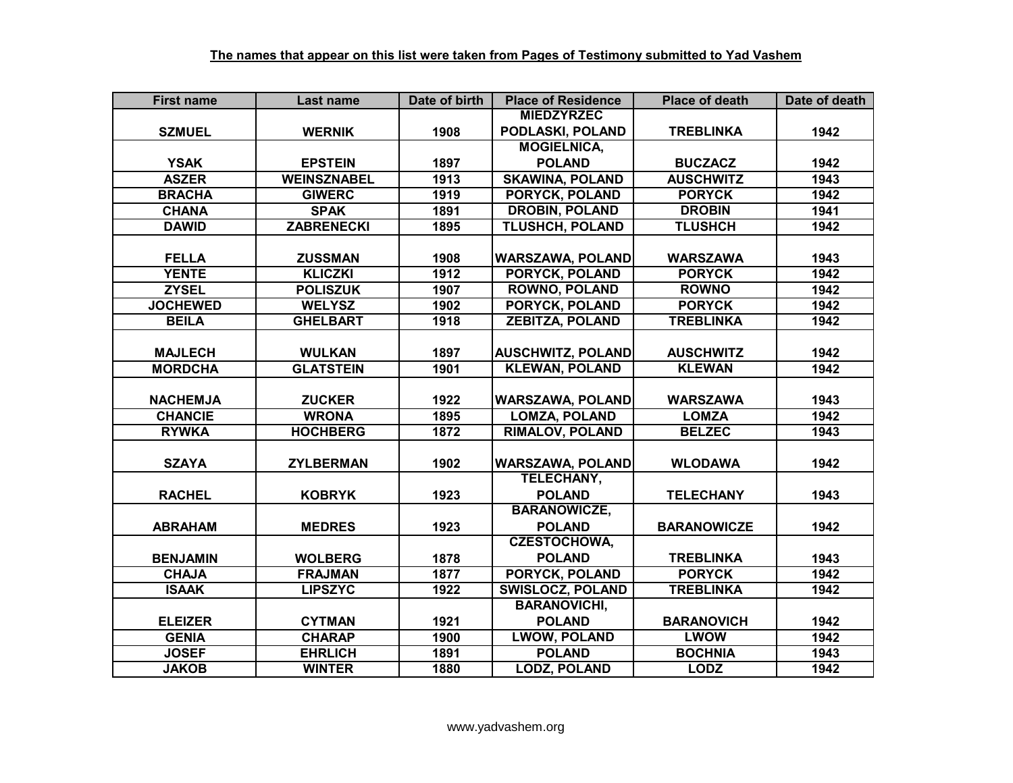| <b>First name</b> | Last name          | Date of birth | <b>Place of Residence</b> | <b>Place of death</b> | Date of death |
|-------------------|--------------------|---------------|---------------------------|-----------------------|---------------|
|                   |                    |               | <b>MIEDZYRZEC</b>         |                       |               |
| <b>SZMUEL</b>     | <b>WERNIK</b>      | 1908          | PODLASKI, POLAND          | <b>TREBLINKA</b>      | 1942          |
|                   |                    |               | <b>MOGIELNICA,</b>        |                       |               |
| <b>YSAK</b>       | <b>EPSTEIN</b>     | 1897          | <b>POLAND</b>             | <b>BUCZACZ</b>        | 1942          |
| <b>ASZER</b>      | <b>WEINSZNABEL</b> | 1913          | <b>SKAWINA, POLAND</b>    | <b>AUSCHWITZ</b>      | 1943          |
| <b>BRACHA</b>     | <b>GIWERC</b>      | 1919          | <b>PORYCK, POLAND</b>     | <b>PORYCK</b>         | 1942          |
| <b>CHANA</b>      | <b>SPAK</b>        | 1891          | <b>DROBIN, POLAND</b>     | <b>DROBIN</b>         | 1941          |
| <b>DAWID</b>      | <b>ZABRENECKI</b>  | 1895          | TLUSHCH, POLAND           | <b>TLUSHCH</b>        | 1942          |
|                   |                    |               |                           |                       |               |
| <b>FELLA</b>      | <b>ZUSSMAN</b>     | 1908          | <b>WARSZAWA, POLAND</b>   | <b>WARSZAWA</b>       | 1943          |
| <b>YENTE</b>      | <b>KLICZKI</b>     | 1912          | PORYCK, POLAND            | <b>PORYCK</b>         | 1942          |
| <b>ZYSEL</b>      | <b>POLISZUK</b>    | 1907          | <b>ROWNO, POLAND</b>      | <b>ROWNO</b>          | 1942          |
| <b>JOCHEWED</b>   | <b>WELYSZ</b>      | 1902          | PORYCK, POLAND            | <b>PORYCK</b>         | 1942          |
| <b>BEILA</b>      | <b>GHELBART</b>    | 1918          | <b>ZEBITZA, POLAND</b>    | <b>TREBLINKA</b>      | 1942          |
|                   |                    |               |                           |                       |               |
| <b>MAJLECH</b>    | <b>WULKAN</b>      | 1897          | <b>AUSCHWITZ, POLAND</b>  | <b>AUSCHWITZ</b>      | 1942          |
| <b>MORDCHA</b>    | <b>GLATSTEIN</b>   | 1901          | <b>KLEWAN, POLAND</b>     | <b>KLEWAN</b>         | 1942          |
|                   |                    |               |                           |                       |               |
| <b>NACHEMJA</b>   | <b>ZUCKER</b>      | 1922          | <b>WARSZAWA, POLAND</b>   | <b>WARSZAWA</b>       | 1943          |
| <b>CHANCIE</b>    | <b>WRONA</b>       | 1895          | <b>LOMZA, POLAND</b>      | <b>LOMZA</b>          | 1942          |
| <b>RYWKA</b>      | <b>HOCHBERG</b>    | 1872          | <b>RIMALOV, POLAND</b>    | <b>BELZEC</b>         | 1943          |
|                   |                    |               |                           |                       |               |
| <b>SZAYA</b>      | <b>ZYLBERMAN</b>   | 1902          | <b>WARSZAWA, POLAND</b>   | <b>WLODAWA</b>        | 1942          |
|                   |                    |               | <b>TELECHANY,</b>         |                       |               |
| <b>RACHEL</b>     | <b>KOBRYK</b>      | 1923          | <b>POLAND</b>             | <b>TELECHANY</b>      | 1943          |
|                   |                    |               | <b>BARANOWICZE,</b>       |                       |               |
| <b>ABRAHAM</b>    | <b>MEDRES</b>      | 1923          | <b>POLAND</b>             | <b>BARANOWICZE</b>    | 1942          |
|                   |                    |               | <b>CZESTOCHOWA,</b>       |                       |               |
| <b>BENJAMIN</b>   | <b>WOLBERG</b>     | 1878          | <b>POLAND</b>             | <b>TREBLINKA</b>      | 1943          |
| <b>CHAJA</b>      | <b>FRAJMAN</b>     | 1877          | <b>PORYCK, POLAND</b>     | <b>PORYCK</b>         | 1942          |
| <b>ISAAK</b>      | <b>LIPSZYC</b>     | 1922          | <b>SWISLOCZ, POLAND</b>   | <b>TREBLINKA</b>      | 1942          |
|                   |                    |               | <b>BARANOVICHI,</b>       |                       |               |
| <b>ELEIZER</b>    | <b>CYTMAN</b>      | 1921          | <b>POLAND</b>             | <b>BARANOVICH</b>     | 1942          |
| <b>GENIA</b>      | <b>CHARAP</b>      | 1900          | <b>LWOW, POLAND</b>       | <b>LWOW</b>           | 1942          |
| <b>JOSEF</b>      | <b>EHRLICH</b>     | 1891          | <b>POLAND</b>             | <b>BOCHNIA</b>        | 1943          |
| <b>JAKOB</b>      | <b>WINTER</b>      | 1880          | <b>LODZ, POLAND</b>       | <b>LODZ</b>           | 1942          |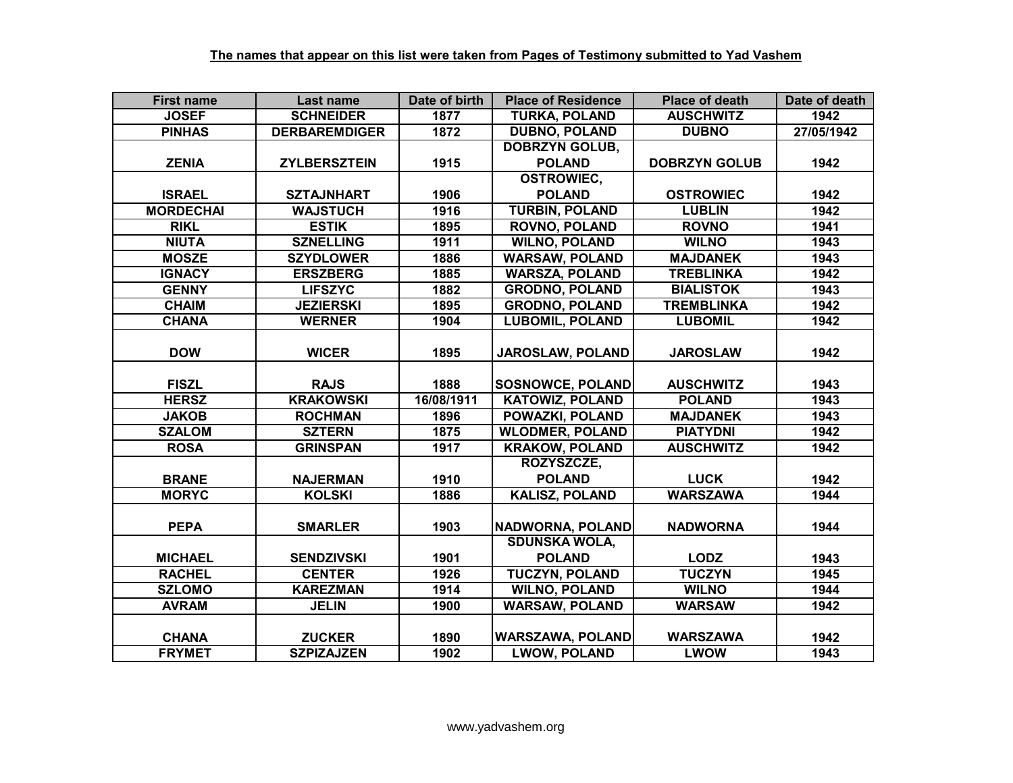| <b>First name</b> | Last name            | Date of birth | <b>Place of Residence</b> | <b>Place of death</b> | Date of death |
|-------------------|----------------------|---------------|---------------------------|-----------------------|---------------|
| <b>JOSEF</b>      | <b>SCHNEIDER</b>     | 1877          | <b>TURKA, POLAND</b>      | <b>AUSCHWITZ</b>      | 1942          |
| <b>PINHAS</b>     | <b>DERBAREMDIGER</b> | 1872          | <b>DUBNO, POLAND</b>      | <b>DUBNO</b>          | 27/05/1942    |
|                   |                      |               | <b>DOBRZYN GOLUB,</b>     |                       |               |
| <b>ZENIA</b>      | <b>ZYLBERSZTEIN</b>  | 1915          | <b>POLAND</b>             | <b>DOBRZYN GOLUB</b>  | 1942          |
|                   |                      |               | <b>OSTROWIEC,</b>         |                       |               |
| <b>ISRAEL</b>     | <b>SZTAJNHART</b>    | 1906          | <b>POLAND</b>             | <b>OSTROWIEC</b>      | 1942          |
| <b>MORDECHAI</b>  | <b>WAJSTUCH</b>      | 1916          | <b>TURBIN, POLAND</b>     | <b>LUBLIN</b>         | 1942          |
| <b>RIKL</b>       | <b>ESTIK</b>         | 1895          | <b>ROVNO, POLAND</b>      | <b>ROVNO</b>          | 1941          |
| <b>NIUTA</b>      | <b>SZNELLING</b>     | 1911          | <b>WILNO, POLAND</b>      | <b>WILNO</b>          | 1943          |
| <b>MOSZE</b>      | <b>SZYDLOWER</b>     | 1886          | <b>WARSAW, POLAND</b>     | <b>MAJDANEK</b>       | 1943          |
| <b>IGNACY</b>     | <b>ERSZBERG</b>      | 1885          | <b>WARSZA, POLAND</b>     | <b>TREBLINKA</b>      | 1942          |
| <b>GENNY</b>      | <b>LIFSZYC</b>       | 1882          | <b>GRODNO, POLAND</b>     | <b>BIALISTOK</b>      | 1943          |
| <b>CHAIM</b>      | <b>JEZIERSKI</b>     | 1895          | <b>GRODNO, POLAND</b>     | <b>TREMBLINKA</b>     | 1942          |
| <b>CHANA</b>      | <b>WERNER</b>        | 1904          | <b>LUBOMIL, POLAND</b>    | <b>LUBOMIL</b>        | 1942          |
|                   |                      |               |                           |                       |               |
| <b>DOW</b>        | <b>WICER</b>         | 1895          | JAROSLAW, POLAND          | <b>JAROSLAW</b>       | 1942          |
|                   |                      |               |                           |                       |               |
| <b>FISZL</b>      | <b>RAJS</b>          | 1888          | <b>SOSNOWCE, POLAND</b>   | <b>AUSCHWITZ</b>      | 1943          |
| <b>HERSZ</b>      | <b>KRAKOWSKI</b>     | 16/08/1911    | <b>KATOWIZ, POLAND</b>    | <b>POLAND</b>         | 1943          |
| <b>JAKOB</b>      | <b>ROCHMAN</b>       | 1896          | <b>POWAZKI, POLAND</b>    | <b>MAJDANEK</b>       | 1943          |
| <b>SZALOM</b>     | <b>SZTERN</b>        | 1875          | <b>WLODMER, POLAND</b>    | <b>PIATYDNI</b>       | 1942          |
| <b>ROSA</b>       | <b>GRINSPAN</b>      | 1917          | <b>KRAKOW, POLAND</b>     | <b>AUSCHWITZ</b>      | 1942          |
|                   |                      |               | ROZYSZCZE,                |                       |               |
| <b>BRANE</b>      | <b>NAJERMAN</b>      | 1910          | <b>POLAND</b>             | <b>LUCK</b>           | 1942          |
| <b>MORYC</b>      | <b>KOLSKI</b>        | 1886          | <b>KALISZ, POLAND</b>     | <b>WARSZAWA</b>       | 1944          |
|                   |                      |               |                           |                       |               |
| <b>PEPA</b>       | <b>SMARLER</b>       | 1903          | <b>NADWORNA, POLAND</b>   | <b>NADWORNA</b>       | 1944          |
|                   |                      |               | <b>SDUNSKA WOLA,</b>      |                       |               |
| <b>MICHAEL</b>    | <b>SENDZIVSKI</b>    | 1901          | <b>POLAND</b>             | <b>LODZ</b>           | 1943          |
| <b>RACHEL</b>     | <b>CENTER</b>        | 1926          | <b>TUCZYN, POLAND</b>     | <b>TUCZYN</b>         | 1945          |
| <b>SZLOMO</b>     | <b>KAREZMAN</b>      | 1914          | <b>WILNO, POLAND</b>      | <b>WILNO</b>          | 1944          |
| <b>AVRAM</b>      | <b>JELIN</b>         | 1900          | <b>WARSAW, POLAND</b>     | <b>WARSAW</b>         | 1942          |
|                   |                      |               |                           |                       |               |
| <b>CHANA</b>      | <b>ZUCKER</b>        | 1890          | <b>WARSZAWA, POLAND</b>   | <b>WARSZAWA</b>       | 1942          |
| <b>FRYMET</b>     | <b>SZPIZAJZEN</b>    | 1902          | <b>LWOW, POLAND</b>       | <b>LWOW</b>           | 1943          |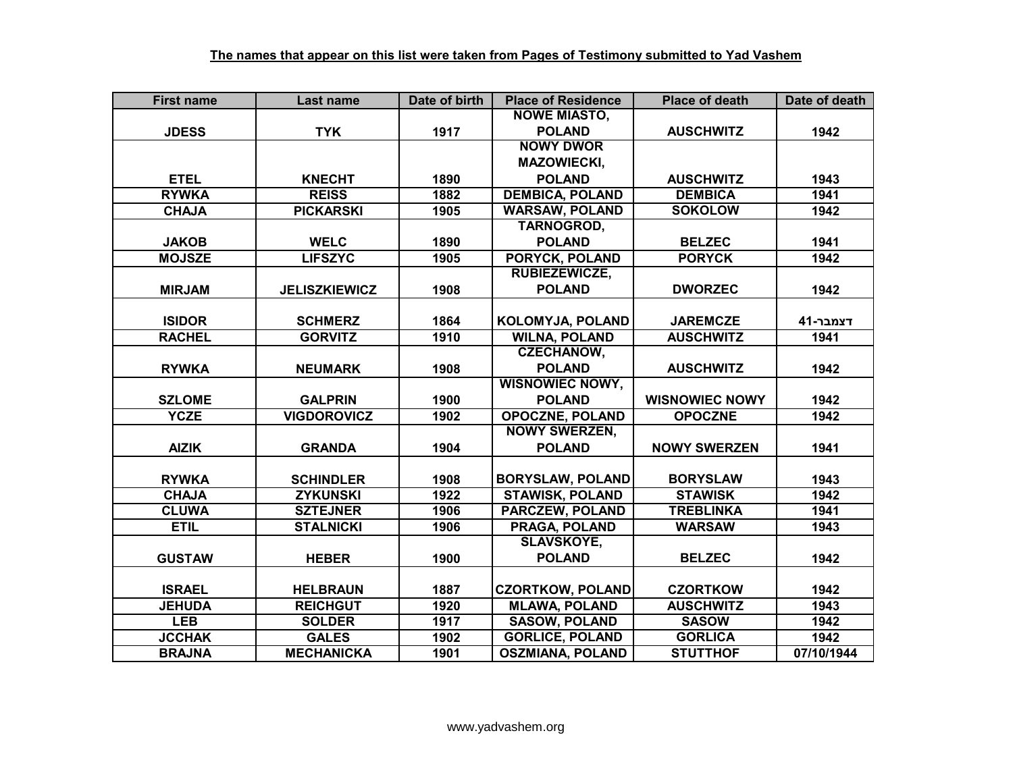| <b>First name</b> | <b>Last name</b>     | Date of birth | <b>Place of Residence</b> | <b>Place of death</b> | Date of death |
|-------------------|----------------------|---------------|---------------------------|-----------------------|---------------|
|                   |                      |               | <b>NOWE MIASTO,</b>       |                       |               |
| <b>JDESS</b>      | <b>TYK</b>           | 1917          | <b>POLAND</b>             | <b>AUSCHWITZ</b>      | 1942          |
|                   |                      |               | <b>NOWY DWOR</b>          |                       |               |
|                   |                      |               | <b>MAZOWIECKI,</b>        |                       |               |
| <b>ETEL</b>       | <b>KNECHT</b>        | 1890          | <b>POLAND</b>             | <b>AUSCHWITZ</b>      | 1943          |
| <b>RYWKA</b>      | <b>REISS</b>         | 1882          | <b>DEMBICA, POLAND</b>    | <b>DEMBICA</b>        | 1941          |
| <b>CHAJA</b>      | <b>PICKARSKI</b>     | 1905          | <b>WARSAW, POLAND</b>     | <b>SOKOLOW</b>        | 1942          |
|                   |                      |               | <b>TARNOGROD,</b>         |                       |               |
| <b>JAKOB</b>      | <b>WELC</b>          | 1890          | <b>POLAND</b>             | <b>BELZEC</b>         | 1941          |
| <b>MOJSZE</b>     | <b>LIFSZYC</b>       | 1905          | PORYCK, POLAND            | <b>PORYCK</b>         | 1942          |
|                   |                      |               | RUBIEZEWICZE,             |                       |               |
| <b>MIRJAM</b>     | <b>JELISZKIEWICZ</b> | 1908          | <b>POLAND</b>             | <b>DWORZEC</b>        | 1942          |
|                   |                      |               |                           |                       |               |
| <b>ISIDOR</b>     | <b>SCHMERZ</b>       | 1864          | <b>KOLOMYJA, POLAND</b>   | <b>JAREMCZE</b>       | דצמבר-41      |
| <b>RACHEL</b>     | <b>GORVITZ</b>       | 1910          | <b>WILNA, POLAND</b>      | <b>AUSCHWITZ</b>      | 1941          |
|                   |                      |               | <b>CZECHANOW,</b>         |                       |               |
| <b>RYWKA</b>      | <b>NEUMARK</b>       | 1908          | <b>POLAND</b>             | <b>AUSCHWITZ</b>      | 1942          |
|                   |                      |               | <b>WISNOWIEC NOWY,</b>    |                       |               |
| <b>SZLOME</b>     | <b>GALPRIN</b>       | 1900          | <b>POLAND</b>             | <b>WISNOWIEC NOWY</b> | 1942          |
| <b>YCZE</b>       | <b>VIGDOROVICZ</b>   | 1902          | <b>OPOCZNE, POLAND</b>    | <b>OPOCZNE</b>        | 1942          |
|                   |                      |               | <b>NOWY SWERZEN,</b>      |                       |               |
| <b>AIZIK</b>      | <b>GRANDA</b>        | 1904          | <b>POLAND</b>             | <b>NOWY SWERZEN</b>   | 1941          |
|                   |                      |               |                           |                       |               |
| <b>RYWKA</b>      | <b>SCHINDLER</b>     | 1908          | <b>BORYSLAW, POLAND</b>   | <b>BORYSLAW</b>       | 1943          |
| <b>CHAJA</b>      | <b>ZYKUNSKI</b>      | 1922          | <b>STAWISK, POLAND</b>    | <b>STAWISK</b>        | 1942          |
| <b>CLUWA</b>      | <b>SZTEJNER</b>      | 1906          | <b>PARCZEW, POLAND</b>    | <b>TREBLINKA</b>      | 1941          |
| <b>ETIL</b>       | <b>STALNICKI</b>     | 1906          | <b>PRAGA, POLAND</b>      | <b>WARSAW</b>         | 1943          |
|                   |                      |               | <b>SLAVSKOYE,</b>         |                       |               |
| <b>GUSTAW</b>     | <b>HEBER</b>         | 1900          | <b>POLAND</b>             | <b>BELZEC</b>         | 1942          |
|                   |                      |               |                           |                       |               |
| <b>ISRAEL</b>     | <b>HELBRAUN</b>      | 1887          | <b>CZORTKOW, POLAND</b>   | <b>CZORTKOW</b>       | 1942          |
| <b>JEHUDA</b>     | <b>REICHGUT</b>      | 1920          | <b>MLAWA, POLAND</b>      | <b>AUSCHWITZ</b>      | 1943          |
| <b>LEB</b>        | <b>SOLDER</b>        | 1917          | <b>SASOW, POLAND</b>      | <b>SASOW</b>          | 1942          |
| <b>JCCHAK</b>     | <b>GALES</b>         | 1902          | <b>GORLICE, POLAND</b>    | <b>GORLICA</b>        | 1942          |
| <b>BRAJNA</b>     | <b>MECHANICKA</b>    | 1901          | <b>OSZMIANA, POLAND</b>   | <b>STUTTHOF</b>       | 07/10/1944    |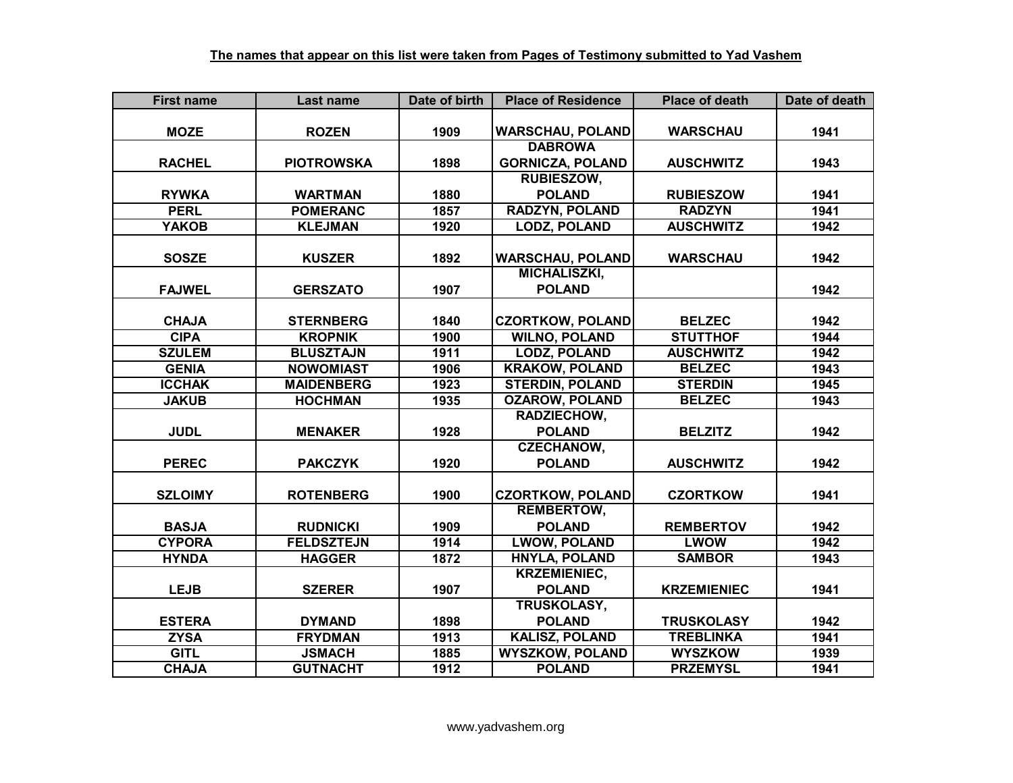| <b>First name</b> | Last name         | Date of birth | <b>Place of Residence</b> | <b>Place of death</b> | Date of death |
|-------------------|-------------------|---------------|---------------------------|-----------------------|---------------|
|                   |                   |               |                           |                       |               |
| <b>MOZE</b>       | <b>ROZEN</b>      | 1909          | <b>WARSCHAU, POLAND</b>   | <b>WARSCHAU</b>       | 1941          |
|                   |                   |               | <b>DABROWA</b>            |                       |               |
| <b>RACHEL</b>     | <b>PIOTROWSKA</b> | 1898          | <b>GORNICZA, POLAND</b>   | <b>AUSCHWITZ</b>      | 1943          |
|                   |                   |               | <b>RUBIESZOW,</b>         |                       |               |
| <b>RYWKA</b>      | <b>WARTMAN</b>    | 1880          | <b>POLAND</b>             | <b>RUBIESZOW</b>      | 1941          |
| <b>PERL</b>       | <b>POMERANC</b>   | 1857          | <b>RADZYN, POLAND</b>     | <b>RADZYN</b>         | 1941          |
| <b>YAKOB</b>      | <b>KLEJMAN</b>    | 1920          | <b>LODZ, POLAND</b>       | <b>AUSCHWITZ</b>      | 1942          |
|                   |                   |               |                           |                       |               |
| <b>SOSZE</b>      | <b>KUSZER</b>     | 1892          | <b>WARSCHAU, POLAND</b>   | <b>WARSCHAU</b>       | 1942          |
|                   |                   |               | <b>MICHALISZKI,</b>       |                       |               |
| <b>FAJWEL</b>     | <b>GERSZATO</b>   | 1907          | <b>POLAND</b>             |                       | 1942          |
|                   |                   |               |                           |                       |               |
| <b>CHAJA</b>      | <b>STERNBERG</b>  | 1840          | <b>CZORTKOW, POLAND</b>   | <b>BELZEC</b>         | 1942          |
| <b>CIPA</b>       | <b>KROPNIK</b>    | 1900          | <b>WILNO, POLAND</b>      | <b>STUTTHOF</b>       | 1944          |
| <b>SZULEM</b>     | <b>BLUSZTAJN</b>  | 1911          | <b>LODZ, POLAND</b>       | <b>AUSCHWITZ</b>      | 1942          |
| <b>GENIA</b>      | <b>NOWOMIAST</b>  | 1906          | <b>KRAKOW, POLAND</b>     | <b>BELZEC</b>         | 1943          |
| <b>ICCHAK</b>     | <b>MAIDENBERG</b> | 1923          | <b>STERDIN, POLAND</b>    | <b>STERDIN</b>        | 1945          |
| <b>JAKUB</b>      | <b>HOCHMAN</b>    | 1935          | <b>OZAROW, POLAND</b>     | <b>BELZEC</b>         | 1943          |
|                   |                   |               | RADZIECHOW,               |                       |               |
| <b>JUDL</b>       | <b>MENAKER</b>    | 1928          | <b>POLAND</b>             | <b>BELZITZ</b>        | 1942          |
|                   |                   |               | <b>CZECHANOW,</b>         |                       |               |
| <b>PEREC</b>      | <b>PAKCZYK</b>    | 1920          | <b>POLAND</b>             | <b>AUSCHWITZ</b>      | 1942          |
|                   |                   |               |                           |                       |               |
| <b>SZLOIMY</b>    | <b>ROTENBERG</b>  | 1900          | <b>CZORTKOW, POLAND</b>   | <b>CZORTKOW</b>       | 1941          |
|                   |                   |               | <b>REMBERTOW,</b>         |                       |               |
| <b>BASJA</b>      | <b>RUDNICKI</b>   | 1909          | <b>POLAND</b>             | <b>REMBERTOV</b>      | 1942          |
| <b>CYPORA</b>     | <b>FELDSZTEJN</b> | 1914          | <b>LWOW, POLAND</b>       | <b>LWOW</b>           | 1942          |
| <b>HYNDA</b>      | <b>HAGGER</b>     | 1872          | <b>HNYLA, POLAND</b>      | <b>SAMBOR</b>         | 1943          |
|                   |                   |               | <b>KRZEMIENIEC,</b>       |                       |               |
| <b>LEJB</b>       | <b>SZERER</b>     | 1907          | <b>POLAND</b>             | <b>KRZEMIENIEC</b>    | 1941          |
|                   |                   |               | <b>TRUSKOLASY,</b>        |                       |               |
| <b>ESTERA</b>     | <b>DYMAND</b>     | 1898          | <b>POLAND</b>             | <b>TRUSKOLASY</b>     | 1942          |
| <b>ZYSA</b>       | <b>FRYDMAN</b>    | 1913          | <b>KALISZ, POLAND</b>     | <b>TREBLINKA</b>      | 1941          |
| <b>GITL</b>       | <b>JSMACH</b>     | 1885          | <b>WYSZKOW, POLAND</b>    | <b>WYSZKOW</b>        | 1939          |
| <b>CHAJA</b>      | <b>GUTNACHT</b>   | 1912          | <b>POLAND</b>             | <b>PRZEMYSL</b>       | 1941          |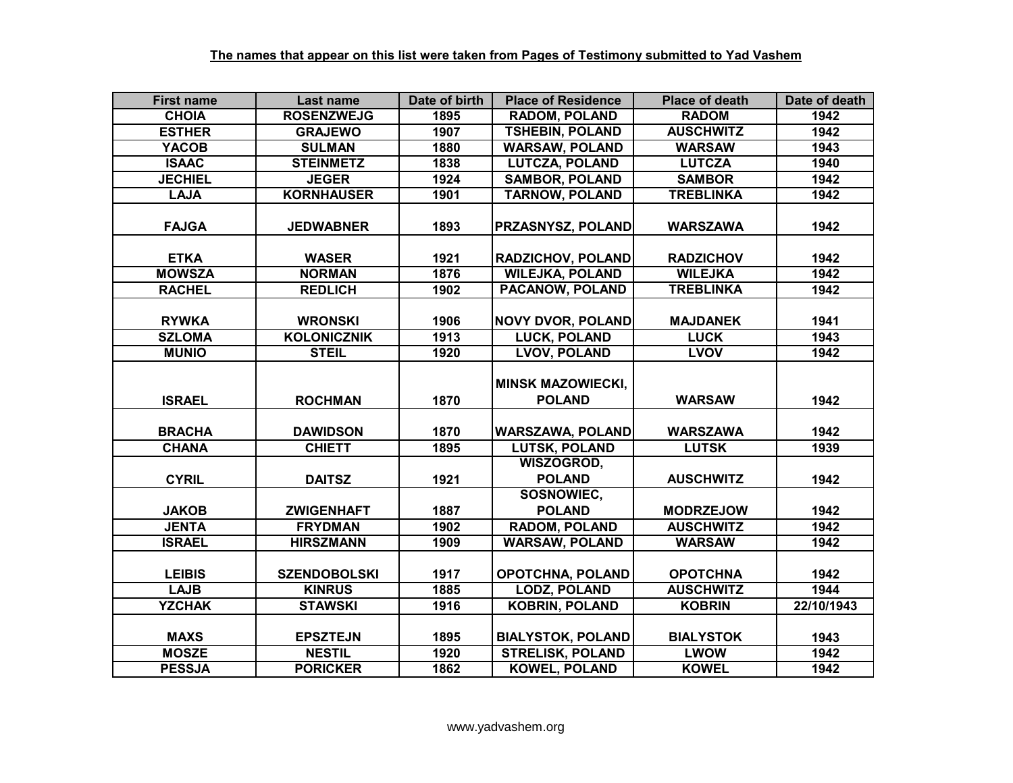| <b>First name</b>             | Last name                            | Date of birth | <b>Place of Residence</b>                       | <b>Place of death</b>               | Date of death |
|-------------------------------|--------------------------------------|---------------|-------------------------------------------------|-------------------------------------|---------------|
| <b>CHOIA</b>                  | <b>ROSENZWEJG</b>                    | 1895          | <b>RADOM, POLAND</b>                            | <b>RADOM</b>                        | 1942          |
| <b>ESTHER</b>                 | <b>GRAJEWO</b>                       | 1907          | <b>TSHEBIN, POLAND</b>                          | <b>AUSCHWITZ</b>                    | 1942          |
| <b>YACOB</b>                  | <b>SULMAN</b>                        | 1880          | <b>WARSAW, POLAND</b>                           | <b>WARSAW</b>                       | 1943          |
| <b>ISAAC</b>                  | <b>STEINMETZ</b>                     | 1838          | <b>LUTCZA, POLAND</b>                           | <b>LUTCZA</b>                       | 1940          |
| <b>JECHIEL</b>                | <b>JEGER</b>                         | 1924          | <b>SAMBOR, POLAND</b>                           | <b>SAMBOR</b>                       | 1942          |
| <b>LAJA</b>                   | <b>KORNHAUSER</b>                    | 1901          | <b>TARNOW, POLAND</b>                           | <b>TREBLINKA</b>                    | 1942          |
| <b>FAJGA</b>                  | <b>JEDWABNER</b>                     | 1893          | PRZASNYSZ, POLAND                               | <b>WARSZAWA</b>                     | 1942          |
| <b>ETKA</b>                   | <b>WASER</b>                         | 1921          | <b>RADZICHOV, POLAND</b>                        | <b>RADZICHOV</b>                    | 1942          |
| <b>MOWSZA</b>                 | <b>NORMAN</b>                        | 1876          | <b>WILEJKA, POLAND</b>                          | <b>WILEJKA</b>                      | 1942          |
| <b>RACHEL</b>                 | <b>REDLICH</b>                       | 1902          | PACANOW, POLAND                                 | <b>TREBLINKA</b>                    | 1942          |
| <b>RYWKA</b><br><b>SZLOMA</b> | <b>WRONSKI</b><br><b>KOLONICZNIK</b> | 1906<br>1913  | <b>NOVY DVOR, POLAND</b><br><b>LUCK, POLAND</b> | <b>MAJDANEK</b><br><b>LUCK</b>      | 1941<br>1943  |
|                               |                                      |               |                                                 |                                     |               |
| <b>MUNIO</b>                  | <b>STEIL</b>                         | 1920          | <b>LVOV, POLAND</b>                             | <b>LVOV</b>                         | 1942          |
| <b>ISRAEL</b>                 | <b>ROCHMAN</b>                       | 1870          | <b>MINSK MAZOWIECKI,</b><br><b>POLAND</b>       | <b>WARSAW</b>                       | 1942          |
| <b>BRACHA</b>                 | <b>DAWIDSON</b>                      | 1870          | <b>WARSZAWA, POLAND</b>                         | <b>WARSZAWA</b>                     | 1942          |
| <b>CHANA</b>                  | <b>CHIETT</b>                        | 1895          | <b>LUTSK, POLAND</b>                            | <b>LUTSK</b>                        | 1939          |
| <b>CYRIL</b>                  | <b>DAITSZ</b>                        | 1921          | WISZOGROD,<br><b>POLAND</b>                     | <b>AUSCHWITZ</b>                    | 1942          |
|                               |                                      |               | SOSNOWIEC,                                      |                                     |               |
| <b>JAKOB</b>                  | <b>ZWIGENHAFT</b>                    | 1887          | <b>POLAND</b>                                   | <b>MODRZEJOW</b>                    | 1942          |
| <b>JENTA</b>                  | <b>FRYDMAN</b>                       | 1902          | <b>RADOM, POLAND</b>                            | <b>AUSCHWITZ</b>                    | 1942          |
| <b>ISRAEL</b>                 | <b>HIRSZMANN</b>                     | 1909          | <b>WARSAW, POLAND</b>                           | <b>WARSAW</b>                       | 1942          |
| <b>LEIBIS</b><br><b>LAJB</b>  | <b>SZENDOBOLSKI</b><br><b>KINRUS</b> | 1917<br>1885  | OPOTCHNA, POLAND<br><b>LODZ, POLAND</b>         | <b>OPOTCHNA</b><br><b>AUSCHWITZ</b> | 1942<br>1944  |
| <b>YZCHAK</b>                 | <b>STAWSKI</b>                       | 1916          | <b>KOBRIN, POLAND</b>                           | <b>KOBRIN</b>                       | 22/10/1943    |
|                               |                                      |               |                                                 |                                     |               |
| <b>MAXS</b>                   | <b>EPSZTEJN</b>                      | 1895          | <b>BIALYSTOK, POLAND</b>                        | <b>BIALYSTOK</b>                    | 1943          |
| <b>MOSZE</b>                  | <b>NESTIL</b>                        | 1920          | <b>STRELISK, POLAND</b>                         | <b>LWOW</b>                         | 1942          |
| <b>PESSJA</b>                 | <b>PORICKER</b>                      | 1862          | <b>KOWEL, POLAND</b>                            | <b>KOWEL</b>                        | 1942          |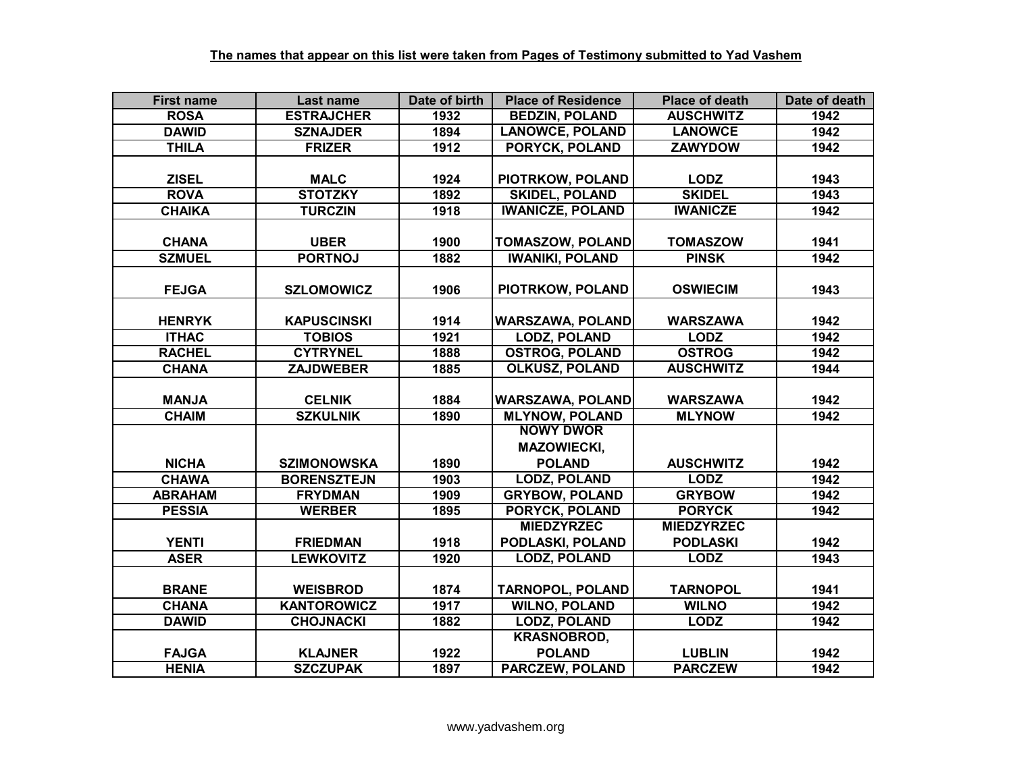| <b>First name</b> | Last name          | Date of birth | <b>Place of Residence</b> | <b>Place of death</b> | Date of death |
|-------------------|--------------------|---------------|---------------------------|-----------------------|---------------|
| <b>ROSA</b>       | <b>ESTRAJCHER</b>  | 1932          | <b>BEDZIN, POLAND</b>     | <b>AUSCHWITZ</b>      | 1942          |
| <b>DAWID</b>      | <b>SZNAJDER</b>    | 1894          | <b>LANOWCE, POLAND</b>    | <b>LANOWCE</b>        | 1942          |
| <b>THILA</b>      | <b>FRIZER</b>      | 1912          | <b>PORYCK, POLAND</b>     | <b>ZAWYDOW</b>        | 1942          |
|                   |                    |               |                           |                       |               |
| <b>ZISEL</b>      | <b>MALC</b>        | 1924          | PIOTRKOW, POLAND          | <b>LODZ</b>           | 1943          |
| <b>ROVA</b>       | <b>STOTZKY</b>     | 1892          | <b>SKIDEL, POLAND</b>     | <b>SKIDEL</b>         | 1943          |
| <b>CHAIKA</b>     | <b>TURCZIN</b>     | 1918          | <b>IWANICZE, POLAND</b>   | <b>IWANICZE</b>       | 1942          |
|                   |                    |               |                           |                       |               |
| <b>CHANA</b>      | <b>UBER</b>        | 1900          | <b>TOMASZOW, POLAND</b>   | <b>TOMASZOW</b>       | 1941          |
| <b>SZMUEL</b>     | <b>PORTNOJ</b>     | 1882          | <b>IWANIKI, POLAND</b>    | <b>PINSK</b>          | 1942          |
|                   |                    |               |                           |                       |               |
| <b>FEJGA</b>      | <b>SZLOMOWICZ</b>  | 1906          | PIOTRKOW, POLAND          | <b>OSWIECIM</b>       | 1943          |
|                   |                    |               |                           |                       |               |
| <b>HENRYK</b>     | <b>KAPUSCINSKI</b> | 1914          | <b>WARSZAWA, POLAND</b>   | <b>WARSZAWA</b>       | 1942          |
| <b>ITHAC</b>      | <b>TOBIOS</b>      | 1921          | <b>LODZ, POLAND</b>       | <b>LODZ</b>           | 1942          |
| <b>RACHEL</b>     | <b>CYTRYNEL</b>    | 1888          | <b>OSTROG, POLAND</b>     | <b>OSTROG</b>         | 1942          |
| <b>CHANA</b>      | <b>ZAJDWEBER</b>   | 1885          | <b>OLKUSZ, POLAND</b>     | <b>AUSCHWITZ</b>      | 1944          |
|                   |                    |               |                           |                       |               |
| <b>MANJA</b>      | <b>CELNIK</b>      | 1884          | <b>WARSZAWA, POLAND</b>   | <b>WARSZAWA</b>       | 1942          |
| <b>CHAIM</b>      | <b>SZKULNIK</b>    | 1890          | <b>MLYNOW, POLAND</b>     | <b>MLYNOW</b>         | 1942          |
|                   |                    |               | <b>NOWY DWOR</b>          |                       |               |
|                   |                    |               | <b>MAZOWIECKI,</b>        |                       |               |
| <b>NICHA</b>      | <b>SZIMONOWSKA</b> | 1890          | <b>POLAND</b>             | <b>AUSCHWITZ</b>      | 1942          |
| <b>CHAWA</b>      | <b>BORENSZTEJN</b> | 1903          | <b>LODZ, POLAND</b>       | <b>LODZ</b>           | 1942          |
| <b>ABRAHAM</b>    | <b>FRYDMAN</b>     | 1909          | <b>GRYBOW, POLAND</b>     | <b>GRYBOW</b>         | 1942          |
| <b>PESSIA</b>     | <b>WERBER</b>      | 1895          | <b>PORYCK, POLAND</b>     | <b>PORYCK</b>         | 1942          |
|                   |                    |               | <b>MIEDZYRZEC</b>         | <b>MIEDZYRZEC</b>     |               |
| <b>YENTI</b>      | <b>FRIEDMAN</b>    | 1918          | PODLASKI, POLAND          | <b>PODLASKI</b>       | 1942          |
| <b>ASER</b>       | <b>LEWKOVITZ</b>   | 1920          | <b>LODZ, POLAND</b>       | <b>LODZ</b>           | 1943          |
|                   |                    |               |                           |                       |               |
| <b>BRANE</b>      | <b>WEISBROD</b>    | 1874          | <b>TARNOPOL, POLAND</b>   | <b>TARNOPOL</b>       | 1941          |
| <b>CHANA</b>      | <b>KANTOROWICZ</b> | 1917          | <b>WILNO, POLAND</b>      | <b>WILNO</b>          | 1942          |
| <b>DAWID</b>      | <b>CHOJNACKI</b>   | 1882          | <b>LODZ, POLAND</b>       | <b>LODZ</b>           | 1942          |
|                   |                    |               | <b>KRASNOBROD,</b>        |                       |               |
| <b>FAJGA</b>      | <b>KLAJNER</b>     | 1922          | <b>POLAND</b>             | <b>LUBLIN</b>         | 1942          |
| <b>HENIA</b>      | <b>SZCZUPAK</b>    | 1897          | <b>PARCZEW. POLAND</b>    | <b>PARCZEW</b>        | 1942          |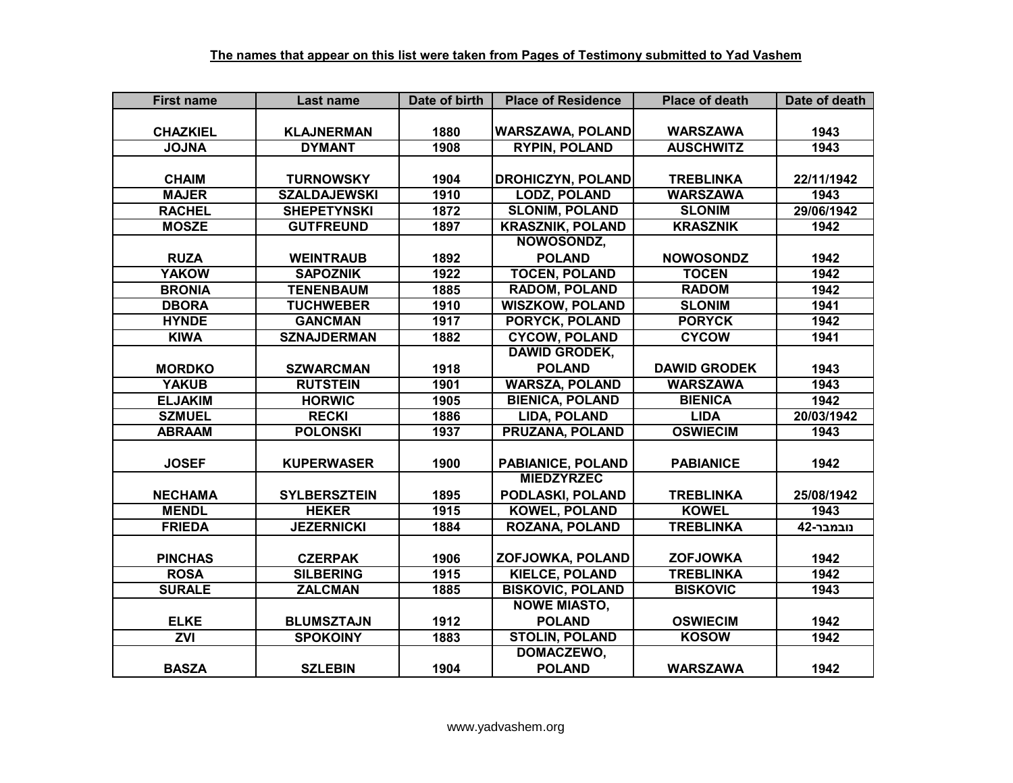| <b>First name</b> | Last name           | Date of birth | <b>Place of Residence</b> | <b>Place of death</b> | Date of death |
|-------------------|---------------------|---------------|---------------------------|-----------------------|---------------|
|                   |                     |               |                           |                       |               |
| <b>CHAZKIEL</b>   | <b>KLAJNERMAN</b>   | 1880          | <b>WARSZAWA, POLAND</b>   | <b>WARSZAWA</b>       | 1943          |
| <b>ANLOL</b>      | <b>DYMANT</b>       | 1908          | <b>RYPIN, POLAND</b>      | <b>AUSCHWITZ</b>      | 1943          |
|                   |                     |               |                           |                       |               |
| <b>CHAIM</b>      | <b>TURNOWSKY</b>    | 1904          | <b>DROHICZYN, POLAND</b>  | <b>TREBLINKA</b>      | 22/11/1942    |
| <b>MAJER</b>      | <b>SZALDAJEWSKI</b> | 1910          | <b>LODZ, POLAND</b>       | <b>WARSZAWA</b>       | 1943          |
| <b>RACHEL</b>     | <b>SHEPETYNSKI</b>  | 1872          | <b>SLONIM, POLAND</b>     | <b>SLONIM</b>         | 29/06/1942    |
| <b>MOSZE</b>      | <b>GUTFREUND</b>    | 1897          | <b>KRASZNIK, POLAND</b>   | <b>KRASZNIK</b>       | 1942          |
|                   |                     |               | NOWOSONDZ,                |                       |               |
| <b>RUZA</b>       | <b>WEINTRAUB</b>    | 1892          | <b>POLAND</b>             | <b>NOWOSONDZ</b>      | 1942          |
| <b>YAKOW</b>      | <b>SAPOZNIK</b>     | 1922          | <b>TOCEN, POLAND</b>      | <b>TOCEN</b>          | 1942          |
| <b>BRONIA</b>     | <b>TENENBAUM</b>    | 1885          | <b>RADOM, POLAND</b>      | <b>RADOM</b>          | 1942          |
| <b>DBORA</b>      | <b>TUCHWEBER</b>    | 1910          | <b>WISZKOW, POLAND</b>    | <b>SLONIM</b>         | 1941          |
| <b>HYNDE</b>      | <b>GANCMAN</b>      | 1917          | PORYCK, POLAND            | <b>PORYCK</b>         | 1942          |
| <b>KIWA</b>       | <b>SZNAJDERMAN</b>  | 1882          | <b>CYCOW, POLAND</b>      | <b>CYCOW</b>          | 1941          |
|                   |                     |               | <b>DAWID GRODEK,</b>      |                       |               |
| <b>MORDKO</b>     | <b>SZWARCMAN</b>    | 1918          | <b>POLAND</b>             | <b>DAWID GRODEK</b>   | 1943          |
| <b>YAKUB</b>      | <b>RUTSTEIN</b>     | 1901          | <b>WARSZA, POLAND</b>     | <b>WARSZAWA</b>       | 1943          |
| <b>ELJAKIM</b>    | <b>HORWIC</b>       | 1905          | <b>BIENICA, POLAND</b>    | <b>BIENICA</b>        | 1942          |
| <b>SZMUEL</b>     | <b>RECKI</b>        | 1886          | <b>LIDA, POLAND</b>       | <b>LIDA</b>           | 20/03/1942    |
| <b>ABRAAM</b>     | <b>POLONSKI</b>     | 1937          | <b>PRUZANA, POLAND</b>    | <b>OSWIECIM</b>       | 1943          |
|                   |                     |               |                           |                       |               |
| <b>JOSEF</b>      | <b>KUPERWASER</b>   | 1900          | <b>PABIANICE, POLAND</b>  | <b>PABIANICE</b>      | 1942          |
|                   |                     |               | <b>MIEDZYRZEC</b>         |                       |               |
| <b>NECHAMA</b>    | <b>SYLBERSZTEIN</b> | 1895          | PODLASKI, POLAND          | <b>TREBLINKA</b>      | 25/08/1942    |
| <b>MENDL</b>      | <b>HEKER</b>        | 1915          | <b>KOWEL, POLAND</b>      | <b>KOWEL</b>          | 1943          |
| <b>FRIEDA</b>     | <b>JEZERNICKI</b>   | 1884          | <b>ROZANA, POLAND</b>     | <b>TREBLINKA</b>      | נובמבר-42     |
|                   |                     |               |                           |                       |               |
| <b>PINCHAS</b>    | <b>CZERPAK</b>      | 1906          | ZOFJOWKA, POLAND          | <b>ZOFJOWKA</b>       | 1942          |
| <b>ROSA</b>       | <b>SILBERING</b>    | 1915          | <b>KIELCE, POLAND</b>     | <b>TREBLINKA</b>      | 1942          |
| <b>SURALE</b>     | <b>ZALCMAN</b>      | 1885          | <b>BISKOVIC, POLAND</b>   | <b>BISKOVIC</b>       | 1943          |
|                   |                     |               | <b>NOWE MIASTO,</b>       |                       |               |
| <b>ELKE</b>       | <b>BLUMSZTAJN</b>   | 1912          | <b>POLAND</b>             | <b>OSWIECIM</b>       | 1942          |
| ZVI               | <b>SPOKOINY</b>     | 1883          | <b>STOLIN, POLAND</b>     | <b>KOSOW</b>          | 1942          |
|                   |                     |               | DOMACZEWO,                |                       |               |
| <b>BASZA</b>      | <b>SZLEBIN</b>      | 1904          | <b>POLAND</b>             | <b>WARSZAWA</b>       | 1942          |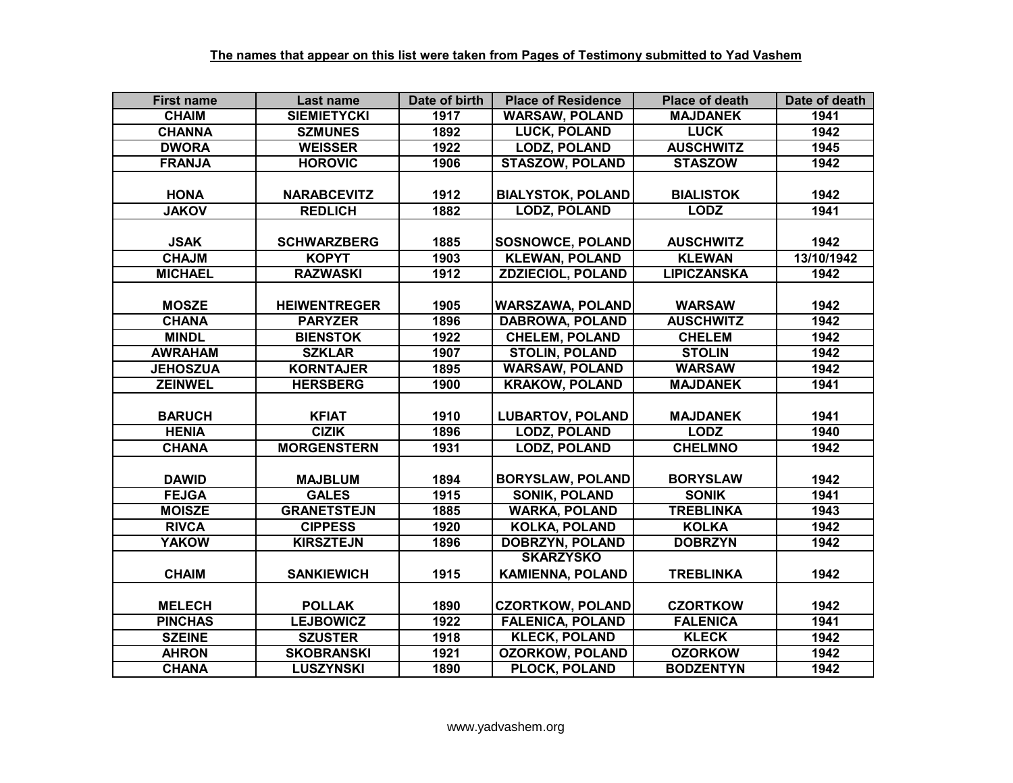| <b>First name</b> | Last name           | Date of birth | <b>Place of Residence</b> | <b>Place of death</b> | Date of death |
|-------------------|---------------------|---------------|---------------------------|-----------------------|---------------|
| <b>CHAIM</b>      | <b>SIEMIETYCKI</b>  | 1917          | <b>WARSAW, POLAND</b>     | <b>MAJDANEK</b>       | 1941          |
| <b>CHANNA</b>     | <b>SZMUNES</b>      | 1892          | <b>LUCK, POLAND</b>       | <b>LUCK</b>           | 1942          |
| <b>DWORA</b>      | <b>WEISSER</b>      | 1922          | <b>LODZ, POLAND</b>       | <b>AUSCHWITZ</b>      | 1945          |
| <b>FRANJA</b>     | <b>HOROVIC</b>      | 1906          | <b>STASZOW, POLAND</b>    | <b>STASZOW</b>        | 1942          |
|                   |                     |               |                           |                       |               |
| <b>HONA</b>       | <b>NARABCEVITZ</b>  | 1912          | <b>BIALYSTOK, POLAND</b>  | <b>BIALISTOK</b>      | 1942          |
| <b>JAKOV</b>      | <b>REDLICH</b>      | 1882          | <b>LODZ, POLAND</b>       | <b>LODZ</b>           | 1941          |
|                   |                     |               |                           |                       |               |
| <b>JSAK</b>       | <b>SCHWARZBERG</b>  | 1885          | <b>SOSNOWCE, POLAND</b>   | <b>AUSCHWITZ</b>      | 1942          |
| <b>CHAJM</b>      | <b>KOPYT</b>        | 1903          | <b>KLEWAN, POLAND</b>     | <b>KLEWAN</b>         | 13/10/1942    |
| <b>MICHAEL</b>    | <b>RAZWASKI</b>     | 1912          | <b>ZDZIECIOL, POLAND</b>  | <b>LIPICZANSKA</b>    | 1942          |
|                   |                     |               |                           |                       |               |
| <b>MOSZE</b>      | <b>HEIWENTREGER</b> | 1905          | <b>WARSZAWA, POLAND</b>   | <b>WARSAW</b>         | 1942          |
| <b>CHANA</b>      | <b>PARYZER</b>      | 1896          | <b>DABROWA, POLAND</b>    | <b>AUSCHWITZ</b>      | 1942          |
| <b>MINDL</b>      | <b>BIENSTOK</b>     | 1922          | <b>CHELEM, POLAND</b>     | <b>CHELEM</b>         | 1942          |
| <b>AWRAHAM</b>    | <b>SZKLAR</b>       | 1907          | <b>STOLIN, POLAND</b>     | <b>STOLIN</b>         | 1942          |
| <b>JEHOSZUA</b>   | <b>KORNTAJER</b>    | 1895          | <b>WARSAW, POLAND</b>     | <b>WARSAW</b>         | 1942          |
| <b>ZEINWEL</b>    | <b>HERSBERG</b>     | 1900          | <b>KRAKOW, POLAND</b>     | <b>MAJDANEK</b>       | 1941          |
|                   |                     |               |                           |                       |               |
| <b>BARUCH</b>     | <b>KFIAT</b>        | 1910          | <b>LUBARTOV, POLAND</b>   | <b>MAJDANEK</b>       | 1941          |
| <b>HENIA</b>      | <b>CIZIK</b>        | 1896          | <b>LODZ, POLAND</b>       | <b>LODZ</b>           | 1940          |
| <b>CHANA</b>      | <b>MORGENSTERN</b>  | 1931          | <b>LODZ, POLAND</b>       | <b>CHELMNO</b>        | 1942          |
|                   |                     |               |                           |                       |               |
| <b>DAWID</b>      | <b>MAJBLUM</b>      | 1894          | <b>BORYSLAW, POLAND</b>   | <b>BORYSLAW</b>       | 1942          |
| <b>FEJGA</b>      | <b>GALES</b>        | 1915          | <b>SONIK, POLAND</b>      | <b>SONIK</b>          | 1941          |
| <b>MOISZE</b>     | <b>GRANETSTEJN</b>  | 1885          | <b>WARKA, POLAND</b>      | <b>TREBLINKA</b>      | 1943          |
| <b>RIVCA</b>      | <b>CIPPESS</b>      | 1920          | <b>KOLKA, POLAND</b>      | <b>KOLKA</b>          | 1942          |
| <b>YAKOW</b>      | <b>KIRSZTEJN</b>    | 1896          | <b>DOBRZYN, POLAND</b>    | <b>DOBRZYN</b>        | 1942          |
|                   |                     |               | <b>SKARZYSKO</b>          |                       |               |
| <b>CHAIM</b>      | <b>SANKIEWICH</b>   | 1915          | <b>KAMIENNA, POLAND</b>   | <b>TREBLINKA</b>      | 1942          |
|                   |                     |               |                           |                       |               |
| <b>MELECH</b>     | <b>POLLAK</b>       | 1890          | <b>CZORTKOW, POLAND</b>   | <b>CZORTKOW</b>       | 1942          |
| <b>PINCHAS</b>    | <b>LEJBOWICZ</b>    | 1922          | <b>FALENICA, POLAND</b>   | <b>FALENICA</b>       | 1941          |
| <b>SZEINE</b>     | <b>SZUSTER</b>      | 1918          | <b>KLECK, POLAND</b>      | <b>KLECK</b>          | 1942          |
| <b>AHRON</b>      | <b>SKOBRANSKI</b>   | 1921          | <b>OZORKOW, POLAND</b>    | <b>OZORKOW</b>        | 1942          |
| <b>CHANA</b>      | <b>LUSZYNSKI</b>    | 1890          | PLOCK, POLAND             | <b>BODZENTYN</b>      | 1942          |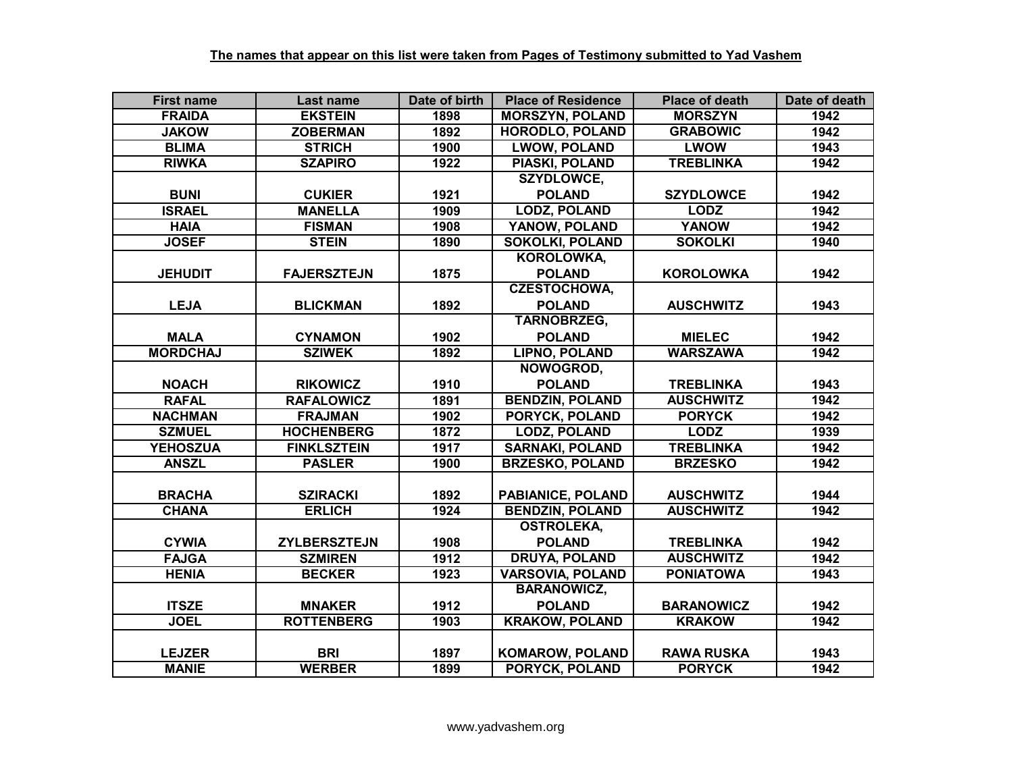| <b>First name</b> | Last name           | Date of birth | <b>Place of Residence</b> | <b>Place of death</b> | Date of death |
|-------------------|---------------------|---------------|---------------------------|-----------------------|---------------|
| <b>FRAIDA</b>     | <b>EKSTEIN</b>      | 1898          | <b>MORSZYN, POLAND</b>    | <b>MORSZYN</b>        | 1942          |
| <b>JAKOW</b>      | <b>ZOBERMAN</b>     | 1892          | <b>HORODLO, POLAND</b>    | <b>GRABOWIC</b>       | 1942          |
| <b>BLIMA</b>      | <b>STRICH</b>       | 1900          | <b>LWOW, POLAND</b>       | <b>LWOW</b>           | 1943          |
| <b>RIWKA</b>      | <b>SZAPIRO</b>      | 1922          | <b>PIASKI, POLAND</b>     | <b>TREBLINKA</b>      | 1942          |
|                   |                     |               | <b>SZYDLOWCE,</b>         |                       |               |
| <b>BUNI</b>       | <b>CUKIER</b>       | 1921          | <b>POLAND</b>             | <b>SZYDLOWCE</b>      | 1942          |
| <b>ISRAEL</b>     | <b>MANELLA</b>      | 1909          | <b>LODZ, POLAND</b>       | <b>LODZ</b>           | 1942          |
| <b>HAIA</b>       | <b>FISMAN</b>       | 1908          | YANOW, POLAND             | <b>YANOW</b>          | 1942          |
| <b>JOSEF</b>      | <b>STEIN</b>        | 1890          | <b>SOKOLKI, POLAND</b>    | <b>SOKOLKI</b>        | 1940          |
|                   |                     |               | KOROLOWKA,                |                       |               |
| <b>JEHUDIT</b>    | <b>FAJERSZTEJN</b>  | 1875          | <b>POLAND</b>             | <b>KOROLOWKA</b>      | 1942          |
|                   |                     |               | <b>CZESTOCHOWA,</b>       |                       |               |
| <b>LEJA</b>       | <b>BLICKMAN</b>     | 1892          | <b>POLAND</b>             | <b>AUSCHWITZ</b>      | 1943          |
|                   |                     |               | <b>TARNOBRZEG,</b>        |                       |               |
| <b>MALA</b>       | <b>CYNAMON</b>      | 1902          | <b>POLAND</b>             | <b>MIELEC</b>         | 1942          |
| <b>MORDCHAJ</b>   | <b>SZIWEK</b>       | 1892          | <b>LIPNO, POLAND</b>      | <b>WARSZAWA</b>       | 1942          |
|                   |                     |               | NOWOGROD,                 |                       |               |
| <b>NOACH</b>      | <b>RIKOWICZ</b>     | 1910          | <b>POLAND</b>             | <b>TREBLINKA</b>      | 1943          |
| <b>RAFAL</b>      | <b>RAFALOWICZ</b>   | 1891          | <b>BENDZIN, POLAND</b>    | <b>AUSCHWITZ</b>      | 1942          |
| <b>NACHMAN</b>    | <b>FRAJMAN</b>      | 1902          | <b>PORYCK, POLAND</b>     | <b>PORYCK</b>         | 1942          |
| <b>SZMUEL</b>     | <b>HOCHENBERG</b>   | 1872          | <b>LODZ, POLAND</b>       | <b>LODZ</b>           | 1939          |
| <b>YEHOSZUA</b>   | <b>FINKLSZTEIN</b>  | 1917          | <b>SARNAKI, POLAND</b>    | <b>TREBLINKA</b>      | 1942          |
| <b>ANSZL</b>      | <b>PASLER</b>       | 1900          | <b>BRZESKO, POLAND</b>    | <b>BRZESKO</b>        | 1942          |
|                   |                     |               |                           |                       |               |
| <b>BRACHA</b>     | <b>SZIRACKI</b>     | 1892          | PABIANICE, POLAND         | <b>AUSCHWITZ</b>      | 1944          |
| <b>CHANA</b>      | <b>ERLICH</b>       | 1924          | <b>BENDZIN, POLAND</b>    | <b>AUSCHWITZ</b>      | 1942          |
|                   |                     |               | <b>OSTROLEKA,</b>         |                       |               |
| <b>CYWIA</b>      | <b>ZYLBERSZTEJN</b> | 1908          | <b>POLAND</b>             | <b>TREBLINKA</b>      | 1942          |
| <b>FAJGA</b>      | <b>SZMIREN</b>      | 1912          | <b>DRUYA, POLAND</b>      | <b>AUSCHWITZ</b>      | 1942          |
| <b>HENIA</b>      | <b>BECKER</b>       | 1923          | <b>VARSOVIA, POLAND</b>   | <b>PONIATOWA</b>      | 1943          |
|                   |                     |               | <b>BARANOWICZ,</b>        |                       |               |
| <b>ITSZE</b>      | <b>MNAKER</b>       | 1912          | <b>POLAND</b>             | <b>BARANOWICZ</b>     | 1942          |
| <b>JOEL</b>       | <b>ROTTENBERG</b>   | 1903          | <b>KRAKOW, POLAND</b>     | <b>KRAKOW</b>         | 1942          |
|                   |                     |               |                           |                       |               |
| <b>LEJZER</b>     | <b>BRI</b>          | 1897          | <b>KOMAROW, POLAND</b>    | <b>RAWA RUSKA</b>     | 1943          |
| <b>MANIE</b>      | <b>WERBER</b>       | 1899          | <b>PORYCK, POLAND</b>     | <b>PORYCK</b>         | 1942          |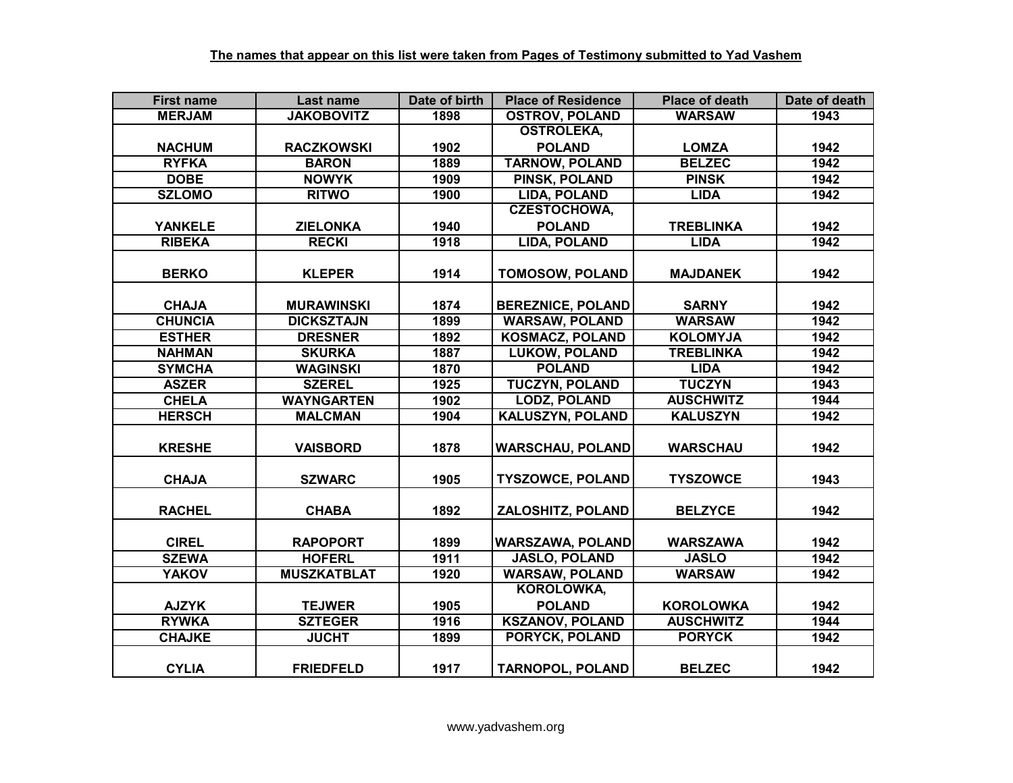| <b>First name</b> | Last name          | Date of birth | <b>Place of Residence</b> | <b>Place of death</b> | Date of death |
|-------------------|--------------------|---------------|---------------------------|-----------------------|---------------|
| <b>MERJAM</b>     | <b>JAKOBOVITZ</b>  | 1898          | <b>OSTROV, POLAND</b>     | <b>WARSAW</b>         | 1943          |
|                   |                    |               | <b>OSTROLEKA,</b>         |                       |               |
| <b>NACHUM</b>     | <b>RACZKOWSKI</b>  | 1902          | <b>POLAND</b>             | <b>LOMZA</b>          | 1942          |
| <b>RYFKA</b>      | <b>BARON</b>       | 1889          | <b>TARNOW, POLAND</b>     | <b>BELZEC</b>         | 1942          |
| <b>DOBE</b>       | <b>NOWYK</b>       | 1909          | <b>PINSK, POLAND</b>      | <b>PINSK</b>          | 1942          |
| <b>SZLOMO</b>     | <b>RITWO</b>       | 1900          | LIDA, POLAND              | <b>LIDA</b>           | 1942          |
|                   |                    |               | <b>CZESTOCHOWA,</b>       |                       |               |
| <b>YANKELE</b>    | <b>ZIELONKA</b>    | 1940          | <b>POLAND</b>             | <b>TREBLINKA</b>      | 1942          |
| <b>RIBEKA</b>     | <b>RECKI</b>       | 1918          | LIDA, POLAND              | <b>LIDA</b>           | 1942          |
|                   |                    |               |                           |                       |               |
| <b>BERKO</b>      | <b>KLEPER</b>      | 1914          | <b>TOMOSOW, POLAND</b>    | <b>MAJDANEK</b>       | 1942          |
|                   |                    |               |                           |                       |               |
| <b>CHAJA</b>      | <b>MURAWINSKI</b>  | 1874          | <b>BEREZNICE, POLAND</b>  | <b>SARNY</b>          | 1942          |
| <b>CHUNCIA</b>    | <b>DICKSZTAJN</b>  | 1899          | <b>WARSAW, POLAND</b>     | <b>WARSAW</b>         | 1942          |
| <b>ESTHER</b>     | <b>DRESNER</b>     | 1892          | <b>KOSMACZ, POLAND</b>    | <b>KOLOMYJA</b>       | 1942          |
| <b>NAHMAN</b>     | <b>SKURKA</b>      | 1887          | <b>LUKOW, POLAND</b>      | <b>TREBLINKA</b>      | 1942          |
| <b>SYMCHA</b>     | <b>WAGINSKI</b>    | 1870          | <b>POLAND</b>             | <b>LIDA</b>           | 1942          |
| <b>ASZER</b>      | <b>SZEREL</b>      | 1925          | <b>TUCZYN, POLAND</b>     | <b>TUCZYN</b>         | 1943          |
| <b>CHELA</b>      | <b>WAYNGARTEN</b>  | 1902          | <b>LODZ, POLAND</b>       | <b>AUSCHWITZ</b>      | 1944          |
| <b>HERSCH</b>     | <b>MALCMAN</b>     | 1904          | <b>KALUSZYN, POLAND</b>   | <b>KALUSZYN</b>       | 1942          |
|                   |                    |               |                           |                       |               |
| <b>KRESHE</b>     | <b>VAISBORD</b>    | 1878          | <b>WARSCHAU, POLAND</b>   | <b>WARSCHAU</b>       | 1942          |
|                   |                    |               |                           |                       |               |
| <b>CHAJA</b>      | <b>SZWARC</b>      | 1905          | <b>TYSZOWCE, POLAND</b>   | <b>TYSZOWCE</b>       | 1943          |
|                   |                    |               |                           |                       |               |
| <b>RACHEL</b>     | <b>CHABA</b>       | 1892          | ZALOSHITZ, POLAND         | <b>BELZYCE</b>        | 1942          |
|                   |                    |               |                           |                       |               |
| <b>CIREL</b>      | <b>RAPOPORT</b>    | 1899          | <b>WARSZAWA, POLAND</b>   | <b>WARSZAWA</b>       | 1942          |
| <b>SZEWA</b>      | <b>HOFERL</b>      | 1911          | <b>JASLO, POLAND</b>      | <b>JASLO</b>          | 1942          |
| <b>YAKOV</b>      | <b>MUSZKATBLAT</b> | 1920          | <b>WARSAW, POLAND</b>     | <b>WARSAW</b>         | 1942          |
|                   |                    |               | KOROLOWKA,                |                       |               |
| <b>AJZYK</b>      | <b>TEJWER</b>      | 1905          | <b>POLAND</b>             | <b>KOROLOWKA</b>      | 1942          |
| <b>RYWKA</b>      | <b>SZTEGER</b>     | 1916          | <b>KSZANOV, POLAND</b>    | <b>AUSCHWITZ</b>      | 1944          |
| <b>CHAJKE</b>     | <b>JUCHT</b>       | 1899          | <b>PORYCK, POLAND</b>     | <b>PORYCK</b>         | 1942          |
|                   |                    |               |                           |                       |               |
| <b>CYLIA</b>      | <b>FRIEDFELD</b>   | 1917          | <b>TARNOPOL, POLAND</b>   | <b>BELZEC</b>         | 1942          |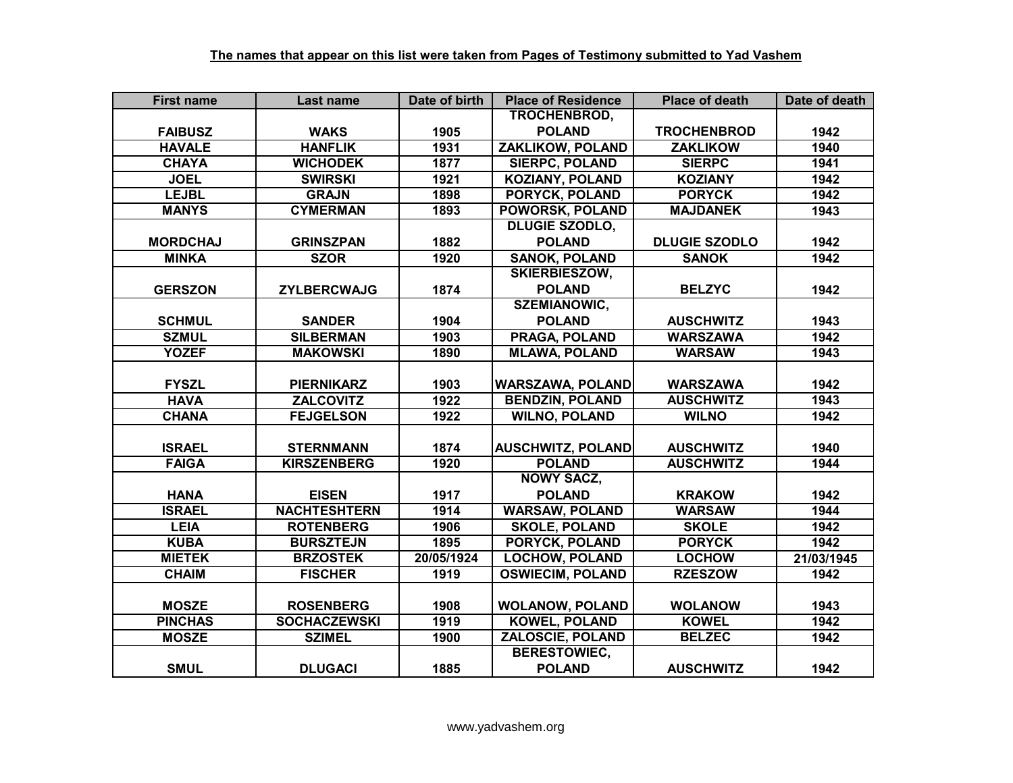| <b>First name</b> | Last name           | Date of birth | <b>Place of Residence</b> | <b>Place of death</b> | Date of death |
|-------------------|---------------------|---------------|---------------------------|-----------------------|---------------|
|                   |                     |               | TROCHENBROD,              |                       |               |
| <b>FAIBUSZ</b>    | <b>WAKS</b>         | 1905          | <b>POLAND</b>             | <b>TROCHENBROD</b>    | 1942          |
| <b>HAVALE</b>     | <b>HANFLIK</b>      | 1931          | <b>ZAKLIKOW, POLAND</b>   | <b>ZAKLIKOW</b>       | 1940          |
| <b>CHAYA</b>      | <b>WICHODEK</b>     | 1877          | <b>SIERPC, POLAND</b>     | <b>SIERPC</b>         | 1941          |
| <b>JOEL</b>       | <b>SWIRSKI</b>      | 1921          | <b>KOZIANY, POLAND</b>    | <b>KOZIANY</b>        | 1942          |
| <b>LEJBL</b>      | <b>GRAJN</b>        | 1898          | <b>PORYCK, POLAND</b>     | <b>PORYCK</b>         | 1942          |
| <b>MANYS</b>      | <b>CYMERMAN</b>     | 1893          | <b>POWORSK, POLAND</b>    | <b>MAJDANEK</b>       | 1943          |
|                   |                     |               | <b>DLUGIE SZODLO,</b>     |                       |               |
| <b>MORDCHAJ</b>   | <b>GRINSZPAN</b>    | 1882          | <b>POLAND</b>             | <b>DLUGIE SZODLO</b>  | 1942          |
| <b>MINKA</b>      | <b>SZOR</b>         | 1920          | <b>SANOK, POLAND</b>      | <b>SANOK</b>          | 1942          |
|                   |                     |               | <b>SKIERBIESZOW,</b>      |                       |               |
| <b>GERSZON</b>    | <b>ZYLBERCWAJG</b>  | 1874          | <b>POLAND</b>             | <b>BELZYC</b>         | 1942          |
|                   |                     |               | <b>SZEMIANOWIC,</b>       |                       |               |
| <b>SCHMUL</b>     | <b>SANDER</b>       | 1904          | <b>POLAND</b>             | <b>AUSCHWITZ</b>      | 1943          |
| <b>SZMUL</b>      | <b>SILBERMAN</b>    | 1903          | <b>PRAGA, POLAND</b>      | <b>WARSZAWA</b>       | 1942          |
| <b>YOZEF</b>      | <b>MAKOWSKI</b>     | 1890          | <b>MLAWA, POLAND</b>      | <b>WARSAW</b>         | 1943          |
|                   |                     |               |                           |                       |               |
| <b>FYSZL</b>      | <b>PIERNIKARZ</b>   | 1903          | <b>WARSZAWA, POLAND</b>   | <b>WARSZAWA</b>       | 1942          |
| <b>HAVA</b>       | <b>ZALCOVITZ</b>    | 1922          | <b>BENDZIN, POLAND</b>    | <b>AUSCHWITZ</b>      | 1943          |
| <b>CHANA</b>      | <b>FEJGELSON</b>    | 1922          | <b>WILNO, POLAND</b>      | <b>WILNO</b>          | 1942          |
|                   |                     |               |                           |                       |               |
| <b>ISRAEL</b>     | <b>STERNMANN</b>    | 1874          | <b>AUSCHWITZ, POLAND</b>  | <b>AUSCHWITZ</b>      | 1940          |
| <b>FAIGA</b>      | <b>KIRSZENBERG</b>  | 1920          | <b>POLAND</b>             | <b>AUSCHWITZ</b>      | 1944          |
|                   |                     |               | <b>NOWY SACZ,</b>         |                       |               |
| <b>HANA</b>       | <b>EISEN</b>        | 1917          | <b>POLAND</b>             | <b>KRAKOW</b>         | 1942          |
| <b>ISRAEL</b>     | <b>NACHTESHTERN</b> | 1914          | <b>WARSAW, POLAND</b>     | <b>WARSAW</b>         | 1944          |
| <b>LEIA</b>       | <b>ROTENBERG</b>    | 1906          | <b>SKOLE, POLAND</b>      | <b>SKOLE</b>          | 1942          |
| <b>KUBA</b>       | <b>BURSZTEJN</b>    | 1895          | <b>PORYCK, POLAND</b>     | <b>PORYCK</b>         | 1942          |
| <b>MIETEK</b>     | <b>BRZOSTEK</b>     | 20/05/1924    | <b>LOCHOW, POLAND</b>     | <b>LOCHOW</b>         | 21/03/1945    |
| <b>CHAIM</b>      | <b>FISCHER</b>      | 1919          | <b>OSWIECIM, POLAND</b>   | <b>RZESZOW</b>        | 1942          |
|                   |                     |               |                           |                       |               |
| <b>MOSZE</b>      | <b>ROSENBERG</b>    | 1908          | <b>WOLANOW, POLAND</b>    | <b>WOLANOW</b>        | 1943          |
| <b>PINCHAS</b>    | <b>SOCHACZEWSKI</b> | 1919          | <b>KOWEL, POLAND</b>      | <b>KOWEL</b>          | 1942          |
| <b>MOSZE</b>      | <b>SZIMEL</b>       | 1900          | ZALOSCIE, POLAND          | <b>BELZEC</b>         | 1942          |
|                   |                     |               | <b>BERESTOWIEC,</b>       |                       |               |
| <b>SMUL</b>       | <b>DLUGACI</b>      | 1885          | <b>POLAND</b>             | <b>AUSCHWITZ</b>      | 1942          |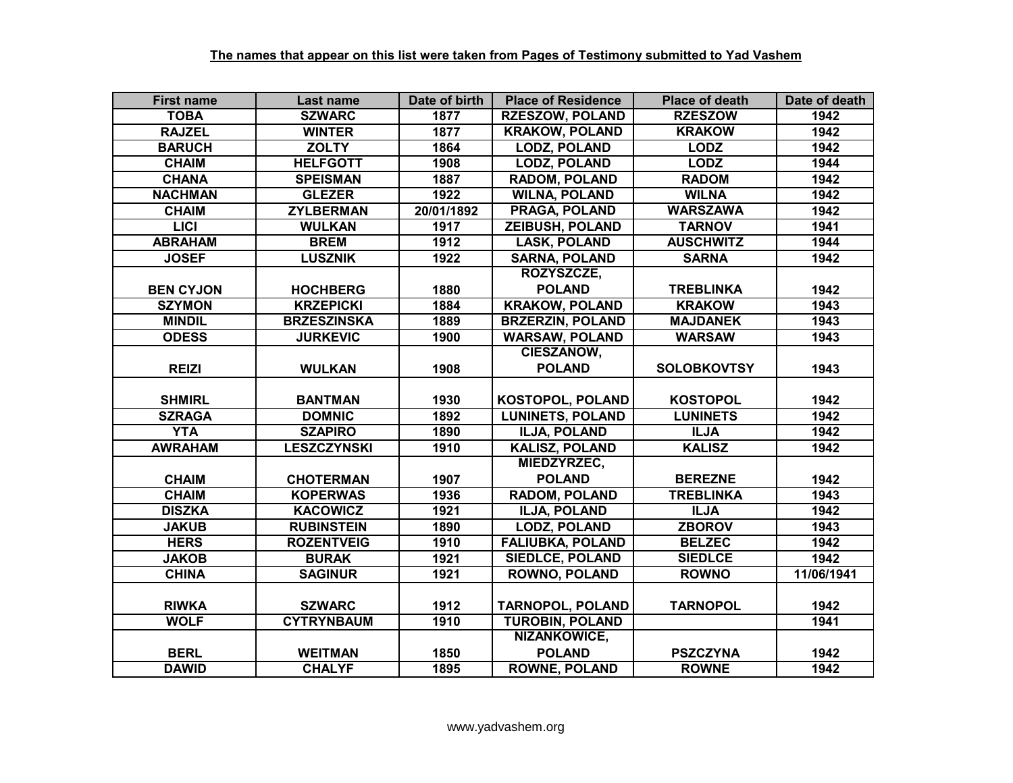| <b>First name</b> | Last name          | Date of birth | <b>Place of Residence</b> | <b>Place of death</b> | Date of death |
|-------------------|--------------------|---------------|---------------------------|-----------------------|---------------|
| <b>TOBA</b>       | <b>SZWARC</b>      | 1877          | <b>RZESZOW, POLAND</b>    | <b>RZESZOW</b>        | 1942          |
| <b>RAJZEL</b>     | <b>WINTER</b>      | 1877          | <b>KRAKOW, POLAND</b>     | <b>KRAKOW</b>         | 1942          |
| <b>BARUCH</b>     | <b>ZOLTY</b>       | 1864          | <b>LODZ, POLAND</b>       | <b>LODZ</b>           | 1942          |
| <b>CHAIM</b>      | <b>HELFGOTT</b>    | 1908          | <b>LODZ, POLAND</b>       | <b>LODZ</b>           | 1944          |
| <b>CHANA</b>      | <b>SPEISMAN</b>    | 1887          | <b>RADOM, POLAND</b>      | <b>RADOM</b>          | 1942          |
| <b>NACHMAN</b>    | <b>GLEZER</b>      | 1922          | <b>WILNA, POLAND</b>      | <b>WILNA</b>          | 1942          |
| <b>CHAIM</b>      | <b>ZYLBERMAN</b>   | 20/01/1892    | <b>PRAGA, POLAND</b>      | <b>WARSZAWA</b>       | 1942          |
| <b>LICI</b>       | <b>WULKAN</b>      | 1917          | <b>ZEIBUSH, POLAND</b>    | <b>TARNOV</b>         | 1941          |
| <b>ABRAHAM</b>    | <b>BREM</b>        | 1912          | <b>LASK, POLAND</b>       | <b>AUSCHWITZ</b>      | 1944          |
| <b>JOSEF</b>      | <b>LUSZNIK</b>     | 1922          | <b>SARNA, POLAND</b>      | <b>SARNA</b>          | 1942          |
|                   |                    |               | ROZYSZCZE,                |                       |               |
| <b>BEN CYJON</b>  | <b>HOCHBERG</b>    | 1880          | <b>POLAND</b>             | <b>TREBLINKA</b>      | 1942          |
| <b>SZYMON</b>     | <b>KRZEPICKI</b>   | 1884          | <b>KRAKOW, POLAND</b>     | <b>KRAKOW</b>         | 1943          |
| <b>MINDIL</b>     | <b>BRZESZINSKA</b> | 1889          | <b>BRZERZIN, POLAND</b>   | <b>MAJDANEK</b>       | 1943          |
| <b>ODESS</b>      | <b>JURKEVIC</b>    | 1900          | <b>WARSAW, POLAND</b>     | <b>WARSAW</b>         | 1943          |
|                   |                    |               | <b>CIESZANOW,</b>         |                       |               |
| <b>REIZI</b>      | <b>WULKAN</b>      | 1908          | <b>POLAND</b>             | <b>SOLOBKOVTSY</b>    | 1943          |
|                   |                    |               |                           |                       |               |
| <b>SHMIRL</b>     | <b>BANTMAN</b>     | 1930          | KOSTOPOL, POLAND          | <b>KOSTOPOL</b>       | 1942          |
| <b>SZRAGA</b>     | <b>DOMNIC</b>      | 1892          | <b>LUNINETS, POLAND</b>   | <b>LUNINETS</b>       | 1942          |
| <b>YTA</b>        | <b>SZAPIRO</b>     | 1890          | <b>ILJA, POLAND</b>       | <b>ILJA</b>           | 1942          |
| <b>AWRAHAM</b>    | <b>LESZCZYNSKI</b> | 1910          | <b>KALISZ, POLAND</b>     | <b>KALISZ</b>         | 1942          |
|                   |                    |               | <b>MIEDZYRZEC,</b>        |                       |               |
| <b>CHAIM</b>      | <b>CHOTERMAN</b>   | 1907          | <b>POLAND</b>             | <b>BEREZNE</b>        | 1942          |
| <b>CHAIM</b>      | <b>KOPERWAS</b>    | 1936          | <b>RADOM, POLAND</b>      | <b>TREBLINKA</b>      | 1943          |
| <b>DISZKA</b>     | <b>KACOWICZ</b>    | 1921          | <b>ILJA, POLAND</b>       | <b>ILJA</b>           | 1942          |
| <b>JAKUB</b>      | <b>RUBINSTEIN</b>  | 1890          | <b>LODZ, POLAND</b>       | <b>ZBOROV</b>         | 1943          |
| <b>HERS</b>       | <b>ROZENTVEIG</b>  | 1910          | <b>FALIUBKA, POLAND</b>   | <b>BELZEC</b>         | 1942          |
| <b>JAKOB</b>      | <b>BURAK</b>       | 1921          | <b>SIEDLCE, POLAND</b>    | <b>SIEDLCE</b>        | 1942          |
| <b>CHINA</b>      | <b>SAGINUR</b>     | 1921          | <b>ROWNO, POLAND</b>      | <b>ROWNO</b>          | 11/06/1941    |
|                   |                    |               |                           |                       |               |
| <b>RIWKA</b>      | <b>SZWARC</b>      | 1912          | <b>TARNOPOL, POLAND</b>   | <b>TARNOPOL</b>       | 1942          |
| <b>WOLF</b>       | <b>CYTRYNBAUM</b>  | 1910          | <b>TUROBIN, POLAND</b>    |                       | 1941          |
|                   |                    |               | NIZANKOWICE,              |                       |               |
| <b>BERL</b>       | <b>WEITMAN</b>     | 1850          | <b>POLAND</b>             | <b>PSZCZYNA</b>       | 1942          |
| <b>DAWID</b>      | <b>CHALYF</b>      | 1895          | <b>ROWNE, POLAND</b>      | <b>ROWNE</b>          | 1942          |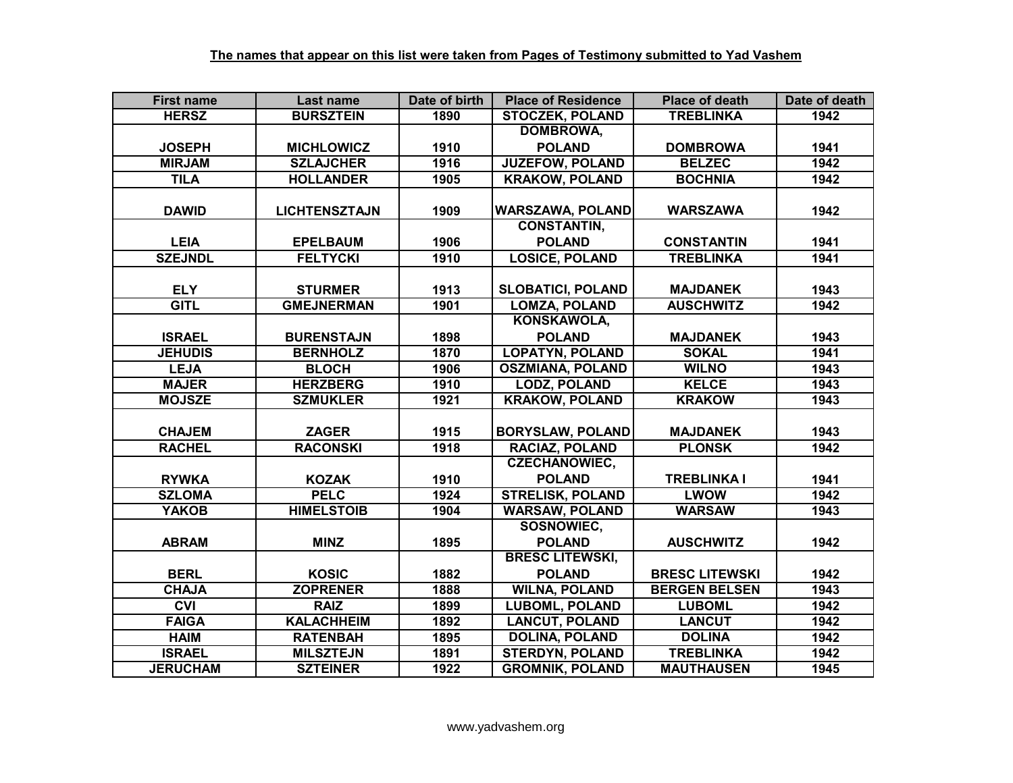| <b>First name</b> | Last name            | Date of birth | <b>Place of Residence</b> | <b>Place of death</b> | Date of death |
|-------------------|----------------------|---------------|---------------------------|-----------------------|---------------|
| <b>HERSZ</b>      | <b>BURSZTEIN</b>     | 1890          | <b>STOCZEK, POLAND</b>    | <b>TREBLINKA</b>      | 1942          |
|                   |                      |               | <b>DOMBROWA,</b>          |                       |               |
| <b>JOSEPH</b>     | <b>MICHLOWICZ</b>    | 1910          | <b>POLAND</b>             | <b>DOMBROWA</b>       | 1941          |
| <b>MIRJAM</b>     | <b>SZLAJCHER</b>     | 1916          | <b>JUZEFOW, POLAND</b>    | <b>BELZEC</b>         | 1942          |
| <b>TILA</b>       | <b>HOLLANDER</b>     | 1905          | <b>KRAKOW, POLAND</b>     | <b>BOCHNIA</b>        | 1942          |
|                   |                      |               |                           |                       |               |
| <b>DAWID</b>      | <b>LICHTENSZTAJN</b> | 1909          | <b>WARSZAWA, POLAND</b>   | <b>WARSZAWA</b>       | 1942          |
|                   |                      |               | <b>CONSTANTIN,</b>        |                       |               |
| <b>LEIA</b>       | <b>EPELBAUM</b>      | 1906          | <b>POLAND</b>             | <b>CONSTANTIN</b>     | 1941          |
| <b>SZEJNDL</b>    | <b>FELTYCKI</b>      | 1910          | <b>LOSICE, POLAND</b>     | <b>TREBLINKA</b>      | 1941          |
|                   |                      |               |                           |                       |               |
| <b>ELY</b>        | <b>STURMER</b>       | 1913          | <b>SLOBATICI, POLAND</b>  | <b>MAJDANEK</b>       | 1943          |
| <b>GITL</b>       | <b>GMEJNERMAN</b>    | 1901          | <b>LOMZA, POLAND</b>      | <b>AUSCHWITZ</b>      | 1942          |
|                   |                      |               | KONSKAWOLA,               |                       |               |
| <b>ISRAEL</b>     | <b>BURENSTAJN</b>    | 1898          | <b>POLAND</b>             | <b>MAJDANEK</b>       | 1943          |
| <b>JEHUDIS</b>    | <b>BERNHOLZ</b>      | 1870          | <b>LOPATYN, POLAND</b>    | <b>SOKAL</b>          | 1941          |
| <b>LEJA</b>       | <b>BLOCH</b>         | 1906          | <b>OSZMIANA, POLAND</b>   | <b>WILNO</b>          | 1943          |
| <b>MAJER</b>      | <b>HERZBERG</b>      | 1910          | <b>LODZ, POLAND</b>       | <b>KELCE</b>          | 1943          |
| <b>MOJSZE</b>     | <b>SZMUKLER</b>      | 1921          | <b>KRAKOW, POLAND</b>     | <b>KRAKOW</b>         | 1943          |
|                   |                      |               |                           |                       |               |
| <b>CHAJEM</b>     | <b>ZAGER</b>         | 1915          | <b>BORYSLAW, POLAND</b>   | <b>MAJDANEK</b>       | 1943          |
| <b>RACHEL</b>     | <b>RACONSKI</b>      | 1918          | <b>RACIAZ, POLAND</b>     | <b>PLONSK</b>         | 1942          |
|                   |                      |               | <b>CZECHANOWIEC,</b>      |                       |               |
| <b>RYWKA</b>      | <b>KOZAK</b>         | 1910          | <b>POLAND</b>             | <b>TREBLINKA I</b>    | 1941          |
| <b>SZLOMA</b>     | <b>PELC</b>          | 1924          | <b>STRELISK, POLAND</b>   | <b>LWOW</b>           | 1942          |
| <b>YAKOB</b>      | <b>HIMELSTOIB</b>    | 1904          | <b>WARSAW, POLAND</b>     | <b>WARSAW</b>         | 1943          |
|                   |                      |               | <b>SOSNOWIEC,</b>         |                       |               |
| <b>ABRAM</b>      | <b>MINZ</b>          | 1895          | <b>POLAND</b>             | <b>AUSCHWITZ</b>      | 1942          |
|                   |                      |               | <b>BRESC LITEWSKI,</b>    |                       |               |
| <b>BERL</b>       | <b>KOSIC</b>         | 1882          | <b>POLAND</b>             | <b>BRESC LITEWSKI</b> | 1942          |
| <b>CHAJA</b>      | <b>ZOPRENER</b>      | 1888          | <b>WILNA, POLAND</b>      | <b>BERGEN BELSEN</b>  | 1943          |
| <b>CVI</b>        | <b>RAIZ</b>          | 1899          | <b>LUBOML, POLAND</b>     | <b>LUBOML</b>         | 1942          |
| <b>FAIGA</b>      | <b>KALACHHEIM</b>    | 1892          | <b>LANCUT, POLAND</b>     | <b>LANCUT</b>         | 1942          |
| <b>HAIM</b>       | <b>RATENBAH</b>      | 1895          | <b>DOLINA, POLAND</b>     | <b>DOLINA</b>         | 1942          |
| <b>ISRAEL</b>     | <b>MILSZTEJN</b>     | 1891          | <b>STERDYN, POLAND</b>    | <b>TREBLINKA</b>      | 1942          |
| <b>JERUCHAM</b>   | <b>SZTEINER</b>      | 1922          | <b>GROMNIK, POLAND</b>    | <b>MAUTHAUSEN</b>     | 1945          |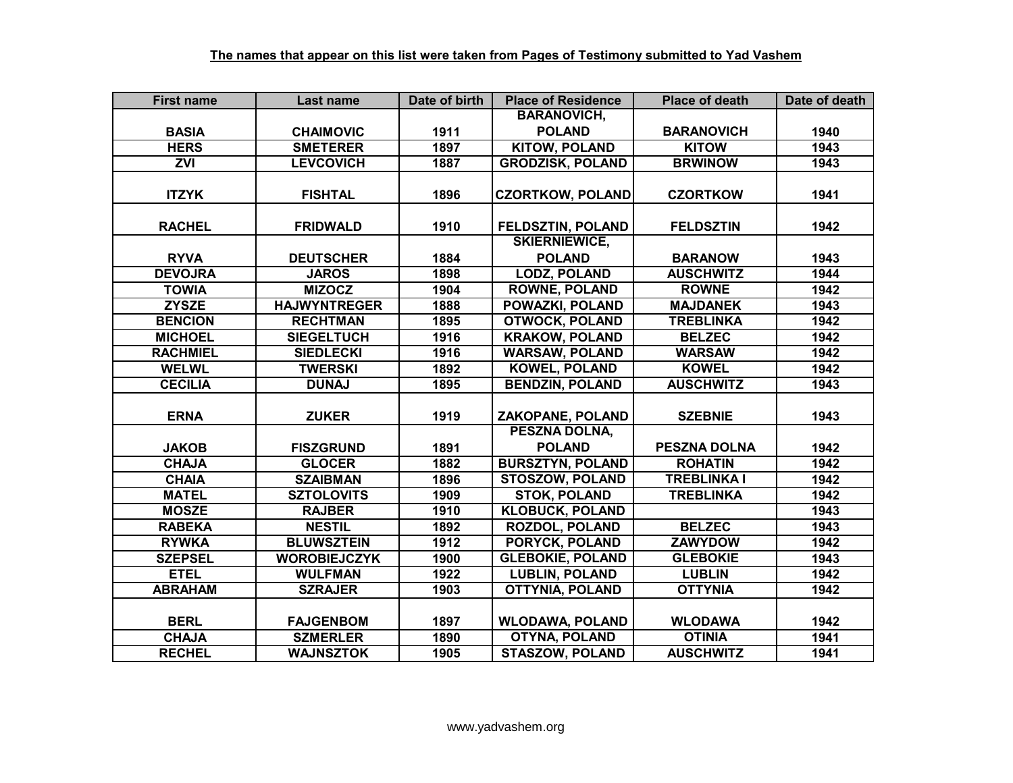| <b>First name</b> | Last name           | Date of birth | <b>Place of Residence</b> | <b>Place of death</b> | Date of death |
|-------------------|---------------------|---------------|---------------------------|-----------------------|---------------|
|                   |                     |               | <b>BARANOVICH,</b>        |                       |               |
| <b>BASIA</b>      | <b>CHAIMOVIC</b>    | 1911          | <b>POLAND</b>             | <b>BARANOVICH</b>     | 1940          |
| <b>HERS</b>       | <b>SMETERER</b>     | 1897          | <b>KITOW, POLAND</b>      | <b>KITOW</b>          | 1943          |
| ZVI               | <b>LEVCOVICH</b>    | 1887          | <b>GRODZISK, POLAND</b>   | <b>BRWINOW</b>        | 1943          |
|                   |                     |               |                           |                       |               |
| <b>ITZYK</b>      | <b>FISHTAL</b>      | 1896          | <b>CZORTKOW, POLAND</b>   | <b>CZORTKOW</b>       | 1941          |
|                   |                     |               |                           |                       |               |
| <b>RACHEL</b>     | <b>FRIDWALD</b>     | 1910          | FELDSZTIN, POLAND         | <b>FELDSZTIN</b>      | 1942          |
|                   |                     |               | <b>SKIERNIEWICE,</b>      |                       |               |
| <b>RYVA</b>       | <b>DEUTSCHER</b>    | 1884          | <b>POLAND</b>             | <b>BARANOW</b>        | 1943          |
| <b>DEVOJRA</b>    | <b>JAROS</b>        | 1898          | <b>LODZ, POLAND</b>       | <b>AUSCHWITZ</b>      | 1944          |
| <b>TOWIA</b>      | <b>MIZOCZ</b>       | 1904          | <b>ROWNE, POLAND</b>      | <b>ROWNE</b>          | 1942          |
| <b>ZYSZE</b>      | <b>HAJWYNTREGER</b> | 1888          | POWAZKI, POLAND           | <b>MAJDANEK</b>       | 1943          |
| <b>BENCION</b>    | <b>RECHTMAN</b>     | 1895          | <b>OTWOCK, POLAND</b>     | <b>TREBLINKA</b>      | 1942          |
| <b>MICHOEL</b>    | <b>SIEGELTUCH</b>   | 1916          | <b>KRAKOW, POLAND</b>     | <b>BELZEC</b>         | 1942          |
| <b>RACHMIEL</b>   | <b>SIEDLECKI</b>    | 1916          | <b>WARSAW, POLAND</b>     | <b>WARSAW</b>         | 1942          |
| <b>WELWL</b>      | <b>TWERSKI</b>      | 1892          | <b>KOWEL, POLAND</b>      | <b>KOWEL</b>          | 1942          |
| <b>CECILIA</b>    | <b>DUNAJ</b>        | 1895          | <b>BENDZIN, POLAND</b>    | <b>AUSCHWITZ</b>      | 1943          |
|                   |                     |               |                           |                       |               |
| <b>ERNA</b>       | <b>ZUKER</b>        | 1919          | <b>ZAKOPANE, POLAND</b>   | <b>SZEBNIE</b>        | 1943          |
|                   |                     |               | PESZNA DOLNA,             |                       |               |
| <b>JAKOB</b>      | <b>FISZGRUND</b>    | 1891          | <b>POLAND</b>             | <b>PESZNA DOLNA</b>   | 1942          |
| <b>CHAJA</b>      | <b>GLOCER</b>       | 1882          | <b>BURSZTYN, POLAND</b>   | <b>ROHATIN</b>        | 1942          |
| <b>CHAIA</b>      | <b>SZAIBMAN</b>     | 1896          | <b>STOSZOW, POLAND</b>    | <b>TREBLINKA I</b>    | 1942          |
| <b>MATEL</b>      | <b>SZTOLOVITS</b>   | 1909          | <b>STOK, POLAND</b>       | <b>TREBLINKA</b>      | 1942          |
| <b>MOSZE</b>      | <b>RAJBER</b>       | 1910          | <b>KLOBUCK, POLAND</b>    |                       | 1943          |
| <b>RABEKA</b>     | <b>NESTIL</b>       | 1892          | <b>ROZDOL, POLAND</b>     | <b>BELZEC</b>         | 1943          |
| <b>RYWKA</b>      | <b>BLUWSZTEIN</b>   | 1912          | <b>PORYCK, POLAND</b>     | <b>ZAWYDOW</b>        | 1942          |
| <b>SZEPSEL</b>    | <b>WOROBIEJCZYK</b> | 1900          | <b>GLEBOKIE, POLAND</b>   | <b>GLEBOKIE</b>       | 1943          |
| <b>ETEL</b>       | <b>WULFMAN</b>      | 1922          | <b>LUBLIN, POLAND</b>     | <b>LUBLIN</b>         | 1942          |
| <b>ABRAHAM</b>    | <b>SZRAJER</b>      | 1903          | <b>OTTYNIA, POLAND</b>    | <b>OTTYNIA</b>        | 1942          |
|                   |                     |               |                           |                       |               |
| <b>BERL</b>       | <b>FAJGENBOM</b>    | 1897          | <b>WLODAWA, POLAND</b>    | <b>WLODAWA</b>        | 1942          |
| <b>CHAJA</b>      | <b>SZMERLER</b>     | 1890          | <b>OTYNA, POLAND</b>      | <b>OTINIA</b>         | 1941          |
| <b>RECHEL</b>     | <b>WAJNSZTOK</b>    | 1905          | <b>STASZOW, POLAND</b>    | <b>AUSCHWITZ</b>      | 1941          |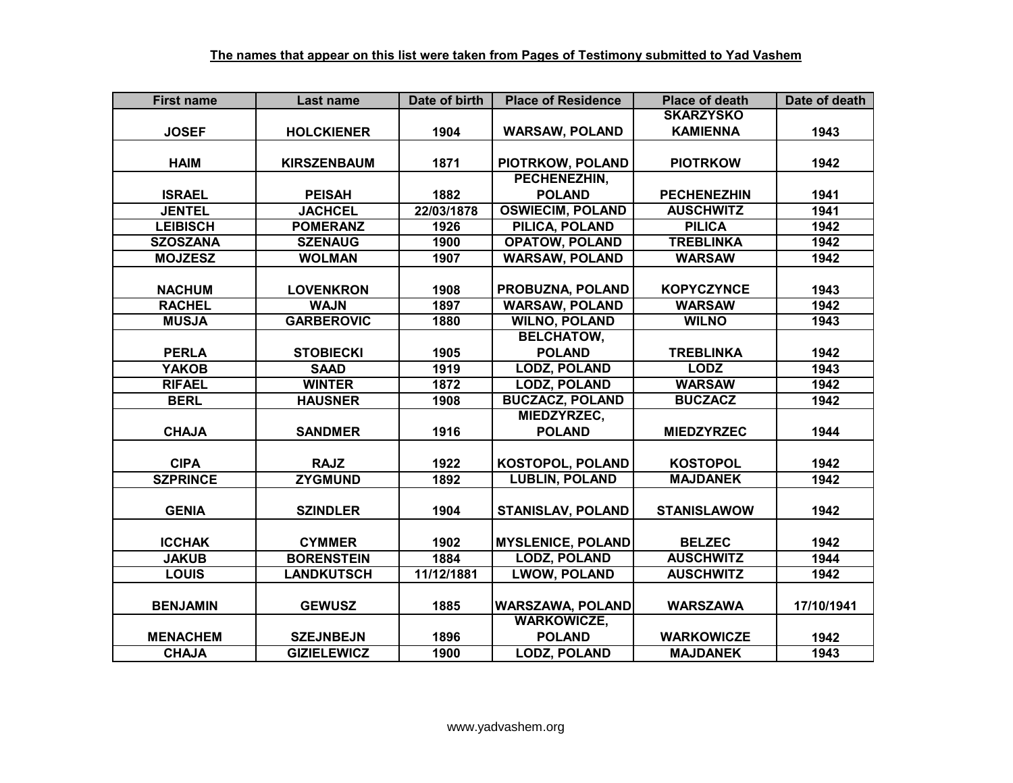| <b>First name</b> | <b>Last name</b>   | Date of birth | <b>Place of Residence</b> | <b>Place of death</b> | Date of death |
|-------------------|--------------------|---------------|---------------------------|-----------------------|---------------|
|                   |                    |               |                           | <b>SKARZYSKO</b>      |               |
| <b>JOSEF</b>      | <b>HOLCKIENER</b>  | 1904          | <b>WARSAW, POLAND</b>     | <b>KAMIENNA</b>       | 1943          |
|                   |                    |               |                           |                       |               |
| <b>HAIM</b>       | <b>KIRSZENBAUM</b> | 1871          | PIOTRKOW, POLAND          | <b>PIOTRKOW</b>       | 1942          |
|                   |                    |               | PECHENEZHIN,              |                       |               |
| <b>ISRAEL</b>     | <b>PEISAH</b>      | 1882          | <b>POLAND</b>             | <b>PECHENEZHIN</b>    | 1941          |
| <b>JENTEL</b>     | <b>JACHCEL</b>     | 22/03/1878    | <b>OSWIECIM, POLAND</b>   | <b>AUSCHWITZ</b>      | 1941          |
| <b>LEIBISCH</b>   | <b>POMERANZ</b>    | 1926          | PILICA, POLAND            | <b>PILICA</b>         | 1942          |
| <b>SZOSZANA</b>   | <b>SZENAUG</b>     | 1900          | <b>OPATOW, POLAND</b>     | <b>TREBLINKA</b>      | 1942          |
| <b>MOJZESZ</b>    | <b>WOLMAN</b>      | 1907          | <b>WARSAW, POLAND</b>     | <b>WARSAW</b>         | 1942          |
|                   |                    |               |                           |                       |               |
| <b>NACHUM</b>     | <b>LOVENKRON</b>   | 1908          | PROBUZNA, POLAND          | <b>KOPYCZYNCE</b>     | 1943          |
| <b>RACHEL</b>     | <b>WAJN</b>        | 1897          | <b>WARSAW, POLAND</b>     | <b>WARSAW</b>         | 1942          |
| <b>MUSJA</b>      | <b>GARBEROVIC</b>  | 1880          | <b>WILNO, POLAND</b>      | <b>WILNO</b>          | 1943          |
|                   |                    |               | <b>BELCHATOW,</b>         |                       |               |
| <b>PERLA</b>      | <b>STOBIECKI</b>   | 1905          | <b>POLAND</b>             | <b>TREBLINKA</b>      | 1942          |
| <b>YAKOB</b>      | <b>SAAD</b>        | 1919          | <b>LODZ, POLAND</b>       | <b>LODZ</b>           | 1943          |
| <b>RIFAEL</b>     | <b>WINTER</b>      | 1872          | <b>LODZ, POLAND</b>       | <b>WARSAW</b>         | 1942          |
| <b>BERL</b>       | <b>HAUSNER</b>     | 1908          | <b>BUCZACZ, POLAND</b>    | <b>BUCZACZ</b>        | 1942          |
|                   |                    |               | MIEDZYRZEC,               |                       |               |
| <b>CHAJA</b>      | <b>SANDMER</b>     | 1916          | <b>POLAND</b>             | <b>MIEDZYRZEC</b>     | 1944          |
|                   |                    |               |                           |                       |               |
| <b>CIPA</b>       | <b>RAJZ</b>        | 1922          | <b>KOSTOPOL, POLAND</b>   | <b>KOSTOPOL</b>       | 1942          |
| <b>SZPRINCE</b>   | <b>ZYGMUND</b>     | 1892          | <b>LUBLIN, POLAND</b>     | <b>MAJDANEK</b>       | 1942          |
|                   |                    |               |                           |                       |               |
| <b>GENIA</b>      | <b>SZINDLER</b>    | 1904          | <b>STANISLAV, POLAND</b>  | <b>STANISLAWOW</b>    | 1942          |
|                   |                    |               |                           |                       |               |
| <b>ICCHAK</b>     | <b>CYMMER</b>      | 1902          | <b>MYSLENICE, POLAND</b>  | <b>BELZEC</b>         | 1942          |
| <b>JAKUB</b>      | <b>BORENSTEIN</b>  | 1884          | <b>LODZ, POLAND</b>       | <b>AUSCHWITZ</b>      | 1944          |
| <b>LOUIS</b>      | <b>LANDKUTSCH</b>  | 11/12/1881    | <b>LWOW, POLAND</b>       | <b>AUSCHWITZ</b>      | 1942          |
|                   |                    |               |                           |                       |               |
| <b>BENJAMIN</b>   | <b>GEWUSZ</b>      | 1885          | <b>WARSZAWA, POLAND</b>   | <b>WARSZAWA</b>       | 17/10/1941    |
|                   |                    |               | <b>WARKOWICZE,</b>        |                       |               |
| <b>MENACHEM</b>   | <b>SZEJNBEJN</b>   | 1896          | <b>POLAND</b>             | <b>WARKOWICZE</b>     | 1942          |
| <b>CHAJA</b>      | <b>GIZIELEWICZ</b> | 1900          | <b>LODZ, POLAND</b>       | <b>MAJDANEK</b>       | 1943          |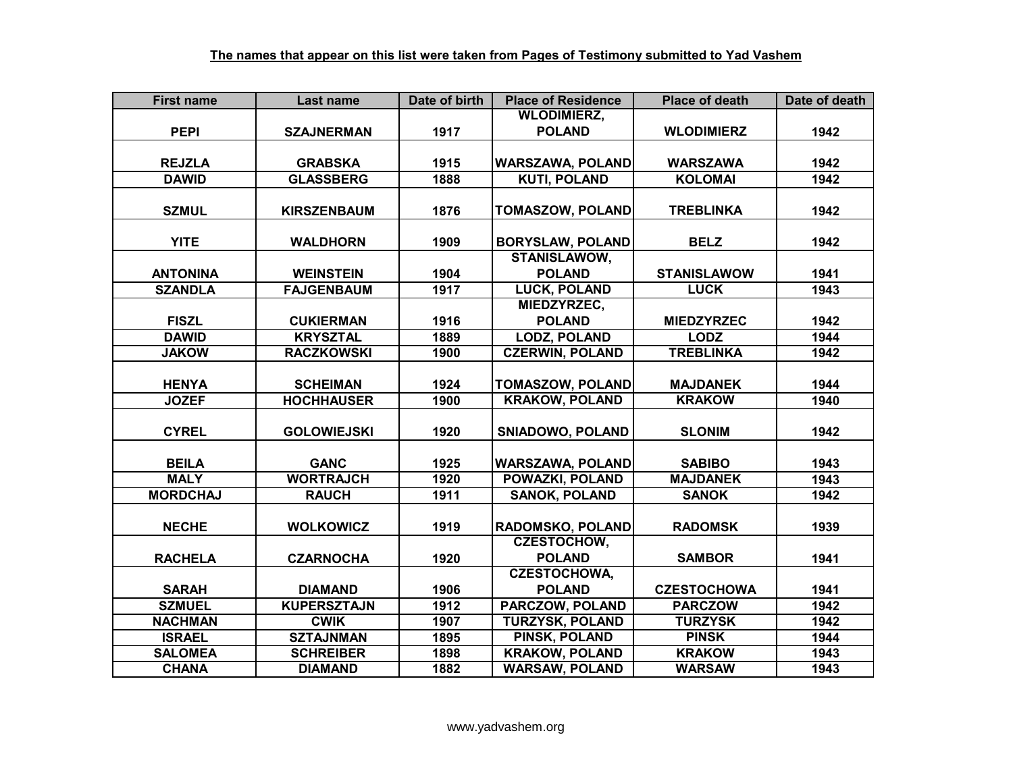| <b>First name</b> | Last name          | Date of birth | <b>Place of Residence</b> | <b>Place of death</b> | Date of death |
|-------------------|--------------------|---------------|---------------------------|-----------------------|---------------|
|                   |                    |               | <b>WLODIMIERZ,</b>        |                       |               |
| <b>PEPI</b>       | <b>SZAJNERMAN</b>  | 1917          | <b>POLAND</b>             | <b>WLODIMIERZ</b>     | 1942          |
|                   |                    |               |                           |                       |               |
| <b>REJZLA</b>     | <b>GRABSKA</b>     | 1915          | <b>WARSZAWA, POLAND</b>   | <b>WARSZAWA</b>       | 1942          |
| <b>DAWID</b>      | <b>GLASSBERG</b>   | 1888          | <b>KUTI, POLAND</b>       | <b>KOLOMAI</b>        | 1942          |
|                   |                    |               |                           |                       |               |
| <b>SZMUL</b>      | <b>KIRSZENBAUM</b> | 1876          | <b>TOMASZOW, POLAND</b>   | <b>TREBLINKA</b>      | 1942          |
|                   |                    |               |                           |                       |               |
| <b>YITE</b>       | <b>WALDHORN</b>    | 1909          | <b>BORYSLAW, POLAND</b>   | <b>BELZ</b>           | 1942          |
|                   |                    |               | <b>STANISLAWOW,</b>       |                       |               |
| <b>ANTONINA</b>   | <b>WEINSTEIN</b>   | 1904          | <b>POLAND</b>             | <b>STANISLAWOW</b>    | 1941          |
| <b>SZANDLA</b>    | <b>FAJGENBAUM</b>  | 1917          | <b>LUCK, POLAND</b>       | <b>LUCK</b>           | 1943          |
|                   |                    |               | MIEDZYRZEC,               |                       |               |
| <b>FISZL</b>      | <b>CUKIERMAN</b>   | 1916          | <b>POLAND</b>             | <b>MIEDZYRZEC</b>     | 1942          |
| <b>DAWID</b>      | <b>KRYSZTAL</b>    | 1889          | <b>LODZ, POLAND</b>       | <b>LODZ</b>           | 1944          |
| <b>JAKOW</b>      | <b>RACZKOWSKI</b>  | 1900          | <b>CZERWIN, POLAND</b>    | <b>TREBLINKA</b>      | 1942          |
|                   |                    |               |                           |                       |               |
| <b>HENYA</b>      | <b>SCHEIMAN</b>    | 1924          | <b>TOMASZOW, POLAND</b>   | <b>MAJDANEK</b>       | 1944          |
| <b>JOZEF</b>      | <b>HOCHHAUSER</b>  | 1900          | <b>KRAKOW, POLAND</b>     | <b>KRAKOW</b>         | 1940          |
|                   |                    |               |                           |                       |               |
| <b>CYREL</b>      | <b>GOLOWIEJSKI</b> | 1920          | <b>SNIADOWO, POLAND</b>   | <b>SLONIM</b>         | 1942          |
|                   |                    |               |                           |                       |               |
| <b>BEILA</b>      | <b>GANC</b>        | 1925          | <b>WARSZAWA, POLAND</b>   | <b>SABIBO</b>         | 1943          |
| <b>MALY</b>       | <b>WORTRAJCH</b>   | 1920          | <b>POWAZKI, POLAND</b>    | <b>MAJDANEK</b>       | 1943          |
| <b>MORDCHAJ</b>   | <b>RAUCH</b>       | 1911          | <b>SANOK, POLAND</b>      | <b>SANOK</b>          | 1942          |
|                   |                    |               |                           |                       |               |
| <b>NECHE</b>      | <b>WOLKOWICZ</b>   | 1919          | <b>RADOMSKO, POLAND</b>   | <b>RADOMSK</b>        | 1939          |
|                   |                    |               | <b>CZESTOCHOW,</b>        |                       |               |
| <b>RACHELA</b>    | <b>CZARNOCHA</b>   | 1920          | <b>POLAND</b>             | <b>SAMBOR</b>         | 1941          |
|                   |                    |               | <b>CZESTOCHOWA,</b>       |                       |               |
| <b>SARAH</b>      | <b>DIAMAND</b>     | 1906          | <b>POLAND</b>             | <b>CZESTOCHOWA</b>    | 1941          |
| <b>SZMUEL</b>     | <b>KUPERSZTAJN</b> | 1912          | PARCZOW, POLAND           | <b>PARCZOW</b>        | 1942          |
| <b>NACHMAN</b>    | <b>CWIK</b>        | 1907          | <b>TURZYSK, POLAND</b>    | <b>TURZYSK</b>        | 1942          |
| <b>ISRAEL</b>     | <b>SZTAJNMAN</b>   | 1895          | PINSK, POLAND             | <b>PINSK</b>          | 1944          |
| <b>SALOMEA</b>    | <b>SCHREIBER</b>   | 1898          | <b>KRAKOW, POLAND</b>     | <b>KRAKOW</b>         | 1943          |
| <b>CHANA</b>      | <b>DIAMAND</b>     | 1882          | <b>WARSAW, POLAND</b>     | <b>WARSAW</b>         | 1943          |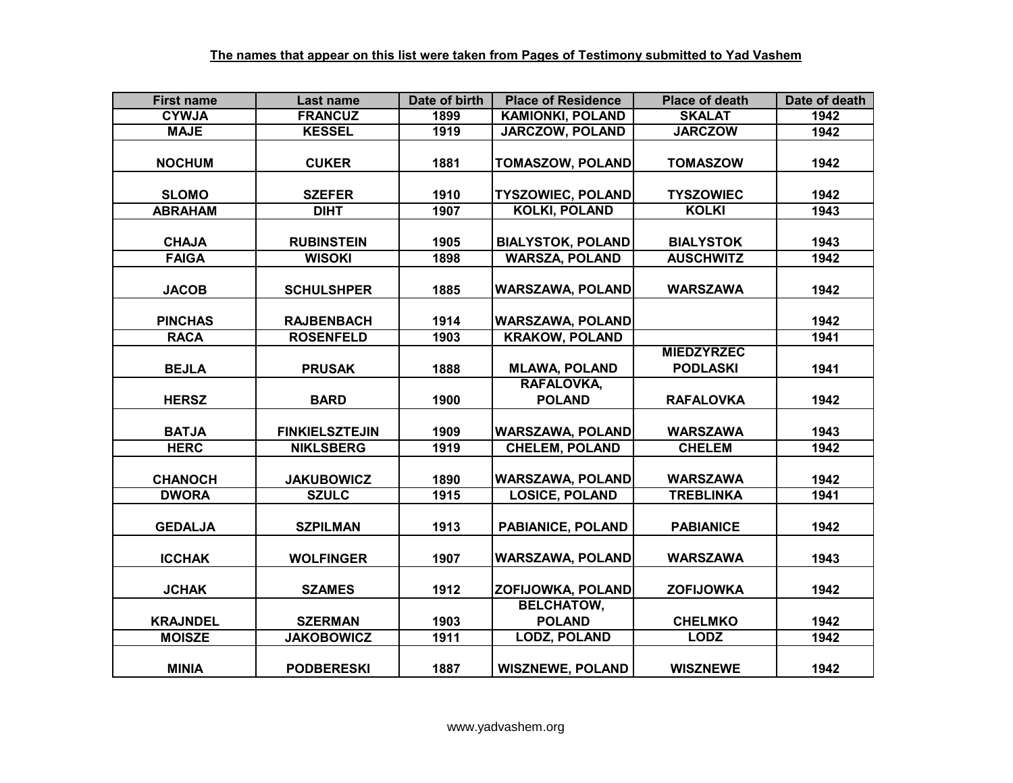| <b>First name</b> | Last name             | Date of birth | <b>Place of Residence</b> | <b>Place of death</b> | Date of death |
|-------------------|-----------------------|---------------|---------------------------|-----------------------|---------------|
| <b>CYWJA</b>      | <b>FRANCUZ</b>        | 1899          | <b>KAMIONKI, POLAND</b>   | <b>SKALAT</b>         | 1942          |
| <b>MAJE</b>       | <b>KESSEL</b>         | 1919          | <b>JARCZOW, POLAND</b>    | <b>JARCZOW</b>        | 1942          |
|                   |                       |               |                           |                       |               |
| <b>NOCHUM</b>     | <b>CUKER</b>          | 1881          | <b>TOMASZOW, POLAND</b>   | <b>TOMASZOW</b>       | 1942          |
|                   |                       |               |                           |                       |               |
| <b>SLOMO</b>      | <b>SZEFER</b>         | 1910          | <b>TYSZOWIEC, POLAND</b>  | <b>TYSZOWIEC</b>      | 1942          |
| <b>ABRAHAM</b>    | <b>DIHT</b>           | 1907          | <b>KOLKI, POLAND</b>      | <b>KOLKI</b>          | 1943          |
|                   |                       |               |                           |                       |               |
| <b>CHAJA</b>      | <b>RUBINSTEIN</b>     | 1905          | <b>BIALYSTOK, POLAND</b>  | <b>BIALYSTOK</b>      | 1943          |
| <b>FAIGA</b>      | <b>WISOKI</b>         | 1898          | <b>WARSZA, POLAND</b>     | <b>AUSCHWITZ</b>      | 1942          |
|                   |                       |               |                           |                       |               |
| <b>JACOB</b>      | <b>SCHULSHPER</b>     | 1885          | <b>WARSZAWA, POLAND</b>   | <b>WARSZAWA</b>       | 1942          |
|                   |                       |               |                           |                       |               |
| <b>PINCHAS</b>    | <b>RAJBENBACH</b>     | 1914          | <b>WARSZAWA, POLAND</b>   |                       | 1942          |
| <b>RACA</b>       | <b>ROSENFELD</b>      | 1903          | <b>KRAKOW, POLAND</b>     |                       | 1941          |
|                   |                       |               |                           | <b>MIEDZYRZEC</b>     |               |
| <b>BEJLA</b>      | <b>PRUSAK</b>         | 1888          | <b>MLAWA, POLAND</b>      | <b>PODLASKI</b>       | 1941          |
|                   |                       |               | RAFALOVKA,                |                       |               |
| <b>HERSZ</b>      | <b>BARD</b>           | 1900          | <b>POLAND</b>             | <b>RAFALOVKA</b>      | 1942          |
|                   |                       |               |                           |                       |               |
| <b>BATJA</b>      | <b>FINKIELSZTEJIN</b> | 1909          | <b>WARSZAWA, POLAND</b>   | <b>WARSZAWA</b>       | 1943          |
| <b>HERC</b>       | <b>NIKLSBERG</b>      | 1919          | <b>CHELEM, POLAND</b>     | <b>CHELEM</b>         | 1942          |
|                   |                       |               |                           |                       |               |
| <b>CHANOCH</b>    | <b>JAKUBOWICZ</b>     | 1890          | <b>WARSZAWA, POLAND</b>   | <b>WARSZAWA</b>       | 1942          |
| <b>DWORA</b>      | <b>SZULC</b>          | 1915          | <b>LOSICE, POLAND</b>     | <b>TREBLINKA</b>      | 1941          |
|                   |                       |               |                           |                       |               |
| <b>GEDALJA</b>    | <b>SZPILMAN</b>       | 1913          | <b>PABIANICE, POLAND</b>  | <b>PABIANICE</b>      | 1942          |
|                   |                       |               |                           |                       |               |
| <b>ICCHAK</b>     | <b>WOLFINGER</b>      | 1907          | <b>WARSZAWA, POLAND</b>   | <b>WARSZAWA</b>       | 1943          |
|                   |                       |               |                           |                       |               |
| <b>JCHAK</b>      | <b>SZAMES</b>         | 1912          | ZOFIJOWKA, POLAND         | <b>ZOFIJOWKA</b>      | 1942          |
|                   |                       |               | <b>BELCHATOW,</b>         |                       |               |
| <b>KRAJNDEL</b>   | <b>SZERMAN</b>        | 1903          | <b>POLAND</b>             | <b>CHELMKO</b>        | 1942          |
| <b>MOISZE</b>     | <b>JAKOBOWICZ</b>     | 1911          | <b>LODZ, POLAND</b>       | <b>LODZ</b>           | 1942          |
|                   |                       |               |                           |                       |               |
| <b>MINIA</b>      | <b>PODBERESKI</b>     | 1887          | <b>WISZNEWE, POLAND</b>   | <b>WISZNEWE</b>       | 1942          |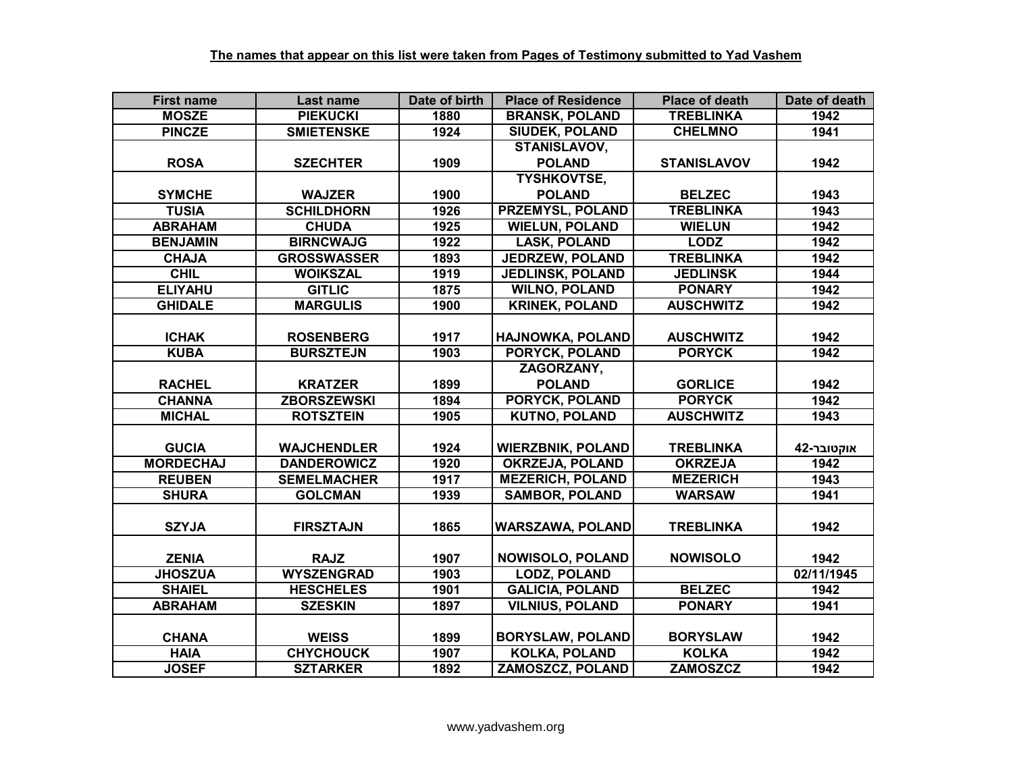| <b>First name</b> | Last name          | Date of birth    | <b>Place of Residence</b> | <b>Place of death</b> | Date of death |
|-------------------|--------------------|------------------|---------------------------|-----------------------|---------------|
| <b>MOSZE</b>      | <b>PIEKUCKI</b>    | 1880             | <b>BRANSK, POLAND</b>     | <b>TREBLINKA</b>      | 1942          |
| <b>PINCZE</b>     | <b>SMIETENSKE</b>  | 1924             | <b>SIUDEK, POLAND</b>     | <b>CHELMNO</b>        | 1941          |
|                   |                    |                  | STANISLAVOV,              |                       |               |
| <b>ROSA</b>       | <b>SZECHTER</b>    | 1909             | <b>POLAND</b>             | <b>STANISLAVOV</b>    | 1942          |
|                   |                    |                  | <b>TYSHKOVTSE,</b>        |                       |               |
| <b>SYMCHE</b>     | <b>WAJZER</b>      | 1900             | <b>POLAND</b>             | <b>BELZEC</b>         | 1943          |
| <b>TUSIA</b>      | <b>SCHILDHORN</b>  | 1926             | <b>PRZEMYSL, POLAND</b>   | <b>TREBLINKA</b>      | 1943          |
| <b>ABRAHAM</b>    | <b>CHUDA</b>       | 1925             | <b>WIELUN, POLAND</b>     | <b>WIELUN</b>         | 1942          |
| <b>BENJAMIN</b>   | <b>BIRNCWAJG</b>   | 1922             | <b>LASK, POLAND</b>       | <b>LODZ</b>           | 1942          |
| <b>CHAJA</b>      | <b>GROSSWASSER</b> | 1893             | <b>JEDRZEW, POLAND</b>    | <b>TREBLINKA</b>      | 1942          |
| <b>CHIL</b>       | <b>WOIKSZAL</b>    | 1919             | <b>JEDLINSK, POLAND</b>   | <b>JEDLINSK</b>       | 1944          |
| <b>ELIYAHU</b>    | <b>GITLIC</b>      | 1875             | <b>WILNO, POLAND</b>      | <b>PONARY</b>         | 1942          |
| <b>GHIDALE</b>    | <b>MARGULIS</b>    | 1900             | <b>KRINEK, POLAND</b>     | <b>AUSCHWITZ</b>      | 1942          |
|                   |                    |                  |                           |                       |               |
| <b>ICHAK</b>      | <b>ROSENBERG</b>   | 1917             | <b>HAJNOWKA, POLAND</b>   | <b>AUSCHWITZ</b>      | 1942          |
| <b>KUBA</b>       | <b>BURSZTEJN</b>   | 1903             | PORYCK, POLAND            | <b>PORYCK</b>         | 1942          |
|                   |                    |                  | ZAGORZANY,                |                       |               |
| <b>RACHEL</b>     | <b>KRATZER</b>     | 1899             | <b>POLAND</b>             | <b>GORLICE</b>        | 1942          |
| <b>CHANNA</b>     | <b>ZBORSZEWSKI</b> | 1894             | <b>PORYCK, POLAND</b>     | <b>PORYCK</b>         | 1942          |
| <b>MICHAL</b>     | <b>ROTSZTEIN</b>   | 1905             | <b>KUTNO, POLAND</b>      | <b>AUSCHWITZ</b>      | 1943          |
|                   |                    |                  |                           |                       |               |
| <b>GUCIA</b>      | <b>WAJCHENDLER</b> | 1924             | <b>WIERZBNIK, POLAND</b>  | <b>TREBLINKA</b>      | אוקטובר-42    |
| <b>MORDECHAJ</b>  | <b>DANDEROWICZ</b> | $\frac{1}{1920}$ | <b>OKRZEJA, POLAND</b>    | <b>OKRZEJA</b>        | 1942          |
| <b>REUBEN</b>     | <b>SEMELMACHER</b> | 1917             | <b>MEZERICH, POLAND</b>   | <b>MEZERICH</b>       | 1943          |
| <b>SHURA</b>      | <b>GOLCMAN</b>     | 1939             | <b>SAMBOR, POLAND</b>     | <b>WARSAW</b>         | 1941          |
|                   |                    |                  |                           |                       |               |
| <b>SZYJA</b>      | <b>FIRSZTAJN</b>   | 1865             | <b>WARSZAWA, POLAND</b>   | <b>TREBLINKA</b>      | 1942          |
|                   |                    |                  |                           |                       |               |
| <b>ZENIA</b>      | <b>RAJZ</b>        | 1907             | <b>NOWISOLO, POLAND</b>   | <b>NOWISOLO</b>       | 1942          |
| <b>JHOSZUA</b>    | <b>WYSZENGRAD</b>  | 1903             | <b>LODZ, POLAND</b>       |                       | 02/11/1945    |
| <b>SHAIEL</b>     | <b>HESCHELES</b>   | 1901             | <b>GALICIA, POLAND</b>    | <b>BELZEC</b>         | 1942          |
| <b>ABRAHAM</b>    | <b>SZESKIN</b>     | 1897             | <b>VILNIUS, POLAND</b>    | <b>PONARY</b>         | 1941          |
|                   |                    |                  |                           |                       |               |
| <b>CHANA</b>      | <b>WEISS</b>       | 1899             | <b>BORYSLAW, POLAND</b>   | <b>BORYSLAW</b>       | 1942          |
| <b>HAIA</b>       | <b>CHYCHOUCK</b>   | 1907             | <b>KOLKA, POLAND</b>      | <b>KOLKA</b>          | 1942          |
| <b>JOSEF</b>      | <b>SZTARKER</b>    | 1892             | ZAMOSZCZ, POLAND          | <b>ZAMOSZCZ</b>       | 1942          |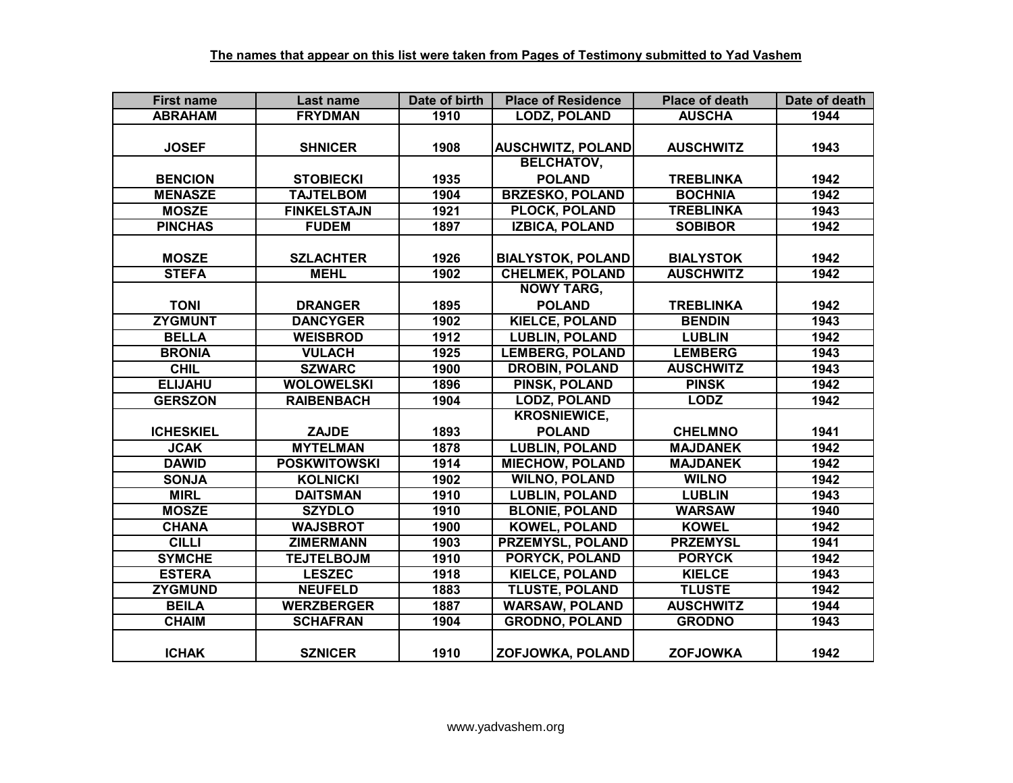| <b>First name</b> | Last name           | Date of birth | <b>Place of Residence</b> | <b>Place of death</b> | Date of death |
|-------------------|---------------------|---------------|---------------------------|-----------------------|---------------|
| <b>ABRAHAM</b>    | <b>FRYDMAN</b>      | 1910          | <b>LODZ, POLAND</b>       | <b>AUSCHA</b>         | 1944          |
|                   |                     |               |                           |                       |               |
| <b>JOSEF</b>      | <b>SHNICER</b>      | 1908          | <b>AUSCHWITZ, POLAND</b>  | <b>AUSCHWITZ</b>      | 1943          |
|                   |                     |               | <b>BELCHATOV,</b>         |                       |               |
| <b>BENCION</b>    | <b>STOBIECKI</b>    | 1935          | <b>POLAND</b>             | <b>TREBLINKA</b>      | 1942          |
| <b>MENASZE</b>    | <b>TAJTELBOM</b>    | 1904          | <b>BRZESKO, POLAND</b>    | <b>BOCHNIA</b>        | 1942          |
| <b>MOSZE</b>      | <b>FINKELSTAJN</b>  | 1921          | <b>PLOCK, POLAND</b>      | <b>TREBLINKA</b>      | 1943          |
| <b>PINCHAS</b>    | <b>FUDEM</b>        | 1897          | <b>IZBICA, POLAND</b>     | <b>SOBIBOR</b>        | 1942          |
|                   |                     |               |                           |                       |               |
| <b>MOSZE</b>      | <b>SZLACHTER</b>    | 1926          | <b>BIALYSTOK, POLAND</b>  | <b>BIALYSTOK</b>      | 1942          |
| <b>STEFA</b>      | <b>MEHL</b>         | 1902          | <b>CHELMEK, POLAND</b>    | <b>AUSCHWITZ</b>      | 1942          |
|                   |                     |               | <b>NOWY TARG,</b>         |                       |               |
| <b>TONI</b>       | <b>DRANGER</b>      | 1895          | <b>POLAND</b>             | <b>TREBLINKA</b>      | 1942          |
| <b>ZYGMUNT</b>    | <b>DANCYGER</b>     | 1902          | <b>KIELCE, POLAND</b>     | <b>BENDIN</b>         | 1943          |
| <b>BELLA</b>      | <b>WEISBROD</b>     | 1912          | <b>LUBLIN, POLAND</b>     | <b>LUBLIN</b>         | 1942          |
| <b>BRONIA</b>     | <b>VULACH</b>       | 1925          | <b>LEMBERG, POLAND</b>    | <b>LEMBERG</b>        | 1943          |
| <b>CHIL</b>       | <b>SZWARC</b>       | 1900          | <b>DROBIN, POLAND</b>     | <b>AUSCHWITZ</b>      | 1943          |
| <b>ELIJAHU</b>    | <b>WOLOWELSKI</b>   | 1896          | <b>PINSK, POLAND</b>      | <b>PINSK</b>          | 1942          |
| <b>GERSZON</b>    | <b>RAIBENBACH</b>   | 1904          | <b>LODZ, POLAND</b>       | <b>LODZ</b>           | 1942          |
|                   |                     |               | <b>KROSNIEWICE,</b>       |                       |               |
| <b>ICHESKIEL</b>  | <b>ZAJDE</b>        | 1893          | <b>POLAND</b>             | <b>CHELMNO</b>        | 1941          |
| <b>JCAK</b>       | <b>MYTELMAN</b>     | 1878          | <b>LUBLIN, POLAND</b>     | <b>MAJDANEK</b>       | 1942          |
| <b>DAWID</b>      | <b>POSKWITOWSKI</b> | 1914          | <b>MIECHOW, POLAND</b>    | <b>MAJDANEK</b>       | 1942          |
| <b>SONJA</b>      | <b>KOLNICKI</b>     | 1902          | <b>WILNO, POLAND</b>      | <b>WILNO</b>          | 1942          |
| <b>MIRL</b>       | <b>DAITSMAN</b>     | 1910          | <b>LUBLIN, POLAND</b>     | <b>LUBLIN</b>         | 1943          |
| <b>MOSZE</b>      | <b>SZYDLO</b>       | 1910          | <b>BLONIE, POLAND</b>     | <b>WARSAW</b>         | 1940          |
| <b>CHANA</b>      | <b>WAJSBROT</b>     | 1900          | <b>KOWEL, POLAND</b>      | <b>KOWEL</b>          | 1942          |
| <b>CILLI</b>      | <b>ZIMERMANN</b>    | 1903          | <b>PRZEMYSL, POLAND</b>   | <b>PRZEMYSL</b>       | 1941          |
| <b>SYMCHE</b>     | <b>TEJTELBOJM</b>   | 1910          | <b>PORYCK, POLAND</b>     | <b>PORYCK</b>         | 1942          |
| <b>ESTERA</b>     | <b>LESZEC</b>       | 1918          | <b>KIELCE, POLAND</b>     | <b>KIELCE</b>         | 1943          |
| <b>ZYGMUND</b>    | <b>NEUFELD</b>      | 1883          | <b>TLUSTE, POLAND</b>     | <b>TLUSTE</b>         | 1942          |
| <b>BEILA</b>      | <b>WERZBERGER</b>   | 1887          | <b>WARSAW, POLAND</b>     | <b>AUSCHWITZ</b>      | 1944          |
| <b>CHAIM</b>      | <b>SCHAFRAN</b>     | 1904          | <b>GRODNO, POLAND</b>     | <b>GRODNO</b>         | 1943          |
| <b>ICHAK</b>      | <b>SZNICER</b>      | 1910          | ZOFJOWKA, POLAND          | <b>ZOFJOWKA</b>       | 1942          |
|                   |                     |               |                           |                       |               |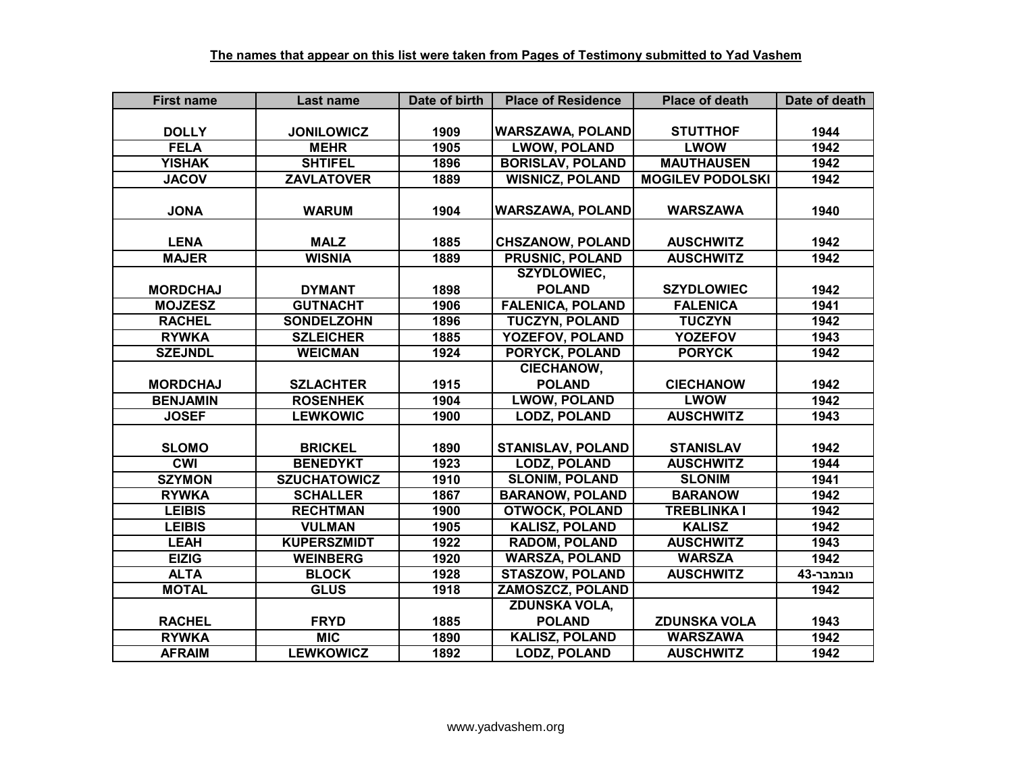| <b>First name</b> | Last name           | Date of birth | <b>Place of Residence</b> | <b>Place of death</b>   | Date of death |
|-------------------|---------------------|---------------|---------------------------|-------------------------|---------------|
|                   |                     |               |                           |                         |               |
| <b>DOLLY</b>      | <b>JONILOWICZ</b>   | 1909          | <b>WARSZAWA, POLAND</b>   | <b>STUTTHOF</b>         | 1944          |
| <b>FELA</b>       | <b>MEHR</b>         | 1905          | <b>LWOW, POLAND</b>       | <b>LWOW</b>             | 1942          |
| <b>YISHAK</b>     | <b>SHTIFEL</b>      | 1896          | <b>BORISLAV, POLAND</b>   | <b>MAUTHAUSEN</b>       | 1942          |
| <b>JACOV</b>      | <b>ZAVLATOVER</b>   | 1889          | <b>WISNICZ, POLAND</b>    | <b>MOGILEV PODOLSKI</b> | 1942          |
|                   |                     |               |                           |                         |               |
| <b>JONA</b>       | <b>WARUM</b>        | 1904          | <b>WARSZAWA, POLAND</b>   | <b>WARSZAWA</b>         | 1940          |
|                   |                     |               |                           |                         |               |
| <b>LENA</b>       | <b>MALZ</b>         | 1885          | <b>CHSZANOW, POLAND</b>   | <b>AUSCHWITZ</b>        | 1942          |
| <b>MAJER</b>      | <b>WISNIA</b>       | 1889          | <b>PRUSNIC, POLAND</b>    | <b>AUSCHWITZ</b>        | 1942          |
|                   |                     |               | <b>SZYDLOWIEC,</b>        |                         |               |
| <b>MORDCHAJ</b>   | <b>DYMANT</b>       | 1898          | <b>POLAND</b>             | <b>SZYDLOWIEC</b>       | 1942          |
| <b>MOJZESZ</b>    | <b>GUTNACHT</b>     | 1906          | <b>FALENICA, POLAND</b>   | <b>FALENICA</b>         | 1941          |
| <b>RACHEL</b>     | <b>SONDELZOHN</b>   | 1896          | <b>TUCZYN, POLAND</b>     | <b>TUCZYN</b>           | 1942          |
| <b>RYWKA</b>      | <b>SZLEICHER</b>    | 1885          | YOZEFOV, POLAND           | <b>YOZEFOV</b>          | 1943          |
| <b>SZEJNDL</b>    | <b>WEICMAN</b>      | 1924          | PORYCK, POLAND            | <b>PORYCK</b>           | 1942          |
|                   |                     |               | <b>CIECHANOW,</b>         |                         |               |
| <b>MORDCHAJ</b>   | <b>SZLACHTER</b>    | 1915          | <b>POLAND</b>             | <b>CIECHANOW</b>        | 1942          |
| <b>BENJAMIN</b>   | <b>ROSENHEK</b>     | 1904          | <b>LWOW, POLAND</b>       | <b>LWOW</b>             | 1942          |
| <b>JOSEF</b>      | <b>LEWKOWIC</b>     | 1900          | <b>LODZ, POLAND</b>       | <b>AUSCHWITZ</b>        | 1943          |
|                   |                     |               |                           |                         |               |
| <b>SLOMO</b>      | <b>BRICKEL</b>      | 1890          | <b>STANISLAV, POLAND</b>  | <b>STANISLAV</b>        | 1942          |
| <b>CWI</b>        | <b>BENEDYKT</b>     | 1923          | <b>LODZ, POLAND</b>       | <b>AUSCHWITZ</b>        | 1944          |
| <b>SZYMON</b>     | <b>SZUCHATOWICZ</b> | 1910          | <b>SLONIM, POLAND</b>     | <b>SLONIM</b>           | 1941          |
| <b>RYWKA</b>      | <b>SCHALLER</b>     | 1867          | <b>BARANOW, POLAND</b>    | <b>BARANOW</b>          | 1942          |
| <b>LEIBIS</b>     | <b>RECHTMAN</b>     | 1900          | <b>OTWOCK, POLAND</b>     | <b>TREBLINKA I</b>      | 1942          |
| <b>LEIBIS</b>     | <b>VULMAN</b>       | 1905          | <b>KALISZ, POLAND</b>     | <b>KALISZ</b>           | 1942          |
| <b>LEAH</b>       | <b>KUPERSZMIDT</b>  | 1922          | <b>RADOM, POLAND</b>      | <b>AUSCHWITZ</b>        | 1943          |
| <b>EIZIG</b>      | <b>WEINBERG</b>     | 1920          | <b>WARSZA, POLAND</b>     | <b>WARSZA</b>           | 1942          |
| <b>ALTA</b>       | <b>BLOCK</b>        | 1928          | <b>STASZOW, POLAND</b>    | <b>AUSCHWITZ</b>        | נובמבר-43     |
| <b>MOTAL</b>      | <b>GLUS</b>         | 1918          | <b>ZAMOSZCZ, POLAND</b>   |                         | 1942          |
|                   |                     |               | <b>ZDUNSKA VOLA,</b>      |                         |               |
| <b>RACHEL</b>     | <b>FRYD</b>         | 1885          | <b>POLAND</b>             | <b>ZDUNSKA VOLA</b>     | 1943          |
| <b>RYWKA</b>      | <b>MIC</b>          | 1890          | <b>KALISZ, POLAND</b>     | <b>WARSZAWA</b>         | 1942          |
| <b>AFRAIM</b>     | <b>LEWKOWICZ</b>    | 1892          | <b>LODZ, POLAND</b>       | <b>AUSCHWITZ</b>        | 1942          |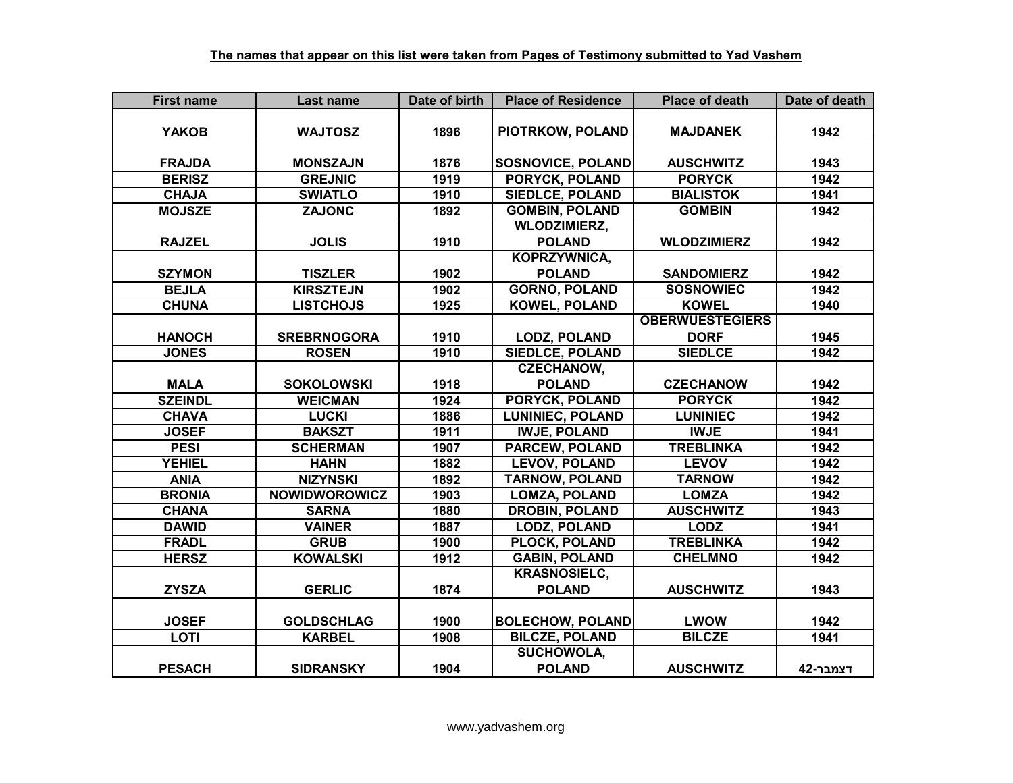| <b>First name</b> | Last name            | Date of birth | <b>Place of Residence</b> | <b>Place of death</b>  | Date of death |
|-------------------|----------------------|---------------|---------------------------|------------------------|---------------|
|                   |                      |               |                           |                        |               |
| <b>YAKOB</b>      | <b>WAJTOSZ</b>       | 1896          | PIOTRKOW, POLAND          | <b>MAJDANEK</b>        | 1942          |
|                   |                      |               |                           |                        |               |
| <b>FRAJDA</b>     | <b>MONSZAJN</b>      | 1876          | <b>SOSNOVICE, POLAND</b>  | <b>AUSCHWITZ</b>       | 1943          |
| <b>BERISZ</b>     | <b>GREJNIC</b>       | 1919          | <b>PORYCK, POLAND</b>     | <b>PORYCK</b>          | 1942          |
| <b>CHAJA</b>      | <b>SWIATLO</b>       | 1910          | <b>SIEDLCE, POLAND</b>    | <b>BIALISTOK</b>       | 1941          |
| <b>MOJSZE</b>     | <b>ZAJONC</b>        | 1892          | <b>GOMBIN, POLAND</b>     | <b>GOMBIN</b>          | 1942          |
|                   |                      |               | <b>WLODZIMIERZ,</b>       |                        |               |
| <b>RAJZEL</b>     | <b>JOLIS</b>         | 1910          | <b>POLAND</b>             | <b>WLODZIMIERZ</b>     | 1942          |
|                   |                      |               | <b>KOPRZYWNICA,</b>       |                        |               |
| <b>SZYMON</b>     | <b>TISZLER</b>       | 1902          | <b>POLAND</b>             | <b>SANDOMIERZ</b>      | 1942          |
| <b>BEJLA</b>      | <b>KIRSZTEJN</b>     | 1902          | <b>GORNO, POLAND</b>      | <b>SOSNOWIEC</b>       | 1942          |
| <b>CHUNA</b>      | <b>LISTCHOJS</b>     | 1925          | <b>KOWEL, POLAND</b>      | <b>KOWEL</b>           | 1940          |
|                   |                      |               |                           | <b>OBERWUESTEGIERS</b> |               |
| <b>HANOCH</b>     | <b>SREBRNOGORA</b>   | 1910          | <b>LODZ, POLAND</b>       | <b>DORF</b>            | 1945          |
| <b>JONES</b>      | <b>ROSEN</b>         | 1910          | <b>SIEDLCE, POLAND</b>    | <b>SIEDLCE</b>         | 1942          |
|                   |                      |               | <b>CZECHANOW,</b>         |                        |               |
| <b>MALA</b>       | <b>SOKOLOWSKI</b>    | 1918          | <b>POLAND</b>             | <b>CZECHANOW</b>       | 1942          |
| <b>SZEINDL</b>    | <b>WEICMAN</b>       | 1924          | PORYCK, POLAND            | <b>PORYCK</b>          | 1942          |
| <b>CHAVA</b>      | <b>LUCKI</b>         | 1886          | <b>LUNINIEC, POLAND</b>   | <b>LUNINIEC</b>        | 1942          |
| <b>JOSEF</b>      | <b>BAKSZT</b>        | 1911          | <b>IWJE, POLAND</b>       | <b>IWJE</b>            | 1941          |
| <b>PESI</b>       | <b>SCHERMAN</b>      | 1907          | <b>PARCEW, POLAND</b>     | <b>TREBLINKA</b>       | 1942          |
| <b>YEHIEL</b>     | <b>HAHN</b>          | 1882          | <b>LEVOV, POLAND</b>      | <b>LEVOV</b>           | 1942          |
| <b>ANIA</b>       | <b>NIZYNSKI</b>      | 1892          | <b>TARNOW, POLAND</b>     | <b>TARNOW</b>          | 1942          |
| <b>BRONIA</b>     | <b>NOWIDWOROWICZ</b> | 1903          | <b>LOMZA, POLAND</b>      | <b>LOMZA</b>           | 1942          |
| <b>CHANA</b>      | <b>SARNA</b>         | 1880          | <b>DROBIN, POLAND</b>     | <b>AUSCHWITZ</b>       | 1943          |
| <b>DAWID</b>      | <b>VAINER</b>        | 1887          | <b>LODZ, POLAND</b>       | <b>LODZ</b>            | 1941          |
| <b>FRADL</b>      | <b>GRUB</b>          | 1900          | <b>PLOCK, POLAND</b>      | <b>TREBLINKA</b>       | 1942          |
| <b>HERSZ</b>      | <b>KOWALSKI</b>      | 1912          | <b>GABIN, POLAND</b>      | <b>CHELMNO</b>         | 1942          |
|                   |                      |               | <b>KRASNOSIELC,</b>       |                        |               |
| <b>ZYSZA</b>      | <b>GERLIC</b>        | 1874          | <b>POLAND</b>             | <b>AUSCHWITZ</b>       | 1943          |
|                   |                      |               |                           |                        |               |
| <b>JOSEF</b>      | <b>GOLDSCHLAG</b>    | 1900          | <b>BOLECHOW, POLAND</b>   | <b>LWOW</b>            | 1942          |
| <b>LOTI</b>       | <b>KARBEL</b>        | 1908          | <b>BILCZE, POLAND</b>     | <b>BILCZE</b>          | 1941          |
|                   |                      |               | <b>SUCHOWOLA,</b>         |                        |               |
| <b>PESACH</b>     | <b>SIDRANSKY</b>     | 1904          | <b>POLAND</b>             | <b>AUSCHWITZ</b>       | דצמבר-42      |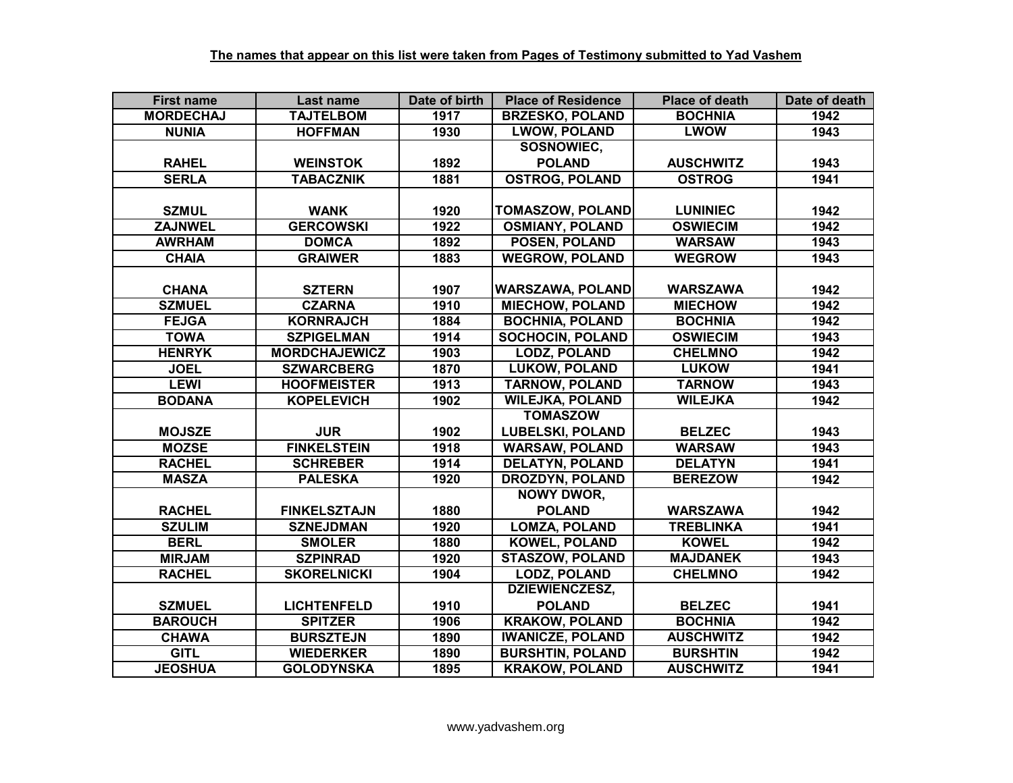| <b>First name</b> | Last name            | Date of birth | <b>Place of Residence</b> | <b>Place of death</b> | Date of death |
|-------------------|----------------------|---------------|---------------------------|-----------------------|---------------|
| <b>MORDECHAJ</b>  | <b>TAJTELBOM</b>     | 1917          | <b>BRZESKO, POLAND</b>    | <b>BOCHNIA</b>        | 1942          |
| <b>NUNIA</b>      | <b>HOFFMAN</b>       | 1930          | <b>LWOW, POLAND</b>       | <b>LWOW</b>           | 1943          |
|                   |                      |               | SOSNOWIEC,                |                       |               |
| <b>RAHEL</b>      | <b>WEINSTOK</b>      | 1892          | <b>POLAND</b>             | <b>AUSCHWITZ</b>      | 1943          |
| <b>SERLA</b>      | <b>TABACZNIK</b>     | 1881          | <b>OSTROG, POLAND</b>     | <b>OSTROG</b>         | 1941          |
|                   |                      |               |                           |                       |               |
| <b>SZMUL</b>      | <b>WANK</b>          | 1920          | <b>TOMASZOW, POLAND</b>   | <b>LUNINIEC</b>       | 1942          |
| <b>ZAJNWEL</b>    | <b>GERCOWSKI</b>     | 1922          | <b>OSMIANY, POLAND</b>    | <b>OSWIECIM</b>       | 1942          |
| <b>AWRHAM</b>     | <b>DOMCA</b>         | 1892          | <b>POSEN, POLAND</b>      | <b>WARSAW</b>         | 1943          |
| <b>CHAIA</b>      | <b>GRAIWER</b>       | 1883          | <b>WEGROW, POLAND</b>     | <b>WEGROW</b>         | 1943          |
|                   |                      |               |                           |                       |               |
| <b>CHANA</b>      | <b>SZTERN</b>        | 1907          | <b>WARSZAWA, POLAND</b>   | <b>WARSZAWA</b>       | 1942          |
| <b>SZMUEL</b>     | <b>CZARNA</b>        | 1910          | <b>MIECHOW, POLAND</b>    | <b>MIECHOW</b>        | 1942          |
| <b>FEJGA</b>      | <b>KORNRAJCH</b>     | 1884          | <b>BOCHNIA, POLAND</b>    | <b>BOCHNIA</b>        | 1942          |
| <b>TOWA</b>       | <b>SZPIGELMAN</b>    | 1914          | <b>SOCHOCIN, POLAND</b>   | <b>OSWIECIM</b>       | 1943          |
| <b>HENRYK</b>     | <b>MORDCHAJEWICZ</b> | 1903          | <b>LODZ, POLAND</b>       | <b>CHELMNO</b>        | 1942          |
| <b>JOEL</b>       | <b>SZWARCBERG</b>    | 1870          | <b>LUKOW, POLAND</b>      | <b>LUKOW</b>          | 1941          |
| <b>LEWI</b>       | <b>HOOFMEISTER</b>   | 1913          | <b>TARNOW, POLAND</b>     | <b>TARNOW</b>         | 1943          |
| <b>BODANA</b>     | <b>KOPELEVICH</b>    | 1902          | <b>WILEJKA, POLAND</b>    | <b>WILEJKA</b>        | 1942          |
|                   |                      |               | <b>TOMASZOW</b>           |                       |               |
| <b>MOJSZE</b>     | <b>JUR</b>           | 1902          | <b>LUBELSKI, POLAND</b>   | <b>BELZEC</b>         | 1943          |
| <b>MOZSE</b>      | <b>FINKELSTEIN</b>   | 1918          | <b>WARSAW, POLAND</b>     | <b>WARSAW</b>         | 1943          |
| <b>RACHEL</b>     | <b>SCHREBER</b>      | 1914          | <b>DELATYN, POLAND</b>    | <b>DELATYN</b>        | 1941          |
| <b>MASZA</b>      | <b>PALESKA</b>       | 1920          | <b>DROZDYN, POLAND</b>    | <b>BEREZOW</b>        | 1942          |
|                   |                      |               | <b>NOWY DWOR,</b>         |                       |               |
| <b>RACHEL</b>     | <b>FINKELSZTAJN</b>  | 1880          | <b>POLAND</b>             | <b>WARSZAWA</b>       | 1942          |
| <b>SZULIM</b>     | <b>SZNEJDMAN</b>     | 1920          | <b>LOMZA, POLAND</b>      | <b>TREBLINKA</b>      | 1941          |
| <b>BERL</b>       | <b>SMOLER</b>        | 1880          | <b>KOWEL, POLAND</b>      | <b>KOWEL</b>          | 1942          |
| <b>MIRJAM</b>     | <b>SZPINRAD</b>      | 1920          | <b>STASZOW, POLAND</b>    | <b>MAJDANEK</b>       | 1943          |
| <b>RACHEL</b>     | <b>SKORELNICKI</b>   | 1904          | <b>LODZ, POLAND</b>       | <b>CHELMNO</b>        | 1942          |
|                   |                      |               | <b>DZIEWIENCZESZ,</b>     |                       |               |
| <b>SZMUEL</b>     | <b>LICHTENFELD</b>   | 1910          | <b>POLAND</b>             | <b>BELZEC</b>         | 1941          |
| <b>BAROUCH</b>    | <b>SPITZER</b>       | 1906          | <b>KRAKOW, POLAND</b>     | <b>BOCHNIA</b>        | 1942          |
| <b>CHAWA</b>      | <b>BURSZTEJN</b>     | 1890          | <b>IWANICZE, POLAND</b>   | <b>AUSCHWITZ</b>      | 1942          |
| <b>GITL</b>       | <b>WIEDERKER</b>     | 1890          | <b>BURSHTIN, POLAND</b>   | <b>BURSHTIN</b>       | 1942          |
| <b>JEOSHUA</b>    | <b>GOLODYNSKA</b>    | 1895          | <b>KRAKOW, POLAND</b>     | <b>AUSCHWITZ</b>      | 1941          |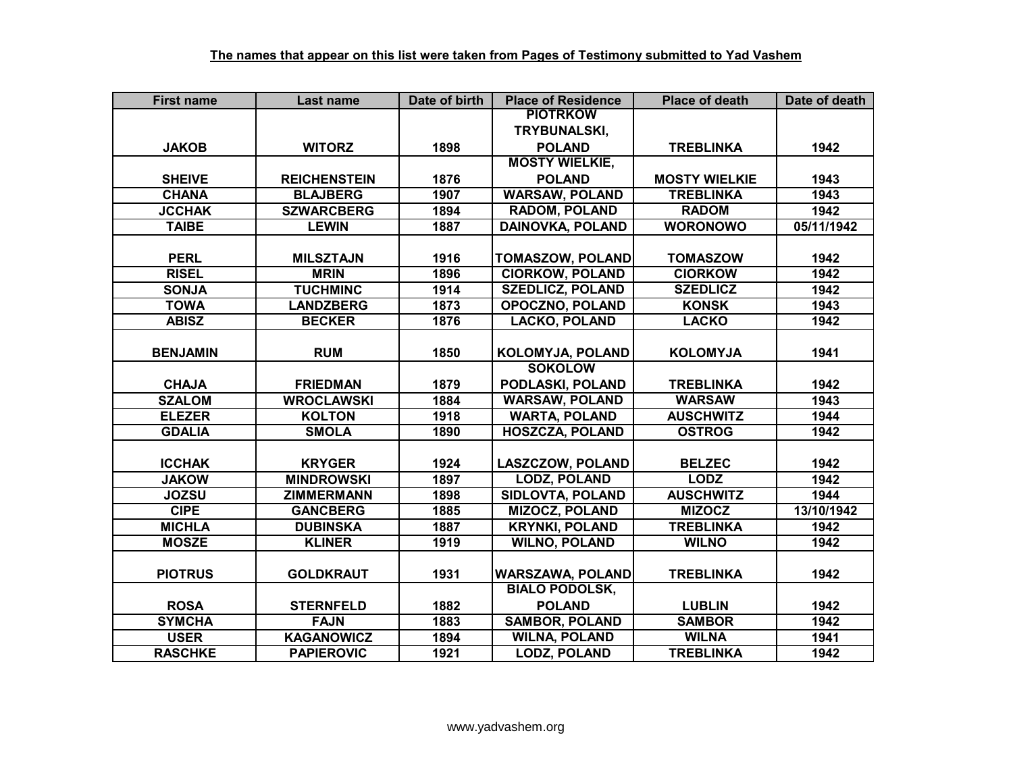| <b>First name</b> | Last name           | Date of birth | <b>Place of Residence</b> | <b>Place of death</b> | Date of death |
|-------------------|---------------------|---------------|---------------------------|-----------------------|---------------|
|                   |                     |               | <b>PIOTRKOW</b>           |                       |               |
|                   |                     |               | TRYBUNALSKI,              |                       |               |
| <b>JAKOB</b>      | <b>WITORZ</b>       | 1898          | <b>POLAND</b>             | <b>TREBLINKA</b>      | 1942          |
|                   |                     |               | <b>MOSTY WIELKIE,</b>     |                       |               |
| <b>SHEIVE</b>     | <b>REICHENSTEIN</b> | 1876          | <b>POLAND</b>             | <b>MOSTY WIELKIE</b>  | 1943          |
| <b>CHANA</b>      | <b>BLAJBERG</b>     | 1907          | <b>WARSAW, POLAND</b>     | <b>TREBLINKA</b>      | 1943          |
| <b>JCCHAK</b>     | <b>SZWARCBERG</b>   | 1894          | <b>RADOM, POLAND</b>      | <b>RADOM</b>          | 1942          |
| <b>TAIBE</b>      | <b>LEWIN</b>        | 1887          | <b>DAINOVKA, POLAND</b>   | <b>WORONOWO</b>       | 05/11/1942    |
|                   |                     |               |                           |                       |               |
| <b>PERL</b>       | <b>MILSZTAJN</b>    | 1916          | <b>TOMASZOW, POLAND</b>   | <b>TOMASZOW</b>       | 1942          |
| <b>RISEL</b>      | <b>MRIN</b>         | 1896          | <b>CIORKOW, POLAND</b>    | <b>CIORKOW</b>        | 1942          |
| <b>SONJA</b>      | <b>TUCHMINC</b>     | 1914          | <b>SZEDLICZ, POLAND</b>   | <b>SZEDLICZ</b>       | 1942          |
| <b>TOWA</b>       | <b>LANDZBERG</b>    | 1873          | <b>OPOCZNO, POLAND</b>    | <b>KONSK</b>          | 1943          |
| <b>ABISZ</b>      | <b>BECKER</b>       | 1876          | <b>LACKO, POLAND</b>      | <b>LACKO</b>          | 1942          |
|                   |                     |               |                           |                       |               |
| <b>BENJAMIN</b>   | <b>RUM</b>          | 1850          | <b>KOLOMYJA, POLAND</b>   | <b>KOLOMYJA</b>       | 1941          |
|                   |                     |               | <b>SOKOLOW</b>            |                       |               |
| <b>CHAJA</b>      | <b>FRIEDMAN</b>     | 1879          | PODLASKI, POLAND          | <b>TREBLINKA</b>      | 1942          |
| <b>SZALOM</b>     | <b>WROCLAWSKI</b>   | 1884          | <b>WARSAW, POLAND</b>     | <b>WARSAW</b>         | 1943          |
| <b>ELEZER</b>     | <b>KOLTON</b>       | 1918          | <b>WARTA, POLAND</b>      | <b>AUSCHWITZ</b>      | 1944          |
| <b>GDALIA</b>     | <b>SMOLA</b>        | 1890          | <b>HOSZCZA, POLAND</b>    | <b>OSTROG</b>         | 1942          |
|                   |                     |               |                           |                       |               |
| <b>ICCHAK</b>     | <b>KRYGER</b>       | 1924          | <b>LASZCZOW, POLAND</b>   | <b>BELZEC</b>         | 1942          |
| <b>JAKOW</b>      | <b>MINDROWSKI</b>   | 1897          | <b>LODZ, POLAND</b>       | <b>LODZ</b>           | 1942          |
| <b>JOZSU</b>      | <b>ZIMMERMANN</b>   | 1898          | <b>SIDLOVTA, POLAND</b>   | <b>AUSCHWITZ</b>      | 1944          |
| <b>CIPE</b>       | <b>GANCBERG</b>     | 1885          | <b>MIZOCZ, POLAND</b>     | <b>MIZOCZ</b>         | 13/10/1942    |
| <b>MICHLA</b>     | <b>DUBINSKA</b>     | 1887          | <b>KRYNKI, POLAND</b>     | <b>TREBLINKA</b>      | 1942          |
| <b>MOSZE</b>      | <b>KLINER</b>       | 1919          | <b>WILNO, POLAND</b>      | <b>WILNO</b>          | 1942          |
|                   |                     |               |                           |                       |               |
| <b>PIOTRUS</b>    | <b>GOLDKRAUT</b>    | 1931          | <b>WARSZAWA, POLAND</b>   | <b>TREBLINKA</b>      | 1942          |
|                   |                     |               | <b>BIALO PODOLSK,</b>     |                       |               |
| <b>ROSA</b>       | <b>STERNFELD</b>    | 1882          | <b>POLAND</b>             | <b>LUBLIN</b>         | 1942          |
| <b>SYMCHA</b>     | <b>FAJN</b>         | 1883          | <b>SAMBOR, POLAND</b>     | <b>SAMBOR</b>         | 1942          |
| <b>USER</b>       | <b>KAGANOWICZ</b>   | 1894          | <b>WILNA, POLAND</b>      | <b>WILNA</b>          | 1941          |
| <b>RASCHKE</b>    | <b>PAPIEROVIC</b>   | 1921          | <b>LODZ, POLAND</b>       | <b>TREBLINKA</b>      | 1942          |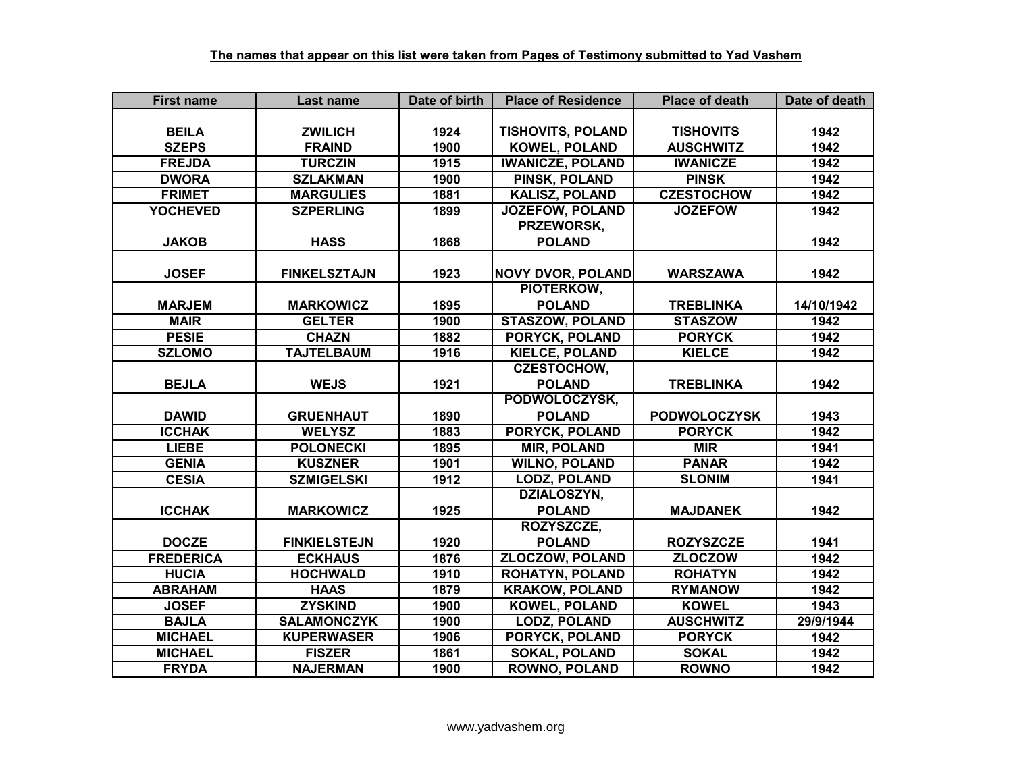| <b>First name</b> | Last name           | Date of birth | <b>Place of Residence</b> | <b>Place of death</b> | Date of death |
|-------------------|---------------------|---------------|---------------------------|-----------------------|---------------|
|                   |                     |               |                           |                       |               |
| <b>BEILA</b>      | <b>ZWILICH</b>      | 1924          | <b>TISHOVITS, POLAND</b>  | <b>TISHOVITS</b>      | 1942          |
| <b>SZEPS</b>      | <b>FRAIND</b>       | 1900          | <b>KOWEL, POLAND</b>      | <b>AUSCHWITZ</b>      | 1942          |
| <b>FREJDA</b>     | <b>TURCZIN</b>      | 1915          | <b>IWANICZE, POLAND</b>   | <b>IWANICZE</b>       | 1942          |
| <b>DWORA</b>      | <b>SZLAKMAN</b>     | 1900          | <b>PINSK, POLAND</b>      | <b>PINSK</b>          | 1942          |
| <b>FRIMET</b>     | <b>MARGULIES</b>    | 1881          | <b>KALISZ, POLAND</b>     | <b>CZESTOCHOW</b>     | 1942          |
| <b>YOCHEVED</b>   | <b>SZPERLING</b>    | 1899          | JOZEFOW, POLAND           | <b>JOZEFOW</b>        | 1942          |
|                   |                     |               | PRZEWORSK,                |                       |               |
| <b>JAKOB</b>      | <b>HASS</b>         | 1868          | <b>POLAND</b>             |                       | 1942          |
|                   |                     |               |                           |                       |               |
| <b>JOSEF</b>      | <b>FINKELSZTAJN</b> | 1923          | <b>NOVY DVOR, POLAND</b>  | <b>WARSZAWA</b>       | 1942          |
|                   |                     |               | PIOTERKOW,                |                       |               |
| <b>MARJEM</b>     | <b>MARKOWICZ</b>    | 1895          | <b>POLAND</b>             | <b>TREBLINKA</b>      | 14/10/1942    |
| <b>MAIR</b>       | <b>GELTER</b>       | 1900          | <b>STASZOW, POLAND</b>    | <b>STASZOW</b>        | 1942          |
| <b>PESIE</b>      | <b>CHAZN</b>        | 1882          | PORYCK, POLAND            | <b>PORYCK</b>         | 1942          |
| <b>SZLOMO</b>     | <b>TAJTELBAUM</b>   | 1916          | <b>KIELCE, POLAND</b>     | <b>KIELCE</b>         | 1942          |
|                   |                     |               | <b>CZESTOCHOW,</b>        |                       |               |
| <b>BEJLA</b>      | <b>WEJS</b>         | 1921          | <b>POLAND</b>             | <b>TREBLINKA</b>      | 1942          |
|                   |                     |               | PODWOLOCZYSK,             |                       |               |
| <b>DAWID</b>      | <b>GRUENHAUT</b>    | 1890          | <b>POLAND</b>             | <b>PODWOLOCZYSK</b>   | 1943          |
| <b>ICCHAK</b>     | <b>WELYSZ</b>       | 1883          | <b>PORYCK, POLAND</b>     | <b>PORYCK</b>         | 1942          |
| <b>LIEBE</b>      | <b>POLONECKI</b>    | 1895          | <b>MIR, POLAND</b>        | <b>MIR</b>            | 1941          |
| <b>GENIA</b>      | <b>KUSZNER</b>      | 1901          | <b>WILNO, POLAND</b>      | <b>PANAR</b>          | 1942          |
| <b>CESIA</b>      | <b>SZMIGELSKI</b>   | 1912          | <b>LODZ, POLAND</b>       | <b>SLONIM</b>         | 1941          |
|                   |                     |               | DZIALOSZYN,               |                       |               |
| <b>ICCHAK</b>     | <b>MARKOWICZ</b>    | 1925          | <b>POLAND</b>             | <b>MAJDANEK</b>       | 1942          |
|                   |                     |               | ROZYSZCZE,                |                       |               |
| <b>DOCZE</b>      | <b>FINKIELSTEJN</b> | 1920          | <b>POLAND</b>             | <b>ROZYSZCZE</b>      | 1941          |
| <b>FREDERICA</b>  | <b>ECKHAUS</b>      | 1876          | <b>ZLOCZOW, POLAND</b>    | <b>ZLOCZOW</b>        | 1942          |
| <b>HUCIA</b>      | <b>HOCHWALD</b>     | 1910          | <b>ROHATYN, POLAND</b>    | <b>ROHATYN</b>        | 1942          |
| <b>ABRAHAM</b>    | <b>HAAS</b>         | 1879          | <b>KRAKOW, POLAND</b>     | <b>RYMANOW</b>        | 1942          |
| <b>JOSEF</b>      | <b>ZYSKIND</b>      | 1900          | <b>KOWEL, POLAND</b>      | <b>KOWEL</b>          | 1943          |
| <b>BAJLA</b>      | <b>SALAMONCZYK</b>  | 1900          | <b>LODZ, POLAND</b>       | <b>AUSCHWITZ</b>      | 29/9/1944     |
| <b>MICHAEL</b>    | <b>KUPERWASER</b>   | 1906          | PORYCK, POLAND            | <b>PORYCK</b>         | 1942          |
| <b>MICHAEL</b>    | <b>FISZER</b>       | 1861          | <b>SOKAL, POLAND</b>      | <b>SOKAL</b>          | 1942          |
| <b>FRYDA</b>      | <b>NAJERMAN</b>     | 1900          | <b>ROWNO, POLAND</b>      | <b>ROWNO</b>          | 1942          |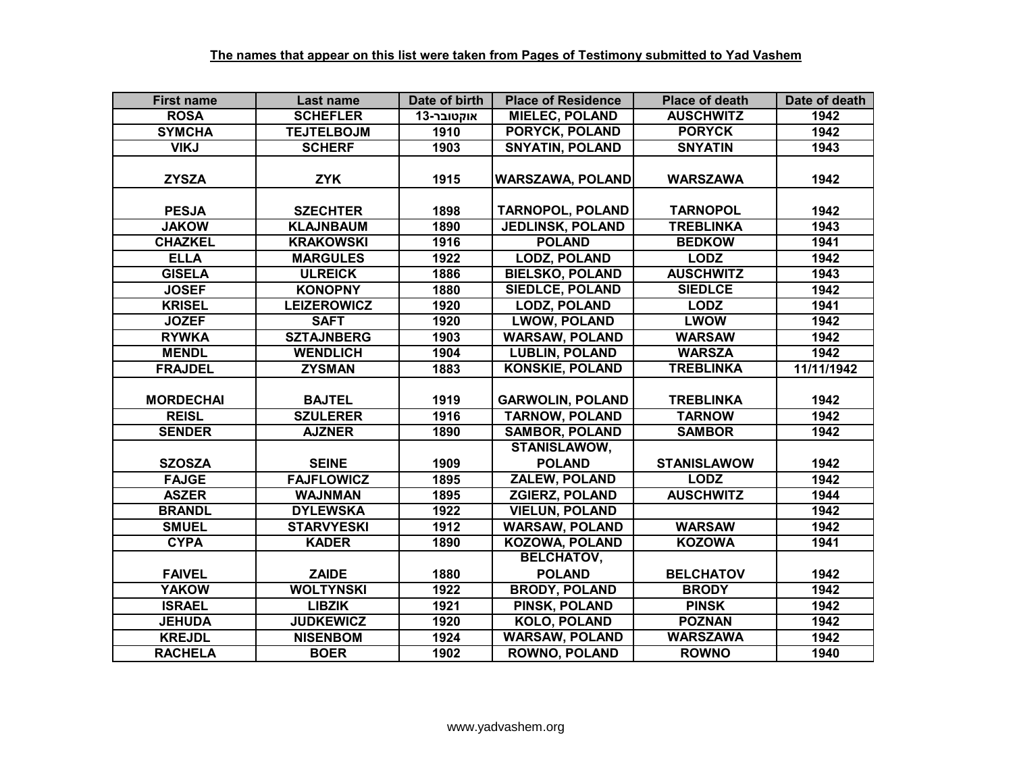| <b>First name</b> | Last name          | Date of birth | <b>Place of Residence</b>            | <b>Place of death</b> | Date of death |
|-------------------|--------------------|---------------|--------------------------------------|-----------------------|---------------|
| <b>ROSA</b>       | <b>SCHEFLER</b>    | אוקטובר-13    | <b>MIELEC, POLAND</b>                | <b>AUSCHWITZ</b>      | 1942          |
| <b>SYMCHA</b>     | <b>TEJTELBOJM</b>  | 1910          | <b>PORYCK, POLAND</b>                | <b>PORYCK</b>         | 1942          |
| <b>VIKJ</b>       | <b>SCHERF</b>      | 1903          | <b>SNYATIN, POLAND</b>               | <b>SNYATIN</b>        | 1943          |
| <b>ZYSZA</b>      | <b>ZYK</b>         | 1915          | <b>WARSZAWA, POLAND</b>              | <b>WARSZAWA</b>       | 1942          |
| <b>PESJA</b>      | <b>SZECHTER</b>    | 1898          | <b>TARNOPOL, POLAND</b>              | <b>TARNOPOL</b>       | 1942          |
| <b>JAKOW</b>      | <b>KLAJNBAUM</b>   | 1890          | <b>JEDLINSK, POLAND</b>              | <b>TREBLINKA</b>      | 1943          |
| <b>CHAZKEL</b>    | <b>KRAKOWSKI</b>   | 1916          | <b>POLAND</b>                        | <b>BEDKOW</b>         | 1941          |
| <b>ELLA</b>       | <b>MARGULES</b>    | 1922          | <b>LODZ, POLAND</b>                  | <b>LODZ</b>           | 1942          |
| <b>GISELA</b>     | <b>ULREICK</b>     | 1886          | <b>BIELSKO, POLAND</b>               | <b>AUSCHWITZ</b>      | 1943          |
| <b>JOSEF</b>      | <b>KONOPNY</b>     | 1880          | <b>SIEDLCE, POLAND</b>               | <b>SIEDLCE</b>        | 1942          |
| <b>KRISEL</b>     | <b>LEIZEROWICZ</b> | 1920          | <b>LODZ, POLAND</b>                  | <b>LODZ</b>           | 1941          |
| <b>JOZEF</b>      | <b>SAFT</b>        | 1920          | <b>LWOW, POLAND</b>                  | <b>LWOW</b>           | 1942          |
| <b>RYWKA</b>      | <b>SZTAJNBERG</b>  | 1903          | <b>WARSAW, POLAND</b>                | <b>WARSAW</b>         | 1942          |
| <b>MENDL</b>      | <b>WENDLICH</b>    | 1904          | <b>LUBLIN, POLAND</b>                | <b>WARSZA</b>         | 1942          |
| <b>FRAJDEL</b>    | <b>ZYSMAN</b>      | 1883          | <b>KONSKIE, POLAND</b>               | <b>TREBLINKA</b>      | 11/11/1942    |
| <b>MORDECHAI</b>  | <b>BAJTEL</b>      | 1919          | <b>GARWOLIN, POLAND</b>              | <b>TREBLINKA</b>      | 1942          |
| <b>REISL</b>      | <b>SZULERER</b>    | 1916          | <b>TARNOW, POLAND</b>                | <b>TARNOW</b>         | 1942          |
| <b>SENDER</b>     | <b>AJZNER</b>      | 1890          | <b>SAMBOR, POLAND</b>                | <b>SAMBOR</b>         | 1942          |
| <b>SZOSZA</b>     | <b>SEINE</b>       | 1909          | <b>STANISLAWOW,</b><br><b>POLAND</b> | <b>STANISLAWOW</b>    | 1942          |
| <b>FAJGE</b>      | <b>FAJFLOWICZ</b>  | 1895          | <b>ZALEW, POLAND</b>                 | <b>LODZ</b>           | 1942          |
| <b>ASZER</b>      | <b>WAJNMAN</b>     | 1895          | <b>ZGIERZ, POLAND</b>                | <b>AUSCHWITZ</b>      | 1944          |
| <b>BRANDL</b>     | <b>DYLEWSKA</b>    | 1922          | <b>VIELUN, POLAND</b>                |                       | 1942          |
| <b>SMUEL</b>      | <b>STARVYESKI</b>  | 1912          | <b>WARSAW, POLAND</b>                | <b>WARSAW</b>         | 1942          |
| <b>CYPA</b>       | <b>KADER</b>       | 1890          | <b>KOZOWA, POLAND</b>                | <b>KOZOWA</b>         | 1941          |
|                   |                    |               | <b>BELCHATOV,</b>                    |                       |               |
| <b>FAIVEL</b>     | <b>ZAIDE</b>       | 1880          | <b>POLAND</b>                        | <b>BELCHATOV</b>      | 1942          |
| <b>YAKOW</b>      | <b>WOLTYNSKI</b>   | 1922          | <b>BRODY, POLAND</b>                 | <b>BRODY</b>          | 1942          |
| <b>ISRAEL</b>     | <b>LIBZIK</b>      | 1921          | PINSK, POLAND                        | <b>PINSK</b>          | 1942          |
| <b>JEHUDA</b>     | <b>JUDKEWICZ</b>   | 1920          | <b>KOLO, POLAND</b>                  | <b>POZNAN</b>         | 1942          |
| <b>KREJDL</b>     | <b>NISENBOM</b>    | 1924          | <b>WARSAW, POLAND</b>                | <b>WARSZAWA</b>       | 1942          |
| <b>RACHELA</b>    | <b>BOER</b>        | 1902          | <b>ROWNO, POLAND</b>                 | <b>ROWNO</b>          | 1940          |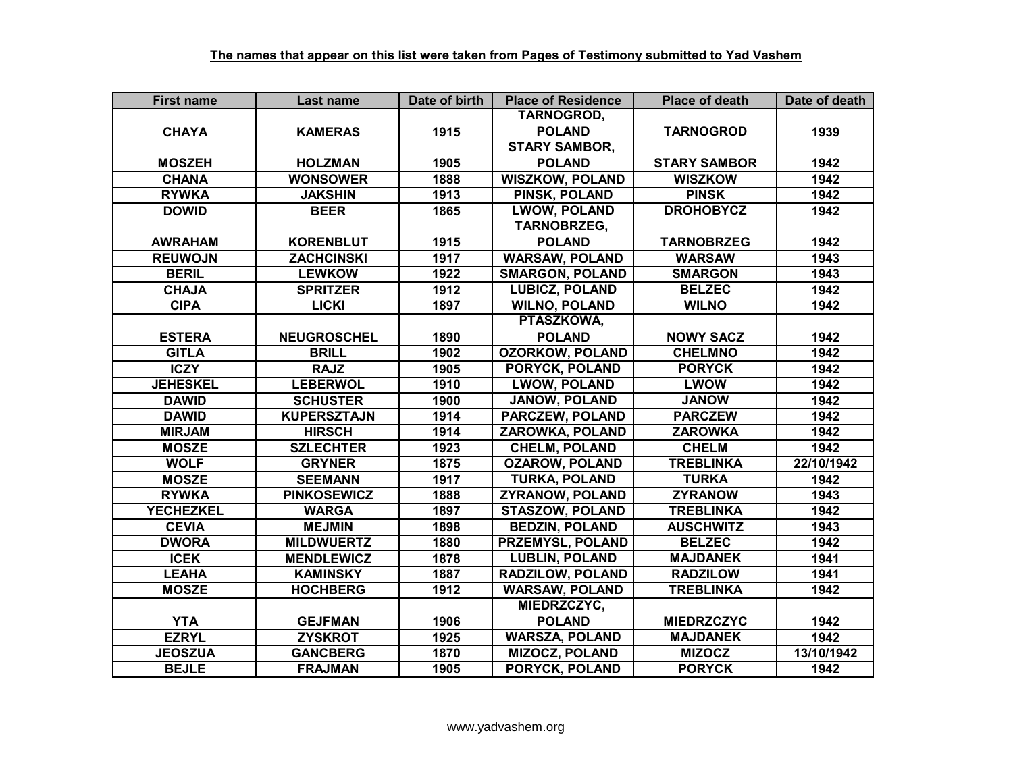| <b>First name</b> | Last name          | Date of birth | <b>Place of Residence</b> | <b>Place of death</b> | Date of death |
|-------------------|--------------------|---------------|---------------------------|-----------------------|---------------|
|                   |                    |               | TARNOGROD,                |                       |               |
| <b>CHAYA</b>      | <b>KAMERAS</b>     | 1915          | <b>POLAND</b>             | <b>TARNOGROD</b>      | 1939          |
|                   |                    |               | <b>STARY SAMBOR,</b>      |                       |               |
| <b>MOSZEH</b>     | <b>HOLZMAN</b>     | 1905          | <b>POLAND</b>             | <b>STARY SAMBOR</b>   | 1942          |
| <b>CHANA</b>      | <b>WONSOWER</b>    | 1888          | <b>WISZKOW, POLAND</b>    | <b>WISZKOW</b>        | 1942          |
| <b>RYWKA</b>      | <b>JAKSHIN</b>     | 1913          | <b>PINSK, POLAND</b>      | <b>PINSK</b>          | 1942          |
| <b>DOWID</b>      | <b>BEER</b>        | 1865          | <b>LWOW, POLAND</b>       | <b>DROHOBYCZ</b>      | 1942          |
|                   |                    |               | TARNOBRZEG,               |                       |               |
| <b>AWRAHAM</b>    | <b>KORENBLUT</b>   | 1915          | <b>POLAND</b>             | <b>TARNOBRZEG</b>     | 1942          |
| <b>REUWOJN</b>    | <b>ZACHCINSKI</b>  | 1917          | <b>WARSAW, POLAND</b>     | <b>WARSAW</b>         | 1943          |
| <b>BERIL</b>      | <b>LEWKOW</b>      | 1922          | <b>SMARGON, POLAND</b>    | <b>SMARGON</b>        | 1943          |
| <b>CHAJA</b>      | <b>SPRITZER</b>    | 1912          | <b>LUBICZ, POLAND</b>     | <b>BELZEC</b>         | 1942          |
| <b>CIPA</b>       | <b>LICKI</b>       | 1897          | <b>WILNO, POLAND</b>      | <b>WILNO</b>          | 1942          |
|                   |                    |               | PTASZKOWA,                |                       |               |
| <b>ESTERA</b>     | <b>NEUGROSCHEL</b> | 1890          | <b>POLAND</b>             | <b>NOWY SACZ</b>      | 1942          |
| <b>GITLA</b>      | <b>BRILL</b>       | 1902          | <b>OZORKOW, POLAND</b>    | <b>CHELMNO</b>        | 1942          |
| <b>ICZY</b>       | <b>RAJZ</b>        | 1905          | PORYCK, POLAND            | <b>PORYCK</b>         | 1942          |
| <b>JEHESKEL</b>   | <b>LEBERWOL</b>    | 1910          | <b>LWOW, POLAND</b>       | <b>LWOW</b>           | 1942          |
| <b>DAWID</b>      | <b>SCHUSTER</b>    | 1900          | <b>JANOW, POLAND</b>      | <b>JANOW</b>          | 1942          |
| <b>DAWID</b>      | <b>KUPERSZTAJN</b> | 1914          | <b>PARCZEW, POLAND</b>    | <b>PARCZEW</b>        | 1942          |
| <b>MIRJAM</b>     | <b>HIRSCH</b>      | 1914          | <b>ZAROWKA, POLAND</b>    | <b>ZAROWKA</b>        | 1942          |
| <b>MOSZE</b>      | <b>SZLECHTER</b>   | 1923          | <b>CHELM, POLAND</b>      | <b>CHELM</b>          | 1942          |
| <b>WOLF</b>       | <b>GRYNER</b>      | 1875          | <b>OZAROW, POLAND</b>     | <b>TREBLINKA</b>      | 22/10/1942    |
| <b>MOSZE</b>      | <b>SEEMANN</b>     | 1917          | <b>TURKA, POLAND</b>      | <b>TURKA</b>          | 1942          |
| <b>RYWKA</b>      | <b>PINKOSEWICZ</b> | 1888          | <b>ZYRANOW, POLAND</b>    | <b>ZYRANOW</b>        | 1943          |
| <b>YECHEZKEL</b>  | <b>WARGA</b>       | 1897          | <b>STASZOW, POLAND</b>    | <b>TREBLINKA</b>      | 1942          |
| <b>CEVIA</b>      | <b>MEJMIN</b>      | 1898          | <b>BEDZIN, POLAND</b>     | <b>AUSCHWITZ</b>      | 1943          |
| <b>DWORA</b>      | <b>MILDWUERTZ</b>  | 1880          | <b>PRZEMYSL, POLAND</b>   | <b>BELZEC</b>         | 1942          |
| <b>ICEK</b>       | <b>MENDLEWICZ</b>  | 1878          | <b>LUBLIN, POLAND</b>     | <b>MAJDANEK</b>       | 1941          |
| <b>LEAHA</b>      | <b>KAMINSKY</b>    | 1887          | <b>RADZILOW, POLAND</b>   | <b>RADZILOW</b>       | 1941          |
| <b>MOSZE</b>      | <b>HOCHBERG</b>    | 1912          | <b>WARSAW, POLAND</b>     | <b>TREBLINKA</b>      | 1942          |
|                   |                    |               | MIEDRZCZYC,               |                       |               |
| <b>YTA</b>        | <b>GEJFMAN</b>     | 1906          | <b>POLAND</b>             | <b>MIEDRZCZYC</b>     | 1942          |
| <b>EZRYL</b>      | <b>ZYSKROT</b>     | 1925          | <b>WARSZA, POLAND</b>     | <b>MAJDANEK</b>       | 1942          |
| <b>JEOSZUA</b>    | <b>GANCBERG</b>    | 1870          | <b>MIZOCZ, POLAND</b>     | <b>MIZOCZ</b>         | 13/10/1942    |
| <b>BEJLE</b>      | <b>FRAJMAN</b>     | 1905          | PORYCK, POLAND            | <b>PORYCK</b>         | 1942          |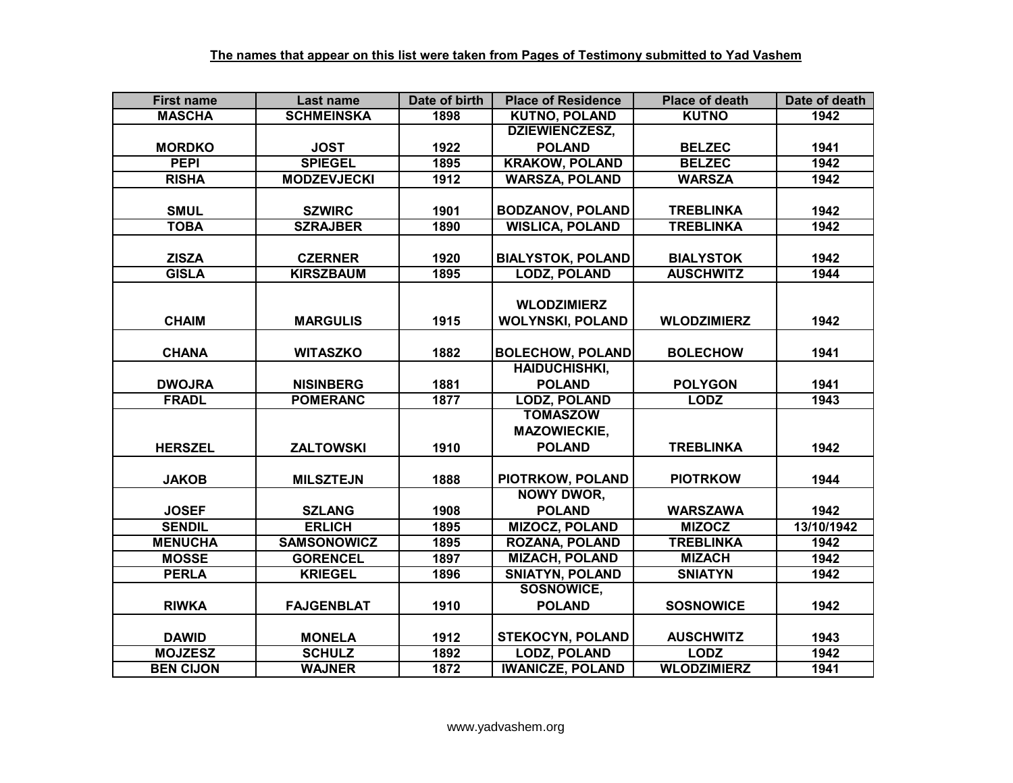| <b>First name</b> | Last name          | Date of birth | <b>Place of Residence</b> | <b>Place of death</b> | Date of death |
|-------------------|--------------------|---------------|---------------------------|-----------------------|---------------|
| <b>MASCHA</b>     | <b>SCHMEINSKA</b>  | 1898          | <b>KUTNO, POLAND</b>      | <b>KUTNO</b>          | 1942          |
|                   |                    |               | <b>DZIEWIENCZESZ,</b>     |                       |               |
| <b>MORDKO</b>     | <b>JOST</b>        | 1922          | <b>POLAND</b>             | <b>BELZEC</b>         | 1941          |
| <b>PEPI</b>       | <b>SPIEGEL</b>     | 1895          | <b>KRAKOW, POLAND</b>     | <b>BELZEC</b>         | 1942          |
| <b>RISHA</b>      | <b>MODZEVJECKI</b> | 1912          | <b>WARSZA, POLAND</b>     | <b>WARSZA</b>         | 1942          |
|                   |                    |               |                           |                       |               |
| <b>SMUL</b>       | <b>SZWIRC</b>      | 1901          | <b>BODZANOV, POLAND</b>   | <b>TREBLINKA</b>      | 1942          |
| <b>TOBA</b>       | <b>SZRAJBER</b>    | 1890          | <b>WISLICA, POLAND</b>    | <b>TREBLINKA</b>      | 1942          |
|                   |                    |               |                           |                       |               |
| <b>ZISZA</b>      | <b>CZERNER</b>     | 1920          | <b>BIALYSTOK, POLAND</b>  | <b>BIALYSTOK</b>      | 1942          |
| <b>GISLA</b>      | <b>KIRSZBAUM</b>   | 1895          | <b>LODZ, POLAND</b>       | <b>AUSCHWITZ</b>      | 1944          |
|                   |                    |               |                           |                       |               |
|                   |                    |               | <b>WLODZIMIERZ</b>        |                       |               |
| <b>CHAIM</b>      | <b>MARGULIS</b>    | 1915          | <b>WOLYNSKI, POLAND</b>   | <b>WLODZIMIERZ</b>    | 1942          |
|                   |                    |               |                           |                       |               |
| <b>CHANA</b>      | <b>WITASZKO</b>    | 1882          | <b>BOLECHOW, POLAND</b>   | <b>BOLECHOW</b>       | 1941          |
|                   |                    |               | <b>HAIDUCHISHKI,</b>      |                       |               |
| <b>DWOJRA</b>     | <b>NISINBERG</b>   | 1881          | <b>POLAND</b>             | <b>POLYGON</b>        | 1941          |
| <b>FRADL</b>      | <b>POMERANC</b>    | 1877          | <b>LODZ, POLAND</b>       | <b>LODZ</b>           | 1943          |
|                   |                    |               | <b>TOMASZOW</b>           |                       |               |
|                   |                    |               | <b>MAZOWIECKIE,</b>       |                       |               |
| <b>HERSZEL</b>    | <b>ZALTOWSKI</b>   | 1910          | <b>POLAND</b>             | <b>TREBLINKA</b>      | 1942          |
|                   |                    |               |                           |                       |               |
| <b>JAKOB</b>      | <b>MILSZTEJN</b>   | 1888          | PIOTRKOW, POLAND          | <b>PIOTRKOW</b>       | 1944          |
|                   |                    |               | <b>NOWY DWOR,</b>         |                       |               |
| <b>JOSEF</b>      | <b>SZLANG</b>      | 1908          | <b>POLAND</b>             | <b>WARSZAWA</b>       | 1942          |
| <b>SENDIL</b>     | <b>ERLICH</b>      | 1895          | <b>MIZOCZ, POLAND</b>     | <b>MIZOCZ</b>         | 13/10/1942    |
| <b>MENUCHA</b>    | <b>SAMSONOWICZ</b> | 1895          | <b>ROZANA, POLAND</b>     | <b>TREBLINKA</b>      | 1942          |
| <b>MOSSE</b>      | <b>GORENCEL</b>    | 1897          | <b>MIZACH, POLAND</b>     | <b>MIZACH</b>         | 1942          |
| <b>PERLA</b>      | <b>KRIEGEL</b>     | 1896          | <b>SNIATYN, POLAND</b>    | <b>SNIATYN</b>        | 1942          |
|                   |                    |               | SOSNOWICE,                |                       |               |
| <b>RIWKA</b>      | <b>FAJGENBLAT</b>  | 1910          | <b>POLAND</b>             | <b>SOSNOWICE</b>      | 1942          |
|                   |                    |               |                           |                       |               |
| <b>DAWID</b>      | <b>MONELA</b>      | 1912          | <b>STEKOCYN, POLAND</b>   | <b>AUSCHWITZ</b>      | 1943          |
| <b>MOJZESZ</b>    | <b>SCHULZ</b>      | 1892          | <b>LODZ, POLAND</b>       | <b>LODZ</b>           | 1942          |
| <b>BEN CIJON</b>  | <b>WAJNER</b>      | 1872          | <b>IWANICZE, POLAND</b>   | <b>WLODZIMIERZ</b>    | 1941          |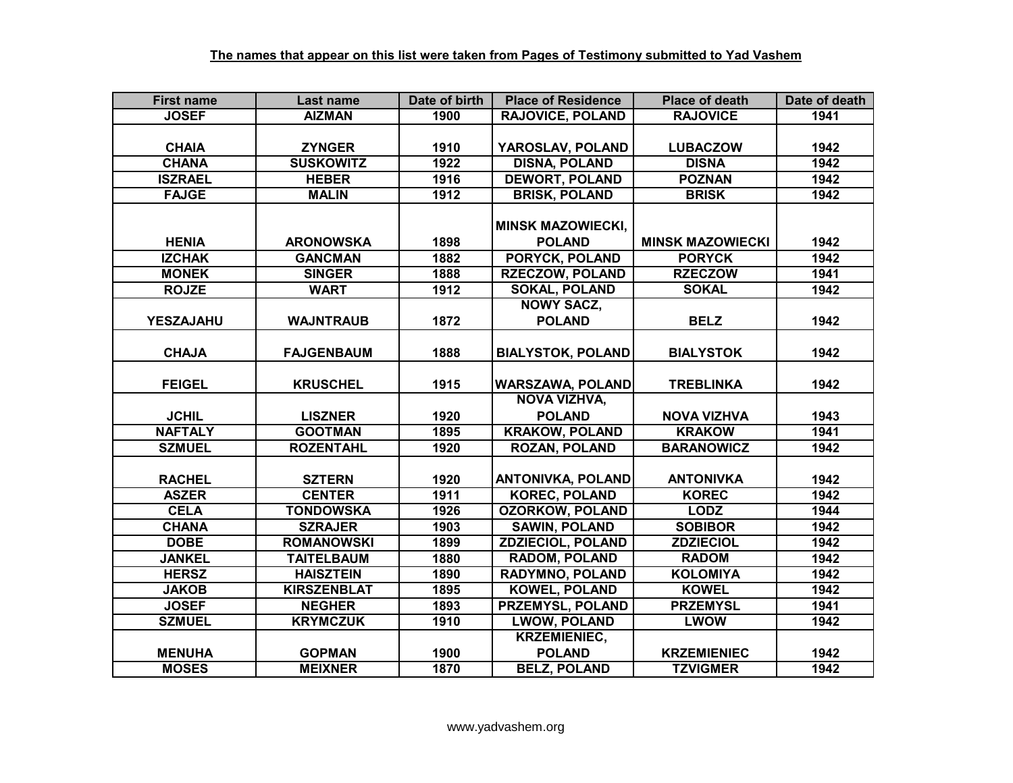| <b>First name</b> | Last name          | Date of birth | <b>Place of Residence</b> | <b>Place of death</b>   | Date of death |
|-------------------|--------------------|---------------|---------------------------|-------------------------|---------------|
| <b>JOSEF</b>      | <b>AIZMAN</b>      | 1900          | <b>RAJOVICE, POLAND</b>   | <b>RAJOVICE</b>         | 1941          |
|                   |                    |               |                           |                         |               |
| <b>CHAIA</b>      | <b>ZYNGER</b>      | 1910          | YAROSLAV, POLAND          | <b>LUBACZOW</b>         | 1942          |
| <b>CHANA</b>      | <b>SUSKOWITZ</b>   | 1922          | <b>DISNA, POLAND</b>      | <b>DISNA</b>            | 1942          |
| <b>ISZRAEL</b>    | <b>HEBER</b>       | 1916          | <b>DEWORT, POLAND</b>     | <b>POZNAN</b>           | 1942          |
| <b>FAJGE</b>      | <b>MALIN</b>       | 1912          | <b>BRISK, POLAND</b>      | <b>BRISK</b>            | 1942          |
|                   |                    |               |                           |                         |               |
|                   |                    |               | <b>MINSK MAZOWIECKI,</b>  |                         |               |
| <b>HENIA</b>      | <b>ARONOWSKA</b>   | 1898          | <b>POLAND</b>             | <b>MINSK MAZOWIECKI</b> | 1942          |
| <b>IZCHAK</b>     | <b>GANCMAN</b>     | 1882          | PORYCK, POLAND            | <b>PORYCK</b>           | 1942          |
| <b>MONEK</b>      | <b>SINGER</b>      | 1888          | <b>RZECZOW, POLAND</b>    | <b>RZECZOW</b>          | 1941          |
| <b>ROJZE</b>      | <b>WART</b>        | 1912          | <b>SOKAL, POLAND</b>      | <b>SOKAL</b>            | 1942          |
|                   |                    |               | <b>NOWY SACZ,</b>         |                         |               |
| <b>YESZAJAHU</b>  | <b>WAJNTRAUB</b>   | 1872          | <b>POLAND</b>             | <b>BELZ</b>             | 1942          |
|                   |                    |               |                           |                         |               |
| <b>CHAJA</b>      | <b>FAJGENBAUM</b>  | 1888          | <b>BIALYSTOK, POLAND</b>  | <b>BIALYSTOK</b>        | 1942          |
|                   |                    |               |                           |                         |               |
| <b>FEIGEL</b>     | <b>KRUSCHEL</b>    | 1915          | <b>WARSZAWA, POLAND</b>   | <b>TREBLINKA</b>        | 1942          |
|                   |                    |               | <b>NOVA VIZHVA,</b>       |                         |               |
| <b>JCHIL</b>      | <b>LISZNER</b>     | 1920          | <b>POLAND</b>             | <b>NOVA VIZHVA</b>      | 1943          |
| <b>NAFTALY</b>    | <b>GOOTMAN</b>     | 1895          | <b>KRAKOW, POLAND</b>     | <b>KRAKOW</b>           | 1941          |
| <b>SZMUEL</b>     | <b>ROZENTAHL</b>   | 1920          | <b>ROZAN, POLAND</b>      | <b>BARANOWICZ</b>       | 1942          |
|                   |                    |               |                           |                         |               |
| <b>RACHEL</b>     | <b>SZTERN</b>      | 1920          | <b>ANTONIVKA, POLAND</b>  | <b>ANTONIVKA</b>        | 1942          |
| <b>ASZER</b>      | <b>CENTER</b>      | 1911          | <b>KOREC, POLAND</b>      | <b>KOREC</b>            | 1942          |
| <b>CELA</b>       | <b>TONDOWSKA</b>   | 1926          | <b>OZORKOW, POLAND</b>    | <b>LODZ</b>             | 1944          |
| <b>CHANA</b>      | <b>SZRAJER</b>     | 1903          | <b>SAWIN, POLAND</b>      | <b>SOBIBOR</b>          | 1942          |
| <b>DOBE</b>       | <b>ROMANOWSKI</b>  | 1899          | <b>ZDZIECIOL, POLAND</b>  | <b>ZDZIECIOL</b>        | 1942          |
| <b>JANKEL</b>     | <b>TAITELBAUM</b>  | 1880          | <b>RADOM, POLAND</b>      | <b>RADOM</b>            | 1942          |
| <b>HERSZ</b>      | <b>HAISZTEIN</b>   | 1890          | <b>RADYMNO, POLAND</b>    | <b>KOLOMIYA</b>         | 1942          |
| <b>JAKOB</b>      | <b>KIRSZENBLAT</b> | 1895          | <b>KOWEL, POLAND</b>      | <b>KOWEL</b>            | 1942          |
| <b>JOSEF</b>      | <b>NEGHER</b>      | 1893          | PRZEMYSL, POLAND          | <b>PRZEMYSL</b>         | 1941          |
| <b>SZMUEL</b>     | <b>KRYMCZUK</b>    | 1910          | <b>LWOW, POLAND</b>       | <b>LWOW</b>             | 1942          |
|                   |                    |               | <b>KRZEMIENIEC,</b>       |                         |               |
| <b>MENUHA</b>     | <b>GOPMAN</b>      | 1900          | <b>POLAND</b>             | <b>KRZEMIENIEC</b>      | 1942          |
| <b>MOSES</b>      | <b>MEIXNER</b>     | 1870          | <b>BELZ, POLAND</b>       | <b>TZVIGMER</b>         | 1942          |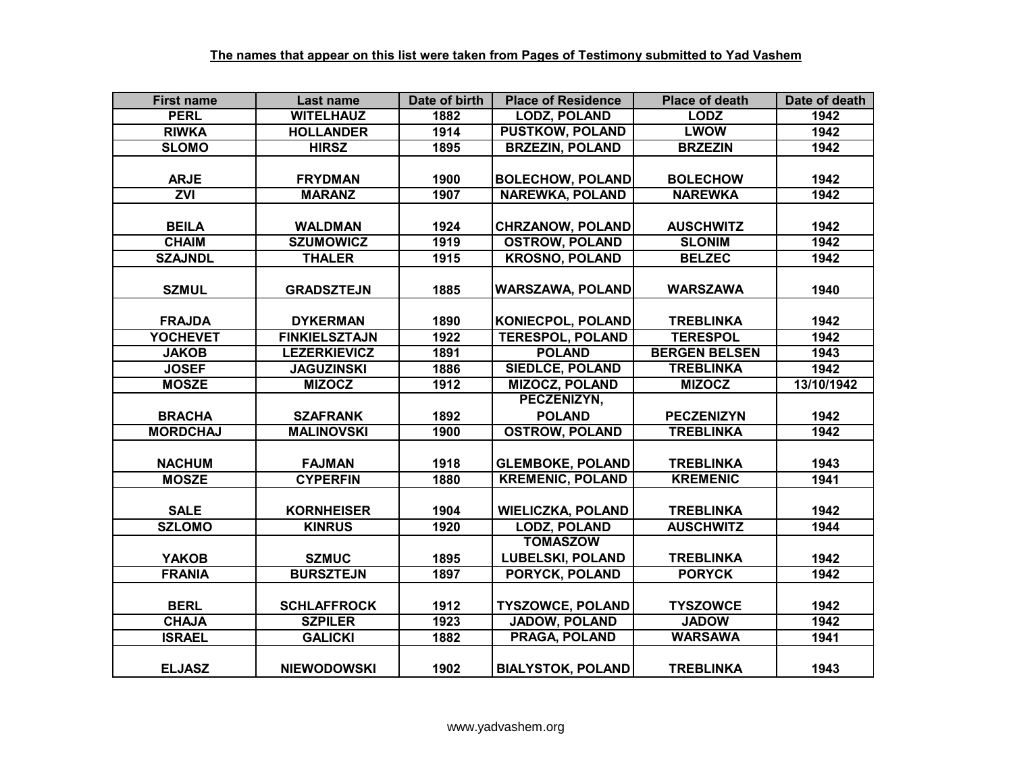| <b>First name</b> | Last name            | Date of birth | <b>Place of Residence</b> | <b>Place of death</b> | Date of death |
|-------------------|----------------------|---------------|---------------------------|-----------------------|---------------|
| <b>PERL</b>       | <b>WITELHAUZ</b>     | 1882          | <b>LODZ, POLAND</b>       | <b>LODZ</b>           | 1942          |
| <b>RIWKA</b>      | <b>HOLLANDER</b>     | 1914          | <b>PUSTKOW, POLAND</b>    | <b>LWOW</b>           | 1942          |
| <b>SLOMO</b>      | <b>HIRSZ</b>         | 1895          | <b>BRZEZIN, POLAND</b>    | <b>BRZEZIN</b>        | 1942          |
|                   |                      |               |                           |                       |               |
| <b>ARJE</b>       | <b>FRYDMAN</b>       | 1900          | <b>BOLECHOW, POLAND</b>   | <b>BOLECHOW</b>       | 1942          |
| $\overline{ZVI}$  | <b>MARANZ</b>        | 1907          | <b>NAREWKA, POLAND</b>    | <b>NAREWKA</b>        | 1942          |
|                   |                      |               |                           |                       |               |
| <b>BEILA</b>      | <b>WALDMAN</b>       | 1924          | <b>CHRZANOW, POLAND</b>   | <b>AUSCHWITZ</b>      | 1942          |
| <b>CHAIM</b>      | <b>SZUMOWICZ</b>     | 1919          | <b>OSTROW, POLAND</b>     | <b>SLONIM</b>         | 1942          |
| <b>SZAJNDL</b>    | <b>THALER</b>        | 1915          | <b>KROSNO, POLAND</b>     | <b>BELZEC</b>         | 1942          |
|                   |                      |               |                           |                       |               |
| <b>SZMUL</b>      | <b>GRADSZTEJN</b>    | 1885          | <b>WARSZAWA, POLAND</b>   | <b>WARSZAWA</b>       | 1940          |
|                   |                      |               |                           |                       |               |
| <b>FRAJDA</b>     | <b>DYKERMAN</b>      | 1890          | <b>KONIECPOL, POLAND</b>  | <b>TREBLINKA</b>      | 1942          |
| <b>YOCHEVET</b>   | <b>FINKIELSZTAJN</b> | 1922          | <b>TERESPOL, POLAND</b>   | <b>TERESPOL</b>       | 1942          |
| <b>JAKOB</b>      | <b>LEZERKIEVICZ</b>  | 1891          | <b>POLAND</b>             | <b>BERGEN BELSEN</b>  | 1943          |
| <b>JOSEF</b>      | <b>JAGUZINSKI</b>    | 1886          | <b>SIEDLCE, POLAND</b>    | <b>TREBLINKA</b>      | 1942          |
| <b>MOSZE</b>      | <b>MIZOCZ</b>        | 1912          | <b>MIZOCZ, POLAND</b>     | <b>MIZOCZ</b>         | 13/10/1942    |
|                   |                      |               | PECZENIZYN,               |                       |               |
| <b>BRACHA</b>     | <b>SZAFRANK</b>      | 1892          | <b>POLAND</b>             | <b>PECZENIZYN</b>     | 1942          |
| <b>MORDCHAJ</b>   | <b>MALINOVSKI</b>    | 1900          | <b>OSTROW, POLAND</b>     | <b>TREBLINKA</b>      | 1942          |
|                   |                      |               |                           |                       |               |
| <b>NACHUM</b>     | <b>FAJMAN</b>        | 1918          | <b>GLEMBOKE, POLAND</b>   | <b>TREBLINKA</b>      | 1943          |
| <b>MOSZE</b>      | <b>CYPERFIN</b>      | 1880          | <b>KREMENIC, POLAND</b>   | <b>KREMENIC</b>       | 1941          |
|                   |                      |               |                           |                       |               |
| <b>SALE</b>       | <b>KORNHEISER</b>    | 1904          | <b>WIELICZKA, POLAND</b>  | <b>TREBLINKA</b>      | 1942          |
| <b>SZLOMO</b>     | <b>KINRUS</b>        | 1920          | <b>LODZ, POLAND</b>       | <b>AUSCHWITZ</b>      | 1944          |
|                   |                      |               | <b>TOMASZOW</b>           |                       |               |
| <b>YAKOB</b>      | <b>SZMUC</b>         | 1895          | <b>LUBELSKI, POLAND</b>   | <b>TREBLINKA</b>      | 1942          |
| <b>FRANIA</b>     | <b>BURSZTEJN</b>     | 1897          | PORYCK, POLAND            | <b>PORYCK</b>         | 1942          |
|                   |                      |               |                           |                       |               |
| <b>BERL</b>       | <b>SCHLAFFROCK</b>   | 1912          | <b>TYSZOWCE, POLAND</b>   | <b>TYSZOWCE</b>       | 1942          |
| <b>CHAJA</b>      | <b>SZPILER</b>       | 1923          | <b>JADOW, POLAND</b>      | <b>JADOW</b>          | 1942          |
| <b>ISRAEL</b>     | <b>GALICKI</b>       | 1882          | PRAGA, POLAND             | <b>WARSAWA</b>        | 1941          |
|                   |                      |               |                           |                       |               |
| <b>ELJASZ</b>     | <b>NIEWODOWSKI</b>   | 1902          | <b>BIALYSTOK, POLAND</b>  | <b>TREBLINKA</b>      | 1943          |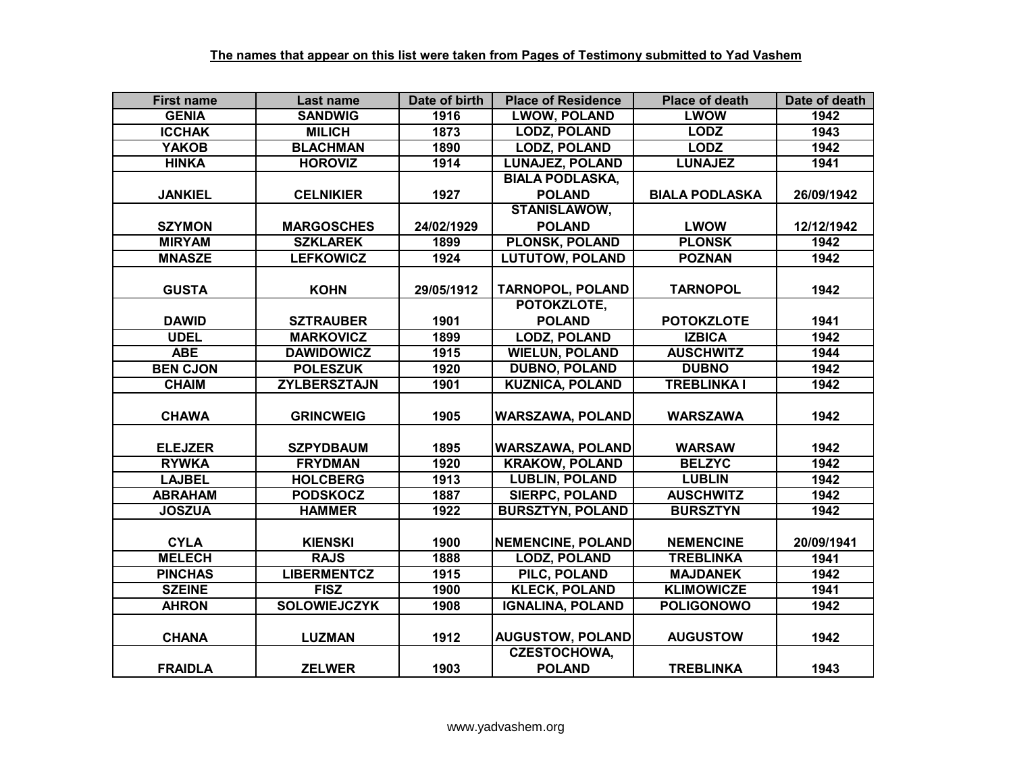| <b>First name</b> | Last name           | Date of birth | <b>Place of Residence</b> | <b>Place of death</b> | Date of death |
|-------------------|---------------------|---------------|---------------------------|-----------------------|---------------|
| <b>GENIA</b>      | <b>SANDWIG</b>      | 1916          | <b>LWOW, POLAND</b>       | <b>LWOW</b>           | 1942          |
| <b>ICCHAK</b>     | <b>MILICH</b>       | 1873          | <b>LODZ, POLAND</b>       | <b>LODZ</b>           | 1943          |
| <b>YAKOB</b>      | <b>BLACHMAN</b>     | 1890          | <b>LODZ, POLAND</b>       | <b>LODZ</b>           | 1942          |
| <b>HINKA</b>      | <b>HOROVIZ</b>      | 1914          | <b>LUNAJEZ, POLAND</b>    | <b>LUNAJEZ</b>        | 1941          |
|                   |                     |               | <b>BIALA PODLASKA,</b>    |                       |               |
| <b>JANKIEL</b>    | <b>CELNIKIER</b>    | 1927          | <b>POLAND</b>             | <b>BIALA PODLASKA</b> | 26/09/1942    |
|                   |                     |               | <b>STANISLAWOW,</b>       |                       |               |
| <b>SZYMON</b>     | <b>MARGOSCHES</b>   | 24/02/1929    | <b>POLAND</b>             | <b>LWOW</b>           | 12/12/1942    |
| <b>MIRYAM</b>     | <b>SZKLAREK</b>     | 1899          | <b>PLONSK, POLAND</b>     | <b>PLONSK</b>         | 1942          |
| <b>MNASZE</b>     | <b>LEFKOWICZ</b>    | 1924          | <b>LUTUTOW, POLAND</b>    | <b>POZNAN</b>         | 1942          |
|                   |                     |               |                           |                       |               |
| <b>GUSTA</b>      | <b>KOHN</b>         | 29/05/1912    | <b>TARNOPOL, POLAND</b>   | <b>TARNOPOL</b>       | 1942          |
|                   |                     |               | POTOKZLOTE,               |                       |               |
| <b>DAWID</b>      | <b>SZTRAUBER</b>    | 1901          | <b>POLAND</b>             | <b>POTOKZLOTE</b>     | 1941          |
| <b>UDEL</b>       | <b>MARKOVICZ</b>    | 1899          | <b>LODZ, POLAND</b>       | <b>IZBICA</b>         | 1942          |
| <b>ABE</b>        | <b>DAWIDOWICZ</b>   | 1915          | <b>WIELUN, POLAND</b>     | <b>AUSCHWITZ</b>      | 1944          |
| <b>BEN CJON</b>   | <b>POLESZUK</b>     | 1920          | <b>DUBNO, POLAND</b>      | <b>DUBNO</b>          | 1942          |
| <b>CHAIM</b>      | <b>ZYLBERSZTAJN</b> | 1901          | <b>KUZNICA, POLAND</b>    | <b>TREBLINKA I</b>    | 1942          |
|                   |                     |               |                           |                       |               |
| <b>CHAWA</b>      | <b>GRINCWEIG</b>    | 1905          | <b>WARSZAWA, POLAND</b>   | <b>WARSZAWA</b>       | 1942          |
|                   |                     |               |                           |                       |               |
| <b>ELEJZER</b>    | <b>SZPYDBAUM</b>    | 1895          | <b>WARSZAWA, POLAND</b>   | <b>WARSAW</b>         | 1942          |
| <b>RYWKA</b>      | <b>FRYDMAN</b>      | 1920          | <b>KRAKOW, POLAND</b>     | <b>BELZYC</b>         | 1942          |
| <b>LAJBEL</b>     | <b>HOLCBERG</b>     | 1913          | <b>LUBLIN, POLAND</b>     | <b>LUBLIN</b>         | 1942          |
| <b>ABRAHAM</b>    | <b>PODSKOCZ</b>     | 1887          | <b>SIERPC, POLAND</b>     | <b>AUSCHWITZ</b>      | 1942          |
| <b>JOSZUA</b>     | <b>HAMMER</b>       | 1922          | <b>BURSZTYN, POLAND</b>   | <b>BURSZTYN</b>       | 1942          |
|                   |                     |               |                           |                       |               |
| <b>CYLA</b>       | <b>KIENSKI</b>      | 1900          | <b>NEMENCINE, POLAND</b>  | <b>NEMENCINE</b>      | 20/09/1941    |
| <b>MELECH</b>     | <b>RAJS</b>         | 1888          | <b>LODZ, POLAND</b>       | <b>TREBLINKA</b>      | 1941          |
| <b>PINCHAS</b>    | <b>LIBERMENTCZ</b>  | 1915          | <b>PILC, POLAND</b>       | <b>MAJDANEK</b>       | 1942          |
| <b>SZEINE</b>     | <b>FISZ</b>         | 1900          | <b>KLECK, POLAND</b>      | <b>KLIMOWICZE</b>     | 1941          |
| <b>AHRON</b>      | <b>SOLOWIEJCZYK</b> | 1908          | <b>IGNALINA, POLAND</b>   | <b>POLIGONOWO</b>     | 1942          |
|                   |                     |               |                           |                       |               |
| <b>CHANA</b>      | <b>LUZMAN</b>       | 1912          | <b>AUGUSTOW, POLAND</b>   | <b>AUGUSTOW</b>       | 1942          |
|                   |                     |               | <b>CZESTOCHOWA,</b>       |                       |               |
| <b>FRAIDLA</b>    | <b>ZELWER</b>       | 1903          | <b>POLAND</b>             | <b>TREBLINKA</b>      | 1943          |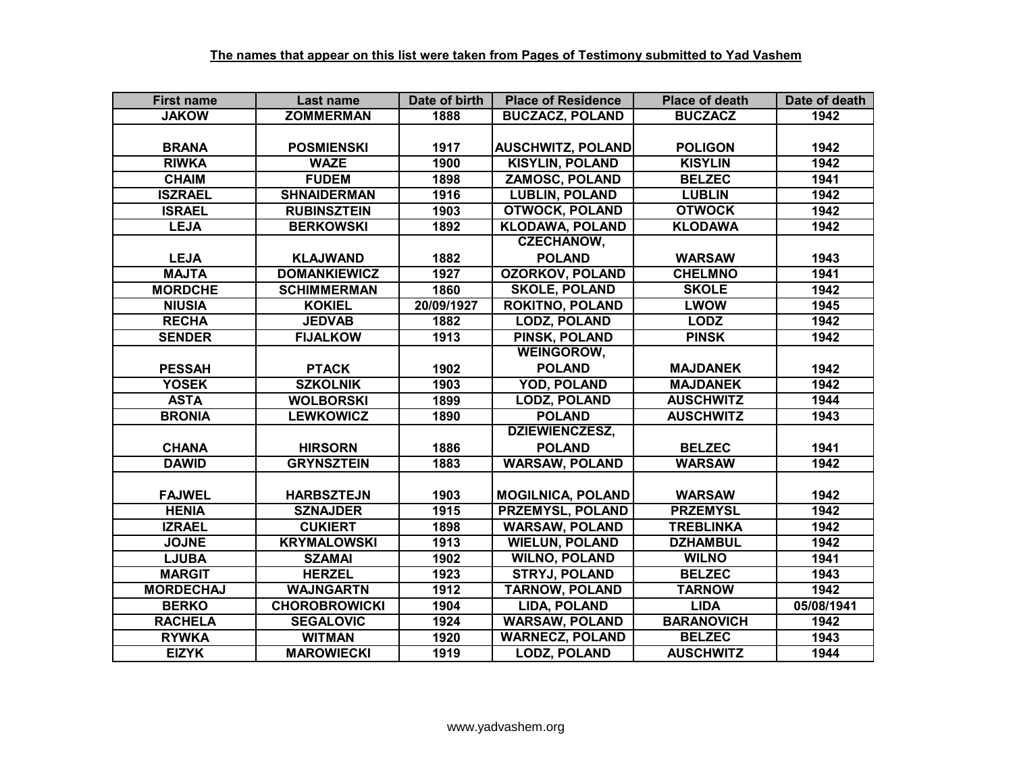| <b>First name</b> | Last name            | Date of birth | <b>Place of Residence</b> | <b>Place of death</b> | Date of death |
|-------------------|----------------------|---------------|---------------------------|-----------------------|---------------|
| <b>JAKOW</b>      | <b>ZOMMERMAN</b>     | 1888          | <b>BUCZACZ, POLAND</b>    | <b>BUCZACZ</b>        | 1942          |
|                   |                      |               |                           |                       |               |
| <b>BRANA</b>      | <b>POSMIENSKI</b>    | 1917          | <b>AUSCHWITZ, POLAND</b>  | <b>POLIGON</b>        | 1942          |
| <b>RIWKA</b>      | <b>WAZE</b>          | 1900          | <b>KISYLIN, POLAND</b>    | <b>KISYLIN</b>        | 1942          |
| <b>CHAIM</b>      | <b>FUDEM</b>         | 1898          | <b>ZAMOSC, POLAND</b>     | <b>BELZEC</b>         | 1941          |
| <b>ISZRAEL</b>    | <b>SHNAIDERMAN</b>   | 1916          | <b>LUBLIN, POLAND</b>     | <b>LUBLIN</b>         | 1942          |
| <b>ISRAEL</b>     | <b>RUBINSZTEIN</b>   | 1903          | <b>OTWOCK, POLAND</b>     | <b>OTWOCK</b>         | 1942          |
| <b>LEJA</b>       | <b>BERKOWSKI</b>     | 1892          | <b>KLODAWA, POLAND</b>    | <b>KLODAWA</b>        | 1942          |
|                   |                      |               | <b>CZECHANOW,</b>         |                       |               |
| <b>LEJA</b>       | <b>KLAJWAND</b>      | 1882          | <b>POLAND</b>             | <b>WARSAW</b>         | 1943          |
| <b>MAJTA</b>      | <b>DOMANKIEWICZ</b>  | 1927          | <b>OZORKOV, POLAND</b>    | <b>CHELMNO</b>        | 1941          |
| <b>MORDCHE</b>    | <b>SCHIMMERMAN</b>   | 1860          | <b>SKOLE, POLAND</b>      | <b>SKOLE</b>          | 1942          |
| <b>NIUSIA</b>     | <b>KOKIEL</b>        | 20/09/1927    | <b>ROKITNO, POLAND</b>    | <b>LWOW</b>           | 1945          |
| <b>RECHA</b>      | <b>JEDVAB</b>        | 1882          | <b>LODZ, POLAND</b>       | <b>LODZ</b>           | 1942          |
| <b>SENDER</b>     | <b>FIJALKOW</b>      | 1913          | PINSK, POLAND             | <b>PINSK</b>          | 1942          |
|                   |                      |               | <b>WEINGOROW,</b>         |                       |               |
| <b>PESSAH</b>     | <b>PTACK</b>         | 1902          | <b>POLAND</b>             | <b>MAJDANEK</b>       | 1942          |
| <b>YOSEK</b>      | <b>SZKOLNIK</b>      | 1903          | <b>YOD, POLAND</b>        | <b>MAJDANEK</b>       | 1942          |
| <b>ASTA</b>       | <b>WOLBORSKI</b>     | 1899          | <b>LODZ, POLAND</b>       | <b>AUSCHWITZ</b>      | 1944          |
| <b>BRONIA</b>     | <b>LEWKOWICZ</b>     | 1890          | <b>POLAND</b>             | <b>AUSCHWITZ</b>      | 1943          |
|                   |                      |               | <b>DZIEWIENCZESZ,</b>     |                       |               |
| <b>CHANA</b>      | <b>HIRSORN</b>       | 1886          | <b>POLAND</b>             | <b>BELZEC</b>         | 1941          |
| <b>DAWID</b>      | <b>GRYNSZTEIN</b>    | 1883          | <b>WARSAW, POLAND</b>     | <b>WARSAW</b>         | 1942          |
|                   |                      |               |                           |                       |               |
| <b>FAJWEL</b>     | <b>HARBSZTEJN</b>    | 1903          | <b>MOGILNICA, POLAND</b>  | <b>WARSAW</b>         | 1942          |
| <b>HENIA</b>      | <b>SZNAJDER</b>      | 1915          | <b>PRZEMYSL, POLAND</b>   | <b>PRZEMYSL</b>       | 1942          |
| <b>IZRAEL</b>     | <b>CUKIERT</b>       | 1898          | <b>WARSAW, POLAND</b>     | <b>TREBLINKA</b>      | 1942          |
| <b>JOJNE</b>      | <b>KRYMALOWSKI</b>   | 1913          | <b>WIELUN, POLAND</b>     | <b>DZHAMBUL</b>       | 1942          |
| <b>LJUBA</b>      | <b>SZAMAI</b>        | 1902          | <b>WILNO, POLAND</b>      | <b>WILNO</b>          | 1941          |
| <b>MARGIT</b>     | <b>HERZEL</b>        | 1923          | <b>STRYJ, POLAND</b>      | <b>BELZEC</b>         | 1943          |
| <b>MORDECHAJ</b>  | <b>WAJNGARTN</b>     | 1912          | <b>TARNOW, POLAND</b>     | <b>TARNOW</b>         | 1942          |
| <b>BERKO</b>      | <b>CHOROBROWICKI</b> | 1904          | LIDA, POLAND              | <b>LIDA</b>           | 05/08/1941    |
| <b>RACHELA</b>    | <b>SEGALOVIC</b>     | 1924          | <b>WARSAW, POLAND</b>     | <b>BARANOVICH</b>     | 1942          |
| <b>RYWKA</b>      | <b>WITMAN</b>        | 1920          | <b>WARNECZ, POLAND</b>    | <b>BELZEC</b>         | 1943          |
| <b>EIZYK</b>      | <b>MAROWIECKI</b>    | 1919          | <b>LODZ, POLAND</b>       | <b>AUSCHWITZ</b>      | 1944          |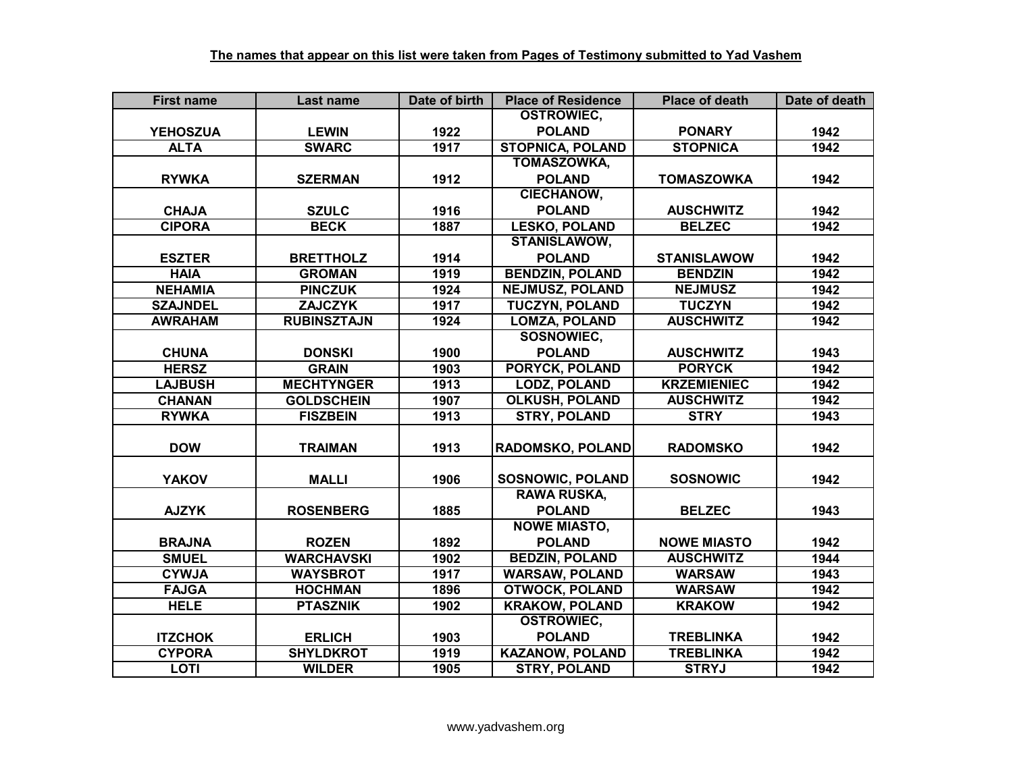| <b>First name</b> | Last name          | Date of birth | <b>Place of Residence</b> | <b>Place of death</b> | Date of death |
|-------------------|--------------------|---------------|---------------------------|-----------------------|---------------|
|                   |                    |               | <b>OSTROWIEC,</b>         |                       |               |
| <b>YEHOSZUA</b>   | <b>LEWIN</b>       | 1922          | <b>POLAND</b>             | <b>PONARY</b>         | 1942          |
| <b>ALTA</b>       | <b>SWARC</b>       | 1917          | <b>STOPNICA, POLAND</b>   | <b>STOPNICA</b>       | 1942          |
|                   |                    |               | <b>TOMASZOWKA,</b>        |                       |               |
| <b>RYWKA</b>      | <b>SZERMAN</b>     | 1912          | <b>POLAND</b>             | <b>TOMASZOWKA</b>     | 1942          |
|                   |                    |               | <b>CIECHANOW,</b>         |                       |               |
| <b>CHAJA</b>      | <b>SZULC</b>       | 1916          | <b>POLAND</b>             | <b>AUSCHWITZ</b>      | 1942          |
| <b>CIPORA</b>     | <b>BECK</b>        | 1887          | <b>LESKO, POLAND</b>      | <b>BELZEC</b>         | 1942          |
|                   |                    |               | <b>STANISLAWOW,</b>       |                       |               |
| <b>ESZTER</b>     | <b>BRETTHOLZ</b>   | 1914          | <b>POLAND</b>             | <b>STANISLAWOW</b>    | 1942          |
| <b>HAIA</b>       | <b>GROMAN</b>      | 1919          | <b>BENDZIN, POLAND</b>    | <b>BENDZIN</b>        | 1942          |
| <b>NEHAMIA</b>    | <b>PINCZUK</b>     | 1924          | <b>NEJMUSZ, POLAND</b>    | <b>NEJMUSZ</b>        | 1942          |
| <b>SZAJNDEL</b>   | <b>ZAJCZYK</b>     | 1917          | <b>TUCZYN, POLAND</b>     | <b>TUCZYN</b>         | 1942          |
| <b>AWRAHAM</b>    | <b>RUBINSZTAJN</b> | 1924          | <b>LOMZA, POLAND</b>      | <b>AUSCHWITZ</b>      | 1942          |
|                   |                    |               | <b>SOSNOWIEC,</b>         |                       |               |
| <b>CHUNA</b>      | <b>DONSKI</b>      | 1900          | <b>POLAND</b>             | <b>AUSCHWITZ</b>      | 1943          |
| <b>HERSZ</b>      | <b>GRAIN</b>       | 1903          | <b>PORYCK, POLAND</b>     | <b>PORYCK</b>         | 1942          |
| <b>LAJBUSH</b>    | <b>MECHTYNGER</b>  | 1913          | <b>LODZ, POLAND</b>       | <b>KRZEMIENIEC</b>    | 1942          |
| <b>CHANAN</b>     | <b>GOLDSCHEIN</b>  | 1907          | <b>OLKUSH, POLAND</b>     | <b>AUSCHWITZ</b>      | 1942          |
| <b>RYWKA</b>      | <b>FISZBEIN</b>    | 1913          | <b>STRY, POLAND</b>       | <b>STRY</b>           | 1943          |
|                   |                    |               |                           |                       |               |
| <b>DOW</b>        | <b>TRAIMAN</b>     | 1913          | RADOMSKO, POLAND          | <b>RADOMSKO</b>       | 1942          |
|                   |                    |               |                           |                       |               |
| <b>YAKOV</b>      | <b>MALLI</b>       | 1906          | <b>SOSNOWIC, POLAND</b>   | <b>SOSNOWIC</b>       | 1942          |
|                   |                    |               | <b>RAWA RUSKA,</b>        |                       |               |
| <b>AJZYK</b>      | <b>ROSENBERG</b>   | 1885          | <b>POLAND</b>             | <b>BELZEC</b>         | 1943          |
|                   |                    |               | <b>NOWE MIASTO,</b>       |                       |               |
| <b>BRAJNA</b>     | <b>ROZEN</b>       | 1892          | <b>POLAND</b>             | <b>NOWE MIASTO</b>    | 1942          |
| <b>SMUEL</b>      | <b>WARCHAVSKI</b>  | 1902          | <b>BEDZIN, POLAND</b>     | <b>AUSCHWITZ</b>      | 1944          |
| <b>CYWJA</b>      | <b>WAYSBROT</b>    | 1917          | <b>WARSAW, POLAND</b>     | <b>WARSAW</b>         | 1943          |
| <b>FAJGA</b>      | <b>HOCHMAN</b>     | 1896          | <b>OTWOCK, POLAND</b>     | <b>WARSAW</b>         | 1942          |
| <b>HELE</b>       | <b>PTASZNIK</b>    | 1902          | <b>KRAKOW, POLAND</b>     | <b>KRAKOW</b>         | 1942          |
|                   |                    |               | <b>OSTROWIEC,</b>         |                       |               |
| <b>ITZCHOK</b>    | <b>ERLICH</b>      | 1903          | <b>POLAND</b>             | <b>TREBLINKA</b>      | 1942          |
| <b>CYPORA</b>     | <b>SHYLDKROT</b>   | 1919          | <b>KAZANOW, POLAND</b>    | <b>TREBLINKA</b>      | 1942          |
| <b>LOTI</b>       | <b>WILDER</b>      | 1905          | <b>STRY, POLAND</b>       | <b>STRYJ</b>          | 1942          |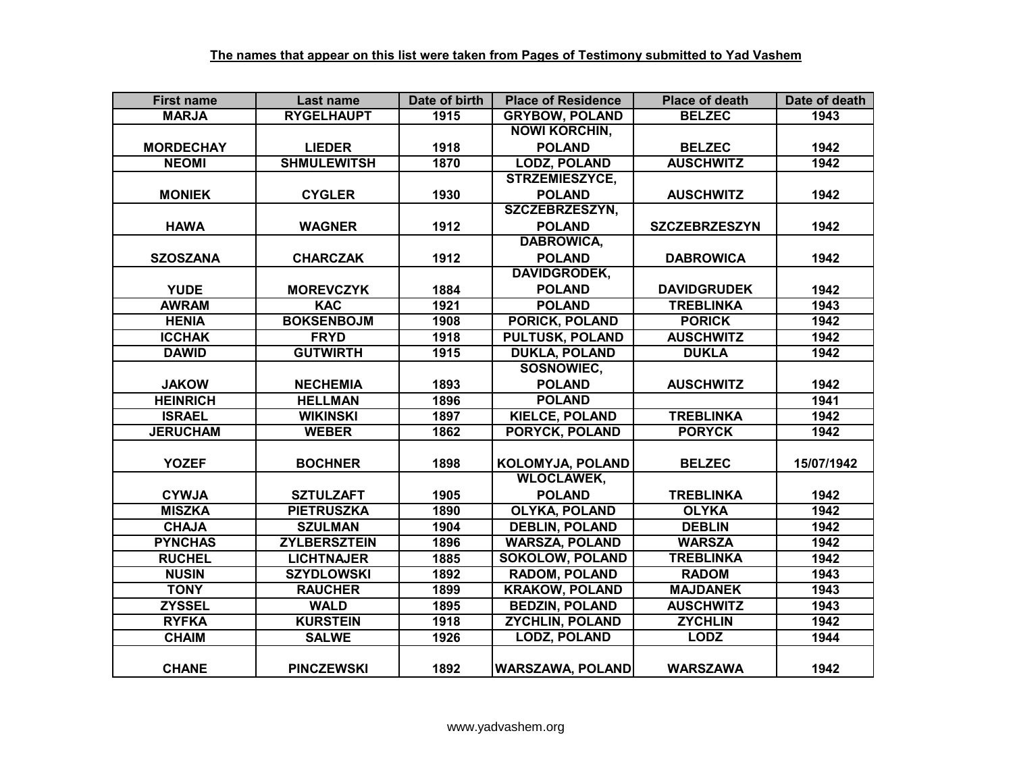| <b>First name</b> | Last name           | Date of birth | <b>Place of Residence</b> | <b>Place of death</b> | Date of death |
|-------------------|---------------------|---------------|---------------------------|-----------------------|---------------|
| <b>MARJA</b>      | <b>RYGELHAUPT</b>   | 1915          | <b>GRYBOW, POLAND</b>     | <b>BELZEC</b>         | 1943          |
|                   |                     |               | <b>NOWI KORCHIN,</b>      |                       |               |
| <b>MORDECHAY</b>  | <b>LIEDER</b>       | 1918          | <b>POLAND</b>             | <b>BELZEC</b>         | 1942          |
| <b>NEOMI</b>      | <b>SHMULEWITSH</b>  | 1870          | <b>LODZ, POLAND</b>       | <b>AUSCHWITZ</b>      | 1942          |
|                   |                     |               | STRZEMIESZYCE,            |                       |               |
| <b>MONIEK</b>     | <b>CYGLER</b>       | 1930          | <b>POLAND</b>             | <b>AUSCHWITZ</b>      | 1942          |
|                   |                     |               | <b>SZCZEBRZESZYN,</b>     |                       |               |
| <b>HAWA</b>       | <b>WAGNER</b>       | 1912          | <b>POLAND</b>             | <b>SZCZEBRZESZYN</b>  | 1942          |
|                   |                     |               | <b>DABROWICA,</b>         |                       |               |
| <b>SZOSZANA</b>   | <b>CHARCZAK</b>     | 1912          | <b>POLAND</b>             | <b>DABROWICA</b>      | 1942          |
|                   |                     |               | <b>DAVIDGRODEK,</b>       |                       |               |
| <b>YUDE</b>       | <b>MOREVCZYK</b>    | 1884          | <b>POLAND</b>             | <b>DAVIDGRUDEK</b>    | 1942          |
| <b>AWRAM</b>      | <b>KAC</b>          | 1921          | <b>POLAND</b>             | <b>TREBLINKA</b>      | 1943          |
| <b>HENIA</b>      | <b>BOKSENBOJM</b>   | 1908          | PORICK, POLAND            | <b>PORICK</b>         | 1942          |
| <b>ICCHAK</b>     | <b>FRYD</b>         | 1918          | <b>PULTUSK, POLAND</b>    | <b>AUSCHWITZ</b>      | 1942          |
| <b>DAWID</b>      | <b>GUTWIRTH</b>     | 1915          | <b>DUKLA, POLAND</b>      | <b>DUKLA</b>          | 1942          |
|                   |                     |               | SOSNOWIEC,                |                       |               |
| <b>JAKOW</b>      | <b>NECHEMIA</b>     | 1893          | <b>POLAND</b>             | <b>AUSCHWITZ</b>      | 1942          |
| <b>HEINRICH</b>   | <b>HELLMAN</b>      | 1896          | <b>POLAND</b>             |                       | 1941          |
| <b>ISRAEL</b>     | <b>WIKINSKI</b>     | 1897          | <b>KIELCE, POLAND</b>     | <b>TREBLINKA</b>      | 1942          |
| <b>JERUCHAM</b>   | <b>WEBER</b>        | 1862          | <b>PORYCK, POLAND</b>     | <b>PORYCK</b>         | 1942          |
|                   |                     |               |                           |                       |               |
| <b>YOZEF</b>      | <b>BOCHNER</b>      | 1898          | KOLOMYJA, POLAND          | <b>BELZEC</b>         | 15/07/1942    |
|                   |                     |               | <b>WLOCLAWEK,</b>         |                       |               |
| <b>CYWJA</b>      | <b>SZTULZAFT</b>    | 1905          | <b>POLAND</b>             | <b>TREBLINKA</b>      | 1942          |
| <b>MISZKA</b>     | <b>PIETRUSZKA</b>   | 1890          | <b>OLYKA, POLAND</b>      | <b>OLYKA</b>          | 1942          |
| <b>CHAJA</b>      | <b>SZULMAN</b>      | 1904          | <b>DEBLIN, POLAND</b>     | <b>DEBLIN</b>         | 1942          |
| <b>PYNCHAS</b>    | <b>ZYLBERSZTEIN</b> | 1896          | <b>WARSZA, POLAND</b>     | <b>WARSZA</b>         | 1942          |
| <b>RUCHEL</b>     | <b>LICHTNAJER</b>   | 1885          | <b>SOKOLOW, POLAND</b>    | <b>TREBLINKA</b>      | 1942          |
| <b>NUSIN</b>      | <b>SZYDLOWSKI</b>   | 1892          | <b>RADOM, POLAND</b>      | <b>RADOM</b>          | 1943          |
| <b>TONY</b>       | <b>RAUCHER</b>      | 1899          | <b>KRAKOW, POLAND</b>     | <b>MAJDANEK</b>       | 1943          |
| <b>ZYSSEL</b>     | <b>WALD</b>         | 1895          | <b>BEDZIN, POLAND</b>     | <b>AUSCHWITZ</b>      | 1943          |
| <b>RYFKA</b>      | <b>KURSTEIN</b>     | 1918          | <b>ZYCHLIN, POLAND</b>    | <b>ZYCHLIN</b>        | 1942          |
| <b>CHAIM</b>      | <b>SALWE</b>        | 1926          | <b>LODZ, POLAND</b>       | <b>LODZ</b>           | 1944          |
|                   |                     |               |                           |                       |               |
| <b>CHANE</b>      | <b>PINCZEWSKI</b>   | 1892          | <b>WARSZAWA, POLAND</b>   | <b>WARSZAWA</b>       | 1942          |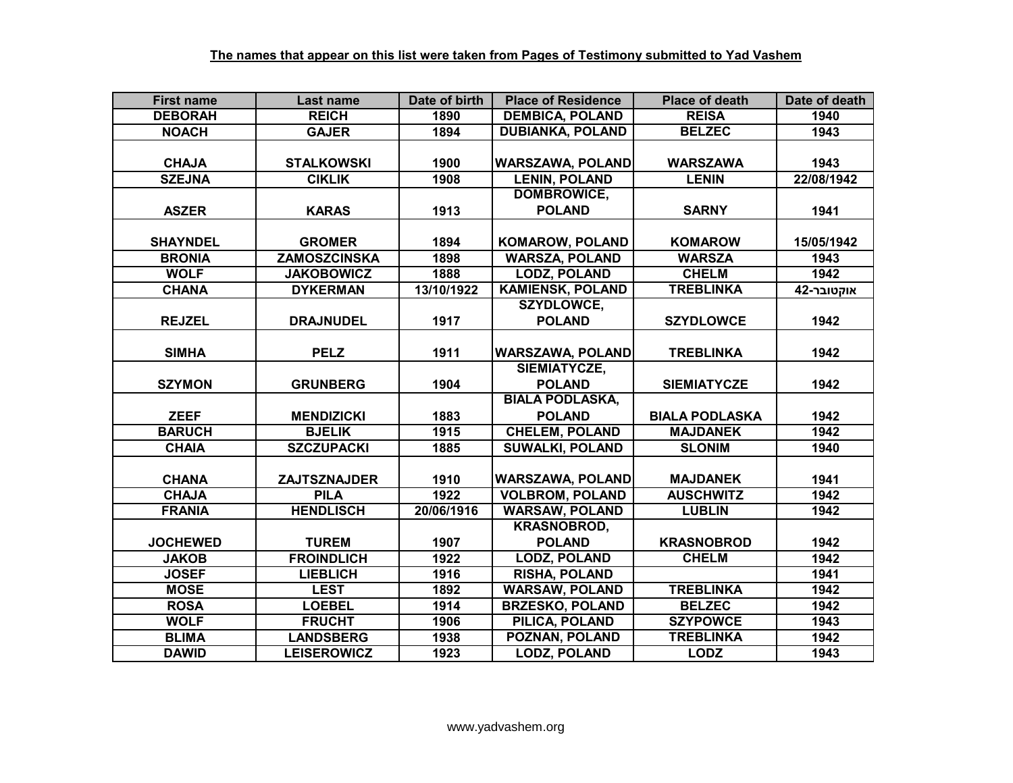| <b>First name</b> | Last name           | Date of birth | <b>Place of Residence</b> | <b>Place of death</b> | Date of death |
|-------------------|---------------------|---------------|---------------------------|-----------------------|---------------|
| <b>DEBORAH</b>    | <b>REICH</b>        | 1890          | <b>DEMBICA, POLAND</b>    | <b>REISA</b>          | 1940          |
| <b>NOACH</b>      | <b>GAJER</b>        | 1894          | <b>DUBIANKA, POLAND</b>   | <b>BELZEC</b>         | 1943          |
|                   |                     |               |                           |                       |               |
| <b>CHAJA</b>      | <b>STALKOWSKI</b>   | 1900          | <b>WARSZAWA, POLAND</b>   | <b>WARSZAWA</b>       | 1943          |
| <b>SZEJNA</b>     | <b>CIKLIK</b>       | 1908          | <b>LENIN, POLAND</b>      | <b>LENIN</b>          | 22/08/1942    |
|                   |                     |               | <b>DOMBROWICE,</b>        |                       |               |
| <b>ASZER</b>      | <b>KARAS</b>        | 1913          | <b>POLAND</b>             | <b>SARNY</b>          | 1941          |
|                   |                     |               |                           |                       |               |
| <b>SHAYNDEL</b>   | <b>GROMER</b>       | 1894          | <b>KOMAROW, POLAND</b>    | <b>KOMAROW</b>        | 15/05/1942    |
| <b>BRONIA</b>     | ZAMOSZCINSKA        | 1898          | <b>WARSZA, POLAND</b>     | <b>WARSZA</b>         | 1943          |
| <b>WOLF</b>       | <b>JAKOBOWICZ</b>   | 1888          | <b>LODZ, POLAND</b>       | <b>CHELM</b>          | 1942          |
| <b>CHANA</b>      | <b>DYKERMAN</b>     | 13/10/1922    | <b>KAMIENSK, POLAND</b>   | <b>TREBLINKA</b>      | אוקטובר-42    |
|                   |                     |               | <b>SZYDLOWCE,</b>         |                       |               |
| <b>REJZEL</b>     | <b>DRAJNUDEL</b>    | 1917          | <b>POLAND</b>             | <b>SZYDLOWCE</b>      | 1942          |
|                   |                     |               |                           |                       |               |
| <b>SIMHA</b>      | <b>PELZ</b>         | 1911          | <b>WARSZAWA, POLAND</b>   | <b>TREBLINKA</b>      | 1942          |
|                   |                     |               | SIEMIATYCZE,              |                       |               |
| <b>SZYMON</b>     | <b>GRUNBERG</b>     | 1904          | <b>POLAND</b>             | <b>SIEMIATYCZE</b>    | 1942          |
|                   |                     |               | <b>BIALA PODLASKA,</b>    |                       |               |
| <b>ZEEF</b>       | <b>MENDIZICKI</b>   | 1883          | <b>POLAND</b>             | <b>BIALA PODLASKA</b> | 1942          |
| <b>BARUCH</b>     | <b>BJELIK</b>       | 1915          | <b>CHELEM, POLAND</b>     | <b>MAJDANEK</b>       | 1942          |
| <b>CHAIA</b>      | <b>SZCZUPACKI</b>   | 1885          | <b>SUWALKI, POLAND</b>    | <b>SLONIM</b>         | 1940          |
|                   |                     |               |                           |                       |               |
| <b>CHANA</b>      | <b>ZAJTSZNAJDER</b> | 1910          | <b>WARSZAWA, POLAND</b>   | <b>MAJDANEK</b>       | 1941          |
| <b>CHAJA</b>      | <b>PILA</b>         | 1922          | <b>VOLBROM, POLAND</b>    | <b>AUSCHWITZ</b>      | 1942          |
| <b>FRANIA</b>     | <b>HENDLISCH</b>    | 20/06/1916    | <b>WARSAW, POLAND</b>     | <b>LUBLIN</b>         | 1942          |
|                   |                     |               | <b>KRASNOBROD,</b>        |                       |               |
| <b>JOCHEWED</b>   | <b>TUREM</b>        | 1907          | <b>POLAND</b>             | <b>KRASNOBROD</b>     | 1942          |
| <b>JAKOB</b>      | <b>FROINDLICH</b>   | 1922          | <b>LODZ, POLAND</b>       | <b>CHELM</b>          | 1942          |
| <b>JOSEF</b>      | <b>LIEBLICH</b>     | 1916          | <b>RISHA, POLAND</b>      |                       | 1941          |
| <b>MOSE</b>       | <b>LEST</b>         | 1892          | <b>WARSAW, POLAND</b>     | <b>TREBLINKA</b>      | 1942          |
| <b>ROSA</b>       | <b>LOEBEL</b>       | 1914          | <b>BRZESKO, POLAND</b>    | <b>BELZEC</b>         | 1942          |
| <b>WOLF</b>       | <b>FRUCHT</b>       | 1906          | PILICA, POLAND            | <b>SZYPOWCE</b>       | 1943          |
| <b>BLIMA</b>      | <b>LANDSBERG</b>    | 1938          | POZNAN, POLAND            | <b>TREBLINKA</b>      | 1942          |
| <b>DAWID</b>      | <b>LEISEROWICZ</b>  | 1923          | <b>LODZ, POLAND</b>       | <b>LODZ</b>           | 1943          |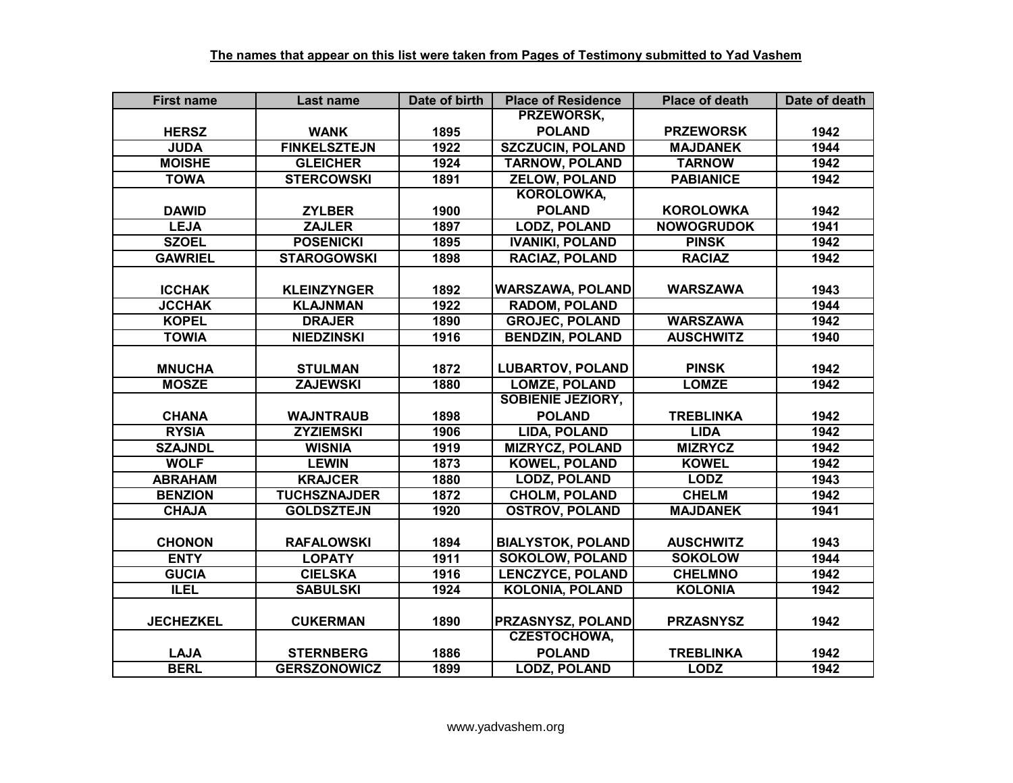| <b>First name</b> | Last name           | Date of birth | <b>Place of Residence</b> | <b>Place of death</b> | Date of death |
|-------------------|---------------------|---------------|---------------------------|-----------------------|---------------|
|                   |                     |               | PRZEWORSK,                |                       |               |
| <b>HERSZ</b>      | <b>WANK</b>         | 1895          | <b>POLAND</b>             | <b>PRZEWORSK</b>      | 1942          |
| <b>JUDA</b>       | <b>FINKELSZTEJN</b> | 1922          | <b>SZCZUCIN, POLAND</b>   | <b>MAJDANEK</b>       | 1944          |
| <b>MOISHE</b>     | <b>GLEICHER</b>     | 1924          | <b>TARNOW, POLAND</b>     | <b>TARNOW</b>         | 1942          |
| <b>TOWA</b>       | <b>STERCOWSKI</b>   | 1891          | <b>ZELOW, POLAND</b>      | <b>PABIANICE</b>      | 1942          |
|                   |                     |               | <b>KOROLOWKA,</b>         |                       |               |
| <b>DAWID</b>      | <b>ZYLBER</b>       | 1900          | <b>POLAND</b>             | <b>KOROLOWKA</b>      | 1942          |
| <b>LEJA</b>       | <b>ZAJLER</b>       | 1897          | <b>LODZ, POLAND</b>       | <b>NOWOGRUDOK</b>     | 1941          |
| <b>SZOEL</b>      | <b>POSENICKI</b>    | 1895          | <b>IVANIKI, POLAND</b>    | <b>PINSK</b>          | 1942          |
| <b>GAWRIEL</b>    | <b>STAROGOWSKI</b>  | 1898          | RACIAZ, POLAND            | <b>RACIAZ</b>         | 1942          |
|                   |                     |               |                           |                       |               |
| <b>ICCHAK</b>     | <b>KLEINZYNGER</b>  | 1892          | <b>WARSZAWA, POLAND</b>   | <b>WARSZAWA</b>       | 1943          |
| <b>JCCHAK</b>     | <b>KLAJNMAN</b>     | 1922          | <b>RADOM, POLAND</b>      |                       | 1944          |
| <b>KOPEL</b>      | <b>DRAJER</b>       | 1890          | <b>GROJEC, POLAND</b>     | <b>WARSZAWA</b>       | 1942          |
| <b>TOWIA</b>      | <b>NIEDZINSKI</b>   | 1916          | <b>BENDZIN, POLAND</b>    | <b>AUSCHWITZ</b>      | 1940          |
|                   |                     |               |                           |                       |               |
| <b>MNUCHA</b>     | <b>STULMAN</b>      | 1872          | <b>LUBARTOV, POLAND</b>   | <b>PINSK</b>          | 1942          |
| <b>MOSZE</b>      | <b>ZAJEWSKI</b>     | 1880          | <b>LOMZE, POLAND</b>      | <b>LOMZE</b>          | 1942          |
|                   |                     |               | <b>SOBIENIE JEZIORY,</b>  |                       |               |
| <b>CHANA</b>      | <b>WAJNTRAUB</b>    | 1898          | <b>POLAND</b>             | <b>TREBLINKA</b>      | 1942          |
| <b>RYSIA</b>      | <b>ZYZIEMSKI</b>    | 1906          | <b>LIDA, POLAND</b>       | <b>LIDA</b>           | 1942          |
| <b>SZAJNDL</b>    | <b>WISNIA</b>       | 1919          | <b>MIZRYCZ, POLAND</b>    | <b>MIZRYCZ</b>        | 1942          |
| <b>WOLF</b>       | <b>LEWIN</b>        | 1873          | <b>KOWEL, POLAND</b>      | <b>KOWEL</b>          | 1942          |
| <b>ABRAHAM</b>    | <b>KRAJCER</b>      | 1880          | <b>LODZ, POLAND</b>       | <b>LODZ</b>           | 1943          |
| <b>BENZION</b>    | <b>TUCHSZNAJDER</b> | 1872          | <b>CHOLM, POLAND</b>      | <b>CHELM</b>          | 1942          |
| <b>CHAJA</b>      | <b>GOLDSZTEJN</b>   | 1920          | <b>OSTROV, POLAND</b>     | <b>MAJDANEK</b>       | 1941          |
|                   |                     |               |                           |                       |               |
| <b>CHONON</b>     | <b>RAFALOWSKI</b>   | 1894          | <b>BIALYSTOK, POLAND</b>  | <b>AUSCHWITZ</b>      | 1943          |
| <b>ENTY</b>       | <b>LOPATY</b>       | 1911          | <b>SOKOLOW, POLAND</b>    | <b>SOKOLOW</b>        | 1944          |
| <b>GUCIA</b>      | <b>CIELSKA</b>      | 1916          | <b>LENCZYCE, POLAND</b>   | <b>CHELMNO</b>        | 1942          |
| <b>ILEL</b>       | <b>SABULSKI</b>     | 1924          | <b>KOLONIA, POLAND</b>    | <b>KOLONIA</b>        | 1942          |
|                   |                     |               |                           |                       |               |
| <b>JECHEZKEL</b>  | <b>CUKERMAN</b>     | 1890          | <b>PRZASNYSZ, POLAND</b>  | <b>PRZASNYSZ</b>      | 1942          |
|                   |                     |               | <b>CZESTOCHOWA,</b>       |                       |               |
| <b>LAJA</b>       | <b>STERNBERG</b>    | 1886          | <b>POLAND</b>             | <b>TREBLINKA</b>      | 1942          |
| <b>BERL</b>       | <b>GERSZONOWICZ</b> | 1899          | <b>LODZ, POLAND</b>       | <b>LODZ</b>           | 1942          |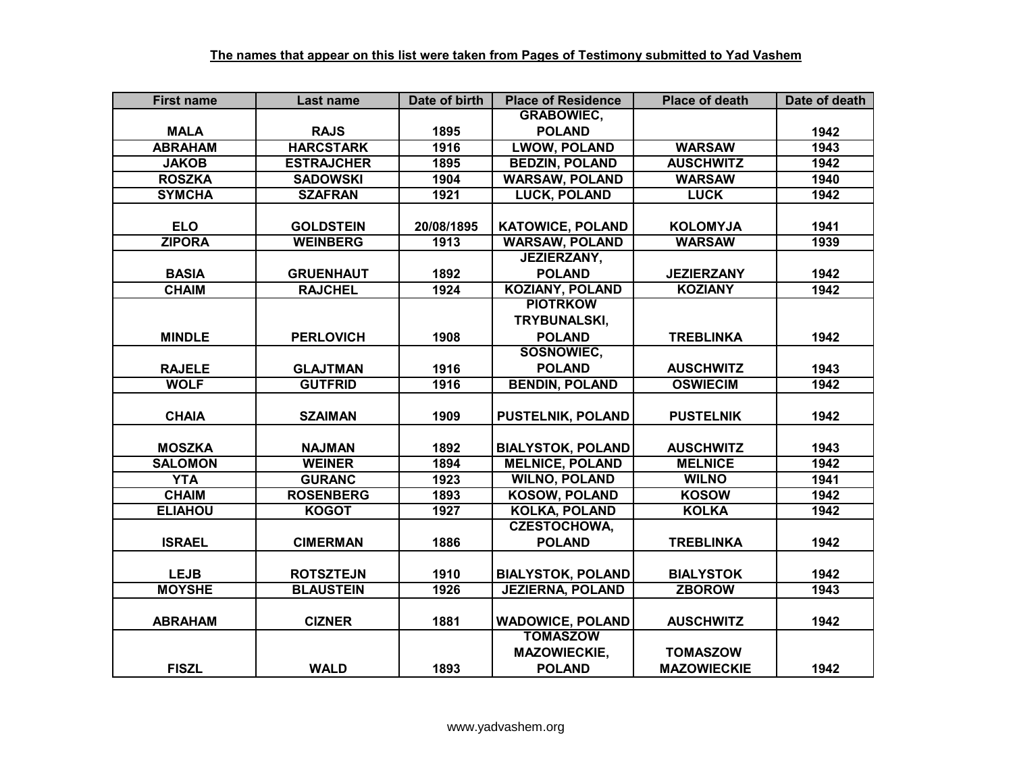| <b>First name</b>          | Last name         | Date of birth | <b>Place of Residence</b>                          | <b>Place of death</b>              | Date of death |
|----------------------------|-------------------|---------------|----------------------------------------------------|------------------------------------|---------------|
|                            |                   |               | <b>GRABOWIEC,</b>                                  |                                    |               |
| <b>MALA</b>                | <b>RAJS</b>       | 1895          | <b>POLAND</b>                                      |                                    | 1942          |
| <b>ABRAHAM</b>             | <b>HARCSTARK</b>  | 1916          | <b>LWOW, POLAND</b>                                | <b>WARSAW</b>                      | 1943          |
| <b>JAKOB</b>               | <b>ESTRAJCHER</b> | 1895          | <b>BEDZIN, POLAND</b>                              | <b>AUSCHWITZ</b>                   | 1942          |
| <b>ROSZKA</b>              | <b>SADOWSKI</b>   | 1904          | <b>WARSAW, POLAND</b>                              | <b>WARSAW</b>                      | 1940          |
| <b>SYMCHA</b>              | <b>SZAFRAN</b>    | 1921          | <b>LUCK, POLAND</b>                                | <b>LUCK</b>                        | 1942          |
|                            |                   |               |                                                    |                                    |               |
| <b>ELO</b>                 | <b>GOLDSTEIN</b>  | 20/08/1895    | <b>KATOWICE, POLAND</b>                            | <b>KOLOMYJA</b>                    | 1941          |
| <b>ZIPORA</b>              | <b>WEINBERG</b>   | 1913          | <b>WARSAW, POLAND</b>                              | <b>WARSAW</b>                      | 1939          |
|                            |                   |               | <b>JEZIERZANY,</b>                                 |                                    |               |
| <b>BASIA</b>               | <b>GRUENHAUT</b>  | 1892          | <b>POLAND</b>                                      | <b>JEZIERZANY</b>                  | 1942          |
| <b>CHAIM</b>               | <b>RAJCHEL</b>    | 1924          | <b>KOZIANY, POLAND</b>                             | <b>KOZIANY</b>                     | 1942          |
|                            |                   |               | <b>PIOTRKOW</b>                                    |                                    |               |
|                            |                   |               | TRYBUNALSKI,                                       |                                    |               |
| <b>MINDLE</b>              | <b>PERLOVICH</b>  | 1908          | <b>POLAND</b>                                      | <b>TREBLINKA</b>                   | 1942          |
|                            |                   |               | SOSNOWIEC,                                         |                                    |               |
| <b>RAJELE</b>              | <b>GLAJTMAN</b>   | 1916          | <b>POLAND</b>                                      | <b>AUSCHWITZ</b>                   | 1943          |
| <b>WOLF</b>                | <b>GUTFRID</b>    | 1916          | <b>BENDIN, POLAND</b>                              | <b>OSWIECIM</b>                    | 1942          |
|                            |                   |               |                                                    |                                    |               |
| <b>CHAIA</b>               | <b>SZAIMAN</b>    | 1909          | <b>PUSTELNIK, POLAND</b>                           | <b>PUSTELNIK</b>                   | 1942          |
|                            |                   |               |                                                    |                                    |               |
| <b>MOSZKA</b>              | <b>NAJMAN</b>     | 1892          | <b>BIALYSTOK, POLAND</b><br><b>MELNICE, POLAND</b> | <b>AUSCHWITZ</b><br><b>MELNICE</b> | 1943          |
| <b>SALOMON</b>             | <b>WEINER</b>     | 1894          |                                                    |                                    | 1942          |
| <b>YTA</b><br><b>CHAIM</b> | <b>GURANC</b>     | 1923          | <b>WILNO, POLAND</b><br><b>KOSOW, POLAND</b>       | <b>WILNO</b><br><b>KOSOW</b>       | 1941<br>1942  |
|                            | <b>ROSENBERG</b>  | 1893          | <b>KOLKA, POLAND</b>                               | <b>KOLKA</b>                       |               |
| <b>ELIAHOU</b>             | <b>KOGOT</b>      | 1927          | <b>CZESTOCHOWA,</b>                                |                                    | 1942          |
| <b>ISRAEL</b>              | <b>CIMERMAN</b>   | 1886          | <b>POLAND</b>                                      | <b>TREBLINKA</b>                   | 1942          |
|                            |                   |               |                                                    |                                    |               |
| <b>LEJB</b>                | <b>ROTSZTEJN</b>  | 1910          | <b>BIALYSTOK, POLAND</b>                           | <b>BIALYSTOK</b>                   | 1942          |
| <b>MOYSHE</b>              | <b>BLAUSTEIN</b>  | 1926          | <b>JEZIERNA, POLAND</b>                            | <b>ZBOROW</b>                      | 1943          |
|                            |                   |               |                                                    |                                    |               |
| <b>ABRAHAM</b>             | <b>CIZNER</b>     | 1881          | <b>WADOWICE, POLAND</b>                            | <b>AUSCHWITZ</b>                   | 1942          |
|                            |                   |               | <b>TOMASZOW</b>                                    |                                    |               |
|                            |                   |               | <b>MAZOWIECKIE,</b>                                | <b>TOMASZOW</b>                    |               |
| <b>FISZL</b>               | <b>WALD</b>       | 1893          | <b>POLAND</b>                                      | <b>MAZOWIECKIE</b>                 | 1942          |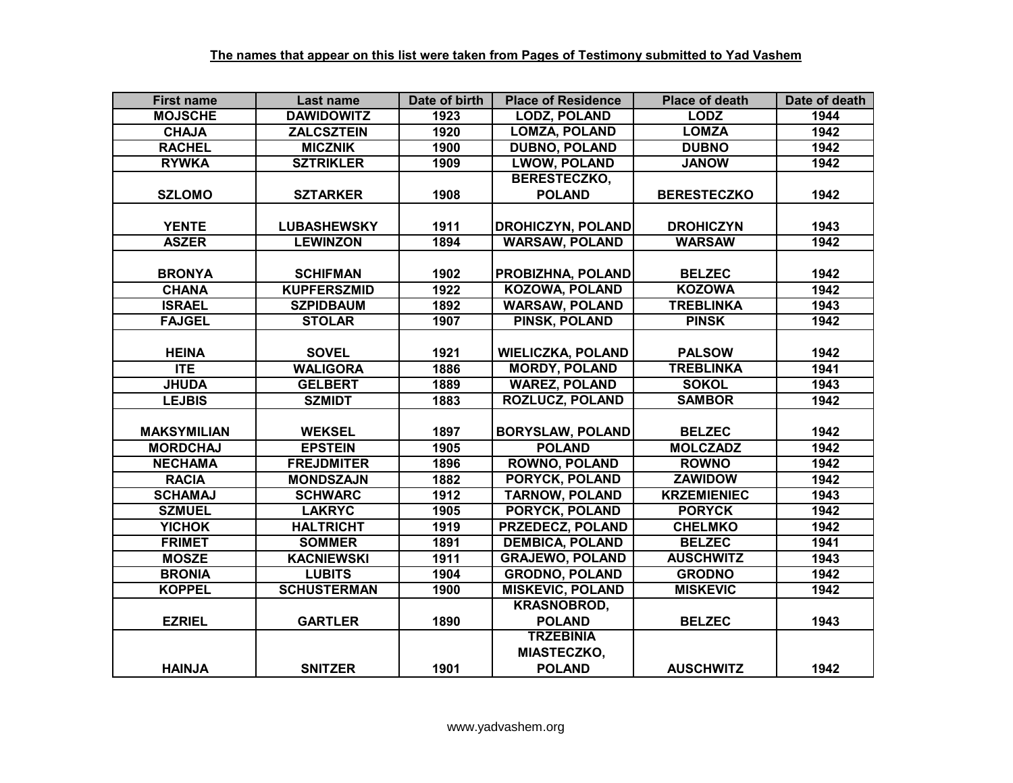| <b>First name</b>  | Last name          | Date of birth | <b>Place of Residence</b> | <b>Place of death</b> | Date of death |
|--------------------|--------------------|---------------|---------------------------|-----------------------|---------------|
| <b>MOJSCHE</b>     | <b>DAWIDOWITZ</b>  | 1923          | <b>LODZ, POLAND</b>       | <b>LODZ</b>           | 1944          |
| <b>CHAJA</b>       | <b>ZALCSZTEIN</b>  | 1920          | <b>LOMZA, POLAND</b>      | <b>LOMZA</b>          | 1942          |
| <b>RACHEL</b>      | <b>MICZNIK</b>     | 1900          | <b>DUBNO, POLAND</b>      | <b>DUBNO</b>          | 1942          |
| <b>RYWKA</b>       | <b>SZTRIKLER</b>   | 1909          | <b>LWOW, POLAND</b>       | <b>JANOW</b>          | 1942          |
|                    |                    |               | BERESTECZKO,              |                       |               |
| <b>SZLOMO</b>      | <b>SZTARKER</b>    | 1908          | <b>POLAND</b>             | <b>BERESTECZKO</b>    | 1942          |
|                    |                    |               |                           |                       |               |
| <b>YENTE</b>       | <b>LUBASHEWSKY</b> | 1911          | <b>DROHICZYN, POLAND</b>  | <b>DROHICZYN</b>      | 1943          |
| <b>ASZER</b>       | <b>LEWINZON</b>    | 1894          | <b>WARSAW, POLAND</b>     | <b>WARSAW</b>         | 1942          |
|                    |                    |               |                           |                       |               |
| <b>BRONYA</b>      | <b>SCHIFMAN</b>    | 1902          | PROBIZHNA, POLAND         | <b>BELZEC</b>         | 1942          |
| <b>CHANA</b>       | <b>KUPFERSZMID</b> | 1922          | <b>KOZOWA, POLAND</b>     | <b>KOZOWA</b>         | 1942          |
| <b>ISRAEL</b>      | <b>SZPIDBAUM</b>   | 1892          | <b>WARSAW, POLAND</b>     | <b>TREBLINKA</b>      | 1943          |
| <b>FAJGEL</b>      | <b>STOLAR</b>      | 1907          | PINSK, POLAND             | <b>PINSK</b>          | 1942          |
|                    |                    |               |                           |                       |               |
| <b>HEINA</b>       | <b>SOVEL</b>       | 1921          | <b>WIELICZKA, POLAND</b>  | <b>PALSOW</b>         | 1942          |
| $\Pi$ E            | <b>WALIGORA</b>    | 1886          | <b>MORDY, POLAND</b>      | <b>TREBLINKA</b>      | 1941          |
| <b>JHUDA</b>       | <b>GELBERT</b>     | 1889          | <b>WAREZ, POLAND</b>      | <b>SOKOL</b>          | 1943          |
| <b>LEJBIS</b>      | <b>SZMIDT</b>      | 1883          | <b>ROZLUCZ, POLAND</b>    | <b>SAMBOR</b>         | 1942          |
|                    |                    |               |                           |                       |               |
| <b>MAKSYMILIAN</b> | <b>WEKSEL</b>      | 1897          | <b>BORYSLAW, POLAND</b>   | <b>BELZEC</b>         | 1942          |
| <b>MORDCHAJ</b>    | <b>EPSTEIN</b>     | 1905          | <b>POLAND</b>             | <b>MOLCZADZ</b>       | 1942          |
| <b>NECHAMA</b>     | <b>FREJDMITER</b>  | 1896          | <b>ROWNO, POLAND</b>      | <b>ROWNO</b>          | 1942          |
| <b>RACIA</b>       | <b>MONDSZAJN</b>   | 1882          | <b>PORYCK, POLAND</b>     | <b>ZAWIDOW</b>        | 1942          |
| <b>SCHAMAJ</b>     | <b>SCHWARC</b>     | 1912          | <b>TARNOW, POLAND</b>     | <b>KRZEMIENIEC</b>    | 1943          |
| <b>SZMUEL</b>      | <b>LAKRYC</b>      | 1905          | PORYCK, POLAND            | <b>PORYCK</b>         | 1942          |
| <b>YICHOK</b>      | <b>HALTRICHT</b>   | 1919          | <b>PRZEDECZ, POLAND</b>   | <b>CHELMKO</b>        | 1942          |
| <b>FRIMET</b>      | <b>SOMMER</b>      | 1891          | <b>DEMBICA, POLAND</b>    | <b>BELZEC</b>         | 1941          |
| <b>MOSZE</b>       | <b>KACNIEWSKI</b>  | 1911          | <b>GRAJEWO, POLAND</b>    | <b>AUSCHWITZ</b>      | 1943          |
| <b>BRONIA</b>      | <b>LUBITS</b>      | 1904          | <b>GRODNO, POLAND</b>     | <b>GRODNO</b>         | 1942          |
| <b>KOPPEL</b>      | <b>SCHUSTERMAN</b> | 1900          | <b>MISKEVIC, POLAND</b>   | <b>MISKEVIC</b>       | 1942          |
|                    |                    |               | <b>KRASNOBROD,</b>        |                       |               |
| <b>EZRIEL</b>      | <b>GARTLER</b>     | 1890          | <b>POLAND</b>             | <b>BELZEC</b>         | 1943          |
|                    |                    |               | <b>TRZEBINIA</b>          |                       |               |
|                    |                    |               | <b>MIASTECZKO,</b>        |                       |               |
| <b>HAINJA</b>      | <b>SNITZER</b>     | 1901          | <b>POLAND</b>             | <b>AUSCHWITZ</b>      | 1942          |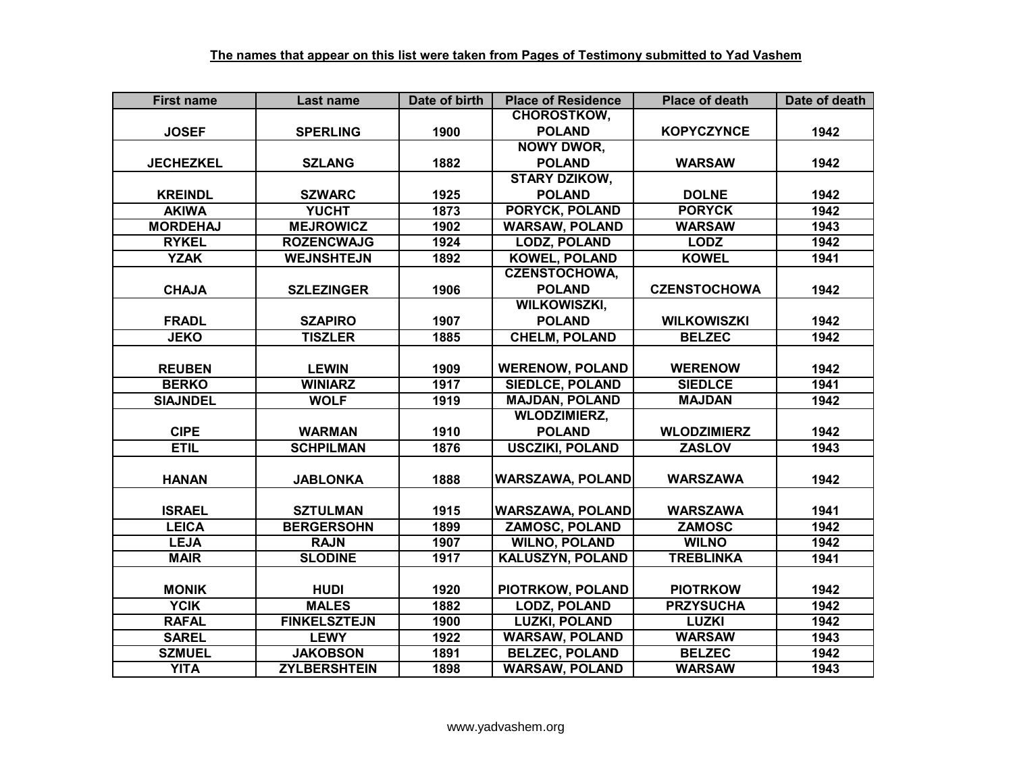| <b>First name</b> | Last name           | Date of birth | <b>Place of Residence</b> | <b>Place of death</b> | Date of death |
|-------------------|---------------------|---------------|---------------------------|-----------------------|---------------|
|                   |                     |               | <b>CHOROSTKOW,</b>        |                       |               |
| <b>JOSEF</b>      | <b>SPERLING</b>     | 1900          | <b>POLAND</b>             | <b>KOPYCZYNCE</b>     | 1942          |
|                   |                     |               | <b>NOWY DWOR,</b>         |                       |               |
| <b>JECHEZKEL</b>  | <b>SZLANG</b>       | 1882          | <b>POLAND</b>             | <b>WARSAW</b>         | 1942          |
|                   |                     |               | <b>STARY DZIKOW,</b>      |                       |               |
| <b>KREINDL</b>    | <b>SZWARC</b>       | 1925          | <b>POLAND</b>             | <b>DOLNE</b>          | 1942          |
| <b>AKIWA</b>      | <b>YUCHT</b>        | 1873          | <b>PORYCK, POLAND</b>     | <b>PORYCK</b>         | 1942          |
| <b>MORDEHAJ</b>   | <b>MEJROWICZ</b>    | 1902          | <b>WARSAW, POLAND</b>     | <b>WARSAW</b>         | 1943          |
| <b>RYKEL</b>      | <b>ROZENCWAJG</b>   | 1924          | <b>LODZ, POLAND</b>       | <b>LODZ</b>           | 1942          |
| <b>YZAK</b>       | <b>WEJNSHTEJN</b>   | 1892          | <b>KOWEL, POLAND</b>      | <b>KOWEL</b>          | 1941          |
|                   |                     |               | <b>CZENSTOCHOWA,</b>      |                       |               |
| <b>CHAJA</b>      | <b>SZLEZINGER</b>   | 1906          | <b>POLAND</b>             | <b>CZENSTOCHOWA</b>   | 1942          |
|                   |                     |               | <b>WILKOWISZKI,</b>       |                       |               |
| <b>FRADL</b>      | <b>SZAPIRO</b>      | 1907          | <b>POLAND</b>             | <b>WILKOWISZKI</b>    | 1942          |
| <b>JEKO</b>       | <b>TISZLER</b>      | 1885          | <b>CHELM, POLAND</b>      | <b>BELZEC</b>         | 1942          |
|                   |                     |               |                           |                       |               |
| <b>REUBEN</b>     | <b>LEWIN</b>        | 1909          | <b>WERENOW, POLAND</b>    | <b>WERENOW</b>        | 1942          |
| <b>BERKO</b>      | <b>WINIARZ</b>      | 1917          | <b>SIEDLCE, POLAND</b>    | <b>SIEDLCE</b>        | 1941          |
| <b>SIAJNDEL</b>   | <b>WOLF</b>         | 1919          | <b>MAJDAN, POLAND</b>     | <b>MAJDAN</b>         | 1942          |
|                   |                     |               | <b>WLODZIMIERZ,</b>       |                       |               |
| <b>CIPE</b>       | <b>WARMAN</b>       | 1910          | <b>POLAND</b>             | <b>WLODZIMIERZ</b>    | 1942          |
| <b>ETIL</b>       | <b>SCHPILMAN</b>    | 1876          | <b>USCZIKI, POLAND</b>    | <b>ZASLOV</b>         | 1943          |
|                   |                     |               |                           |                       |               |
| <b>HANAN</b>      | <b>JABLONKA</b>     | 1888          | <b>WARSZAWA, POLAND</b>   | <b>WARSZAWA</b>       | 1942          |
|                   |                     |               |                           |                       |               |
| <b>ISRAEL</b>     | <b>SZTULMAN</b>     | 1915          | <b>WARSZAWA, POLAND</b>   | <b>WARSZAWA</b>       | 1941          |
| <b>LEICA</b>      | <b>BERGERSOHN</b>   | 1899          | <b>ZAMOSC, POLAND</b>     | <b>ZAMOSC</b>         | 1942          |
| <b>LEJA</b>       | <b>RAJN</b>         | 1907          | <b>WILNO, POLAND</b>      | <b>WILNO</b>          | 1942          |
| <b>MAIR</b>       | <b>SLODINE</b>      | 1917          | <b>KALUSZYN, POLAND</b>   | <b>TREBLINKA</b>      | 1941          |
|                   |                     |               |                           |                       |               |
| <b>MONIK</b>      | <b>HUDI</b>         | 1920          | PIOTRKOW, POLAND          | <b>PIOTRKOW</b>       | 1942          |
| <b>YCIK</b>       | <b>MALES</b>        | 1882          | <b>LODZ, POLAND</b>       | <b>PRZYSUCHA</b>      | 1942          |
| <b>RAFAL</b>      | <b>FINKELSZTEJN</b> | 1900          | <b>LUZKI, POLAND</b>      | <b>LUZKI</b>          | 1942          |
| <b>SAREL</b>      | <b>LEWY</b>         | 1922          | <b>WARSAW, POLAND</b>     | <b>WARSAW</b>         | 1943          |
| <b>SZMUEL</b>     | <b>JAKOBSON</b>     | 1891          | <b>BELZEC, POLAND</b>     | <b>BELZEC</b>         | 1942          |
| <b>YITA</b>       | <b>ZYLBERSHTEIN</b> | 1898          | <b>WARSAW, POLAND</b>     | <b>WARSAW</b>         | 1943          |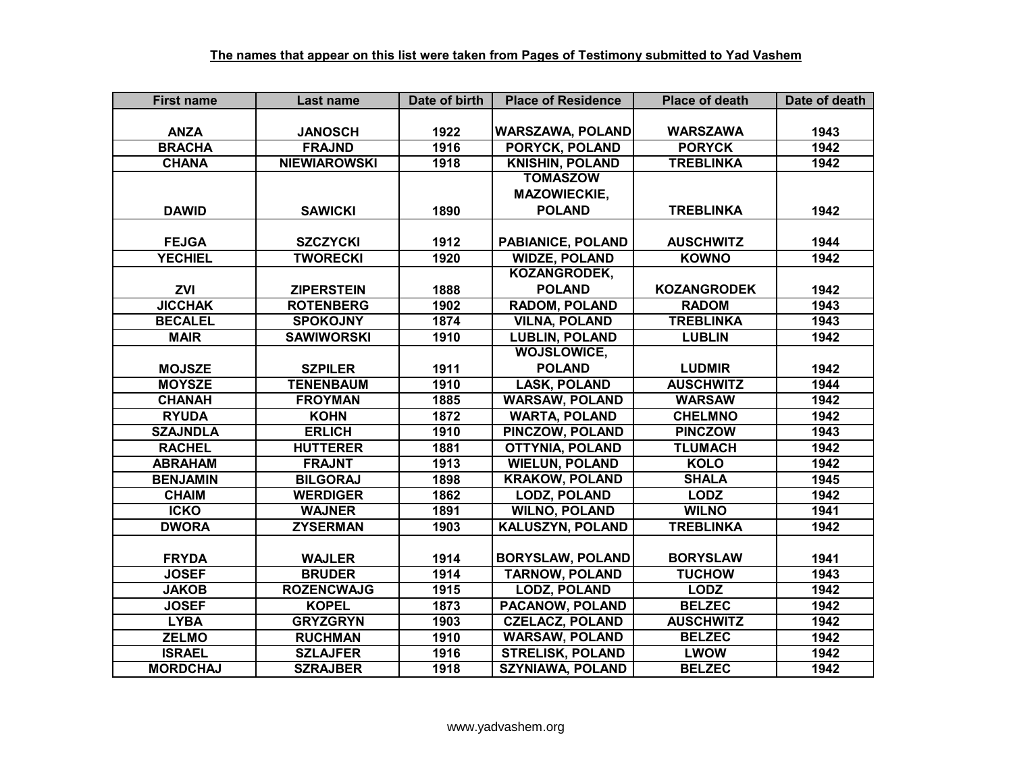| <b>First name</b> | Last name           | Date of birth | <b>Place of Residence</b> | <b>Place of death</b> | Date of death |
|-------------------|---------------------|---------------|---------------------------|-----------------------|---------------|
|                   |                     |               |                           |                       |               |
| <b>ANZA</b>       | <b>JANOSCH</b>      | 1922          | <b>WARSZAWA, POLAND</b>   | <b>WARSZAWA</b>       | 1943          |
| <b>BRACHA</b>     | <b>FRAJND</b>       | 1916          | <b>PORYCK, POLAND</b>     | <b>PORYCK</b>         | 1942          |
| <b>CHANA</b>      | <b>NIEWIAROWSKI</b> | 1918          | <b>KNISHIN, POLAND</b>    | <b>TREBLINKA</b>      | 1942          |
|                   |                     |               | <b>TOMASZOW</b>           |                       |               |
|                   |                     |               | <b>MAZOWIECKIE,</b>       |                       |               |
| <b>DAWID</b>      | <b>SAWICKI</b>      | 1890          | <b>POLAND</b>             | <b>TREBLINKA</b>      | 1942          |
|                   |                     |               |                           |                       |               |
| <b>FEJGA</b>      | <b>SZCZYCKI</b>     | 1912          | PABIANICE, POLAND         | <b>AUSCHWITZ</b>      | 1944          |
| <b>YECHIEL</b>    | <b>TWORECKI</b>     | 1920          | <b>WIDZE, POLAND</b>      | <b>KOWNO</b>          | 1942          |
|                   |                     |               | KOZANGRODEK,              |                       |               |
| <b>ZVI</b>        | <b>ZIPERSTEIN</b>   | 1888          | <b>POLAND</b>             | <b>KOZANGRODEK</b>    | 1942          |
| <b>JICCHAK</b>    | <b>ROTENBERG</b>    | 1902          | <b>RADOM, POLAND</b>      | <b>RADOM</b>          | 1943          |
| <b>BECALEL</b>    | <b>SPOKOJNY</b>     | 1874          | <b>VILNA, POLAND</b>      | <b>TREBLINKA</b>      | 1943          |
| <b>MAIR</b>       | <b>SAWIWORSKI</b>   | 1910          | <b>LUBLIN, POLAND</b>     | <b>LUBLIN</b>         | 1942          |
|                   |                     |               | <b>WOJSLOWICE,</b>        |                       |               |
| <b>MOJSZE</b>     | <b>SZPILER</b>      | 1911          | <b>POLAND</b>             | <b>LUDMIR</b>         | 1942          |
| <b>MOYSZE</b>     | <b>TENENBAUM</b>    | 1910          | <b>LASK, POLAND</b>       | <b>AUSCHWITZ</b>      | 1944          |
| <b>CHANAH</b>     | <b>FROYMAN</b>      | 1885          | <b>WARSAW, POLAND</b>     | <b>WARSAW</b>         | 1942          |
| <b>RYUDA</b>      | <b>KOHN</b>         | 1872          | <b>WARTA, POLAND</b>      | <b>CHELMNO</b>        | 1942          |
| <b>SZAJNDLA</b>   | <b>ERLICH</b>       | 1910          | <b>PINCZOW, POLAND</b>    | <b>PINCZOW</b>        | 1943          |
| <b>RACHEL</b>     | <b>HUTTERER</b>     | 1881          | <b>OTTYNIA, POLAND</b>    | <b>TLUMACH</b>        | 1942          |
| <b>ABRAHAM</b>    | <b>FRAJNT</b>       | 1913          | <b>WIELUN, POLAND</b>     | <b>KOLO</b>           | 1942          |
| <b>BENJAMIN</b>   | <b>BILGORAJ</b>     | 1898          | <b>KRAKOW, POLAND</b>     | <b>SHALA</b>          | 1945          |
| <b>CHAIM</b>      | <b>WERDIGER</b>     | 1862          | <b>LODZ, POLAND</b>       | <b>LODZ</b>           | 1942          |
| <b>ICKO</b>       | <b>WAJNER</b>       | 1891          | <b>WILNO, POLAND</b>      | <b>WILNO</b>          | 1941          |
| <b>DWORA</b>      | <b>ZYSERMAN</b>     | 1903          | <b>KALUSZYN, POLAND</b>   | <b>TREBLINKA</b>      | 1942          |
|                   |                     |               |                           |                       |               |
| <b>FRYDA</b>      | <b>WAJLER</b>       | 1914          | <b>BORYSLAW, POLAND</b>   | <b>BORYSLAW</b>       | 1941          |
| <b>JOSEF</b>      | <b>BRUDER</b>       | 1914          | <b>TARNOW, POLAND</b>     | <b>TUCHOW</b>         | 1943          |
| <b>JAKOB</b>      | <b>ROZENCWAJG</b>   | 1915          | <b>LODZ, POLAND</b>       | <b>LODZ</b>           | 1942          |
| <b>JOSEF</b>      | <b>KOPEL</b>        | 1873          | PACANOW, POLAND           | <b>BELZEC</b>         | 1942          |
| <b>LYBA</b>       | <b>GRYZGRYN</b>     | 1903          | <b>CZELACZ, POLAND</b>    | <b>AUSCHWITZ</b>      | 1942          |
| <b>ZELMO</b>      | <b>RUCHMAN</b>      | 1910          | <b>WARSAW, POLAND</b>     | <b>BELZEC</b>         | 1942          |
| <b>ISRAEL</b>     | <b>SZLAJFER</b>     | 1916          | <b>STRELISK, POLAND</b>   | <b>LWOW</b>           | 1942          |
| <b>MORDCHAJ</b>   | <b>SZRAJBER</b>     | 1918          | <b>SZYNIAWA, POLAND</b>   | <b>BELZEC</b>         | 1942          |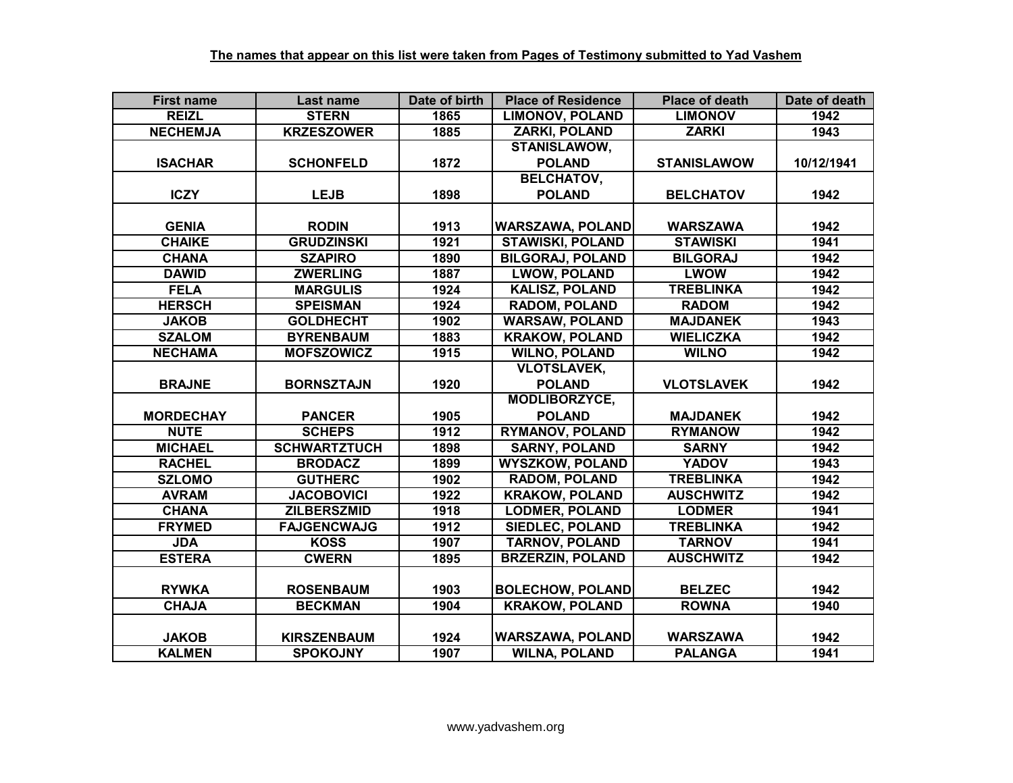| <b>First name</b> | Last name           | Date of birth | <b>Place of Residence</b> | <b>Place of death</b> | Date of death |
|-------------------|---------------------|---------------|---------------------------|-----------------------|---------------|
| <b>REIZL</b>      | <b>STERN</b>        | 1865          | <b>LIMONOV, POLAND</b>    | <b>LIMONOV</b>        | 1942          |
| <b>NECHEMJA</b>   | <b>KRZESZOWER</b>   | 1885          | <b>ZARKI, POLAND</b>      | <b>ZARKI</b>          | 1943          |
|                   |                     |               | <b>STANISLAWOW,</b>       |                       |               |
| <b>ISACHAR</b>    | <b>SCHONFELD</b>    | 1872          | <b>POLAND</b>             | <b>STANISLAWOW</b>    | 10/12/1941    |
|                   |                     |               | <b>BELCHATOV,</b>         |                       |               |
| <b>ICZY</b>       | <b>LEJB</b>         | 1898          | <b>POLAND</b>             | <b>BELCHATOV</b>      | 1942          |
|                   |                     |               |                           |                       |               |
| <b>GENIA</b>      | <b>RODIN</b>        | 1913          | <b>WARSZAWA, POLAND</b>   | <b>WARSZAWA</b>       | 1942          |
| <b>CHAIKE</b>     | <b>GRUDZINSKI</b>   | 1921          | <b>STAWISKI, POLAND</b>   | <b>STAWISKI</b>       | 1941          |
| <b>CHANA</b>      | <b>SZAPIRO</b>      | 1890          | <b>BILGORAJ, POLAND</b>   | <b>BILGORAJ</b>       | 1942          |
| <b>DAWID</b>      | <b>ZWERLING</b>     | 1887          | <b>LWOW, POLAND</b>       | <b>LWOW</b>           | 1942          |
| <b>FELA</b>       | <b>MARGULIS</b>     | 1924          | <b>KALISZ, POLAND</b>     | <b>TREBLINKA</b>      | 1942          |
| <b>HERSCH</b>     | <b>SPEISMAN</b>     | 1924          | <b>RADOM, POLAND</b>      | <b>RADOM</b>          | 1942          |
| <b>JAKOB</b>      | <b>GOLDHECHT</b>    | 1902          | <b>WARSAW, POLAND</b>     | <b>MAJDANEK</b>       | 1943          |
| <b>SZALOM</b>     | <b>BYRENBAUM</b>    | 1883          | <b>KRAKOW, POLAND</b>     | <b>WIELICZKA</b>      | 1942          |
| <b>NECHAMA</b>    | <b>MOFSZOWICZ</b>   | 1915          | <b>WILNO, POLAND</b>      | <b>WILNO</b>          | 1942          |
|                   |                     |               | <b>VLOTSLAVEK,</b>        |                       |               |
| <b>BRAJNE</b>     | <b>BORNSZTAJN</b>   | 1920          | <b>POLAND</b>             | <b>VLOTSLAVEK</b>     | 1942          |
|                   |                     |               | <b>MODLIBORZYCE,</b>      |                       |               |
| <b>MORDECHAY</b>  | <b>PANCER</b>       | 1905          | <b>POLAND</b>             | <b>MAJDANEK</b>       | 1942          |
| <b>NUTE</b>       | <b>SCHEPS</b>       | 1912          | <b>RYMANOV, POLAND</b>    | <b>RYMANOW</b>        | 1942          |
| <b>MICHAEL</b>    | <b>SCHWARTZTUCH</b> | 1898          | <b>SARNY, POLAND</b>      | <b>SARNY</b>          | 1942          |
| <b>RACHEL</b>     | <b>BRODACZ</b>      | 1899          | <b>WYSZKOW, POLAND</b>    | <b>YADOV</b>          | 1943          |
| <b>SZLOMO</b>     | <b>GUTHERC</b>      | 1902          | <b>RADOM, POLAND</b>      | <b>TREBLINKA</b>      | 1942          |
| <b>AVRAM</b>      | <b>JACOBOVICI</b>   | 1922          | <b>KRAKOW, POLAND</b>     | <b>AUSCHWITZ</b>      | 1942          |
| <b>CHANA</b>      | <b>ZILBERSZMID</b>  | 1918          | <b>LODMER, POLAND</b>     | <b>LODMER</b>         | 1941          |
| <b>FRYMED</b>     | <b>FAJGENCWAJG</b>  | 1912          | <b>SIEDLEC, POLAND</b>    | <b>TREBLINKA</b>      | 1942          |
| <b>JDA</b>        | <b>KOSS</b>         | 1907          | <b>TARNOV, POLAND</b>     | <b>TARNOV</b>         | 1941          |
| <b>ESTERA</b>     | <b>CWERN</b>        | 1895          | <b>BRZERZIN, POLAND</b>   | <b>AUSCHWITZ</b>      | 1942          |
|                   |                     |               |                           |                       |               |
| <b>RYWKA</b>      | <b>ROSENBAUM</b>    | 1903          | <b>BOLECHOW, POLAND</b>   | <b>BELZEC</b>         | 1942          |
| <b>CHAJA</b>      | <b>BECKMAN</b>      | 1904          | <b>KRAKOW, POLAND</b>     | <b>ROWNA</b>          | 1940          |
|                   |                     |               |                           |                       |               |
| <b>JAKOB</b>      | <b>KIRSZENBAUM</b>  | 1924          | <b>WARSZAWA, POLAND</b>   | <b>WARSZAWA</b>       | 1942          |
| <b>KALMEN</b>     | <b>SPOKOJNY</b>     | 1907          | <b>WILNA, POLAND</b>      | <b>PALANGA</b>        | 1941          |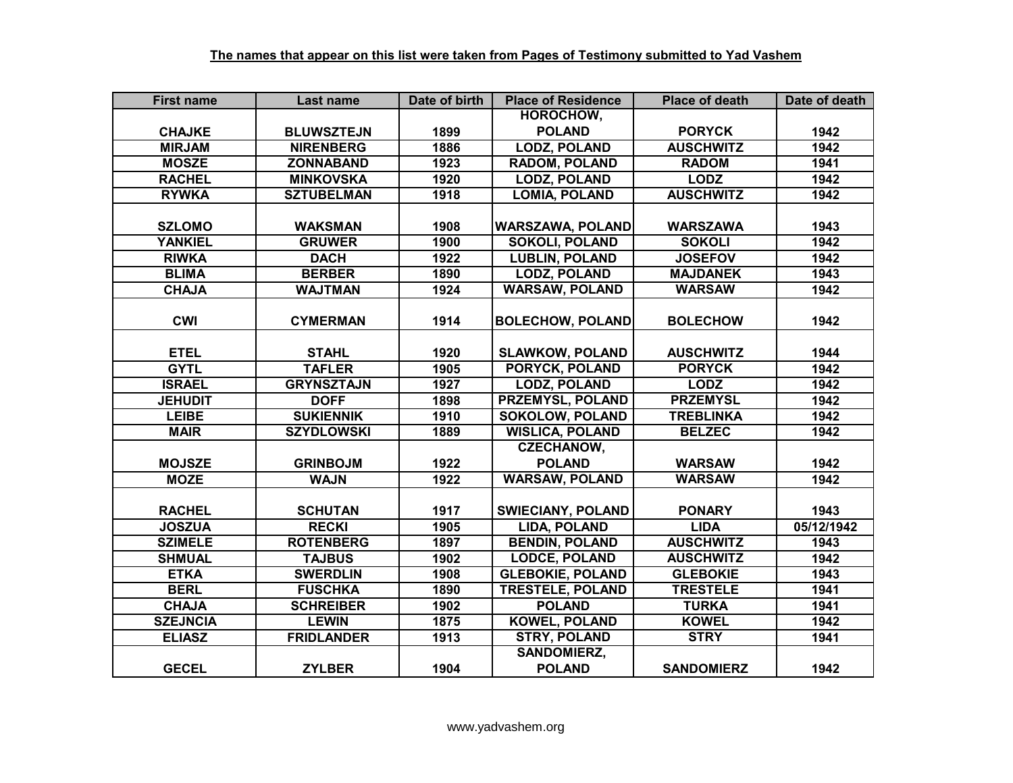| <b>First name</b> | Last name         | Date of birth | <b>Place of Residence</b> | <b>Place of death</b> | Date of death |
|-------------------|-------------------|---------------|---------------------------|-----------------------|---------------|
|                   |                   |               | HOROCHOW,                 |                       |               |
| <b>CHAJKE</b>     | <b>BLUWSZTEJN</b> | 1899          | <b>POLAND</b>             | <b>PORYCK</b>         | 1942          |
| <b>MIRJAM</b>     | <b>NIRENBERG</b>  | 1886          | <b>LODZ, POLAND</b>       | <b>AUSCHWITZ</b>      | 1942          |
| <b>MOSZE</b>      | <b>ZONNABAND</b>  | 1923          | <b>RADOM, POLAND</b>      | <b>RADOM</b>          | 1941          |
| <b>RACHEL</b>     | <b>MINKOVSKA</b>  | 1920          | <b>LODZ, POLAND</b>       | <b>LODZ</b>           | 1942          |
| <b>RYWKA</b>      | <b>SZTUBELMAN</b> | 1918          | <b>LOMIA, POLAND</b>      | <b>AUSCHWITZ</b>      | 1942          |
|                   |                   |               |                           |                       |               |
| <b>SZLOMO</b>     | <b>WAKSMAN</b>    | 1908          | <b>WARSZAWA, POLAND</b>   | <b>WARSZAWA</b>       | 1943          |
| <b>YANKIEL</b>    | <b>GRUWER</b>     | 1900          | <b>SOKOLI, POLAND</b>     | <b>SOKOLI</b>         | 1942          |
| <b>RIWKA</b>      | <b>DACH</b>       | 1922          | <b>LUBLIN, POLAND</b>     | <b>JOSEFOV</b>        | 1942          |
| <b>BLIMA</b>      | <b>BERBER</b>     | 1890          | <b>LODZ, POLAND</b>       | <b>MAJDANEK</b>       | 1943          |
| <b>CHAJA</b>      | <b>WAJTMAN</b>    | 1924          | <b>WARSAW, POLAND</b>     | <b>WARSAW</b>         | 1942          |
|                   |                   |               |                           |                       |               |
| <b>CWI</b>        | <b>CYMERMAN</b>   | 1914          | <b>BOLECHOW, POLAND</b>   | <b>BOLECHOW</b>       | 1942          |
|                   |                   |               |                           |                       |               |
| <b>ETEL</b>       | <b>STAHL</b>      | 1920          | <b>SLAWKOW, POLAND</b>    | <b>AUSCHWITZ</b>      | 1944          |
| <b>GYTL</b>       | <b>TAFLER</b>     | 1905          | <b>PORYCK, POLAND</b>     | <b>PORYCK</b>         | 1942          |
| <b>ISRAEL</b>     | <b>GRYNSZTAJN</b> | 1927          | <b>LODZ, POLAND</b>       | <b>LODZ</b>           | 1942          |
| <b>JEHUDIT</b>    | <b>DOFF</b>       | 1898          | <b>PRZEMYSL, POLAND</b>   | <b>PRZEMYSL</b>       | 1942          |
| <b>LEIBE</b>      | <b>SUKIENNIK</b>  | 1910          | <b>SOKOLOW, POLAND</b>    | <b>TREBLINKA</b>      | 1942          |
| <b>MAIR</b>       | <b>SZYDLOWSKI</b> | 1889          | <b>WISLICA, POLAND</b>    | <b>BELZEC</b>         | 1942          |
|                   |                   |               | <b>CZECHANOW,</b>         |                       |               |
| <b>MOJSZE</b>     | <b>GRINBOJM</b>   | 1922          | <b>POLAND</b>             | <b>WARSAW</b>         | 1942          |
| <b>MOZE</b>       | <b>WAJN</b>       | 1922          | <b>WARSAW, POLAND</b>     | <b>WARSAW</b>         | 1942          |
|                   |                   |               |                           |                       |               |
| <b>RACHEL</b>     | <b>SCHUTAN</b>    | 1917          | <b>SWIECIANY, POLAND</b>  | <b>PONARY</b>         | 1943          |
| <b>JOSZUA</b>     | <b>RECKI</b>      | 1905          | <b>LIDA, POLAND</b>       | <b>LIDA</b>           | 05/12/1942    |
| <b>SZIMELE</b>    | <b>ROTENBERG</b>  | 1897          | <b>BENDIN, POLAND</b>     | <b>AUSCHWITZ</b>      | 1943          |
| <b>SHMUAL</b>     | <b>TAJBUS</b>     | 1902          | <b>LODCE, POLAND</b>      | <b>AUSCHWITZ</b>      | 1942          |
| <b>ETKA</b>       | <b>SWERDLIN</b>   | 1908          | <b>GLEBOKIE, POLAND</b>   | <b>GLEBOKIE</b>       | 1943          |
| <b>BERL</b>       | <b>FUSCHKA</b>    | 1890          | <b>TRESTELE, POLAND</b>   | <b>TRESTELE</b>       | 1941          |
| <b>CHAJA</b>      | <b>SCHREIBER</b>  | 1902          | <b>POLAND</b>             | <b>TURKA</b>          | 1941          |
| <b>SZEJNCIA</b>   | <b>LEWIN</b>      | 1875          | <b>KOWEL, POLAND</b>      | <b>KOWEL</b>          | 1942          |
| <b>ELIASZ</b>     | <b>FRIDLANDER</b> | 1913          | <b>STRY, POLAND</b>       | <b>STRY</b>           | 1941          |
|                   |                   |               | <b>SANDOMIERZ,</b>        |                       |               |
| <b>GECEL</b>      | <b>ZYLBER</b>     | 1904          | <b>POLAND</b>             | <b>SANDOMIERZ</b>     | 1942          |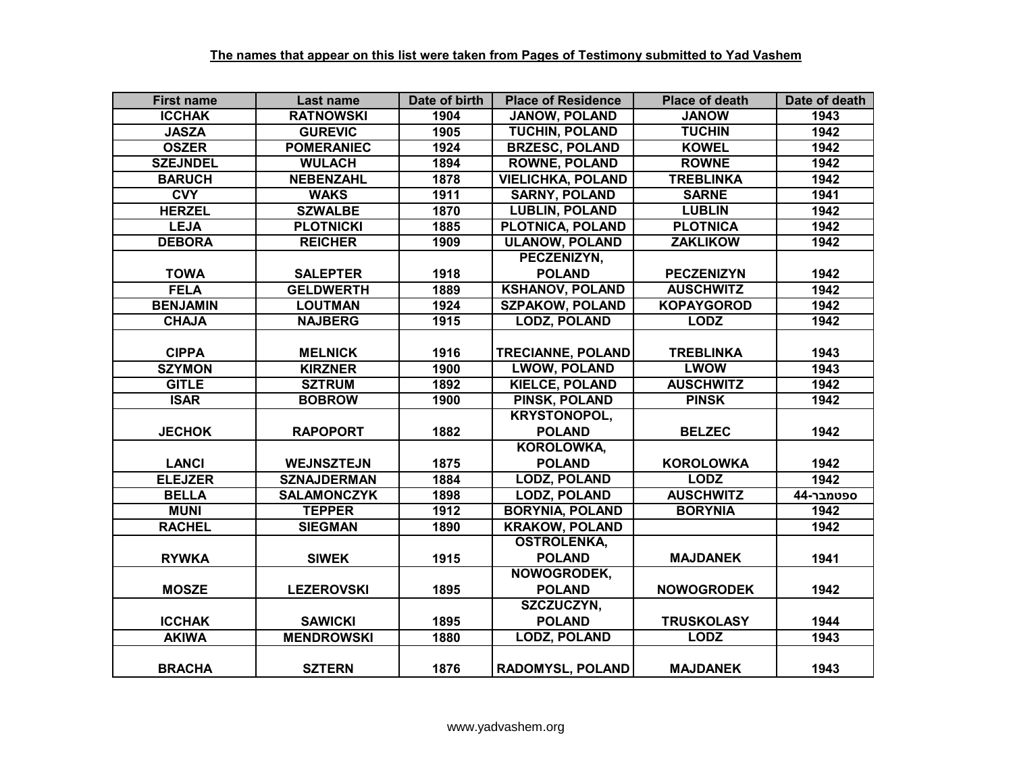| <b>First name</b> | Last name          | Date of birth | <b>Place of Residence</b> | <b>Place of death</b> | Date of death |
|-------------------|--------------------|---------------|---------------------------|-----------------------|---------------|
| <b>ICCHAK</b>     | <b>RATNOWSKI</b>   | 1904          | <b>JANOW, POLAND</b>      | <b>JANOW</b>          | 1943          |
| <b>JASZA</b>      | <b>GUREVIC</b>     | 1905          | <b>TUCHIN, POLAND</b>     | <b>TUCHIN</b>         | 1942          |
| <b>OSZER</b>      | <b>POMERANIEC</b>  | 1924          | <b>BRZESC, POLAND</b>     | <b>KOWEL</b>          | 1942          |
| <b>SZEJNDEL</b>   | <b>WULACH</b>      | 1894          | <b>ROWNE, POLAND</b>      | <b>ROWNE</b>          | 1942          |
| <b>BARUCH</b>     | <b>NEBENZAHL</b>   | 1878          | <b>VIELICHKA, POLAND</b>  | <b>TREBLINKA</b>      | 1942          |
| <b>CVY</b>        | <b>WAKS</b>        | 1911          | <b>SARNY, POLAND</b>      | <b>SARNE</b>          | 1941          |
| <b>HERZEL</b>     | <b>SZWALBE</b>     | 1870          | <b>LUBLIN, POLAND</b>     | <b>LUBLIN</b>         | 1942          |
| <b>LEJA</b>       | <b>PLOTNICKI</b>   | 1885          | PLOTNICA, POLAND          | <b>PLOTNICA</b>       | 1942          |
| <b>DEBORA</b>     | <b>REICHER</b>     | 1909          | <b>ULANOW, POLAND</b>     | <b>ZAKLIKOW</b>       | 1942          |
|                   |                    |               | PECZENIZYN,               |                       |               |
| <b>TOWA</b>       | <b>SALEPTER</b>    | 1918          | <b>POLAND</b>             | <b>PECZENIZYN</b>     | 1942          |
| <b>FELA</b>       | <b>GELDWERTH</b>   | 1889          | <b>KSHANOV, POLAND</b>    | <b>AUSCHWITZ</b>      | 1942          |
| <b>BENJAMIN</b>   | <b>LOUTMAN</b>     | 1924          | <b>SZPAKOW, POLAND</b>    | <b>KOPAYGOROD</b>     | 1942          |
| <b>CHAJA</b>      | <b>NAJBERG</b>     | 1915          | <b>LODZ, POLAND</b>       | <b>LODZ</b>           | 1942          |
|                   |                    |               |                           |                       |               |
| <b>CIPPA</b>      | <b>MELNICK</b>     | 1916          | <b>TRECIANNE, POLAND</b>  | <b>TREBLINKA</b>      | 1943          |
| <b>SZYMON</b>     | <b>KIRZNER</b>     | 1900          | <b>LWOW, POLAND</b>       | <b>LWOW</b>           | 1943          |
| <b>GITLE</b>      | <b>SZTRUM</b>      | 1892          | <b>KIELCE, POLAND</b>     | <b>AUSCHWITZ</b>      | 1942          |
| <b>ISAR</b>       | <b>BOBROW</b>      | 1900          | PINSK, POLAND             | <b>PINSK</b>          | 1942          |
|                   |                    |               | <b>KRYSTONOPOL,</b>       |                       |               |
| <b>JECHOK</b>     | <b>RAPOPORT</b>    | 1882          | <b>POLAND</b>             | <b>BELZEC</b>         | 1942          |
|                   |                    |               | <b>KOROLOWKA,</b>         |                       |               |
| <b>LANCI</b>      | <b>WEJNSZTEJN</b>  | 1875          | <b>POLAND</b>             | <b>KOROLOWKA</b>      | 1942          |
| <b>ELEJZER</b>    | <b>SZNAJDERMAN</b> | 1884          | <b>LODZ, POLAND</b>       | <b>LODZ</b>           | 1942          |
| <b>BELLA</b>      | <b>SALAMONCZYK</b> | 1898          | <b>LODZ, POLAND</b>       | <b>AUSCHWITZ</b>      | 44-ספטמבר     |
| <b>MUNI</b>       | <b>TEPPER</b>      | 1912          | <b>BORYNIA, POLAND</b>    | <b>BORYNIA</b>        | 1942          |
| <b>RACHEL</b>     | <b>SIEGMAN</b>     | 1890          | <b>KRAKOW, POLAND</b>     |                       | 1942          |
|                   |                    |               | <b>OSTROLENKA,</b>        |                       |               |
| <b>RYWKA</b>      | <b>SIWEK</b>       | 1915          | <b>POLAND</b>             | <b>MAJDANEK</b>       | 1941          |
|                   |                    |               | NOWOGRODEK,               |                       |               |
| <b>MOSZE</b>      | <b>LEZEROVSKI</b>  | 1895          | <b>POLAND</b>             | <b>NOWOGRODEK</b>     | 1942          |
|                   |                    |               | SZCZUCZYN,                |                       |               |
| <b>ICCHAK</b>     | <b>SAWICKI</b>     | 1895          | <b>POLAND</b>             | <b>TRUSKOLASY</b>     | 1944          |
| <b>AKIWA</b>      | <b>MENDROWSKI</b>  | 1880          | <b>LODZ, POLAND</b>       | <b>LODZ</b>           | 1943          |
|                   |                    |               |                           |                       |               |
| <b>BRACHA</b>     | <b>SZTERN</b>      | 1876          | RADOMYSL, POLAND          | <b>MAJDANEK</b>       | 1943          |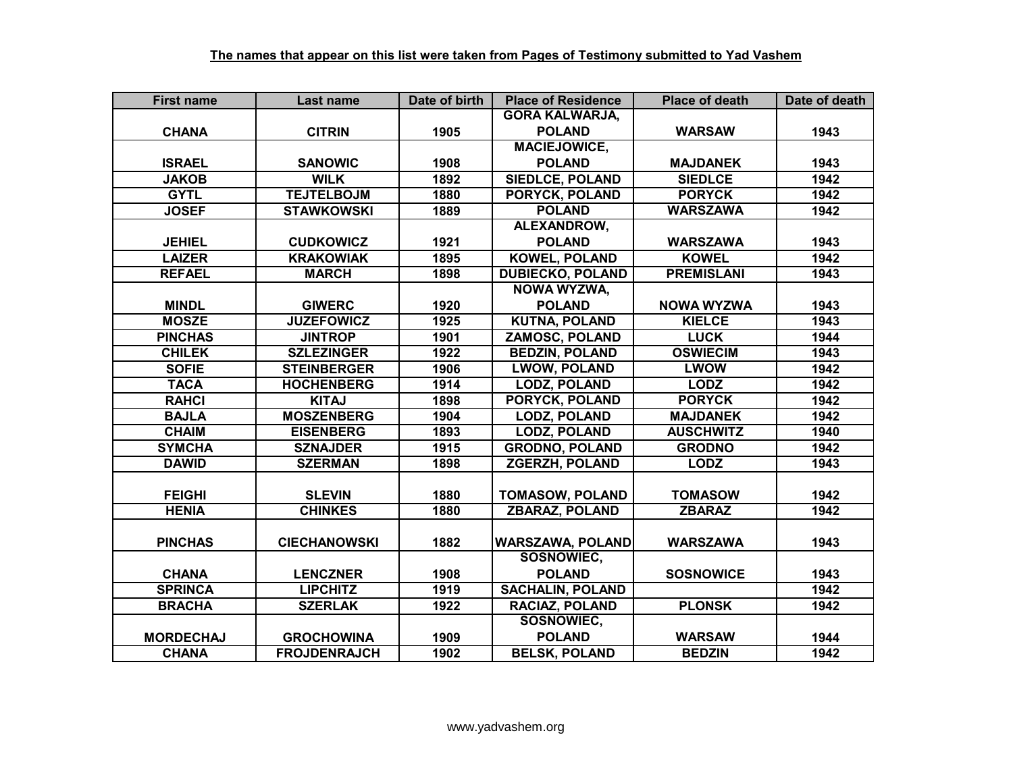| <b>First name</b> | Last name           | Date of birth | <b>Place of Residence</b> | <b>Place of death</b> | Date of death |
|-------------------|---------------------|---------------|---------------------------|-----------------------|---------------|
|                   |                     |               | <b>GORA KALWARJA,</b>     |                       |               |
| <b>CHANA</b>      | <b>CITRIN</b>       | 1905          | <b>POLAND</b>             | <b>WARSAW</b>         | 1943          |
|                   |                     |               | <b>MACIEJOWICE,</b>       |                       |               |
| <b>ISRAEL</b>     | <b>SANOWIC</b>      | 1908          | <b>POLAND</b>             | <b>MAJDANEK</b>       | 1943          |
| <b>JAKOB</b>      | <b>WILK</b>         | 1892          | <b>SIEDLCE, POLAND</b>    | <b>SIEDLCE</b>        | 1942          |
| <b>GYTL</b>       | <b>TEJTELBOJM</b>   | 1880          | <b>PORYCK, POLAND</b>     | <b>PORYCK</b>         | 1942          |
| <b>JOSEF</b>      | <b>STAWKOWSKI</b>   | 1889          | <b>POLAND</b>             | <b>WARSZAWA</b>       | 1942          |
|                   |                     |               | ALEXANDROW,               |                       |               |
| <b>JEHIEL</b>     | <b>CUDKOWICZ</b>    | 1921          | <b>POLAND</b>             | <b>WARSZAWA</b>       | 1943          |
| <b>LAIZER</b>     | <b>KRAKOWIAK</b>    | 1895          | <b>KOWEL, POLAND</b>      | <b>KOWEL</b>          | 1942          |
| <b>REFAEL</b>     | <b>MARCH</b>        | 1898          | <b>DUBIECKO, POLAND</b>   | <b>PREMISLANI</b>     | 1943          |
|                   |                     |               | <b>NOWA WYZWA,</b>        |                       |               |
| <b>MINDL</b>      | <b>GIWERC</b>       | 1920          | <b>POLAND</b>             | <b>NOWA WYZWA</b>     | 1943          |
| <b>MOSZE</b>      | <b>JUZEFOWICZ</b>   | 1925          | <b>KUTNA, POLAND</b>      | <b>KIELCE</b>         | 1943          |
| <b>PINCHAS</b>    | <b>JINTROP</b>      | 1901          | ZAMOSC, POLAND            | <b>LUCK</b>           | 1944          |
| <b>CHILEK</b>     | <b>SZLEZINGER</b>   | 1922          | <b>BEDZIN, POLAND</b>     | <b>OSWIECIM</b>       | 1943          |
| <b>SOFIE</b>      | <b>STEINBERGER</b>  | 1906          | <b>LWOW, POLAND</b>       | <b>LWOW</b>           | 1942          |
| <b>TACA</b>       | <b>HOCHENBERG</b>   | 1914          | <b>LODZ, POLAND</b>       | <b>LODZ</b>           | 1942          |
| <b>RAHCI</b>      | <b>KITAJ</b>        | 1898          | PORYCK, POLAND            | <b>PORYCK</b>         | 1942          |
| <b>BAJLA</b>      | <b>MOSZENBERG</b>   | 1904          | <b>LODZ, POLAND</b>       | <b>MAJDANEK</b>       | 1942          |
| <b>CHAIM</b>      | <b>EISENBERG</b>    | 1893          | <b>LODZ, POLAND</b>       | <b>AUSCHWITZ</b>      | 1940          |
| <b>SYMCHA</b>     | <b>SZNAJDER</b>     | 1915          | <b>GRODNO, POLAND</b>     | <b>GRODNO</b>         | 1942          |
| <b>DAWID</b>      | <b>SZERMAN</b>      | 1898          | <b>ZGERZH, POLAND</b>     | <b>LODZ</b>           | 1943          |
|                   |                     |               |                           |                       |               |
| <b>FEIGHI</b>     | <b>SLEVIN</b>       | 1880          | <b>TOMASOW, POLAND</b>    | <b>TOMASOW</b>        | 1942          |
| <b>HENIA</b>      | <b>CHINKES</b>      | 1880          | <b>ZBARAZ, POLAND</b>     | <b>ZBARAZ</b>         | 1942          |
|                   |                     |               |                           |                       |               |
| <b>PINCHAS</b>    | <b>CIECHANOWSKI</b> | 1882          | <b>WARSZAWA, POLAND</b>   | <b>WARSZAWA</b>       | 1943          |
|                   |                     |               | <b>SOSNOWIEC.</b>         |                       |               |
| <b>CHANA</b>      | <b>LENCZNER</b>     | 1908          | <b>POLAND</b>             | <b>SOSNOWICE</b>      | 1943          |
| <b>SPRINCA</b>    | <b>LIPCHITZ</b>     | 1919          | <b>SACHALIN, POLAND</b>   |                       | 1942          |
| <b>BRACHA</b>     | <b>SZERLAK</b>      | 1922          | <b>RACIAZ, POLAND</b>     | <b>PLONSK</b>         | 1942          |
|                   |                     |               | SOSNOWIEC,                |                       |               |
| <b>MORDECHAJ</b>  | <b>GROCHOWINA</b>   | 1909          | <b>POLAND</b>             | <b>WARSAW</b>         | 1944          |
| <b>CHANA</b>      | <b>FROJDENRAJCH</b> | 1902          | <b>BELSK, POLAND</b>      | <b>BEDZIN</b>         | 1942          |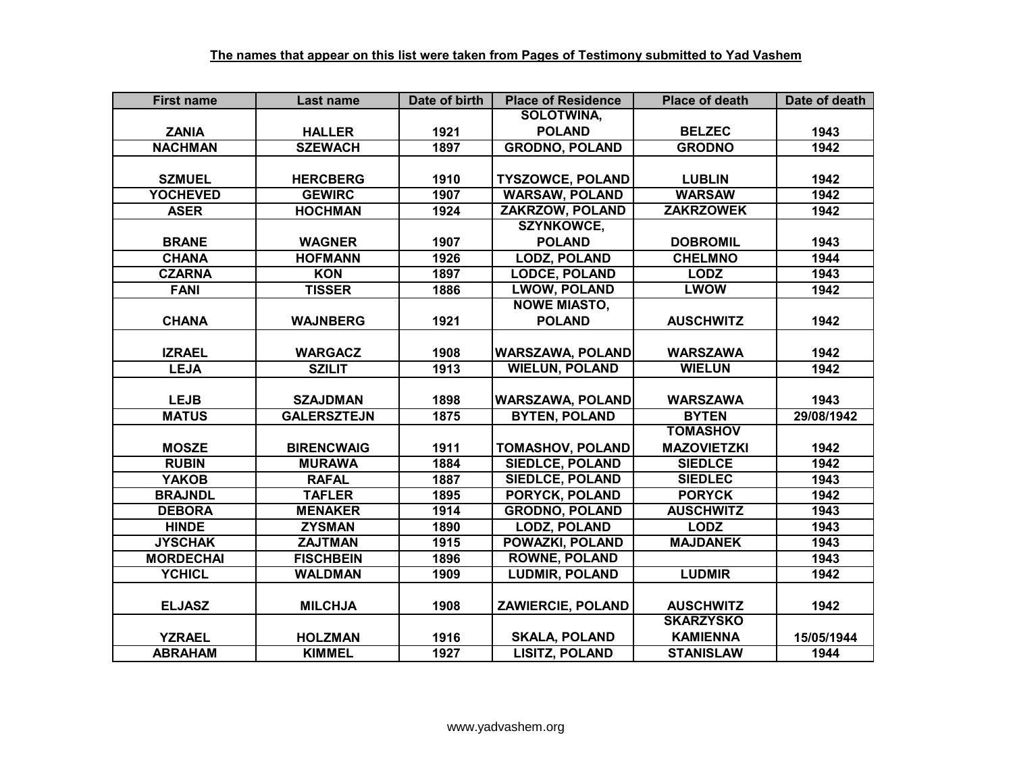| <b>First name</b> | Last name          | Date of birth | <b>Place of Residence</b> | <b>Place of death</b> | Date of death |
|-------------------|--------------------|---------------|---------------------------|-----------------------|---------------|
|                   |                    |               | <b>SOLOTWINA.</b>         |                       |               |
| <b>ZANIA</b>      | <b>HALLER</b>      | 1921          | <b>POLAND</b>             | <b>BELZEC</b>         | 1943          |
| <b>NACHMAN</b>    | <b>SZEWACH</b>     | 1897          | <b>GRODNO, POLAND</b>     | <b>GRODNO</b>         | 1942          |
|                   |                    |               |                           |                       |               |
| <b>SZMUEL</b>     | <b>HERCBERG</b>    | 1910          | <b>TYSZOWCE, POLAND</b>   | <b>LUBLIN</b>         | 1942          |
| <b>YOCHEVED</b>   | <b>GEWIRC</b>      | 1907          | <b>WARSAW, POLAND</b>     | <b>WARSAW</b>         | 1942          |
| <b>ASER</b>       | <b>HOCHMAN</b>     | 1924          | <b>ZAKRZOW, POLAND</b>    | <b>ZAKRZOWEK</b>      | 1942          |
|                   |                    |               | <b>SZYNKOWCE,</b>         |                       |               |
| <b>BRANE</b>      | <b>WAGNER</b>      | 1907          | <b>POLAND</b>             | <b>DOBROMIL</b>       | 1943          |
| <b>CHANA</b>      | <b>HOFMANN</b>     | 1926          | <b>LODZ, POLAND</b>       | <b>CHELMNO</b>        | 1944          |
| <b>CZARNA</b>     | <b>KON</b>         | 1897          | <b>LODCE, POLAND</b>      | <b>LODZ</b>           | 1943          |
| <b>FANI</b>       | <b>TISSER</b>      | 1886          | <b>LWOW, POLAND</b>       | <b>LWOW</b>           | 1942          |
|                   |                    |               | <b>NOWE MIASTO,</b>       |                       |               |
| <b>CHANA</b>      | <b>WAJNBERG</b>    | 1921          | <b>POLAND</b>             | <b>AUSCHWITZ</b>      | 1942          |
|                   |                    |               |                           |                       |               |
| <b>IZRAEL</b>     | <b>WARGACZ</b>     | 1908          | <b>WARSZAWA, POLAND</b>   | <b>WARSZAWA</b>       | 1942          |
| <b>LEJA</b>       | <b>SZILIT</b>      | 1913          | <b>WIELUN, POLAND</b>     | <b>WIELUN</b>         | 1942          |
|                   |                    |               |                           |                       |               |
| <b>LEJB</b>       | <b>SZAJDMAN</b>    | 1898          | <b>WARSZAWA, POLAND</b>   | <b>WARSZAWA</b>       | 1943          |
| <b>MATUS</b>      | <b>GALERSZTEJN</b> | 1875          | <b>BYTEN, POLAND</b>      | <b>BYTEN</b>          | 29/08/1942    |
|                   |                    |               |                           | <b>TOMASHOV</b>       |               |
| <b>MOSZE</b>      | <b>BIRENCWAIG</b>  | 1911          | <b>TOMASHOV, POLAND</b>   | <b>MAZOVIETZKI</b>    | 1942          |
| <b>RUBIN</b>      | <b>MURAWA</b>      | 1884          | <b>SIEDLCE, POLAND</b>    | <b>SIEDLCE</b>        | 1942          |
| <b>YAKOB</b>      | <b>RAFAL</b>       | 1887          | <b>SIEDLCE, POLAND</b>    | <b>SIEDLEC</b>        | 1943          |
| <b>BRAJNDL</b>    | <b>TAFLER</b>      | 1895          | <b>PORYCK, POLAND</b>     | <b>PORYCK</b>         | 1942          |
| <b>DEBORA</b>     | <b>MENAKER</b>     | 1914          | <b>GRODNO, POLAND</b>     | <b>AUSCHWITZ</b>      | 1943          |
| <b>HINDE</b>      | <b>ZYSMAN</b>      | 1890          | <b>LODZ, POLAND</b>       | <b>LODZ</b>           | 1943          |
| <b>JYSCHAK</b>    | <b>ZAJTMAN</b>     | 1915          | POWAZKI, POLAND           | <b>MAJDANEK</b>       | 1943          |
| <b>MORDECHAI</b>  | <b>FISCHBEIN</b>   | 1896          | <b>ROWNE, POLAND</b>      |                       | 1943          |
| <b>YCHICL</b>     | <b>WALDMAN</b>     | 1909          | <b>LUDMIR, POLAND</b>     | <b>LUDMIR</b>         | 1942          |
|                   |                    |               |                           |                       |               |
| <b>ELJASZ</b>     | <b>MILCHJA</b>     | 1908          | ZAWIERCIE, POLAND         | <b>AUSCHWITZ</b>      | 1942          |
|                   |                    |               |                           | <b>SKARZYSKO</b>      |               |
| <b>YZRAEL</b>     | <b>HOLZMAN</b>     | 1916          | <b>SKALA, POLAND</b>      | <b>KAMIENNA</b>       | 15/05/1944    |
| <b>ABRAHAM</b>    | <b>KIMMEL</b>      | 1927          | <b>LISITZ, POLAND</b>     | <b>STANISLAW</b>      | 1944          |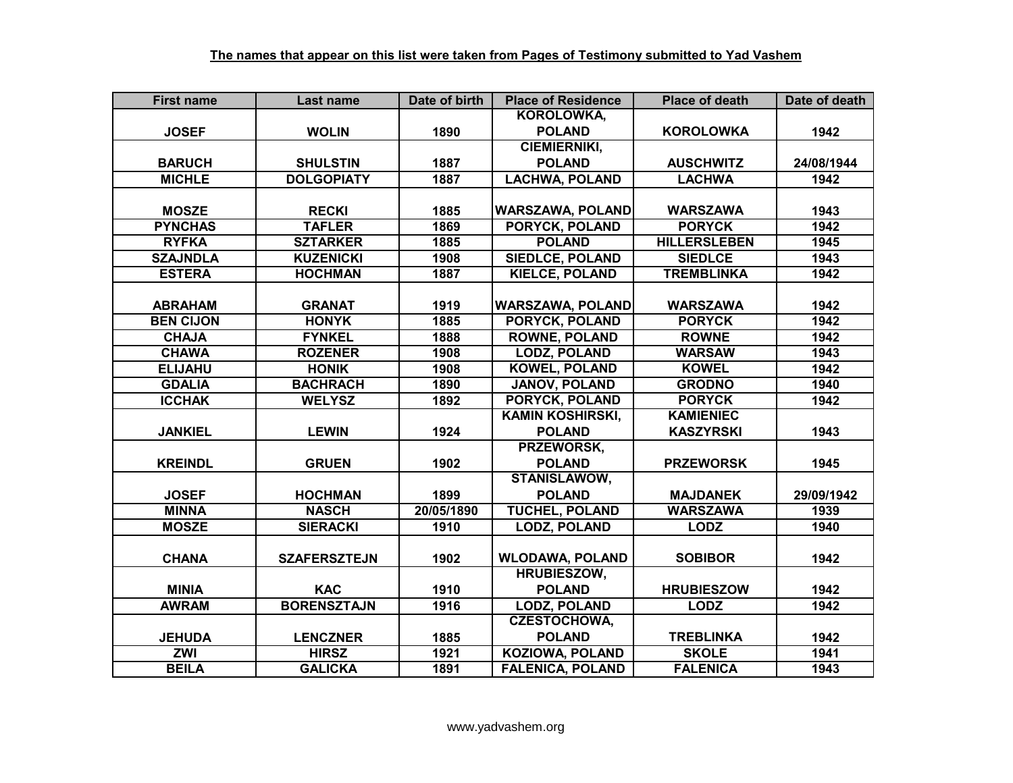| <b>First name</b> | Last name           | Date of birth | <b>Place of Residence</b> | <b>Place of death</b> | Date of death |
|-------------------|---------------------|---------------|---------------------------|-----------------------|---------------|
|                   |                     |               | <b>KOROLOWKA,</b>         |                       |               |
| <b>JOSEF</b>      | <b>WOLIN</b>        | 1890          | <b>POLAND</b>             | <b>KOROLOWKA</b>      | 1942          |
|                   |                     |               | <b>CIEMIERNIKI,</b>       |                       |               |
| <b>BARUCH</b>     | <b>SHULSTIN</b>     | 1887          | <b>POLAND</b>             | <b>AUSCHWITZ</b>      | 24/08/1944    |
| <b>MICHLE</b>     | <b>DOLGOPIATY</b>   | 1887          | <b>LACHWA, POLAND</b>     | <b>LACHWA</b>         | 1942          |
|                   |                     |               |                           |                       |               |
| <b>MOSZE</b>      | <b>RECKI</b>        | 1885          | <b>WARSZAWA, POLAND</b>   | <b>WARSZAWA</b>       | 1943          |
| <b>PYNCHAS</b>    | <b>TAFLER</b>       | 1869          | PORYCK, POLAND            | <b>PORYCK</b>         | 1942          |
| <b>RYFKA</b>      | <b>SZTARKER</b>     | 1885          | <b>POLAND</b>             | <b>HILLERSLEBEN</b>   | 1945          |
| <b>SZAJNDLA</b>   | <b>KUZENICKI</b>    | 1908          | <b>SIEDLCE, POLAND</b>    | <b>SIEDLCE</b>        | 1943          |
| <b>ESTERA</b>     | <b>HOCHMAN</b>      | 1887          | <b>KIELCE, POLAND</b>     | <b>TREMBLINKA</b>     | 1942          |
|                   |                     |               |                           |                       |               |
| <b>ABRAHAM</b>    | <b>GRANAT</b>       | 1919          | <b>WARSZAWA, POLAND</b>   | <b>WARSZAWA</b>       | 1942          |
| <b>BEN CIJON</b>  | <b>HONYK</b>        | 1885          | PORYCK, POLAND            | <b>PORYCK</b>         | 1942          |
| <b>CHAJA</b>      | <b>FYNKEL</b>       | 1888          | <b>ROWNE, POLAND</b>      | <b>ROWNE</b>          | 1942          |
| <b>CHAWA</b>      | <b>ROZENER</b>      | 1908          | <b>LODZ, POLAND</b>       | <b>WARSAW</b>         | 1943          |
| <b>ELIJAHU</b>    | <b>HONIK</b>        | 1908          | <b>KOWEL, POLAND</b>      | <b>KOWEL</b>          | 1942          |
| <b>GDALIA</b>     | <b>BACHRACH</b>     | 1890          | JANOV, POLAND             | <b>GRODNO</b>         | 1940          |
| <b>ICCHAK</b>     | <b>WELYSZ</b>       | 1892          | PORYCK, POLAND            | <b>PORYCK</b>         | 1942          |
|                   |                     |               | <b>KAMIN KOSHIRSKI,</b>   | <b>KAMIENIEC</b>      |               |
| <b>JANKIEL</b>    | <b>LEWIN</b>        | 1924          | <b>POLAND</b>             | <b>KASZYRSKI</b>      | 1943          |
|                   |                     |               | PRZEWORSK,                |                       |               |
| <b>KREINDL</b>    | <b>GRUEN</b>        | 1902          | <b>POLAND</b>             | <b>PRZEWORSK</b>      | 1945          |
|                   |                     |               | <b>STANISLAWOW,</b>       |                       |               |
| <b>JOSEF</b>      | <b>HOCHMAN</b>      | 1899          | <b>POLAND</b>             | <b>MAJDANEK</b>       | 29/09/1942    |
| <b>MINNA</b>      | <b>NASCH</b>        | 20/05/1890    | <b>TUCHEL, POLAND</b>     | <b>WARSZAWA</b>       | 1939          |
| <b>MOSZE</b>      | <b>SIERACKI</b>     | 1910          | <b>LODZ, POLAND</b>       | <b>LODZ</b>           | 1940          |
|                   |                     |               |                           |                       |               |
| <b>CHANA</b>      | <b>SZAFERSZTEJN</b> | 1902          | <b>WLODAWA, POLAND</b>    | <b>SOBIBOR</b>        | 1942          |
|                   |                     |               | <b>HRUBIESZOW,</b>        |                       |               |
| <b>MINIA</b>      | <b>KAC</b>          | 1910          | <b>POLAND</b>             | <b>HRUBIESZOW</b>     | 1942          |
| <b>AWRAM</b>      | <b>BORENSZTAJN</b>  | 1916          | <b>LODZ, POLAND</b>       | <b>LODZ</b>           | 1942          |
|                   |                     |               | <b>CZESTOCHOWA,</b>       |                       |               |
| <b>JEHUDA</b>     | <b>LENCZNER</b>     | 1885          | <b>POLAND</b>             | <b>TREBLINKA</b>      | 1942          |
| <b>ZWI</b>        | <b>HIRSZ</b>        | 1921          | <b>KOZIOWA, POLAND</b>    | <b>SKOLE</b>          | 1941          |
| <b>BEILA</b>      | <b>GALICKA</b>      | 1891          | <b>FALENICA, POLAND</b>   | <b>FALENICA</b>       | 1943          |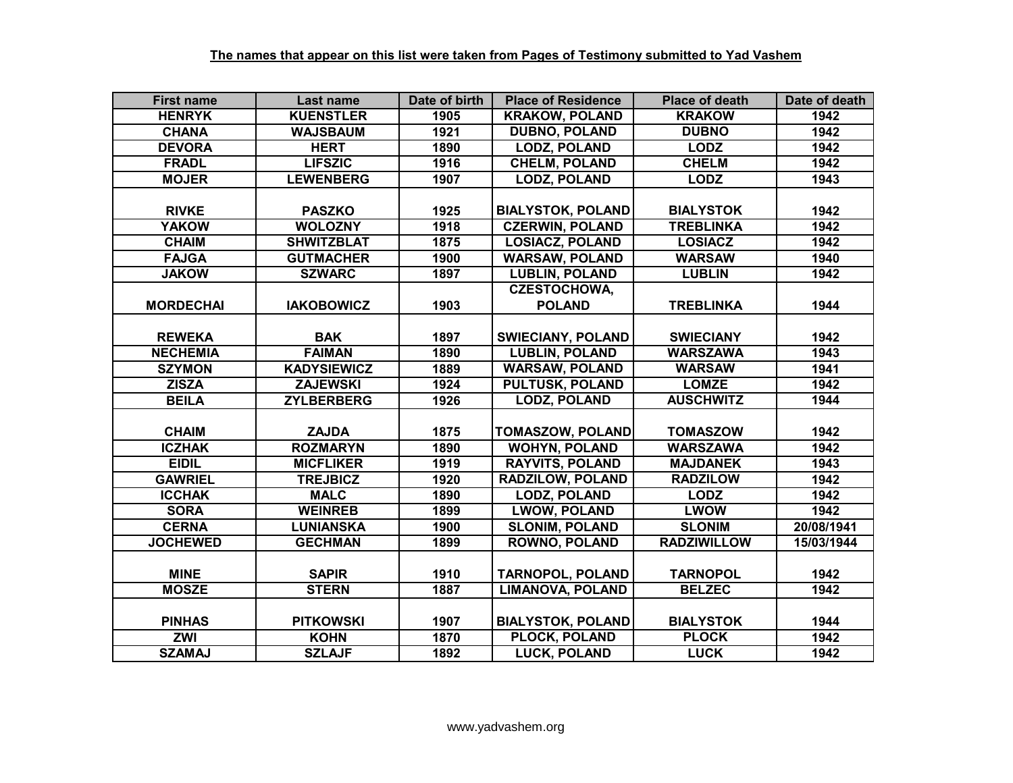| <b>First name</b> | Last name          | Date of birth | <b>Place of Residence</b> | <b>Place of death</b> | Date of death |
|-------------------|--------------------|---------------|---------------------------|-----------------------|---------------|
| <b>HENRYK</b>     | <b>KUENSTLER</b>   | 1905          | <b>KRAKOW, POLAND</b>     | <b>KRAKOW</b>         | 1942          |
| <b>CHANA</b>      | <b>WAJSBAUM</b>    | 1921          | <b>DUBNO, POLAND</b>      | <b>DUBNO</b>          | 1942          |
| <b>DEVORA</b>     | <b>HERT</b>        | 1890          | <b>LODZ, POLAND</b>       | <b>LODZ</b>           | 1942          |
| <b>FRADL</b>      | <b>LIFSZIC</b>     | 1916          | <b>CHELM, POLAND</b>      | <b>CHELM</b>          | 1942          |
| <b>MOJER</b>      | <b>LEWENBERG</b>   | 1907          | <b>LODZ, POLAND</b>       | <b>LODZ</b>           | 1943          |
|                   |                    |               |                           |                       |               |
| <b>RIVKE</b>      | <b>PASZKO</b>      | 1925          | <b>BIALYSTOK, POLAND</b>  | <b>BIALYSTOK</b>      | 1942          |
| <b>YAKOW</b>      | <b>WOLOZNY</b>     | 1918          | <b>CZERWIN, POLAND</b>    | <b>TREBLINKA</b>      | 1942          |
| <b>CHAIM</b>      | <b>SHWITZBLAT</b>  | 1875          | <b>LOSIACZ, POLAND</b>    | <b>LOSIACZ</b>        | 1942          |
| <b>FAJGA</b>      | <b>GUTMACHER</b>   | 1900          | <b>WARSAW, POLAND</b>     | <b>WARSAW</b>         | 1940          |
| <b>JAKOW</b>      | <b>SZWARC</b>      | 1897          | <b>LUBLIN, POLAND</b>     | <b>LUBLIN</b>         | 1942          |
|                   |                    |               | <b>CZESTOCHOWA,</b>       |                       |               |
| <b>MORDECHAI</b>  | <b>IAKOBOWICZ</b>  | 1903          | <b>POLAND</b>             | <b>TREBLINKA</b>      | 1944          |
|                   |                    |               |                           |                       |               |
| <b>REWEKA</b>     | <b>BAK</b>         | 1897          | <b>SWIECIANY, POLAND</b>  | <b>SWIECIANY</b>      | 1942          |
| <b>NECHEMIA</b>   | <b>FAIMAN</b>      | 1890          | <b>LUBLIN, POLAND</b>     | <b>WARSZAWA</b>       | 1943          |
| <b>SZYMON</b>     | <b>KADYSIEWICZ</b> | 1889          | <b>WARSAW, POLAND</b>     | <b>WARSAW</b>         | 1941          |
| <b>ZISZA</b>      | <b>ZAJEWSKI</b>    | 1924          | <b>PULTUSK, POLAND</b>    | <b>LOMZE</b>          | 1942          |
| <b>BEILA</b>      | <b>ZYLBERBERG</b>  | 1926          | <b>LODZ, POLAND</b>       | <b>AUSCHWITZ</b>      | 1944          |
|                   |                    |               |                           |                       |               |
| <b>CHAIM</b>      | <b>ZAJDA</b>       | 1875          | <b>TOMASZOW, POLAND</b>   | <b>TOMASZOW</b>       | 1942          |
| <b>ICZHAK</b>     | <b>ROZMARYN</b>    | 1890          | <b>WOHYN, POLAND</b>      | <b>WARSZAWA</b>       | 1942          |
| <b>EIDIL</b>      | <b>MICFLIKER</b>   | 1919          | <b>RAYVITS, POLAND</b>    | <b>MAJDANEK</b>       | 1943          |
| <b>GAWRIEL</b>    | <b>TREJBICZ</b>    | 1920          | <b>RADZILOW, POLAND</b>   | <b>RADZILOW</b>       | 1942          |
| <b>ICCHAK</b>     | <b>MALC</b>        | 1890          | <b>LODZ, POLAND</b>       | <b>LODZ</b>           | 1942          |
| <b>SORA</b>       | <b>WEINREB</b>     | 1899          | <b>LWOW, POLAND</b>       | <b>LWOW</b>           | 1942          |
| <b>CERNA</b>      | <b>LUNIANSKA</b>   | 1900          | <b>SLONIM, POLAND</b>     | <b>SLONIM</b>         | 20/08/1941    |
| <b>JOCHEWED</b>   | <b>GECHMAN</b>     | 1899          | <b>ROWNO, POLAND</b>      | <b>RADZIWILLOW</b>    | 15/03/1944    |
|                   |                    |               |                           |                       |               |
| <b>MINE</b>       | <b>SAPIR</b>       | 1910          | <b>TARNOPOL, POLAND</b>   | <b>TARNOPOL</b>       | 1942          |
| <b>MOSZE</b>      | <b>STERN</b>       | 1887          | <b>LIMANOVA, POLAND</b>   | <b>BELZEC</b>         | 1942          |
|                   |                    |               |                           |                       |               |
| <b>PINHAS</b>     | <b>PITKOWSKI</b>   | 1907          | <b>BIALYSTOK, POLAND</b>  | <b>BIALYSTOK</b>      | 1944          |
| <b>ZWI</b>        | <b>KOHN</b>        | 1870          | PLOCK, POLAND             | <b>PLOCK</b>          | 1942          |
| <b>SZAMAJ</b>     | <b>SZLAJF</b>      | 1892          | <b>LUCK, POLAND</b>       | <b>LUCK</b>           | 1942          |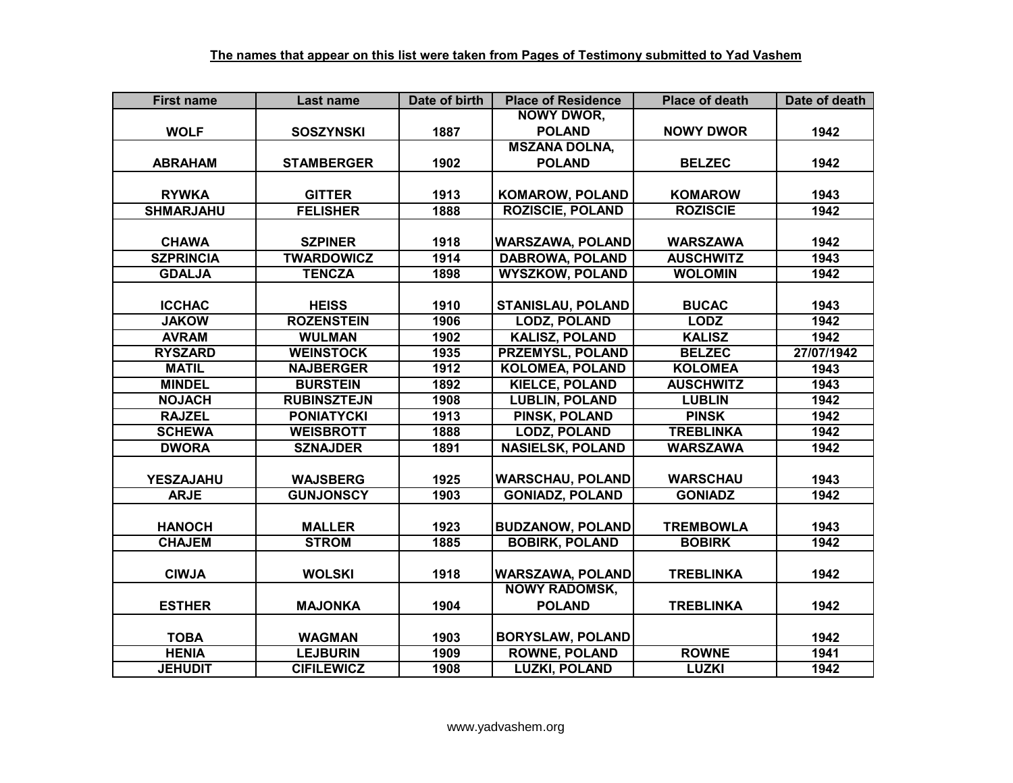| <b>First name</b> | Last name          | Date of birth | <b>Place of Residence</b> | <b>Place of death</b> | Date of death |
|-------------------|--------------------|---------------|---------------------------|-----------------------|---------------|
|                   |                    |               | <b>NOWY DWOR,</b>         |                       |               |
| <b>WOLF</b>       | <b>SOSZYNSKI</b>   | 1887          | <b>POLAND</b>             | <b>NOWY DWOR</b>      | 1942          |
|                   |                    |               | <b>MSZANA DOLNA,</b>      |                       |               |
| <b>ABRAHAM</b>    | <b>STAMBERGER</b>  | 1902          | <b>POLAND</b>             | <b>BELZEC</b>         | 1942          |
|                   |                    |               |                           |                       |               |
| <b>RYWKA</b>      | <b>GITTER</b>      | 1913          | <b>KOMAROW, POLAND</b>    | <b>KOMAROW</b>        | 1943          |
| <b>SHMARJAHU</b>  | <b>FELISHER</b>    | 1888          | <b>ROZISCIE, POLAND</b>   | <b>ROZISCIE</b>       | 1942          |
|                   |                    |               |                           |                       |               |
| <b>CHAWA</b>      | <b>SZPINER</b>     | 1918          | <b>WARSZAWA, POLAND</b>   | <b>WARSZAWA</b>       | 1942          |
| <b>SZPRINCIA</b>  | <b>TWARDOWICZ</b>  | 1914          | <b>DABROWA, POLAND</b>    | <b>AUSCHWITZ</b>      | 1943          |
| <b>GDALJA</b>     | <b>TENCZA</b>      | 1898          | <b>WYSZKOW, POLAND</b>    | <b>WOLOMIN</b>        | 1942          |
|                   |                    |               |                           |                       |               |
| <b>ICCHAC</b>     | <b>HEISS</b>       | 1910          | STANISLAU, POLAND         | <b>BUCAC</b>          | 1943          |
| <b>JAKOW</b>      | <b>ROZENSTEIN</b>  | 1906          | <b>LODZ, POLAND</b>       | <b>LODZ</b>           | 1942          |
| <b>AVRAM</b>      | <b>WULMAN</b>      | 1902          | <b>KALISZ, POLAND</b>     | <b>KALISZ</b>         | 1942          |
| <b>RYSZARD</b>    | <b>WEINSTOCK</b>   | 1935          | PRZEMYSL, POLAND          | <b>BELZEC</b>         | 27/07/1942    |
| <b>MATIL</b>      | <b>NAJBERGER</b>   | 1912          | <b>KOLOMEA, POLAND</b>    | <b>KOLOMEA</b>        | 1943          |
| <b>MINDEL</b>     | <b>BURSTEIN</b>    | 1892          | <b>KIELCE, POLAND</b>     | <b>AUSCHWITZ</b>      | 1943          |
| <b>NOJACH</b>     | <b>RUBINSZTEJN</b> | 1908          | <b>LUBLIN, POLAND</b>     | <b>LUBLIN</b>         | 1942          |
| <b>RAJZEL</b>     | <b>PONIATYCKI</b>  | 1913          | <b>PINSK, POLAND</b>      | <b>PINSK</b>          | 1942          |
| <b>SCHEWA</b>     | <b>WEISBROTT</b>   | 1888          | <b>LODZ, POLAND</b>       | <b>TREBLINKA</b>      | 1942          |
| <b>DWORA</b>      | <b>SZNAJDER</b>    | 1891          | <b>NASIELSK, POLAND</b>   | <b>WARSZAWA</b>       | 1942          |
|                   |                    |               |                           |                       |               |
| <b>YESZAJAHU</b>  | <b>WAJSBERG</b>    | 1925          | <b>WARSCHAU, POLAND</b>   | <b>WARSCHAU</b>       | 1943          |
| <b>ARJE</b>       | <b>GUNJONSCY</b>   | 1903          | <b>GONIADZ, POLAND</b>    | <b>GONIADZ</b>        | 1942          |
|                   |                    |               |                           |                       |               |
| <b>HANOCH</b>     | <b>MALLER</b>      | 1923          | <b>BUDZANOW, POLAND</b>   | <b>TREMBOWLA</b>      | 1943          |
| <b>CHAJEM</b>     | <b>STROM</b>       | 1885          | <b>BOBIRK, POLAND</b>     | <b>BOBIRK</b>         | 1942          |
|                   |                    |               |                           |                       |               |
| <b>CIWJA</b>      | <b>WOLSKI</b>      | 1918          | <b>WARSZAWA, POLAND</b>   | <b>TREBLINKA</b>      | 1942          |
|                   |                    |               | <b>NOWY RADOMSK,</b>      |                       |               |
| <b>ESTHER</b>     | <b>MAJONKA</b>     | 1904          | <b>POLAND</b>             | <b>TREBLINKA</b>      | 1942          |
|                   |                    |               |                           |                       |               |
| <b>TOBA</b>       | <b>WAGMAN</b>      | 1903          | <b>BORYSLAW, POLAND</b>   |                       | 1942          |
| <b>HENIA</b>      | <b>LEJBURIN</b>    | 1909          | <b>ROWNE, POLAND</b>      | <b>ROWNE</b>          | 1941          |
| <b>JEHUDIT</b>    | <b>CIFILEWICZ</b>  | 1908          | <b>LUZKI, POLAND</b>      | <b>LUZKI</b>          | 1942          |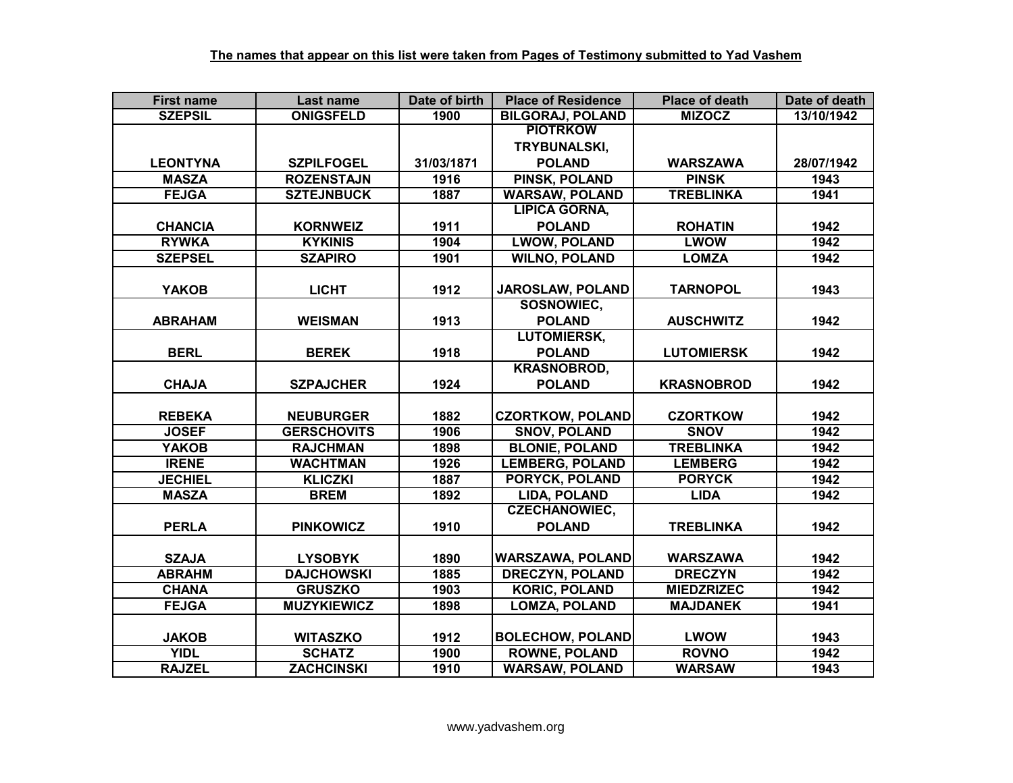| <b>First name</b> | Last name          | Date of birth | <b>Place of Residence</b> | <b>Place of death</b> | Date of death |
|-------------------|--------------------|---------------|---------------------------|-----------------------|---------------|
| <b>SZEPSIL</b>    | <b>ONIGSFELD</b>   | 1900          | <b>BILGORAJ, POLAND</b>   | <b>MIZOCZ</b>         | 13/10/1942    |
|                   |                    |               | <b>PIOTRKOW</b>           |                       |               |
|                   |                    |               | <b>TRYBUNALSKI,</b>       |                       |               |
| <b>LEONTYNA</b>   | <b>SZPILFOGEL</b>  | 31/03/1871    | <b>POLAND</b>             | <b>WARSZAWA</b>       | 28/07/1942    |
| <b>MASZA</b>      | <b>ROZENSTAJN</b>  | 1916          | <b>PINSK, POLAND</b>      | <b>PINSK</b>          | 1943          |
| <b>FEJGA</b>      | <b>SZTEJNBUCK</b>  | 1887          | <b>WARSAW, POLAND</b>     | <b>TREBLINKA</b>      | 1941          |
|                   |                    |               | <b>LIPICA GORNA,</b>      |                       |               |
| <b>CHANCIA</b>    | <b>KORNWEIZ</b>    | 1911          | <b>POLAND</b>             | <b>ROHATIN</b>        | 1942          |
| <b>RYWKA</b>      | <b>KYKINIS</b>     | 1904          | <b>LWOW, POLAND</b>       | <b>LWOW</b>           | 1942          |
| <b>SZEPSEL</b>    | <b>SZAPIRO</b>     | 1901          | <b>WILNO, POLAND</b>      | <b>LOMZA</b>          | 1942          |
|                   |                    |               |                           |                       |               |
| <b>YAKOB</b>      | <b>LICHT</b>       | 1912          | JAROSLAW, POLAND          | <b>TARNOPOL</b>       | 1943          |
|                   |                    |               | SOSNOWIEC,                |                       |               |
| <b>ABRAHAM</b>    | <b>WEISMAN</b>     | 1913          | <b>POLAND</b>             | <b>AUSCHWITZ</b>      | 1942          |
|                   |                    |               | <b>LUTOMIERSK,</b>        |                       |               |
| <b>BERL</b>       | <b>BEREK</b>       | 1918          | <b>POLAND</b>             | <b>LUTOMIERSK</b>     | 1942          |
|                   |                    |               | <b>KRASNOBROD,</b>        |                       |               |
| <b>CHAJA</b>      | <b>SZPAJCHER</b>   | 1924          | <b>POLAND</b>             | <b>KRASNOBROD</b>     | 1942          |
|                   |                    |               |                           |                       |               |
| <b>REBEKA</b>     | <b>NEUBURGER</b>   | 1882          | <b>CZORTKOW, POLAND</b>   | <b>CZORTKOW</b>       | 1942          |
| <b>JOSEF</b>      | <b>GERSCHOVITS</b> | 1906          | <b>SNOV, POLAND</b>       | <b>SNOV</b>           | 1942          |
| <b>YAKOB</b>      | <b>RAJCHMAN</b>    | 1898          | <b>BLONIE, POLAND</b>     | <b>TREBLINKA</b>      | 1942          |
| <b>IRENE</b>      | <b>WACHTMAN</b>    | 1926          | <b>LEMBERG, POLAND</b>    | <b>LEMBERG</b>        | 1942          |
| <b>JECHIEL</b>    | <b>KLICZKI</b>     | 1887          | <b>PORYCK, POLAND</b>     | <b>PORYCK</b>         | 1942          |
| <b>MASZA</b>      | <b>BREM</b>        | 1892          | LIDA, POLAND              | <b>LIDA</b>           | 1942          |
|                   |                    |               | <b>CZECHANOWIEC,</b>      |                       |               |
| <b>PERLA</b>      | <b>PINKOWICZ</b>   | 1910          | <b>POLAND</b>             | <b>TREBLINKA</b>      | 1942          |
|                   |                    |               |                           |                       |               |
| <b>SZAJA</b>      | <b>LYSOBYK</b>     | 1890          | <b>WARSZAWA, POLAND</b>   | <b>WARSZAWA</b>       | 1942          |
| <b>ABRAHM</b>     | <b>DAJCHOWSKI</b>  | 1885          | <b>DRECZYN, POLAND</b>    | <b>DRECZYN</b>        | 1942          |
| <b>CHANA</b>      | <b>GRUSZKO</b>     | 1903          | <b>KORIC, POLAND</b>      | <b>MIEDZRIZEC</b>     | 1942          |
| <b>FEJGA</b>      | <b>MUZYKIEWICZ</b> | 1898          | <b>LOMZA, POLAND</b>      | <b>MAJDANEK</b>       | 1941          |
|                   |                    |               |                           |                       |               |
| <b>JAKOB</b>      | <b>WITASZKO</b>    | 1912          | <b>BOLECHOW, POLAND</b>   | <b>LWOW</b>           | 1943          |
| <b>YIDL</b>       | <b>SCHATZ</b>      | 1900          | <b>ROWNE, POLAND</b>      | <b>ROVNO</b>          | 1942          |
| <b>RAJZEL</b>     | <b>ZACHCINSKI</b>  | 1910          | <b>WARSAW, POLAND</b>     | <b>WARSAW</b>         | 1943          |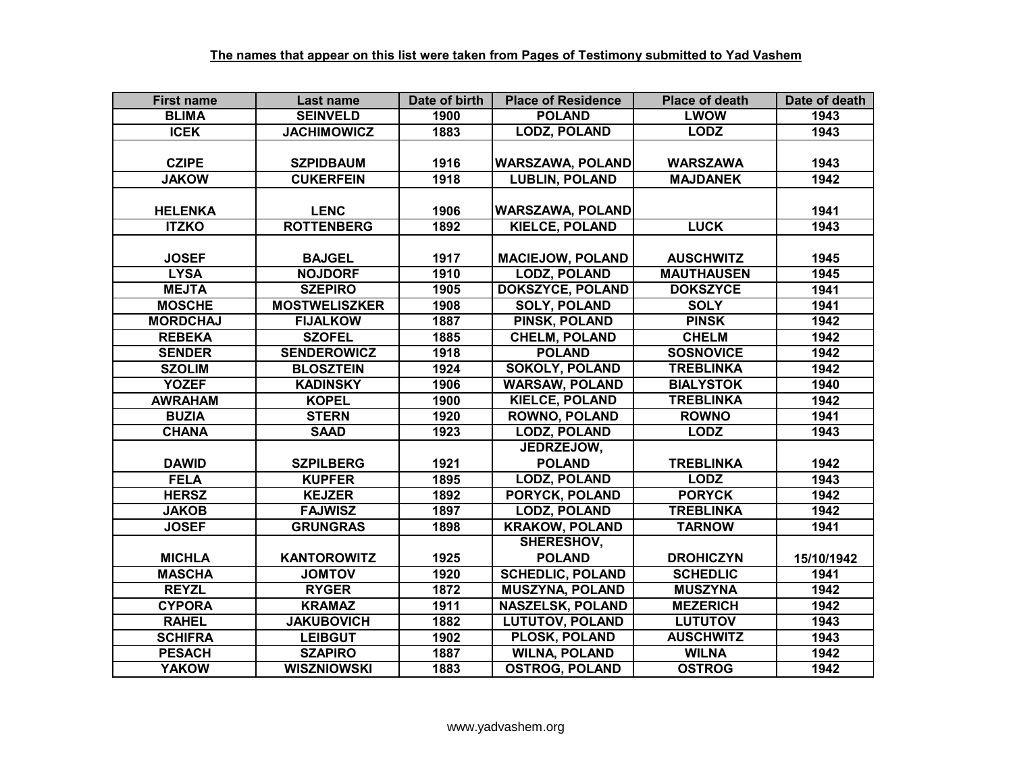| <b>First name</b> | Last name            | Date of birth | <b>Place of Residence</b> | <b>Place of death</b> | Date of death |
|-------------------|----------------------|---------------|---------------------------|-----------------------|---------------|
| <b>BLIMA</b>      | <b>SEINVELD</b>      | 1900          | <b>POLAND</b>             | <b>LWOW</b>           | 1943          |
| <b>ICEK</b>       | <b>JACHIMOWICZ</b>   | 1883          | <b>LODZ, POLAND</b>       | <b>LODZ</b>           | 1943          |
|                   |                      |               |                           |                       |               |
| <b>CZIPE</b>      | <b>SZPIDBAUM</b>     | 1916          | <b>WARSZAWA, POLAND</b>   | <b>WARSZAWA</b>       | 1943          |
| <b>JAKOW</b>      | <b>CUKERFEIN</b>     | 1918          | <b>LUBLIN, POLAND</b>     | <b>MAJDANEK</b>       | 1942          |
|                   |                      |               |                           |                       |               |
| <b>HELENKA</b>    | <b>LENC</b>          | 1906          | <b>WARSZAWA, POLAND</b>   |                       | 1941          |
| <b>ITZKO</b>      | <b>ROTTENBERG</b>    | 1892          | <b>KIELCE, POLAND</b>     | <b>LUCK</b>           | 1943          |
|                   |                      |               |                           |                       |               |
| <b>JOSEF</b>      | <b>BAJGEL</b>        | 1917          | <b>MACIEJOW, POLAND</b>   | <b>AUSCHWITZ</b>      | 1945          |
| <b>LYSA</b>       | <b>NOJDORF</b>       | 1910          | <b>LODZ, POLAND</b>       | <b>MAUTHAUSEN</b>     | 1945          |
| <b>MEJTA</b>      | <b>SZEPIRO</b>       | 1905          | DOKSZYCE, POLAND          | <b>DOKSZYCE</b>       | 1941          |
| <b>MOSCHE</b>     | <b>MOSTWELISZKER</b> | 1908          | <b>SOLY, POLAND</b>       | <b>SOLY</b>           | 1941          |
| <b>MORDCHAJ</b>   | <b>FIJALKOW</b>      | 1887          | <b>PINSK, POLAND</b>      | <b>PINSK</b>          | 1942          |
| <b>REBEKA</b>     | <b>SZOFEL</b>        | 1885          | <b>CHELM, POLAND</b>      | <b>CHELM</b>          | 1942          |
| <b>SENDER</b>     | <b>SENDEROWICZ</b>   | 1918          | <b>POLAND</b>             | <b>SOSNOVICE</b>      | 1942          |
| <b>SZOLIM</b>     | <b>BLOSZTEIN</b>     | 1924          | <b>SOKOLY, POLAND</b>     | <b>TREBLINKA</b>      | 1942          |
| <b>YOZEF</b>      | <b>KADINSKY</b>      | 1906          | <b>WARSAW, POLAND</b>     | <b>BIALYSTOK</b>      | 1940          |
| <b>AWRAHAM</b>    | <b>KOPEL</b>         | 1900          | <b>KIELCE, POLAND</b>     | <b>TREBLINKA</b>      | 1942          |
| <b>BUZIA</b>      | <b>STERN</b>         | 1920          | <b>ROWNO, POLAND</b>      | <b>ROWNO</b>          | 1941          |
| <b>CHANA</b>      | <b>SAAD</b>          | 1923          | <b>LODZ, POLAND</b>       | <b>LODZ</b>           | 1943          |
|                   |                      |               | JEDRZEJOW,                |                       |               |
| <b>DAWID</b>      | <b>SZPILBERG</b>     | 1921          | <b>POLAND</b>             | <b>TREBLINKA</b>      | 1942          |
| <b>FELA</b>       | <b>KUPFER</b>        | 1895          | <b>LODZ, POLAND</b>       | <b>LODZ</b>           | 1943          |
| <b>HERSZ</b>      | <b>KEJZER</b>        | 1892          | <b>PORYCK, POLAND</b>     | <b>PORYCK</b>         | 1942          |
| <b>JAKOB</b>      | <b>FAJWISZ</b>       | 1897          | <b>LODZ, POLAND</b>       | <b>TREBLINKA</b>      | 1942          |
| <b>JOSEF</b>      | <b>GRUNGRAS</b>      | 1898          | <b>KRAKOW, POLAND</b>     | <b>TARNOW</b>         | 1941          |
|                   |                      |               | SHERESHOV,                |                       |               |
| <b>MICHLA</b>     | <b>KANTOROWITZ</b>   | 1925          | <b>POLAND</b>             | <b>DROHICZYN</b>      | 15/10/1942    |
| <b>MASCHA</b>     | <b>JOMTOV</b>        | 1920          | <b>SCHEDLIC, POLAND</b>   | <b>SCHEDLIC</b>       | 1941          |
| <b>REYZL</b>      | <b>RYGER</b>         | 1872          | <b>MUSZYNA, POLAND</b>    | <b>MUSZYNA</b>        | 1942          |
| <b>CYPORA</b>     | <b>KRAMAZ</b>        | 1911          | NASZELSK, POLAND          | <b>MEZERICH</b>       | 1942          |
| <b>RAHEL</b>      | <b>JAKUBOVICH</b>    | 1882          | <b>LUTUTOV, POLAND</b>    | <b>LUTUTOV</b>        | 1943          |
| <b>SCHIFRA</b>    | <b>LEIBGUT</b>       | 1902          | PLOSK, POLAND             | <b>AUSCHWITZ</b>      | 1943          |
| <b>PESACH</b>     | <b>SZAPIRO</b>       | 1887          | <b>WILNA, POLAND</b>      | <b>WILNA</b>          | 1942          |
| <b>YAKOW</b>      | <b>WISZNIOWSKI</b>   | 1883          | <b>OSTROG, POLAND</b>     | <b>OSTROG</b>         | 1942          |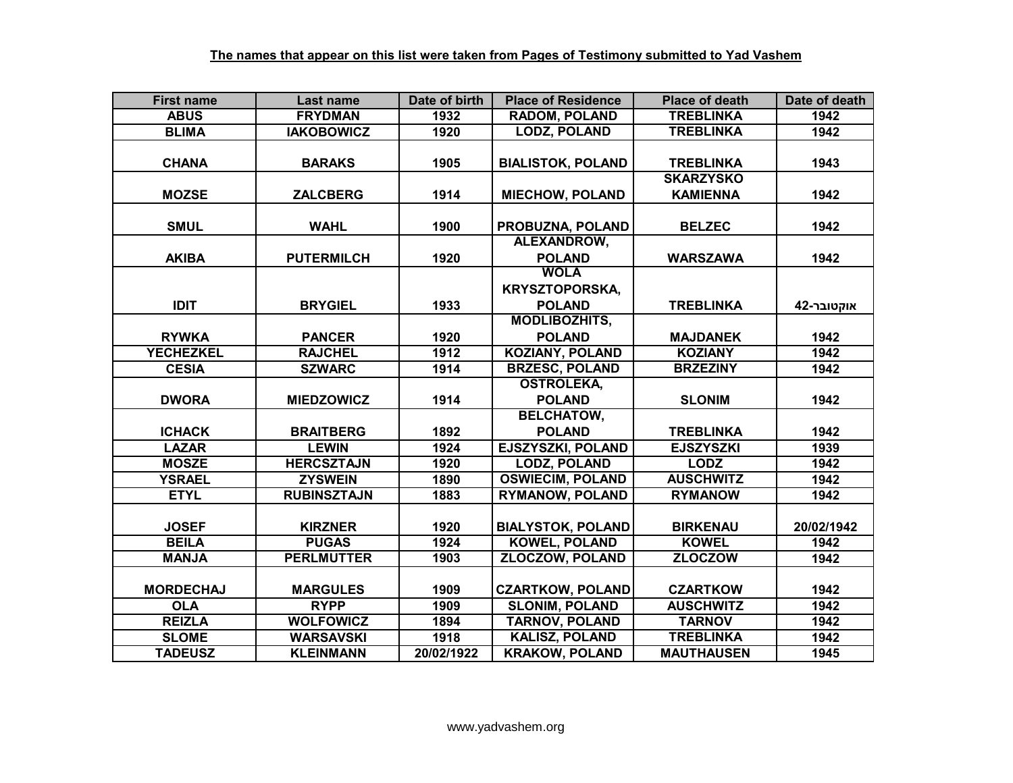| <b>First name</b> | Last name          | Date of birth | <b>Place of Residence</b> | <b>Place of death</b> | Date of death |
|-------------------|--------------------|---------------|---------------------------|-----------------------|---------------|
| <b>ABUS</b>       | <b>FRYDMAN</b>     | 1932          | <b>RADOM, POLAND</b>      | <b>TREBLINKA</b>      | 1942          |
| <b>BLIMA</b>      | <b>IAKOBOWICZ</b>  | 1920          | <b>LODZ, POLAND</b>       | <b>TREBLINKA</b>      | 1942          |
|                   |                    |               |                           |                       |               |
| <b>CHANA</b>      | <b>BARAKS</b>      | 1905          | <b>BIALISTOK, POLAND</b>  | <b>TREBLINKA</b>      | 1943          |
|                   |                    |               |                           | <b>SKARZYSKO</b>      |               |
| <b>MOZSE</b>      | <b>ZALCBERG</b>    | 1914          | <b>MIECHOW, POLAND</b>    | <b>KAMIENNA</b>       | 1942          |
|                   |                    |               |                           |                       |               |
| <b>SMUL</b>       | <b>WAHL</b>        | 1900          | PROBUZNA, POLAND          | <b>BELZEC</b>         | 1942          |
|                   |                    |               | ALEXANDROW,               |                       |               |
| <b>AKIBA</b>      | <b>PUTERMILCH</b>  | 1920          | <b>POLAND</b>             | <b>WARSZAWA</b>       | 1942          |
|                   |                    |               | <b>WOLA</b>               |                       |               |
|                   |                    |               | <b>KRYSZTOPORSKA,</b>     |                       |               |
| <b>IDIT</b>       | <b>BRYGIEL</b>     | 1933          | <b>POLAND</b>             | <b>TREBLINKA</b>      | אוקטובר-42    |
|                   |                    |               | <b>MODLIBOZHITS,</b>      |                       |               |
| <b>RYWKA</b>      | <b>PANCER</b>      | 1920          | <b>POLAND</b>             | <b>MAJDANEK</b>       | 1942          |
| <b>YECHEZKEL</b>  | <b>RAJCHEL</b>     | 1912          | <b>KOZIANY, POLAND</b>    | <b>KOZIANY</b>        | 1942          |
| <b>CESIA</b>      | <b>SZWARC</b>      | 1914          | <b>BRZESC, POLAND</b>     | <b>BRZEZINY</b>       | 1942          |
|                   |                    |               | <b>OSTROLEKA,</b>         |                       |               |
| <b>DWORA</b>      | <b>MIEDZOWICZ</b>  | 1914          | <b>POLAND</b>             | <b>SLONIM</b>         | 1942          |
|                   |                    |               | <b>BELCHATOW,</b>         |                       |               |
| <b>ICHACK</b>     | <b>BRAITBERG</b>   | 1892          | <b>POLAND</b>             | <b>TREBLINKA</b>      | 1942          |
| <b>LAZAR</b>      | <b>LEWIN</b>       | 1924          | <b>EJSZYSZKI, POLAND</b>  | <b>EJSZYSZKI</b>      | 1939          |
| <b>MOSZE</b>      | <b>HERCSZTAJN</b>  | 1920          | <b>LODZ, POLAND</b>       | <b>LODZ</b>           | 1942          |
| <b>YSRAEL</b>     | <b>ZYSWEIN</b>     | 1890          | <b>OSWIECIM, POLAND</b>   | <b>AUSCHWITZ</b>      | 1942          |
| <b>ETYL</b>       | <b>RUBINSZTAJN</b> | 1883          | <b>RYMANOW, POLAND</b>    | <b>RYMANOW</b>        | 1942          |
|                   |                    |               |                           |                       |               |
| <b>JOSEF</b>      | <b>KIRZNER</b>     | 1920          | <b>BIALYSTOK, POLAND</b>  | <b>BIRKENAU</b>       | 20/02/1942    |
| <b>BEILA</b>      | <b>PUGAS</b>       | 1924          | <b>KOWEL, POLAND</b>      | <b>KOWEL</b>          | 1942          |
| <b>MANJA</b>      | <b>PERLMUTTER</b>  | 1903          | <b>ZLOCZOW, POLAND</b>    | <b>ZLOCZOW</b>        | 1942          |
|                   |                    |               |                           |                       |               |
| <b>MORDECHAJ</b>  | <b>MARGULES</b>    | 1909          | <b>CZARTKOW, POLAND</b>   | <b>CZARTKOW</b>       | 1942          |
| <b>OLA</b>        | <b>RYPP</b>        | 1909          | <b>SLONIM, POLAND</b>     | <b>AUSCHWITZ</b>      | 1942          |
| <b>REIZLA</b>     | <b>WOLFOWICZ</b>   | 1894          | <b>TARNOV, POLAND</b>     | <b>TARNOV</b>         | 1942          |
| <b>SLOME</b>      | <b>WARSAVSKI</b>   | 1918          | <b>KALISZ, POLAND</b>     | <b>TREBLINKA</b>      | 1942          |
| <b>TADEUSZ</b>    | <b>KLEINMANN</b>   | 20/02/1922    | <b>KRAKOW, POLAND</b>     | <b>MAUTHAUSEN</b>     | 1945          |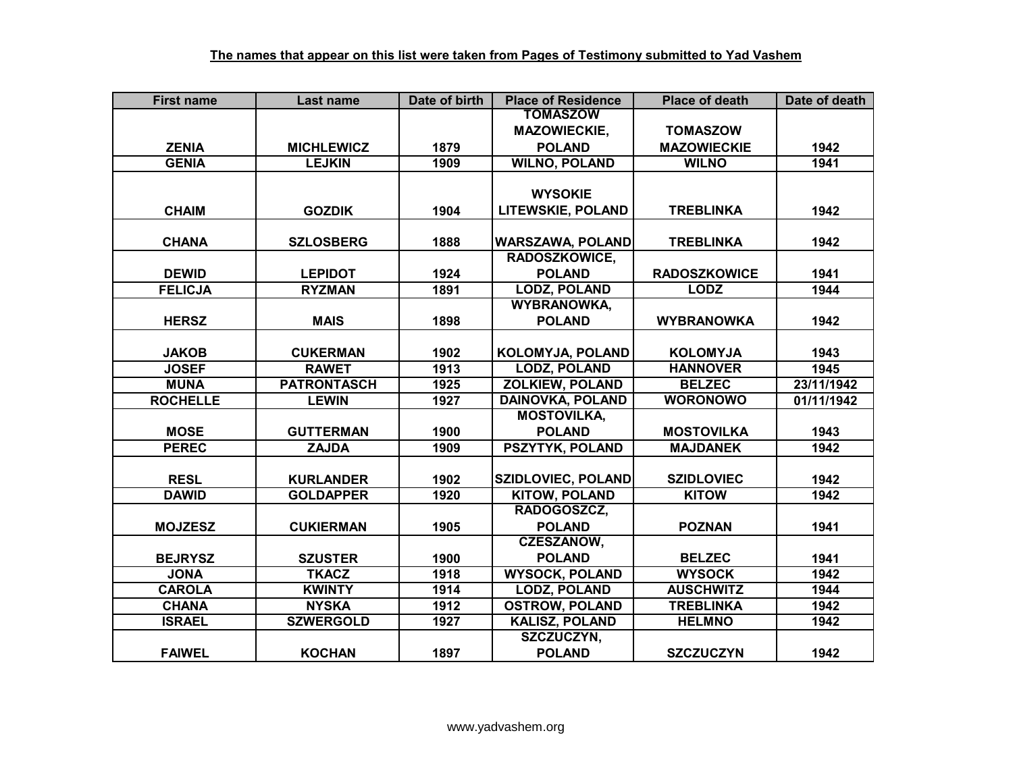| <b>First name</b> | <b>Last name</b>   | Date of birth | <b>Place of Residence</b> | <b>Place of death</b> | Date of death |
|-------------------|--------------------|---------------|---------------------------|-----------------------|---------------|
|                   |                    |               | <b>TOMASZOW</b>           |                       |               |
|                   |                    |               | <b>MAZOWIECKIE,</b>       | <b>TOMASZOW</b>       |               |
| <b>ZENIA</b>      | <b>MICHLEWICZ</b>  | 1879          | <b>POLAND</b>             | <b>MAZOWIECKIE</b>    | 1942          |
| <b>GENIA</b>      | <b>LEJKIN</b>      | 1909          | <b>WILNO, POLAND</b>      | <b>WILNO</b>          | 1941          |
|                   |                    |               |                           |                       |               |
|                   |                    |               | <b>WYSOKIE</b>            |                       |               |
| <b>CHAIM</b>      | <b>GOZDIK</b>      | 1904          | <b>LITEWSKIE, POLAND</b>  | <b>TREBLINKA</b>      | 1942          |
|                   |                    |               |                           |                       |               |
| <b>CHANA</b>      | <b>SZLOSBERG</b>   | 1888          | <b>WARSZAWA, POLAND</b>   | <b>TREBLINKA</b>      | 1942          |
|                   |                    |               | <b>RADOSZKOWICE,</b>      |                       |               |
| <b>DEWID</b>      | <b>LEPIDOT</b>     | 1924          | <b>POLAND</b>             | <b>RADOSZKOWICE</b>   | 1941          |
| <b>FELICJA</b>    | <b>RYZMAN</b>      | 1891          | <b>LODZ, POLAND</b>       | <b>LODZ</b>           | 1944          |
|                   |                    |               | <b>WYBRANOWKA,</b>        |                       |               |
| <b>HERSZ</b>      | <b>MAIS</b>        | 1898          | <b>POLAND</b>             | <b>WYBRANOWKA</b>     | 1942          |
|                   |                    |               |                           |                       |               |
| <b>JAKOB</b>      | <b>CUKERMAN</b>    | 1902          | <b>KOLOMYJA, POLAND</b>   | <b>KOLOMYJA</b>       | 1943          |
| <b>JOSEF</b>      | <b>RAWET</b>       | 1913          | <b>LODZ, POLAND</b>       | <b>HANNOVER</b>       | 1945          |
| <b>MUNA</b>       | <b>PATRONTASCH</b> | 1925          | <b>ZOLKIEW, POLAND</b>    | <b>BELZEC</b>         | 23/11/1942    |
| <b>ROCHELLE</b>   | <b>LEWIN</b>       | 1927          | <b>DAINOVKA, POLAND</b>   | <b>WORONOWO</b>       | 01/11/1942    |
|                   |                    |               | <b>MOSTOVILKA,</b>        |                       |               |
| <b>MOSE</b>       | <b>GUTTERMAN</b>   | 1900          | <b>POLAND</b>             | <b>MOSTOVILKA</b>     | 1943          |
| <b>PEREC</b>      | <b>ZAJDA</b>       | 1909          | <b>PSZYTYK, POLAND</b>    | <b>MAJDANEK</b>       | 1942          |
|                   |                    |               |                           |                       |               |
| <b>RESL</b>       | <b>KURLANDER</b>   | 1902          | <b>SZIDLOVIEC, POLAND</b> | <b>SZIDLOVIEC</b>     | 1942          |
| <b>DAWID</b>      | <b>GOLDAPPER</b>   | 1920          | <b>KITOW, POLAND</b>      | <b>KITOW</b>          | 1942          |
|                   |                    |               | RADOGOSZCZ,               |                       |               |
| <b>MOJZESZ</b>    | <b>CUKIERMAN</b>   | 1905          | <b>POLAND</b>             | <b>POZNAN</b>         | 1941          |
|                   |                    |               | <b>CZESZANOW,</b>         |                       |               |
| <b>BEJRYSZ</b>    | <b>SZUSTER</b>     | 1900          | <b>POLAND</b>             | <b>BELZEC</b>         | 1941          |
| <b>JONA</b>       | <b>TKACZ</b>       | 1918          | <b>WYSOCK, POLAND</b>     | <b>WYSOCK</b>         | 1942          |
| <b>CAROLA</b>     | <b>KWINTY</b>      | 1914          | <b>LODZ, POLAND</b>       | <b>AUSCHWITZ</b>      | 1944          |
| <b>CHANA</b>      | <b>NYSKA</b>       | 1912          | <b>OSTROW, POLAND</b>     | <b>TREBLINKA</b>      | 1942          |
| <b>ISRAEL</b>     | <b>SZWERGOLD</b>   | 1927          | <b>KALISZ, POLAND</b>     | <b>HELMNO</b>         | 1942          |
|                   |                    |               | SZCZUCZYN,                |                       |               |
| <b>FAIWEL</b>     | <b>KOCHAN</b>      | 1897          | <b>POLAND</b>             | <b>SZCZUCZYN</b>      | 1942          |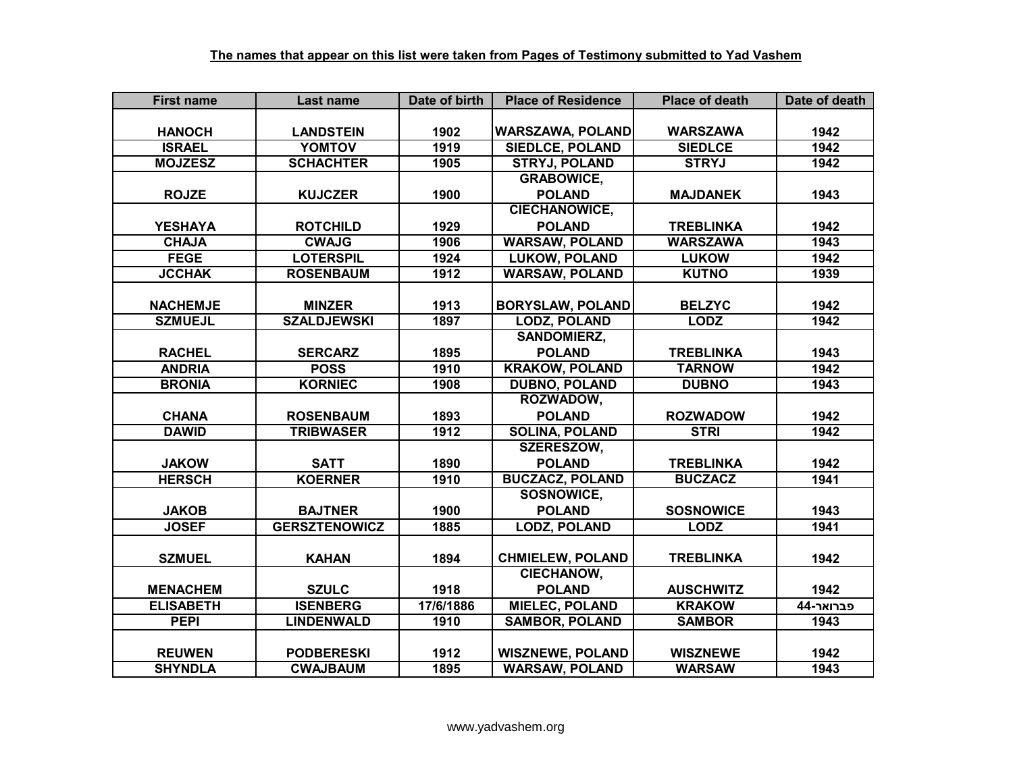| <b>First name</b> | Last name            | Date of birth | <b>Place of Residence</b> | <b>Place of death</b> | Date of death |
|-------------------|----------------------|---------------|---------------------------|-----------------------|---------------|
|                   |                      |               |                           |                       |               |
| <b>HANOCH</b>     | <b>LANDSTEIN</b>     | 1902          | <b>WARSZAWA, POLAND</b>   | <b>WARSZAWA</b>       | 1942          |
| <b>ISRAEL</b>     | <b>YOMTOV</b>        | 1919          | <b>SIEDLCE, POLAND</b>    | <b>SIEDLCE</b>        | 1942          |
| <b>MOJZESZ</b>    | <b>SCHACHTER</b>     | 1905          | <b>STRYJ, POLAND</b>      | <b>STRYJ</b>          | 1942          |
|                   |                      |               | <b>GRABOWICE,</b>         |                       |               |
| <b>ROJZE</b>      | <b>KUJCZER</b>       | 1900          | <b>POLAND</b>             | <b>MAJDANEK</b>       | 1943          |
|                   |                      |               | <b>CIECHANOWICE,</b>      |                       |               |
| <b>YESHAYA</b>    | <b>ROTCHILD</b>      | 1929          | <b>POLAND</b>             | <b>TREBLINKA</b>      | 1942          |
| <b>CHAJA</b>      | <b>CWAJG</b>         | 1906          | <b>WARSAW, POLAND</b>     | <b>WARSZAWA</b>       | 1943          |
| <b>FEGE</b>       | <b>LOTERSPIL</b>     | 1924          | <b>LUKOW, POLAND</b>      | <b>LUKOW</b>          | 1942          |
| <b>JCCHAK</b>     | <b>ROSENBAUM</b>     | 1912          | <b>WARSAW, POLAND</b>     | <b>KUTNO</b>          | 1939          |
|                   |                      |               |                           |                       |               |
| <b>NACHEMJE</b>   | <b>MINZER</b>        | 1913          | <b>BORYSLAW, POLAND</b>   | <b>BELZYC</b>         | 1942          |
| <b>SZMUEJL</b>    | <b>SZALDJEWSKI</b>   | 1897          | <b>LODZ, POLAND</b>       | <b>LODZ</b>           | 1942          |
|                   |                      |               | <b>SANDOMIERZ,</b>        |                       |               |
| <b>RACHEL</b>     | <b>SERCARZ</b>       | 1895          | <b>POLAND</b>             | <b>TREBLINKA</b>      | 1943          |
| <b>ANDRIA</b>     | <b>POSS</b>          | 1910          | <b>KRAKOW, POLAND</b>     | <b>TARNOW</b>         | 1942          |
| <b>BRONIA</b>     | <b>KORNIEC</b>       | 1908          | <b>DUBNO, POLAND</b>      | <b>DUBNO</b>          | 1943          |
|                   |                      |               | ROZWADOW,                 |                       |               |
| <b>CHANA</b>      | <b>ROSENBAUM</b>     | 1893          | <b>POLAND</b>             | <b>ROZWADOW</b>       | 1942          |
| <b>DAWID</b>      | <b>TRIBWASER</b>     | 1912          | <b>SOLINA, POLAND</b>     | <b>STRI</b>           | 1942          |
|                   |                      |               | <b>SZERESZOW,</b>         |                       |               |
| <b>JAKOW</b>      | <b>SATT</b>          | 1890          | <b>POLAND</b>             | <b>TREBLINKA</b>      | 1942          |
| <b>HERSCH</b>     | <b>KOERNER</b>       | 1910          | <b>BUCZACZ, POLAND</b>    | <b>BUCZACZ</b>        | 1941          |
|                   |                      |               | <b>SOSNOWICE,</b>         |                       |               |
| <b>JAKOB</b>      | <b>BAJTNER</b>       | 1900          | <b>POLAND</b>             | <b>SOSNOWICE</b>      | 1943          |
| <b>JOSEF</b>      | <b>GERSZTENOWICZ</b> | 1885          | <b>LODZ, POLAND</b>       | <b>LODZ</b>           | 1941          |
|                   |                      |               |                           |                       |               |
| <b>SZMUEL</b>     | <b>KAHAN</b>         | 1894          | <b>CHMIELEW, POLAND</b>   | <b>TREBLINKA</b>      | 1942          |
|                   |                      |               | <b>CIECHANOW,</b>         |                       |               |
| <b>MENACHEM</b>   | <b>SZULC</b>         | 1918          | <b>POLAND</b>             | <b>AUSCHWITZ</b>      | 1942          |
| <b>ELISABETH</b>  | <b>ISENBERG</b>      | 17/6/1886     | <b>MIELEC, POLAND</b>     | <b>KRAKOW</b>         | 44-פברואר     |
| <b>PEPI</b>       | <b>LINDENWALD</b>    | 1910          | <b>SAMBOR, POLAND</b>     | <b>SAMBOR</b>         | 1943          |
|                   |                      |               |                           |                       |               |
| <b>REUWEN</b>     | <b>PODBERESKI</b>    | 1912          | <b>WISZNEWE, POLAND</b>   | <b>WISZNEWE</b>       | 1942          |
| <b>SHYNDLA</b>    | <b>CWAJBAUM</b>      | 1895          | <b>WARSAW, POLAND</b>     | <b>WARSAW</b>         | 1943          |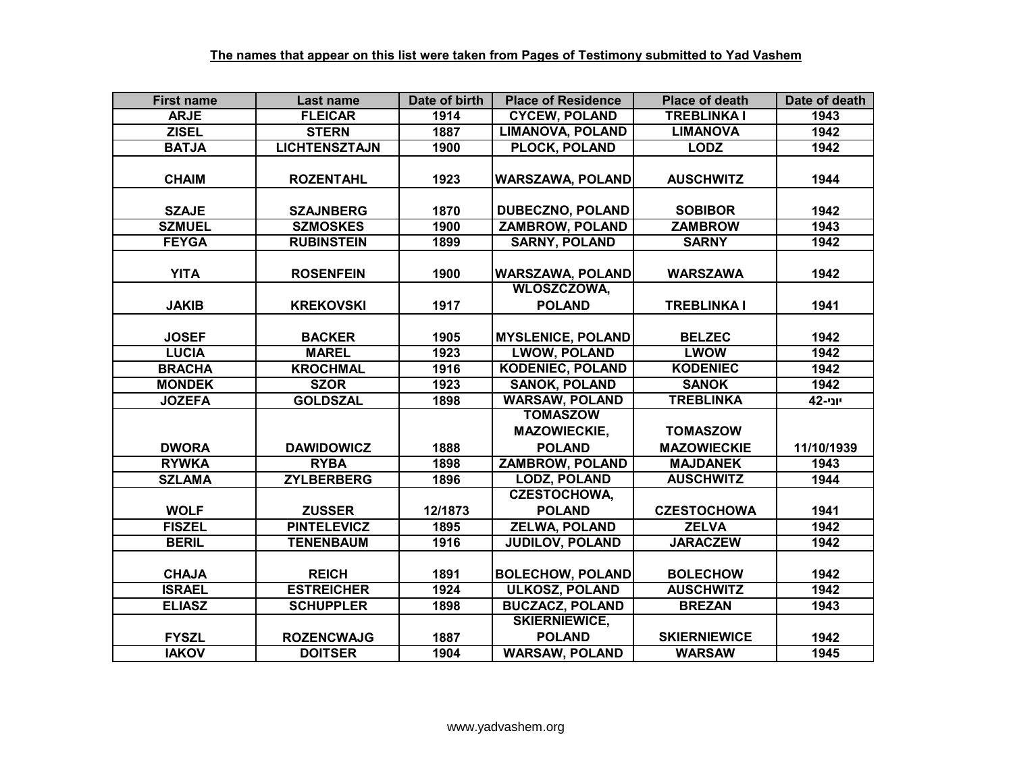| <b>First name</b> | <b>Last name</b>     | Date of birth | <b>Place of Residence</b>                     | <b>Place of death</b> | Date of death |
|-------------------|----------------------|---------------|-----------------------------------------------|-----------------------|---------------|
| <b>ARJE</b>       | <b>FLEICAR</b>       | 1914          | <b>CYCEW, POLAND</b>                          | <b>TREBLINKA I</b>    | 1943          |
| <b>ZISEL</b>      | <b>STERN</b>         | 1887          | <b>LIMANOVA, POLAND</b>                       | <b>LIMANOVA</b>       | 1942          |
| <b>BATJA</b>      | <b>LICHTENSZTAJN</b> | 1900          | <b>PLOCK, POLAND</b>                          | <b>LODZ</b>           | 1942          |
| <b>CHAIM</b>      | <b>ROZENTAHL</b>     | 1923          | <b>WARSZAWA, POLAND</b>                       | <b>AUSCHWITZ</b>      | 1944          |
| <b>SZAJE</b>      | <b>SZAJNBERG</b>     | 1870          | <b>DUBECZNO, POLAND</b>                       | <b>SOBIBOR</b>        | 1942          |
| <b>SZMUEL</b>     | <b>SZMOSKES</b>      | 1900          | <b>ZAMBROW, POLAND</b>                        | <b>ZAMBROW</b>        | 1943          |
| <b>FEYGA</b>      | <b>RUBINSTEIN</b>    | 1899          | <b>SARNY, POLAND</b>                          | <b>SARNY</b>          | 1942          |
| <b>YITA</b>       | <b>ROSENFEIN</b>     | 1900          | <b>WARSZAWA, POLAND</b><br><b>WLOSZCZOWA,</b> | <b>WARSZAWA</b>       | 1942          |
| <b>JAKIB</b>      | <b>KREKOVSKI</b>     | 1917          | <b>POLAND</b>                                 | <b>TREBLINKA I</b>    | 1941          |
|                   |                      |               |                                               |                       |               |
| <b>JOSEF</b>      | <b>BACKER</b>        | 1905          | <b>MYSLENICE, POLAND</b>                      | <b>BELZEC</b>         | 1942          |
| <b>LUCIA</b>      | <b>MAREL</b>         | 1923          | <b>LWOW, POLAND</b>                           | <b>LWOW</b>           | 1942          |
| <b>BRACHA</b>     | <b>KROCHMAL</b>      | 1916          | <b>KODENIEC, POLAND</b>                       | <b>KODENIEC</b>       | 1942          |
| <b>MONDEK</b>     | <b>SZOR</b>          | 1923          | <b>SANOK, POLAND</b>                          | <b>SANOK</b>          | 1942          |
| <b>JOZEFA</b>     | <b>GOLDSZAL</b>      | 1898          | <b>WARSAW, POLAND</b>                         | <b>TREBLINKA</b>      | יוני-42       |
|                   |                      |               | <b>TOMASZOW</b>                               |                       |               |
|                   |                      |               | <b>MAZOWIECKIE,</b>                           | <b>TOMASZOW</b>       |               |
| <b>DWORA</b>      | <b>DAWIDOWICZ</b>    | 1888          | <b>POLAND</b>                                 | <b>MAZOWIECKIE</b>    | 11/10/1939    |
| <b>RYWKA</b>      | <b>RYBA</b>          | 1898          | <b>ZAMBROW, POLAND</b>                        | <b>MAJDANEK</b>       | 1943          |
| <b>SZLAMA</b>     | <b>ZYLBERBERG</b>    | 1896          | <b>LODZ, POLAND</b>                           | <b>AUSCHWITZ</b>      | 1944          |
|                   |                      |               | <b>CZESTOCHOWA,</b>                           |                       |               |
| <b>WOLF</b>       | <b>ZUSSER</b>        | 12/1873       | <b>POLAND</b>                                 | <b>CZESTOCHOWA</b>    | 1941          |
| <b>FISZEL</b>     | <b>PINTELEVICZ</b>   | 1895          | <b>ZELWA, POLAND</b>                          | <b>ZELVA</b>          | 1942          |
| <b>BERIL</b>      | <b>TENENBAUM</b>     | 1916          | <b>JUDILOV, POLAND</b>                        | <b>JARACZEW</b>       | 1942          |
|                   |                      |               |                                               |                       |               |
| <b>CHAJA</b>      | <b>REICH</b>         | 1891          | <b>BOLECHOW, POLAND</b>                       | <b>BOLECHOW</b>       | 1942          |
| <b>ISRAEL</b>     | <b>ESTREICHER</b>    | 1924          | <b>ULKOSZ, POLAND</b>                         | <b>AUSCHWITZ</b>      | 1942          |
| <b>ELIASZ</b>     | <b>SCHUPPLER</b>     | 1898          | <b>BUCZACZ, POLAND</b>                        | <b>BREZAN</b>         | 1943          |
|                   |                      |               | <b>SKIERNIEWICE,</b>                          |                       |               |
| <b>FYSZL</b>      | <b>ROZENCWAJG</b>    | 1887          | <b>POLAND</b>                                 | <b>SKIERNIEWICE</b>   | 1942          |
| <b>IAKOV</b>      | <b>DOITSER</b>       | 1904          | <b>WARSAW, POLAND</b>                         | <b>WARSAW</b>         | 1945          |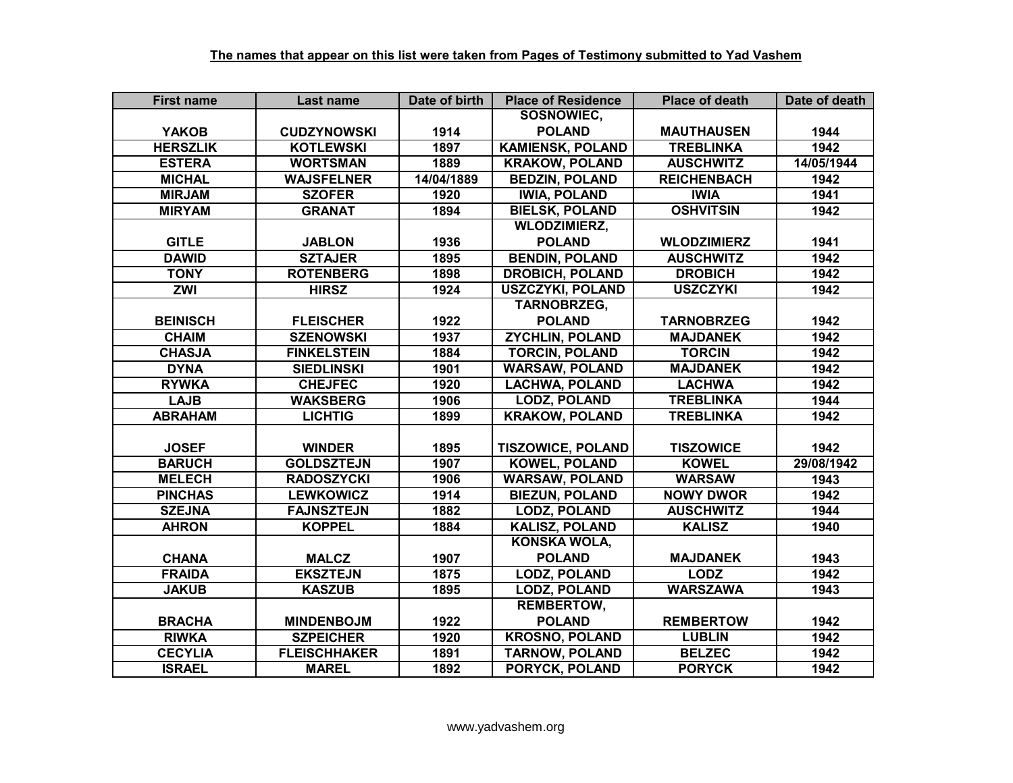| <b>First name</b> | Last name           | Date of birth | <b>Place of Residence</b> | <b>Place of death</b> | Date of death |
|-------------------|---------------------|---------------|---------------------------|-----------------------|---------------|
|                   |                     |               | SOSNOWIEC,                |                       |               |
| <b>YAKOB</b>      | <b>CUDZYNOWSKI</b>  | 1914          | <b>POLAND</b>             | <b>MAUTHAUSEN</b>     | 1944          |
| <b>HERSZLIK</b>   | <b>KOTLEWSKI</b>    | 1897          | <b>KAMIENSK, POLAND</b>   | <b>TREBLINKA</b>      | 1942          |
| <b>ESTERA</b>     | <b>WORTSMAN</b>     | 1889          | <b>KRAKOW, POLAND</b>     | <b>AUSCHWITZ</b>      | 14/05/1944    |
| <b>MICHAL</b>     | <b>WAJSFELNER</b>   | 14/04/1889    | <b>BEDZIN, POLAND</b>     | <b>REICHENBACH</b>    | 1942          |
| <b>MIRJAM</b>     | <b>SZOFER</b>       | 1920          | <b>IWIA, POLAND</b>       | <b>IWIA</b>           | 1941          |
| <b>MIRYAM</b>     | <b>GRANAT</b>       | 1894          | <b>BIELSK, POLAND</b>     | <b>OSHVITSIN</b>      | 1942          |
|                   |                     |               | <b>WLODZIMIERZ,</b>       |                       |               |
| <b>GITLE</b>      | <b>JABLON</b>       | 1936          | <b>POLAND</b>             | <b>WLODZIMIERZ</b>    | 1941          |
| <b>DAWID</b>      | <b>SZTAJER</b>      | 1895          | <b>BENDIN, POLAND</b>     | <b>AUSCHWITZ</b>      | 1942          |
| <b>TONY</b>       | <b>ROTENBERG</b>    | 1898          | <b>DROBICH, POLAND</b>    | <b>DROBICH</b>        | 1942          |
| ZWI               | <b>HIRSZ</b>        | 1924          | <b>USZCZYKI, POLAND</b>   | <b>USZCZYKI</b>       | 1942          |
|                   |                     |               | <b>TARNOBRZEG,</b>        |                       |               |
| <b>BEINISCH</b>   | <b>FLEISCHER</b>    | 1922          | <b>POLAND</b>             | <b>TARNOBRZEG</b>     | 1942          |
| <b>CHAIM</b>      | <b>SZENOWSKI</b>    | 1937          | <b>ZYCHLIN, POLAND</b>    | <b>MAJDANEK</b>       | 1942          |
| <b>CHASJA</b>     | <b>FINKELSTEIN</b>  | 1884          | <b>TORCIN, POLAND</b>     | <b>TORCIN</b>         | 1942          |
| <b>DYNA</b>       | <b>SIEDLINSKI</b>   | 1901          | <b>WARSAW, POLAND</b>     | <b>MAJDANEK</b>       | 1942          |
| <b>RYWKA</b>      | <b>CHEJFEC</b>      | 1920          | <b>LACHWA, POLAND</b>     | <b>LACHWA</b>         | 1942          |
| <b>LAJB</b>       | <b>WAKSBERG</b>     | 1906          | <b>LODZ, POLAND</b>       | <b>TREBLINKA</b>      | 1944          |
| <b>ABRAHAM</b>    | <b>LICHTIG</b>      | 1899          | <b>KRAKOW, POLAND</b>     | <b>TREBLINKA</b>      | 1942          |
|                   |                     |               |                           |                       |               |
| <b>JOSEF</b>      | <b>WINDER</b>       | 1895          | <b>TISZOWICE, POLAND</b>  | <b>TISZOWICE</b>      | 1942          |
| <b>BARUCH</b>     | <b>GOLDSZTEJN</b>   | 1907          | <b>KOWEL, POLAND</b>      | <b>KOWEL</b>          | 29/08/1942    |
| <b>MELECH</b>     | <b>RADOSZYCKI</b>   | 1906          | <b>WARSAW, POLAND</b>     | <b>WARSAW</b>         | 1943          |
| <b>PINCHAS</b>    | <b>LEWKOWICZ</b>    | 1914          | <b>BIEZUN, POLAND</b>     | <b>NOWY DWOR</b>      | 1942          |
| <b>SZEJNA</b>     | <b>FAJNSZTEJN</b>   | 1882          | <b>LODZ, POLAND</b>       | <b>AUSCHWITZ</b>      | 1944          |
| <b>AHRON</b>      | <b>KOPPEL</b>       | 1884          | <b>KALISZ, POLAND</b>     | <b>KALISZ</b>         | 1940          |
|                   |                     |               | <b>KONSKA WOLA,</b>       |                       |               |
| <b>CHANA</b>      | <b>MALCZ</b>        | 1907          | <b>POLAND</b>             | <b>MAJDANEK</b>       | 1943          |
| <b>FRAIDA</b>     | <b>EKSZTEJN</b>     | 1875          | <b>LODZ, POLAND</b>       | <b>LODZ</b>           | 1942          |
| <b>JAKUB</b>      | <b>KASZUB</b>       | 1895          | <b>LODZ, POLAND</b>       | <b>WARSZAWA</b>       | 1943          |
|                   |                     |               | <b>REMBERTOW,</b>         |                       |               |
| <b>BRACHA</b>     | <b>MINDENBOJM</b>   | 1922          | <b>POLAND</b>             | <b>REMBERTOW</b>      | 1942          |
| <b>RIWKA</b>      | <b>SZPEICHER</b>    | 1920          | <b>KROSNO, POLAND</b>     | <b>LUBLIN</b>         | 1942          |
| <b>CECYLIA</b>    | <b>FLEISCHHAKER</b> | 1891          | <b>TARNOW, POLAND</b>     | <b>BELZEC</b>         | 1942          |
| <b>ISRAEL</b>     | <b>MAREL</b>        | 1892          | PORYCK, POLAND            | <b>PORYCK</b>         | 1942          |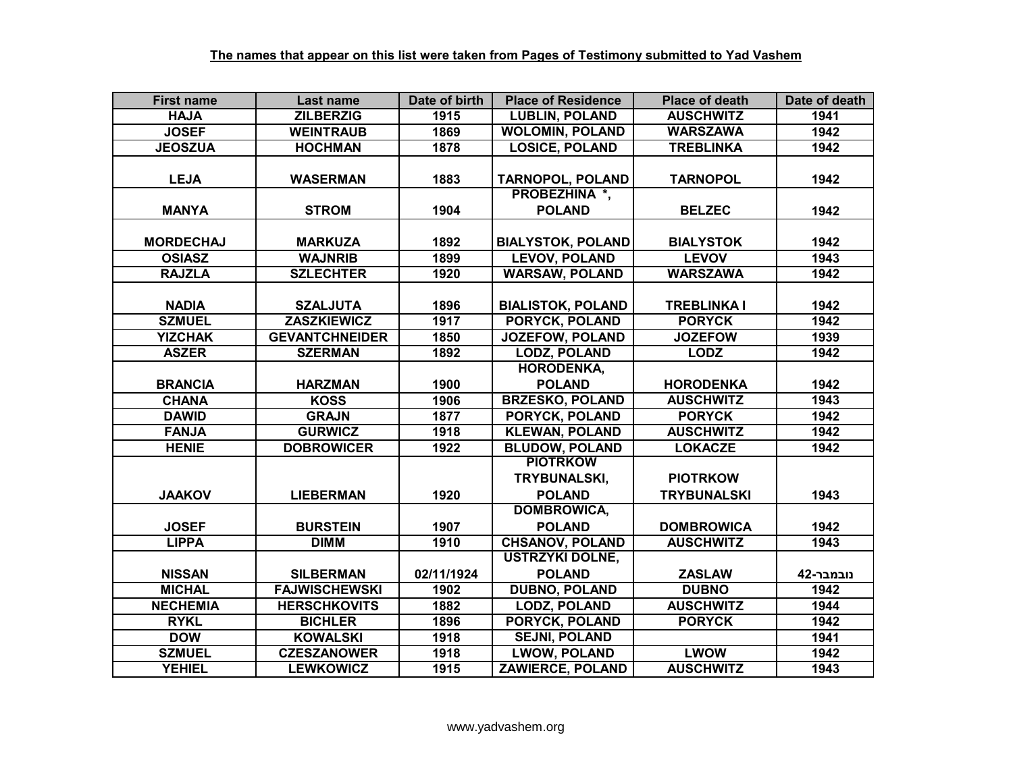| <b>First name</b> | Last name             | Date of birth | <b>Place of Residence</b> | <b>Place of death</b> | Date of death |
|-------------------|-----------------------|---------------|---------------------------|-----------------------|---------------|
| <b>HAJA</b>       | <b>ZILBERZIG</b>      | 1915          | <b>LUBLIN, POLAND</b>     | <b>AUSCHWITZ</b>      | 1941          |
| <b>JOSEF</b>      | <b>WEINTRAUB</b>      | 1869          | <b>WOLOMIN, POLAND</b>    | <b>WARSZAWA</b>       | 1942          |
| <b>JEOSZUA</b>    | <b>HOCHMAN</b>        | 1878          | <b>LOSICE, POLAND</b>     | <b>TREBLINKA</b>      | 1942          |
|                   |                       |               |                           |                       |               |
| <b>LEJA</b>       | <b>WASERMAN</b>       | 1883          | <b>TARNOPOL, POLAND</b>   | <b>TARNOPOL</b>       | 1942          |
|                   |                       |               | <b>PROBEZHINA *,</b>      |                       |               |
| <b>MANYA</b>      | <b>STROM</b>          | 1904          | <b>POLAND</b>             | <b>BELZEC</b>         | 1942          |
|                   |                       |               |                           |                       |               |
| <b>MORDECHAJ</b>  | <b>MARKUZA</b>        | 1892          | <b>BIALYSTOK, POLAND</b>  | <b>BIALYSTOK</b>      | 1942          |
| <b>OSIASZ</b>     | <b>WAJNRIB</b>        | 1899          | <b>LEVOV, POLAND</b>      | <b>LEVOV</b>          | 1943          |
| <b>RAJZLA</b>     | <b>SZLECHTER</b>      | 1920          | <b>WARSAW, POLAND</b>     | <b>WARSZAWA</b>       | 1942          |
|                   |                       |               |                           |                       |               |
| <b>NADIA</b>      | <b>SZALJUTA</b>       | 1896          | <b>BIALISTOK, POLAND</b>  | <b>TREBLINKA I</b>    | 1942          |
| <b>SZMUEL</b>     | <b>ZASZKIEWICZ</b>    | 1917          | PORYCK, POLAND            | <b>PORYCK</b>         | 1942          |
| <b>YIZCHAK</b>    | <b>GEVANTCHNEIDER</b> | 1850          | <b>JOZEFOW, POLAND</b>    | <b>JOZEFOW</b>        | 1939          |
| <b>ASZER</b>      | <b>SZERMAN</b>        | 1892          | <b>LODZ, POLAND</b>       | <b>LODZ</b>           | 1942          |
|                   |                       |               | <b>HORODENKA,</b>         |                       |               |
| <b>BRANCIA</b>    | <b>HARZMAN</b>        | 1900          | <b>POLAND</b>             | <b>HORODENKA</b>      | 1942          |
| <b>CHANA</b>      | <b>KOSS</b>           | 1906          | <b>BRZESKO, POLAND</b>    | <b>AUSCHWITZ</b>      | 1943          |
| <b>DAWID</b>      | <b>GRAJN</b>          | 1877          | PORYCK, POLAND            | <b>PORYCK</b>         | 1942          |
| <b>FANJA</b>      | <b>GURWICZ</b>        | 1918          | <b>KLEWAN, POLAND</b>     | <b>AUSCHWITZ</b>      | 1942          |
| <b>HENIE</b>      | <b>DOBROWICER</b>     | 1922          | <b>BLUDOW, POLAND</b>     | <b>LOKACZE</b>        | 1942          |
|                   |                       |               | <b>PIOTRKOW</b>           |                       |               |
|                   |                       |               | TRYBUNALSKI,              | <b>PIOTRKOW</b>       |               |
| <b>JAAKOV</b>     | <b>LIEBERMAN</b>      | 1920          | <b>POLAND</b>             | <b>TRYBUNALSKI</b>    | 1943          |
|                   |                       |               | <b>DOMBROWICA,</b>        |                       |               |
| <b>JOSEF</b>      | <b>BURSTEIN</b>       | 1907          | <b>POLAND</b>             | <b>DOMBROWICA</b>     | 1942          |
| <b>LIPPA</b>      | <b>DIMM</b>           | 1910          | <b>CHSANOV, POLAND</b>    | <b>AUSCHWITZ</b>      | 1943          |
|                   |                       |               | <b>USTRZYKI DOLNE,</b>    |                       |               |
| <b>NISSAN</b>     | <b>SILBERMAN</b>      | 02/11/1924    | <b>POLAND</b>             | <b>ZASLAW</b>         | נובמבר-42     |
| <b>MICHAL</b>     | <b>FAJWISCHEWSKI</b>  | 1902          | <b>DUBNO, POLAND</b>      | <b>DUBNO</b>          | 1942          |
| <b>NECHEMIA</b>   | <b>HERSCHKOVITS</b>   | 1882          | <b>LODZ, POLAND</b>       | <b>AUSCHWITZ</b>      | 1944          |
| <b>RYKL</b>       | <b>BICHLER</b>        | 1896          | PORYCK, POLAND            | <b>PORYCK</b>         | 1942          |
| <b>DOW</b>        | <b>KOWALSKI</b>       | 1918          | <b>SEJNI, POLAND</b>      |                       | 1941          |
| <b>SZMUEL</b>     | <b>CZESZANOWER</b>    | 1918          | <b>LWOW, POLAND</b>       | <b>LWOW</b>           | 1942          |
| <b>YEHIEL</b>     | <b>LEWKOWICZ</b>      | 1915          | <b>ZAWIERCE, POLAND</b>   | <b>AUSCHWITZ</b>      | 1943          |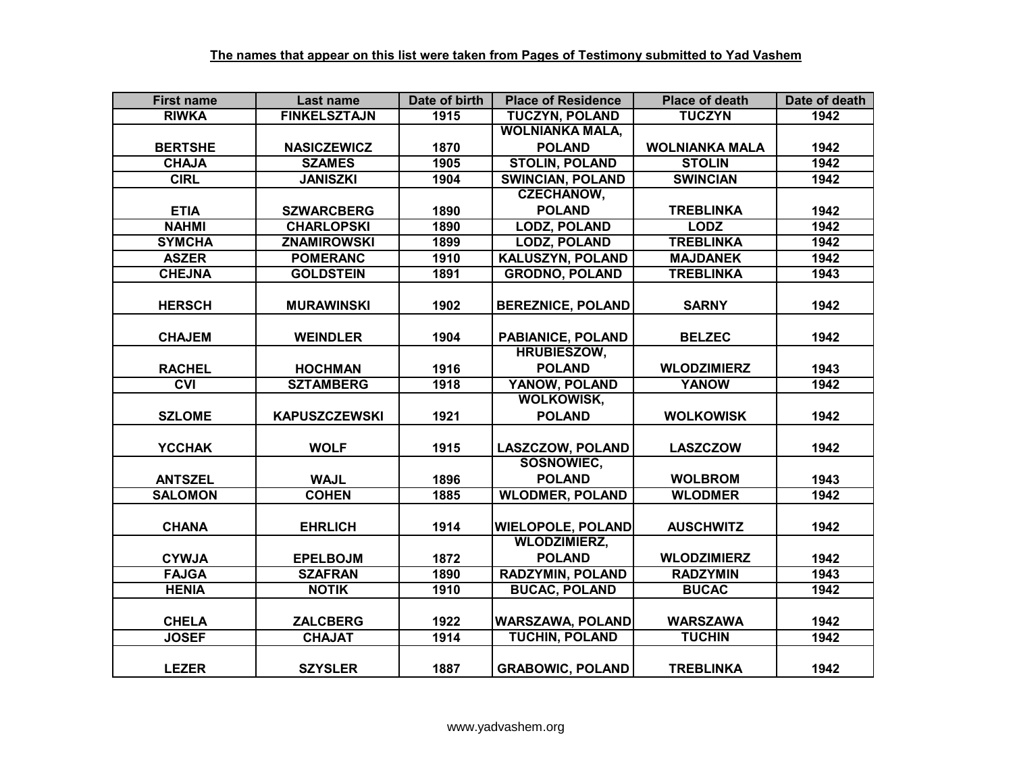| <b>First name</b>       | Last name            | Date of birth | <b>Place of Residence</b> | <b>Place of death</b> | Date of death |
|-------------------------|----------------------|---------------|---------------------------|-----------------------|---------------|
| <b>RIWKA</b>            | <b>FINKELSZTAJN</b>  | 1915          | <b>TUCZYN, POLAND</b>     | <b>TUCZYN</b>         | 1942          |
|                         |                      |               | <b>WOLNIANKA MALA,</b>    |                       |               |
| <b>BERTSHE</b>          | <b>NASICZEWICZ</b>   | 1870          | <b>POLAND</b>             | <b>WOLNIANKA MALA</b> | 1942          |
| <b>CHAJA</b>            | <b>SZAMES</b>        | 1905          | <b>STOLIN, POLAND</b>     | <b>STOLIN</b>         | 1942          |
| <b>CIRL</b>             | <b>JANISZKI</b>      | 1904          | <b>SWINCIAN, POLAND</b>   | <b>SWINCIAN</b>       | 1942          |
|                         |                      |               | <b>CZECHANOW,</b>         |                       |               |
| <b>ETIA</b>             | <b>SZWARCBERG</b>    | 1890          | <b>POLAND</b>             | <b>TREBLINKA</b>      | 1942          |
| <b>NAHMI</b>            | <b>CHARLOPSKI</b>    | 1890          | <b>LODZ, POLAND</b>       | <b>LODZ</b>           | 1942          |
| <b>SYMCHA</b>           | <b>ZNAMIROWSKI</b>   | 1899          | <b>LODZ, POLAND</b>       | <b>TREBLINKA</b>      | 1942          |
| <b>ASZER</b>            | <b>POMERANC</b>      | 1910          | KALUSZYN, POLAND          | <b>MAJDANEK</b>       | 1942          |
| <b>CHEJNA</b>           | <b>GOLDSTEIN</b>     | 1891          | <b>GRODNO, POLAND</b>     | <b>TREBLINKA</b>      | 1943          |
|                         |                      |               |                           |                       |               |
| <b>HERSCH</b>           | <b>MURAWINSKI</b>    | 1902          | <b>BEREZNICE, POLAND</b>  | <b>SARNY</b>          | 1942          |
|                         |                      |               |                           |                       |               |
| <b>CHAJEM</b>           | <b>WEINDLER</b>      | 1904          | PABIANICE, POLAND         | <b>BELZEC</b>         | 1942          |
|                         |                      |               | <b>HRUBIESZOW.</b>        |                       |               |
| <b>RACHEL</b>           | <b>HOCHMAN</b>       | 1916          | <b>POLAND</b>             | <b>WLODZIMIERZ</b>    | 1943          |
| $\overline{\text{cyl}}$ | <b>SZTAMBERG</b>     | 1918          | YANOW, POLAND             | <b>YANOW</b>          | 1942          |
|                         |                      |               | <b>WOLKOWISK.</b>         |                       |               |
| <b>SZLOME</b>           | <b>KAPUSZCZEWSKI</b> | 1921          | <b>POLAND</b>             | <b>WOLKOWISK</b>      | 1942          |
|                         |                      |               |                           |                       |               |
| <b>YCCHAK</b>           | <b>WOLF</b>          | 1915          | <b>LASZCZOW, POLAND</b>   | <b>LASZCZOW</b>       | 1942          |
|                         |                      |               | <b>SOSNOWIEC,</b>         |                       |               |
| <b>ANTSZEL</b>          | <b>WAJL</b>          | 1896          | <b>POLAND</b>             | <b>WOLBROM</b>        | 1943          |
| <b>SALOMON</b>          | <b>COHEN</b>         | 1885          | <b>WLODMER, POLAND</b>    | <b>WLODMER</b>        | 1942          |
|                         |                      |               |                           |                       |               |
| <b>CHANA</b>            | <b>EHRLICH</b>       | 1914          | <b>WIELOPOLE, POLAND</b>  | <b>AUSCHWITZ</b>      | 1942          |
|                         |                      |               | <b>WLODZIMIERZ,</b>       |                       |               |
| <b>CYWJA</b>            | <b>EPELBOJM</b>      | 1872          | <b>POLAND</b>             | <b>WLODZIMIERZ</b>    | 1942          |
| <b>FAJGA</b>            | <b>SZAFRAN</b>       | 1890          | <b>RADZYMIN, POLAND</b>   | <b>RADZYMIN</b>       | 1943          |
| <b>HENIA</b>            | <b>NOTIK</b>         | 1910          | <b>BUCAC, POLAND</b>      | <b>BUCAC</b>          | 1942          |
|                         |                      |               |                           |                       |               |
| <b>CHELA</b>            | <b>ZALCBERG</b>      | 1922          | <b>WARSZAWA, POLAND</b>   | <b>WARSZAWA</b>       | 1942          |
| <b>JOSEF</b>            | <b>CHAJAT</b>        | 1914          | <b>TUCHIN, POLAND</b>     | <b>TUCHIN</b>         | 1942          |
|                         |                      |               |                           |                       |               |
| <b>LEZER</b>            | <b>SZYSLER</b>       | 1887          | <b>GRABOWIC, POLAND</b>   | <b>TREBLINKA</b>      | 1942          |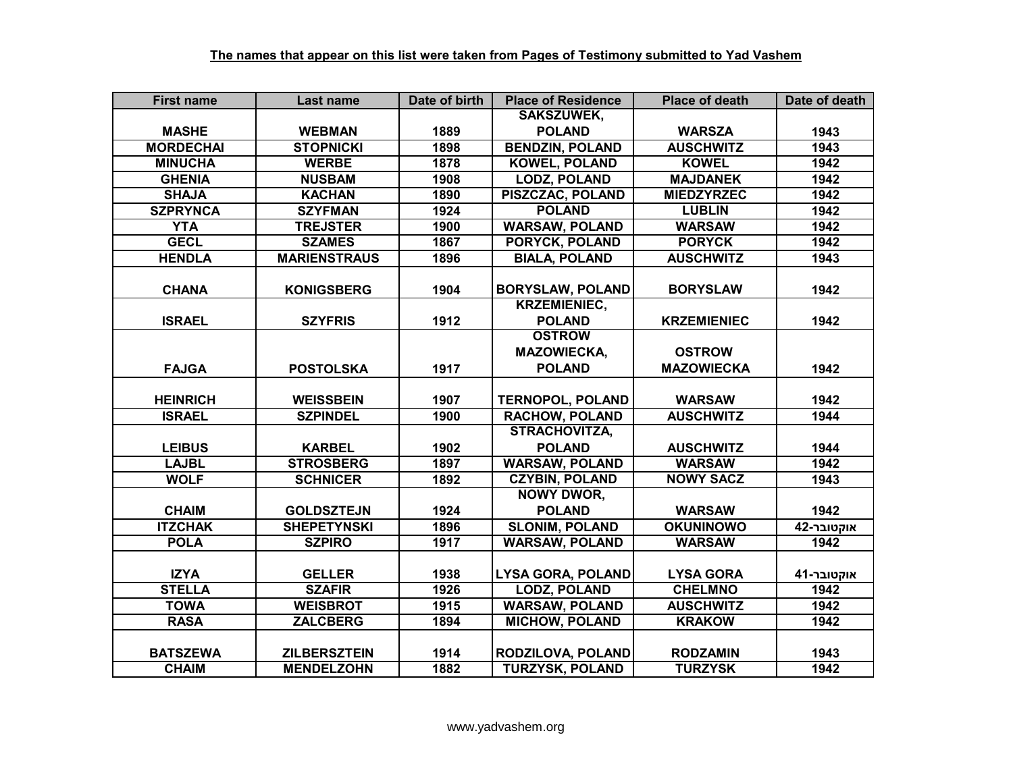| <b>First name</b> | Last name           | Date of birth | <b>Place of Residence</b> | <b>Place of death</b> | Date of death |
|-------------------|---------------------|---------------|---------------------------|-----------------------|---------------|
|                   |                     |               | SAKSZUWEK,                |                       |               |
| <b>MASHE</b>      | <b>WEBMAN</b>       | 1889          | <b>POLAND</b>             | <b>WARSZA</b>         | 1943          |
| <b>MORDECHAI</b>  | <b>STOPNICKI</b>    | 1898          | <b>BENDZIN, POLAND</b>    | <b>AUSCHWITZ</b>      | 1943          |
| <b>MINUCHA</b>    | <b>WERBE</b>        | 1878          | <b>KOWEL, POLAND</b>      | <b>KOWEL</b>          | 1942          |
| <b>GHENIA</b>     | <b>NUSBAM</b>       | 1908          | <b>LODZ, POLAND</b>       | <b>MAJDANEK</b>       | 1942          |
| <b>SHAJA</b>      | <b>KACHAN</b>       | 1890          | PISZCZAC, POLAND          | <b>MIEDZYRZEC</b>     | 1942          |
| <b>SZPRYNCA</b>   | <b>SZYFMAN</b>      | 1924          | <b>POLAND</b>             | <b>LUBLIN</b>         | 1942          |
| <b>YTA</b>        | <b>TREJSTER</b>     | 1900          | <b>WARSAW, POLAND</b>     | <b>WARSAW</b>         | 1942          |
| <b>GECL</b>       | <b>SZAMES</b>       | 1867          | PORYCK, POLAND            | <b>PORYCK</b>         | 1942          |
| <b>HENDLA</b>     | <b>MARIENSTRAUS</b> | 1896          | <b>BIALA, POLAND</b>      | <b>AUSCHWITZ</b>      | 1943          |
|                   |                     |               |                           |                       |               |
| <b>CHANA</b>      | <b>KONIGSBERG</b>   | 1904          | <b>BORYSLAW, POLAND</b>   | <b>BORYSLAW</b>       | 1942          |
|                   |                     |               | <b>KRZEMIENIEC,</b>       |                       |               |
| <b>ISRAEL</b>     | <b>SZYFRIS</b>      | 1912          | <b>POLAND</b>             | <b>KRZEMIENIEC</b>    | 1942          |
|                   |                     |               | <b>OSTROW</b>             |                       |               |
|                   |                     |               | <b>MAZOWIECKA,</b>        | <b>OSTROW</b>         |               |
| <b>FAJGA</b>      | <b>POSTOLSKA</b>    | 1917          | <b>POLAND</b>             | <b>MAZOWIECKA</b>     | 1942          |
|                   |                     |               |                           |                       |               |
| <b>HEINRICH</b>   | <b>WEISSBEIN</b>    | 1907          | <b>TERNOPOL, POLAND</b>   | <b>WARSAW</b>         | 1942          |
| <b>ISRAEL</b>     | <b>SZPINDEL</b>     | 1900          | <b>RACHOW, POLAND</b>     | <b>AUSCHWITZ</b>      | 1944          |
|                   |                     |               | <b>STRACHOVITZA,</b>      |                       |               |
| <b>LEIBUS</b>     | <b>KARBEL</b>       | 1902          | <b>POLAND</b>             | <b>AUSCHWITZ</b>      | 1944          |
| <b>LAJBL</b>      | <b>STROSBERG</b>    | 1897          | <b>WARSAW, POLAND</b>     | <b>WARSAW</b>         | 1942          |
| <b>WOLF</b>       | <b>SCHNICER</b>     | 1892          | <b>CZYBIN, POLAND</b>     | <b>NOWY SACZ</b>      | 1943          |
|                   |                     |               | <b>NOWY DWOR,</b>         |                       |               |
| <b>CHAIM</b>      | <b>GOLDSZTEJN</b>   | 1924          | <b>POLAND</b>             | <b>WARSAW</b>         | 1942          |
| <b>ITZCHAK</b>    | <b>SHEPETYNSKI</b>  | 1896          | <b>SLONIM, POLAND</b>     | <b>OKUNINOWO</b>      | אוקטובר-42    |
| <b>POLA</b>       | <b>SZPIRO</b>       | 1917          | <b>WARSAW, POLAND</b>     | <b>WARSAW</b>         | 1942          |
|                   |                     |               |                           |                       |               |
| <b>IZYA</b>       | <b>GELLER</b>       | 1938          | <b>LYSA GORA, POLAND</b>  | <b>LYSA GORA</b>      | אוקטובר-41    |
| <b>STELLA</b>     | <b>SZAFIR</b>       | 1926          | <b>LODZ, POLAND</b>       | <b>CHELMNO</b>        | 1942          |
| <b>TOWA</b>       | <b>WEISBROT</b>     | 1915          | <b>WARSAW, POLAND</b>     | <b>AUSCHWITZ</b>      | 1942          |
| <b>RASA</b>       | <b>ZALCBERG</b>     | 1894          | <b>MICHOW, POLAND</b>     | <b>KRAKOW</b>         | 1942          |
|                   |                     |               |                           |                       |               |
| <b>BATSZEWA</b>   | <b>ZILBERSZTEIN</b> | 1914          | RODZILOVA, POLAND         | <b>RODZAMIN</b>       | 1943          |
| <b>CHAIM</b>      | <b>MENDELZOHN</b>   | 1882          | <b>TURZYSK, POLAND</b>    | <b>TURZYSK</b>        | 1942          |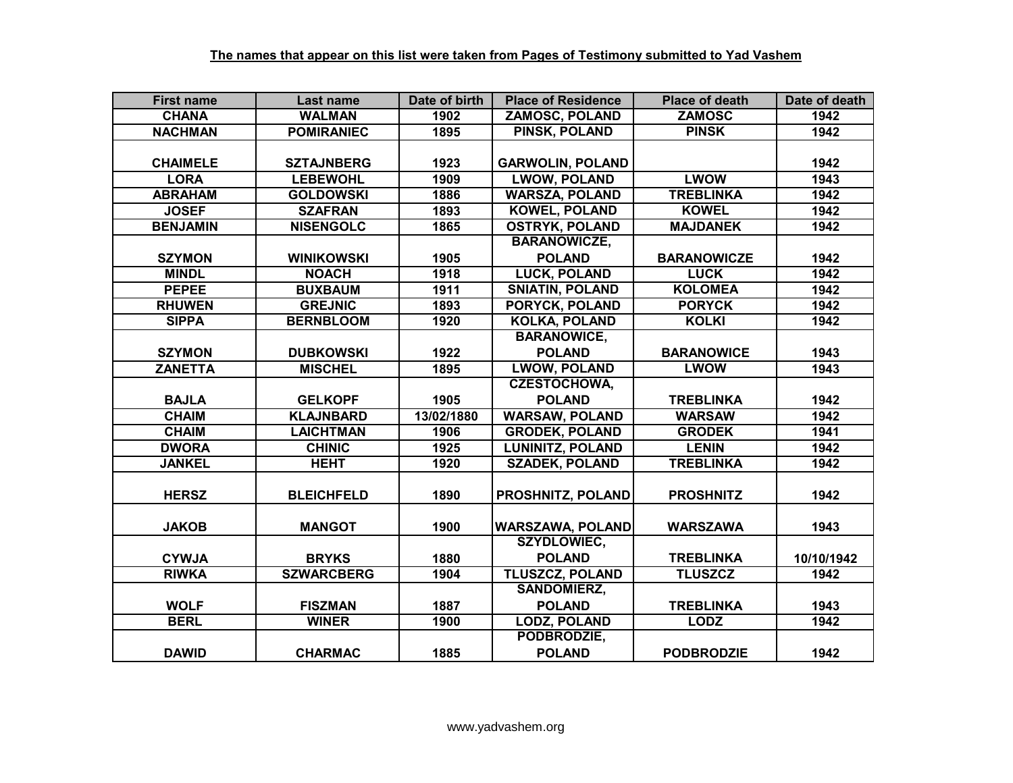| <b>First name</b> | Last name         | Date of birth | <b>Place of Residence</b> | <b>Place of death</b> | Date of death |
|-------------------|-------------------|---------------|---------------------------|-----------------------|---------------|
| <b>CHANA</b>      | <b>WALMAN</b>     | 1902          | <b>ZAMOSC, POLAND</b>     | <b>ZAMOSC</b>         | 1942          |
| <b>NACHMAN</b>    | <b>POMIRANIEC</b> | 1895          | <b>PINSK, POLAND</b>      | <b>PINSK</b>          | 1942          |
|                   |                   |               |                           |                       |               |
| <b>CHAIMELE</b>   | <b>SZTAJNBERG</b> | 1923          | <b>GARWOLIN, POLAND</b>   |                       | 1942          |
| <b>LORA</b>       | <b>LEBEWOHL</b>   | 1909          | <b>LWOW, POLAND</b>       | <b>LWOW</b>           | 1943          |
| <b>ABRAHAM</b>    | <b>GOLDOWSKI</b>  | 1886          | <b>WARSZA, POLAND</b>     | <b>TREBLINKA</b>      | 1942          |
| <b>JOSEF</b>      | <b>SZAFRAN</b>    | 1893          | <b>KOWEL, POLAND</b>      | <b>KOWEL</b>          | 1942          |
| <b>BENJAMIN</b>   | <b>NISENGOLC</b>  | 1865          | <b>OSTRYK, POLAND</b>     | <b>MAJDANEK</b>       | 1942          |
|                   |                   |               | <b>BARANOWICZE,</b>       |                       |               |
| <b>SZYMON</b>     | <b>WINIKOWSKI</b> | 1905          | <b>POLAND</b>             | <b>BARANOWICZE</b>    | 1942          |
| <b>MINDL</b>      | <b>NOACH</b>      | 1918          | <b>LUCK, POLAND</b>       | <b>LUCK</b>           | 1942          |
| <b>PEPEE</b>      | <b>BUXBAUM</b>    | 1911          | <b>SNIATIN, POLAND</b>    | <b>KOLOMEA</b>        | 1942          |
| <b>RHUWEN</b>     | <b>GREJNIC</b>    | 1893          | PORYCK, POLAND            | <b>PORYCK</b>         | 1942          |
| <b>SIPPA</b>      | <b>BERNBLOOM</b>  | 1920          | <b>KOLKA, POLAND</b>      | <b>KOLKI</b>          | 1942          |
|                   |                   |               | <b>BARANOWICE,</b>        |                       |               |
| <b>SZYMON</b>     | <b>DUBKOWSKI</b>  | 1922          | <b>POLAND</b>             | <b>BARANOWICE</b>     | 1943          |
| <b>ZANETTA</b>    | <b>MISCHEL</b>    | 1895          | <b>LWOW, POLAND</b>       | <b>LWOW</b>           | 1943          |
|                   |                   |               | <b>CZESTOCHOWA,</b>       |                       |               |
| <b>BAJLA</b>      | <b>GELKOPF</b>    | 1905          | <b>POLAND</b>             | <b>TREBLINKA</b>      | 1942          |
| <b>CHAIM</b>      | <b>KLAJNBARD</b>  | 13/02/1880    | <b>WARSAW, POLAND</b>     | <b>WARSAW</b>         | 1942          |
| <b>CHAIM</b>      | <b>LAICHTMAN</b>  | 1906          | <b>GRODEK, POLAND</b>     | <b>GRODEK</b>         | 1941          |
| <b>DWORA</b>      | <b>CHINIC</b>     | 1925          | <b>LUNINITZ, POLAND</b>   | <b>LENIN</b>          | 1942          |
| <b>JANKEL</b>     | <b>HEHT</b>       | 1920          | <b>SZADEK, POLAND</b>     | <b>TREBLINKA</b>      | 1942          |
|                   |                   |               |                           |                       |               |
| <b>HERSZ</b>      | <b>BLEICHFELD</b> | 1890          | PROSHNITZ, POLAND         | <b>PROSHNITZ</b>      | 1942          |
|                   |                   |               |                           |                       |               |
| <b>JAKOB</b>      | <b>MANGOT</b>     | 1900          | <b>WARSZAWA, POLAND</b>   | <b>WARSZAWA</b>       | 1943          |
|                   |                   |               | SZYDLOWIEC,               |                       |               |
| <b>CYWJA</b>      | <b>BRYKS</b>      | 1880          | <b>POLAND</b>             | <b>TREBLINKA</b>      | 10/10/1942    |
| <b>RIWKA</b>      | <b>SZWARCBERG</b> | 1904          | <b>TLUSZCZ, POLAND</b>    | <b>TLUSZCZ</b>        | 1942          |
|                   |                   |               | <b>SANDOMIERZ,</b>        |                       |               |
| <b>WOLF</b>       | <b>FISZMAN</b>    | 1887          | <b>POLAND</b>             | <b>TREBLINKA</b>      | 1943          |
| <b>BERL</b>       | <b>WINER</b>      | 1900          | <b>LODZ, POLAND</b>       | <b>LODZ</b>           | 1942          |
|                   |                   |               | PODBRODZIE,               |                       |               |
| <b>DAWID</b>      | <b>CHARMAC</b>    | 1885          | <b>POLAND</b>             | <b>PODBRODZIE</b>     | 1942          |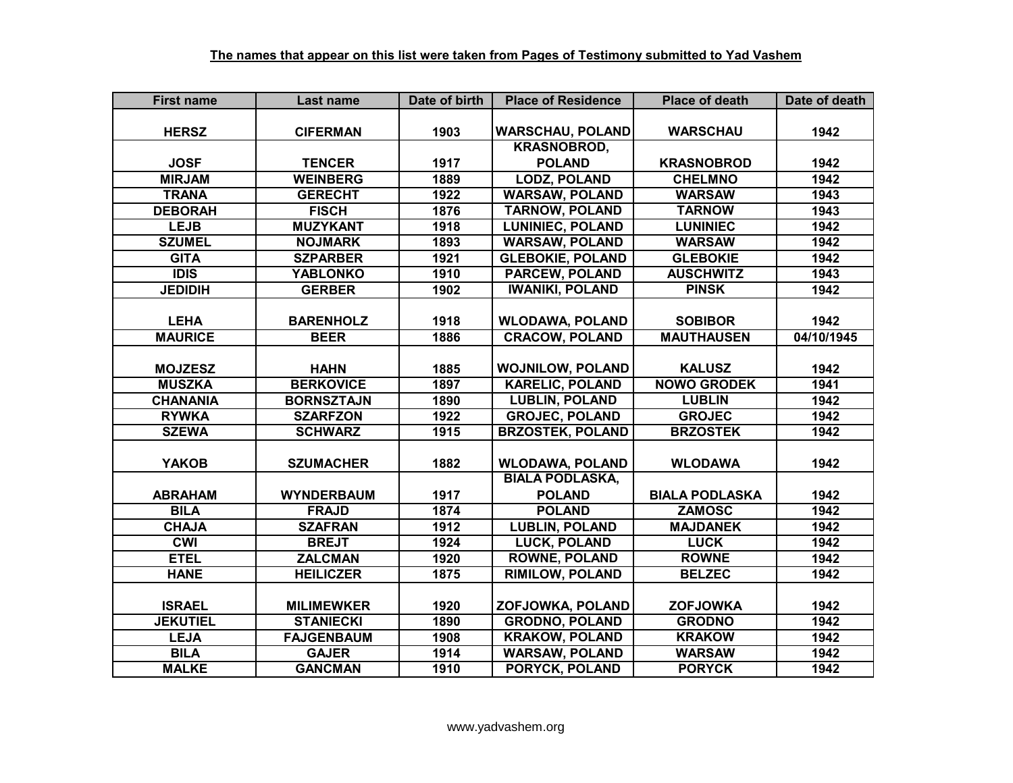| <b>First name</b> | Last name         | Date of birth | <b>Place of Residence</b> | <b>Place of death</b> | Date of death |
|-------------------|-------------------|---------------|---------------------------|-----------------------|---------------|
|                   |                   |               |                           |                       |               |
| <b>HERSZ</b>      | <b>CIFERMAN</b>   | 1903          | <b>WARSCHAU, POLAND</b>   | <b>WARSCHAU</b>       | 1942          |
|                   |                   |               | <b>KRASNOBROD,</b>        |                       |               |
| <b>JOSF</b>       | <b>TENCER</b>     | 1917          | <b>POLAND</b>             | <b>KRASNOBROD</b>     | 1942          |
| <b>MIRJAM</b>     | <b>WEINBERG</b>   | 1889          | <b>LODZ, POLAND</b>       | <b>CHELMNO</b>        | 1942          |
| <b>TRANA</b>      | <b>GERECHT</b>    | 1922          | <b>WARSAW, POLAND</b>     | <b>WARSAW</b>         | 1943          |
| <b>DEBORAH</b>    | <b>FISCH</b>      | 1876          | <b>TARNOW, POLAND</b>     | <b>TARNOW</b>         | 1943          |
| <b>LEJB</b>       | <b>MUZYKANT</b>   | 1918          | <b>LUNINIEC, POLAND</b>   | <b>LUNINIEC</b>       | 1942          |
| <b>SZUMEL</b>     | <b>NOJMARK</b>    | 1893          | <b>WARSAW, POLAND</b>     | <b>WARSAW</b>         | 1942          |
| <b>GITA</b>       | <b>SZPARBER</b>   | 1921          | <b>GLEBOKIE, POLAND</b>   | <b>GLEBOKIE</b>       | 1942          |
| <b>IDIS</b>       | <b>YABLONKO</b>   | 1910          | PARCEW, POLAND            | <b>AUSCHWITZ</b>      | 1943          |
| <b>JEDIDIH</b>    | <b>GERBER</b>     | 1902          | <b>IWANIKI, POLAND</b>    | <b>PINSK</b>          | 1942          |
|                   |                   |               |                           |                       |               |
| <b>LEHA</b>       | <b>BARENHOLZ</b>  | 1918          | <b>WLODAWA, POLAND</b>    | <b>SOBIBOR</b>        | 1942          |
| <b>MAURICE</b>    | <b>BEER</b>       | 1886          | <b>CRACOW, POLAND</b>     | <b>MAUTHAUSEN</b>     | 04/10/1945    |
|                   |                   |               |                           |                       |               |
| <b>MOJZESZ</b>    | <b>HAHN</b>       | 1885          | <b>WOJNILOW, POLAND</b>   | <b>KALUSZ</b>         | 1942          |
| <b>MUSZKA</b>     | <b>BERKOVICE</b>  | 1897          | <b>KARELIC, POLAND</b>    | <b>NOWO GRODEK</b>    | 1941          |
| <b>CHANANIA</b>   | <b>BORNSZTAJN</b> | 1890          | <b>LUBLIN, POLAND</b>     | <b>LUBLIN</b>         | 1942          |
| <b>RYWKA</b>      | <b>SZARFZON</b>   | 1922          | <b>GROJEC, POLAND</b>     | <b>GROJEC</b>         | 1942          |
| <b>SZEWA</b>      | <b>SCHWARZ</b>    | 1915          | <b>BRZOSTEK, POLAND</b>   | <b>BRZOSTEK</b>       | 1942          |
|                   |                   |               |                           |                       |               |
| <b>YAKOB</b>      | <b>SZUMACHER</b>  | 1882          | <b>WLODAWA, POLAND</b>    | <b>WLODAWA</b>        | 1942          |
|                   |                   |               | <b>BIALA PODLASKA,</b>    |                       |               |
| <b>ABRAHAM</b>    | <b>WYNDERBAUM</b> | 1917          | <b>POLAND</b>             | <b>BIALA PODLASKA</b> | 1942          |
| <b>BILA</b>       | <b>FRAJD</b>      | 1874          | <b>POLAND</b>             | <b>ZAMOSC</b>         | 1942          |
| <b>CHAJA</b>      | <b>SZAFRAN</b>    | 1912          | <b>LUBLIN, POLAND</b>     | <b>MAJDANEK</b>       | 1942          |
| <b>CWI</b>        | <b>BREJT</b>      | 1924          | <b>LUCK, POLAND</b>       | <b>LUCK</b>           | 1942          |
| <b>ETEL</b>       | <b>ZALCMAN</b>    | 1920          | <b>ROWNE, POLAND</b>      | <b>ROWNE</b>          | 1942          |
| <b>HANE</b>       | <b>HEILICZER</b>  | 1875          | <b>RIMILOW, POLAND</b>    | <b>BELZEC</b>         | 1942          |
|                   |                   |               |                           |                       |               |
| <b>ISRAEL</b>     | <b>MILIMEWKER</b> | 1920          | ZOFJOWKA, POLAND          | <b>ZOFJOWKA</b>       | 1942          |
| <b>JEKUTIEL</b>   | <b>STANIECKI</b>  | 1890          | <b>GRODNO, POLAND</b>     | <b>GRODNO</b>         | 1942          |
| <b>LEJA</b>       | <b>FAJGENBAUM</b> | 1908          | <b>KRAKOW, POLAND</b>     | <b>KRAKOW</b>         | 1942          |
| <b>BILA</b>       | <b>GAJER</b>      | 1914          | <b>WARSAW, POLAND</b>     | <b>WARSAW</b>         | 1942          |
| <b>MALKE</b>      | <b>GANCMAN</b>    | 1910          | PORYCK, POLAND            | <b>PORYCK</b>         | 1942          |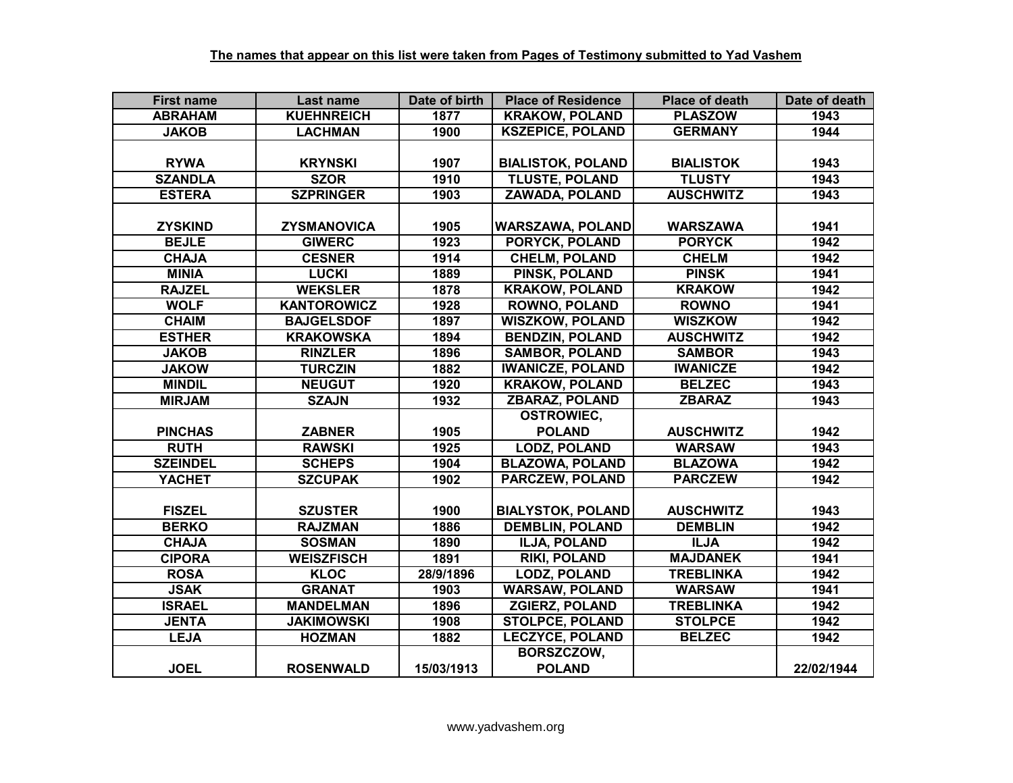| <b>First name</b> | Last name          | Date of birth | <b>Place of Residence</b> | <b>Place of death</b> | Date of death |
|-------------------|--------------------|---------------|---------------------------|-----------------------|---------------|
| <b>ABRAHAM</b>    | <b>KUEHNREICH</b>  | 1877          | <b>KRAKOW, POLAND</b>     | <b>PLASZOW</b>        | 1943          |
| <b>JAKOB</b>      | <b>LACHMAN</b>     | 1900          | <b>KSZEPICE, POLAND</b>   | <b>GERMANY</b>        | 1944          |
|                   |                    |               |                           |                       |               |
| <b>RYWA</b>       | <b>KRYNSKI</b>     | 1907          | <b>BIALISTOK, POLAND</b>  | <b>BIALISTOK</b>      | 1943          |
| <b>SZANDLA</b>    | <b>SZOR</b>        | 1910          | <b>TLUSTE, POLAND</b>     | <b>TLUSTY</b>         | 1943          |
| <b>ESTERA</b>     | <b>SZPRINGER</b>   | 1903          | <b>ZAWADA, POLAND</b>     | <b>AUSCHWITZ</b>      | 1943          |
|                   |                    |               |                           |                       |               |
| <b>ZYSKIND</b>    | ZYSMANOVICA        | 1905          | <b>WARSZAWA, POLAND</b>   | <b>WARSZAWA</b>       | 1941          |
| <b>BEJLE</b>      | <b>GIWERC</b>      | 1923          | PORYCK, POLAND            | <b>PORYCK</b>         | 1942          |
| <b>CHAJA</b>      | <b>CESNER</b>      | 1914          | <b>CHELM, POLAND</b>      | <b>CHELM</b>          | 1942          |
| <b>MINIA</b>      | <b>LUCKI</b>       | 1889          | PINSK, POLAND             | <b>PINSK</b>          | 1941          |
| <b>RAJZEL</b>     | <b>WEKSLER</b>     | 1878          | <b>KRAKOW, POLAND</b>     | <b>KRAKOW</b>         | 1942          |
| <b>WOLF</b>       | <b>KANTOROWICZ</b> | 1928          | <b>ROWNO, POLAND</b>      | <b>ROWNO</b>          | 1941          |
| <b>CHAIM</b>      | <b>BAJGELSDOF</b>  | 1897          | <b>WISZKOW, POLAND</b>    | <b>WISZKOW</b>        | 1942          |
| <b>ESTHER</b>     | <b>KRAKOWSKA</b>   | 1894          | <b>BENDZIN, POLAND</b>    | <b>AUSCHWITZ</b>      | 1942          |
| <b>JAKOB</b>      | <b>RINZLER</b>     | 1896          | <b>SAMBOR, POLAND</b>     | <b>SAMBOR</b>         | 1943          |
| <b>JAKOW</b>      | <b>TURCZIN</b>     | 1882          | <b>IWANICZE, POLAND</b>   | <b>IWANICZE</b>       | 1942          |
| <b>MINDIL</b>     | <b>NEUGUT</b>      | 1920          | <b>KRAKOW, POLAND</b>     | <b>BELZEC</b>         | 1943          |
| <b>MIRJAM</b>     | <b>SZAJN</b>       | 1932          | <b>ZBARAZ, POLAND</b>     | <b>ZBARAZ</b>         | 1943          |
|                   |                    |               | <b>OSTROWIEC,</b>         |                       |               |
| <b>PINCHAS</b>    | <b>ZABNER</b>      | 1905          | <b>POLAND</b>             | <b>AUSCHWITZ</b>      | 1942          |
| <b>RUTH</b>       | <b>RAWSKI</b>      | 1925          | <b>LODZ, POLAND</b>       | <b>WARSAW</b>         | 1943          |
| <b>SZEINDEL</b>   | <b>SCHEPS</b>      | 1904          | <b>BLAZOWA, POLAND</b>    | <b>BLAZOWA</b>        | 1942          |
| <b>YACHET</b>     | <b>SZCUPAK</b>     | 1902          | <b>PARCZEW, POLAND</b>    | <b>PARCZEW</b>        | 1942          |
|                   |                    |               |                           |                       |               |
| <b>FISZEL</b>     | <b>SZUSTER</b>     | 1900          | <b>BIALYSTOK, POLAND</b>  | <b>AUSCHWITZ</b>      | 1943          |
| <b>BERKO</b>      | <b>RAJZMAN</b>     | 1886          | <b>DEMBLIN, POLAND</b>    | <b>DEMBLIN</b>        | 1942          |
| <b>CHAJA</b>      | <b>SOSMAN</b>      | 1890          | <b>ILJA, POLAND</b>       | <b>ILJA</b>           | 1942          |
| <b>CIPORA</b>     | <b>WEISZFISCH</b>  | 1891          | <b>RIKI, POLAND</b>       | <b>MAJDANEK</b>       | 1941          |
| <b>ROSA</b>       | <b>KLOC</b>        | 28/9/1896     | <b>LODZ, POLAND</b>       | <b>TREBLINKA</b>      | 1942          |
| <b>JSAK</b>       | <b>GRANAT</b>      | 1903          | <b>WARSAW, POLAND</b>     | <b>WARSAW</b>         | 1941          |
| <b>ISRAEL</b>     | <b>MANDELMAN</b>   | 1896          | <b>ZGIERZ, POLAND</b>     | <b>TREBLINKA</b>      | 1942          |
| <b>JENTA</b>      | <b>JAKIMOWSKI</b>  | 1908          | <b>STOLPCE, POLAND</b>    | <b>STOLPCE</b>        | 1942          |
| <b>LEJA</b>       | <b>HOZMAN</b>      | 1882          | <b>LECZYCE, POLAND</b>    | <b>BELZEC</b>         | 1942          |
|                   |                    |               | BORSZCZOW,                |                       |               |
| <b>JOEL</b>       | <b>ROSENWALD</b>   | 15/03/1913    | <b>POLAND</b>             |                       | 22/02/1944    |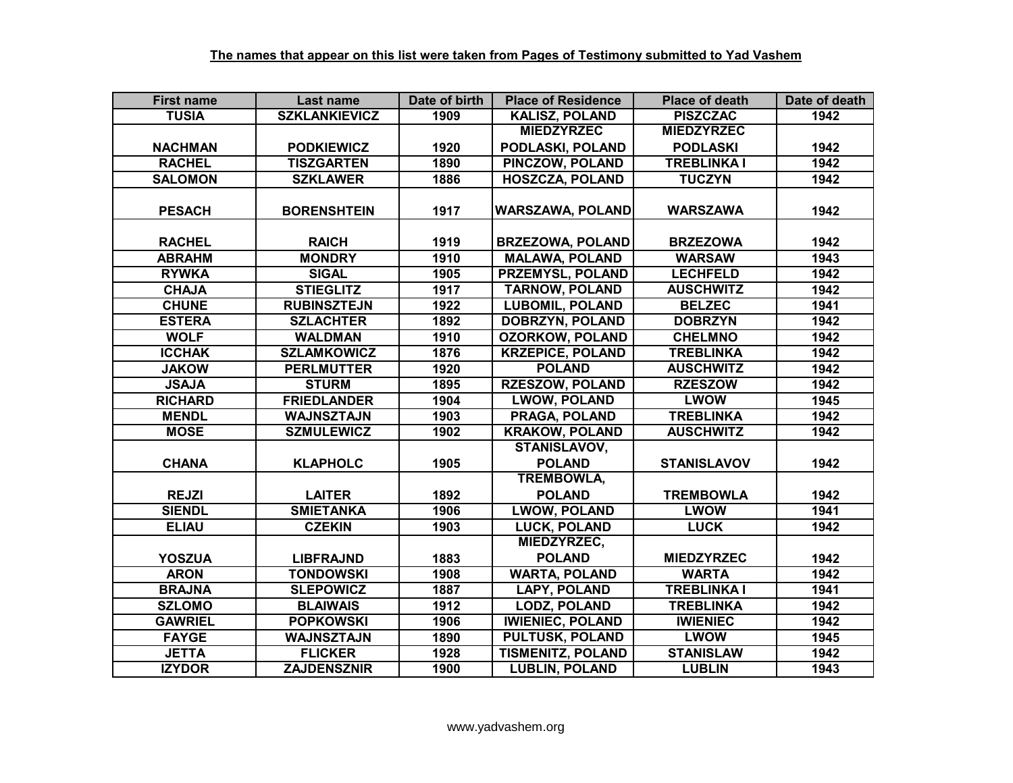| <b>First name</b> | Last name            | Date of birth | <b>Place of Residence</b> | <b>Place of death</b> | Date of death |
|-------------------|----------------------|---------------|---------------------------|-----------------------|---------------|
| <b>TUSIA</b>      | <b>SZKLANKIEVICZ</b> | 1909          | <b>KALISZ, POLAND</b>     | <b>PISZCZAC</b>       | 1942          |
|                   |                      |               | <b>MIEDZYRZEC</b>         | <b>MIEDZYRZEC</b>     |               |
| <b>NACHMAN</b>    | <b>PODKIEWICZ</b>    | 1920          | PODLASKI, POLAND          | <b>PODLASKI</b>       | 1942          |
| <b>RACHEL</b>     | <b>TISZGARTEN</b>    | 1890          | <b>PINCZOW, POLAND</b>    | <b>TREBLINKA I</b>    | 1942          |
| <b>SALOMON</b>    | <b>SZKLAWER</b>      | 1886          | <b>HOSZCZA, POLAND</b>    | <b>TUCZYN</b>         | 1942          |
|                   |                      |               |                           |                       |               |
| <b>PESACH</b>     | <b>BORENSHTEIN</b>   | 1917          | <b>WARSZAWA, POLAND</b>   | <b>WARSZAWA</b>       | 1942          |
|                   |                      |               |                           |                       |               |
| <b>RACHEL</b>     | <b>RAICH</b>         | 1919          | <b>BRZEZOWA, POLAND</b>   | <b>BRZEZOWA</b>       | 1942          |
| <b>ABRAHM</b>     | <b>MONDRY</b>        | 1910          | <b>MALAWA, POLAND</b>     | <b>WARSAW</b>         | 1943          |
| <b>RYWKA</b>      | <b>SIGAL</b>         | 1905          | PRZEMYSL, POLAND          | <b>LECHFELD</b>       | 1942          |
| <b>CHAJA</b>      | <b>STIEGLITZ</b>     | 1917          | <b>TARNOW, POLAND</b>     | <b>AUSCHWITZ</b>      | 1942          |
| <b>CHUNE</b>      | <b>RUBINSZTEJN</b>   | 1922          | <b>LUBOMIL, POLAND</b>    | <b>BELZEC</b>         | 1941          |
| <b>ESTERA</b>     | <b>SZLACHTER</b>     | 1892          | <b>DOBRZYN, POLAND</b>    | <b>DOBRZYN</b>        | 1942          |
| <b>WOLF</b>       | <b>WALDMAN</b>       | 1910          | <b>OZORKOW, POLAND</b>    | <b>CHELMNO</b>        | 1942          |
| <b>ICCHAK</b>     | <b>SZLAMKOWICZ</b>   | 1876          | <b>KRZEPICE, POLAND</b>   | <b>TREBLINKA</b>      | 1942          |
| <b>JAKOW</b>      | <b>PERLMUTTER</b>    | 1920          | <b>POLAND</b>             | <b>AUSCHWITZ</b>      | 1942          |
| <b>JSAJA</b>      | <b>STURM</b>         | 1895          | <b>RZESZOW, POLAND</b>    | <b>RZESZOW</b>        | 1942          |
| <b>RICHARD</b>    | <b>FRIEDLANDER</b>   | 1904          | <b>LWOW, POLAND</b>       | <b>LWOW</b>           | 1945          |
| <b>MENDL</b>      | <b>WAJNSZTAJN</b>    | 1903          | <b>PRAGA, POLAND</b>      | <b>TREBLINKA</b>      | 1942          |
| <b>MOSE</b>       | <b>SZMULEWICZ</b>    | 1902          | <b>KRAKOW, POLAND</b>     | <b>AUSCHWITZ</b>      | 1942          |
|                   |                      |               | <b>STANISLAVOV,</b>       |                       |               |
| <b>CHANA</b>      | <b>KLAPHOLC</b>      | 1905          | <b>POLAND</b>             | <b>STANISLAVOV</b>    | 1942          |
|                   |                      |               | <b>TREMBOWLA,</b>         |                       |               |
| <b>REJZI</b>      | <b>LAITER</b>        | 1892          | <b>POLAND</b>             | <b>TREMBOWLA</b>      | 1942          |
| <b>SIENDL</b>     | <b>SMIETANKA</b>     | 1906          | <b>LWOW, POLAND</b>       | <b>LWOW</b>           | 1941          |
| <b>ELIAU</b>      | <b>CZEKIN</b>        | 1903          | <b>LUCK, POLAND</b>       | <b>LUCK</b>           | 1942          |
|                   |                      |               | MIEDZYRZEC,               |                       |               |
| <b>YOSZUA</b>     | <b>LIBFRAJND</b>     | 1883          | <b>POLAND</b>             | <b>MIEDZYRZEC</b>     | 1942          |
| <b>ARON</b>       | <b>TONDOWSKI</b>     | 1908          | <b>WARTA, POLAND</b>      | <b>WARTA</b>          | 1942          |
| <b>BRAJNA</b>     | <b>SLEPOWICZ</b>     | 1887          | <b>LAPY, POLAND</b>       | <b>TREBLINKA I</b>    | 1941          |
| <b>SZLOMO</b>     | <b>BLAIWAIS</b>      | 1912          | <b>LODZ, POLAND</b>       | <b>TREBLINKA</b>      | 1942          |
| <b>GAWRIEL</b>    | <b>POPKOWSKI</b>     | 1906          | <b>IWIENIEC, POLAND</b>   | <b>IWIENIEC</b>       | 1942          |
| <b>FAYGE</b>      | <b>WAJNSZTAJN</b>    | 1890          | <b>PULTUSK, POLAND</b>    | <b>LWOW</b>           | 1945          |
| <b>JETTA</b>      | <b>FLICKER</b>       | 1928          | <b>TISMENITZ, POLAND</b>  | <b>STANISLAW</b>      | 1942          |
| <b>IZYDOR</b>     | <b>ZAJDENSZNIR</b>   | 1900          | <b>LUBLIN, POLAND</b>     | <b>LUBLIN</b>         | 1943          |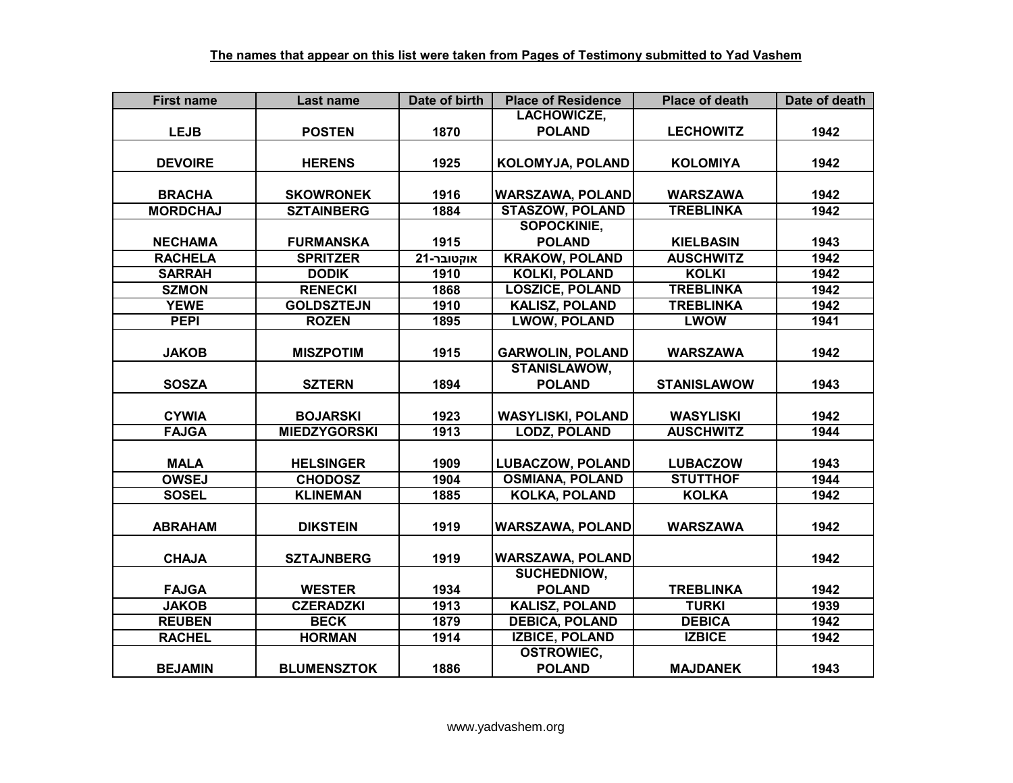| <b>First name</b> | Last name           | Date of birth | <b>Place of Residence</b> | <b>Place of death</b> | Date of death |
|-------------------|---------------------|---------------|---------------------------|-----------------------|---------------|
|                   |                     |               | LACHOWICZE,               |                       |               |
| <b>LEJB</b>       | <b>POSTEN</b>       | 1870          | <b>POLAND</b>             | <b>LECHOWITZ</b>      | 1942          |
|                   |                     |               |                           |                       |               |
| <b>DEVOIRE</b>    | <b>HERENS</b>       | 1925          | KOLOMYJA, POLAND          | <b>KOLOMIYA</b>       | 1942          |
|                   |                     |               |                           |                       |               |
| <b>BRACHA</b>     | <b>SKOWRONEK</b>    | 1916          | <b>WARSZAWA, POLAND</b>   | <b>WARSZAWA</b>       | 1942          |
| <b>MORDCHAJ</b>   | <b>SZTAINBERG</b>   | 1884          | <b>STASZOW, POLAND</b>    | <b>TREBLINKA</b>      | 1942          |
|                   |                     |               | <b>SOPOCKINIE.</b>        |                       |               |
| <b>NECHAMA</b>    | <b>FURMANSKA</b>    | 1915          | <b>POLAND</b>             | <b>KIELBASIN</b>      | 1943          |
| <b>RACHELA</b>    | <b>SPRITZER</b>     | אוקטובר-21    | <b>KRAKOW, POLAND</b>     | <b>AUSCHWITZ</b>      | 1942          |
| <b>SARRAH</b>     | <b>DODIK</b>        | 1910          | <b>KOLKI, POLAND</b>      | <b>KOLKI</b>          | 1942          |
| <b>SZMON</b>      | <b>RENECKI</b>      | 1868          | <b>LOSZICE, POLAND</b>    | <b>TREBLINKA</b>      | 1942          |
| <b>YEWE</b>       | <b>GOLDSZTEJN</b>   | 1910          | <b>KALISZ, POLAND</b>     | <b>TREBLINKA</b>      | 1942          |
| <b>PEPI</b>       | <b>ROZEN</b>        | 1895          | <b>LWOW, POLAND</b>       | LWOW                  | 1941          |
|                   |                     |               |                           |                       |               |
| <b>JAKOB</b>      | <b>MISZPOTIM</b>    | 1915          | <b>GARWOLIN, POLAND</b>   | <b>WARSZAWA</b>       | 1942          |
|                   |                     |               | <b>STANISLAWOW,</b>       |                       |               |
| <b>SOSZA</b>      | <b>SZTERN</b>       | 1894          | <b>POLAND</b>             | <b>STANISLAWOW</b>    | 1943          |
|                   |                     |               |                           |                       |               |
| <b>CYWIA</b>      | <b>BOJARSKI</b>     | 1923          | <b>WASYLISKI, POLAND</b>  | <b>WASYLISKI</b>      | 1942          |
| <b>FAJGA</b>      | <b>MIEDZYGORSKI</b> | 1913          | <b>LODZ, POLAND</b>       | <b>AUSCHWITZ</b>      | 1944          |
|                   |                     |               |                           |                       |               |
| <b>MALA</b>       | <b>HELSINGER</b>    | 1909          | <b>LUBACZOW, POLAND</b>   | <b>LUBACZOW</b>       | 1943          |
| <b>OWSEJ</b>      | <b>CHODOSZ</b>      | 1904          | <b>OSMIANA, POLAND</b>    | <b>STUTTHOF</b>       | 1944          |
| <b>SOSEL</b>      | <b>KLINEMAN</b>     | 1885          | <b>KOLKA, POLAND</b>      | <b>KOLKA</b>          | 1942          |
|                   |                     |               |                           |                       |               |
| <b>ABRAHAM</b>    | <b>DIKSTEIN</b>     | 1919          | <b>WARSZAWA, POLAND</b>   | <b>WARSZAWA</b>       | 1942          |
|                   |                     |               |                           |                       |               |
| <b>CHAJA</b>      | <b>SZTAJNBERG</b>   | 1919          | <b>WARSZAWA, POLAND</b>   |                       | 1942          |
|                   |                     |               | <b>SUCHEDNIOW,</b>        |                       |               |
| <b>FAJGA</b>      | <b>WESTER</b>       | 1934          | <b>POLAND</b>             | <b>TREBLINKA</b>      | 1942          |
| <b>JAKOB</b>      | <b>CZERADZKI</b>    | 1913          | <b>KALISZ, POLAND</b>     | <b>TURKI</b>          | 1939          |
| <b>REUBEN</b>     | <b>BECK</b>         | 1879          | <b>DEBICA, POLAND</b>     | <b>DEBICA</b>         | 1942          |
| <b>RACHEL</b>     | <b>HORMAN</b>       | 1914          | <b>IZBICE, POLAND</b>     | <b>IZBICE</b>         | 1942          |
|                   |                     |               | <b>OSTROWIEC,</b>         |                       |               |
| <b>BEJAMIN</b>    | <b>BLUMENSZTOK</b>  | 1886          | <b>POLAND</b>             | <b>MAJDANEK</b>       | 1943          |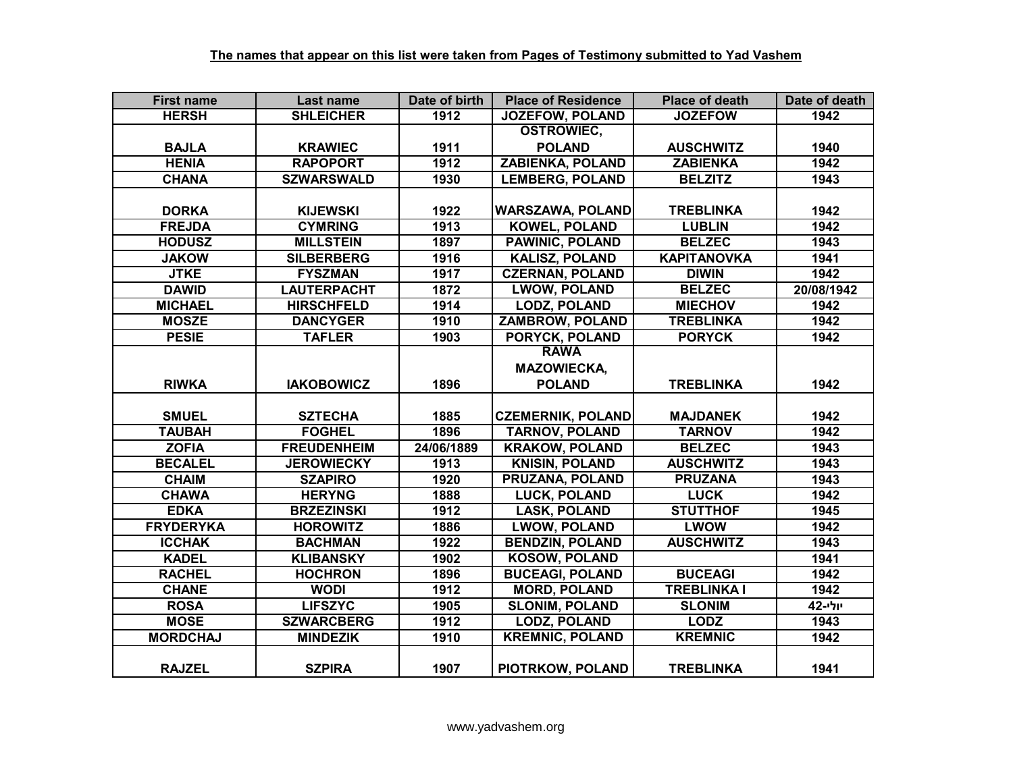| <b>First name</b> | Last name          | Date of birth | <b>Place of Residence</b> | <b>Place of death</b> | Date of death |
|-------------------|--------------------|---------------|---------------------------|-----------------------|---------------|
| <b>HERSH</b>      | <b>SHLEICHER</b>   | 1912          | <b>JOZEFOW, POLAND</b>    | <b>JOZEFOW</b>        | 1942          |
|                   |                    |               | <b>OSTROWIEC,</b>         |                       |               |
| <b>BAJLA</b>      | <b>KRAWIEC</b>     | 1911          | <b>POLAND</b>             | <b>AUSCHWITZ</b>      | 1940          |
| <b>HENIA</b>      | <b>RAPOPORT</b>    | 1912          | <b>ZABIENKA, POLAND</b>   | <b>ZABIENKA</b>       | 1942          |
| <b>CHANA</b>      | <b>SZWARSWALD</b>  | 1930          | <b>LEMBERG, POLAND</b>    | <b>BELZITZ</b>        | 1943          |
|                   |                    |               |                           |                       |               |
| <b>DORKA</b>      | <b>KIJEWSKI</b>    | 1922          | <b>WARSZAWA, POLAND</b>   | <b>TREBLINKA</b>      | 1942          |
| <b>FREJDA</b>     | <b>CYMRING</b>     | 1913          | <b>KOWEL, POLAND</b>      | <b>LUBLIN</b>         | 1942          |
| <b>HODUSZ</b>     | <b>MILLSTEIN</b>   | 1897          | <b>PAWINIC, POLAND</b>    | <b>BELZEC</b>         | 1943          |
| <b>JAKOW</b>      | <b>SILBERBERG</b>  | 1916          | <b>KALISZ, POLAND</b>     | <b>KAPITANOVKA</b>    | 1941          |
| <b>JTKE</b>       | <b>FYSZMAN</b>     | 1917          | <b>CZERNAN, POLAND</b>    | <b>DIWIN</b>          | 1942          |
| <b>DAWID</b>      | <b>LAUTERPACHT</b> | 1872          | <b>LWOW, POLAND</b>       | <b>BELZEC</b>         | 20/08/1942    |
| <b>MICHAEL</b>    | <b>HIRSCHFELD</b>  | 1914          | <b>LODZ, POLAND</b>       | <b>MIECHOV</b>        | 1942          |
| <b>MOSZE</b>      | <b>DANCYGER</b>    | 1910          | <b>ZAMBROW, POLAND</b>    | <b>TREBLINKA</b>      | 1942          |
| <b>PESIE</b>      | <b>TAFLER</b>      | 1903          | PORYCK, POLAND            | <b>PORYCK</b>         | 1942          |
|                   |                    |               | <b>RAWA</b>               |                       |               |
|                   |                    |               | <b>MAZOWIECKA,</b>        |                       |               |
| <b>RIWKA</b>      | <b>IAKOBOWICZ</b>  | 1896          | <b>POLAND</b>             | <b>TREBLINKA</b>      | 1942          |
|                   |                    |               |                           |                       |               |
| <b>SMUEL</b>      | <b>SZTECHA</b>     | 1885          | <b>CZEMERNIK, POLAND</b>  | <b>MAJDANEK</b>       | 1942          |
| <b>TAUBAH</b>     | <b>FOGHEL</b>      | 1896          | <b>TARNOV, POLAND</b>     | <b>TARNOV</b>         | 1942          |
| <b>ZOFIA</b>      | <b>FREUDENHEIM</b> | 24/06/1889    | <b>KRAKOW, POLAND</b>     | <b>BELZEC</b>         | 1943          |
| <b>BECALEL</b>    | <b>JEROWIECKY</b>  | 1913          | <b>KNISIN, POLAND</b>     | <b>AUSCHWITZ</b>      | 1943          |
| <b>CHAIM</b>      | <b>SZAPIRO</b>     | 1920          | <b>PRUZANA, POLAND</b>    | <b>PRUZANA</b>        | 1943          |
| <b>CHAWA</b>      | <b>HERYNG</b>      | 1888          | <b>LUCK, POLAND</b>       | <b>LUCK</b>           | 1942          |
| <b>EDKA</b>       | <b>BRZEZINSKI</b>  | 1912          | <b>LASK, POLAND</b>       | <b>STUTTHOF</b>       | 1945          |
| <b>FRYDERYKA</b>  | <b>HOROWITZ</b>    | 1886          | <b>LWOW, POLAND</b>       | <b>LWOW</b>           | 1942          |
| <b>ICCHAK</b>     | <b>BACHMAN</b>     | 1922          | <b>BENDZIN, POLAND</b>    | <b>AUSCHWITZ</b>      | 1943          |
| <b>KADEL</b>      | <b>KLIBANSKY</b>   | 1902          | <b>KOSOW, POLAND</b>      |                       | 1941          |
| <b>RACHEL</b>     | <b>HOCHRON</b>     | 1896          | <b>BUCEAGI, POLAND</b>    | <b>BUCEAGI</b>        | 1942          |
| <b>CHANE</b>      | <b>WODI</b>        | 1912          | <b>MORD, POLAND</b>       | <b>TREBLINKA I</b>    | 1942          |
| <b>ROSA</b>       | <b>LIFSZYC</b>     | 1905          | <b>SLONIM, POLAND</b>     | <b>SLONIM</b>         | יולי-42       |
| <b>MOSE</b>       | <b>SZWARCBERG</b>  | 1912          | <b>LODZ, POLAND</b>       | <b>LODZ</b>           | 1943          |
| <b>MORDCHAJ</b>   | <b>MINDEZIK</b>    | 1910          | <b>KREMNIC, POLAND</b>    | <b>KREMNIC</b>        | 1942          |
|                   |                    |               |                           |                       |               |
| <b>RAJZEL</b>     | <b>SZPIRA</b>      | 1907          | PIOTRKOW, POLAND          | <b>TREBLINKA</b>      | 1941          |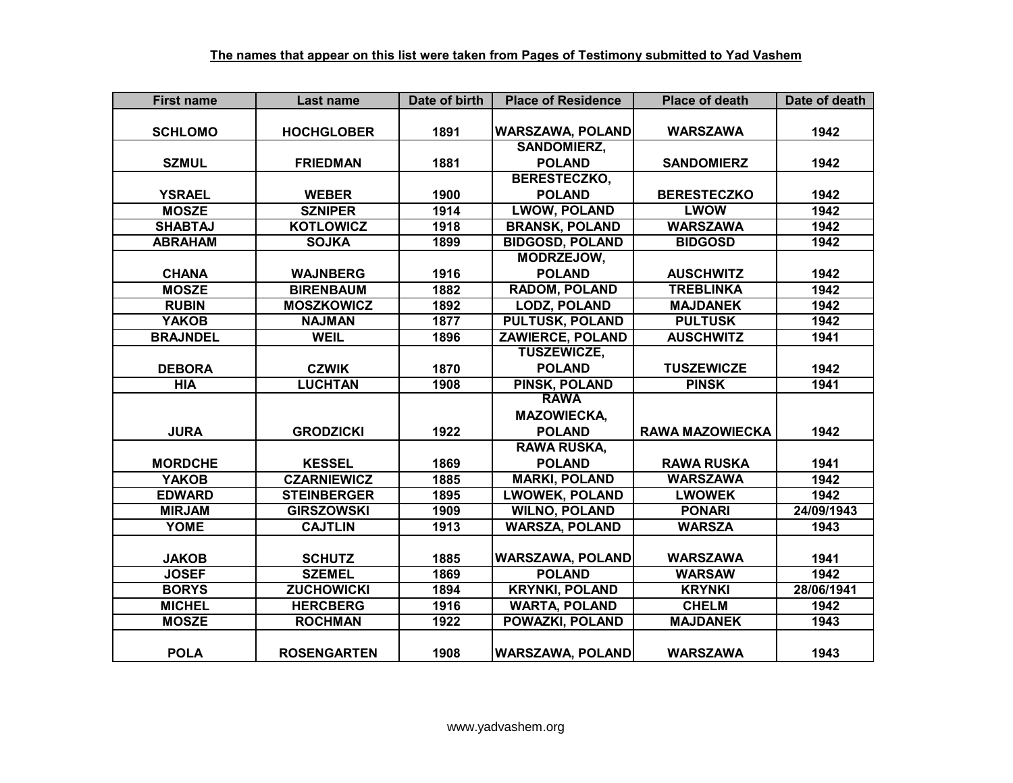| <b>First name</b> | Last name          | Date of birth | <b>Place of Residence</b> | <b>Place of death</b>  | Date of death |
|-------------------|--------------------|---------------|---------------------------|------------------------|---------------|
|                   |                    |               |                           |                        |               |
| <b>SCHLOMO</b>    | <b>HOCHGLOBER</b>  | 1891          | <b>WARSZAWA, POLAND</b>   | <b>WARSZAWA</b>        | 1942          |
|                   |                    |               | <b>SANDOMIERZ,</b>        |                        |               |
| <b>SZMUL</b>      | <b>FRIEDMAN</b>    | 1881          | <b>POLAND</b>             | <b>SANDOMIERZ</b>      | 1942          |
|                   |                    |               | <b>BERESTECZKO,</b>       |                        |               |
| <b>YSRAEL</b>     | <b>WEBER</b>       | 1900          | <b>POLAND</b>             | <b>BERESTECZKO</b>     | 1942          |
| <b>MOSZE</b>      | <b>SZNIPER</b>     | 1914          | <b>LWOW, POLAND</b>       | <b>LWOW</b>            | 1942          |
| <b>SHABTAJ</b>    | <b>KOTLOWICZ</b>   | 1918          | <b>BRANSK, POLAND</b>     | <b>WARSZAWA</b>        | 1942          |
| <b>ABRAHAM</b>    | <b>SOJKA</b>       | 1899          | <b>BIDGOSD, POLAND</b>    | <b>BIDGOSD</b>         | 1942          |
|                   |                    |               | MODRZEJOW,                |                        |               |
| <b>CHANA</b>      | <b>WAJNBERG</b>    | 1916          | <b>POLAND</b>             | <b>AUSCHWITZ</b>       | 1942          |
| <b>MOSZE</b>      | <b>BIRENBAUM</b>   | 1882          | <b>RADOM, POLAND</b>      | <b>TREBLINKA</b>       | 1942          |
| <b>RUBIN</b>      | <b>MOSZKOWICZ</b>  | 1892          | <b>LODZ, POLAND</b>       | <b>MAJDANEK</b>        | 1942          |
| <b>YAKOB</b>      | <b>NAJMAN</b>      | 1877          | <b>PULTUSK, POLAND</b>    | <b>PULTUSK</b>         | 1942          |
| <b>BRAJNDEL</b>   | <b>WEIL</b>        | 1896          | <b>ZAWIERCE, POLAND</b>   | <b>AUSCHWITZ</b>       | 1941          |
|                   |                    |               | <b>TUSZEWICZE,</b>        |                        |               |
| <b>DEBORA</b>     | <b>CZWIK</b>       | 1870          | <b>POLAND</b>             | <b>TUSZEWICZE</b>      | 1942          |
| <b>HIA</b>        | <b>LUCHTAN</b>     | 1908          | <b>PINSK, POLAND</b>      | <b>PINSK</b>           | 1941          |
|                   |                    |               | <b>RAWA</b>               |                        |               |
|                   |                    |               | <b>MAZOWIECKA,</b>        |                        |               |
| <b>JURA</b>       | <b>GRODZICKI</b>   | 1922          | <b>POLAND</b>             | <b>RAWA MAZOWIECKA</b> | 1942          |
|                   |                    |               | <b>RAWA RUSKA,</b>        |                        |               |
| <b>MORDCHE</b>    | <b>KESSEL</b>      | 1869          | <b>POLAND</b>             | <b>RAWA RUSKA</b>      | 1941          |
| <b>YAKOB</b>      | <b>CZARNIEWICZ</b> | 1885          | <b>MARKI, POLAND</b>      | <b>WARSZAWA</b>        | 1942          |
| <b>EDWARD</b>     | <b>STEINBERGER</b> | 1895          | <b>LWOWEK, POLAND</b>     | <b>LWOWEK</b>          | 1942          |
| <b>MIRJAM</b>     | <b>GIRSZOWSKI</b>  | 1909          | <b>WILNO, POLAND</b>      | <b>PONARI</b>          | 24/09/1943    |
| <b>YOME</b>       | <b>CAJTLIN</b>     | 1913          | <b>WARSZA, POLAND</b>     | <b>WARSZA</b>          | 1943          |
|                   |                    |               |                           |                        |               |
| <b>JAKOB</b>      | <b>SCHUTZ</b>      | 1885          | <b>WARSZAWA, POLAND</b>   | <b>WARSZAWA</b>        | 1941          |
| <b>JOSEF</b>      | <b>SZEMEL</b>      | 1869          | <b>POLAND</b>             | <b>WARSAW</b>          | 1942          |
| <b>BORYS</b>      | <b>ZUCHOWICKI</b>  | 1894          | <b>KRYNKI, POLAND</b>     | <b>KRYNKI</b>          | 28/06/1941    |
| <b>MICHEL</b>     | <b>HERCBERG</b>    | 1916          | <b>WARTA, POLAND</b>      | <b>CHELM</b>           | 1942          |
| <b>MOSZE</b>      | <b>ROCHMAN</b>     | 1922          | POWAZKI, POLAND           | <b>MAJDANEK</b>        | 1943          |
|                   |                    |               |                           |                        |               |
| <b>POLA</b>       | <b>ROSENGARTEN</b> | 1908          | <b>WARSZAWA, POLAND</b>   | <b>WARSZAWA</b>        | 1943          |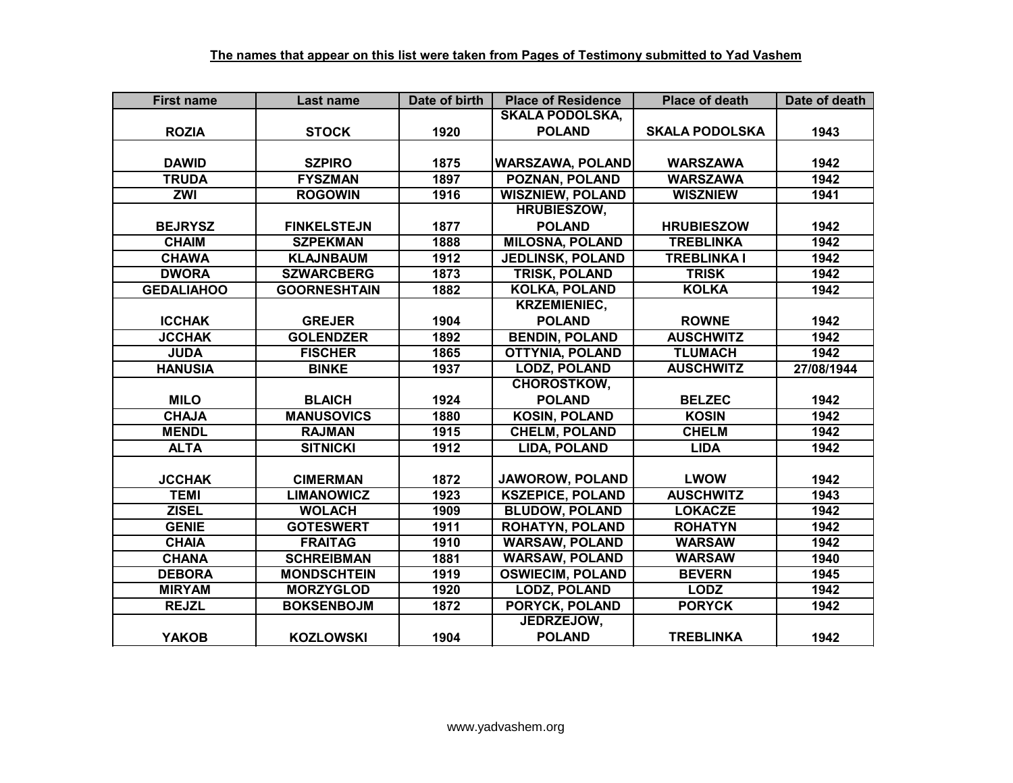| <b>First name</b> | Last name           | Date of birth | <b>Place of Residence</b> | <b>Place of death</b> | Date of death |
|-------------------|---------------------|---------------|---------------------------|-----------------------|---------------|
|                   |                     |               | <b>SKALA PODOLSKA,</b>    |                       |               |
| <b>ROZIA</b>      | <b>STOCK</b>        | 1920          | <b>POLAND</b>             | <b>SKALA PODOLSKA</b> | 1943          |
|                   |                     |               |                           |                       |               |
| <b>DAWID</b>      | <b>SZPIRO</b>       | 1875          | <b>WARSZAWA, POLAND</b>   | <b>WARSZAWA</b>       | 1942          |
| <b>TRUDA</b>      | <b>FYSZMAN</b>      | 1897          | <b>POZNAN, POLAND</b>     | <b>WARSZAWA</b>       | 1942          |
| <b>ZWI</b>        | <b>ROGOWIN</b>      | 1916          | <b>WISZNIEW, POLAND</b>   | <b>WISZNIEW</b>       | 1941          |
|                   |                     |               | <b>HRUBIESZOW,</b>        |                       |               |
| <b>BEJRYSZ</b>    | <b>FINKELSTEJN</b>  | 1877          | <b>POLAND</b>             | <b>HRUBIESZOW</b>     | 1942          |
| <b>CHAIM</b>      | <b>SZPEKMAN</b>     | 1888          | <b>MILOSNA, POLAND</b>    | <b>TREBLINKA</b>      | 1942          |
| <b>CHAWA</b>      | <b>KLAJNBAUM</b>    | 1912          | <b>JEDLINSK, POLAND</b>   | <b>TREBLINKA I</b>    | 1942          |
| <b>DWORA</b>      | <b>SZWARCBERG</b>   | 1873          | TRISK, POLAND             | <b>TRISK</b>          | 1942          |
| <b>GEDALIAHOO</b> | <b>GOORNESHTAIN</b> | 1882          | <b>KOLKA, POLAND</b>      | <b>KOLKA</b>          | 1942          |
|                   |                     |               | <b>KRZEMIENIEC,</b>       |                       |               |
| <b>ICCHAK</b>     | <b>GREJER</b>       | 1904          | <b>POLAND</b>             | <b>ROWNE</b>          | 1942          |
| <b>JCCHAK</b>     | <b>GOLENDZER</b>    | 1892          | <b>BENDIN, POLAND</b>     | <b>AUSCHWITZ</b>      | 1942          |
| <b>JUDA</b>       | <b>FISCHER</b>      | 1865          | <b>OTTYNIA, POLAND</b>    | <b>TLUMACH</b>        | 1942          |
| <b>HANUSIA</b>    | <b>BINKE</b>        | 1937          | <b>LODZ, POLAND</b>       | <b>AUSCHWITZ</b>      | 27/08/1944    |
|                   |                     |               | <b>CHOROSTKOW,</b>        |                       |               |
| <b>MILO</b>       | <b>BLAICH</b>       | 1924          | <b>POLAND</b>             | <b>BELZEC</b>         | 1942          |
| <b>CHAJA</b>      | <b>MANUSOVICS</b>   | 1880          | <b>KOSIN, POLAND</b>      | <b>KOSIN</b>          | 1942          |
| <b>MENDL</b>      | <b>RAJMAN</b>       | 1915          | <b>CHELM, POLAND</b>      | <b>CHELM</b>          | 1942          |
| <b>ALTA</b>       | <b>SITNICKI</b>     | 1912          | <b>LIDA, POLAND</b>       | <b>LIDA</b>           | 1942          |
|                   |                     |               |                           |                       |               |
| <b>JCCHAK</b>     | <b>CIMERMAN</b>     | 1872          | <b>JAWOROW, POLAND</b>    | <b>LWOW</b>           | 1942          |
| <b>TEMI</b>       | <b>LIMANOWICZ</b>   | 1923          | <b>KSZEPICE, POLAND</b>   | <b>AUSCHWITZ</b>      | 1943          |
| <b>ZISEL</b>      | <b>WOLACH</b>       | 1909          | <b>BLUDOW, POLAND</b>     | <b>LOKACZE</b>        | 1942          |
| <b>GENIE</b>      | <b>GOTESWERT</b>    | 1911          | <b>ROHATYN, POLAND</b>    | <b>ROHATYN</b>        | 1942          |
| <b>CHAIA</b>      | <b>FRAITAG</b>      | 1910          | <b>WARSAW, POLAND</b>     | <b>WARSAW</b>         | 1942          |
| <b>CHANA</b>      | <b>SCHREIBMAN</b>   | 1881          | <b>WARSAW, POLAND</b>     | <b>WARSAW</b>         | 1940          |
| <b>DEBORA</b>     | <b>MONDSCHTEIN</b>  | 1919          | <b>OSWIECIM, POLAND</b>   | <b>BEVERN</b>         | 1945          |
| <b>MIRYAM</b>     | <b>MORZYGLOD</b>    | 1920          | <b>LODZ, POLAND</b>       | <b>LODZ</b>           | 1942          |
| <b>REJZL</b>      | <b>BOKSENBOJM</b>   | 1872          | PORYCK, POLAND            | <b>PORYCK</b>         | 1942          |
|                   |                     |               | JEDRZEJOW,                |                       |               |
| <b>YAKOB</b>      | <b>KOZLOWSKI</b>    | 1904          | <b>POLAND</b>             | <b>TREBLINKA</b>      | 1942          |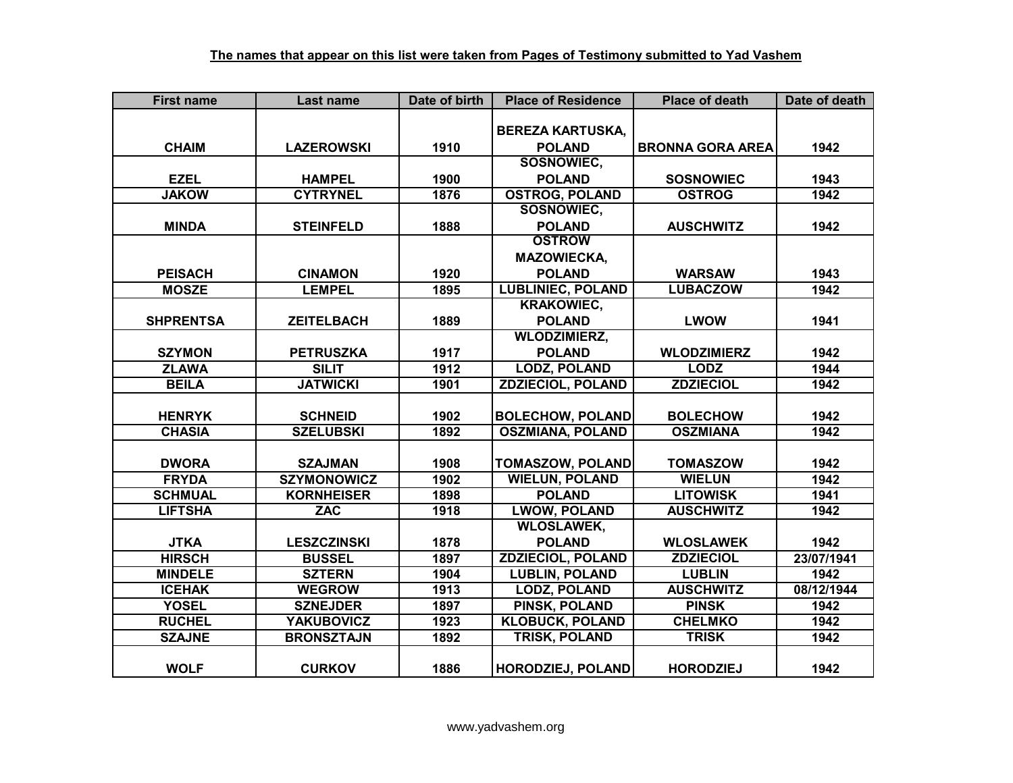| <b>First name</b> | Last name          | Date of birth    | <b>Place of Residence</b> | <b>Place of death</b>   | Date of death |
|-------------------|--------------------|------------------|---------------------------|-------------------------|---------------|
|                   |                    |                  |                           |                         |               |
|                   |                    |                  | <b>BEREZA KARTUSKA,</b>   |                         |               |
| <b>CHAIM</b>      | <b>LAZEROWSKI</b>  | 1910             | <b>POLAND</b>             | <b>BRONNA GORA AREA</b> | 1942          |
|                   |                    |                  | <b>SOSNOWIEC.</b>         |                         |               |
| <b>EZEL</b>       | <b>HAMPEL</b>      | 1900             | <b>POLAND</b>             | <b>SOSNOWIEC</b>        | 1943          |
| <b>JAKOW</b>      | <b>CYTRYNEL</b>    | 1876             | <b>OSTROG, POLAND</b>     | <b>OSTROG</b>           | 1942          |
|                   |                    |                  | <b>SOSNOWIEC,</b>         |                         |               |
| <b>MINDA</b>      | <b>STEINFELD</b>   | 1888             | <b>POLAND</b>             | <b>AUSCHWITZ</b>        | 1942          |
|                   |                    |                  | <b>OSTROW</b>             |                         |               |
|                   |                    |                  | <b>MAZOWIECKA,</b>        |                         |               |
| <b>PEISACH</b>    | <b>CINAMON</b>     | 1920             | <b>POLAND</b>             | <b>WARSAW</b>           | 1943          |
| <b>MOSZE</b>      | <b>LEMPEL</b>      | 1895             | <b>LUBLINIEC, POLAND</b>  | <b>LUBACZOW</b>         | 1942          |
|                   |                    |                  | <b>KRAKOWIEC,</b>         |                         |               |
| <b>SHPRENTSA</b>  | <b>ZEITELBACH</b>  | 1889             | <b>POLAND</b>             | <b>LWOW</b>             | 1941          |
|                   |                    |                  | <b>WLODZIMIERZ,</b>       |                         |               |
| <b>SZYMON</b>     | <b>PETRUSZKA</b>   | 1917             | <b>POLAND</b>             | <b>WLODZIMIERZ</b>      | 1942          |
| <b>ZLAWA</b>      | <b>SILIT</b>       | 1912             | <b>LODZ, POLAND</b>       | <b>LODZ</b>             | 1944          |
| <b>BEILA</b>      | <b>JATWICKI</b>    | 1901             | <b>ZDZIECIOL, POLAND</b>  | <b>ZDZIECIOL</b>        | 1942          |
|                   |                    |                  |                           |                         |               |
| <b>HENRYK</b>     | <b>SCHNEID</b>     | 1902             | <b>BOLECHOW, POLAND</b>   | <b>BOLECHOW</b>         | 1942          |
| <b>CHASIA</b>     | <b>SZELUBSKI</b>   | 1892             | <b>OSZMIANA, POLAND</b>   | <b>OSZMIANA</b>         | 1942          |
|                   |                    |                  |                           |                         |               |
| <b>DWORA</b>      | <b>SZAJMAN</b>     | 1908             | <b>TOMASZOW, POLAND</b>   | <b>TOMASZOW</b>         | 1942          |
| <b>FRYDA</b>      | <b>SZYMONOWICZ</b> | $\frac{1}{1902}$ | <b>WIELUN, POLAND</b>     | <b>WIELUN</b>           | 1942          |
| <b>SCHMUAL</b>    | <b>KORNHEISER</b>  | 1898             | <b>POLAND</b>             | <b>LITOWISK</b>         | 1941          |
| <b>LIFTSHA</b>    | <b>ZAC</b>         | 1918             | <b>LWOW, POLAND</b>       | <b>AUSCHWITZ</b>        | 1942          |
|                   |                    |                  | <b>WLOSLAWEK,</b>         |                         |               |
| <b>JTKA</b>       | <b>LESZCZINSKI</b> | 1878             | <b>POLAND</b>             | <b>WLOSLAWEK</b>        | 1942          |
| <b>HIRSCH</b>     | <b>BUSSEL</b>      | 1897             | <b>ZDZIECIOL, POLAND</b>  | <b>ZDZIECIOL</b>        | 23/07/1941    |
| <b>MINDELE</b>    | <b>SZTERN</b>      | 1904             | <b>LUBLIN, POLAND</b>     | <b>LUBLIN</b>           | 1942          |
| <b>ICEHAK</b>     | <b>WEGROW</b>      | 1913             | <b>LODZ, POLAND</b>       | <b>AUSCHWITZ</b>        | 08/12/1944    |
| <b>YOSEL</b>      | <b>SZNEJDER</b>    | 1897             | PINSK, POLAND             | <b>PINSK</b>            | 1942          |
| <b>RUCHEL</b>     | <b>YAKUBOVICZ</b>  | 1923             | <b>KLOBUCK, POLAND</b>    | <b>CHELMKO</b>          | 1942          |
| <b>SZAJNE</b>     | <b>BRONSZTAJN</b>  | 1892             | <b>TRISK, POLAND</b>      | <b>TRISK</b>            | 1942          |
|                   |                    |                  |                           |                         |               |
| <b>WOLF</b>       | <b>CURKOV</b>      | 1886             | <b>HORODZIEJ, POLAND</b>  | <b>HORODZIEJ</b>        | 1942          |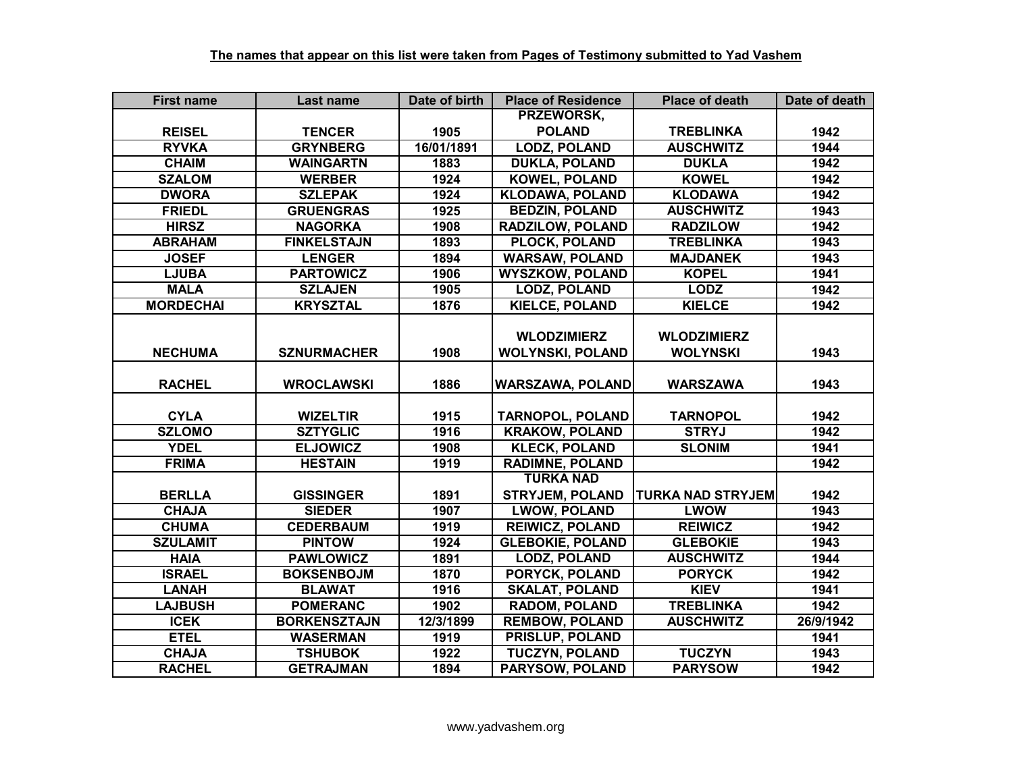| <b>First name</b> | Last name           | Date of birth | <b>Place of Residence</b> | <b>Place of death</b>    | Date of death |
|-------------------|---------------------|---------------|---------------------------|--------------------------|---------------|
|                   |                     |               | PRZEWORSK,                |                          |               |
| <b>REISEL</b>     | <b>TENCER</b>       | 1905          | <b>POLAND</b>             | <b>TREBLINKA</b>         | 1942          |
| <b>RYVKA</b>      | <b>GRYNBERG</b>     | 16/01/1891    | <b>LODZ, POLAND</b>       | <b>AUSCHWITZ</b>         | 1944          |
| <b>CHAIM</b>      | <b>WAINGARTN</b>    | 1883          | <b>DUKLA, POLAND</b>      | <b>DUKLA</b>             | 1942          |
| <b>SZALOM</b>     | <b>WERBER</b>       | 1924          | <b>KOWEL, POLAND</b>      | <b>KOWEL</b>             | 1942          |
| <b>DWORA</b>      | <b>SZLEPAK</b>      | 1924          | <b>KLODAWA, POLAND</b>    | <b>KLODAWA</b>           | 1942          |
| <b>FRIEDL</b>     | <b>GRUENGRAS</b>    | 1925          | <b>BEDZIN, POLAND</b>     | <b>AUSCHWITZ</b>         | 1943          |
| <b>HIRSZ</b>      | <b>NAGORKA</b>      | 1908          | RADZILOW, POLAND          | <b>RADZILOW</b>          | 1942          |
| <b>ABRAHAM</b>    | <b>FINKELSTAJN</b>  | 1893          | PLOCK, POLAND             | <b>TREBLINKA</b>         | 1943          |
| <b>JOSEF</b>      | <b>LENGER</b>       | 1894          | <b>WARSAW, POLAND</b>     | <b>MAJDANEK</b>          | 1943          |
| <b>LJUBA</b>      | <b>PARTOWICZ</b>    | 1906          | <b>WYSZKOW, POLAND</b>    | <b>KOPEL</b>             | 1941          |
| <b>MALA</b>       | <b>SZLAJEN</b>      | 1905          | <b>LODZ, POLAND</b>       | <b>LODZ</b>              | 1942          |
| <b>MORDECHAI</b>  | <b>KRYSZTAL</b>     | 1876          | <b>KIELCE, POLAND</b>     | <b>KIELCE</b>            | 1942          |
|                   |                     |               |                           |                          |               |
|                   |                     |               | <b>WLODZIMIERZ</b>        | <b>WLODZIMIERZ</b>       |               |
| <b>NECHUMA</b>    | <b>SZNURMACHER</b>  | 1908          | <b>WOLYNSKI, POLAND</b>   | <b>WOLYNSKI</b>          | 1943          |
|                   |                     |               |                           |                          |               |
| <b>RACHEL</b>     | <b>WROCLAWSKI</b>   | 1886          | <b>WARSZAWA, POLAND</b>   | <b>WARSZAWA</b>          | 1943          |
|                   |                     |               |                           |                          |               |
| <b>CYLA</b>       | <b>WIZELTIR</b>     | 1915          | <b>TARNOPOL, POLAND</b>   | <b>TARNOPOL</b>          | 1942          |
| <b>SZLOMO</b>     | <b>SZTYGLIC</b>     | 1916          | <b>KRAKOW, POLAND</b>     | <b>STRYJ</b>             | 1942          |
| <b>YDEL</b>       | <b>ELJOWICZ</b>     | 1908          | <b>KLECK, POLAND</b>      | <b>SLONIM</b>            | 1941          |
| <b>FRIMA</b>      | <b>HESTAIN</b>      | 1919          | <b>RADIMNE, POLAND</b>    |                          | 1942          |
|                   |                     |               | <b>TURKA NAD</b>          |                          |               |
| <b>BERLLA</b>     | <b>GISSINGER</b>    | 1891          | <b>STRYJEM, POLAND</b>    | <b>TURKA NAD STRYJEM</b> | 1942          |
| <b>CHAJA</b>      | <b>SIEDER</b>       | 1907          | <b>LWOW, POLAND</b>       | <b>LWOW</b>              | 1943          |
| <b>CHUMA</b>      | <b>CEDERBAUM</b>    | 1919          | <b>REIWICZ, POLAND</b>    | <b>REIWICZ</b>           | 1942          |
| <b>SZULAMIT</b>   | <b>PINTOW</b>       | 1924          | <b>GLEBOKIE, POLAND</b>   | <b>GLEBOKIE</b>          | 1943          |
| <b>HAIA</b>       | <b>PAWLOWICZ</b>    | 1891          | <b>LODZ, POLAND</b>       | <b>AUSCHWITZ</b>         | 1944          |
| <b>ISRAEL</b>     | <b>BOKSENBOJM</b>   | 1870          | <b>PORYCK, POLAND</b>     | <b>PORYCK</b>            | 1942          |
| <b>LANAH</b>      | <b>BLAWAT</b>       | 1916          | <b>SKALAT, POLAND</b>     | <b>KIEV</b>              | 1941          |
| <b>LAJBUSH</b>    | <b>POMERANC</b>     | 1902          | <b>RADOM, POLAND</b>      | <b>TREBLINKA</b>         | 1942          |
| <b>ICEK</b>       | <b>BORKENSZTAJN</b> | 12/3/1899     | <b>REMBOW, POLAND</b>     | <b>AUSCHWITZ</b>         | 26/9/1942     |
| <b>ETEL</b>       | <b>WASERMAN</b>     | 1919          | PRISLUP, POLAND           |                          | 1941          |
| <b>CHAJA</b>      | <b>TSHUBOK</b>      | 1922          | <b>TUCZYN, POLAND</b>     | <b>TUCZYN</b>            | 1943          |
| <b>RACHEL</b>     | <b>GETRAJMAN</b>    | 1894          | PARYSOW, POLAND           | <b>PARYSOW</b>           | 1942          |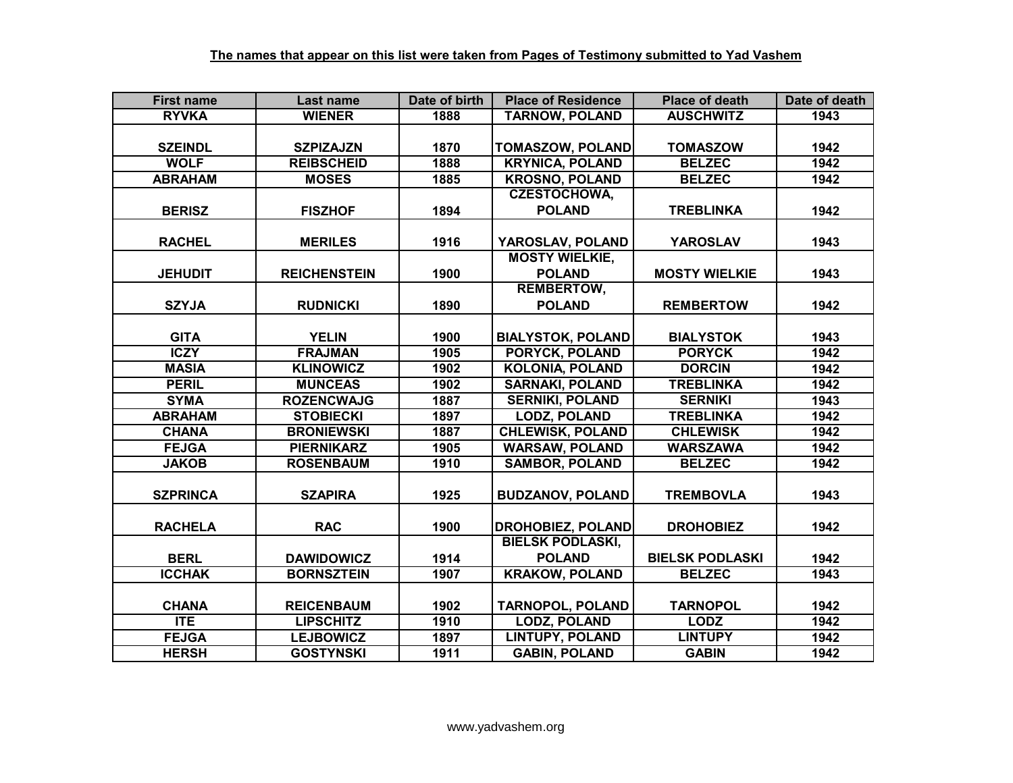| <b>First name</b> | Last name           | Date of birth | <b>Place of Residence</b> | <b>Place of death</b>  | Date of death |
|-------------------|---------------------|---------------|---------------------------|------------------------|---------------|
| <b>RYVKA</b>      | <b>WIENER</b>       | 1888          | <b>TARNOW, POLAND</b>     | <b>AUSCHWITZ</b>       | 1943          |
|                   |                     |               |                           |                        |               |
| <b>SZEINDL</b>    | <b>SZPIZAJZN</b>    | 1870          | <b>TOMASZOW, POLAND</b>   | <b>TOMASZOW</b>        | 1942          |
| <b>WOLF</b>       | <b>REIBSCHEID</b>   | 1888          | <b>KRYNICA, POLAND</b>    | <b>BELZEC</b>          | 1942          |
| <b>ABRAHAM</b>    | <b>MOSES</b>        | 1885          | <b>KROSNO, POLAND</b>     | <b>BELZEC</b>          | 1942          |
|                   |                     |               | <b>CZESTOCHOWA,</b>       |                        |               |
| <b>BERISZ</b>     | <b>FISZHOF</b>      | 1894          | <b>POLAND</b>             | <b>TREBLINKA</b>       | 1942          |
|                   |                     |               |                           |                        |               |
| <b>RACHEL</b>     | <b>MERILES</b>      | 1916          | YAROSLAV, POLAND          | <b>YAROSLAV</b>        | 1943          |
|                   |                     |               | <b>MOSTY WIELKIE,</b>     |                        |               |
| <b>JEHUDIT</b>    | <b>REICHENSTEIN</b> | 1900          | <b>POLAND</b>             | <b>MOSTY WIELKIE</b>   | 1943          |
|                   |                     |               | <b>REMBERTOW,</b>         |                        |               |
| <b>SZYJA</b>      | <b>RUDNICKI</b>     | 1890          | <b>POLAND</b>             | <b>REMBERTOW</b>       | 1942          |
|                   |                     |               |                           |                        |               |
| <b>GITA</b>       | <b>YELIN</b>        | 1900          | <b>BIALYSTOK, POLAND</b>  | <b>BIALYSTOK</b>       | 1943          |
| <b>ICZY</b>       | <b>FRAJMAN</b>      | 1905          | PORYCK, POLAND            | <b>PORYCK</b>          | 1942          |
| <b>MASIA</b>      | <b>KLINOWICZ</b>    | 1902          | <b>KOLONIA, POLAND</b>    | <b>DORCIN</b>          | 1942          |
| <b>PERIL</b>      | <b>MUNCEAS</b>      | 1902          | <b>SARNAKI, POLAND</b>    | <b>TREBLINKA</b>       | 1942          |
| <b>SYMA</b>       | <b>ROZENCWAJG</b>   | 1887          | <b>SERNIKI, POLAND</b>    | <b>SERNIKI</b>         | 1943          |
| <b>ABRAHAM</b>    | <b>STOBIECKI</b>    | 1897          | <b>LODZ, POLAND</b>       | <b>TREBLINKA</b>       | 1942          |
| <b>CHANA</b>      | <b>BRONIEWSKI</b>   | 1887          | <b>CHLEWISK, POLAND</b>   | <b>CHLEWISK</b>        | 1942          |
| <b>FEJGA</b>      | <b>PIERNIKARZ</b>   | 1905          | <b>WARSAW, POLAND</b>     | <b>WARSZAWA</b>        | 1942          |
| <b>JAKOB</b>      | <b>ROSENBAUM</b>    | 1910          | <b>SAMBOR, POLAND</b>     | <b>BELZEC</b>          | 1942          |
|                   |                     |               |                           |                        |               |
| <b>SZPRINCA</b>   | <b>SZAPIRA</b>      | 1925          | <b>BUDZANOV, POLAND</b>   | <b>TREMBOVLA</b>       | 1943          |
|                   |                     |               |                           |                        |               |
| <b>RACHELA</b>    | <b>RAC</b>          | 1900          | <b>DROHOBIEZ, POLAND</b>  | <b>DROHOBIEZ</b>       | 1942          |
|                   |                     |               | <b>BIELSK PODLASKI,</b>   |                        |               |
| <b>BERL</b>       | <b>DAWIDOWICZ</b>   | 1914          | <b>POLAND</b>             | <b>BIELSK PODLASKI</b> | 1942          |
| <b>ICCHAK</b>     | <b>BORNSZTEIN</b>   | 1907          | <b>KRAKOW, POLAND</b>     | <b>BELZEC</b>          | 1943          |
|                   |                     |               |                           |                        |               |
| <b>CHANA</b>      | <b>REICENBAUM</b>   | 1902          | <b>TARNOPOL, POLAND</b>   | <b>TARNOPOL</b>        | 1942          |
| <b>ITE</b>        | <b>LIPSCHITZ</b>    | 1910          | <b>LODZ, POLAND</b>       | <b>LODZ</b>            | 1942          |
| <b>FEJGA</b>      | <b>LEJBOWICZ</b>    | 1897          | <b>LINTUPY, POLAND</b>    | <b>LINTUPY</b>         | 1942          |
| <b>HERSH</b>      | <b>GOSTYNSKI</b>    | 1911          | <b>GABIN, POLAND</b>      | <b>GABIN</b>           | 1942          |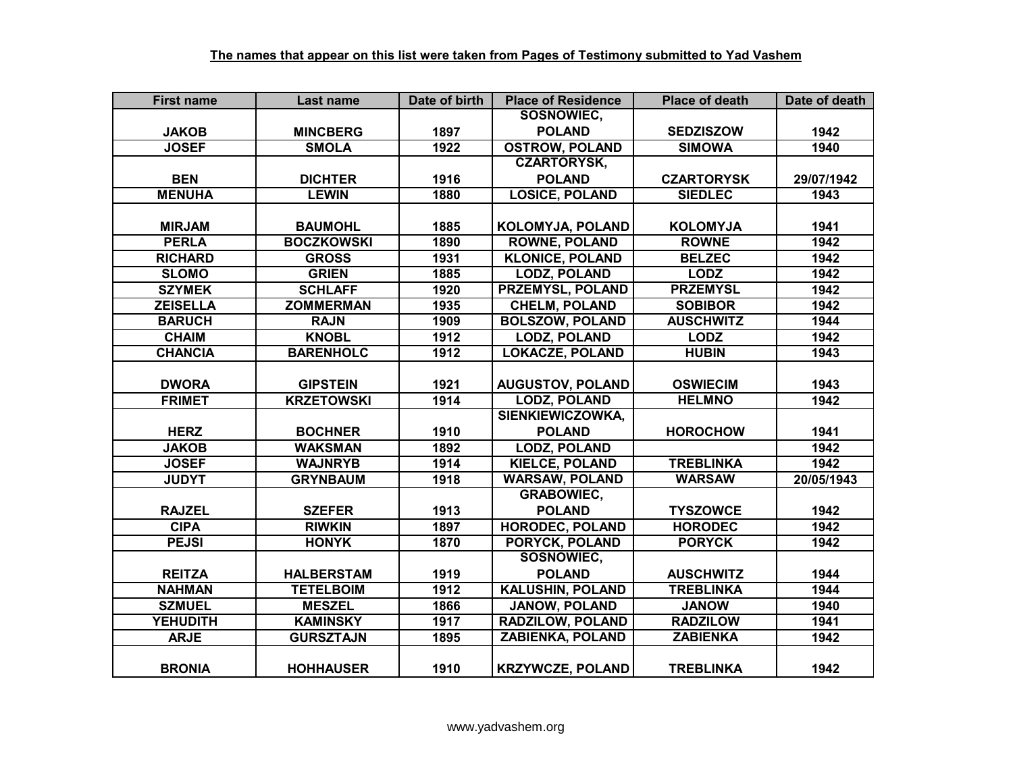| <b>First name</b> | Last name         | Date of birth | <b>Place of Residence</b> | <b>Place of death</b> | Date of death |
|-------------------|-------------------|---------------|---------------------------|-----------------------|---------------|
|                   |                   |               | <b>SOSNOWIEC,</b>         |                       |               |
| <b>JAKOB</b>      | <b>MINCBERG</b>   | 1897          | <b>POLAND</b>             | <b>SEDZISZOW</b>      | 1942          |
| <b>JOSEF</b>      | <b>SMOLA</b>      | 1922          | <b>OSTROW, POLAND</b>     | <b>SIMOWA</b>         | 1940          |
|                   |                   |               | <b>CZARTORYSK,</b>        |                       |               |
| <b>BEN</b>        | <b>DICHTER</b>    | 1916          | <b>POLAND</b>             | <b>CZARTORYSK</b>     | 29/07/1942    |
| <b>MENUHA</b>     | <b>LEWIN</b>      | 1880          | <b>LOSICE, POLAND</b>     | <b>SIEDLEC</b>        | 1943          |
|                   |                   |               |                           |                       |               |
| <b>MIRJAM</b>     | <b>BAUMOHL</b>    | 1885          | <b>KOLOMYJA, POLAND</b>   | <b>KOLOMYJA</b>       | 1941          |
| <b>PERLA</b>      | <b>BOCZKOWSKI</b> | 1890          | <b>ROWNE, POLAND</b>      | <b>ROWNE</b>          | 1942          |
| <b>RICHARD</b>    | <b>GROSS</b>      | 1931          | <b>KLONICE, POLAND</b>    | <b>BELZEC</b>         | 1942          |
| <b>SLOMO</b>      | <b>GRIEN</b>      | 1885          | <b>LODZ, POLAND</b>       | <b>LODZ</b>           | 1942          |
| <b>SZYMEK</b>     | <b>SCHLAFF</b>    | 1920          | PRZEMYSL, POLAND          | <b>PRZEMYSL</b>       | 1942          |
| <b>ZEISELLA</b>   | <b>ZOMMERMAN</b>  | 1935          | <b>CHELM, POLAND</b>      | <b>SOBIBOR</b>        | 1942          |
| <b>BARUCH</b>     | <b>RAJN</b>       | 1909          | <b>BOLSZOW, POLAND</b>    | <b>AUSCHWITZ</b>      | 1944          |
| <b>CHAIM</b>      | <b>KNOBL</b>      | 1912          | <b>LODZ, POLAND</b>       | <b>LODZ</b>           | 1942          |
| <b>CHANCIA</b>    | <b>BARENHOLC</b>  | 1912          | <b>LOKACZE, POLAND</b>    | <b>HUBIN</b>          | 1943          |
|                   |                   |               |                           |                       |               |
| <b>DWORA</b>      | <b>GIPSTEIN</b>   | 1921          | <b>AUGUSTOV, POLAND</b>   | <b>OSWIECIM</b>       | 1943          |
| <b>FRIMET</b>     | <b>KRZETOWSKI</b> | 1914          | <b>LODZ, POLAND</b>       | <b>HELMNO</b>         | 1942          |
|                   |                   |               | <b>SIENKIEWICZOWKA,</b>   |                       |               |
| <b>HERZ</b>       | <b>BOCHNER</b>    | 1910          | <b>POLAND</b>             | <b>HOROCHOW</b>       | 1941          |
| <b>JAKOB</b>      | <b>WAKSMAN</b>    | 1892          | <b>LODZ, POLAND</b>       |                       | 1942          |
| <b>JOSEF</b>      | <b>WAJNRYB</b>    | 1914          | <b>KIELCE, POLAND</b>     | <b>TREBLINKA</b>      | 1942          |
| <b>JUDYT</b>      | <b>GRYNBAUM</b>   | 1918          | <b>WARSAW, POLAND</b>     | <b>WARSAW</b>         | 20/05/1943    |
|                   |                   |               | <b>GRABOWIEC,</b>         |                       |               |
| <b>RAJZEL</b>     | <b>SZEFER</b>     | 1913          | <b>POLAND</b>             | <b>TYSZOWCE</b>       | 1942          |
| <b>CIPA</b>       | <b>RIWKIN</b>     | 1897          | <b>HORODEC, POLAND</b>    | <b>HORODEC</b>        | 1942          |
| <b>PEJSI</b>      | <b>HONYK</b>      | 1870          | <b>PORYCK, POLAND</b>     | <b>PORYCK</b>         | 1942          |
|                   |                   |               | <b>SOSNOWIEC,</b>         |                       |               |
| <b>REITZA</b>     | <b>HALBERSTAM</b> | 1919          | <b>POLAND</b>             | <b>AUSCHWITZ</b>      | 1944          |
| <b>NAHMAN</b>     | <b>TETELBOIM</b>  | 1912          | <b>KALUSHIN, POLAND</b>   | <b>TREBLINKA</b>      | 1944          |
| <b>SZMUEL</b>     | <b>MESZEL</b>     | 1866          | JANOW, POLAND             | <b>JANOW</b>          | 1940          |
| <b>YEHUDITH</b>   | <b>KAMINSKY</b>   | 1917          | <b>RADZILOW, POLAND</b>   | <b>RADZILOW</b>       | 1941          |
| <b>ARJE</b>       | <b>GURSZTAJN</b>  | 1895          | <b>ZABIENKA, POLAND</b>   | <b>ZABIENKA</b>       | 1942          |
|                   |                   |               |                           |                       |               |
| <b>BRONIA</b>     | <b>HOHHAUSER</b>  | 1910          | <b>KRZYWCZE, POLAND</b>   | <b>TREBLINKA</b>      | 1942          |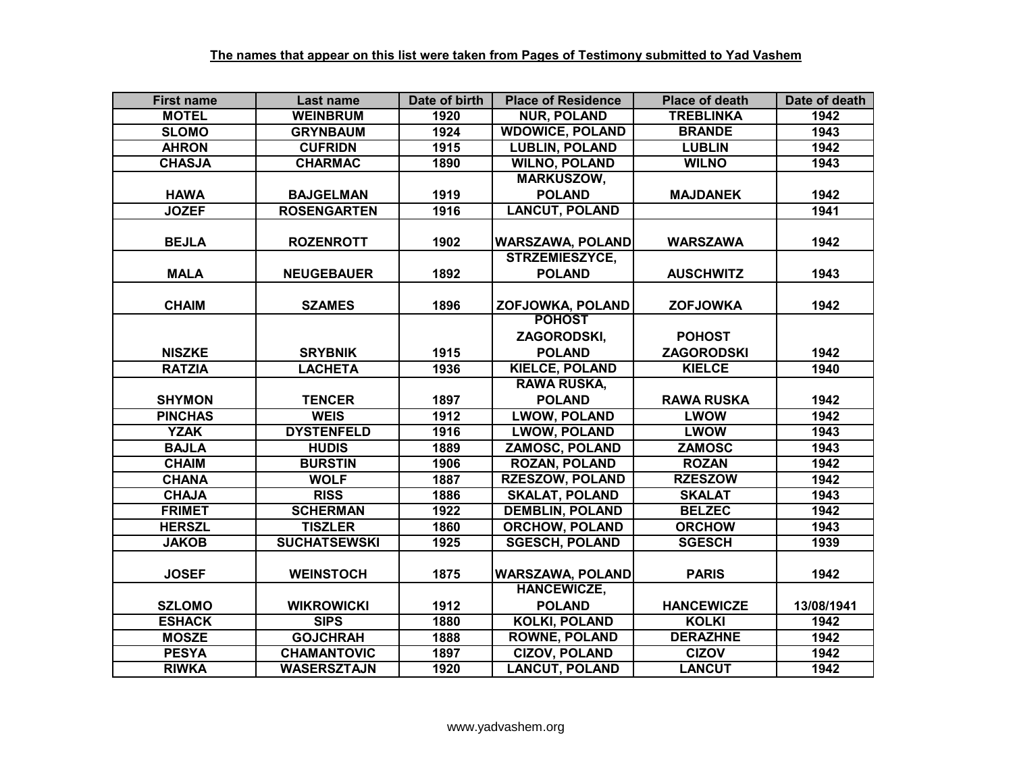| <b>First name</b> | Last name           | Date of birth | <b>Place of Residence</b> | <b>Place of death</b> | Date of death |
|-------------------|---------------------|---------------|---------------------------|-----------------------|---------------|
| <b>MOTEL</b>      | <b>WEINBRUM</b>     | 1920          | <b>NUR, POLAND</b>        | <b>TREBLINKA</b>      | 1942          |
| <b>SLOMO</b>      | <b>GRYNBAUM</b>     | 1924          | <b>WDOWICE, POLAND</b>    | <b>BRANDE</b>         | 1943          |
| <b>AHRON</b>      | <b>CUFRIDN</b>      | 1915          | <b>LUBLIN, POLAND</b>     | <b>LUBLIN</b>         | 1942          |
| <b>CHASJA</b>     | <b>CHARMAC</b>      | 1890          | <b>WILNO, POLAND</b>      | <b>WILNO</b>          | 1943          |
|                   |                     |               | <b>MARKUSZOW,</b>         |                       |               |
| <b>HAWA</b>       | <b>BAJGELMAN</b>    | 1919          | <b>POLAND</b>             | <b>MAJDANEK</b>       | 1942          |
| <b>JOZEF</b>      | <b>ROSENGARTEN</b>  | 1916          | <b>LANCUT, POLAND</b>     |                       | 1941          |
| <b>BEJLA</b>      | <b>ROZENROTT</b>    | 1902          | <b>WARSZAWA, POLAND</b>   | <b>WARSZAWA</b>       | 1942          |
|                   |                     |               | STRZEMIESZYCE,            |                       |               |
| <b>MALA</b>       | <b>NEUGEBAUER</b>   | 1892          | <b>POLAND</b>             | <b>AUSCHWITZ</b>      | 1943          |
|                   |                     |               |                           |                       |               |
| <b>CHAIM</b>      | <b>SZAMES</b>       | 1896          | ZOFJOWKA, POLAND          | <b>ZOFJOWKA</b>       | 1942          |
|                   |                     |               | <b>POHOST</b>             |                       |               |
|                   |                     |               | ZAGORODSKI,               | <b>POHOST</b>         |               |
| <b>NISZKE</b>     | <b>SRYBNIK</b>      | 1915          | <b>POLAND</b>             | <b>ZAGORODSKI</b>     | 1942          |
| <b>RATZIA</b>     | <b>LACHETA</b>      | 1936          | <b>KIELCE, POLAND</b>     | <b>KIELCE</b>         | 1940          |
|                   |                     |               | <b>RAWA RUSKA,</b>        |                       |               |
| <b>SHYMON</b>     | <b>TENCER</b>       | 1897          | <b>POLAND</b>             | <b>RAWA RUSKA</b>     | 1942          |
| <b>PINCHAS</b>    | <b>WEIS</b>         | 1912          | <b>LWOW, POLAND</b>       | <b>LWOW</b>           | 1942          |
| <b>YZAK</b>       | <b>DYSTENFELD</b>   | 1916          | <b>LWOW, POLAND</b>       | <b>LWOW</b>           | 1943          |
| <b>BAJLA</b>      | <b>HUDIS</b>        | 1889          | <b>ZAMOSC, POLAND</b>     | <b>ZAMOSC</b>         | 1943          |
| <b>CHAIM</b>      | <b>BURSTIN</b>      | 1906          | <b>ROZAN, POLAND</b>      | <b>ROZAN</b>          | 1942          |
| <b>CHANA</b>      | <b>WOLF</b>         | 1887          | <b>RZESZOW, POLAND</b>    | <b>RZESZOW</b>        | 1942          |
| <b>CHAJA</b>      | <b>RISS</b>         | 1886          | <b>SKALAT, POLAND</b>     | <b>SKALAT</b>         | 1943          |
| <b>FRIMET</b>     | <b>SCHERMAN</b>     | 1922          | <b>DEMBLIN, POLAND</b>    | <b>BELZEC</b>         | 1942          |
| <b>HERSZL</b>     | <b>TISZLER</b>      | 1860          | <b>ORCHOW, POLAND</b>     | <b>ORCHOW</b>         | 1943          |
| <b>JAKOB</b>      | <b>SUCHATSEWSKI</b> | 1925          | <b>SGESCH, POLAND</b>     | <b>SGESCH</b>         | 1939          |
| <b>JOSEF</b>      | <b>WEINSTOCH</b>    | 1875          | WARSZAWA, POLAND          | <b>PARIS</b>          | 1942          |
|                   |                     |               | <b>HANCEWICZE,</b>        |                       |               |
| <b>SZLOMO</b>     | <b>WIKROWICKI</b>   | 1912          | <b>POLAND</b>             | <b>HANCEWICZE</b>     | 13/08/1941    |
| <b>ESHACK</b>     | <b>SIPS</b>         | 1880          | <b>KOLKI, POLAND</b>      | <b>KOLKI</b>          | 1942          |
| <b>MOSZE</b>      | <b>GOJCHRAH</b>     | 1888          | <b>ROWNE, POLAND</b>      | <b>DERAZHNE</b>       | 1942          |
| <b>PESYA</b>      | <b>CHAMANTOVIC</b>  | 1897          | <b>CIZOV, POLAND</b>      | <b>CIZOV</b>          | 1942          |
| <b>RIWKA</b>      | <b>WASERSZTAJN</b>  | 1920          | <b>LANCUT, POLAND</b>     | <b>LANCUT</b>         | 1942          |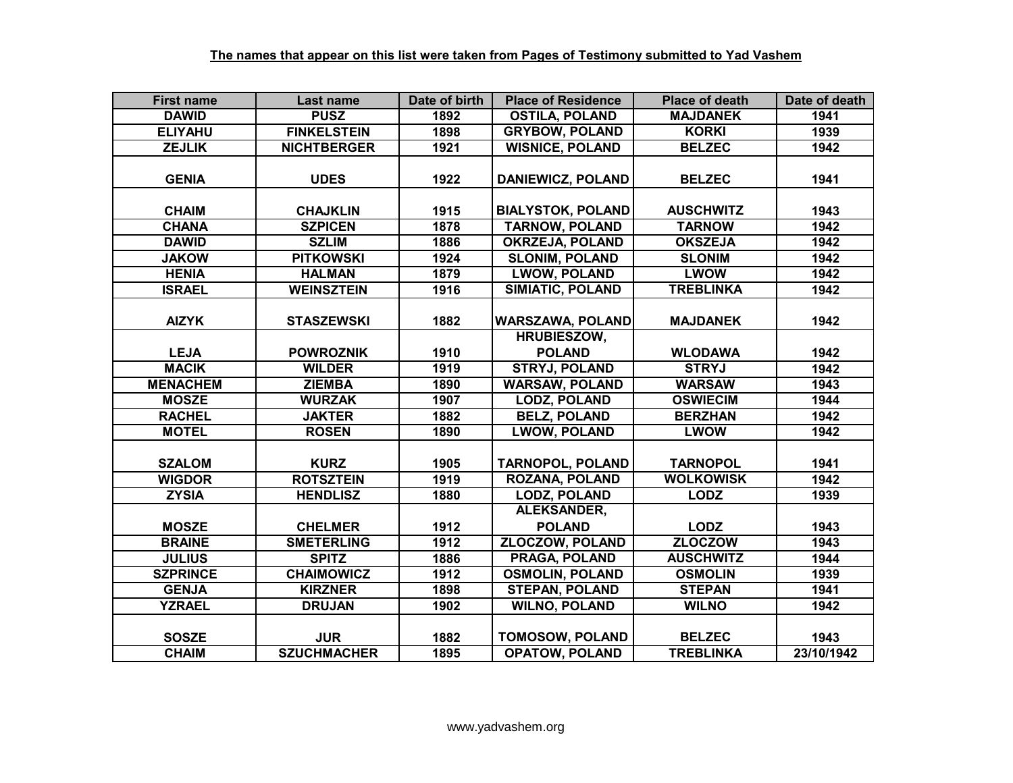| <b>First name</b> | Last name          | Date of birth | <b>Place of Residence</b>           | <b>Place of death</b> | Date of death |
|-------------------|--------------------|---------------|-------------------------------------|-----------------------|---------------|
| <b>DAWID</b>      | <b>PUSZ</b>        | 1892          | <b>OSTILA, POLAND</b>               | <b>MAJDANEK</b>       | 1941          |
| <b>ELIYAHU</b>    | <b>FINKELSTEIN</b> | 1898          | <b>GRYBOW, POLAND</b>               | <b>KORKI</b>          | 1939          |
| <b>ZEJLIK</b>     | <b>NICHTBERGER</b> | 1921          | <b>WISNICE, POLAND</b>              | <b>BELZEC</b>         | 1942          |
| <b>GENIA</b>      | <b>UDES</b>        | 1922          | <b>DANIEWICZ, POLAND</b>            | <b>BELZEC</b>         | 1941          |
| <b>CHAIM</b>      | <b>CHAJKLIN</b>    | 1915          | <b>BIALYSTOK, POLAND</b>            | <b>AUSCHWITZ</b>      | 1943          |
| <b>CHANA</b>      | <b>SZPICEN</b>     | 1878          | <b>TARNOW, POLAND</b>               | <b>TARNOW</b>         | 1942          |
| <b>DAWID</b>      | <b>SZLIM</b>       | 1886          | <b>OKRZEJA, POLAND</b>              | <b>OKSZEJA</b>        | 1942          |
| <b>JAKOW</b>      | <b>PITKOWSKI</b>   | 1924          | <b>SLONIM, POLAND</b>               | <b>SLONIM</b>         | 1942          |
| <b>HENIA</b>      | <b>HALMAN</b>      | 1879          | <b>LWOW, POLAND</b>                 | <b>LWOW</b>           | 1942          |
| <b>ISRAEL</b>     | <b>WEINSZTEIN</b>  | 1916          | <b>SIMIATIC, POLAND</b>             | <b>TREBLINKA</b>      | 1942          |
| <b>AIZYK</b>      | <b>STASZEWSKI</b>  | 1882          | <b>WARSZAWA, POLAND</b>             | <b>MAJDANEK</b>       | 1942          |
| <b>LEJA</b>       | <b>POWROZNIK</b>   | 1910          | <b>HRUBIESZOW,</b><br><b>POLAND</b> | <b>WLODAWA</b>        | 1942          |
| <b>MACIK</b>      | <b>WILDER</b>      | 1919          | <b>STRYJ, POLAND</b>                | <b>STRYJ</b>          | 1942          |
| <b>MENACHEM</b>   | <b>ZIEMBA</b>      | 1890          | <b>WARSAW, POLAND</b>               | <b>WARSAW</b>         | 1943          |
| <b>MOSZE</b>      | <b>WURZAK</b>      | 1907          | <b>LODZ, POLAND</b>                 | <b>OSWIECIM</b>       | 1944          |
| <b>RACHEL</b>     | <b>JAKTER</b>      | 1882          | <b>BELZ, POLAND</b>                 | <b>BERZHAN</b>        | 1942          |
| <b>MOTEL</b>      | <b>ROSEN</b>       | 1890          | <b>LWOW, POLAND</b>                 | <b>LWOW</b>           | 1942          |
| <b>SZALOM</b>     | <b>KURZ</b>        | 1905          | <b>TARNOPOL, POLAND</b>             | <b>TARNOPOL</b>       | 1941          |
| <b>WIGDOR</b>     | <b>ROTSZTEIN</b>   | 1919          | <b>ROZANA, POLAND</b>               | <b>WOLKOWISK</b>      | 1942          |
| <b>ZYSIA</b>      | <b>HENDLISZ</b>    | 1880          | <b>LODZ, POLAND</b>                 | <b>LODZ</b>           | 1939          |
|                   |                    |               | <b>ALEKSANDER,</b>                  |                       |               |
| <b>MOSZE</b>      | <b>CHELMER</b>     | 1912          | <b>POLAND</b>                       | <b>LODZ</b>           | 1943          |
| <b>BRAINE</b>     | <b>SMETERLING</b>  | 1912          | <b>ZLOCZOW, POLAND</b>              | <b>ZLOCZOW</b>        | 1943          |
| <b>JULIUS</b>     | <b>SPITZ</b>       | 1886          | <b>PRAGA, POLAND</b>                | <b>AUSCHWITZ</b>      | 1944          |
| <b>SZPRINCE</b>   | <b>CHAIMOWICZ</b>  | 1912          | <b>OSMOLIN, POLAND</b>              | <b>OSMOLIN</b>        | 1939          |
| <b>GENJA</b>      | <b>KIRZNER</b>     | 1898          | <b>STEPAN, POLAND</b>               | <b>STEPAN</b>         | 1941          |
| <b>YZRAEL</b>     | <b>DRUJAN</b>      | 1902          | <b>WILNO, POLAND</b>                | <b>WILNO</b>          | 1942          |
| <b>SOSZE</b>      | <b>JUR</b>         | 1882          | <b>TOMOSOW, POLAND</b>              | <b>BELZEC</b>         | 1943          |
| <b>CHAIM</b>      | <b>SZUCHMACHER</b> | 1895          | <b>OPATOW, POLAND</b>               | <b>TREBLINKA</b>      | 23/10/1942    |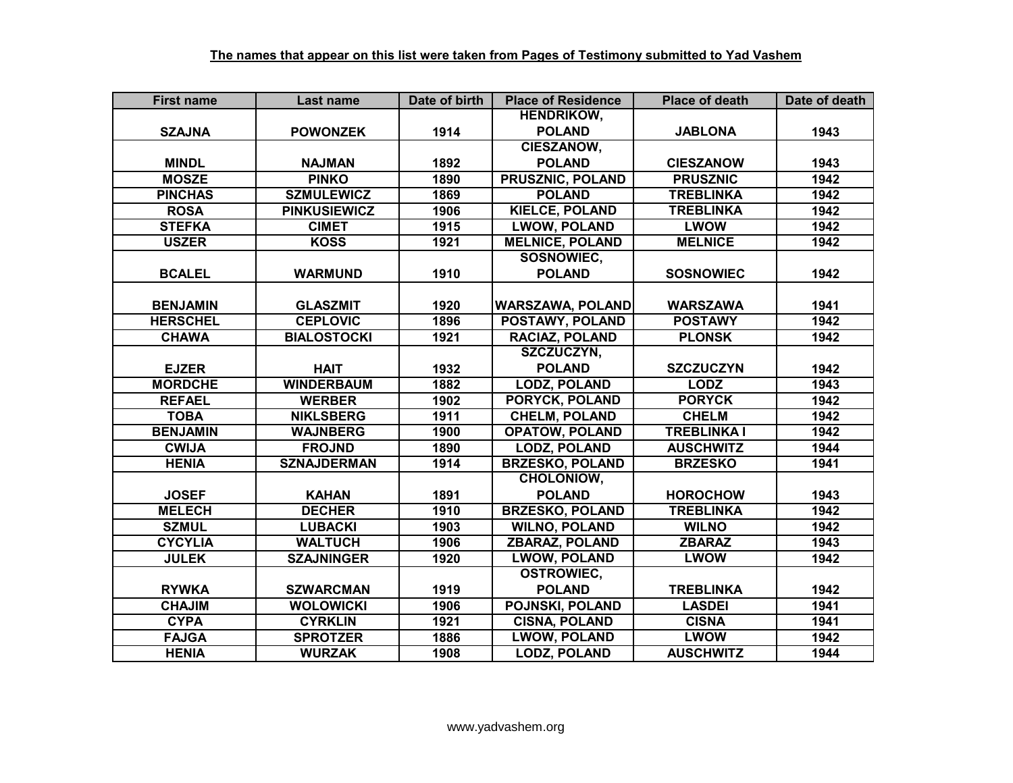| <b>First name</b> | Last name           | Date of birth | <b>Place of Residence</b> | <b>Place of death</b> | Date of death |
|-------------------|---------------------|---------------|---------------------------|-----------------------|---------------|
|                   |                     |               | <b>HENDRIKOW,</b>         |                       |               |
| <b>SZAJNA</b>     | <b>POWONZEK</b>     | 1914          | <b>POLAND</b>             | <b>JABLONA</b>        | 1943          |
|                   |                     |               | <b>CIESZANOW,</b>         |                       |               |
| <b>MINDL</b>      | <b>NAJMAN</b>       | 1892          | <b>POLAND</b>             | <b>CIESZANOW</b>      | 1943          |
| <b>MOSZE</b>      | <b>PINKO</b>        | 1890          | <b>PRUSZNIC, POLAND</b>   | <b>PRUSZNIC</b>       | 1942          |
| <b>PINCHAS</b>    | <b>SZMULEWICZ</b>   | 1869          | <b>POLAND</b>             | <b>TREBLINKA</b>      | 1942          |
| <b>ROSA</b>       | <b>PINKUSIEWICZ</b> | 1906          | <b>KIELCE, POLAND</b>     | <b>TREBLINKA</b>      | 1942          |
| <b>STEFKA</b>     | <b>CIMET</b>        | 1915          | <b>LWOW, POLAND</b>       | <b>LWOW</b>           | 1942          |
| <b>USZER</b>      | <b>KOSS</b>         | 1921          | <b>MELNICE, POLAND</b>    | <b>MELNICE</b>        | 1942          |
|                   |                     |               | SOSNOWIEC,                |                       |               |
| <b>BCALEL</b>     | <b>WARMUND</b>      | 1910          | <b>POLAND</b>             | <b>SOSNOWIEC</b>      | 1942          |
|                   |                     |               |                           |                       |               |
| <b>BENJAMIN</b>   | <b>GLASZMIT</b>     | 1920          | <b>WARSZAWA, POLAND</b>   | <b>WARSZAWA</b>       | 1941          |
| <b>HERSCHEL</b>   | <b>CEPLOVIC</b>     | 1896          | POSTAWY, POLAND           | <b>POSTAWY</b>        | 1942          |
| <b>CHAWA</b>      | <b>BIALOSTOCKI</b>  | 1921          | <b>RACIAZ, POLAND</b>     | <b>PLONSK</b>         | 1942          |
|                   |                     |               | SZCZUCZYN,                |                       |               |
| <b>EJZER</b>      | <b>HAIT</b>         | 1932          | <b>POLAND</b>             | <b>SZCZUCZYN</b>      | 1942          |
| <b>MORDCHE</b>    | <b>WINDERBAUM</b>   | 1882          | <b>LODZ, POLAND</b>       | <b>LODZ</b>           | 1943          |
| <b>REFAEL</b>     | <b>WERBER</b>       | 1902          | PORYCK, POLAND            | <b>PORYCK</b>         | 1942          |
| <b>TOBA</b>       | <b>NIKLSBERG</b>    | 1911          | <b>CHELM, POLAND</b>      | <b>CHELM</b>          | 1942          |
| <b>BENJAMIN</b>   | <b>WAJNBERG</b>     | 1900          | <b>OPATOW, POLAND</b>     | <b>TREBLINKA I</b>    | 1942          |
| <b>CWIJA</b>      | <b>FROJND</b>       | 1890          | <b>LODZ, POLAND</b>       | <b>AUSCHWITZ</b>      | 1944          |
| <b>HENIA</b>      | <b>SZNAJDERMAN</b>  | 1914          | <b>BRZESKO, POLAND</b>    | <b>BRZESKO</b>        | 1941          |
|                   |                     |               | CHOLONIOW,                |                       |               |
| <b>JOSEF</b>      | <b>KAHAN</b>        | 1891          | <b>POLAND</b>             | <b>HOROCHOW</b>       | 1943          |
| <b>MELECH</b>     | <b>DECHER</b>       | 1910          | <b>BRZESKO, POLAND</b>    | <b>TREBLINKA</b>      | 1942          |
| <b>SZMUL</b>      | <b>LUBACKI</b>      | 1903          | <b>WILNO, POLAND</b>      | <b>WILNO</b>          | 1942          |
| <b>CYCYLIA</b>    | <b>WALTUCH</b>      | 1906          | <b>ZBARAZ, POLAND</b>     | <b>ZBARAZ</b>         | 1943          |
| <b>JULEK</b>      | <b>SZAJNINGER</b>   | 1920          | <b>LWOW, POLAND</b>       | <b>LWOW</b>           | 1942          |
|                   |                     |               | <b>OSTROWIEC,</b>         |                       |               |
| <b>RYWKA</b>      | <b>SZWARCMAN</b>    | 1919          | <b>POLAND</b>             | <b>TREBLINKA</b>      | 1942          |
| <b>CHAJIM</b>     | <b>WOLOWICKI</b>    | 1906          | POJNSKI, POLAND           | <b>LASDEI</b>         | 1941          |
| <b>CYPA</b>       | <b>CYRKLIN</b>      | 1921          | <b>CISNA, POLAND</b>      | <b>CISNA</b>          | 1941          |
| <b>FAJGA</b>      | <b>SPROTZER</b>     | 1886          | <b>LWOW, POLAND</b>       | <b>LWOW</b>           | 1942          |
| <b>HENIA</b>      | <b>WURZAK</b>       | 1908          | <b>LODZ, POLAND</b>       | <b>AUSCHWITZ</b>      | 1944          |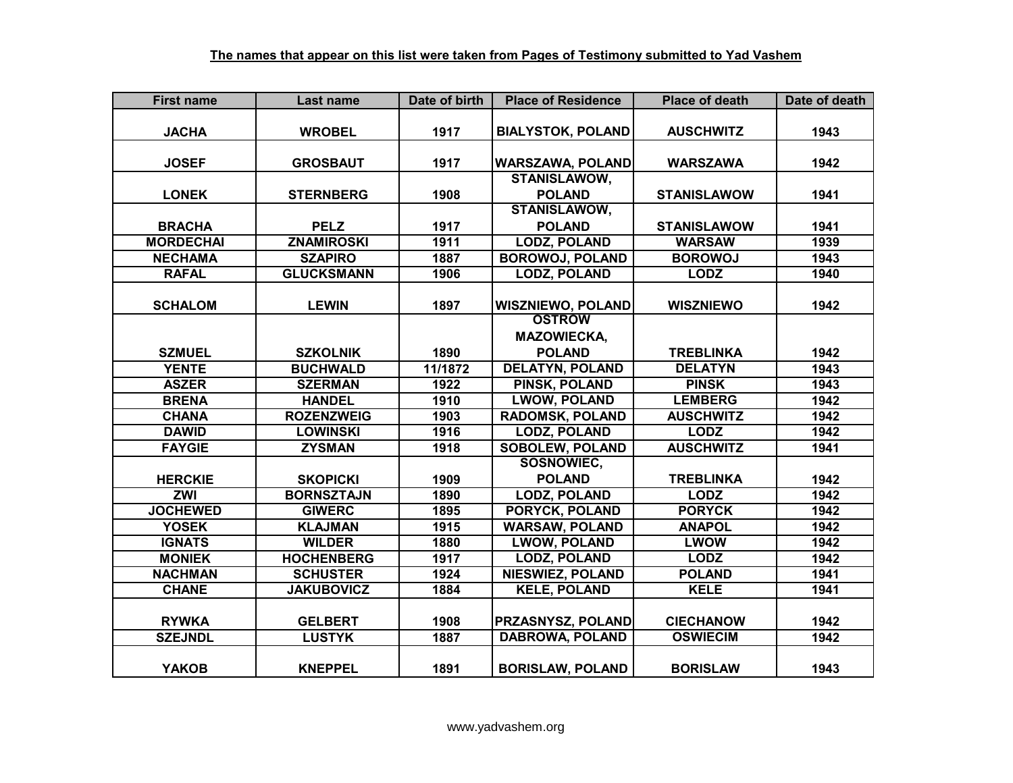| <b>First name</b> | Last name         | Date of birth | <b>Place of Residence</b> | <b>Place of death</b> | Date of death |
|-------------------|-------------------|---------------|---------------------------|-----------------------|---------------|
|                   |                   |               |                           |                       |               |
| <b>JACHA</b>      | <b>WROBEL</b>     | 1917          | <b>BIALYSTOK, POLAND</b>  | <b>AUSCHWITZ</b>      | 1943          |
|                   |                   |               |                           |                       |               |
| <b>JOSEF</b>      | <b>GROSBAUT</b>   | 1917          | <b>WARSZAWA, POLAND</b>   | <b>WARSZAWA</b>       | 1942          |
|                   |                   |               | <b>STANISLAWOW,</b>       |                       |               |
| <b>LONEK</b>      | <b>STERNBERG</b>  | 1908          | <b>POLAND</b>             | <b>STANISLAWOW</b>    | 1941          |
|                   |                   |               | <b>STANISLAWOW,</b>       |                       |               |
| <b>BRACHA</b>     | <b>PELZ</b>       | 1917          | <b>POLAND</b>             | <b>STANISLAWOW</b>    | 1941          |
| <b>MORDECHAI</b>  | <b>ZNAMIROSKI</b> | 1911          | <b>LODZ, POLAND</b>       | <b>WARSAW</b>         | 1939          |
| <b>NECHAMA</b>    | <b>SZAPIRO</b>    | 1887          | <b>BOROWOJ, POLAND</b>    | <b>BOROWOJ</b>        | 1943          |
| <b>RAFAL</b>      | <b>GLUCKSMANN</b> | 1906          | <b>LODZ, POLAND</b>       | <b>LODZ</b>           | 1940          |
|                   |                   |               |                           |                       |               |
| <b>SCHALOM</b>    | <b>LEWIN</b>      | 1897          | <b>WISZNIEWO, POLAND</b>  | <b>WISZNIEWO</b>      | 1942          |
|                   |                   |               | <b>OSTROW</b>             |                       |               |
|                   |                   |               | <b>MAZOWIECKA,</b>        |                       |               |
| <b>SZMUEL</b>     | <b>SZKOLNIK</b>   | 1890          | <b>POLAND</b>             | <b>TREBLINKA</b>      | 1942          |
| <b>YENTE</b>      | <b>BUCHWALD</b>   | 11/1872       | <b>DELATYN, POLAND</b>    | <b>DELATYN</b>        | 1943          |
| <b>ASZER</b>      | <b>SZERMAN</b>    | 1922          | PINSK, POLAND             | <b>PINSK</b>          | 1943          |
| <b>BRENA</b>      | <b>HANDEL</b>     | 1910          | <b>LWOW, POLAND</b>       | <b>LEMBERG</b>        | 1942          |
| <b>CHANA</b>      | <b>ROZENZWEIG</b> | 1903          | <b>RADOMSK, POLAND</b>    | <b>AUSCHWITZ</b>      | 1942          |
| <b>DAWID</b>      | <b>LOWINSKI</b>   | 1916          | <b>LODZ, POLAND</b>       | <b>LODZ</b>           | 1942          |
| <b>FAYGIE</b>     | <b>ZYSMAN</b>     | 1918          | <b>SOBOLEW, POLAND</b>    | <b>AUSCHWITZ</b>      | 1941          |
|                   |                   |               | <b>SOSNOWIEC,</b>         |                       |               |
| <b>HERCKIE</b>    | <b>SKOPICKI</b>   | 1909          | <b>POLAND</b>             | <b>TREBLINKA</b>      | 1942          |
| <b>ZWI</b>        | <b>BORNSZTAJN</b> | 1890          | <b>LODZ, POLAND</b>       | <b>LODZ</b>           | 1942          |
| <b>JOCHEWED</b>   | <b>GIWERC</b>     | 1895          | <b>PORYCK, POLAND</b>     | <b>PORYCK</b>         | 1942          |
| <b>YOSEK</b>      | <b>KLAJMAN</b>    | 1915          | <b>WARSAW, POLAND</b>     | <b>ANAPOL</b>         | 1942          |
| <b>IGNATS</b>     | <b>WILDER</b>     | 1880          | <b>LWOW, POLAND</b>       | <b>LWOW</b>           | 1942          |
| <b>MONIEK</b>     | <b>HOCHENBERG</b> | 1917          | <b>LODZ, POLAND</b>       | <b>LODZ</b>           | 1942          |
| <b>NACHMAN</b>    | <b>SCHUSTER</b>   | 1924          | <b>NIESWIEZ, POLAND</b>   | <b>POLAND</b>         | 1941          |
| <b>CHANE</b>      | <b>JAKUBOVICZ</b> | 1884          | <b>KELE, POLAND</b>       | <b>KELE</b>           | 1941          |
|                   |                   |               |                           |                       |               |
| <b>RYWKA</b>      | <b>GELBERT</b>    | 1908          | <b>PRZASNYSZ, POLAND</b>  | <b>CIECHANOW</b>      | 1942          |
| <b>SZEJNDL</b>    | <b>LUSTYK</b>     | 1887          | <b>DABROWA, POLAND</b>    | <b>OSWIECIM</b>       | 1942          |
|                   |                   |               |                           |                       |               |
| <b>YAKOB</b>      | <b>KNEPPEL</b>    | 1891          | <b>BORISLAW, POLAND</b>   | <b>BORISLAW</b>       | 1943          |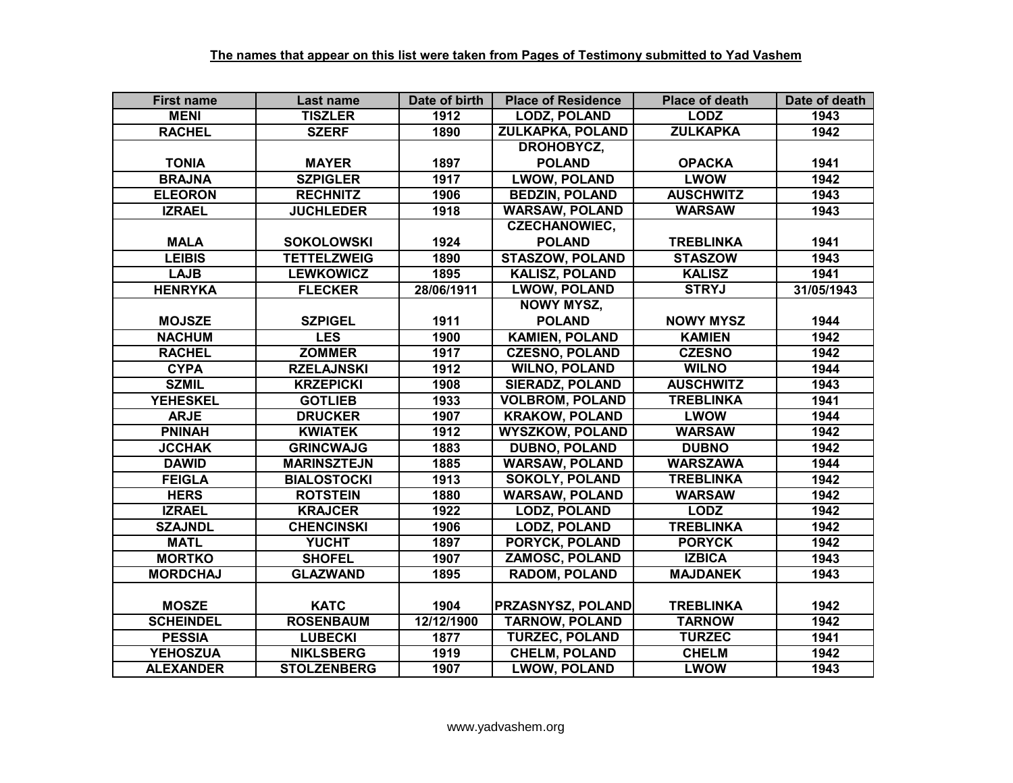| <b>First name</b> | Last name          | Date of birth     | <b>Place of Residence</b> | <b>Place of death</b> | Date of death |
|-------------------|--------------------|-------------------|---------------------------|-----------------------|---------------|
| <b>MENI</b>       | <b>TISZLER</b>     | 1912              | <b>LODZ, POLAND</b>       | <b>LODZ</b>           | 1943          |
| <b>RACHEL</b>     | <b>SZERF</b>       | 1890              | <b>ZULKAPKA, POLAND</b>   | <b>ZULKAPKA</b>       | 1942          |
|                   |                    |                   | DROHOBYCZ,                |                       |               |
| <b>TONIA</b>      | <b>MAYER</b>       | 1897              | <b>POLAND</b>             | <b>OPACKA</b>         | 1941          |
| <b>BRAJNA</b>     | <b>SZPIGLER</b>    | 1917              | <b>LWOW, POLAND</b>       | <b>LWOW</b>           | 1942          |
| <b>ELEORON</b>    | <b>RECHNITZ</b>    | 1906              | <b>BEDZIN, POLAND</b>     | <b>AUSCHWITZ</b>      | 1943          |
| <b>IZRAEL</b>     | <b>JUCHLEDER</b>   | 1918              | <b>WARSAW, POLAND</b>     | <b>WARSAW</b>         | 1943          |
|                   |                    |                   | <b>CZECHANOWIEC,</b>      |                       |               |
| <b>MALA</b>       | <b>SOKOLOWSKI</b>  | 1924              | <b>POLAND</b>             | <b>TREBLINKA</b>      | 1941          |
| <b>LEIBIS</b>     | <b>TETTELZWEIG</b> | 1890              | <b>STASZOW, POLAND</b>    | <b>STASZOW</b>        | 1943          |
| <b>LAJB</b>       | <b>LEWKOWICZ</b>   | 1895              | <b>KALISZ, POLAND</b>     | <b>KALISZ</b>         | 1941          |
| <b>HENRYKA</b>    | <b>FLECKER</b>     | 28/06/1911        | <b>LWOW, POLAND</b>       | <b>STRYJ</b>          | 31/05/1943    |
|                   |                    |                   | <b>NOWY MYSZ,</b>         |                       |               |
| <b>MOJSZE</b>     | <b>SZPIGEL</b>     | 1911              | <b>POLAND</b>             | <b>NOWY MYSZ</b>      | 1944          |
| <b>NACHUM</b>     | <b>LES</b>         | 1900              | <b>KAMIEN, POLAND</b>     | <b>KAMIEN</b>         | 1942          |
| <b>RACHEL</b>     | <b>ZOMMER</b>      | 1917              | <b>CZESNO, POLAND</b>     | <b>CZESNO</b>         | 1942          |
| <b>CYPA</b>       | <b>RZELAJNSKI</b>  | 1912              | <b>WILNO, POLAND</b>      | <b>WILNO</b>          | 1944          |
| <b>SZMIL</b>      | <b>KRZEPICKI</b>   | 1908              | <b>SIERADZ, POLAND</b>    | <b>AUSCHWITZ</b>      | 1943          |
| <b>YEHESKEL</b>   | <b>GOTLIEB</b>     | 1933              | <b>VOLBROM, POLAND</b>    | <b>TREBLINKA</b>      | 1941          |
| <b>ARJE</b>       | <b>DRUCKER</b>     | 1907              | <b>KRAKOW, POLAND</b>     | <b>LWOW</b>           | 1944          |
| <b>PNINAH</b>     | <b>KWIATEK</b>     | $\overline{1912}$ | <b>WYSZKOW, POLAND</b>    | <b>WARSAW</b>         | 1942          |
| <b>JCCHAK</b>     | <b>GRINCWAJG</b>   | 1883              | <b>DUBNO, POLAND</b>      | <b>DUBNO</b>          | 1942          |
| <b>DAWID</b>      | <b>MARINSZTEJN</b> | 1885              | <b>WARSAW, POLAND</b>     | <b>WARSZAWA</b>       | 1944          |
| <b>FEIGLA</b>     | <b>BIALOSTOCKI</b> | 1913              | <b>SOKOLY, POLAND</b>     | <b>TREBLINKA</b>      | 1942          |
| <b>HERS</b>       | <b>ROTSTEIN</b>    | 1880              | <b>WARSAW, POLAND</b>     | <b>WARSAW</b>         | 1942          |
| <b>IZRAEL</b>     | <b>KRAJCER</b>     | 1922              | <b>LODZ, POLAND</b>       | <b>LODZ</b>           | 1942          |
| <b>SZAJNDL</b>    | <b>CHENCINSKI</b>  | 1906              | <b>LODZ, POLAND</b>       | <b>TREBLINKA</b>      | 1942          |
| <b>MATL</b>       | <b>YUCHT</b>       | 1897              | <b>PORYCK, POLAND</b>     | <b>PORYCK</b>         | 1942          |
| <b>MORTKO</b>     | <b>SHOFEL</b>      | 1907              | <b>ZAMOSC, POLAND</b>     | <b>IZBICA</b>         | 1943          |
| <b>MORDCHAJ</b>   | <b>GLAZWAND</b>    | 1895              | <b>RADOM, POLAND</b>      | <b>MAJDANEK</b>       | 1943          |
|                   |                    |                   |                           |                       |               |
| <b>MOSZE</b>      | <b>KATC</b>        | 1904              | PRZASNYSZ, POLAND         | <b>TREBLINKA</b>      | 1942          |
| <b>SCHEINDEL</b>  | <b>ROSENBAUM</b>   | 12/12/1900        | <b>TARNOW, POLAND</b>     | <b>TARNOW</b>         | 1942          |
| <b>PESSIA</b>     | <b>LUBECKI</b>     | 1877              | <b>TURZEC, POLAND</b>     | <b>TURZEC</b>         | 1941          |
| <b>YEHOSZUA</b>   | <b>NIKLSBERG</b>   | 1919              | <b>CHELM, POLAND</b>      | <b>CHELM</b>          | 1942          |
| <b>ALEXANDER</b>  | <b>STOLZENBERG</b> | 1907              | <b>LWOW, POLAND</b>       | <b>LWOW</b>           | 1943          |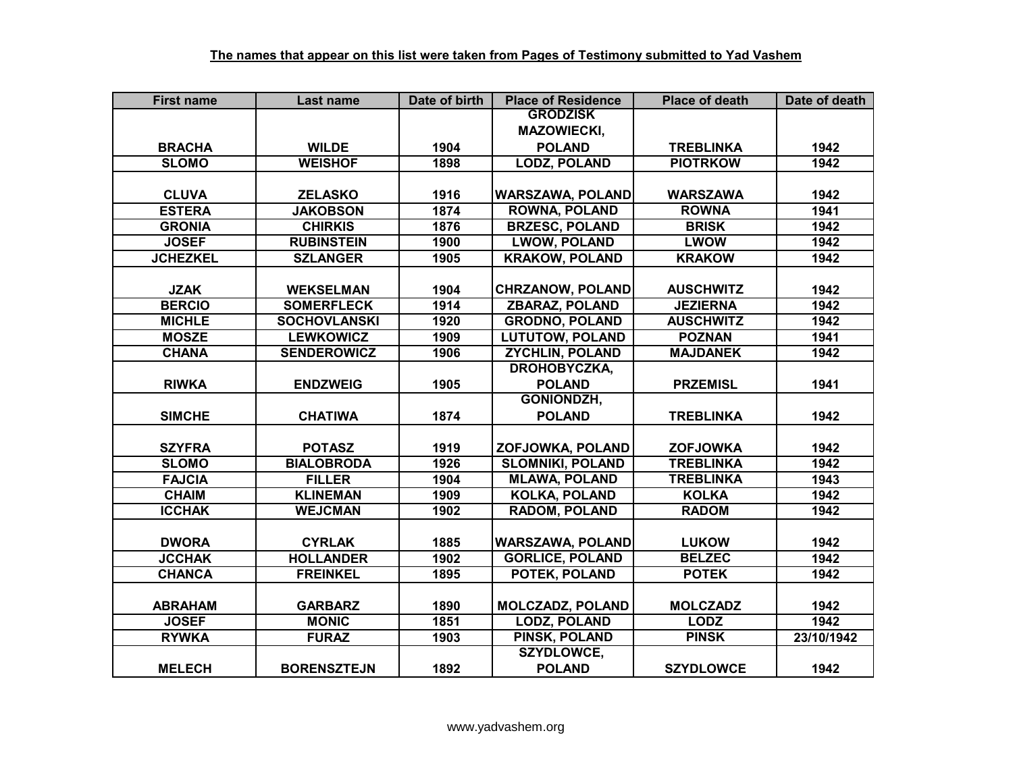| <b>First name</b> | Last name           | Date of birth | <b>Place of Residence</b> | <b>Place of death</b> | Date of death |
|-------------------|---------------------|---------------|---------------------------|-----------------------|---------------|
|                   |                     |               | <b>GRODZISK</b>           |                       |               |
|                   |                     |               | <b>MAZOWIECKI,</b>        |                       |               |
| <b>BRACHA</b>     | <b>WILDE</b>        | 1904          | <b>POLAND</b>             | <b>TREBLINKA</b>      | 1942          |
| <b>SLOMO</b>      | <b>WEISHOF</b>      | 1898          | <b>LODZ, POLAND</b>       | <b>PIOTRKOW</b>       | 1942          |
|                   |                     |               |                           |                       |               |
| <b>CLUVA</b>      | <b>ZELASKO</b>      | 1916          | <b>WARSZAWA, POLAND</b>   | <b>WARSZAWA</b>       | 1942          |
| <b>ESTERA</b>     | <b>JAKOBSON</b>     | 1874          | <b>ROWNA, POLAND</b>      | <b>ROWNA</b>          | 1941          |
| <b>GRONIA</b>     | <b>CHIRKIS</b>      | 1876          | <b>BRZESC, POLAND</b>     | <b>BRISK</b>          | 1942          |
| <b>JOSEF</b>      | <b>RUBINSTEIN</b>   | 1900          | <b>LWOW, POLAND</b>       | <b>LWOW</b>           | 1942          |
| <b>JCHEZKEL</b>   | <b>SZLANGER</b>     | 1905          | <b>KRAKOW, POLAND</b>     | <b>KRAKOW</b>         | 1942          |
|                   |                     |               |                           |                       |               |
| <b>JZAK</b>       | <b>WEKSELMAN</b>    | 1904          | <b>CHRZANOW, POLAND</b>   | <b>AUSCHWITZ</b>      | 1942          |
| <b>BERCIO</b>     | <b>SOMERFLECK</b>   | 1914          | <b>ZBARAZ, POLAND</b>     | <b>JEZIERNA</b>       | 1942          |
| <b>MICHLE</b>     | <b>SOCHOVLANSKI</b> | 1920          | <b>GRODNO, POLAND</b>     | <b>AUSCHWITZ</b>      | 1942          |
| <b>MOSZE</b>      | <b>LEWKOWICZ</b>    | 1909          | <b>LUTUTOW, POLAND</b>    | <b>POZNAN</b>         | 1941          |
| <b>CHANA</b>      | <b>SENDEROWICZ</b>  | 1906          | <b>ZYCHLIN, POLAND</b>    | <b>MAJDANEK</b>       | 1942          |
|                   |                     |               | DROHOBYCZKA,              |                       |               |
| <b>RIWKA</b>      | <b>ENDZWEIG</b>     | 1905          | <b>POLAND</b>             | <b>PRZEMISL</b>       | 1941          |
|                   |                     |               | <b>GONIONDZH,</b>         |                       |               |
| <b>SIMCHE</b>     | <b>CHATIWA</b>      | 1874          | <b>POLAND</b>             | <b>TREBLINKA</b>      | 1942          |
|                   |                     |               |                           |                       |               |
| <b>SZYFRA</b>     | <b>POTASZ</b>       | 1919          | ZOFJOWKA, POLAND          | <b>ZOFJOWKA</b>       | 1942          |
| <b>SLOMO</b>      | <b>BIALOBRODA</b>   | 1926          | <b>SLOMNIKI, POLAND</b>   | <b>TREBLINKA</b>      | 1942          |
| <b>FAJCIA</b>     | <b>FILLER</b>       | 1904          | <b>MLAWA, POLAND</b>      | <b>TREBLINKA</b>      | 1943          |
| <b>CHAIM</b>      | <b>KLINEMAN</b>     | 1909          | <b>KOLKA, POLAND</b>      | <b>KOLKA</b>          | 1942          |
| <b>ICCHAK</b>     | <b>WEJCMAN</b>      | 1902          | <b>RADOM, POLAND</b>      | <b>RADOM</b>          | 1942          |
|                   |                     |               |                           |                       |               |
| <b>DWORA</b>      | <b>CYRLAK</b>       | 1885          | <b>WARSZAWA, POLAND</b>   | <b>LUKOW</b>          | 1942          |
| <b>JCCHAK</b>     | <b>HOLLANDER</b>    | 1902          | <b>GORLICE, POLAND</b>    | <b>BELZEC</b>         | 1942          |
| <b>CHANCA</b>     | <b>FREINKEL</b>     | 1895          | POTEK, POLAND             | <b>POTEK</b>          | 1942          |
|                   |                     |               |                           |                       |               |
| <b>ABRAHAM</b>    | <b>GARBARZ</b>      | 1890          | <b>MOLCZADZ, POLAND</b>   | <b>MOLCZADZ</b>       | 1942          |
| <b>JOSEF</b>      | <b>MONIC</b>        | 1851          | <b>LODZ, POLAND</b>       | <b>LODZ</b>           | 1942          |
| <b>RYWKA</b>      | <b>FURAZ</b>        | 1903          | PINSK, POLAND             | <b>PINSK</b>          | 23/10/1942    |
|                   |                     |               | SZYDLOWCE,                |                       |               |
| <b>MELECH</b>     | <b>BORENSZTEJN</b>  | 1892          | <b>POLAND</b>             | <b>SZYDLOWCE</b>      | 1942          |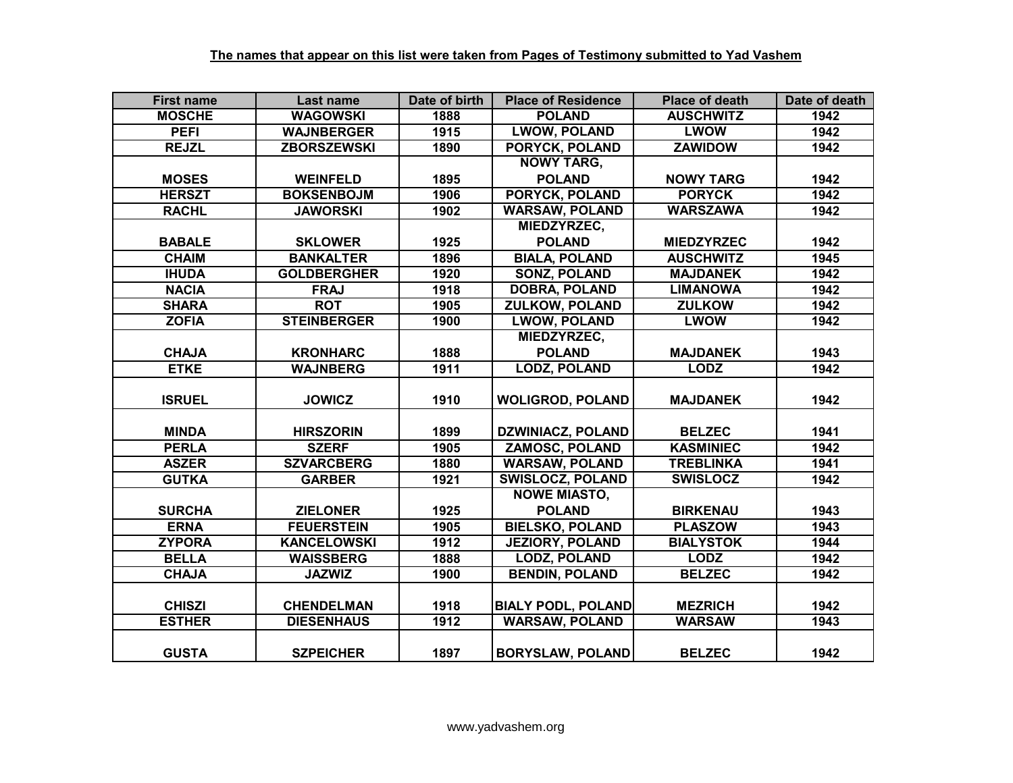| <b>First name</b> | Last name          | Date of birth | <b>Place of Residence</b> | <b>Place of death</b> | Date of death |
|-------------------|--------------------|---------------|---------------------------|-----------------------|---------------|
| <b>MOSCHE</b>     | <b>WAGOWSKI</b>    | 1888          | <b>POLAND</b>             | <b>AUSCHWITZ</b>      | 1942          |
| <b>PEFI</b>       | <b>WAJNBERGER</b>  | 1915          | <b>LWOW, POLAND</b>       | <b>LWOW</b>           | 1942          |
| <b>REJZL</b>      | <b>ZBORSZEWSKI</b> | 1890          | <b>PORYCK, POLAND</b>     | <b>ZAWIDOW</b>        | 1942          |
|                   |                    |               | <b>NOWY TARG,</b>         |                       |               |
| <b>MOSES</b>      | <b>WEINFELD</b>    | 1895          | <b>POLAND</b>             | <b>NOWY TARG</b>      | 1942          |
| <b>HERSZT</b>     | <b>BOKSENBOJM</b>  | 1906          | <b>PORYCK, POLAND</b>     | <b>PORYCK</b>         | 1942          |
| <b>RACHL</b>      | <b>JAWORSKI</b>    | 1902          | <b>WARSAW, POLAND</b>     | <b>WARSZAWA</b>       | 1942          |
|                   |                    |               | MIEDZYRZEC,               |                       |               |
| <b>BABALE</b>     | <b>SKLOWER</b>     | 1925          | <b>POLAND</b>             | <b>MIEDZYRZEC</b>     | 1942          |
| <b>CHAIM</b>      | <b>BANKALTER</b>   | 1896          | <b>BIALA, POLAND</b>      | <b>AUSCHWITZ</b>      | 1945          |
| <b>IHUDA</b>      | <b>GOLDBERGHER</b> | 1920          | <b>SONZ, POLAND</b>       | <b>MAJDANEK</b>       | 1942          |
| <b>NACIA</b>      | <b>FRAJ</b>        | 1918          | <b>DOBRA, POLAND</b>      | <b>LIMANOWA</b>       | 1942          |
| <b>SHARA</b>      | <b>ROT</b>         | 1905          | <b>ZULKOW, POLAND</b>     | <b>ZULKOW</b>         | 1942          |
| <b>ZOFIA</b>      | <b>STEINBERGER</b> | 1900          | <b>LWOW, POLAND</b>       | <b>LWOW</b>           | 1942          |
|                   |                    |               | MIEDZYRZEC,               |                       |               |
| <b>CHAJA</b>      | <b>KRONHARC</b>    | 1888          | <b>POLAND</b>             | <b>MAJDANEK</b>       | 1943          |
| <b>ETKE</b>       | <b>WAJNBERG</b>    | 1911          | LODZ, POLAND              | <b>LODZ</b>           | 1942          |
|                   |                    |               |                           |                       |               |
| <b>ISRUEL</b>     | <b>JOWICZ</b>      | 1910          | <b>WOLIGROD, POLAND</b>   | <b>MAJDANEK</b>       | 1942          |
|                   |                    |               |                           |                       |               |
| <b>MINDA</b>      | <b>HIRSZORIN</b>   | 1899          | <b>DZWINIACZ, POLAND</b>  | <b>BELZEC</b>         | 1941          |
| <b>PERLA</b>      | <b>SZERF</b>       | 1905          | <b>ZAMOSC, POLAND</b>     | <b>KASMINIEC</b>      | 1942          |
| <b>ASZER</b>      | <b>SZVARCBERG</b>  | 1880          | <b>WARSAW, POLAND</b>     | <b>TREBLINKA</b>      | 1941          |
| <b>GUTKA</b>      | <b>GARBER</b>      | 1921          | <b>SWISLOCZ, POLAND</b>   | <b>SWISLOCZ</b>       | 1942          |
|                   |                    |               | <b>NOWE MIASTO,</b>       |                       |               |
| <b>SURCHA</b>     | <b>ZIELONER</b>    | 1925          | <b>POLAND</b>             | <b>BIRKENAU</b>       | 1943          |
| <b>ERNA</b>       | <b>FEUERSTEIN</b>  | 1905          | <b>BIELSKO, POLAND</b>    | <b>PLASZOW</b>        | 1943          |
| <b>ZYPORA</b>     | <b>KANCELOWSKI</b> | 1912          | <b>JEZIORY, POLAND</b>    | <b>BIALYSTOK</b>      | 1944          |
| <b>BELLA</b>      | <b>WAISSBERG</b>   | 1888          | <b>LODZ, POLAND</b>       | <b>LODZ</b>           | 1942          |
| <b>CHAJA</b>      | <b>JAZWIZ</b>      | 1900          | <b>BENDIN, POLAND</b>     | <b>BELZEC</b>         | 1942          |
|                   |                    |               |                           |                       |               |
| <b>CHISZI</b>     | <b>CHENDELMAN</b>  | 1918          | <b>BIALY PODL, POLAND</b> | <b>MEZRICH</b>        | 1942          |
| <b>ESTHER</b>     | <b>DIESENHAUS</b>  | 1912          | <b>WARSAW, POLAND</b>     | <b>WARSAW</b>         | 1943          |
|                   |                    |               |                           |                       |               |
| <b>GUSTA</b>      | <b>SZPEICHER</b>   | 1897          | <b>BORYSLAW, POLAND</b>   | <b>BELZEC</b>         | 1942          |